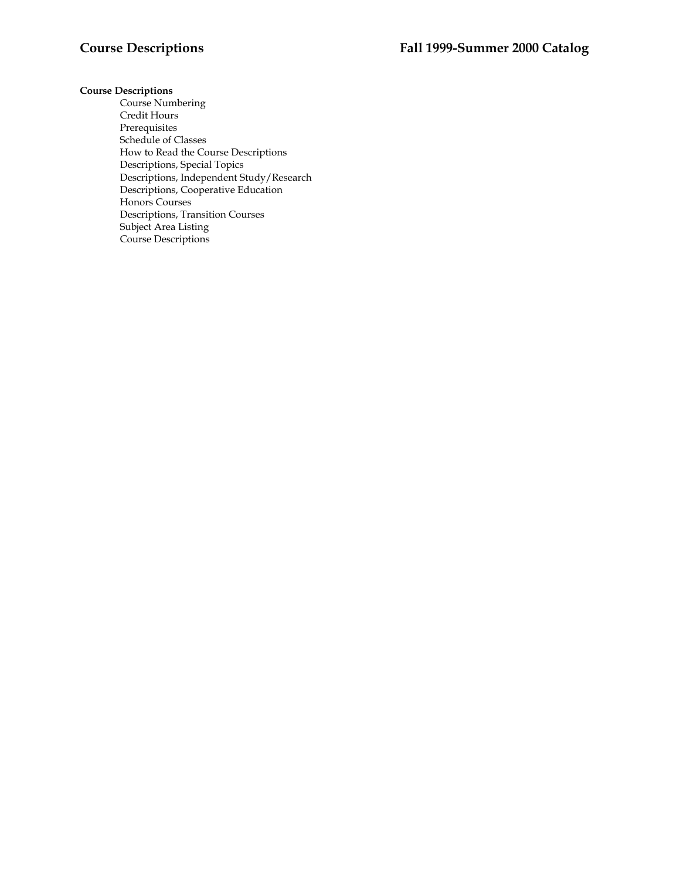# **Course Descriptions**

Course Numbering Credit Hours Prerequisites Schedule of Classes How to Read the Course Descriptions Descriptions, Special Topics Descriptions, Independent Study/Research Descriptions, Cooperative Education Honors Courses Descriptions, Transition Courses Subject Area Listing Course Descriptions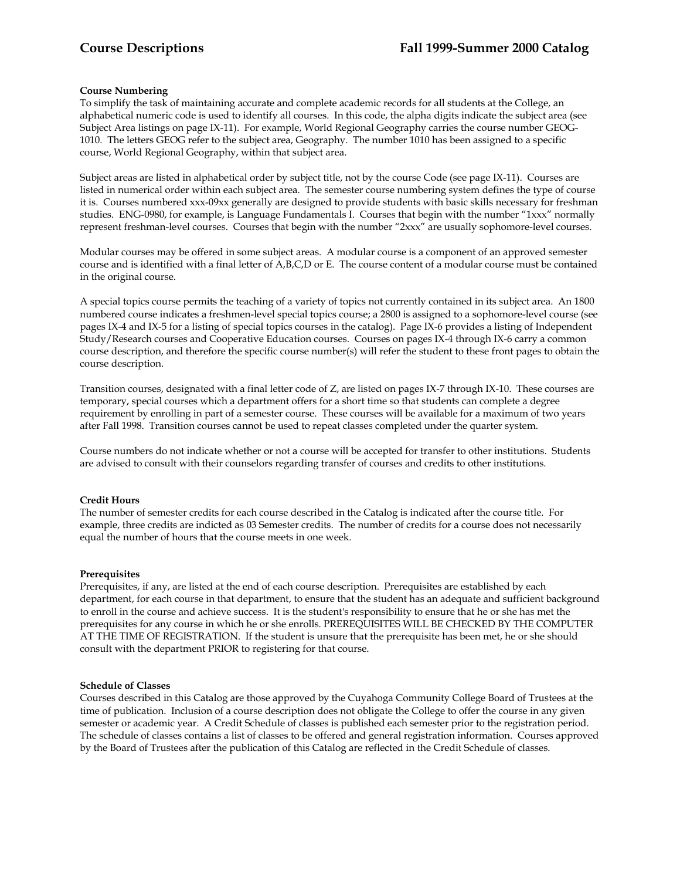# **Course Numbering**

To simplify the task of maintaining accurate and complete academic records for all students at the College, an alphabetical numeric code is used to identify all courses. In this code, the alpha digits indicate the subject area (see Subject Area listings on page IX-11). For example, World Regional Geography carries the course number GEOG-1010. The letters GEOG refer to the subject area, Geography. The number 1010 has been assigned to a specific course, World Regional Geography, within that subject area.

Subject areas are listed in alphabetical order by subject title, not by the course Code (see page IX-11). Courses are listed in numerical order within each subject area. The semester course numbering system defines the type of course it is. Courses numbered xxx-09xx generally are designed to provide students with basic skills necessary for freshman studies. ENG-0980, for example, is Language Fundamentals I. Courses that begin with the number "1xxx" normally represent freshman-level courses. Courses that begin with the number "2xxx" are usually sophomore-level courses.

Modular courses may be offered in some subject areas. A modular course is a component of an approved semester course and is identified with a final letter of A,B,C,D or E. The course content of a modular course must be contained in the original course.

A special topics course permits the teaching of a variety of topics not currently contained in its subject area. An 1800 numbered course indicates a freshmen-level special topics course; a 2800 is assigned to a sophomore-level course (see pages IX-4 and IX-5 for a listing of special topics courses in the catalog). Page IX-6 provides a listing of Independent Study/Research courses and Cooperative Education courses. Courses on pages IX-4 through IX-6 carry a common course description, and therefore the specific course number(s) will refer the student to these front pages to obtain the course description.

Transition courses, designated with a final letter code of Z, are listed on pages IX-7 through IX-10. These courses are temporary, special courses which a department offers for a short time so that students can complete a degree requirement by enrolling in part of a semester course. These courses will be available for a maximum of two years after Fall 1998. Transition courses cannot be used to repeat classes completed under the quarter system.

Course numbers do not indicate whether or not a course will be accepted for transfer to other institutions. Students are advised to consult with their counselors regarding transfer of courses and credits to other institutions.

# **Credit Hours**

The number of semester credits for each course described in the Catalog is indicated after the course title. For example, three credits are indicted as 03 Semester credits. The number of credits for a course does not necessarily equal the number of hours that the course meets in one week.

# **Prerequisites**

Prerequisites, if any, are listed at the end of each course description. Prerequisites are established by each department, for each course in that department, to ensure that the student has an adequate and sufficient background to enroll in the course and achieve success. It is the student's responsibility to ensure that he or she has met the prerequisites for any course in which he or she enrolls. PREREQUISITES WILL BE CHECKED BY THE COMPUTER AT THE TIME OF REGISTRATION. If the student is unsure that the prerequisite has been met, he or she should consult with the department PRIOR to registering for that course.

# **Schedule of Classes**

Courses described in this Catalog are those approved by the Cuyahoga Community College Board of Trustees at the time of publication. Inclusion of a course description does not obligate the College to offer the course in any given semester or academic year. A Credit Schedule of classes is published each semester prior to the registration period. The schedule of classes contains a list of classes to be offered and general registration information. Courses approved by the Board of Trustees after the publication of this Catalog are reflected in the Credit Schedule of classes.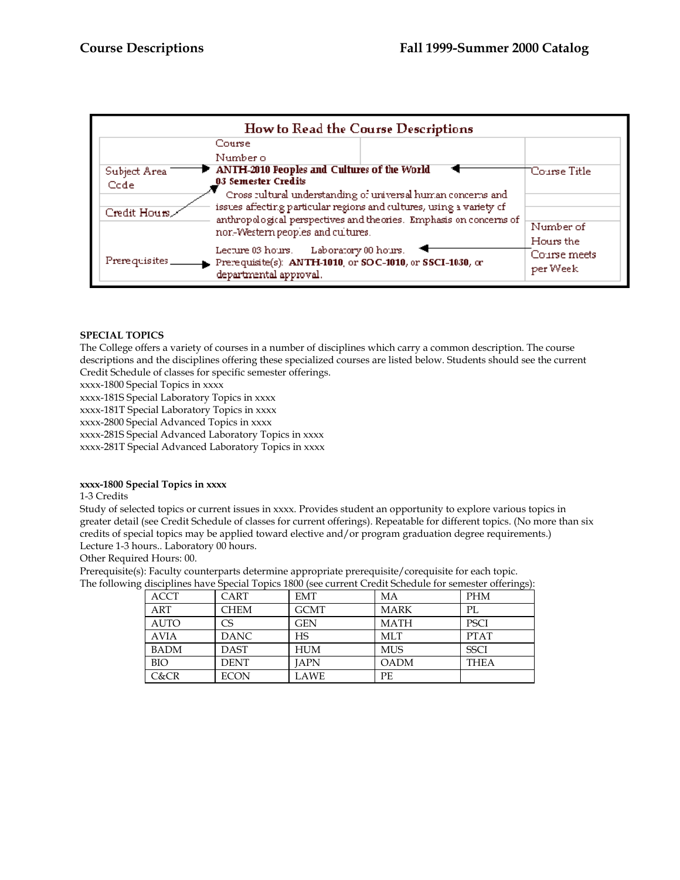|                | How to Read the Course Descriptions                                                 |              |  |  |  |
|----------------|-------------------------------------------------------------------------------------|--------------|--|--|--|
|                | Course                                                                              |              |  |  |  |
|                | Number o                                                                            |              |  |  |  |
| Subject Area   | ANTH-2010 Peoples and Cultures of the World                                         | Course Title |  |  |  |
| Ccde           | 03 Semester Credits                                                                 |              |  |  |  |
|                | Cross rultural understanding of universal human concerns and                        |              |  |  |  |
| Credit Hours   | issues affecting particular regions and cultures, using a variety of                |              |  |  |  |
|                | anthropological perspectives and theories. Emphasis on concerns of                  | Number of    |  |  |  |
|                | nor-Western peoples and cultures.                                                   | Hours the    |  |  |  |
|                | Laboratory 00 hours.<br>Lecture 03 hours.                                           | Course meets |  |  |  |
| Prerequisites. | Prerequisite(s): ANTH-1010, or SOC-1010, or SSCI-1030, or<br>departmental approval. | per Week     |  |  |  |

# **SPECIAL TOPICS**

The College offers a variety of courses in a number of disciplines which carry a common description. The course descriptions and the disciplines offering these specialized courses are listed below. Students should see the current Credit Schedule of classes for specific semester offerings.

xxxx-1800 Special Topics in xxxx

xxxx-181S Special Laboratory Topics in xxxx

xxxx-181T Special Laboratory Topics in xxxx

xxxx-2800 Special Advanced Topics in xxxx

xxxx-281S Special Advanced Laboratory Topics in xxxx

xxxx-281T Special Advanced Laboratory Topics in xxxx

# **xxxx-1800 Special Topics in xxxx**

1-3 Credits

Study of selected topics or current issues in xxxx. Provides student an opportunity to explore various topics in greater detail (see Credit Schedule of classes for current offerings). Repeatable for different topics. (No more than six credits of special topics may be applied toward elective and/or program graduation degree requirements.) Lecture 1-3 hours.. Laboratory 00 hours.

Other Required Hours: 00.

Prerequisite(s): Faculty counterparts determine appropriate prerequisite/corequisite for each topic. The following disciplines have Special Topics 1800 (see current Credit Schedule for semester offerings):

| merphises not experient represented foco current exemination semicoler exemings |             |             |             |             |  |
|---------------------------------------------------------------------------------|-------------|-------------|-------------|-------------|--|
| <b>ACCT</b>                                                                     | CART        | <b>EMT</b>  | МA          | <b>PHM</b>  |  |
| <b>ART</b>                                                                      | <b>CHEM</b> | <b>GCMT</b> | <b>MARK</b> | PL          |  |
| <b>AUTO</b>                                                                     | СS          | <b>GEN</b>  | <b>MATH</b> | <b>PSCI</b> |  |
| <b>AVIA</b>                                                                     | <b>DANC</b> | HS          | <b>MLT</b>  | <b>PTAT</b> |  |
| <b>BADM</b>                                                                     | <b>DAST</b> | <b>HUM</b>  | MUS         | <b>SSCI</b> |  |
| <b>BIO</b>                                                                      | <b>DENT</b> | <b>JAPN</b> | <b>OADM</b> | <b>THEA</b> |  |
| C&CR                                                                            | <b>ECON</b> | LAWE        | PE          |             |  |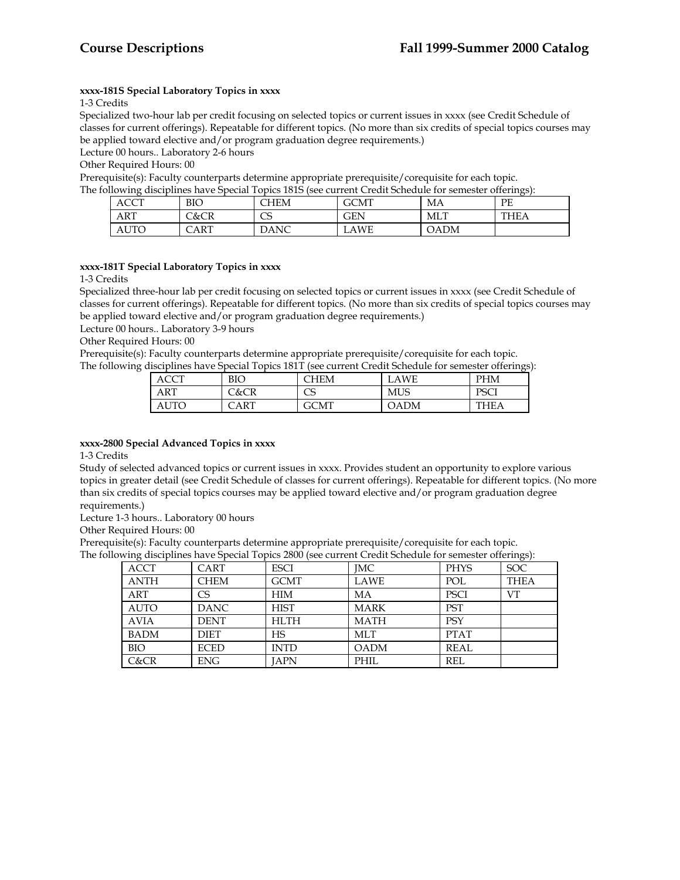# **xxxx-181S Special Laboratory Topics in xxxx**

1-3 Credits

Specialized two-hour lab per credit focusing on selected topics or current issues in xxxx (see Credit Schedule of classes for current offerings). Repeatable for different topics. (No more than six credits of special topics courses may be applied toward elective and/or program graduation degree requirements.)

Lecture 00 hours.. Laboratory 2-6 hours

Other Required Hours: 00

Prerequisite(s): Faculty counterparts determine appropriate prerequisite/corequisite for each topic.<br>The following disciplines have Special Topics 1815 (see current Credit Schedule for semester offerin

| and a series and a series are the series of the series of the series of the series of the series of the series<br>ollowing disciplines have Special Topics 181S (see current Credit Schedule for semester offerings): |                 |             |            |             |             |  |
|-----------------------------------------------------------------------------------------------------------------------------------------------------------------------------------------------------------------------|-----------------|-------------|------------|-------------|-------------|--|
| <b>ACCT</b>                                                                                                                                                                                                           | <b>BIO</b>      | <b>CHEM</b> | GCMT       | MA          | PE.         |  |
| ART                                                                                                                                                                                                                   | <b>C&amp;CR</b> | CS          | <b>GEN</b> | MLT         | <b>THEA</b> |  |
| <b>AUTO</b>                                                                                                                                                                                                           | CART            | <b>DANC</b> | LAWE       | <b>OADM</b> |             |  |

# **xxxx-181T Special Laboratory Topics in xxxx**

1-3 Credits

Specialized three-hour lab per credit focusing on selected topics or current issues in xxxx (see Credit Schedule of classes for current offerings). Repeatable for different topics. (No more than six credits of special topics courses may be applied toward elective and/or program graduation degree requirements.)

Lecture 00 hours.. Laboratory 3-9 hours

Other Required Hours: 00

Prerequisite(s): Faculty counterparts determine appropriate prerequisite/corequisite for each topic.

The following disciplines have Special Topics 181T (see current Credit Schedule for semester offerings):

| ACCT        | BIO  | <b>HEM</b> | LAWE       | <b>PHM</b>  |
|-------------|------|------------|------------|-------------|
| ART         | C&CR | mг<br>ں    | <b>MUS</b> | DC∩I<br>10L |
| <b>AUTO</b> | CART | GCMT       | DADM       | THF A       |

# **xxxx-2800 Special Advanced Topics in xxxx**

1-3 Credits

Study of selected advanced topics or current issues in xxxx. Provides student an opportunity to explore various topics in greater detail (see Credit Schedule of classes for current offerings). Repeatable for different topics. (No more than six credits of special topics courses may be applied toward elective and/or program graduation degree requirements.)

Lecture 1-3 hours.. Laboratory 00 hours

Other Required Hours: 00

Prerequisite(s): Faculty counterparts determine appropriate prerequisite/corequisite for each topic.

The following disciplines have Special Topics 2800 (see current Credit Schedule for semester offerings):

| $\cdot$     |             |             |             |             | $\cup$      |
|-------------|-------------|-------------|-------------|-------------|-------------|
| <b>ACCT</b> | <b>CART</b> | <b>ESCI</b> | <b>IMC</b>  | <b>PHYS</b> | <b>SOC</b>  |
| <b>ANTH</b> | <b>CHEM</b> | <b>GCMT</b> | <b>LAWE</b> | POL         | <b>THEA</b> |
| ART         | СS          | HIM         | MA          | <b>PSCI</b> | VT          |
| <b>AUTO</b> | <b>DANC</b> | <b>HIST</b> | <b>MARK</b> | <b>PST</b>  |             |
| <b>AVIA</b> | <b>DENT</b> | <b>HLTH</b> | <b>MATH</b> | <b>PSY</b>  |             |
| <b>BADM</b> | <b>DIET</b> | HS          | MLT         | <b>PTAT</b> |             |
| <b>BIO</b>  | <b>ECED</b> | <b>INTD</b> | <b>OADM</b> | <b>REAL</b> |             |
| C&CR        | <b>ENG</b>  | <b>IAPN</b> | <b>PHIL</b> | <b>REL</b>  |             |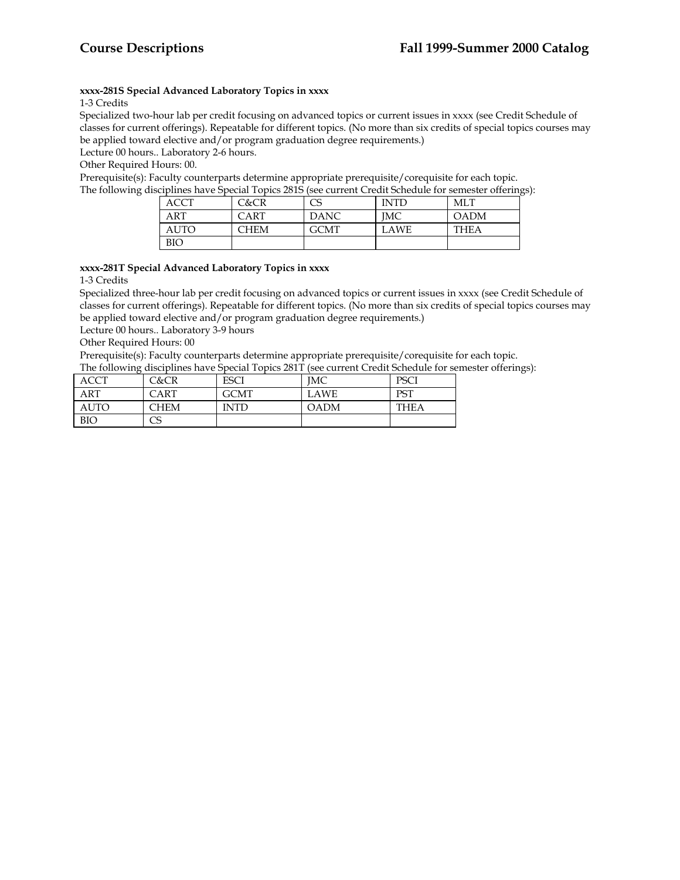# **xxxx-281S Special Advanced Laboratory Topics in xxxx**

# 1-3 Credits

Specialized two-hour lab per credit focusing on advanced topics or current issues in xxxx (see Credit Schedule of classes for current offerings). Repeatable for different topics. (No more than six credits of special topics courses may be applied toward elective and/or program graduation degree requirements.)

Lecture 00 hours.. Laboratory 2-6 hours.

Other Required Hours: 00.

Prerequisite(s): Faculty counterparts determine appropriate prerequisite/corequisite for each topic.

The following disciplines have Special Topics 281S (see current Credit Schedule for semester offerings):

| <b>ACCT</b> | C&CR        | CS          | <b>INTD</b> | MLT         |
|-------------|-------------|-------------|-------------|-------------|
| ART         | <b>CART</b> | <b>DANC</b> | IMC         | <b>OADM</b> |
| <b>AUTO</b> | CHEM        | GCMT        | LAWE        | THEA        |
| <b>BIO</b>  |             |             |             |             |

# **xxxx-281T Special Advanced Laboratory Topics in xxxx**

1-3 Credits

Specialized three-hour lab per credit focusing on advanced topics or current issues in xxxx (see Credit Schedule of classes for current offerings). Repeatable for different topics. (No more than six credits of special topics courses may be applied toward elective and/or program graduation degree requirements.)

Lecture 00 hours.. Laboratory 3-9 hours

Other Required Hours: 00

Prerequisite(s): Faculty counterparts determine appropriate prerequisite/corequisite for each topic. The following disciplines have Special Topics 281T (see current Credit Schedule for semester offerings):

| ACCT        | C&CR | ESCI        | IМC  | <b>PSCI</b> |
|-------------|------|-------------|------|-------------|
| <b>ART</b>  | CART | <b>GCMT</b> | LAWE | <b>PST</b>  |
| <b>AUTO</b> | CHEM | INTD        | OADM | THEA        |
| <b>BIO</b>  | CS   |             |      |             |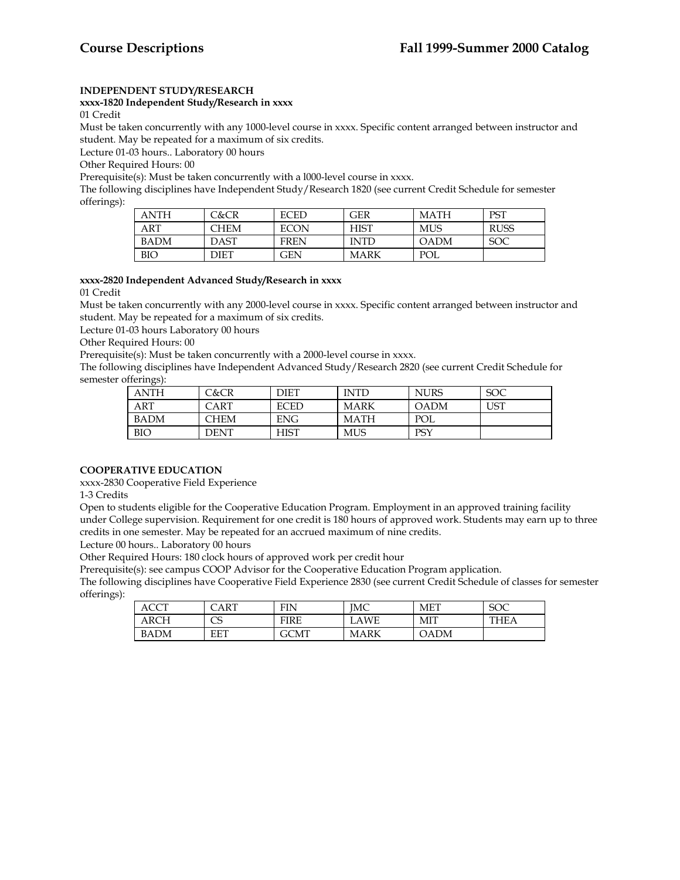# **INDEPENDENT STUDY/RESEARCH**

**xxxx-1820 Independent Study/Research in xxxx**

01 Credit

Must be taken concurrently with any 1000-level course in xxxx. Specific content arranged between instructor and student. May be repeated for a maximum of six credits.

Lecture 01-03 hours.. Laboratory 00 hours

Other Required Hours: 00

Prerequisite(s): Must be taken concurrently with a l000-level course in xxxx.

The following disciplines have Independent Study/Research 1820 (see current Credit Schedule for semester offerings):

| ANTH       | C&CR | <b>ECED</b> | GER         | <b>MATH</b> | PST         |
|------------|------|-------------|-------------|-------------|-------------|
| ART        | CHEM | <b>ECON</b> | <b>HIST</b> | MUS         | <b>RUSS</b> |
| BADM       | DAST | <b>FREN</b> | <b>INTD</b> | <b>OADM</b> | <b>SOC</b>  |
| <b>BIO</b> | DIET | <b>GEN</b>  | <b>MARK</b> | POL         |             |

# **xxxx-2820 Independent Advanced Study/Research in xxxx**

01 Credit

Must be taken concurrently with any 2000-level course in xxxx. Specific content arranged between instructor and student. May be repeated for a maximum of six credits.

Lecture 01-03 hours Laboratory 00 hours

Other Required Hours: 00

Prerequisite(s): Must be taken concurrently with a 2000-level course in xxxx.

The following disciplines have Independent Advanced Study/Research 2820 (see current Credit Schedule for semester offerings):

| ANTH        | C&CR | DIET        | <b>INTD</b> | <b>NURS</b> | <b>SOC</b> |
|-------------|------|-------------|-------------|-------------|------------|
| <b>ART</b>  | CART | <b>ECED</b> | MARK        | <b>OADM</b> | <b>UST</b> |
| <b>BADM</b> | CHEM | <b>ENG</b>  | MATH        | POL         |            |
| <b>BIO</b>  | DENT | <b>HIST</b> | <b>MUS</b>  | PSY         |            |

# **COOPERATIVE EDUCATION**

xxxx-2830 Cooperative Field Experience

1-3 Credits

Open to students eligible for the Cooperative Education Program. Employment in an approved training facility under College supervision. Requirement for one credit is 180 hours of approved work. Students may earn up to three credits in one semester. May be repeated for an accrued maximum of nine credits.

Lecture 00 hours.. Laboratory 00 hours

Other Required Hours: 180 clock hours of approved work per credit hour

Prerequisite(s): see campus COOP Advisor for the Cooperative Education Program application.

The following disciplines have Cooperative Field Experience 2830 (see current Credit Schedule of classes for semester offerings):

| ACCT        | ART    | FIN  | IMC       | MET  | coc<br>JU J |
|-------------|--------|------|-----------|------|-------------|
| AKCH        | C<br>ب | FIRE | WE<br>LA١ | МIТ  | THEA        |
| <b>BADM</b> | EET    | GCMT | MARK      | OADM |             |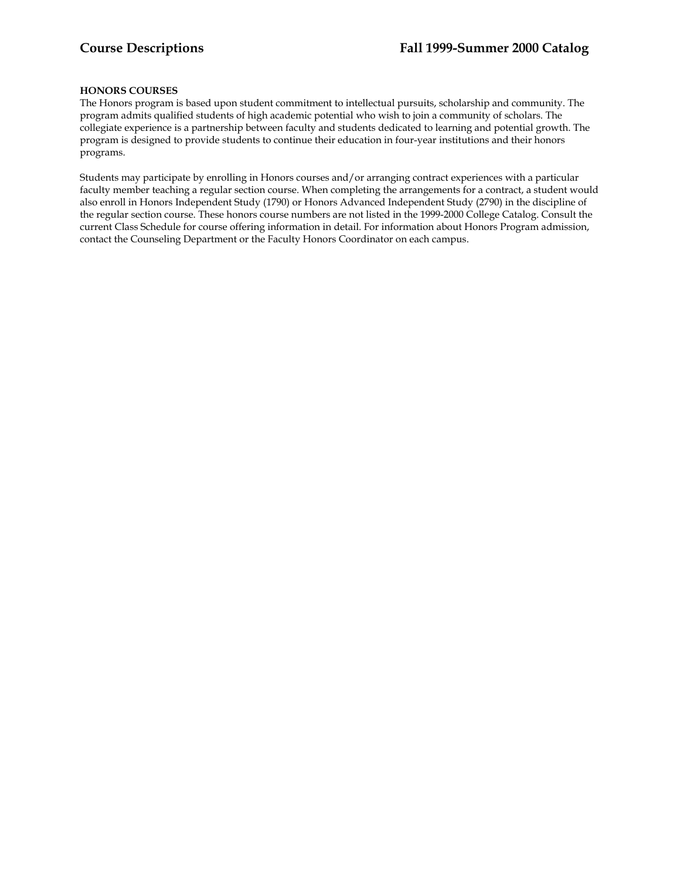# **HONORS COURSES**

The Honors program is based upon student commitment to intellectual pursuits, scholarship and community. The program admits qualified students of high academic potential who wish to join a community of scholars. The collegiate experience is a partnership between faculty and students dedicated to learning and potential growth. The program is designed to provide students to continue their education in four-year institutions and their honors programs.

Students may participate by enrolling in Honors courses and/or arranging contract experiences with a particular faculty member teaching a regular section course. When completing the arrangements for a contract, a student would also enroll in Honors Independent Study (1790) or Honors Advanced Independent Study (2790) in the discipline of the regular section course. These honors course numbers are not listed in the 1999-2000 College Catalog. Consult the current Class Schedule for course offering information in detail. For information about Honors Program admission, contact the Counseling Department or the Faculty Honors Coordinator on each campus.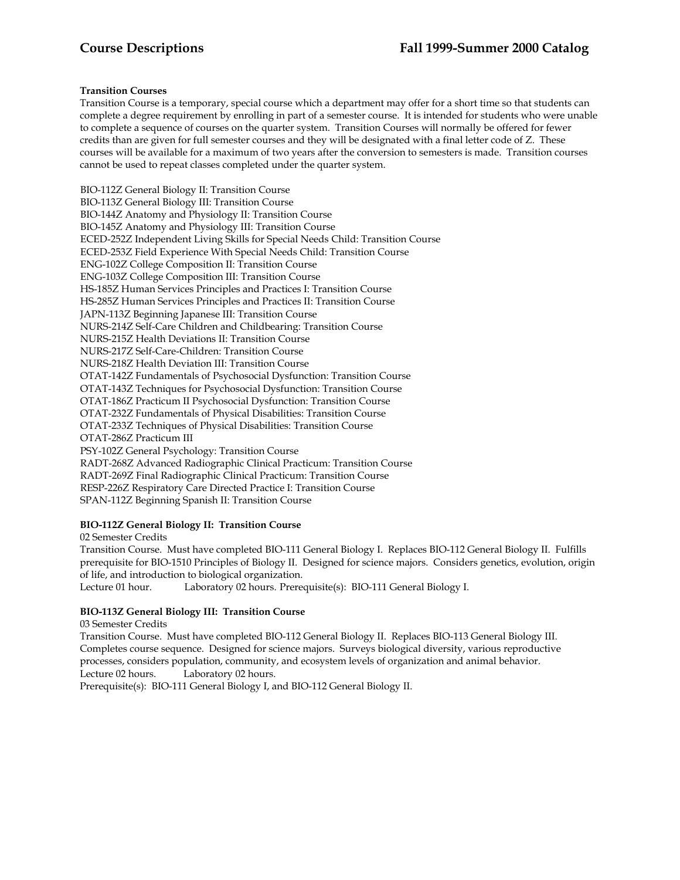Transition Course is a temporary, special course which a department may offer for a short time so that students can complete a degree requirement by enrolling in part of a semester course. It is intended for students who were unable to complete a sequence of courses on the quarter system. Transition Courses will normally be offered for fewer credits than are given for full semester courses and they will be designated with a final letter code of Z. These courses will be available for a maximum of two years after the conversion to semesters is made. Transition courses cannot be used to repeat classes completed under the quarter system.

BIO-112Z General Biology II: Transition Course BIO-113Z General Biology III: Transition Course BIO-144Z Anatomy and Physiology II: Transition Course BIO-145Z Anatomy and Physiology III: Transition Course ECED-252Z Independent Living Skills for Special Needs Child: Transition Course ECED-253Z Field Experience With Special Needs Child: Transition Course ENG-102Z College Composition II: Transition Course ENG-103Z College Composition III: Transition Course HS-185Z Human Services Principles and Practices I: Transition Course HS-285Z Human Services Principles and Practices II: Transition Course JAPN-113Z Beginning Japanese III: Transition Course NURS-214Z Self-Care Children and Childbearing: Transition Course NURS-215Z Health Deviations II: Transition Course NURS-217Z Self-Care-Children: Transition Course NURS-218Z Health Deviation III: Transition Course OTAT-142Z Fundamentals of Psychosocial Dysfunction: Transition Course OTAT-143Z Techniques for Psychosocial Dysfunction: Transition Course OTAT-186Z Practicum II Psychosocial Dysfunction: Transition Course OTAT-232Z Fundamentals of Physical Disabilities: Transition Course OTAT-233Z Techniques of Physical Disabilities: Transition Course OTAT-286Z Practicum III PSY-102Z General Psychology: Transition Course RADT-268Z Advanced Radiographic Clinical Practicum: Transition Course RADT-269Z Final Radiographic Clinical Practicum: Transition Course RESP-226Z Respiratory Care Directed Practice I: Transition Course SPAN-112Z Beginning Spanish II: Transition Course

# **BIO-112Z General Biology II: Transition Course**

02 Semester Credits Transition Course. Must have completed BIO-111 General Biology I. Replaces BIO-112 General Biology II. Fulfills

prerequisite for BIO-1510 Principles of Biology II. Designed for science majors. Considers genetics, evolution, origin of life, and introduction to biological organization.

Lecture 01 hour. Laboratory 02 hours. Prerequisite(s): BIO-111 General Biology I.

# **BIO-113Z General Biology III: Transition Course**

03 Semester Credits

Transition Course. Must have completed BIO-112 General Biology II. Replaces BIO-113 General Biology III. Completes course sequence. Designed for science majors. Surveys biological diversity, various reproductive processes, considers population, community, and ecosystem levels of organization and animal behavior. Lecture 02 hours. Laboratory 02 hours.

Prerequisite(s): BIO-111 General Biology I, and BIO-112 General Biology II.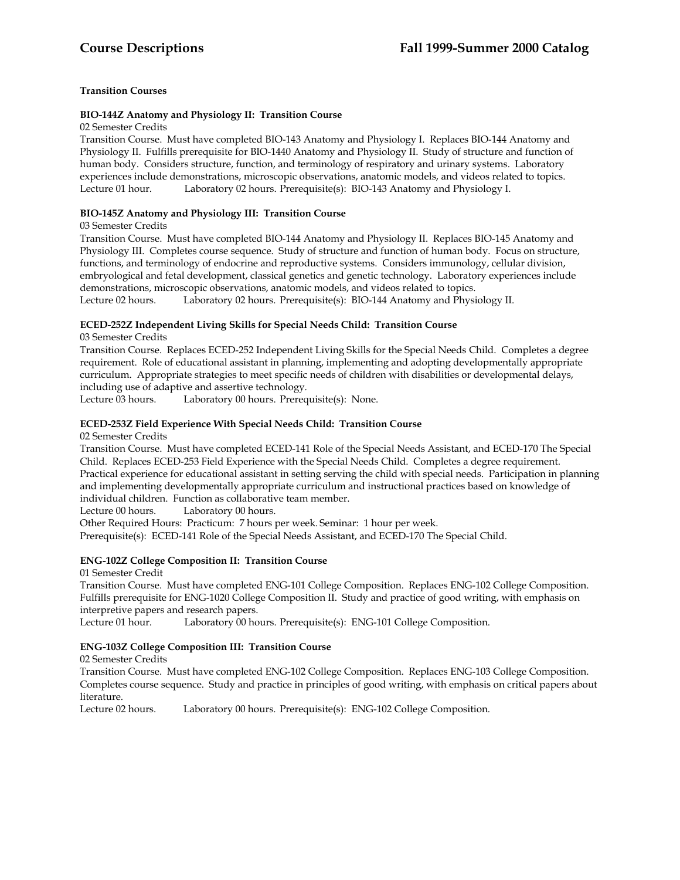# **BIO-144Z Anatomy and Physiology II: Transition Course**

02 Semester Credits

Transition Course. Must have completed BIO-143 Anatomy and Physiology I. Replaces BIO-144 Anatomy and Physiology II. Fulfills prerequisite for BIO-1440 Anatomy and Physiology II. Study of structure and function of human body. Considers structure, function, and terminology of respiratory and urinary systems. Laboratory experiences include demonstrations, microscopic observations, anatomic models, and videos related to topics. Lecture 01 hour. Laboratory 02 hours. Prerequisite(s): BIO-143 Anatomy and Physiology I.

# **BIO-145Z Anatomy and Physiology III: Transition Course**

# 03 Semester Credits

Transition Course. Must have completed BIO-144 Anatomy and Physiology II. Replaces BIO-145 Anatomy and Physiology III. Completes course sequence. Study of structure and function of human body. Focus on structure, functions, and terminology of endocrine and reproductive systems. Considers immunology, cellular division, embryological and fetal development, classical genetics and genetic technology. Laboratory experiences include demonstrations, microscopic observations, anatomic models, and videos related to topics. Lecture 02 hours. Laboratory 02 hours. Prerequisite(s): BIO-144 Anatomy and Physiology II.

# **ECED-252Z Independent Living Skills for Special Needs Child: Transition Course**

03 Semester Credits

Transition Course. Replaces ECED-252 Independent Living Skills for the Special Needs Child. Completes a degree requirement. Role of educational assistant in planning, implementing and adopting developmentally appropriate curriculum. Appropriate strategies to meet specific needs of children with disabilities or developmental delays, including use of adaptive and assertive technology.

Lecture 03 hours. Laboratory 00 hours. Prerequisite(s): None.

# **ECED-253Z Field Experience With Special Needs Child: Transition Course**

02 Semester Credits

Transition Course. Must have completed ECED-141 Role of the Special Needs Assistant, and ECED-170 The Special Child. Replaces ECED-253 Field Experience with the Special Needs Child. Completes a degree requirement. Practical experience for educational assistant in setting serving the child with special needs. Participation in planning and implementing developmentally appropriate curriculum and instructional practices based on knowledge of individual children. Function as collaborative team member.

Lecture 00 hours. Laboratory 00 hours.

Other Required Hours: Practicum: 7 hours per week. Seminar: 1 hour per week.

Prerequisite(s): ECED-141 Role of the Special Needs Assistant, and ECED-170 The Special Child.

# **ENG-102Z College Composition II: Transition Course**

01 Semester Credit

Transition Course. Must have completed ENG-101 College Composition. Replaces ENG-102 College Composition. Fulfills prerequisite for ENG-1020 College Composition II. Study and practice of good writing, with emphasis on interpretive papers and research papers.<br>Lecture 01 hour. Laboratory 00 ho

Laboratory 00 hours. Prerequisite(s): ENG-101 College Composition.

# **ENG-103Z College Composition III: Transition Course**

02 Semester Credits

Transition Course. Must have completed ENG-102 College Composition. Replaces ENG-103 College Composition. Completes course sequence. Study and practice in principles of good writing, with emphasis on critical papers about literature.

Lecture 02 hours. Laboratory 00 hours. Prerequisite(s): ENG-102 College Composition.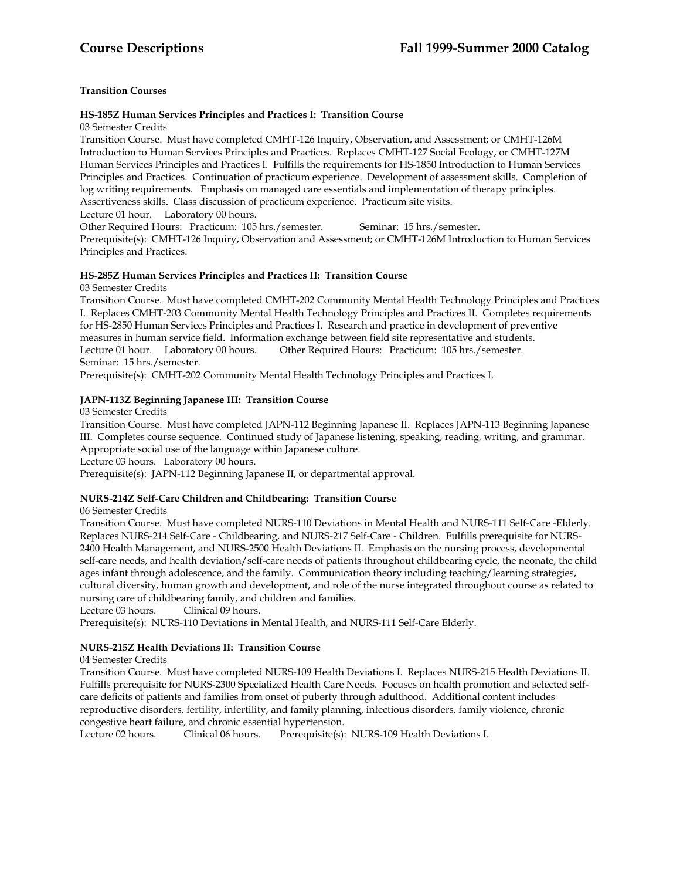# **HS-185Z Human Services Principles and Practices I: Transition Course**

03 Semester Credits

Transition Course. Must have completed CMHT-126 Inquiry, Observation, and Assessment; or CMHT-126M Introduction to Human Services Principles and Practices. Replaces CMHT-127 Social Ecology, or CMHT-127M Human Services Principles and Practices I. Fulfills the requirements for HS-1850 Introduction to Human Services Principles and Practices. Continuation of practicum experience. Development of assessment skills. Completion of log writing requirements. Emphasis on managed care essentials and implementation of therapy principles. Assertiveness skills. Class discussion of practicum experience. Practicum site visits.

Lecture 01 hour. Laboratory 00 hours.

Other Required Hours: Practicum: 105 hrs./semester. Seminar: 15 hrs./semester.

Prerequisite(s): CMHT-126 Inquiry, Observation and Assessment; or CMHT-126M Introduction to Human Services Principles and Practices.

# **HS-285Z Human Services Principles and Practices II: Transition Course**

03 Semester Credits

Transition Course. Must have completed CMHT-202 Community Mental Health Technology Principles and Practices I. Replaces CMHT-203 Community Mental Health Technology Principles and Practices II. Completes requirements for HS-2850 Human Services Principles and Practices I. Research and practice in development of preventive measures in human service field. Information exchange between field site representative and students.<br>Lecture 01 hour. Laboratory 00 hours. Other Required Hours: Practicum: 105 hrs./semester. Other Required Hours: Practicum: 105 hrs./semester. Seminar: 15 hrs./semester.

Prerequisite(s): CMHT-202 Community Mental Health Technology Principles and Practices I.

# **JAPN-113Z Beginning Japanese III: Transition Course**

03 Semester Credits

Transition Course. Must have completed JAPN-112 Beginning Japanese II. Replaces JAPN-113 Beginning Japanese III. Completes course sequence. Continued study of Japanese listening, speaking, reading, writing, and grammar. Appropriate social use of the language within Japanese culture.

Lecture 03 hours. Laboratory 00 hours.

Prerequisite(s): JAPN-112 Beginning Japanese II, or departmental approval.

# **NURS-214Z Self-Care Children and Childbearing: Transition Course**

06 Semester Credits

Transition Course. Must have completed NURS-110 Deviations in Mental Health and NURS-111 Self-Care -Elderly. Replaces NURS-214 Self-Care - Childbearing, and NURS-217 Self-Care - Children. Fulfills prerequisite for NURS-2400 Health Management, and NURS-2500 Health Deviations II. Emphasis on the nursing process, developmental self-care needs, and health deviation/self-care needs of patients throughout childbearing cycle, the neonate, the child ages infant through adolescence, and the family. Communication theory including teaching/learning strategies, cultural diversity, human growth and development, and role of the nurse integrated throughout course as related to nursing care of childbearing family, and children and families.

Lecture 03 hours. Clinical 09 hours.

Prerequisite(s): NURS-110 Deviations in Mental Health, and NURS-111 Self-Care Elderly.

# **NURS-215Z Health Deviations II: Transition Course**

# 04 Semester Credits

Transition Course. Must have completed NURS-109 Health Deviations I. Replaces NURS-215 Health Deviations II. Fulfills prerequisite for NURS-2300 Specialized Health Care Needs. Focuses on health promotion and selected selfcare deficits of patients and families from onset of puberty through adulthood. Additional content includes reproductive disorders, fertility, infertility, and family planning, infectious disorders, family violence, chronic congestive heart failure, and chronic essential hypertension.

Clinical 06 hours. Prerequisite(s): NURS-109 Health Deviations I.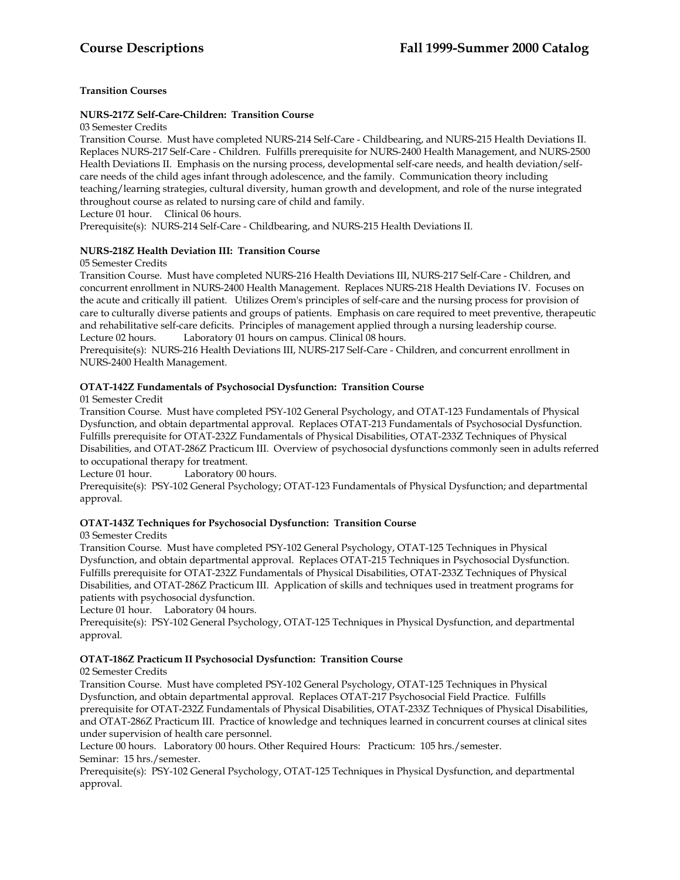# **NURS-217Z Self-Care-Children: Transition Course**

03 Semester Credits

Transition Course. Must have completed NURS-214 Self-Care - Childbearing, and NURS-215 Health Deviations II. Replaces NURS-217 Self-Care - Children. Fulfills prerequisite for NURS-2400 Health Management, and NURS-2500 Health Deviations II. Emphasis on the nursing process, developmental self-care needs, and health deviation/selfcare needs of the child ages infant through adolescence, and the family. Communication theory including teaching/learning strategies, cultural diversity, human growth and development, and role of the nurse integrated throughout course as related to nursing care of child and family.

Lecture 01 hour. Clinical 06 hours.

Prerequisite(s): NURS-214 Self-Care - Childbearing, and NURS-215 Health Deviations II.

# **NURS-218Z Health Deviation III: Transition Course**

# 05 Semester Credits

Transition Course. Must have completed NURS-216 Health Deviations III, NURS-217 Self-Care - Children, and concurrent enrollment in NURS-2400 Health Management. Replaces NURS-218 Health Deviations IV. Focuses on the acute and critically ill patient. Utilizes Orem's principles of self-care and the nursing process for provision of care to culturally diverse patients and groups of patients. Emphasis on care required to meet preventive, therapeutic and rehabilitative self-care deficits. Principles of management applied through a nursing leadership course. Lecture 02 hours. Laboratory 01 hours on campus. Clinical 08 hours.

Prerequisite(s): NURS-216 Health Deviations III, NURS-217 Self-Care - Children, and concurrent enrollment in NURS-2400 Health Management.

# **OTAT-142Z Fundamentals of Psychosocial Dysfunction: Transition Course**

# 01 Semester Credit

Transition Course. Must have completed PSY-102 General Psychology, and OTAT-123 Fundamentals of Physical Dysfunction, and obtain departmental approval. Replaces OTAT-213 Fundamentals of Psychosocial Dysfunction. Fulfills prerequisite for OTAT-232Z Fundamentals of Physical Disabilities, OTAT-233Z Techniques of Physical Disabilities, and OTAT-286Z Practicum III. Overview of psychosocial dysfunctions commonly seen in adults referred to occupational therapy for treatment.

Lecture 01 hour. Laboratory 00 hours.

Prerequisite(s): PSY-102 General Psychology; OTAT-123 Fundamentals of Physical Dysfunction; and departmental approval.

# **OTAT-143Z Techniques for Psychosocial Dysfunction: Transition Course**

# 03 Semester Credits

Transition Course. Must have completed PSY-102 General Psychology, OTAT-125 Techniques in Physical Dysfunction, and obtain departmental approval. Replaces OTAT-215 Techniques in Psychosocial Dysfunction. Fulfills prerequisite for OTAT-232Z Fundamentals of Physical Disabilities, OTAT-233Z Techniques of Physical Disabilities, and OTAT-286Z Practicum III. Application of skills and techniques used in treatment programs for patients with psychosocial dysfunction.

Lecture 01 hour. Laboratory 04 hours.

Prerequisite(s): PSY-102 General Psychology, OTAT-125 Techniques in Physical Dysfunction, and departmental approval.

# **OTAT-186Z Practicum II Psychosocial Dysfunction: Transition Course**

# 02 Semester Credits

Transition Course. Must have completed PSY-102 General Psychology, OTAT-125 Techniques in Physical Dysfunction, and obtain departmental approval. Replaces OTAT-217 Psychosocial Field Practice. Fulfills prerequisite for OTAT-232Z Fundamentals of Physical Disabilities, OTAT-233Z Techniques of Physical Disabilities, and OTAT-286Z Practicum III. Practice of knowledge and techniques learned in concurrent courses at clinical sites under supervision of health care personnel.

Lecture 00 hours. Laboratory 00 hours. Other Required Hours: Practicum: 105 hrs./semester. Seminar: 15 hrs./semester.

Prerequisite(s): PSY-102 General Psychology, OTAT-125 Techniques in Physical Dysfunction, and departmental approval.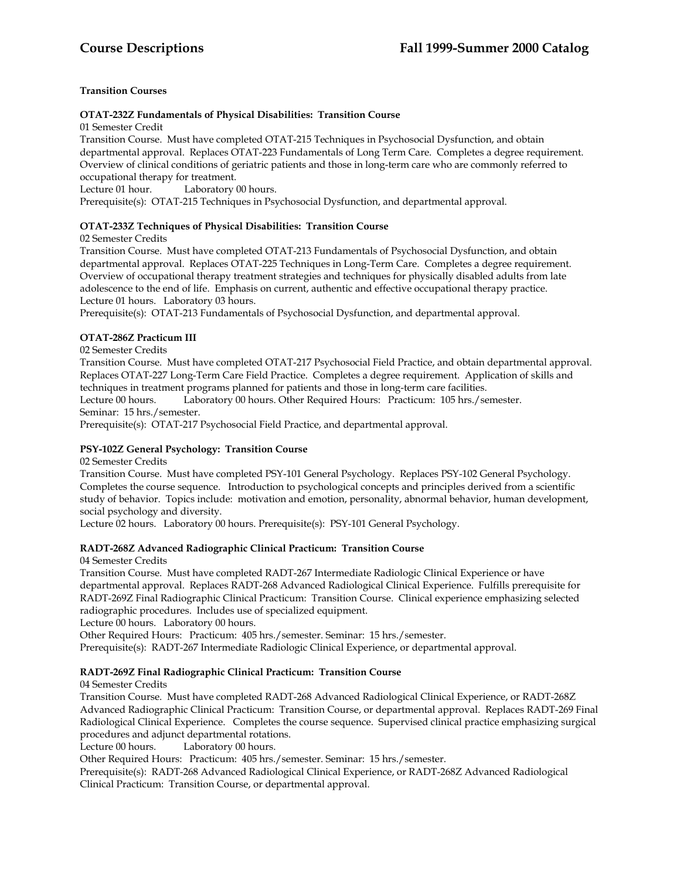# **OTAT-232Z Fundamentals of Physical Disabilities: Transition Course**

01 Semester Credit

Transition Course. Must have completed OTAT-215 Techniques in Psychosocial Dysfunction, and obtain departmental approval. Replaces OTAT-223 Fundamentals of Long Term Care. Completes a degree requirement. Overview of clinical conditions of geriatric patients and those in long-term care who are commonly referred to occupational therapy for treatment.<br>Lecture 01 hour. Laboratory (

Laboratory 00 hours.

Prerequisite(s): OTAT-215 Techniques in Psychosocial Dysfunction, and departmental approval.

# **OTAT-233Z Techniques of Physical Disabilities: Transition Course**

02 Semester Credits

Transition Course. Must have completed OTAT-213 Fundamentals of Psychosocial Dysfunction, and obtain departmental approval. Replaces OTAT-225 Techniques in Long-Term Care. Completes a degree requirement. Overview of occupational therapy treatment strategies and techniques for physically disabled adults from late adolescence to the end of life. Emphasis on current, authentic and effective occupational therapy practice. Lecture 01 hours. Laboratory 03 hours.

Prerequisite(s): OTAT-213 Fundamentals of Psychosocial Dysfunction, and departmental approval.

# **OTAT-286Z Practicum III**

02 Semester Credits

Transition Course. Must have completed OTAT-217 Psychosocial Field Practice, and obtain departmental approval. Replaces OTAT-227 Long-Term Care Field Practice. Completes a degree requirement. Application of skills and techniques in treatment programs planned for patients and those in long-term care facilities.

Lecture 00 hours. Laboratory 00 hours. Other Required Hours: Practicum: 105 hrs./semester. Seminar: 15 hrs./semester.

Prerequisite(s): OTAT-217 Psychosocial Field Practice, and departmental approval.

# **PSY-102Z General Psychology: Transition Course**

02 Semester Credits

Transition Course. Must have completed PSY-101 General Psychology. Replaces PSY-102 General Psychology. Completes the course sequence. Introduction to psychological concepts and principles derived from a scientific study of behavior. Topics include: motivation and emotion, personality, abnormal behavior, human development, social psychology and diversity.

Lecture 02 hours. Laboratory 00 hours. Prerequisite(s): PSY-101 General Psychology.

# **RADT-268Z Advanced Radiographic Clinical Practicum: Transition Course**

04 Semester Credits

Transition Course. Must have completed RADT-267 Intermediate Radiologic Clinical Experience or have departmental approval. Replaces RADT-268 Advanced Radiological Clinical Experience. Fulfills prerequisite for RADT-269Z Final Radiographic Clinical Practicum: Transition Course. Clinical experience emphasizing selected radiographic procedures. Includes use of specialized equipment.

Lecture 00 hours. Laboratory 00 hours.

Other Required Hours: Practicum: 405 hrs./semester. Seminar: 15 hrs./semester.

Prerequisite(s): RADT-267 Intermediate Radiologic Clinical Experience, or departmental approval.

# **RADT-269Z Final Radiographic Clinical Practicum: Transition Course**

04 Semester Credits

Transition Course. Must have completed RADT-268 Advanced Radiological Clinical Experience, or RADT-268Z Advanced Radiographic Clinical Practicum: Transition Course, or departmental approval. Replaces RADT-269 Final Radiological Clinical Experience. Completes the course sequence. Supervised clinical practice emphasizing surgical procedures and adjunct departmental rotations.

Lecture 00 hours. Laboratory 00 hours.

Other Required Hours: Practicum: 405 hrs./semester. Seminar: 15 hrs./semester.

Prerequisite(s): RADT-268 Advanced Radiological Clinical Experience, or RADT-268Z Advanced Radiological Clinical Practicum: Transition Course, or departmental approval.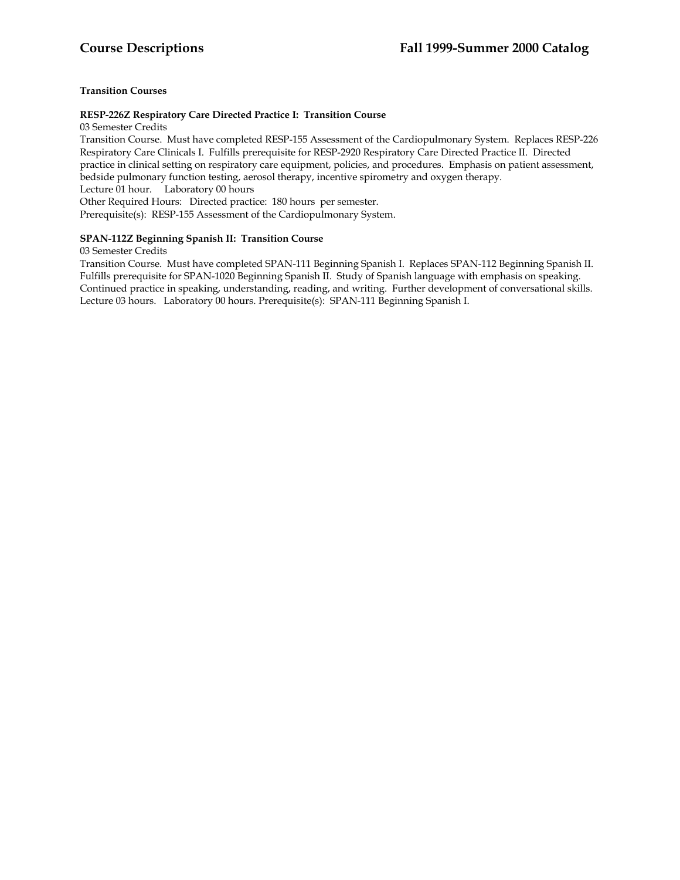# **RESP-226Z Respiratory Care Directed Practice I: Transition Course**

03 Semester Credits

Transition Course. Must have completed RESP-155 Assessment of the Cardiopulmonary System. Replaces RESP-226 Respiratory Care Clinicals I. Fulfills prerequisite for RESP-2920 Respiratory Care Directed Practice II. Directed practice in clinical setting on respiratory care equipment, policies, and procedures. Emphasis on patient assessment, bedside pulmonary function testing, aerosol therapy, incentive spirometry and oxygen therapy. Lecture 01 hour. Laboratory 00 hours

Other Required Hours: Directed practice: 180 hours per semester.

Prerequisite(s): RESP-155 Assessment of the Cardiopulmonary System.

# **SPAN-112Z Beginning Spanish II: Transition Course**

# 03 Semester Credits

Transition Course. Must have completed SPAN-111 Beginning Spanish I. Replaces SPAN-112 Beginning Spanish II. Fulfills prerequisite for SPAN-1020 Beginning Spanish II. Study of Spanish language with emphasis on speaking. Continued practice in speaking, understanding, reading, and writing. Further development of conversational skills. Lecture 03 hours. Laboratory 00 hours. Prerequisite(s): SPAN-111 Beginning Spanish I.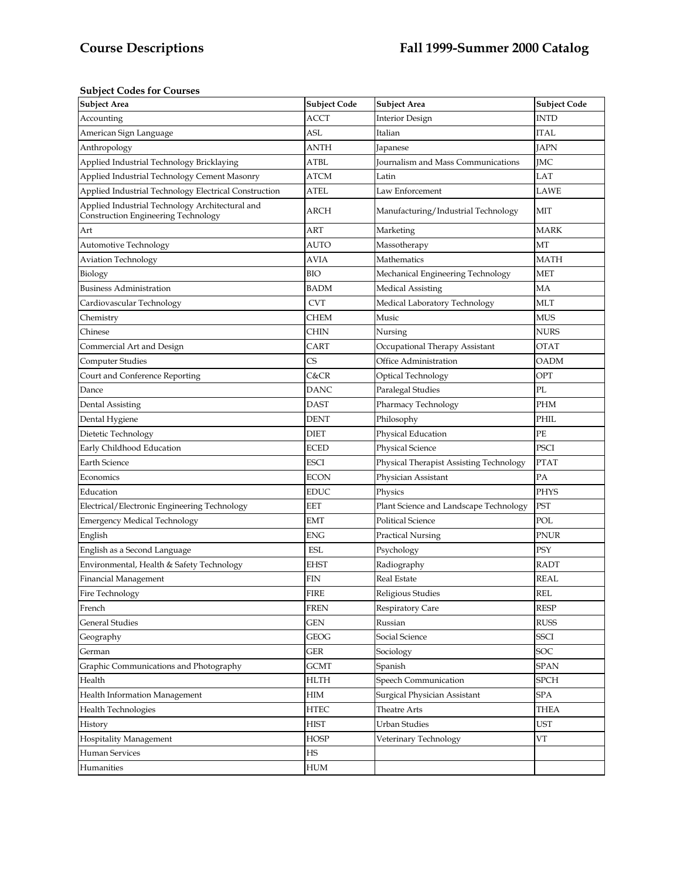# **Subject Codes for Courses**

| <b>Subject Area</b>                                                                    | <b>Subject Code</b> | <b>Subject Area</b>                     | <b>Subject Code</b>  |
|----------------------------------------------------------------------------------------|---------------------|-----------------------------------------|----------------------|
| Accounting                                                                             | ACCT                | <b>Interior Design</b>                  | INTD                 |
| American Sign Language                                                                 | ASL                 | Italian                                 | ITAL                 |
| Anthropology                                                                           | ANTH                | Japanese                                | <b>JAPN</b>          |
| Applied Industrial Technology Bricklaying                                              | ATBL                | Journalism and Mass Communications      | <b>IMC</b>           |
| Applied Industrial Technology Cement Masonry                                           | ATCM                | Latin                                   | LAT                  |
| Applied Industrial Technology Electrical Construction                                  | ATEL                | Law Enforcement                         | <b>LAWE</b>          |
| Applied Industrial Technology Architectural and<br>Construction Engineering Technology | ARCH                | Manufacturing/Industrial Technology     | МIТ                  |
| Art                                                                                    | ART                 | Marketing                               | <b>MARK</b>          |
| Automotive Technology                                                                  | AUTO                | Massotherapy                            | MT                   |
| <b>Aviation Technology</b>                                                             | AVIA                | Mathematics                             | MATH                 |
| Biology                                                                                | BIO                 | Mechanical Engineering Technology       | MET                  |
| <b>Business Administration</b>                                                         | BADM                | Medical Assisting                       | MA                   |
| Cardiovascular Technology                                                              | <b>CVT</b>          | Medical Laboratory Technology           | MLT                  |
| Chemistry                                                                              | CHEM                | Music                                   | <b>MUS</b>           |
| Chinese                                                                                | CHIN                | Nursing                                 | <b>NURS</b>          |
| Commercial Art and Design                                                              | CART                | Occupational Therapy Assistant          | OTAT                 |
| <b>Computer Studies</b>                                                                | CS                  | Office Administration                   | OADM                 |
| Court and Conference Reporting                                                         | C&CR                | Optical Technology                      | OPT                  |
| Dance                                                                                  | DANC                | Paralegal Studies                       | PL                   |
| Dental Assisting                                                                       | DAST                | Pharmacy Technology                     | PHM                  |
| Dental Hygiene                                                                         | <b>DENT</b>         | Philosophy                              | PHIL                 |
| Dietetic Technology                                                                    | <b>DIET</b>         | Physical Education                      | PE                   |
| Early Childhood Education                                                              | ECED                | Physical Science                        | PSCI                 |
| Earth Science                                                                          | ESCI                | Physical Therapist Assisting Technology | <b>PTAT</b>          |
| Economics                                                                              | ECON                | Physician Assistant                     | PA                   |
| Education                                                                              | <b>EDUC</b>         | Physics                                 | <b>PHYS</b>          |
| Electrical/Electronic Engineering Technology                                           | EET                 | Plant Science and Landscape Technology  | PST                  |
| <b>Emergency Medical Technology</b>                                                    | <b>EMT</b>          | <b>Political Science</b>                | POL                  |
| English                                                                                | ENG                 | Practical Nursing                       | PNUR                 |
| English as a Second Language                                                           | <b>ESL</b>          | Psychology                              | PSY                  |
| Environmental, Health & Safety Technology                                              | EHST                | Radiography                             | <b>RADT</b>          |
| Financial Management                                                                   | FIN                 | Real Estate                             | REAL                 |
| Fire Technology                                                                        | <b>FIRE</b>         | Religious Studies                       | $\operatorname{REL}$ |
| French                                                                                 | <b>FREN</b>         | <b>Respiratory Care</b>                 | <b>RESP</b>          |
| <b>General Studies</b>                                                                 | GEN                 | Russian                                 | <b>RUSS</b>          |
| Geography                                                                              | <b>GEOG</b>         | Social Science                          | <b>SSCI</b>          |
| German                                                                                 | GER                 | Sociology                               | SOC                  |
| Graphic Communications and Photography                                                 | GCMT                | Spanish                                 | <b>SPAN</b>          |
| Health                                                                                 | <b>HLTH</b>         | Speech Communication                    | <b>SPCH</b>          |
| Health Information Management                                                          | HIM                 | Surgical Physician Assistant            | SPA                  |
| Health Technologies                                                                    | <b>HTEC</b>         | Theatre Arts                            | THEA                 |
| History                                                                                | <b>HIST</b>         | Urban Studies                           | <b>UST</b>           |
| <b>Hospitality Management</b>                                                          | <b>HOSP</b>         | Veterinary Technology                   | VT                   |
| Human Services                                                                         | HS                  |                                         |                      |
| Humanities                                                                             | ${\rm HUM}$         |                                         |                      |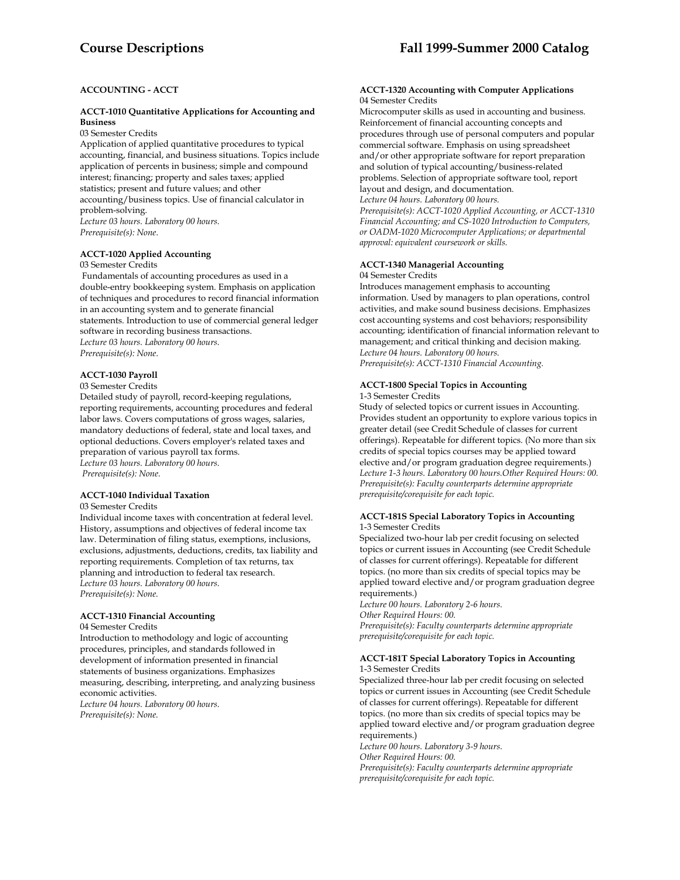# **ACCOUNTING - ACCT**

## **ACCT-1010 Quantitative Applications for Accounting and Business**

03 Semester Credits

Application of applied quantitative procedures to typical accounting, financial, and business situations. Topics include application of percents in business; simple and compound interest; financing; property and sales taxes; applied statistics; present and future values; and other accounting/business topics. Use of financial calculator in problem-solving. *Lecture 03 hours. Laboratory 00 hours.* 

*Prerequisite(s): None*.

# **ACCT-1020 Applied Accounting**

03 Semester Credits

 Fundamentals of accounting procedures as used in a double-entry bookkeeping system. Emphasis on application of techniques and procedures to record financial information in an accounting system and to generate financial statements. Introduction to use of commercial general ledger software in recording business transactions. *Lecture 03 hours. Laboratory 00 hours. Prerequisite(s): None*.

## **ACCT-1030 Payroll**

03 Semester Credits

Detailed study of payroll, record-keeping regulations, reporting requirements, accounting procedures and federal labor laws. Covers computations of gross wages, salaries, mandatory deductions of federal, state and local taxes, and optional deductions. Covers employer's related taxes and preparation of various payroll tax forms. *Lecture 03 hours. Laboratory 00 hours. Prerequisite(s): None.* 

## **ACCT-1040 Individual Taxation**

#### 03 Semester Credits

Individual income taxes with concentration at federal level. History, assumptions and objectives of federal income tax law. Determination of filing status, exemptions, inclusions, exclusions, adjustments, deductions, credits, tax liability and reporting requirements. Completion of tax returns, tax planning and introduction to federal tax research. *Lecture 03 hours. Laboratory 00 hours. Prerequisite(s): None.* 

## **ACCT-1310 Financial Accounting**

04 Semester Credits

Introduction to methodology and logic of accounting procedures, principles, and standards followed in development of information presented in financial statements of business organizations. Emphasizes measuring, describing, interpreting, and analyzing business economic activities. *Lecture 04 hours. Laboratory 00 hours. Prerequisite(s): None.* 

## **ACCT-1320 Accounting with Computer Applications**  04 Semester Credits

Microcomputer skills as used in accounting and business. Reinforcement of financial accounting concepts and procedures through use of personal computers and popular commercial software. Emphasis on using spreadsheet and/or other appropriate software for report preparation and solution of typical accounting/business-related problems. Selection of appropriate software tool, report layout and design, and documentation.

#### *Lecture 04 hours. Laboratory 00 hours.*

*Prerequisite(s): ACCT-1020 Applied Accounting, or ACCT-1310 Financial Accounting; and CS-1020 Introduction to Computers, or OADM-1020 Microcomputer Applications; or departmental approval: equivalent coursework or skills.* 

## **ACCT-1340 Managerial Accounting**

04 Semester Credits

Introduces management emphasis to accounting information. Used by managers to plan operations, control activities, and make sound business decisions. Emphasizes cost accounting systems and cost behaviors; responsibility accounting; identification of financial information relevant to management; and critical thinking and decision making. *Lecture 04 hours. Laboratory 00 hours. Prerequisite(s): ACCT-1310 Financial Accounting.* 

#### **ACCT-1800 Special Topics in Accounting**  1-3 Semester Credits

Study of selected topics or current issues in Accounting. Provides student an opportunity to explore various topics in greater detail (see Credit Schedule of classes for current offerings). Repeatable for different topics. (No more than six credits of special topics courses may be applied toward elective and/or program graduation degree requirements.) *Lecture 1-3 hours. Laboratory 00 hours.Other Required Hours: 00. Prerequisite(s): Faculty counterparts determine appropriate prerequisite/corequisite for each topic.* 

## **ACCT-181S Special Laboratory Topics in Accounting**  1-3 Semester Credits

Specialized two-hour lab per credit focusing on selected topics or current issues in Accounting (see Credit Schedule of classes for current offerings). Repeatable for different topics. (no more than six credits of special topics may be applied toward elective and/or program graduation degree requirements.)

*Lecture 00 hours. Laboratory 2-6 hours. Other Required Hours: 00. Prerequisite(s): Faculty counterparts determine appropriate prerequisite/corequisite for each topic.* 

## **ACCT-181T Special Laboratory Topics in Accounting**  1-3 Semester Credits

Specialized three-hour lab per credit focusing on selected topics or current issues in Accounting (see Credit Schedule of classes for current offerings). Repeatable for different topics. (no more than six credits of special topics may be applied toward elective and/or program graduation degree requirements.)

*Lecture 00 hours. Laboratory 3-9 hours.* 

*Other Required Hours: 00.* 

*Prerequisite(s): Faculty counterparts determine appropriate prerequisite/corequisite for each topic.*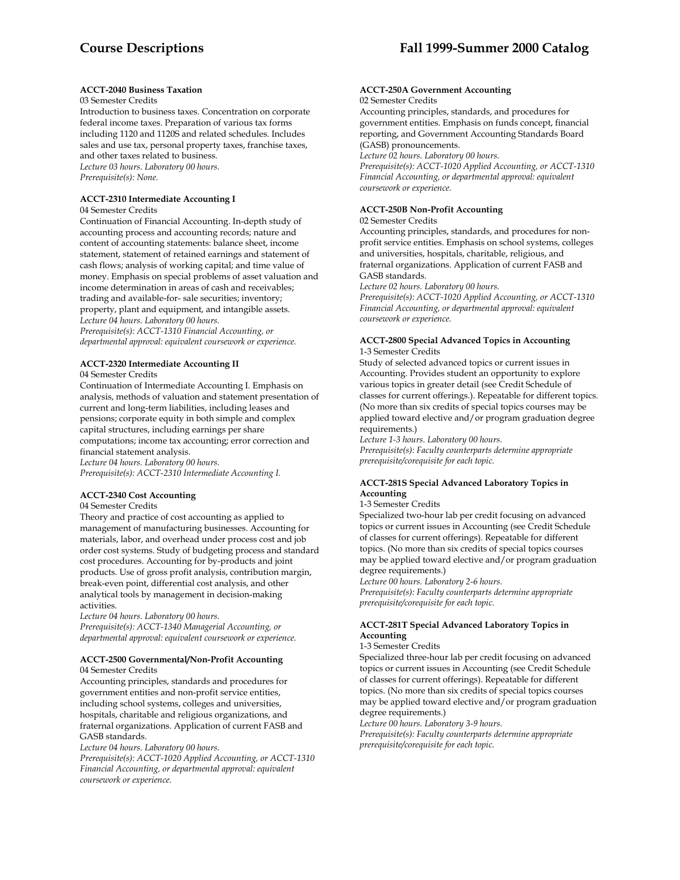## **ACCT-2040 Business Taxation**

## 03 Semester Credits

Introduction to business taxes. Concentration on corporate federal income taxes. Preparation of various tax forms including 1120 and 1120S and related schedules. Includes sales and use tax, personal property taxes, franchise taxes, and other taxes related to business. *Lecture 03 hours. Laboratory 00 hours. Prerequisite(s): None.* 

## **ACCT-2310 Intermediate Accounting I**

#### 04 Semester Credits

Continuation of Financial Accounting. In-depth study of accounting process and accounting records; nature and content of accounting statements: balance sheet, income statement, statement of retained earnings and statement of cash flows; analysis of working capital; and time value of money. Emphasis on special problems of asset valuation and income determination in areas of cash and receivables; trading and available-for- sale securities; inventory; property, plant and equipment, and intangible assets. *Lecture 04 hours. Laboratory 00 hours. Prerequisite(s): ACCT-1310 Financial Accounting, or* 

*departmental approval: equivalent coursework or experience.* 

## **ACCT-2320 Intermediate Accounting II**

04 Semester Credits

Continuation of Intermediate Accounting I. Emphasis on analysis, methods of valuation and statement presentation of current and long-term liabilities, including leases and pensions; corporate equity in both simple and complex capital structures, including earnings per share computations; income tax accounting; error correction and financial statement analysis.

*Lecture 04 hours. Laboratory 00 hours. Prerequisite(s): ACCT-2310 Intermediate Accounting I.* 

# **ACCT-2340 Cost Accounting**

04 Semester Credits

Theory and practice of cost accounting as applied to management of manufacturing businesses. Accounting for materials, labor, and overhead under process cost and job order cost systems. Study of budgeting process and standard cost procedures. Accounting for by-products and joint products. Use of gross profit analysis, contribution margin, break-even point, differential cost analysis, and other analytical tools by management in decision-making activities.

*Lecture 04 hours. Laboratory 00 hours. Prerequisite(s): ACCT-1340 Managerial Accounting, or departmental approval: equivalent coursework or experience.* 

## **ACCT-2500 Governmental/Non-Profit Accounting**  04 Semester Credits

Accounting principles, standards and procedures for government entities and non-profit service entities, including school systems, colleges and universities, hospitals, charitable and religious organizations, and fraternal organizations. Application of current FASB and GASB standards.

*Lecture 04 hours. Laboratory 00 hours.* 

*Prerequisite(s): ACCT-1020 Applied Accounting, or ACCT-1310 Financial Accounting, or departmental approval: equivalent coursework or experience.* 

#### **ACCT-250A Government Accounting**  02 Semester Credits

Accounting principles, standards, and procedures for government entities. Emphasis on funds concept, financial reporting, and Government Accounting Standards Board (GASB) pronouncements.

*Lecture 02 hours. Laboratory 00 hours.* 

*Prerequisite(s): ACCT-1020 Applied Accounting, or ACCT-1310 Financial Accounting, or departmental approval: equivalent coursework or experience.* 

# **ACCT-250B Non-Profit Accounting**

02 Semester Credits

Accounting principles, standards, and procedures for nonprofit service entities. Emphasis on school systems, colleges and universities, hospitals, charitable, religious, and fraternal organizations. Application of current FASB and GASB standards.

*Lecture 02 hours. Laboratory 00 hours.* 

*Prerequisite(s): ACCT-1020 Applied Accounting, or ACCT-1310 Financial Accounting, or departmental approval: equivalent coursework or experience.* 

## **ACCT-2800 Special Advanced Topics in Accounting**  1-3 Semester Credits

Study of selected advanced topics or current issues in Accounting. Provides student an opportunity to explore various topics in greater detail (see Credit Schedule of classes for current offerings.). Repeatable for different topics. (No more than six credits of special topics courses may be applied toward elective and/or program graduation degree requirements.)

*Lecture 1-3 hours. Laboratory 00 hours. Prerequisite(s): Faculty counterparts determine appropriate prerequisite/corequisite for each topic.* 

# **ACCT-281S Special Advanced Laboratory Topics in Accounting**

#### 1-3 Semester Credits

Specialized two-hour lab per credit focusing on advanced topics or current issues in Accounting (see Credit Schedule of classes for current offerings). Repeatable for different topics. (No more than six credits of special topics courses may be applied toward elective and/or program graduation degree requirements.)

*Lecture 00 hours. Laboratory 2-6 hours.* 

*Prerequisite(s): Faculty counterparts determine appropriate prerequisite/corequisite for each topic.* 

## **ACCT-281T Special Advanced Laboratory Topics in Accounting**

1-3 Semester Credits

Specialized three-hour lab per credit focusing on advanced topics or current issues in Accounting (see Credit Schedule of classes for current offerings). Repeatable for different topics. (No more than six credits of special topics courses may be applied toward elective and/or program graduation degree requirements.)

*Lecture 00 hours. Laboratory 3-9 hours.* 

*Prerequisite(s): Faculty counterparts determine appropriate prerequisite/corequisite for each topic.*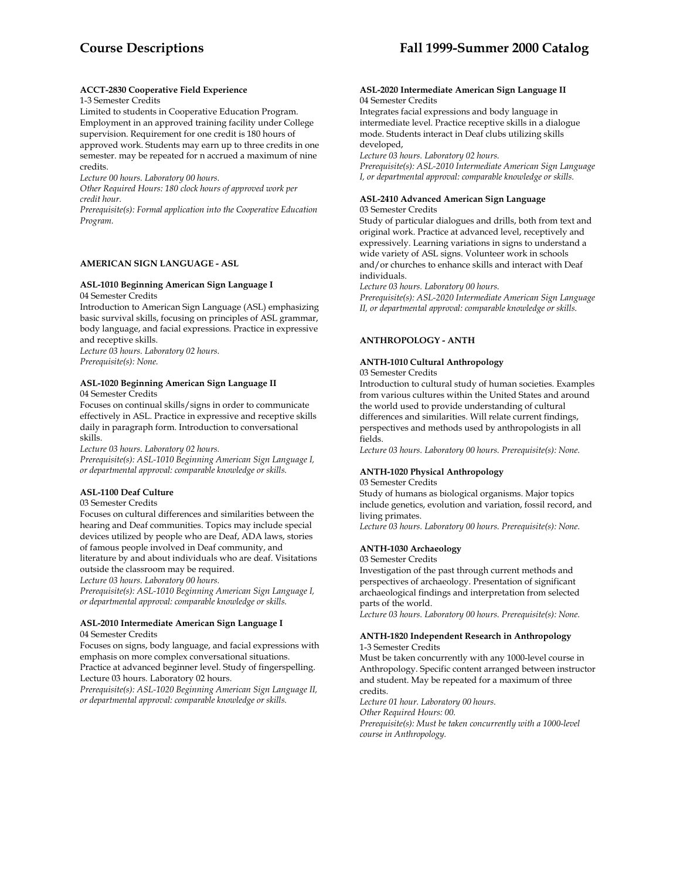## **ACCT-2830 Cooperative Field Experience**

## 1-3 Semester Credits

Limited to students in Cooperative Education Program. Employment in an approved training facility under College supervision. Requirement for one credit is 180 hours of approved work. Students may earn up to three credits in one semester. may be repeated for n accrued a maximum of nine credits.

*Lecture 00 hours. Laboratory 00 hours.* 

*Other Required Hours: 180 clock hours of approved work per credit hour.* 

*Prerequisite(s): Formal application into the Cooperative Education Program.* 

# **AMERICAN SIGN LANGUAGE - ASL**

## **ASL-1010 Beginning American Sign Language I**

04 Semester Credits

Introduction to American Sign Language (ASL) emphasizing basic survival skills, focusing on principles of ASL grammar, body language, and facial expressions. Practice in expressive and receptive skills. *Lecture 03 hours. Laboratory 02 hours.* 

*Prerequisite(s): None.* 

#### **ASL-1020 Beginning American Sign Language II**  04 Semester Credits

Focuses on continual skills/signs in order to communicate effectively in ASL. Practice in expressive and receptive skills daily in paragraph form. Introduction to conversational skills.

*Lecture 03 hours. Laboratory 02 hours.* 

*Prerequisite(s): ASL-1010 Beginning American Sign Language I, or departmental approval: comparable knowledge or skills.* 

## **ASL-1100 Deaf Culture**

03 Semester Credits

Focuses on cultural differences and similarities between the hearing and Deaf communities. Topics may include special devices utilized by people who are Deaf, ADA laws, stories of famous people involved in Deaf community, and literature by and about individuals who are deaf. Visitations

outside the classroom may be required.

*Lecture 03 hours. Laboratory 00 hours.* 

*Prerequisite(s): ASL-1010 Beginning American Sign Language I, or departmental approval: comparable knowledge or skills.* 

## **ASL-2010 Intermediate American Sign Language I**  04 Semester Credits

Focuses on signs, body language, and facial expressions with emphasis on more complex conversational situations.

Practice at advanced beginner level. Study of fingerspelling. Lecture 03 hours. Laboratory 02 hours.

*Prerequisite(s): ASL-1020 Beginning American Sign Language II, or departmental approval: comparable knowledge or skills.* 

#### **ASL-2020 Intermediate American Sign Language II**  04 Semester Credits

Integrates facial expressions and body language in intermediate level. Practice receptive skills in a dialogue mode. Students interact in Deaf clubs utilizing skills developed,

*Lecture 03 hours. Laboratory 02 hours.* 

*Prerequisite(s): ASL-2010 Intermediate American Sign Language I, or departmental approval: comparable knowledge or skills.* 

#### **ASL-2410 Advanced American Sign Language**  03 Semester Credits

Study of particular dialogues and drills, both from text and original work. Practice at advanced level, receptively and expressively. Learning variations in signs to understand a wide variety of ASL signs. Volunteer work in schools and/or churches to enhance skills and interact with Deaf individuals.

*Lecture 03 hours. Laboratory 00 hours.* 

*Prerequisite(s): ASL-2020 Intermediate American Sign Language II, or departmental approval: comparable knowledge or skills.* 

## **ANTHROPOLOGY - ANTH**

# **ANTH-1010 Cultural Anthropology**

03 Semester Credits

Introduction to cultural study of human societies. Examples from various cultures within the United States and around the world used to provide understanding of cultural differences and similarities. Will relate current findings, perspectives and methods used by anthropologists in all fields.

*Lecture 03 hours. Laboratory 00 hours. Prerequisite(s): None.* 

## **ANTH-1020 Physical Anthropology**

03 Semester Credits

Study of humans as biological organisms. Major topics include genetics, evolution and variation, fossil record, and living primates.

*Lecture 03 hours. Laboratory 00 hours. Prerequisite(s): None.* 

# **ANTH-1030 Archaeology**

03 Semester Credits

Investigation of the past through current methods and perspectives of archaeology. Presentation of significant archaeological findings and interpretation from selected parts of the world.

*Lecture 03 hours. Laboratory 00 hours. Prerequisite(s): None.* 

#### **ANTH-1820 Independent Research in Anthropology**  1-3 Semester Credits

Must be taken concurrently with any 1000-level course in Anthropology. Specific content arranged between instructor and student. May be repeated for a maximum of three credits.

*Lecture 01 hour. Laboratory 00 hours.* 

*Other Required Hours: 00.* 

*Prerequisite(s): Must be taken concurrently with a 1000-level course in Anthropology.*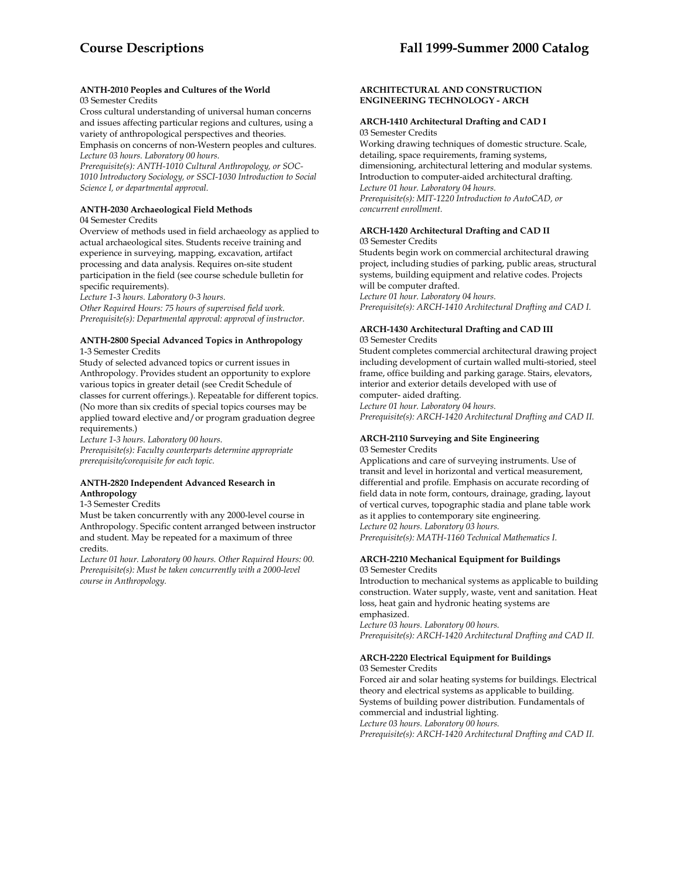## **ANTH-2010 Peoples and Cultures of the World**  03 Semester Credits

Cross cultural understanding of universal human concerns and issues affecting particular regions and cultures, using a variety of anthropological perspectives and theories. Emphasis on concerns of non-Western peoples and cultures. *Lecture 03 hours. Laboratory 00 hours.* 

*Prerequisite(s): ANTH-1010 Cultural Anthropology, or SOC-1010 Introductory Sociology, or SSCI-1030 Introduction to Social Science I, or departmental approval.* 

## **ANTH-2030 Archaeological Field Methods**

04 Semester Credits

Overview of methods used in field archaeology as applied to actual archaeological sites. Students receive training and experience in surveying, mapping, excavation, artifact processing and data analysis. Requires on-site student participation in the field (see course schedule bulletin for specific requirements).

*Lecture 1-3 hours. Laboratory 0-3 hours.* 

*Other Required Hours: 75 hours of supervised field work. Prerequisite(s): Departmental approval: approval of instructor.* 

## **ANTH-2800 Special Advanced Topics in Anthropology**  1-3 Semester Credits

Study of selected advanced topics or current issues in Anthropology. Provides student an opportunity to explore various topics in greater detail (see Credit Schedule of classes for current offerings.). Repeatable for different topics. (No more than six credits of special topics courses may be applied toward elective and/or program graduation degree requirements.)

*Lecture 1-3 hours. Laboratory 00 hours. Prerequisite(s): Faculty counterparts determine appropriate prerequisite/corequisite for each topic.* 

## **ANTH-2820 Independent Advanced Research in Anthropology**

## 1-3 Semester Credits

Must be taken concurrently with any 2000-level course in Anthropology. Specific content arranged between instructor and student. May be repeated for a maximum of three credits.

*Lecture 01 hour. Laboratory 00 hours. Other Required Hours: 00. Prerequisite(s): Must be taken concurrently with a 2000-level course in Anthropology.* 

## **ARCHITECTURAL AND CONSTRUCTION ENGINEERING TECHNOLOGY - ARCH**

# **ARCH-1410 Architectural Drafting and CAD I**

03 Semester Credits

Working drawing techniques of domestic structure. Scale, detailing, space requirements, framing systems, dimensioning, architectural lettering and modular systems. Introduction to computer-aided architectural drafting. *Lecture 01 hour. Laboratory 04 hours. Prerequisite(s): MIT-1220 Introduction to AutoCAD, or concurrent enrollment.* 

## **ARCH-1420 Architectural Drafting and CAD II**  03 Semester Credits

Students begin work on commercial architectural drawing project, including studies of parking, public areas, structural systems, building equipment and relative codes. Projects will be computer drafted. *Lecture 01 hour. Laboratory 04 hours.* 

*Prerequisite(s): ARCH-1410 Architectural Drafting and CAD I.* 

# **ARCH-1430 Architectural Drafting and CAD III**

03 Semester Credits

Student completes commercial architectural drawing project including development of curtain walled multi-storied, steel frame, office building and parking garage. Stairs, elevators, interior and exterior details developed with use of computer- aided drafting. *Lecture 01 hour. Laboratory 04 hours. Prerequisite(s): ARCH-1420 Architectural Drafting and CAD II.* 

**ARCH-2110 Surveying and Site Engineering**  03 Semester Credits

Applications and care of surveying instruments. Use of transit and level in horizontal and vertical measurement, differential and profile. Emphasis on accurate recording of field data in note form, contours, drainage, grading, layout of vertical curves, topographic stadia and plane table work as it applies to contemporary site engineering. *Lecture 02 hours. Laboratory 03 hours.* 

*Prerequisite(s): MATH-1160 Technical Mathematics I.* 

# **ARCH-2210 Mechanical Equipment for Buildings**

03 Semester Credits

Introduction to mechanical systems as applicable to building construction. Water supply, waste, vent and sanitation. Heat loss, heat gain and hydronic heating systems are emphasized.

*Lecture 03 hours. Laboratory 00 hours. Prerequisite(s): ARCH-1420 Architectural Drafting and CAD II.* 

# **ARCH-2220 Electrical Equipment for Buildings**

03 Semester Credits

Forced air and solar heating systems for buildings. Electrical theory and electrical systems as applicable to building. Systems of building power distribution. Fundamentals of commercial and industrial lighting. *Lecture 03 hours. Laboratory 00 hours. Prerequisite(s): ARCH-1420 Architectural Drafting and CAD II.*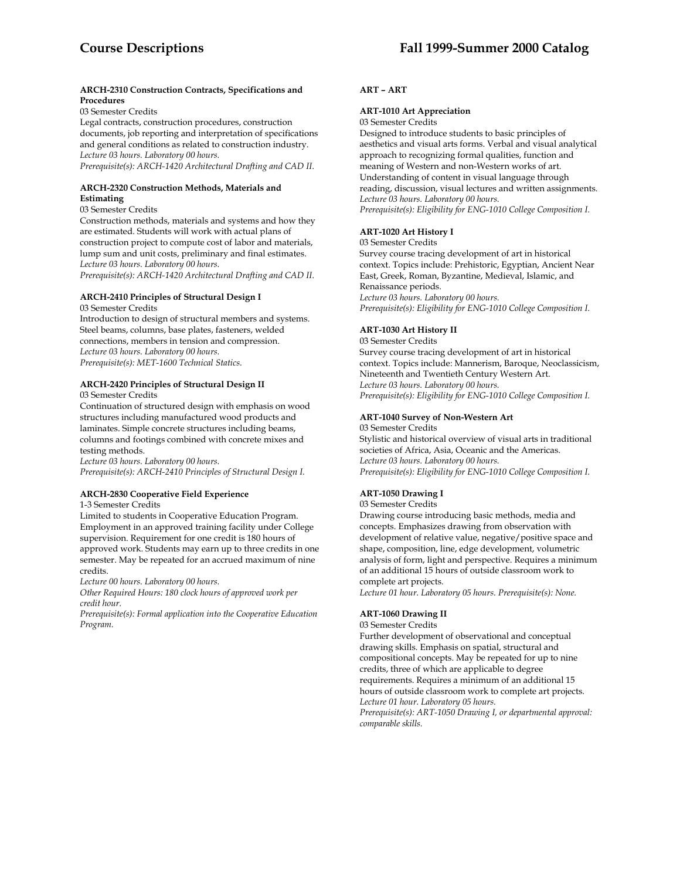## **ARCH-2310 Construction Contracts, Specifications and Procedures**

03 Semester Credits

Legal contracts, construction procedures, construction documents, job reporting and interpretation of specifications and general conditions as related to construction industry. *Lecture 03 hours. Laboratory 00 hours.* 

*Prerequisite(s): ARCH-1420 Architectural Drafting and CAD II.* 

## **ARCH-2320 Construction Methods, Materials and Estimating**

# 03 Semester Credits

Construction methods, materials and systems and how they are estimated. Students will work with actual plans of construction project to compute cost of labor and materials, lump sum and unit costs, preliminary and final estimates. *Lecture 03 hours. Laboratory 00 hours.* 

*Prerequisite(s): ARCH-1420 Architectural Drafting and CAD II.* 

#### **ARCH-2410 Principles of Structural Design I**  03 Semester Credits

Introduction to design of structural members and systems. Steel beams, columns, base plates, fasteners, welded connections, members in tension and compression. *Lecture 03 hours. Laboratory 00 hours. Prerequisite(s): MET-1600 Technical Statics.* 

#### **ARCH-2420 Principles of Structural Design II**  03 Semester Credits

Continuation of structured design with emphasis on wood structures including manufactured wood products and laminates. Simple concrete structures including beams, columns and footings combined with concrete mixes and testing methods.

*Lecture 03 hours. Laboratory 00 hours. Prerequisite(s): ARCH-2410 Principles of Structural Design I.* 

# **ARCH-2830 Cooperative Field Experience**

1-3 Semester Credits

Limited to students in Cooperative Education Program. Employment in an approved training facility under College supervision. Requirement for one credit is 180 hours of approved work. Students may earn up to three credits in one semester. May be repeated for an accrued maximum of nine credits.

*Lecture 00 hours. Laboratory 00 hours.* 

*Other Required Hours: 180 clock hours of approved work per credit hour.* 

*Prerequisite(s): Formal application into the Cooperative Education Program.* 

# **ART – ART**

# **ART-1010 Art Appreciation**

03 Semester Credits

Designed to introduce students to basic principles of aesthetics and visual arts forms. Verbal and visual analytical approach to recognizing formal qualities, function and meaning of Western and non-Western works of art. Understanding of content in visual language through reading, discussion, visual lectures and written assignments. *Lecture 03 hours. Laboratory 00 hours. Prerequisite(s): Eligibility for ENG-1010 College Composition I.* 

## **ART-1020 Art History I**

03 Semester Credits

Survey course tracing development of art in historical context. Topics include: Prehistoric, Egyptian, Ancient Near East, Greek, Roman, Byzantine, Medieval, Islamic, and Renaissance periods. *Lecture 03 hours. Laboratory 00 hours. Prerequisite(s): Eligibility for ENG-1010 College Composition I.* 

## **ART-1030 Art History II**

03 Semester Credits Survey course tracing development of art in historical context. Topics include: Mannerism, Baroque, Neoclassicism, Nineteenth and Twentieth Century Western Art. *Lecture 03 hours. Laboratory 00 hours. Prerequisite(s): Eligibility for ENG-1010 College Composition I.* 

# **ART-1040 Survey of Non-Western Art**

03 Semester Credits Stylistic and historical overview of visual arts in traditional

societies of Africa, Asia, Oceanic and the Americas. *Lecture 03 hours. Laboratory 00 hours. Prerequisite(s): Eligibility for ENG-1010 College Composition I.* 

# **ART-1050 Drawing I**

03 Semester Credits Drawing course introducing basic methods, media and concepts. Emphasizes drawing from observation with development of relative value, negative/positive space and

shape, composition, line, edge development, volumetric analysis of form, light and perspective. Requires a minimum of an additional 15 hours of outside classroom work to complete art projects.

*Lecture 01 hour. Laboratory 05 hours. Prerequisite(s): None.* 

## **ART-1060 Drawing II**

03 Semester Credits

Further development of observational and conceptual drawing skills. Emphasis on spatial, structural and compositional concepts. May be repeated for up to nine credits, three of which are applicable to degree requirements. Requires a minimum of an additional 15 hours of outside classroom work to complete art projects. *Lecture 01 hour. Laboratory 05 hours. Prerequisite(s): ART-1050 Drawing I, or departmental approval: comparable skills.*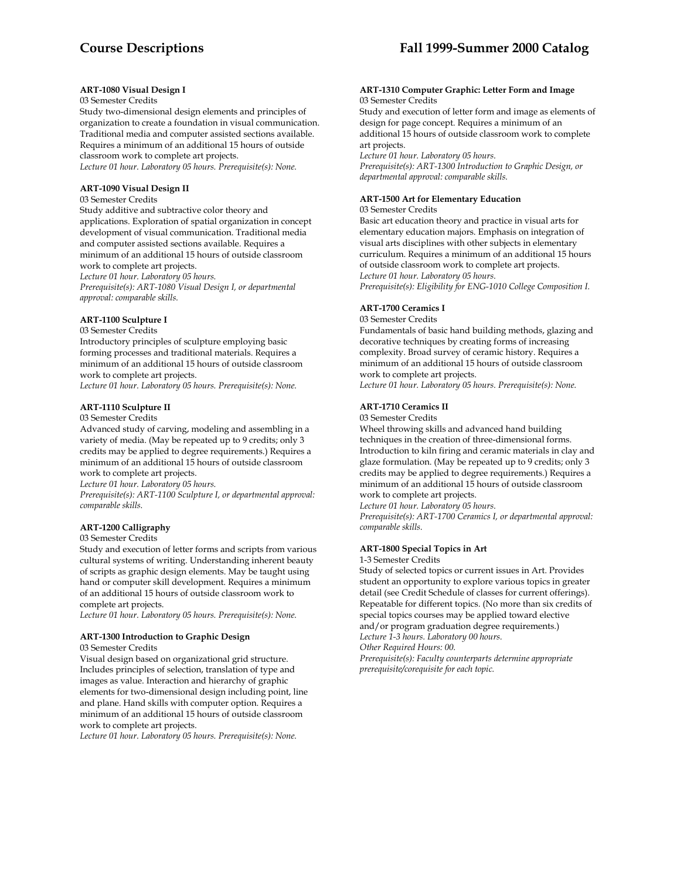## **ART-1080 Visual Design I**

## 03 Semester Credits

Study two-dimensional design elements and principles of organization to create a foundation in visual communication. Traditional media and computer assisted sections available. Requires a minimum of an additional 15 hours of outside classroom work to complete art projects.

*Lecture 01 hour. Laboratory 05 hours. Prerequisite(s): None.* 

## **ART-1090 Visual Design II**

#### 03 Semester Credits

Study additive and subtractive color theory and applications. Exploration of spatial organization in concept development of visual communication. Traditional media and computer assisted sections available. Requires a minimum of an additional 15 hours of outside classroom work to complete art projects.

*Lecture 01 hour. Laboratory 05 hours.* 

*Prerequisite(s): ART-1080 Visual Design I, or departmental approval: comparable skills.* 

## **ART-1100 Sculpture I**

#### 03 Semester Credits

Introductory principles of sculpture employing basic forming processes and traditional materials. Requires a minimum of an additional 15 hours of outside classroom work to complete art projects.

*Lecture 01 hour. Laboratory 05 hours. Prerequisite(s): None.* 

#### **ART-1110 Sculpture II**

#### 03 Semester Credits

Advanced study of carving, modeling and assembling in a variety of media. (May be repeated up to 9 credits; only 3 credits may be applied to degree requirements.) Requires a minimum of an additional 15 hours of outside classroom work to complete art projects.

*Lecture 01 hour. Laboratory 05 hours.* 

*Prerequisite(s): ART-1100 Sculpture I, or departmental approval: comparable skills.* 

## **ART-1200 Calligraphy**

#### 03 Semester Credits

Study and execution of letter forms and scripts from various cultural systems of writing. Understanding inherent beauty of scripts as graphic design elements. May be taught using hand or computer skill development. Requires a minimum of an additional 15 hours of outside classroom work to complete art projects.

*Lecture 01 hour. Laboratory 05 hours. Prerequisite(s): None.* 

# **ART-1300 Introduction to Graphic Design**

03 Semester Credits

Visual design based on organizational grid structure. Includes principles of selection, translation of type and images as value. Interaction and hierarchy of graphic elements for two-dimensional design including point, line and plane. Hand skills with computer option. Requires a minimum of an additional 15 hours of outside classroom work to complete art projects.

*Lecture 01 hour. Laboratory 05 hours. Prerequisite(s): None.* 

#### **ART-1310 Computer Graphic: Letter Form and Image**  03 Semester Credits

Study and execution of letter form and image as elements of design for page concept. Requires a minimum of an additional 15 hours of outside classroom work to complete art projects.

*Lecture 01 hour. Laboratory 05 hours. Prerequisite(s): ART-1300 Introduction to Graphic Design, or departmental approval: comparable skills.* 

## **ART-1500 Art for Elementary Education**

## 03 Semester Credits

Basic art education theory and practice in visual arts for elementary education majors. Emphasis on integration of visual arts disciplines with other subjects in elementary curriculum. Requires a minimum of an additional 15 hours of outside classroom work to complete art projects. *Lecture 01 hour. Laboratory 05 hours. Prerequisite(s): Eligibility for ENG-1010 College Composition I.* 

#### **ART-1700 Ceramics I**

03 Semester Credits

Fundamentals of basic hand building methods, glazing and decorative techniques by creating forms of increasing complexity. Broad survey of ceramic history. Requires a minimum of an additional 15 hours of outside classroom work to complete art projects.

*Lecture 01 hour. Laboratory 05 hours. Prerequisite(s): None.* 

## **ART-1710 Ceramics II**

#### 03 Semester Credits

Wheel throwing skills and advanced hand building techniques in the creation of three-dimensional forms. Introduction to kiln firing and ceramic materials in clay and glaze formulation. (May be repeated up to 9 credits; only 3 credits may be applied to degree requirements.) Requires a minimum of an additional 15 hours of outside classroom work to complete art projects.

*Lecture 01 hour. Laboratory 05 hours.* 

*Prerequisite(s): ART-1700 Ceramics I, or departmental approval: comparable skills.* 

# **ART-1800 Special Topics in Art**

1-3 Semester Credits

Study of selected topics or current issues in Art. Provides student an opportunity to explore various topics in greater detail (see Credit Schedule of classes for current offerings). Repeatable for different topics. (No more than six credits of special topics courses may be applied toward elective and/or program graduation degree requirements.) *Lecture 1-3 hours. Laboratory 00 hours. Other Required Hours: 00.* 

*Prerequisite(s): Faculty counterparts determine appropriate prerequisite/corequisite for each topic.*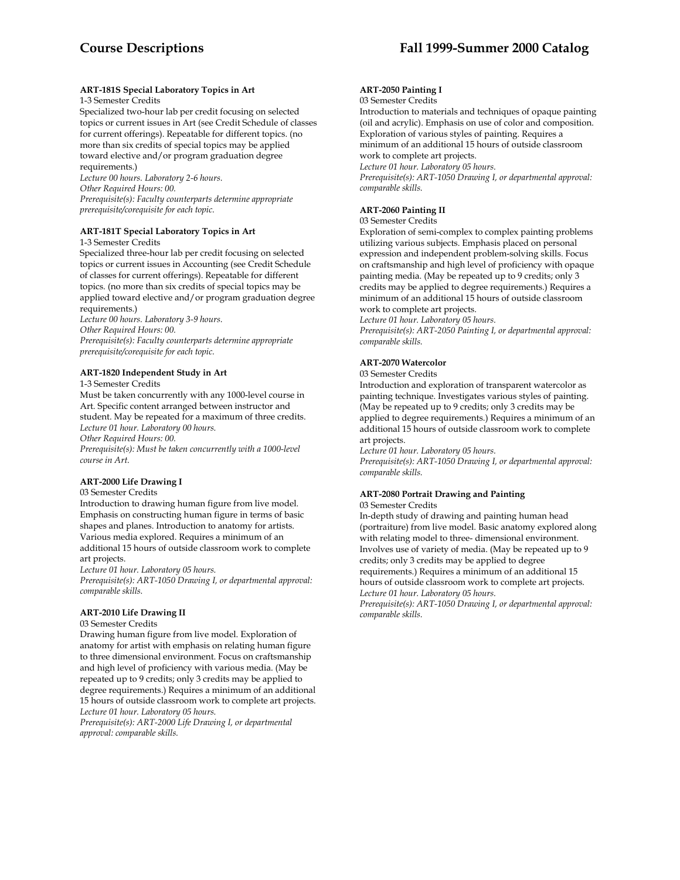# **ART-181S Special Laboratory Topics in Art**

## 1-3 Semester Credits

Specialized two-hour lab per credit focusing on selected topics or current issues in Art (see Credit Schedule of classes for current offerings). Repeatable for different topics. (no more than six credits of special topics may be applied toward elective and/or program graduation degree requirements.)

*Lecture 00 hours. Laboratory 2-6 hours. Other Required Hours: 00. Prerequisite(s): Faculty counterparts determine appropriate prerequisite/corequisite for each topic.* 

## **ART-181T Special Laboratory Topics in Art**

1-3 Semester Credits

Specialized three-hour lab per credit focusing on selected topics or current issues in Accounting (see Credit Schedule of classes for current offerings). Repeatable for different topics. (no more than six credits of special topics may be applied toward elective and/or program graduation degree requirements.)

*Lecture 00 hours. Laboratory 3-9 hours.* 

*Other Required Hours: 00.* 

*Prerequisite(s): Faculty counterparts determine appropriate prerequisite/corequisite for each topic.* 

## **ART-1820 Independent Study in Art**

1-3 Semester Credits

Must be taken concurrently with any 1000-level course in Art. Specific content arranged between instructor and student. May be repeated for a maximum of three credits. *Lecture 01 hour. Laboratory 00 hours.* 

*Other Required Hours: 00.* 

*Prerequisite(s): Must be taken concurrently with a 1000-level course in Art.* 

## **ART-2000 Life Drawing I**

## 03 Semester Credits

Introduction to drawing human figure from live model. Emphasis on constructing human figure in terms of basic shapes and planes. Introduction to anatomy for artists. Various media explored. Requires a minimum of an additional 15 hours of outside classroom work to complete art projects.

*Lecture 01 hour. Laboratory 05 hours.* 

*Prerequisite(s): ART-1050 Drawing I, or departmental approval: comparable skills.* 

## **ART-2010 Life Drawing II**

## 03 Semester Credits

Drawing human figure from live model. Exploration of anatomy for artist with emphasis on relating human figure to three dimensional environment. Focus on craftsmanship and high level of proficiency with various media. (May be repeated up to 9 credits; only 3 credits may be applied to degree requirements.) Requires a minimum of an additional 15 hours of outside classroom work to complete art projects. *Lecture 01 hour. Laboratory 05 hours.* 

*Prerequisite(s): ART-2000 Life Drawing I, or departmental approval: comparable skills.* 

## **ART-2050 Painting I**

## 03 Semester Credits

Introduction to materials and techniques of opaque painting (oil and acrylic). Emphasis on use of color and composition. Exploration of various styles of painting. Requires a minimum of an additional 15 hours of outside classroom work to complete art projects.

*Lecture 01 hour. Laboratory 05 hours.* 

*Prerequisite(s): ART-1050 Drawing I, or departmental approval: comparable skills.* 

## **ART-2060 Painting II**

03 Semester Credits

Exploration of semi-complex to complex painting problems utilizing various subjects. Emphasis placed on personal expression and independent problem-solving skills. Focus on craftsmanship and high level of proficiency with opaque painting media. (May be repeated up to 9 credits; only 3 credits may be applied to degree requirements.) Requires a minimum of an additional 15 hours of outside classroom work to complete art projects.

*Lecture 01 hour. Laboratory 05 hours.* 

*Prerequisite(s): ART-2050 Painting I, or departmental approval: comparable skills.* 

# **ART-2070 Watercolor**

# 03 Semester Credits

Introduction and exploration of transparent watercolor as painting technique. Investigates various styles of painting. (May be repeated up to 9 credits; only 3 credits may be applied to degree requirements.) Requires a minimum of an additional 15 hours of outside classroom work to complete art projects.

*Lecture 01 hour. Laboratory 05 hours.* 

*Prerequisite(s): ART-1050 Drawing I, or departmental approval: comparable skills.* 

#### **ART-2080 Portrait Drawing and Painting**  03 Semester Credits

In-depth study of drawing and painting human head (portraiture) from live model. Basic anatomy explored along with relating model to three- dimensional environment. Involves use of variety of media. (May be repeated up to 9 credits; only 3 credits may be applied to degree requirements.) Requires a minimum of an additional 15 hours of outside classroom work to complete art projects. *Lecture 01 hour. Laboratory 05 hours.* 

*Prerequisite(s): ART-1050 Drawing I, or departmental approval: comparable skills.*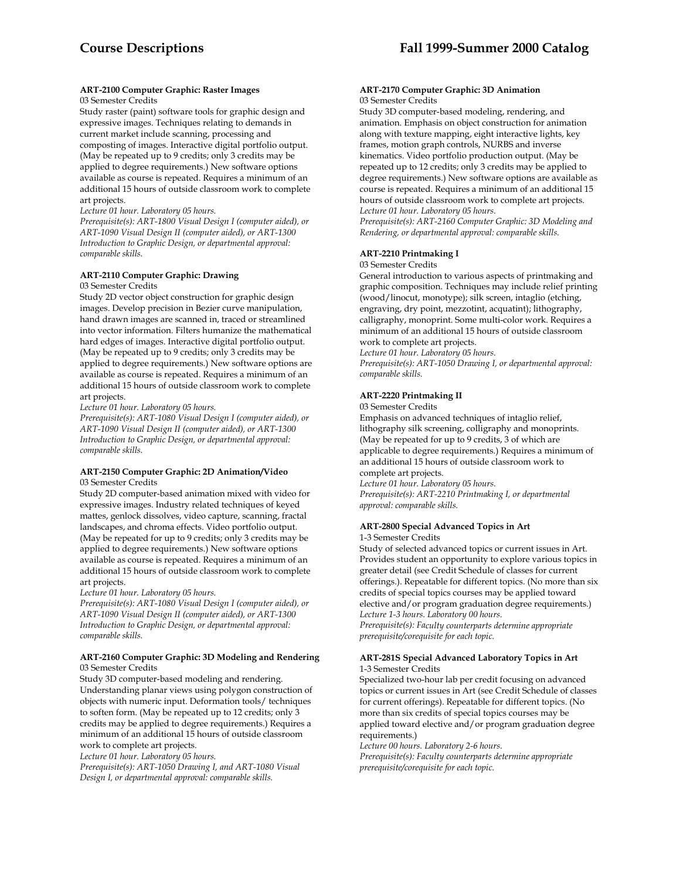## **ART-2100 Computer Graphic: Raster Images**  03 Semester Credits

Study raster (paint) software tools for graphic design and expressive images. Techniques relating to demands in current market include scanning, processing and composting of images. Interactive digital portfolio output. (May be repeated up to 9 credits; only 3 credits may be applied to degree requirements.) New software options available as course is repeated. Requires a minimum of an additional 15 hours of outside classroom work to complete art projects.

*Lecture 01 hour. Laboratory 05 hours.* 

*Prerequisite(s): ART-1800 Visual Design I (computer aided), or ART-1090 Visual Design II (computer aided), or ART-1300 Introduction to Graphic Design, or departmental approval: comparable skills.* 

# **ART-2110 Computer Graphic: Drawing**

## 03 Semester Credits

Study 2D vector object construction for graphic design images. Develop precision in Bezier curve manipulation, hand drawn images are scanned in, traced or streamlined into vector information. Filters humanize the mathematical hard edges of images. Interactive digital portfolio output. (May be repeated up to 9 credits; only 3 credits may be applied to degree requirements.) New software options are available as course is repeated. Requires a minimum of an additional 15 hours of outside classroom work to complete art projects.

*Lecture 01 hour. Laboratory 05 hours.* 

*Prerequisite(s): ART-1080 Visual Design I (computer aided), or ART-1090 Visual Design II (computer aided), or ART-1300 Introduction to Graphic Design, or departmental approval: comparable skills.* 

#### **ART-2150 Computer Graphic: 2D Animation/Video**  03 Semester Credits

Study 2D computer-based animation mixed with video for expressive images. Industry related techniques of keyed mattes, genlock dissolves, video capture, scanning, fractal landscapes, and chroma effects. Video portfolio output. (May be repeated for up to 9 credits; only 3 credits may be applied to degree requirements.) New software options available as course is repeated. Requires a minimum of an additional 15 hours of outside classroom work to complete art projects.

*Lecture 01 hour. Laboratory 05 hours.* 

*Prerequisite(s): ART-1080 Visual Design I (computer aided), or ART-1090 Visual Design II (computer aided), or ART-1300 Introduction to Graphic Design, or departmental approval: comparable skills.* 

## **ART-2160 Computer Graphic: 3D Modeling and Rendering**  03 Semester Credits

Study 3D computer-based modeling and rendering. Understanding planar views using polygon construction of objects with numeric input. Deformation tools/ techniques to soften form. (May be repeated up to 12 credits; only 3 credits may be applied to degree requirements.) Requires a minimum of an additional 15 hours of outside classroom work to complete art projects.

*Lecture 01 hour. Laboratory 05 hours.* 

*Prerequisite(s): ART-1050 Drawing I, and ART-1080 Visual Design I, or departmental approval: comparable skills.* 

## **ART-2170 Computer Graphic: 3D Animation**  03 Semester Credits

Study 3D computer-based modeling, rendering, and animation. Emphasis on object construction for animation along with texture mapping, eight interactive lights, key frames, motion graph controls, NURBS and inverse kinematics. Video portfolio production output. (May be repeated up to 12 credits; only 3 credits may be applied to degree requirements.) New software options are available as course is repeated. Requires a minimum of an additional 15 hours of outside classroom work to complete art projects. *Lecture 01 hour. Laboratory 05 hours.* 

*Prerequisite(s): ART-2160 Computer Graphic: 3D Modeling and Rendering, or departmental approval: comparable skills.* 

# **ART-2210 Printmaking I**

## 03 Semester Credits

General introduction to various aspects of printmaking and graphic composition. Techniques may include relief printing (wood/linocut, monotype); silk screen, intaglio (etching, engraving, dry point, mezzotint, acquatint); lithography, calligraphy, monoprint. Some multi-color work. Requires a minimum of an additional 15 hours of outside classroom work to complete art projects.

*Lecture 01 hour. Laboratory 05 hours.* 

*Prerequisite(s): ART-1050 Drawing I, or departmental approval: comparable skills.* 

## **ART-2220 Printmaking II**

#### 03 Semester Credits

Emphasis on advanced techniques of intaglio relief, lithography silk screening, colligraphy and monoprints. (May be repeated for up to 9 credits, 3 of which are applicable to degree requirements.) Requires a minimum of an additional 15 hours of outside classroom work to complete art projects.

*Lecture 01 hour. Laboratory 05 hours. Prerequisite(s): ART-2210 Printmaking I, or departmental approval: comparable skills.* 

## **ART-2800 Special Advanced Topics in Art**  1-3 Semester Credits

Study of selected advanced topics or current issues in Art. Provides student an opportunity to explore various topics in greater detail (see Credit Schedule of classes for current offerings.). Repeatable for different topics. (No more than six credits of special topics courses may be applied toward elective and/or program graduation degree requirements.) *Lecture 1-3 hours. Laboratory 00 hours. Prerequisite(s): Faculty counterparts determine appropriate prerequisite/corequisite for each topic.* 

## **ART-281S Special Advanced Laboratory Topics in Art**  1-3 Semester Credits

Specialized two-hour lab per credit focusing on advanced topics or current issues in Art (see Credit Schedule of classes for current offerings). Repeatable for different topics. (No more than six credits of special topics courses may be applied toward elective and/or program graduation degree requirements.)

*Lecture 00 hours. Laboratory 2-6 hours.* 

*Prerequisite(s): Faculty counterparts determine appropriate prerequisite/corequisite for each topic.*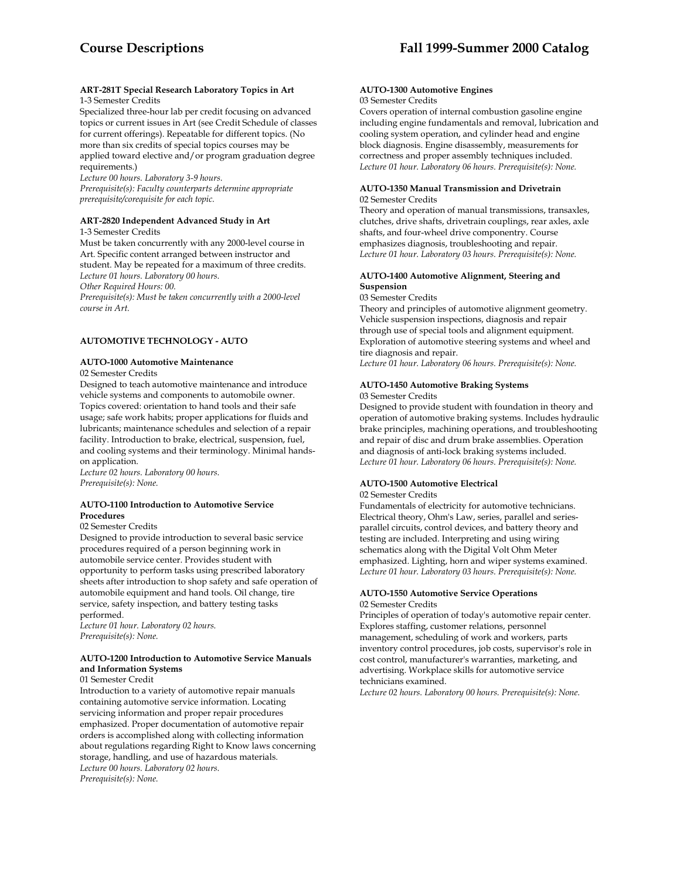## **ART-281T Special Research Laboratory Topics in Art**  1-3 Semester Credits

Specialized three-hour lab per credit focusing on advanced topics or current issues in Art (see Credit Schedule of classes for current offerings). Repeatable for different topics. (No more than six credits of special topics courses may be applied toward elective and/or program graduation degree requirements.)

*Lecture 00 hours. Laboratory 3-9 hours. Prerequisite(s): Faculty counterparts determine appropriate prerequisite/corequisite for each topic.* 

#### **ART-2820 Independent Advanced Study in Art**  1-3 Semester Credits

Must be taken concurrently with any 2000-level course in Art. Specific content arranged between instructor and student. May be repeated for a maximum of three credits.

*Lecture 01 hours. Laboratory 00 hours.* 

*Other Required Hours: 00.* 

*Prerequisite(s): Must be taken concurrently with a 2000-level course in Art.* 

# **AUTOMOTIVE TECHNOLOGY - AUTO**

# **AUTO-1000 Automotive Maintenance**

02 Semester Credits

Designed to teach automotive maintenance and introduce vehicle systems and components to automobile owner. Topics covered: orientation to hand tools and their safe usage; safe work habits; proper applications for fluids and lubricants; maintenance schedules and selection of a repair facility. Introduction to brake, electrical, suspension, fuel, and cooling systems and their terminology. Minimal handson application.

*Lecture 02 hours. Laboratory 00 hours. Prerequisite(s): None.* 

## **AUTO-1100 Introduction to Automotive Service Procedures**

# 02 Semester Credits

Designed to provide introduction to several basic service procedures required of a person beginning work in automobile service center. Provides student with opportunity to perform tasks using prescribed laboratory sheets after introduction to shop safety and safe operation of automobile equipment and hand tools. Oil change, tire service, safety inspection, and battery testing tasks performed.

*Lecture 01 hour. Laboratory 02 hours. Prerequisite(s): None.* 

## **AUTO-1200 Introduction to Automotive Service Manuals and Information Systems**

01 Semester Credit

Introduction to a variety of automotive repair manuals containing automotive service information. Locating servicing information and proper repair procedures emphasized. Proper documentation of automotive repair orders is accomplished along with collecting information about regulations regarding Right to Know laws concerning storage, handling, and use of hazardous materials. *Lecture 00 hours. Laboratory 02 hours. Prerequisite(s): None.* 

#### **AUTO-1300 Automotive Engines**  03 Semester Credits

Covers operation of internal combustion gasoline engine including engine fundamentals and removal, lubrication and cooling system operation, and cylinder head and engine block diagnosis. Engine disassembly, measurements for correctness and proper assembly techniques included. *Lecture 01 hour. Laboratory 06 hours. Prerequisite(s): None.* 

## **AUTO-1350 Manual Transmission and Drivetrain**  02 Semester Credits

Theory and operation of manual transmissions, transaxles, clutches, drive shafts, drivetrain couplings, rear axles, axle shafts, and four-wheel drive componentry. Course emphasizes diagnosis, troubleshooting and repair. *Lecture 01 hour. Laboratory 03 hours. Prerequisite(s): None.* 

# **AUTO-1400 Automotive Alignment, Steering and Suspension**

03 Semester Credits

Theory and principles of automotive alignment geometry. Vehicle suspension inspections, diagnosis and repair through use of special tools and alignment equipment. Exploration of automotive steering systems and wheel and tire diagnosis and repair.

*Lecture 01 hour. Laboratory 06 hours. Prerequisite(s): None.* 

#### **AUTO-1450 Automotive Braking Systems**  03 Semester Credits

Designed to provide student with foundation in theory and operation of automotive braking systems. Includes hydraulic brake principles, machining operations, and troubleshooting and repair of disc and drum brake assemblies. Operation and diagnosis of anti-lock braking systems included. *Lecture 01 hour. Laboratory 06 hours. Prerequisite(s): None.* 

# **AUTO-1500 Automotive Electrical**

02 Semester Credits

Fundamentals of electricity for automotive technicians. Electrical theory, Ohm's Law, series, parallel and seriesparallel circuits, control devices, and battery theory and testing are included. Interpreting and using wiring schematics along with the Digital Volt Ohm Meter emphasized. Lighting, horn and wiper systems examined. *Lecture 01 hour. Laboratory 03 hours. Prerequisite(s): None.* 

# **AUTO-1550 Automotive Service Operations**

02 Semester Credits

Principles of operation of today's automotive repair center. Explores staffing, customer relations, personnel management, scheduling of work and workers, parts inventory control procedures, job costs, supervisor's role in cost control, manufacturer's warranties, marketing, and advertising. Workplace skills for automotive service technicians examined.

*Lecture 02 hours. Laboratory 00 hours. Prerequisite(s): None.*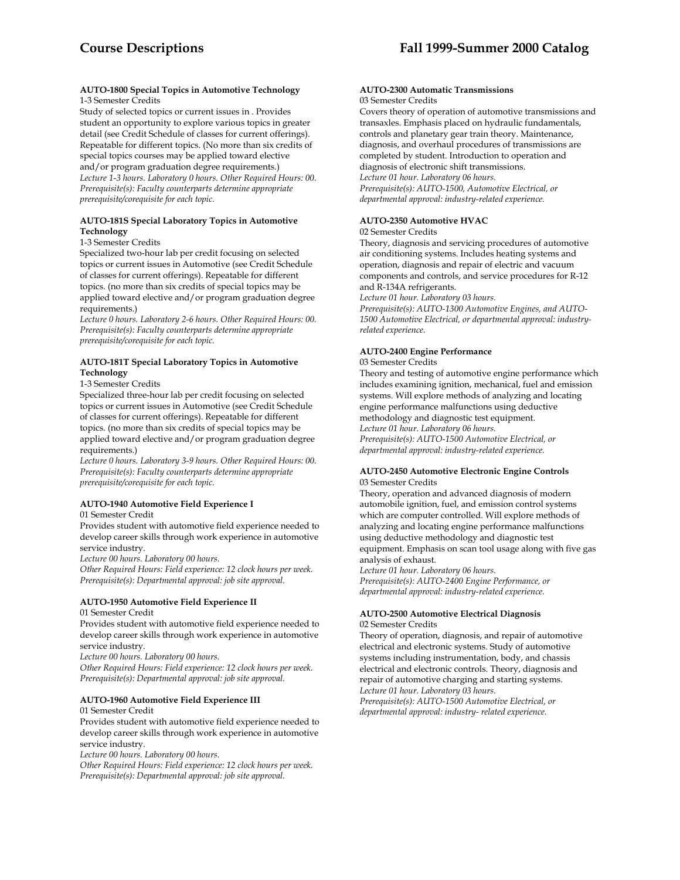## **AUTO-1800 Special Topics in Automotive Technology**  1-3 Semester Credits

Study of selected topics or current issues in . Provides student an opportunity to explore various topics in greater detail (see Credit Schedule of classes for current offerings). Repeatable for different topics. (No more than six credits of special topics courses may be applied toward elective and/or program graduation degree requirements.) *Lecture 1-3 hours. Laboratory 0 hours. Other Required Hours: 00. Prerequisite(s): Faculty counterparts determine appropriate prerequisite/corequisite for each topic.* 

## **AUTO-181S Special Laboratory Topics in Automotive Technology**

1-3 Semester Credits

Specialized two-hour lab per credit focusing on selected topics or current issues in Automotive (see Credit Schedule of classes for current offerings). Repeatable for different topics. (no more than six credits of special topics may be applied toward elective and/or program graduation degree requirements.)

*Lecture 0 hours. Laboratory 2-6 hours. Other Required Hours: 00. Prerequisite(s): Faculty counterparts determine appropriate prerequisite/corequisite for each topic.* 

## **AUTO-181T Special Laboratory Topics in Automotive Technology**

1-3 Semester Credits

Specialized three-hour lab per credit focusing on selected topics or current issues in Automotive (see Credit Schedule of classes for current offerings). Repeatable for different topics. (no more than six credits of special topics may be applied toward elective and/or program graduation degree requirements.)

*Lecture 0 hours. Laboratory 3-9 hours. Other Required Hours: 00. Prerequisite(s): Faculty counterparts determine appropriate prerequisite/corequisite for each topic.* 

# **AUTO-1940 Automotive Field Experience I**

01 Semester Credit

Provides student with automotive field experience needed to develop career skills through work experience in automotive service industry.

*Lecture 00 hours. Laboratory 00 hours.* 

*Other Required Hours: Field experience: 12 clock hours per week. Prerequisite(s): Departmental approval: job site approval.* 

## **AUTO-1950 Automotive Field Experience II**

01 Semester Credit

Provides student with automotive field experience needed to develop career skills through work experience in automotive service industry.

*Lecture 00 hours. Laboratory 00 hours.* 

*Other Required Hours: Field experience: 12 clock hours per week. Prerequisite(s): Departmental approval: job site approval.* 

# **AUTO-1960 Automotive Field Experience III**

01 Semester Credit

Provides student with automotive field experience needed to develop career skills through work experience in automotive service industry.

*Lecture 00 hours. Laboratory 00 hours.* 

*Other Required Hours: Field experience: 12 clock hours per week. Prerequisite(s): Departmental approval: job site approval.* 

#### **AUTO-2300 Automatic Transmissions**  03 Semester Credits

Covers theory of operation of automotive transmissions and transaxles. Emphasis placed on hydraulic fundamentals, controls and planetary gear train theory. Maintenance, diagnosis, and overhaul procedures of transmissions are completed by student. Introduction to operation and diagnosis of electronic shift transmissions. *Lecture 01 hour. Laboratory 06 hours. Prerequisite(s): AUTO-1500, Automotive Electrical, or departmental approval: industry-related experience.* 

# **AUTO-2350 Automotive HVAC**

02 Semester Credits

Theory, diagnosis and servicing procedures of automotive air conditioning systems. Includes heating systems and operation, diagnosis and repair of electric and vacuum components and controls, and service procedures for R-12 and R-134A refrigerants.

*Lecture 01 hour. Laboratory 03 hours.* 

*Prerequisite(s): AUTO-1300 Automotive Engines, and AUTO-1500 Automotive Electrical, or departmental approval: industryrelated experience.* 

#### **AUTO-2400 Engine Performance**  03 Semester Credits

Theory and testing of automotive engine performance which includes examining ignition, mechanical, fuel and emission systems. Will explore methods of analyzing and locating engine performance malfunctions using deductive methodology and diagnostic test equipment. *Lecture 01 hour. Laboratory 06 hours. Prerequisite(s): AUTO-1500 Automotive Electrical, or departmental approval: industry-related experience.* 

## **AUTO-2450 Automotive Electronic Engine Controls**  03 Semester Credits

Theory, operation and advanced diagnosis of modern automobile ignition, fuel, and emission control systems which are computer controlled. Will explore methods of analyzing and locating engine performance malfunctions using deductive methodology and diagnostic test equipment. Emphasis on scan tool usage along with five gas analysis of exhaust.

*Lecture 01 hour. Laboratory 06 hours. Prerequisite(s): AUTO-2400 Engine Performance, or departmental approval: industry-related experience.* 

#### **AUTO-2500 Automotive Electrical Diagnosis**  02 Semester Credits

Theory of operation, diagnosis, and repair of automotive electrical and electronic systems. Study of automotive systems including instrumentation, body, and chassis electrical and electronic controls. Theory, diagnosis and repair of automotive charging and starting systems. *Lecture 01 hour. Laboratory 03 hours.* 

*Prerequisite(s): AUTO-1500 Automotive Electrical, or departmental approval: industry- related experience.*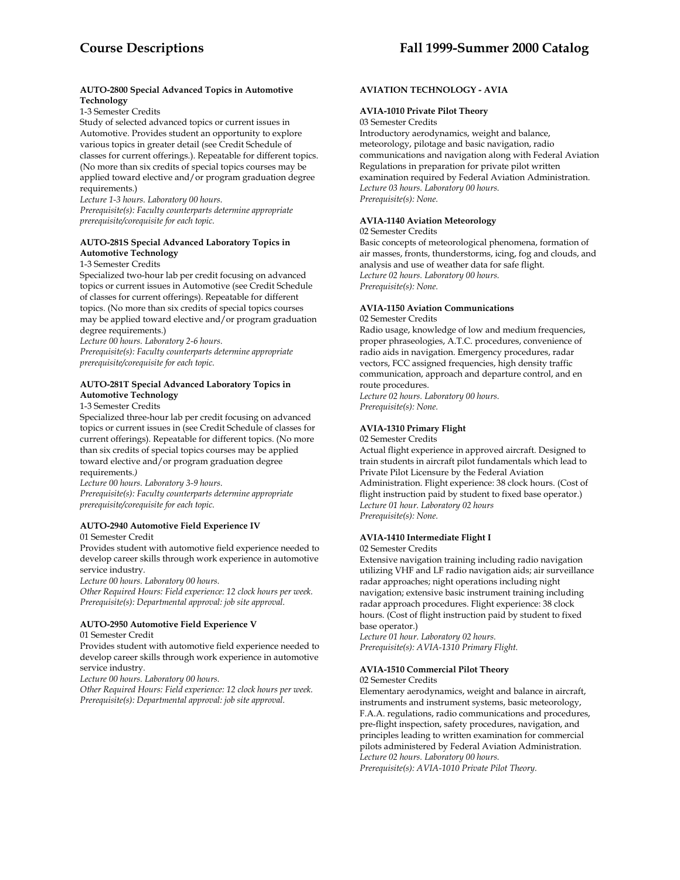## **AUTO-2800 Special Advanced Topics in Automotive Technology**

1-3 Semester Credits

Study of selected advanced topics or current issues in Automotive. Provides student an opportunity to explore various topics in greater detail (see Credit Schedule of classes for current offerings.). Repeatable for different topics. (No more than six credits of special topics courses may be applied toward elective and/or program graduation degree requirements.)

*Lecture 1-3 hours. Laboratory 00 hours. Prerequisite(s): Faculty counterparts determine appropriate prerequisite/corequisite for each topic.* 

## **AUTO-281S Special Advanced Laboratory Topics in Automotive Technology**

1-3 Semester Credits

Specialized two-hour lab per credit focusing on advanced topics or current issues in Automotive (see Credit Schedule of classes for current offerings). Repeatable for different topics. (No more than six credits of special topics courses may be applied toward elective and/or program graduation degree requirements.)

*Lecture 00 hours. Laboratory 2-6 hours.* 

*Prerequisite(s): Faculty counterparts determine appropriate prerequisite/corequisite for each topic.* 

## **AUTO-281T Special Advanced Laboratory Topics in Automotive Technology**

1-3 Semester Credits

Specialized three-hour lab per credit focusing on advanced topics or current issues in (see Credit Schedule of classes for current offerings). Repeatable for different topics. (No more than six credits of special topics courses may be applied toward elective and/or program graduation degree requirements*.)* 

*Lecture 00 hours. Laboratory 3-9 hours.* 

*Prerequisite(s): Faculty counterparts determine appropriate prerequisite/corequisite for each topic.* 

# **AUTO-2940 Automotive Field Experience IV**

01 Semester Credit

Provides student with automotive field experience needed to develop career skills through work experience in automotive service industry.

*Lecture 00 hours. Laboratory 00 hours.* 

*Other Required Hours: Field experience: 12 clock hours per week. Prerequisite(s): Departmental approval: job site approval.* 

#### **AUTO-2950 Automotive Field Experience V**  01 Semester Credit

Provides student with automotive field experience needed to develop career skills through work experience in automotive service industry.

*Lecture 00 hours. Laboratory 00 hours.* 

*Other Required Hours: Field experience: 12 clock hours per week. Prerequisite(s): Departmental approval: job site approval.* 

# **AVIATION TECHNOLOGY - AVIA**

## **AVIA-1010 Private Pilot Theory**

03 Semester Credits

Introductory aerodynamics, weight and balance, meteorology, pilotage and basic navigation, radio communications and navigation along with Federal Aviation Regulations in preparation for private pilot written examination required by Federal Aviation Administration. *Lecture 03 hours. Laboratory 00 hours. Prerequisite(s): None.* 

# **AVIA-1140 Aviation Meteorology**

02 Semester Credits

Basic concepts of meteorological phenomena, formation of air masses, fronts, thunderstorms, icing, fog and clouds, and analysis and use of weather data for safe flight. *Lecture 02 hours. Laboratory 00 hours. Prerequisite(s): None.* 

## **AVIA-1150 Aviation Communications**

## 02 Semester Credits

Radio usage, knowledge of low and medium frequencies, proper phraseologies, A.T.C. procedures, convenience of radio aids in navigation. Emergency procedures, radar vectors, FCC assigned frequencies, high density traffic communication, approach and departure control, and en route procedures.

*Lecture 02 hours. Laboratory 00 hours. Prerequisite(s): None.* 

# **AVIA-1310 Primary Flight**

02 Semester Credits

Actual flight experience in approved aircraft. Designed to train students in aircraft pilot fundamentals which lead to Private Pilot Licensure by the Federal Aviation Administration. Flight experience: 38 clock hours. (Cost of flight instruction paid by student to fixed base operator.) *Lecture 01 hour. Laboratory 02 hours Prerequisite(s): None.* 

## **AVIA-1410 Intermediate Flight I**

02 Semester Credits

Extensive navigation training including radio navigation utilizing VHF and LF radio navigation aids; air surveillance radar approaches; night operations including night navigation; extensive basic instrument training including radar approach procedures. Flight experience: 38 clock hours. (Cost of flight instruction paid by student to fixed base operator.)

*Lecture 01 hour. Laboratory 02 hours. Prerequisite(s): AVIA-1310 Primary Flight.* 

## **AVIA-1510 Commercial Pilot Theory**

02 Semester Credits

Elementary aerodynamics, weight and balance in aircraft, instruments and instrument systems, basic meteorology, F.A.A. regulations, radio communications and procedures, pre-flight inspection, safety procedures, navigation, and principles leading to written examination for commercial pilots administered by Federal Aviation Administration. *Lecture 02 hours. Laboratory 00 hours.* 

*Prerequisite(s): AVIA-1010 Private Pilot Theory.*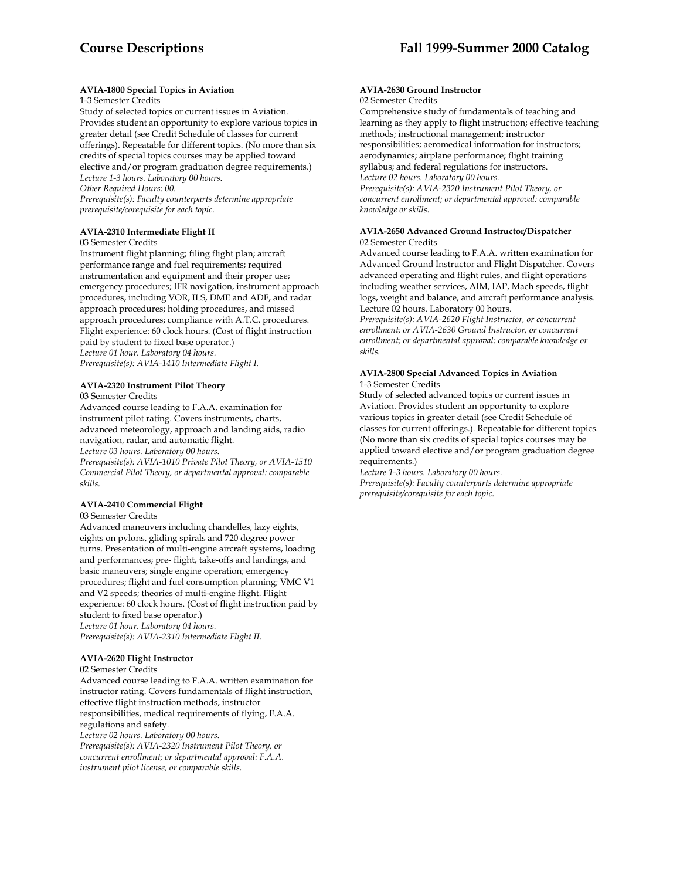## **AVIA-1800 Special Topics in Aviation**

1-3 Semester Credits

Study of selected topics or current issues in Aviation. Provides student an opportunity to explore various topics in greater detail (see Credit Schedule of classes for current offerings). Repeatable for different topics. (No more than six credits of special topics courses may be applied toward elective and/or program graduation degree requirements.) *Lecture 1-3 hours. Laboratory 00 hours. Other Required Hours: 00.* 

*Prerequisite(s): Faculty counterparts determine appropriate prerequisite/corequisite for each topic.* 

## **AVIA-2310 Intermediate Flight II**

03 Semester Credits

Instrument flight planning; filing flight plan; aircraft performance range and fuel requirements; required instrumentation and equipment and their proper use; emergency procedures; IFR navigation, instrument approach procedures, including VOR, ILS, DME and ADF, and radar approach procedures; holding procedures, and missed approach procedures; compliance with A.T.C. procedures. Flight experience: 60 clock hours. (Cost of flight instruction paid by student to fixed base operator.) *Lecture 01 hour. Laboratory 04 hours. Prerequisite(s): AVIA-1410 Intermediate Flight I.* 

# **AVIA-2320 Instrument Pilot Theory**

03 Semester Credits

Advanced course leading to F.A.A. examination for instrument pilot rating. Covers instruments, charts, advanced meteorology, approach and landing aids, radio navigation, radar, and automatic flight. *Lecture 03 hours. Laboratory 00 hours.* 

*Prerequisite(s): AVIA-1010 Private Pilot Theory, or AVIA-1510 Commercial Pilot Theory, or departmental approval: comparable skills.* 

## **AVIA-2410 Commercial Flight**

03 Semester Credits

Advanced maneuvers including chandelles, lazy eights, eights on pylons, gliding spirals and 720 degree power turns. Presentation of multi-engine aircraft systems, loading and performances; pre- flight, take-offs and landings, and basic maneuvers; single engine operation; emergency procedures; flight and fuel consumption planning; VMC V1 and V2 speeds; theories of multi-engine flight. Flight experience: 60 clock hours. (Cost of flight instruction paid by student to fixed base operator.) *Lecture 01 hour. Laboratory 04 hours. Prerequisite(s): AVIA-2310 Intermediate Flight II.* 

## **AVIA-2620 Flight Instructor**

02 Semester Credits

Advanced course leading to F.A.A. written examination for instructor rating. Covers fundamentals of flight instruction, effective flight instruction methods, instructor responsibilities, medical requirements of flying, F.A.A. regulations and safety. *Lecture 02 hours. Laboratory 00 hours. Prerequisite(s): AVIA-2320 Instrument Pilot Theory, or* 

*concurrent enrollment; or departmental approval: F.A.A. instrument pilot license, or comparable skills.* 

#### **AVIA-2630 Ground Instructor**  02 Semester Credits

Comprehensive study of fundamentals of teaching and learning as they apply to flight instruction; effective teaching methods; instructional management; instructor responsibilities; aeromedical information for instructors; aerodynamics; airplane performance; flight training syllabus; and federal regulations for instructors. *Lecture 02 hours. Laboratory 00 hours. Prerequisite(s): AVIA-2320 Instrument Pilot Theory, or concurrent enrollment; or departmental approval: comparable knowledge or skills.* 

## **AVIA-2650 Advanced Ground Instructor/Dispatcher**  02 Semester Credits

Advanced course leading to F.A.A. written examination for Advanced Ground Instructor and Flight Dispatcher. Covers advanced operating and flight rules, and flight operations including weather services, AIM, IAP, Mach speeds, flight logs, weight and balance, and aircraft performance analysis. Lecture 02 hours. Laboratory 00 hours.

*Prerequisite(s): AVIA-2620 Flight Instructor, or concurrent enrollment; or AVIA-2630 Ground Instructor, or concurrent enrollment; or departmental approval: comparable knowledge or skills.* 

## **AVIA-2800 Special Advanced Topics in Aviation**  1-3 Semester Credits

Study of selected advanced topics or current issues in Aviation. Provides student an opportunity to explore various topics in greater detail (see Credit Schedule of classes for current offerings.). Repeatable for different topics. (No more than six credits of special topics courses may be applied toward elective and/or program graduation degree requirements.)

*Lecture 1-3 hours. Laboratory 00 hours. Prerequisite(s): Faculty counterparts determine appropriate prerequisite/corequisite for each topic.*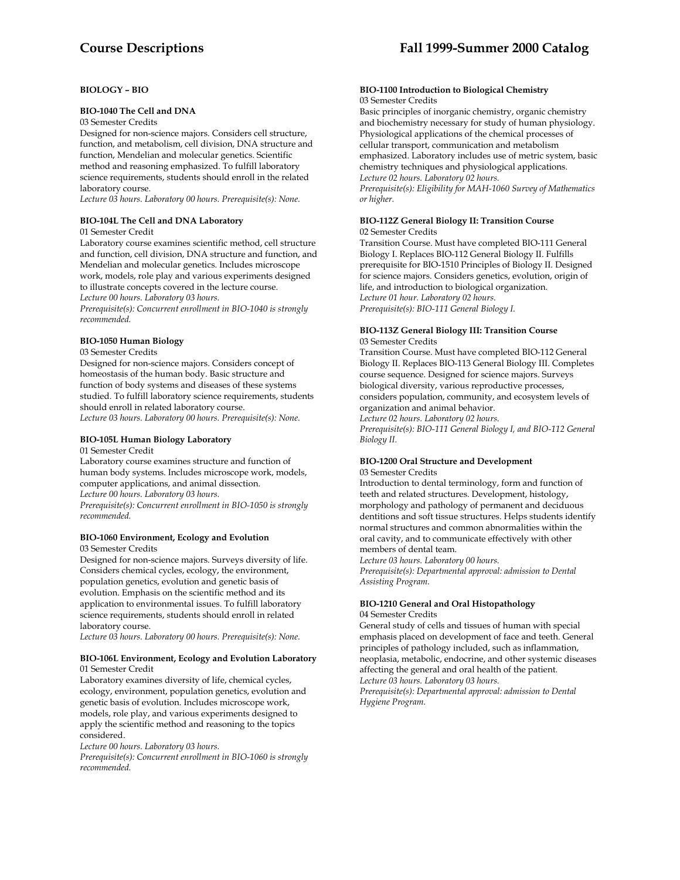## **BIOLOGY – BIO**

## **BIO-1040 The Cell and DNA**

## 03 Semester Credits

Designed for non-science majors. Considers cell structure, function, and metabolism, cell division, DNA structure and function, Mendelian and molecular genetics. Scientific method and reasoning emphasized. To fulfill laboratory science requirements, students should enroll in the related laboratory course.

*Lecture 03 hours. Laboratory 00 hours. Prerequisite(s): None.* 

# **BIO-104L The Cell and DNA Laboratory**

01 Semester Credit

Laboratory course examines scientific method, cell structure and function, cell division, DNA structure and function, and Mendelian and molecular genetics. Includes microscope work, models, role play and various experiments designed to illustrate concepts covered in the lecture course. *Lecture 00 hours. Laboratory 03 hours.* 

*Prerequisite(s): Concurrent enrollment in BIO-1040 is strongly recommended.* 

## **BIO-1050 Human Biology**

03 Semester Credits

Designed for non-science majors. Considers concept of homeostasis of the human body. Basic structure and function of body systems and diseases of these systems studied. To fulfill laboratory science requirements, students should enroll in related laboratory course.

*Lecture 03 hours. Laboratory 00 hours. Prerequisite(s): None.* 

## **BIO-105L Human Biology Laboratory**  01 Semester Credit

Laboratory course examines structure and function of human body systems. Includes microscope work, models, computer applications, and animal dissection. *Lecture 00 hours. Laboratory 03 hours.* 

*Prerequisite(s): Concurrent enrollment in BIO-1050 is strongly recommended.* 

#### **BIO-1060 Environment, Ecology and Evolution**  03 Semester Credits

Designed for non-science majors. Surveys diversity of life. Considers chemical cycles, ecology, the environment, population genetics, evolution and genetic basis of evolution. Emphasis on the scientific method and its application to environmental issues. To fulfill laboratory science requirements, students should enroll in related laboratory course.

*Lecture 03 hours. Laboratory 00 hours. Prerequisite(s): None.* 

#### **BIO-106L Environment, Ecology and Evolution Laboratory**  01 Semester Credit

Laboratory examines diversity of life, chemical cycles, ecology, environment, population genetics, evolution and genetic basis of evolution. Includes microscope work, models, role play, and various experiments designed to apply the scientific method and reasoning to the topics considered.

*Lecture 00 hours. Laboratory 03 hours.* 

*Prerequisite(s): Concurrent enrollment in BIO-1060 is strongly recommended.* 

#### **BIO-1100 Introduction to Biological Chemistry**  03 Semester Credits

Basic principles of inorganic chemistry, organic chemistry and biochemistry necessary for study of human physiology. Physiological applications of the chemical processes of cellular transport, communication and metabolism emphasized. Laboratory includes use of metric system, basic chemistry techniques and physiological applications. *Lecture 02 hours. Laboratory 02 hours. Prerequisite(s): Eligibility for MAH-1060 Survey of Mathematics or higher.* 

## **BIO-112Z General Biology II: Transition Course**  02 Semester Credits

Transition Course. Must have completed BIO-111 General Biology I. Replaces BIO-112 General Biology II. Fulfills prerequisite for BIO-1510 Principles of Biology II. Designed for science majors. Considers genetics, evolution, origin of life, and introduction to biological organization. *Lecture 01 hour. Laboratory 02 hours. Prerequisite(s): BIO-111 General Biology I.* 

## **BIO-113Z General Biology III: Transition Course**  03 Semester Credits

Transition Course. Must have completed BIO-112 General Biology II. Replaces BIO-113 General Biology III. Completes course sequence. Designed for science majors. Surveys biological diversity, various reproductive processes, considers population, community, and ecosystem levels of organization and animal behavior.

*Lecture 02 hours. Laboratory 02 hours. Prerequisite(s): BIO-111 General Biology I, and BIO-112 General Biology II.* 

## **BIO-1200 Oral Structure and Development**  03 Semester Credits

Introduction to dental terminology, form and function of teeth and related structures. Development, histology, morphology and pathology of permanent and deciduous dentitions and soft tissue structures. Helps students identify normal structures and common abnormalities within the oral cavity, and to communicate effectively with other members of dental team.

*Lecture 03 hours. Laboratory 00 hours. Prerequisite(s): Departmental approval: admission to Dental Assisting Program.* 

## **BIO-1210 General and Oral Histopathology**  04 Semester Credits

General study of cells and tissues of human with special emphasis placed on development of face and teeth. General principles of pathology included, such as inflammation, neoplasia, metabolic, endocrine, and other systemic diseases affecting the general and oral health of the patient. *Lecture 03 hours. Laboratory 03 hours.* 

*Prerequisite(s): Departmental approval: admission to Dental Hygiene Program.*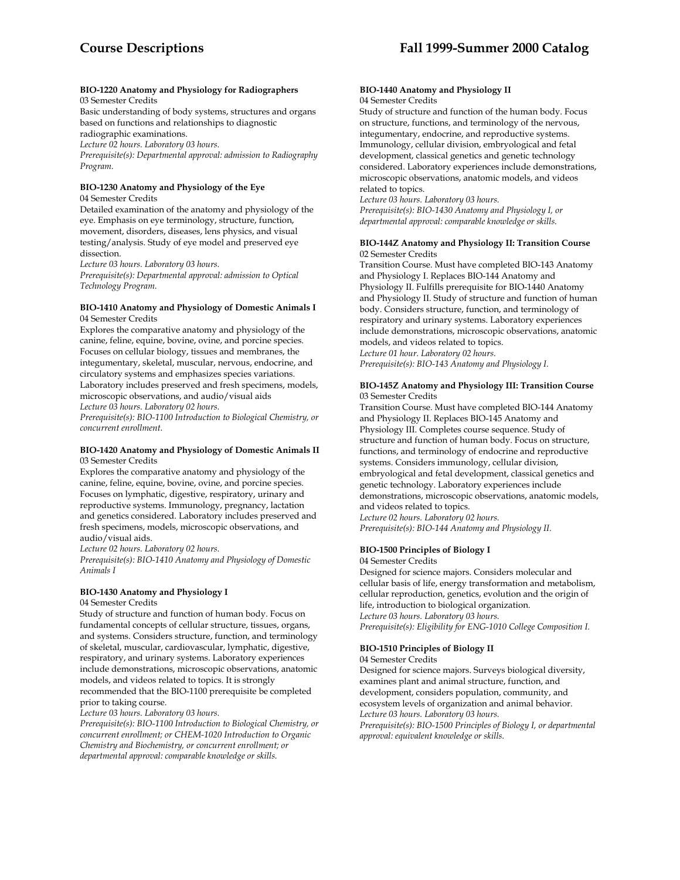#### **BIO-1220 Anatomy and Physiology for Radiographers**  03 Semester Credits

Basic understanding of body systems, structures and organs based on functions and relationships to diagnostic radiographic examinations.

*Lecture 02 hours. Laboratory 03 hours.* 

*Prerequisite(s): Departmental approval: admission to Radiography Program.* 

#### **BIO-1230 Anatomy and Physiology of the Eye**  04 Semester Credits

Detailed examination of the anatomy and physiology of the eye. Emphasis on eye terminology, structure, function, movement, disorders, diseases, lens physics, and visual testing/analysis. Study of eye model and preserved eye dissection.

*Lecture 03 hours. Laboratory 03 hours.* 

*Prerequisite(s): Departmental approval: admission to Optical Technology Program.* 

#### **BIO-1410 Anatomy and Physiology of Domestic Animals I**  04 Semester Credits

Explores the comparative anatomy and physiology of the canine, feline, equine, bovine, ovine, and porcine species. Focuses on cellular biology, tissues and membranes, the integumentary, skeletal, muscular, nervous, endocrine, and circulatory systems and emphasizes species variations. Laboratory includes preserved and fresh specimens, models, microscopic observations, and audio/visual aids

*Lecture 03 hours. Laboratory 02 hours.* 

*Prerequisite(s): BIO-1100 Introduction to Biological Chemistry, or concurrent enrollment.* 

## **BIO-1420 Anatomy and Physiology of Domestic Animals II**  03 Semester Credits

Explores the comparative anatomy and physiology of the canine, feline, equine, bovine, ovine, and porcine species. Focuses on lymphatic, digestive, respiratory, urinary and reproductive systems. Immunology, pregnancy, lactation and genetics considered. Laboratory includes preserved and fresh specimens, models, microscopic observations, and audio/visual aids.

*Lecture 02 hours. Laboratory 02 hours.* 

*Prerequisite(s): BIO-1410 Anatomy and Physiology of Domestic Animals I* 

# **BIO-1430 Anatomy and Physiology I**

## 04 Semester Credits

Study of structure and function of human body. Focus on fundamental concepts of cellular structure, tissues, organs, and systems. Considers structure, function, and terminology of skeletal, muscular, cardiovascular, lymphatic, digestive, respiratory, and urinary systems. Laboratory experiences include demonstrations, microscopic observations, anatomic models, and videos related to topics. It is strongly recommended that the BIO-1100 prerequisite be completed prior to taking course.

*Lecture 03 hours. Laboratory 03 hours.* 

*Prerequisite(s): BIO-1100 Introduction to Biological Chemistry, or concurrent enrollment; or CHEM-1020 Introduction to Organic Chemistry and Biochemistry, or concurrent enrollment; or departmental approval: comparable knowledge or skills.* 

#### **BIO-1440 Anatomy and Physiology II**  04 Semester Credits

Study of structure and function of the human body. Focus on structure, functions, and terminology of the nervous, integumentary, endocrine, and reproductive systems. Immunology, cellular division, embryological and fetal development, classical genetics and genetic technology considered. Laboratory experiences include demonstrations, microscopic observations, anatomic models, and videos related to topics.

*Lecture 03 hours. Laboratory 03 hours. Prerequisite(s): BIO-1430 Anatomy and Physiology I, or departmental approval: comparable knowledge or skills.* 

## **BIO-144Z Anatomy and Physiology II: Transition Course**  02 Semester Credits

Transition Course. Must have completed BIO-143 Anatomy and Physiology I. Replaces BIO-144 Anatomy and Physiology II. Fulfills prerequisite for BIO-1440 Anatomy and Physiology II. Study of structure and function of human body. Considers structure, function, and terminology of respiratory and urinary systems. Laboratory experiences include demonstrations, microscopic observations, anatomic models, and videos related to topics. *Lecture 01 hour. Laboratory 02 hours.* 

*Prerequisite(s): BIO-143 Anatomy and Physiology I.* 

## **BIO-145Z Anatomy and Physiology III: Transition Course**  03 Semester Credits

Transition Course. Must have completed BIO-144 Anatomy and Physiology II. Replaces BIO-145 Anatomy and Physiology III. Completes course sequence. Study of structure and function of human body. Focus on structure, functions, and terminology of endocrine and reproductive systems. Considers immunology, cellular division, embryological and fetal development, classical genetics and genetic technology. Laboratory experiences include demonstrations, microscopic observations, anatomic models, and videos related to topics. *Lecture 02 hours. Laboratory 02 hours.* 

*Prerequisite(s): BIO-144 Anatomy and Physiology II.* 

# **BIO-1500 Principles of Biology I**

04 Semester Credits

Designed for science majors. Considers molecular and cellular basis of life, energy transformation and metabolism, cellular reproduction, genetics, evolution and the origin of life, introduction to biological organization. *Lecture 03 hours. Laboratory 03 hours. Prerequisite(s): Eligibility for ENG-1010 College Composition I.* 

# **BIO-1510 Principles of Biology II**

#### 04 Semester Credits

Designed for science majors. Surveys biological diversity, examines plant and animal structure, function, and development, considers population, community, and ecosystem levels of organization and animal behavior. *Lecture 03 hours. Laboratory 03 hours. Prerequisite(s): BIO-1500 Principles of Biology I, or departmental approval: equivalent knowledge or skills.*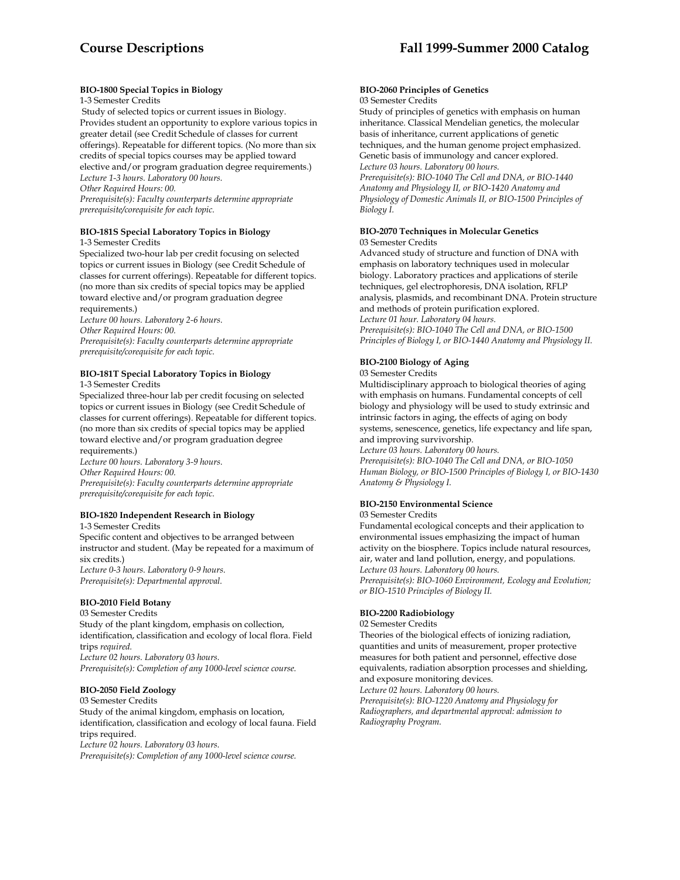## **BIO-1800 Special Topics in Biology**

1-3 Semester Credits

 Study of selected topics or current issues in Biology. Provides student an opportunity to explore various topics in greater detail (see Credit Schedule of classes for current offerings). Repeatable for different topics. (No more than six credits of special topics courses may be applied toward elective and/or program graduation degree requirements.) *Lecture 1-3 hours. Laboratory 00 hours.* 

*Other Required Hours: 00.* 

*Prerequisite(s): Faculty counterparts determine appropriate prerequisite/corequisite for each topic.* 

# **BIO-181S Special Laboratory Topics in Biology**

1-3 Semester Credits

Specialized two-hour lab per credit focusing on selected topics or current issues in Biology (see Credit Schedule of classes for current offerings). Repeatable for different topics. (no more than six credits of special topics may be applied toward elective and/or program graduation degree requirements.)

*Lecture 00 hours. Laboratory 2-6 hours. Other Required Hours: 00.* 

*Prerequisite(s): Faculty counterparts determine appropriate prerequisite/corequisite for each topic.* 

# **BIO-181T Special Laboratory Topics in Biology**

1-3 Semester Credits

Specialized three-hour lab per credit focusing on selected topics or current issues in Biology (see Credit Schedule of classes for current offerings). Repeatable for different topics. (no more than six credits of special topics may be applied toward elective and/or program graduation degree requirements.)

*Lecture 00 hours. Laboratory 3-9 hours. Other Required Hours: 00. Prerequisite(s): Faculty counterparts determine appropriate prerequisite/corequisite for each topic.* 

# **BIO-1820 Independent Research in Biology**

1-3 Semester Credits Specific content and objectives to be arranged between instructor and student. (May be repeated for a maximum of six credits.) *Lecture 0-3 hours. Laboratory 0-9 hours. Prerequisite(s): Departmental approval.* 

# **BIO-2010 Field Botany**

03 Semester Credits Study of the plant kingdom, emphasis on collection, identification, classification and ecology of local flora. Field trips *required. Lecture 02 hours. Laboratory 03 hours. Prerequisite(s): Completion of any 1000-level science course.* 

## **BIO-2050 Field Zoology**

03 Semester Credits Study of the animal kingdom, emphasis on location, identification, classification and ecology of local fauna. Field trips required. *Lecture 02 hours. Laboratory 03 hours. Prerequisite(s): Completion of any 1000-level science course.* 

#### **BIO-2060 Principles of Genetics**  03 Semester Credits

Study of principles of genetics with emphasis on human inheritance. Classical Mendelian genetics, the molecular basis of inheritance, current applications of genetic techniques, and the human genome project emphasized. Genetic basis of immunology and cancer explored. *Lecture 03 hours. Laboratory 00 hours. Prerequisite(s): BIO-1040 The Cell and DNA, or BIO-1440 Anatomy and Physiology II, or BIO-1420 Anatomy and Physiology of Domestic Animals II, or BIO-1500 Principles of Biology I.* 

## **BIO-2070 Techniques in Molecular Genetics**  03 Semester Credits

Advanced study of structure and function of DNA with emphasis on laboratory techniques used in molecular biology. Laboratory practices and applications of sterile techniques, gel electrophoresis, DNA isolation, RFLP analysis, plasmids, and recombinant DNA. Protein structure and methods of protein purification explored. *Lecture 01 hour. Laboratory 04 hours. Prerequisite(s): BIO-1040 The Cell and DNA, or BIO-1500 Principles of Biology I, or BIO-1440 Anatomy and Physiology II.* 

# **BIO-2100 Biology of Aging**

# 03 Semester Credits

Multidisciplinary approach to biological theories of aging with emphasis on humans. Fundamental concepts of cell biology and physiology will be used to study extrinsic and intrinsic factors in aging, the effects of aging on body systems, senescence, genetics, life expectancy and life span, and improving survivorship.

*Lecture 03 hours. Laboratory 00 hours.* 

*Prerequisite(s): BIO-1040 The Cell and DNA, or BIO-1050 Human Biology, or BIO-1500 Principles of Biology I, or BIO-1430 Anatomy & Physiology I.* 

## **BIO-2150 Environmental Science**

03 Semester Credits

Fundamental ecological concepts and their application to environmental issues emphasizing the impact of human activity on the biosphere. Topics include natural resources, air, water and land pollution, energy, and populations. *Lecture 03 hours. Laboratory 00 hours. Prerequisite(s): BIO-1060 Environment, Ecology and Evolution; or BIO-1510 Principles of Biology II.* 

## **BIO-2200 Radiobiology**

#### 02 Semester Credits

Theories of the biological effects of ionizing radiation, quantities and units of measurement, proper protective measures for both patient and personnel, effective dose equivalents, radiation absorption processes and shielding, and exposure monitoring devices.

*Lecture 02 hours. Laboratory 00 hours.* 

*Prerequisite(s): BIO-1220 Anatomy and Physiology for Radiographers, and departmental approval: admission to Radiography Program.*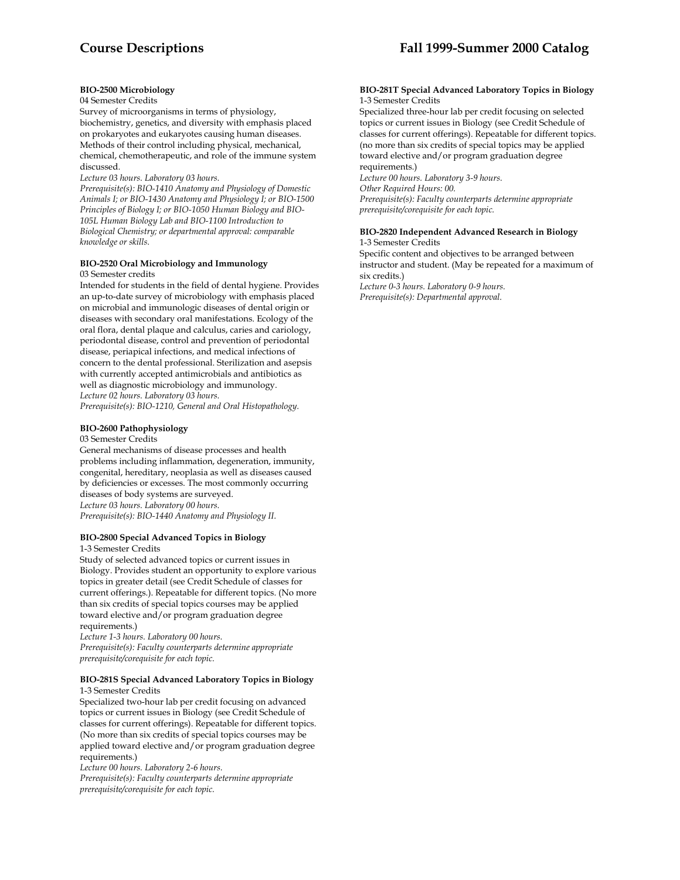# **BIO-2500 Microbiology**

## 04 Semester Credits

Survey of microorganisms in terms of physiology, biochemistry, genetics, and diversity with emphasis placed on prokaryotes and eukaryotes causing human diseases. Methods of their control including physical, mechanical, chemical, chemotherapeutic, and role of the immune system discussed.

*Lecture 03 hours. Laboratory 03 hours.* 

*Prerequisite(s): BIO-1410 Anatomy and Physiology of Domestic Animals I; or BIO-1430 Anatomy and Physiology I; or BIO-1500 Principles of Biology I; or BIO-1050 Human Biology and BIO-105L Human Biology Lab and BIO-1100 Introduction to Biological Chemistry; or departmental approval: comparable knowledge or skills.* 

## **BIO-2520 Oral Microbiology and Immunology**  03 Semester credits

Intended for students in the field of dental hygiene. Provides an up-to-date survey of microbiology with emphasis placed on microbial and immunologic diseases of dental origin or diseases with secondary oral manifestations. Ecology of the oral flora, dental plaque and calculus, caries and cariology, periodontal disease, control and prevention of periodontal disease, periapical infections, and medical infections of concern to the dental professional. Sterilization and asepsis with currently accepted antimicrobials and antibiotics as well as diagnostic microbiology and immunology. *Lecture 02 hours. Laboratory 03 hours.* 

*Prerequisite(s): BIO-1210, General and Oral Histopathology.* 

# **BIO-2600 Pathophysiology**

03 Semester Credits

General mechanisms of disease processes and health problems including inflammation, degeneration, immunity, congenital, hereditary, neoplasia as well as diseases caused by deficiencies or excesses. The most commonly occurring diseases of body systems are surveyed. *Lecture 03 hours. Laboratory 00 hours. Prerequisite(s): BIO-1440 Anatomy and Physiology II.* 

# **BIO-2800 Special Advanced Topics in Biology**

1-3 Semester Credits

Study of selected advanced topics or current issues in Biology. Provides student an opportunity to explore various topics in greater detail (see Credit Schedule of classes for current offerings.). Repeatable for different topics. (No more than six credits of special topics courses may be applied toward elective and/or program graduation degree requirements.)

*Lecture 1-3 hours. Laboratory 00 hours. Prerequisite(s): Faculty counterparts determine appropriate prerequisite/corequisite for each topic.* 

## **BIO-281S Special Advanced Laboratory Topics in Biology**  1-3 Semester Credits

Specialized two-hour lab per credit focusing on advanced topics or current issues in Biology (see Credit Schedule of classes for current offerings). Repeatable for different topics. (No more than six credits of special topics courses may be applied toward elective and/or program graduation degree requirements.)

*Lecture 00 hours. Laboratory 2-6 hours.* 

*Prerequisite(s): Faculty counterparts determine appropriate prerequisite/corequisite for each topic.* 

## **BIO-281T Special Advanced Laboratory Topics in Biology**  1-3 Semester Credits

Specialized three-hour lab per credit focusing on selected topics or current issues in Biology (see Credit Schedule of classes for current offerings). Repeatable for different topics. (no more than six credits of special topics may be applied toward elective and/or program graduation degree requirements.)

*Lecture 00 hours. Laboratory 3-9 hours. Other Required Hours: 00. Prerequisite(s): Faculty counterparts determine appropriate prerequisite/corequisite for each topic.* 

## **BIO-2820 Independent Advanced Research in Biology**  1-3 Semester Credits

Specific content and objectives to be arranged between instructor and student. (May be repeated for a maximum of six credits.) *Lecture 0-3 hours. Laboratory 0-9 hours.* 

*Prerequisite(s): Departmental approval.*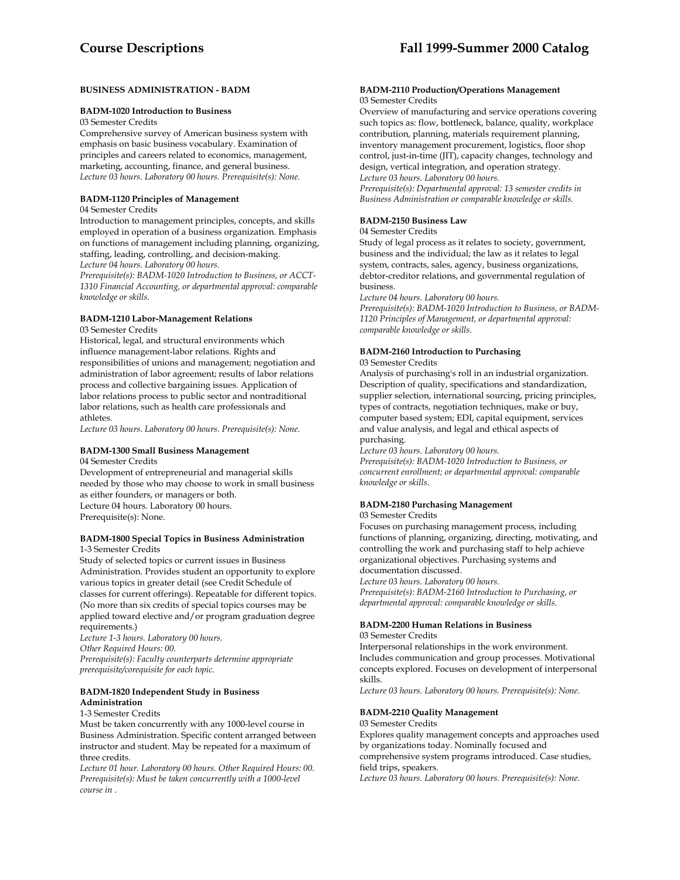## **BUSINESS ADMINISTRATION - BADM**

#### **BADM-1020 Introduction to Business**

03 Semester Credits

Comprehensive survey of American business system with emphasis on basic business vocabulary. Examination of principles and careers related to economics, management, marketing, accounting, finance, and general business. *Lecture 03 hours. Laboratory 00 hours. Prerequisite(s): None.* 

## **BADM-1120 Principles of Management**

## 04 Semester Credits

Introduction to management principles, concepts, and skills employed in operation of a business organization. Emphasis on functions of management including planning, organizing, staffing, leading, controlling, and decision-making. *Lecture 04 hours. Laboratory 00 hours.* 

*Prerequisite(s): BADM-1020 Introduction to Business, or ACCT-1310 Financial Accounting, or departmental approval: comparable knowledge or skills.* 

# **BADM-1210 Labor-Management Relations**

03 Semester Credits

Historical, legal, and structural environments which influence management-labor relations. Rights and responsibilities of unions and management; negotiation and administration of labor agreement; results of labor relations process and collective bargaining issues. Application of labor relations process to public sector and nontraditional labor relations, such as health care professionals and athletes.

*Lecture 03 hours. Laboratory 00 hours. Prerequisite(s): None.* 

## **BADM-1300 Small Business Management**

04 Semester Credits

Development of entrepreneurial and managerial skills needed by those who may choose to work in small business as either founders, or managers or both. Lecture 04 hours. Laboratory 00 hours. Prerequisite(s): None.

## **BADM-1800 Special Topics in Business Administration**  1-3 Semester Credits

Study of selected topics or current issues in Business Administration. Provides student an opportunity to explore various topics in greater detail (see Credit Schedule of classes for current offerings). Repeatable for different topics. (No more than six credits of special topics courses may be applied toward elective and/or program graduation degree requirements.)

*Lecture 1-3 hours. Laboratory 00 hours. Other Required Hours: 00. Prerequisite(s): Faculty counterparts determine appropriate prerequisite/corequisite for each topic.* 

## **BADM-1820 Independent Study in Business Administration**

## 1-3 Semester Credits

Must be taken concurrently with any 1000-level course in Business Administration. Specific content arranged between instructor and student. May be repeated for a maximum of three credits.

*Lecture 01 hour. Laboratory 00 hours. Other Required Hours: 00. Prerequisite(s): Must be taken concurrently with a 1000-level course in .* 

## **BADM-2110 Production/Operations Management**  03 Semester Credits

Overview of manufacturing and service operations covering such topics as: flow, bottleneck, balance, quality, workplace contribution, planning, materials requirement planning, inventory management procurement, logistics, floor shop control, just-in-time (JIT), capacity changes, technology and design, vertical integration, and operation strategy. *Lecture 03 hours. Laboratory 00 hours.* 

*Prerequisite(s): Departmental approval: 13 semester credits in Business Administration or comparable knowledge or skills.* 

# **BADM-2150 Business Law**

04 Semester Credits

Study of legal process as it relates to society, government, business and the individual; the law as it relates to legal system, contracts, sales, agency, business organizations, debtor-creditor relations, and governmental regulation of business.

*Lecture 04 hours. Laboratory 00 hours.* 

*Prerequisite(s): BADM-1020 Introduction to Business, or BADM-1120 Principles of Management, or departmental approval: comparable knowledge or skills.* 

#### **BADM-2160 Introduction to Purchasing**  03 Semester Credits

Analysis of purchasing's roll in an industrial organization. Description of quality, specifications and standardization, supplier selection, international sourcing, pricing principles, types of contracts, negotiation techniques, make or buy, computer based system; EDI, capital equipment, services and value analysis, and legal and ethical aspects of purchasing.

*Lecture 03 hours. Laboratory 00 hours.* 

*Prerequisite(s): BADM-1020 Introduction to Business, or concurrent enrollment; or departmental approval: comparable knowledge or skills.* 

## **BADM-2180 Purchasing Management**

03 Semester Credits

Focuses on purchasing management process, including functions of planning, organizing, directing, motivating, and controlling the work and purchasing staff to help achieve organizational objectives. Purchasing systems and documentation discussed.

*Lecture 03 hours. Laboratory 00 hours.* 

*Prerequisite(s): BADM-2160 Introduction to Purchasing, or departmental approval: comparable knowledge or skills.* 

#### **BADM-2200 Human Relations in Business**  03 Semester Credits

Interpersonal relationships in the work environment. Includes communication and group processes. Motivational concepts explored. Focuses on development of interpersonal skills.

*Lecture 03 hours. Laboratory 00 hours. Prerequisite(s): None.* 

#### **BADM-2210 Quality Management**

#### 03 Semester Credits

Explores quality management concepts and approaches used by organizations today. Nominally focused and comprehensive system programs introduced. Case studies,

field trips, speakers.

*Lecture 03 hours. Laboratory 00 hours. Prerequisite(s): None.*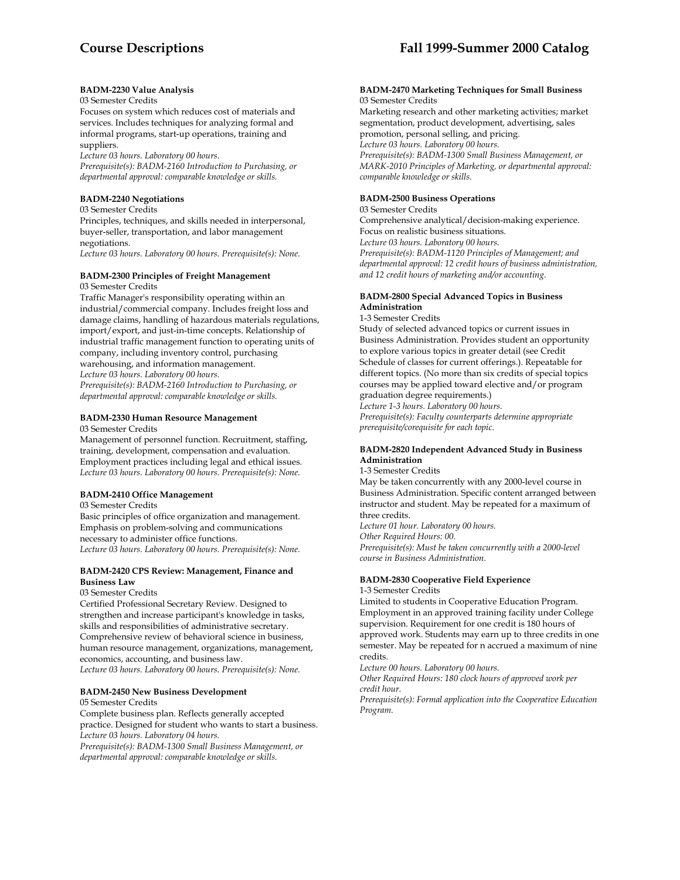## **BADM-2230 Value Analysis**

## 03 Semester Credits

Focuses on system which reduces cost of materials and services. Includes techniques for analyzing formal and informal programs, start-up operations, training and suppliers.

*Lecture 03 hours. Laboratory 00 hours.* 

*Prerequisite(s): BADM-2160 Introduction to Purchasing, or departmental approval: comparable knowledge or skills.* 

## **BADM-2240 Negotiations**

03 Semester Credits

Principles, techniques, and skills needed in interpersonal, buyer-seller, transportation, and labor management negotiations.

*Lecture 03 hours. Laboratory 00 hours. Prerequisite(s): None.* 

# **BADM-2300 Principles of Freight Management**

03 Semester Credits

Traffic Manager's responsibility operating within an industrial/commercial company. Includes freight loss and damage claims, handling of hazardous materials regulations, import/export, and just-in-time concepts. Relationship of industrial traffic management function to operating units of company, including inventory control, purchasing warehousing, and information management. *Lecture 03 hours. Laboratory 00 hours. Prerequisite(s): BADM-2160 Introduction to Purchasing, or* 

*departmental approval: comparable knowledge or skills.* 

## **BADM-2330 Human Resource Management**

03 Semester Credits

Management of personnel function. Recruitment, staffing, training, development, compensation and evaluation. Employment practices including legal and ethical issues. *Lecture 03 hours. Laboratory 00 hours. Prerequisite(s): None.* 

## **BADM-2410 Office Management**

03 Semester Credits

Basic principles of office organization and management. Emphasis on problem-solving and communications necessary to administer office functions. *Lecture 03 hours. Laboratory 00 hours. Prerequisite(s): None.* 

## **BADM-2420 CPS Review: Management, Finance and Business Law**

03 Semester Credits

Certified Professional Secretary Review. Designed to strengthen and increase participant's knowledge in tasks, skills and responsibilities of administrative secretary. Comprehensive review of behavioral science in business, human resource management, organizations, management, economics, accounting, and business law. *Lecture 03 hours. Laboratory 00 hours. Prerequisite(s): None.* 

## **BADM-2450 New Business Development**

05 Semester Credits

Complete business plan. Reflects generally accepted practice. Designed for student who wants to start a business. *Lecture 03 hours. Laboratory 04 hours. Prerequisite(s): BADM-1300 Small Business Management, or* 

*departmental approval: comparable knowledge or skills.* 

#### **BADM-2470 Marketing Techniques for Small Business**  03 Semester Credits

Marketing research and other marketing activities; market segmentation, product development, advertising, sales promotion, personal selling, and pricing. *Lecture 03 hours. Laboratory 00 hours. Prerequisite(s): BADM-1300 Small Business Management, or MARK-2010 Principles of Marketing, or departmental approval: comparable knowledge or skills.* 

## **BADM-2500 Business Operations**

03 Semester Credits Comprehensive analytical/decision-making experience. Focus on realistic business situations. *Lecture 03 hours. Laboratory 00 hours. Prerequisite(s): BADM-1120 Principles of Management; and* 

*departmental approval: 12 credit hours of business administration, and 12 credit hours of marketing and/or accounting.* 

## **BADM-2800 Special Advanced Topics in Business Administration**

1-3 Semester Credits

Study of selected advanced topics or current issues in Business Administration. Provides student an opportunity to explore various topics in greater detail (see Credit Schedule of classes for current offerings.). Repeatable for different topics. (No more than six credits of special topics courses may be applied toward elective and/or program graduation degree requirements.)

*Lecture 1-3 hours. Laboratory 00 hours. Prerequisite(s): Faculty counterparts determine appropriate prerequisite/corequisite for each topic.* 

## **BADM-2820 Independent Advanced Study in Business Administration**

## 1-3 Semester Credits

May be taken concurrently with any 2000-level course in Business Administration. Specific content arranged between instructor and student. May be repeated for a maximum of three credits.

*Lecture 01 hour. Laboratory 00 hours. Other Required Hours: 00. Prerequisite(s): Must be taken concurrently with a 2000-level course in Business Administration.* 

## **BADM-2830 Cooperative Field Experience**

1-3 Semester Credits

Limited to students in Cooperative Education Program. Employment in an approved training facility under College supervision. Requirement for one credit is 180 hours of approved work. Students may earn up to three credits in one semester. May be repeated for n accrued a maximum of nine credits.

*Lecture 00 hours. Laboratory 00 hours.* 

*Other Required Hours: 180 clock hours of approved work per credit hour.* 

*Prerequisite(s): Formal application into the Cooperative Education Program.*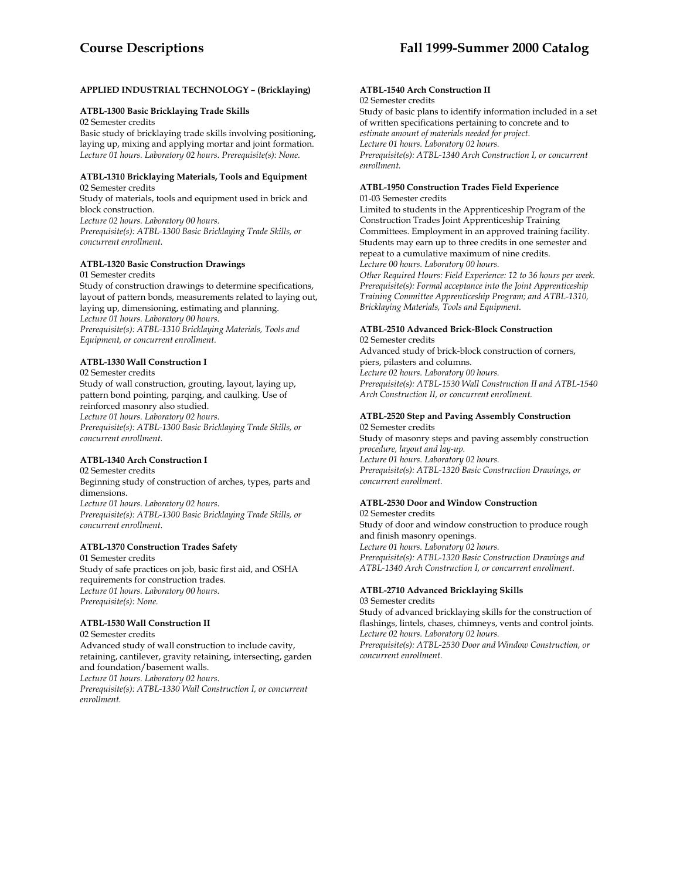## **APPLIED INDUSTRIAL TECHNOLOGY – (Bricklaying)**

## **ATBL-1300 Basic Bricklaying Trade Skills**

02 Semester credits

Basic study of bricklaying trade skills involving positioning, laying up, mixing and applying mortar and joint formation. *Lecture 01 hours. Laboratory 02 hours. Prerequisite(s): None.* 

#### **ATBL-1310 Bricklaying Materials, Tools and Equipment** 02 Semester credits

Study of materials, tools and equipment used in brick and block construction. *Lecture 02 hours. Laboratory 00 hours. Prerequisite(s): ATBL-1300 Basic Bricklaying Trade Skills, or* 

*concurrent enrollment.* 

## **ATBL-1320 Basic Construction Drawings**

01 Semester credits

Study of construction drawings to determine specifications, layout of pattern bonds, measurements related to laying out, laying up, dimensioning, estimating and planning. *Lecture 01 hours. Laboratory 00 hours. Prerequisite(s): ATBL-1310 Bricklaying Materials, Tools and Equipment, or concurrent enrollment.* 

## **ATBL-1330 Wall Construction I**

02 Semester credits

Study of wall construction, grouting, layout, laying up, pattern bond pointing, parqing, and caulking. Use of reinforced masonry also studied. *Lecture 01 hours. Laboratory 02 hours. Prerequisite(s): ATBL-1300 Basic Bricklaying Trade Skills, or concurrent enrollment.* 

## **ATBL-1340 Arch Construction I**

02 Semester credits Beginning study of construction of arches, types, parts and dimensions. *Lecture 01 hours. Laboratory 02 hours. Prerequisite(s): ATBL-1300 Basic Bricklaying Trade Skills, or concurrent enrollment.* 

## **ATBL-1370 Construction Trades Safety**

01 Semester credits Study of safe practices on job, basic first aid, and OSHA requirements for construction trades. *Lecture 01 hours. Laboratory 00 hours. Prerequisite(s): None.* 

#### **ATBL-1530 Wall Construction II** 02 Semester credits

Advanced study of wall construction to include cavity, retaining, cantilever, gravity retaining, intersecting, garden and foundation/basement walls. *Lecture 01 hours. Laboratory 02 hours. Prerequisite(s): ATBL-1330 Wall Construction I, or concurrent enrollment.* 

#### **ATBL-1540 Arch Construction II** 02 Semester credits

Study of basic plans to identify information included in a set of written specifications pertaining to concrete and to *estimate amount of materials needed for project. Lecture 01 hours. Laboratory 02 hours. Prerequisite(s): ATBL-1340 Arch Construction I, or concurrent enrollment.* 

#### **ATBL-1950 Construction Trades Field Experience** 01-03 Semester credits

Limited to students in the Apprenticeship Program of the Construction Trades Joint Apprenticeship Training Committees. Employment in an approved training facility. Students may earn up to three credits in one semester and repeat to a cumulative maximum of nine credits. *Lecture 00 hours. Laboratory 00 hours.* 

*Other Required Hours: Field Experience: 12 to 36 hours per week. Prerequisite(s): Formal acceptance into the Joint Apprenticeship Training Committee Apprenticeship Program; and ATBL-1310, Bricklaying Materials, Tools and Equipment.* 

# **ATBL-2510 Advanced Brick-Block Construction**

02 Semester credits Advanced study of brick-block construction of corners, piers, pilasters and columns. *Lecture 02 hours. Laboratory 00 hours. Prerequisite(s): ATBL-1530 Wall Construction II and ATBL-1540 Arch Construction II, or concurrent enrollment.* 

#### **ATBL-2520 Step and Paving Assembly Construction** 02 Semester credits

Study of masonry steps and paving assembly construction *procedure, layout and lay-up. Lecture 01 hours. Laboratory 02 hours. Prerequisite(s): ATBL-1320 Basic Construction Drawings, or concurrent enrollment.* 

# **ATBL-2530 Door and Window Construction**

02 Semester credits Study of door and window construction to produce rough and finish masonry openings. *Lecture 01 hours. Laboratory 02 hours. Prerequisite(s): ATBL-1320 Basic Construction Drawings and ATBL-1340 Arch Construction I, or concurrent enrollment*.

#### **ATBL-2710 Advanced Bricklaying Skills** 03 Semester credits

Study of advanced bricklaying skills for the construction of flashings, lintels, chases, chimneys, vents and control joints. *Lecture 02 hours. Laboratory 02 hours.* 

*Prerequisite(s): ATBL-2530 Door and Window Construction, or concurrent enrollment.*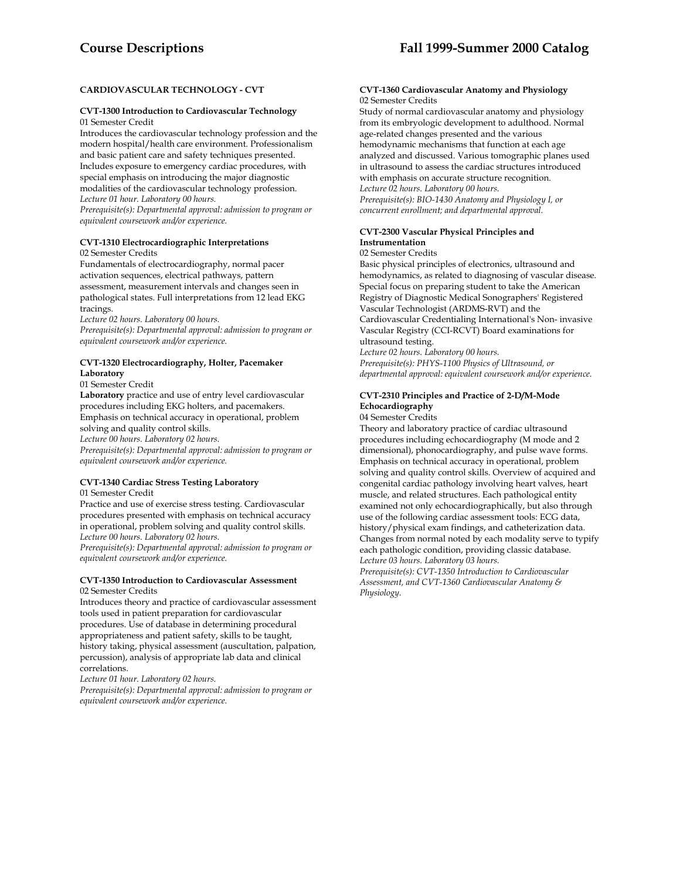# **CARDIOVASCULAR TECHNOLOGY - CVT**

## **CVT-1300 Introduction to Cardiovascular Technology**  01 Semester Credit

Introduces the cardiovascular technology profession and the modern hospital/health care environment. Professionalism and basic patient care and safety techniques presented. Includes exposure to emergency cardiac procedures, with special emphasis on introducing the major diagnostic modalities of the cardiovascular technology profession. *Lecture 01 hour. Laboratory 00 hours.* 

*Prerequisite(s): Departmental approval: admission to program or equivalent coursework and/or experience.* 

## **CVT-1310 Electrocardiographic Interpretations**  02 Semester Credits

Fundamentals of electrocardiography, normal pacer activation sequences, electrical pathways, pattern assessment, measurement intervals and changes seen in pathological states. Full interpretations from 12 lead EKG tracings.

*Lecture 02 hours. Laboratory 00 hours.* 

*Prerequisite(s): Departmental approval: admission to program or equivalent coursework and/or experience.* 

## **CVT-1320 Electrocardiography, Holter, Pacemaker Laboratory**

01 Semester Credit

**Laboratory** practice and use of entry level cardiovascular procedures including EKG holters, and pacemakers. Emphasis on technical accuracy in operational, problem solving and quality control skills.

*Lecture 00 hours. Laboratory 02 hours.* 

*Prerequisite(s): Departmental approval: admission to program or equivalent coursework and/or experience.* 

# **CVT-1340 Cardiac Stress Testing Laboratory**

01 Semester Credit

Practice and use of exercise stress testing. Cardiovascular procedures presented with emphasis on technical accuracy in operational, problem solving and quality control skills. *Lecture 00 hours. Laboratory 02 hours.* 

*Prerequisite(s): Departmental approval: admission to program or equivalent coursework and/or experience.* 

## **CVT-1350 Introduction to Cardiovascular Assessment**  02 Semester Credits

Introduces theory and practice of cardiovascular assessment tools used in patient preparation for cardiovascular procedures. Use of database in determining procedural appropriateness and patient safety, skills to be taught, history taking, physical assessment (auscultation, palpation, percussion), analysis of appropriate lab data and clinical correlations.

*Lecture 01 hour. Laboratory 02 hours.* 

*Prerequisite(s): Departmental approval: admission to program or equivalent coursework and/or experience.* 

## **CVT-1360 Cardiovascular Anatomy and Physiology**  02 Semester Credits

Study of normal cardiovascular anatomy and physiology from its embryologic development to adulthood. Normal age-related changes presented and the various hemodynamic mechanisms that function at each age analyzed and discussed. Various tomographic planes used in ultrasound to assess the cardiac structures introduced with emphasis on accurate structure recognition. *Lecture 02 hours. Laboratory 00 hours. Prerequisite(s): BIO-1430 Anatomy and Physiology I, or concurrent enrollment; and departmental approval.* 

# **CVT-2300 Vascular Physical Principles and Instrumentation**

## 02 Semester Credits

Basic physical principles of electronics, ultrasound and hemodynamics, as related to diagnosing of vascular disease. Special focus on preparing student to take the American Registry of Diagnostic Medical Sonographers' Registered Vascular Technologist (ARDMS-RVT) and the Cardiovascular Credentialing International's Non- invasive Vascular Registry (CCI-RCVT) Board examinations for ultrasound testing.

*Lecture 02 hours. Laboratory 00 hours. Prerequisite(s): PHYS-1100 Physics of Ultrasound, or departmental approval: equivalent coursework and/or experience.* 

# **CVT-2310 Principles and Practice of 2-D/M-Mode Echocardiography**

04 Semester Credits

Theory and laboratory practice of cardiac ultrasound procedures including echocardiography (M mode and 2 dimensional), phonocardiography, and pulse wave forms. Emphasis on technical accuracy in operational, problem solving and quality control skills. Overview of acquired and congenital cardiac pathology involving heart valves, heart muscle, and related structures. Each pathological entity examined not only echocardiographically, but also through use of the following cardiac assessment tools: ECG data, history/physical exam findings, and catheterization data. Changes from normal noted by each modality serve to typify each pathologic condition, providing classic database. *Lecture 03 hours. Laboratory 03 hours.* 

*Prerequisite(s): CVT-1350 Introduction to Cardiovascular Assessment, and CVT-1360 Cardiovascular Anatomy & Physiology.*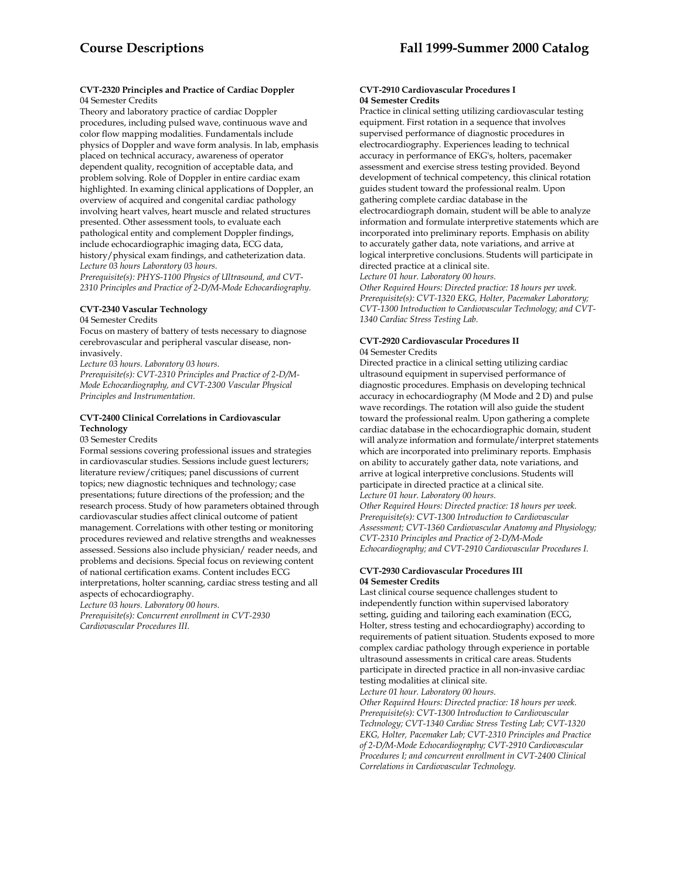## **CVT-2320 Principles and Practice of Cardiac Doppler**  04 Semester Credits

Theory and laboratory practice of cardiac Doppler procedures, including pulsed wave, continuous wave and color flow mapping modalities. Fundamentals include physics of Doppler and wave form analysis. In lab, emphasis placed on technical accuracy, awareness of operator dependent quality, recognition of acceptable data, and problem solving. Role of Doppler in entire cardiac exam highlighted. In examing clinical applications of Doppler, an overview of acquired and congenital cardiac pathology involving heart valves, heart muscle and related structures presented. Other assessment tools, to evaluate each pathological entity and complement Doppler findings, include echocardiographic imaging data, ECG data, history/physical exam findings, and catheterization data. *Lecture 03 hours Laboratory 03 hours.* 

*Prerequisite(s): PHYS-1100 Physics of Ultrasound, and CVT-2310 Principles and Practice of 2-D/M-Mode Echocardiography.* 

# **CVT-2340 Vascular Technology**

## 04 Semester Credits

Focus on mastery of battery of tests necessary to diagnose cerebrovascular and peripheral vascular disease, noninvasively.

*Lecture 03 hours. Laboratory 03 hours.* 

*Prerequisite(s): CVT-2310 Principles and Practice of 2-D/M-Mode Echocardiography, and CVT-2300 Vascular Physical Principles and Instrumentation.* 

## **CVT-2400 Clinical Correlations in Cardiovascular Technology**

## 03 Semester Credits

Formal sessions covering professional issues and strategies in cardiovascular studies. Sessions include guest lecturers; literature review/critiques; panel discussions of current topics; new diagnostic techniques and technology; case presentations; future directions of the profession; and the research process. Study of how parameters obtained through cardiovascular studies affect clinical outcome of patient management. Correlations with other testing or monitoring procedures reviewed and relative strengths and weaknesses assessed. Sessions also include physician/ reader needs, and problems and decisions. Special focus on reviewing content of national certification exams. Content includes ECG interpretations, holter scanning, cardiac stress testing and all aspects of echocardiography.

*Lecture 03 hours. Laboratory 00 hours.* 

*Prerequisite(s): Concurrent enrollment in CVT-2930 Cardiovascular Procedures III.* 

## **CVT-2910 Cardiovascular Procedures I 04 Semester Credits**

Practice in clinical setting utilizing cardiovascular testing equipment. First rotation in a sequence that involves supervised performance of diagnostic procedures in electrocardiography. Experiences leading to technical accuracy in performance of EKG's, holters, pacemaker assessment and exercise stress testing provided. Beyond development of technical competency, this clinical rotation guides student toward the professional realm. Upon gathering complete cardiac database in the electrocardiograph domain, student will be able to analyze information and formulate interpretive statements which are incorporated into preliminary reports. Emphasis on ability to accurately gather data, note variations, and arrive at logical interpretive conclusions. Students will participate in directed practice at a clinical site.

*Lecture 01 hour. Laboratory 00 hours.* 

*Other Required Hours: Directed practice: 18 hours per week. Prerequisite(s): CVT-1320 EKG, Holter, Pacemaker Laboratory; CVT-1300 Introduction to Cardiovascular Technology; and CVT-1340 Cardiac Stress Testing Lab.* 

## **CVT-2920 Cardiovascular Procedures II**  04 Semester Credits

Directed practice in a clinical setting utilizing cardiac ultrasound equipment in supervised performance of diagnostic procedures. Emphasis on developing technical accuracy in echocardiography (M Mode and 2 D) and pulse wave recordings. The rotation will also guide the student toward the professional realm. Upon gathering a complete cardiac database in the echocardiographic domain, student will analyze information and formulate/interpret statements which are incorporated into preliminary reports. Emphasis on ability to accurately gather data, note variations, and arrive at logical interpretive conclusions. Students will participate in directed practice at a clinical site. *Lecture 01 hour. Laboratory 00 hours.* 

*Other Required Hours: Directed practice: 18 hours per week. Prerequisite(s): CVT-1300 Introduction to Cardiovascular Assessment; CVT-1360 Cardiovascular Anatomy and Physiology; CVT-2310 Principles and Practice of 2-D/M-Mode Echocardiography; and CVT-2910 Cardiovascular Procedures I.* 

## **CVT-2930 Cardiovascular Procedures III 04 Semester Credits**

Last clinical course sequence challenges student to independently function within supervised laboratory setting, guiding and tailoring each examination (ECG, Holter, stress testing and echocardiography) according to requirements of patient situation. Students exposed to more complex cardiac pathology through experience in portable ultrasound assessments in critical care areas. Students participate in directed practice in all non-invasive cardiac testing modalities at clinical site.

*Lecture 01 hour. Laboratory 00 hours. Other Required Hours: Directed practice: 18 hours per week. Prerequisite(s): CVT-1300 Introduction to Cardiovascular Technology; CVT-1340 Cardiac Stress Testing Lab; CVT-1320 EKG, Holter, Pacemaker Lab; CVT-2310 Principles and Practice of 2-D/M-Mode Echocardiography; CVT-2910 Cardiovascular Procedures I; and concurrent enrollment in CVT-2400 Clinical Correlations in Cardiovascular Technology.*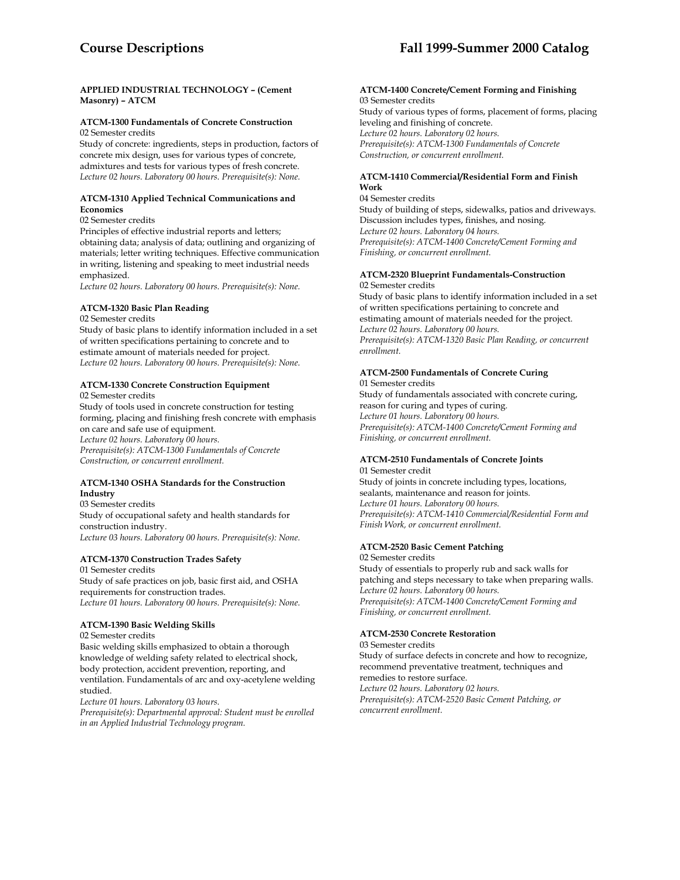## **APPLIED INDUSTRIAL TECHNOLOGY – (Cement Masonry) – ATCM**

# **ATCM-1300 Fundamentals of Concrete Construction**

02 Semester credits

Study of concrete: ingredients, steps in production, factors of concrete mix design, uses for various types of concrete, admixtures and tests for various types of fresh concrete. *Lecture 02 hours. Laboratory 00 hours. Prerequisite(s): None.* 

## **ATCM-1310 Applied Technical Communications and Economics**

02 Semester credits

Principles of effective industrial reports and letters; obtaining data; analysis of data; outlining and organizing of materials; letter writing techniques. Effective communication in writing, listening and speaking to meet industrial needs emphasized.

*Lecture 02 hours. Laboratory 00 hours. Prerequisite(s): None.* 

## **ATCM-1320 Basic Plan Reading**

02 Semester credits

Study of basic plans to identify information included in a set of written specifications pertaining to concrete and to estimate amount of materials needed for project. *Lecture 02 hours. Laboratory 00 hours. Prerequisite(s): None.* 

#### **ATCM-1330 Concrete Construction Equipment**  02 Semester credits

Study of tools used in concrete construction for testing forming, placing and finishing fresh concrete with emphasis on care and safe use of equipment. *Lecture 02 hours. Laboratory 00 hours. Prerequisite(s): ATCM-1300 Fundamentals of Concrete Construction, or concurrent enrollment.* 

## **ATCM-1340 OSHA Standards for the Construction Industry**

03 Semester credits Study of occupational safety and health standards for construction industry. *Lecture 03 hours. Laboratory 00 hours. Prerequisite(s): None.* 

# **ATCM-1370 Construction Trades Safety**

01 Semester credits Study of safe practices on job, basic first aid, and OSHA requirements for construction trades. *Lecture 01 hours. Laboratory 00 hours. Prerequisite(s): None.* 

# **ATCM-1390 Basic Welding Skills**

02 Semester credits

Basic welding skills emphasized to obtain a thorough knowledge of welding safety related to electrical shock, body protection, accident prevention, reporting, and ventilation. Fundamentals of arc and oxy-acetylene welding studied.

*Lecture 01 hours. Laboratory 03 hours.* 

*Prerequisite(s): Departmental approval: Student must be enrolled in an Applied Industrial Technology program.* 

#### **ATCM-1400 Concrete/Cement Forming and Finishing**  03 Semester credits

Study of various types of forms, placement of forms, placing leveling and finishing of concrete. *Lecture 02 hours. Laboratory 02 hours. Prerequisite(s): ATCM-1300 Fundamentals of Concrete Construction, or concurrent enrollment.* 

## **ATCM-1410 Commercial/Residential Form and Finish Work**

04 Semester credits Study of building of steps, sidewalks, patios and driveways. Discussion includes types, finishes, and nosing. *Lecture 02 hours. Laboratory 04 hours. Prerequisite(s): ATCM-1400 Concrete/Cement Forming and Finishing, or concurrent enrollment.* 

## **ATCM-2320 Blueprint Fundamentals-Construction**  02 Semester credits

Study of basic plans to identify information included in a set of written specifications pertaining to concrete and estimating amount of materials needed for the project. *Lecture 02 hours. Laboratory 00 hours. Prerequisite(s): ATCM-1320 Basic Plan Reading, or concurrent enrollment.* 

# **ATCM-2500 Fundamentals of Concrete Curing**

01 Semester credits Study of fundamentals associated with concrete curing, reason for curing and types of curing. *Lecture 01 hours. Laboratory 00 hours. Prerequisite(s): ATCM-1400 Concrete/Cement Forming and Finishing, or concurrent enrollment.* 

#### **ATCM-2510 Fundamentals of Concrete Joints**  01 Semester credit

Study of joints in concrete including types, locations, sealants, maintenance and reason for joints. *Lecture 01 hours. Laboratory 00 hours. Prerequisite(s): ATCM-1410 Commercial/Residential Form and Finish Work, or concurrent enrollment.* 

# **ATCM-2520 Basic Cement Patching**

02 Semester credits Study of essentials to properly rub and sack walls for patching and steps necessary to take when preparing walls. *Lecture 02 hours. Laboratory 00 hours. Prerequisite(s): ATCM-1400 Concrete/Cement Forming and Finishing, or concurrent enrollment.* 

## **ATCM-2530 Concrete Restoration**

03 Semester credits Study of surface defects in concrete and how to recognize, recommend preventative treatment, techniques and remedies to restore surface. *Lecture 02 hours. Laboratory 02 hours. Prerequisite(s): ATCM-2520 Basic Cement Patching, or concurrent enrollment.*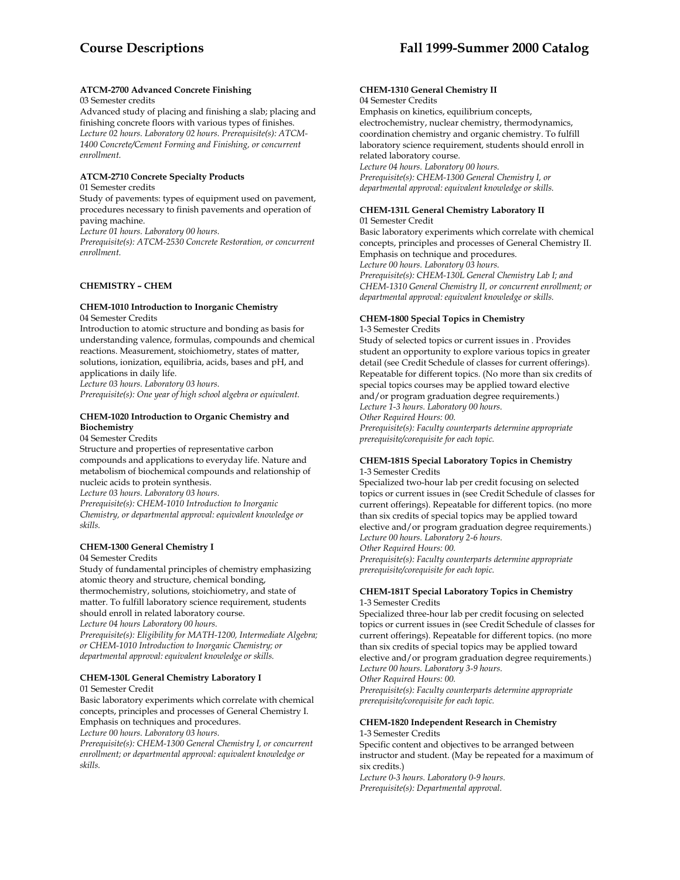### **ATCM-2700 Advanced Concrete Finishing**

### 03 Semester credits

Advanced study of placing and finishing a slab; placing and finishing concrete floors with various types of finishes. *Lecture 02 hours. Laboratory 02 hours. Prerequisite(s): ATCM-1400 Concrete/Cement Forming and Finishing, or concurrent enrollment.* 

### **ATCM-2710 Concrete Specialty Products**

#### 01 Semester credits

Study of pavements: types of equipment used on pavement, procedures necessary to finish pavements and operation of paving machine.

*Lecture 01 hours. Laboratory 00 hours.* 

*Prerequisite(s): ATCM-2530 Concrete Restoration, or concurrent enrollment.* 

### **CHEMISTRY – CHEM**

### **CHEM-1010 Introduction to Inorganic Chemistry**

04 Semester Credits

Introduction to atomic structure and bonding as basis for understanding valence, formulas, compounds and chemical reactions. Measurement, stoichiometry, states of matter, solutions, ionization, equilibria, acids, bases and pH, and applications in daily life. *Lecture 03 hours. Laboratory 03 hours.* 

*Prerequisite(s): One year of high school algebra or equivalent.* 

### **CHEM-1020 Introduction to Organic Chemistry and Biochemistry**

### 04 Semester Credits

Structure and properties of representative carbon compounds and applications to everyday life. Nature and metabolism of biochemical compounds and relationship of nucleic acids to protein synthesis.

*Lecture 03 hours. Laboratory 03 hours. Prerequisite(s): CHEM-1010 Introduction to Inorganic Chemistry, or departmental approval: equivalent knowledge or skills.* 

## **CHEM-1300 General Chemistry I**

### 04 Semester Credits

Study of fundamental principles of chemistry emphasizing atomic theory and structure, chemical bonding, thermochemistry, solutions, stoichiometry, and state of matter. To fulfill laboratory science requirement, students should enroll in related laboratory course. *Lecture 04 hours Laboratory 00 hours.* 

*Prerequisite(s): Eligibility for MATH-1200, Intermediate Algebra; or CHEM-1010 Introduction to Inorganic Chemistry; or departmental approval: equivalent knowledge or skills.* 

# **CHEM-130L General Chemistry Laboratory I**

### 01 Semester Credit

Basic laboratory experiments which correlate with chemical concepts, principles and processes of General Chemistry I. Emphasis on techniques and procedures.

*Lecture 00 hours. Laboratory 03 hours.* 

*Prerequisite(s): CHEM-1300 General Chemistry I, or concurrent enrollment; or departmental approval: equivalent knowledge or skills.* 

#### **CHEM-1310 General Chemistry II**  04 Semester Credits

Emphasis on kinetics, equilibrium concepts, electrochemistry, nuclear chemistry, thermodynamics, coordination chemistry and organic chemistry. To fulfill laboratory science requirement, students should enroll in related laboratory course. *Lecture 04 hours. Laboratory 00 hours.* 

*Prerequisite(s): CHEM-1300 General Chemistry I, or departmental approval: equivalent knowledge or skills.* 

# **CHEM-131L General Chemistry Laboratory II**

01 Semester Credit Basic laboratory experiments which correlate with chemical concepts, principles and processes of General Chemistry II. Emphasis on technique and procedures. *Lecture 00 hours. Laboratory 03 hours. Prerequisite(s): CHEM-130L General Chemistry Lab I; and CHEM-1310 General Chemistry II, or concurrent enrollment; or departmental approval: equivalent knowledge or skills.* 

### **CHEM-1800 Special Topics in Chemistry**

1-3 Semester Credits

Study of selected topics or current issues in . Provides student an opportunity to explore various topics in greater detail (see Credit Schedule of classes for current offerings). Repeatable for different topics. (No more than six credits of special topics courses may be applied toward elective and/or program graduation degree requirements.) *Lecture 1-3 hours. Laboratory 00 hours. Other Required Hours: 00. Prerequisite(s): Faculty counterparts determine appropriate prerequisite/corequisite for each topic.* 

### **CHEM-181S Special Laboratory Topics in Chemistry**  1-3 Semester Credits

Specialized two-hour lab per credit focusing on selected topics or current issues in (see Credit Schedule of classes for current offerings). Repeatable for different topics. (no more than six credits of special topics may be applied toward elective and/or program graduation degree requirements.) *Lecture 00 hours. Laboratory 2-6 hours.* 

*Other Required Hours: 00. Prerequisite(s): Faculty counterparts determine appropriate prerequisite/corequisite for each topic.* 

### **CHEM-181T Special Laboratory Topics in Chemistry**  1-3 Semester Credits

Specialized three-hour lab per credit focusing on selected topics or current issues in (see Credit Schedule of classes for current offerings). Repeatable for different topics. (no more than six credits of special topics may be applied toward elective and/or program graduation degree requirements.) *Lecture 00 hours. Laboratory 3-9 hours.* 

*Other Required Hours: 00. Prerequisite(s): Faculty counterparts determine appropriate* 

*prerequisite/corequisite for each topic.* 

### **CHEM-1820 Independent Research in Chemistry**

1-3 Semester Credits

Specific content and objectives to be arranged between instructor and student. (May be repeated for a maximum of six credits.)

*Lecture 0-3 hours. Laboratory 0-9 hours. Prerequisite(s): Departmental approval.*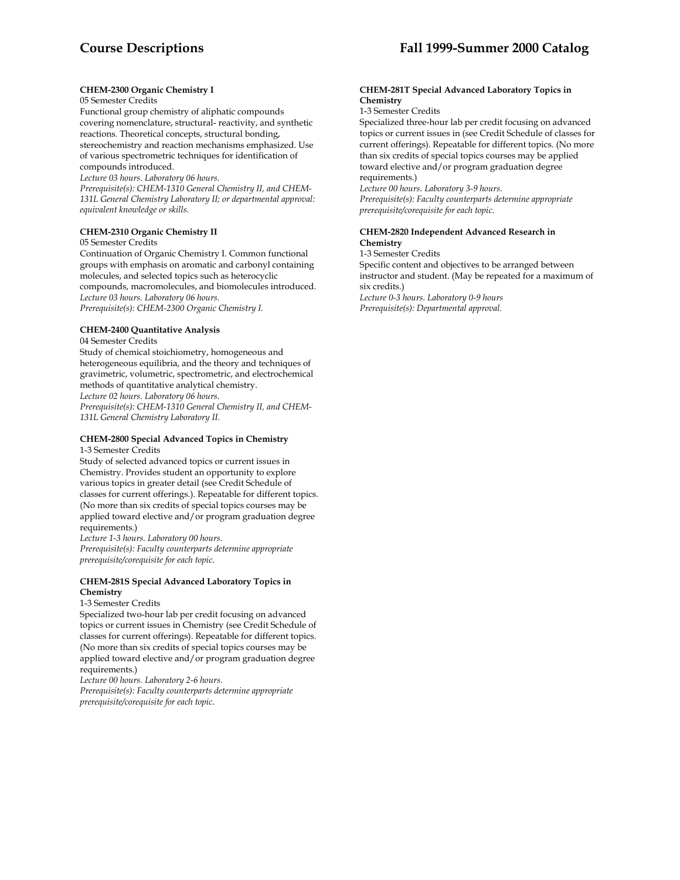### **CHEM-2300 Organic Chemistry I**

#### 05 Semester Credits

Functional group chemistry of aliphatic compounds covering nomenclature, structural- reactivity, and synthetic reactions. Theoretical concepts, structural bonding, stereochemistry and reaction mechanisms emphasized. Use of various spectrometric techniques for identification of compounds introduced.

*Lecture 03 hours. Laboratory 06 hours.* 

*Prerequisite(s): CHEM-1310 General Chemistry II, and CHEM-131L General Chemistry Laboratory II; or departmental approval: equivalent knowledge or skills.* 

### **CHEM-2310 Organic Chemistry II**

#### 05 Semester Credits

Continuation of Organic Chemistry I. Common functional groups with emphasis on aromatic and carbonyl containing molecules, and selected topics such as heterocyclic compounds, macromolecules, and biomolecules introduced. *Lecture 03 hours. Laboratory 06 hours. Prerequisite(s): CHEM-2300 Organic Chemistry I.* 

# **CHEM-2400 Quantitative Analysis**

04 Semester Credits Study of chemical stoichiometry, homogeneous and heterogeneous equilibria, and the theory and techniques of gravimetric, volumetric, spectrometric, and electrochemical methods of quantitative analytical chemistry. *Lecture 02 hours. Laboratory 06 hours.* 

*Prerequisite(s): CHEM-1310 General Chemistry II, and CHEM-131L General Chemistry Laboratory II.* 

#### **CHEM-2800 Special Advanced Topics in Chemistry**  1-3 Semester Credits

Study of selected advanced topics or current issues in Chemistry. Provides student an opportunity to explore various topics in greater detail (see Credit Schedule of classes for current offerings.). Repeatable for different topics. (No more than six credits of special topics courses may be applied toward elective and/or program graduation degree requirements.)

*Lecture 1-3 hours. Laboratory 00 hours. Prerequisite(s): Faculty counterparts determine appropriate prerequisite/corequisite for each topic.* 

### **CHEM-281S Special Advanced Laboratory Topics in Chemistry**

### 1-3 Semester Credits

Specialized two-hour lab per credit focusing on advanced topics or current issues in Chemistry (see Credit Schedule of classes for current offerings). Repeatable for different topics. (No more than six credits of special topics courses may be applied toward elective and/or program graduation degree requirements.)

*Lecture 00 hours. Laboratory 2-6 hours.* 

*Prerequisite(s): Faculty counterparts determine appropriate prerequisite/corequisite for each topic.* 

#### **CHEM-281T Special Advanced Laboratory Topics in Chemistry**

1-3 Semester Credits

Specialized three-hour lab per credit focusing on advanced topics or current issues in (see Credit Schedule of classes for current offerings). Repeatable for different topics. (No more than six credits of special topics courses may be applied toward elective and/or program graduation degree requirements.)

*Lecture 00 hours. Laboratory 3-9 hours.* 

*Prerequisite(s): Faculty counterparts determine appropriate prerequisite/corequisite for each topic*.

### **CHEM-2820 Independent Advanced Research in Chemistry**

1-3 Semester Credits

Specific content and objectives to be arranged between instructor and student. (May be repeated for a maximum of six credits.)

*Lecture 0-3 hours. Laboratory 0-9 hours Prerequisite(s): Departmental approval.*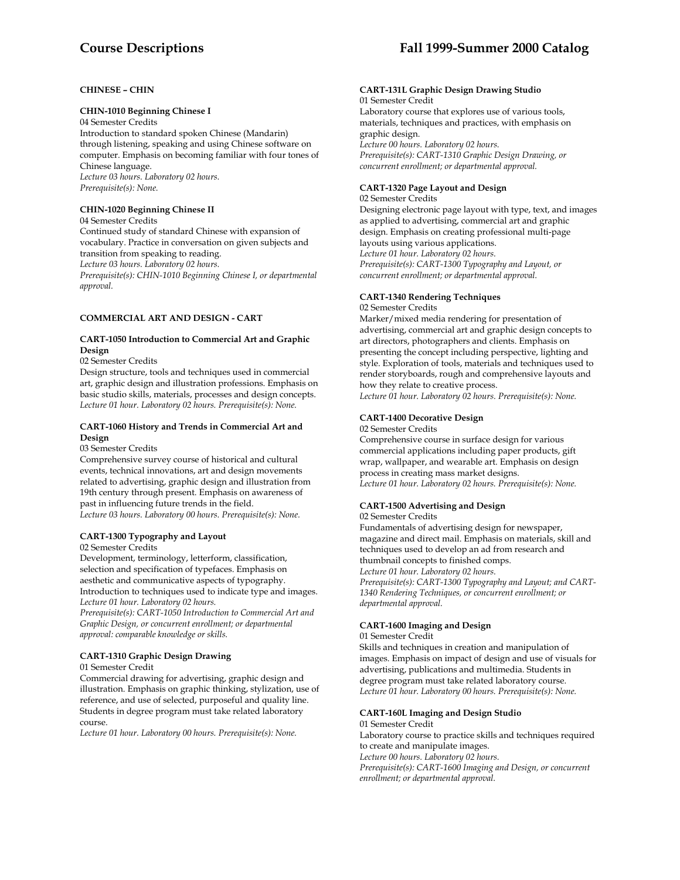### **CHINESE – CHIN**

#### **CHIN-1010 Beginning Chinese I**

04 Semester Credits

Introduction to standard spoken Chinese (Mandarin) through listening, speaking and using Chinese software on computer. Emphasis on becoming familiar with four tones of Chinese language. *Lecture 03 hours. Laboratory 02 hours. Prerequisite(s): None.* 

### **CHIN-1020 Beginning Chinese II**

04 Semester Credits

Continued study of standard Chinese with expansion of vocabulary. Practice in conversation on given subjects and transition from speaking to reading. *Lecture 03 hours. Laboratory 02 hours.* 

*Prerequisite(s): CHIN-1010 Beginning Chinese I, or departmental approval.* 

### **COMMERCIAL ART AND DESIGN - CART**

### **CART-1050 Introduction to Commercial Art and Graphic Design**

02 Semester Credits

Design structure, tools and techniques used in commercial art, graphic design and illustration professions. Emphasis on basic studio skills, materials, processes and design concepts. *Lecture 01 hour. Laboratory 02 hours. Prerequisite(s): None.* 

#### **CART-1060 History and Trends in Commercial Art and Design**

#### 03 Semester Credits

Comprehensive survey course of historical and cultural events, technical innovations, art and design movements related to advertising, graphic design and illustration from 19th century through present. Emphasis on awareness of past in influencing future trends in the field. *Lecture 03 hours. Laboratory 00 hours. Prerequisite(s): None.* 

# **CART-1300 Typography and Layout**

02 Semester Credits

Development, terminology, letterform, classification, selection and specification of typefaces. Emphasis on aesthetic and communicative aspects of typography. Introduction to techniques used to indicate type and images. *Lecture 01 hour. Laboratory 02 hours.* 

*Prerequisite(s): CART-1050 Introduction to Commercial Art and Graphic Design, or concurrent enrollment; or departmental approval: comparable knowledge or skills.* 

### **CART-1310 Graphic Design Drawing**

01 Semester Credit

Commercial drawing for advertising, graphic design and illustration. Emphasis on graphic thinking, stylization, use of reference, and use of selected, purposeful and quality line. Students in degree program must take related laboratory course.

*Lecture 01 hour. Laboratory 00 hours. Prerequisite(s): None.* 

#### **CART-131L Graphic Design Drawing Studio** 01 Semester Credit

Laboratory course that explores use of various tools, materials, techniques and practices, with emphasis on graphic design. *Lecture 00 hours. Laboratory 02 hours. Prerequisite(s): CART-1310 Graphic Design Drawing, or concurrent enrollment; or departmental approval.*

## **CART-1320 Page Layout and Design**

02 Semester Credits

Designing electronic page layout with type, text, and images as applied to advertising, commercial art and graphic design. Emphasis on creating professional multi-page layouts using various applications. *Lecture 01 hour. Laboratory 02 hours. Prerequisite(s): CART-1300 Typography and Layout, or concurrent enrollment; or departmental approval.* 

### **CART-1340 Rendering Techniques**

02 Semester Credits

Marker/mixed media rendering for presentation of advertising, commercial art and graphic design concepts to art directors, photographers and clients. Emphasis on presenting the concept including perspective, lighting and style. Exploration of tools, materials and techniques used to render storyboards, rough and comprehensive layouts and how they relate to creative process.

*Lecture 01 hour. Laboratory 02 hours. Prerequisite(s): None.* 

### **CART-1400 Decorative Design**

#### 02 Semester Credits

Comprehensive course in surface design for various commercial applications including paper products, gift wrap, wallpaper, and wearable art. Emphasis on design process in creating mass market designs. *Lecture 01 hour. Laboratory 02 hours. Prerequisite(s): None.* 

### **CART-1500 Advertising and Design**

02 Semester Credits

Fundamentals of advertising design for newspaper, magazine and direct mail. Emphasis on materials, skill and techniques used to develop an ad from research and thumbnail concepts to finished comps. *Lecture 01 hour. Laboratory 02 hours. Prerequisite(s): CART-1300 Typography and Layout; and CART-1340 Rendering Techniques, or concurrent enrollment; or departmental approval.* 

## **CART-1600 Imaging and Design**

01 Semester Credit

Skills and techniques in creation and manipulation of images. Emphasis on impact of design and use of visuals for advertising, publications and multimedia. Students in degree program must take related laboratory course. *Lecture 01 hour. Laboratory 00 hours. Prerequisite(s): None.* 

### **CART-160L Imaging and Design Studio**

01 Semester Credit

Laboratory course to practice skills and techniques required to create and manipulate images. *Lecture 00 hours. Laboratory 02 hours. Prerequisite(s): CART-1600 Imaging and Design, or concurrent enrollment; or departmental approval.*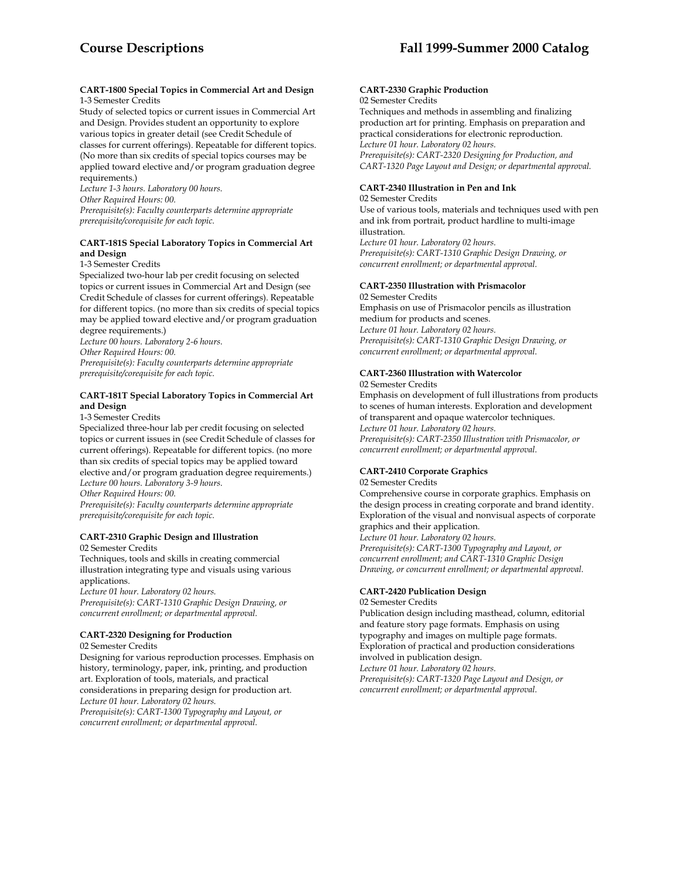#### **CART-1800 Special Topics in Commercial Art and Design**  1-3 Semester Credits

Study of selected topics or current issues in Commercial Art and Design. Provides student an opportunity to explore various topics in greater detail (see Credit Schedule of classes for current offerings). Repeatable for different topics. (No more than six credits of special topics courses may be applied toward elective and/or program graduation degree requirements.)

*Lecture 1-3 hours. Laboratory 00 hours. Other Required Hours: 00. Prerequisite(s): Faculty counterparts determine appropriate prerequisite/corequisite for each topic.* 

### **CART-181S Special Laboratory Topics in Commercial Art and Design**

1-3 Semester Credits

Specialized two-hour lab per credit focusing on selected topics or current issues in Commercial Art and Design (see Credit Schedule of classes for current offerings). Repeatable for different topics. (no more than six credits of special topics may be applied toward elective and/or program graduation degree requirements.)

*Lecture 00 hours. Laboratory 2-6 hours. Other Required Hours: 00.* 

*Prerequisite(s): Faculty counterparts determine appropriate prerequisite/corequisite for each topic.* 

### **CART-181T Special Laboratory Topics in Commercial Art and Design**

1-3 Semester Credits

Specialized three-hour lab per credit focusing on selected topics or current issues in (see Credit Schedule of classes for current offerings). Repeatable for different topics. (no more than six credits of special topics may be applied toward elective and/or program graduation degree requirements.) *Lecture 00 hours. Laboratory 3-9 hours. Other Required Hours: 00.* 

*Prerequisite(s): Faculty counterparts determine appropriate prerequisite/corequisite for each topic.* 

# **CART-2310 Graphic Design and Illustration**

02 Semester Credits

Techniques, tools and skills in creating commercial illustration integrating type and visuals using various applications.

*Lecture 01 hour. Laboratory 02 hours. Prerequisite(s): CART-1310 Graphic Design Drawing, or concurrent enrollment; or departmental approval.* 

### **CART-2320 Designing for Production**

02 Semester Credits

Designing for various reproduction processes. Emphasis on history, terminology, paper, ink, printing, and production art. Exploration of tools, materials, and practical considerations in preparing design for production art. *Lecture 01 hour. Laboratory 02 hours. Prerequisite(s): CART-1300 Typography and Layout, or concurrent enrollment; or departmental approval.* 

#### **CART-2330 Graphic Production**  02 Semester Credits

Techniques and methods in assembling and finalizing production art for printing. Emphasis on preparation and practical considerations for electronic reproduction. *Lecture 01 hour. Laboratory 02 hours. Prerequisite(s): CART-2320 Designing for Production, and CART-1320 Page Layout and Design; or departmental approval.* 

### **CART-2340 Illustration in Pen and Ink**

#### 02 Semester Credits

Use of various tools, materials and techniques used with pen and ink from portrait, product hardline to multi-image illustration.

*Lecture 01 hour. Laboratory 02 hours. Prerequisite(s): CART-1310 Graphic Design Drawing, or concurrent enrollment; or departmental approval.* 

### **CART-2350 Illustration with Prismacolor**

02 Semester Credits Emphasis on use of Prismacolor pencils as illustration medium for products and scenes. *Lecture 01 hour. Laboratory 02 hours. Prerequisite(s): CART-1310 Graphic Design Drawing, or concurrent enrollment; or departmental approval*.

### **CART-2360 Illustration with Watercolor**

02 Semester Credits

Emphasis on development of full illustrations from products to scenes of human interests. Exploration and development of transparent and opaque watercolor techniques. *Lecture 01 hour. Laboratory 02 hours. Prerequisite(s): CART-2350 Illustration with Prismacolor, or concurrent enrollment; or departmental approval.* 

### **CART-2410 Corporate Graphics**

### 02 Semester Credits

Comprehensive course in corporate graphics. Emphasis on the design process in creating corporate and brand identity. Exploration of the visual and nonvisual aspects of corporate graphics and their application.

*Lecture 01 hour. Laboratory 02 hours.* 

*Prerequisite(s): CART-1300 Typography and Layout, or concurrent enrollment; and CART-1310 Graphic Design Drawing, or concurrent enrollment; or departmental approval.* 

### **CART-2420 Publication Design**

#### 02 Semester Credits

Publication design including masthead, column, editorial and feature story page formats. Emphasis on using typography and images on multiple page formats. Exploration of practical and production considerations involved in publication design. *Lecture 01 hour. Laboratory 02 hours.* 

*Prerequisite(s): CART-1320 Page Layout and Design, or concurrent enrollment; or departmental approval.*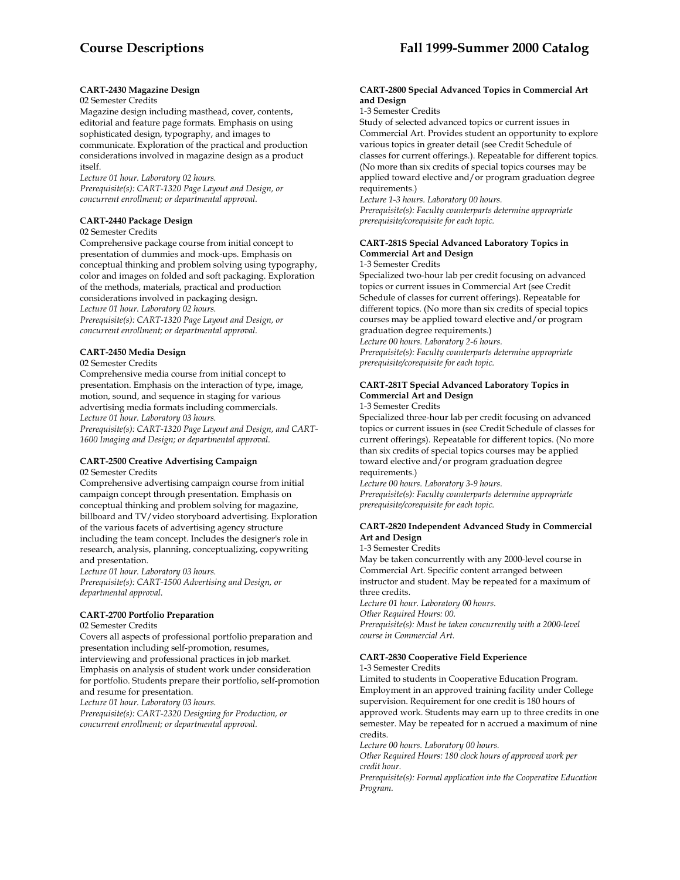# **Course Descriptions Fall 1999-Summer 2000 Catalog**

### **CART-2430 Magazine Design**

#### 02 Semester Credits

Magazine design including masthead, cover, contents, editorial and feature page formats. Emphasis on using sophisticated design, typography, and images to communicate. Exploration of the practical and production considerations involved in magazine design as a product itself.

*Lecture 01 hour. Laboratory 02 hours. Prerequisite(s): CART-1320 Page Layout and Design, or concurrent enrollment; or departmental approval.* 

### **CART-2440 Package Design**

### 02 Semester Credits

Comprehensive package course from initial concept to presentation of dummies and mock-ups. Emphasis on conceptual thinking and problem solving using typography, color and images on folded and soft packaging. Exploration of the methods, materials, practical and production considerations involved in packaging design. *Lecture 01 hour. Laboratory 02 hours. Prerequisite(s): CART-1320 Page Layout and Design, or concurrent enrollment; or departmental approval.* 

#### **CART-2450 Media Design**

#### 02 Semester Credits

Comprehensive media course from initial concept to presentation. Emphasis on the interaction of type, image, motion, sound, and sequence in staging for various advertising media formats including commercials. *Lecture 01 hour. Laboratory 03 hours.* 

*Prerequisite(s): CART-1320 Page Layout and Design, and CART-1600 Imaging and Design; or departmental approval.* 

### **CART-2500 Creative Advertising Campaign**

### 02 Semester Credits

Comprehensive advertising campaign course from initial campaign concept through presentation. Emphasis on conceptual thinking and problem solving for magazine, billboard and TV/video storyboard advertising. Exploration of the various facets of advertising agency structure including the team concept. Includes the designer's role in research, analysis, planning, conceptualizing, copywriting and presentation.

*Lecture 01 hour. Laboratory 03 hours. Prerequisite(s): CART-1500 Advertising and Design, or departmental approval.* 

#### **CART-2700 Portfolio Preparation**

#### 02 Semester Credits

Covers all aspects of professional portfolio preparation and presentation including self-promotion, resumes, interviewing and professional practices in job market. Emphasis on analysis of student work under consideration for portfolio. Students prepare their portfolio, self-promotion and resume for presentation.

*Lecture 01 hour. Laboratory 03 hours.* 

*Prerequisite(s): CART-2320 Designing for Production, or concurrent enrollment; or departmental approval.* 

#### **CART-2800 Special Advanced Topics in Commercial Art and Design**

#### 1-3 Semester Credits

Study of selected advanced topics or current issues in Commercial Art. Provides student an opportunity to explore various topics in greater detail (see Credit Schedule of classes for current offerings.). Repeatable for different topics. (No more than six credits of special topics courses may be applied toward elective and/or program graduation degree requirements.)

*Lecture 1-3 hours. Laboratory 00 hours. Prerequisite(s): Faculty counterparts determine appropriate prerequisite/corequisite for each topic.* 

### **CART-281S Special Advanced Laboratory Topics in Commercial Art and Design**

### 1-3 Semester Credits

Specialized two-hour lab per credit focusing on advanced topics or current issues in Commercial Art (see Credit Schedule of classes for current offerings). Repeatable for different topics. (No more than six credits of special topics courses may be applied toward elective and/or program graduation degree requirements.)

*Lecture 00 hours. Laboratory 2-6 hours.* 

*Prerequisite(s): Faculty counterparts determine appropriate prerequisite/corequisite for each topic.* 

### **CART-281T Special Advanced Laboratory Topics in Commercial Art and Design**

### 1-3 Semester Credits

Specialized three-hour lab per credit focusing on advanced topics or current issues in (see Credit Schedule of classes for current offerings). Repeatable for different topics. (No more than six credits of special topics courses may be applied toward elective and/or program graduation degree requirements.)

*Lecture 00 hours. Laboratory 3-9 hours. Prerequisite(s): Faculty counterparts determine appropriate prerequisite/corequisite for each topic.* 

### **CART-2820 Independent Advanced Study in Commercial Art and Design**

1-3 Semester Credits

May be taken concurrently with any 2000-level course in Commercial Art. Specific content arranged between instructor and student. May be repeated for a maximum of three credits.

*Lecture 01 hour. Laboratory 00 hours. Other Required Hours: 00. Prerequisite(s): Must be taken concurrently with a 2000-level* 

*course in Commercial Art.* 

### **CART-2830 Cooperative Field Experience**

#### 1-3 Semester Credits

Limited to students in Cooperative Education Program. Employment in an approved training facility under College supervision. Requirement for one credit is 180 hours of approved work. Students may earn up to three credits in one semester. May be repeated for n accrued a maximum of nine credits.

*Lecture 00 hours. Laboratory 00 hours.* 

*Other Required Hours: 180 clock hours of approved work per credit hour.* 

*Prerequisite(s): Formal application into the Cooperative Education Program.*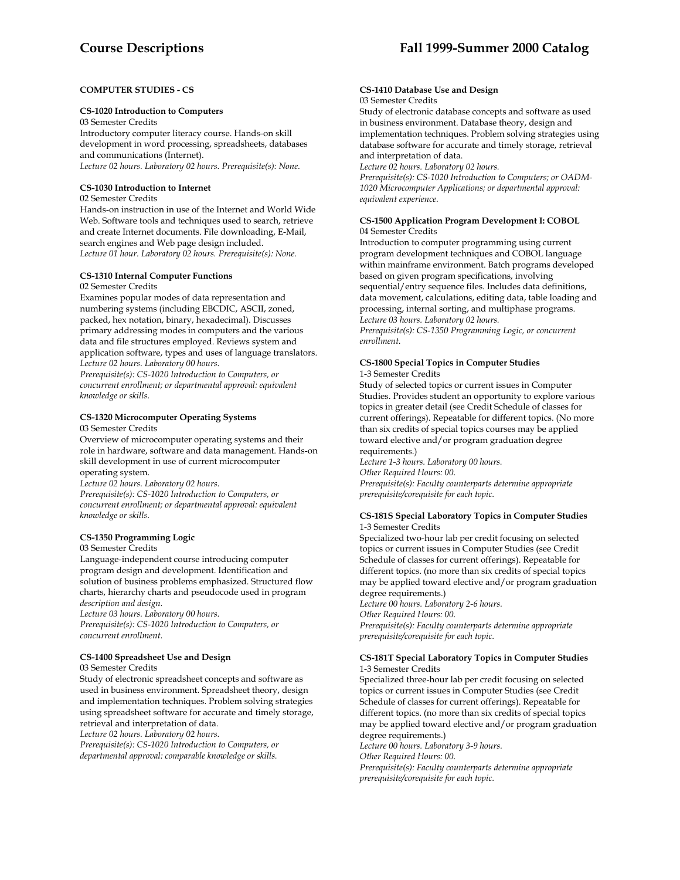### **COMPUTER STUDIES - CS**

#### **CS-1020 Introduction to Computers**

03 Semester Credits Introductory computer literacy course. Hands-on skill development in word processing, spreadsheets, databases and communications (Internet). *Lecture 02 hours. Laboratory 02 hours. Prerequisite(s): None.* 

### **CS-1030 Introduction to Internet**

#### 02 Semester Credits

Hands-on instruction in use of the Internet and World Wide Web. Software tools and techniques used to search, retrieve and create Internet documents. File downloading, E-Mail, search engines and Web page design included. *Lecture 01 hour. Laboratory 02 hours. Prerequisite(s): None.* 

### **CS-1310 Internal Computer Functions**

#### 02 Semester Credits

Examines popular modes of data representation and numbering systems (including EBCDIC, ASCII, zoned, packed, hex notation, binary, hexadecimal). Discusses primary addressing modes in computers and the various data and file structures employed. Reviews system and application software, types and uses of language translators. *Lecture 02 hours. Laboratory 00 hours.* 

*Prerequisite(s): CS-1020 Introduction to Computers, or concurrent enrollment; or departmental approval: equivalent knowledge or skills.* 

## **CS-1320 Microcomputer Operating Systems**

#### 03 Semester Credits

Overview of microcomputer operating systems and their role in hardware, software and data management. Hands-on skill development in use of current microcomputer operating system.

*Lecture 02 hours. Laboratory 02 hours. Prerequisite(s): CS-1020 Introduction to Computers, or concurrent enrollment; or departmental approval: equivalent knowledge or skills.* 

### **CS-1350 Programming Logic**

### 03 Semester Credits

Language-independent course introducing computer program design and development. Identification and solution of business problems emphasized. Structured flow charts, hierarchy charts and pseudocode used in program *description and design.* 

*Lecture 03 hours. Laboratory 00 hours. Prerequisite(s): CS-1020 Introduction to Computers, or concurrent enrollment.* 

### **CS-1400 Spreadsheet Use and Design**

#### 03 Semester Credits

Study of electronic spreadsheet concepts and software as used in business environment. Spreadsheet theory, design and implementation techniques. Problem solving strategies using spreadsheet software for accurate and timely storage, retrieval and interpretation of data.

*Lecture 02 hours. Laboratory 02 hours.* 

*Prerequisite(s): CS-1020 Introduction to Computers, or departmental approval: comparable knowledge or skills.* 

#### **CS-1410 Database Use and Design**  03 Semester Credits

Study of electronic database concepts and software as used in business environment. Database theory, design and implementation techniques. Problem solving strategies using database software for accurate and timely storage, retrieval and interpretation of data.

*Lecture 02 hours. Laboratory 02 hours.* 

*Prerequisite(s): CS-1020 Introduction to Computers; or OADM-1020 Microcomputer Applications; or departmental approval: equivalent experience.* 

#### **CS-1500 Application Program Development I: COBOL**  04 Semester Credits

Introduction to computer programming using current program development techniques and COBOL language within mainframe environment. Batch programs developed based on given program specifications, involving sequential/entry sequence files. Includes data definitions, data movement, calculations, editing data, table loading and processing, internal sorting, and multiphase programs. *Lecture 03 hours. Laboratory 02 hours. Prerequisite(s): CS-1350 Programming Logic, or concurrent enrollment.* 

### **CS-1800 Special Topics in Computer Studies**  1-3 Semester Credits

Study of selected topics or current issues in Computer Studies. Provides student an opportunity to explore various topics in greater detail (see Credit Schedule of classes for current offerings). Repeatable for different topics. (No more than six credits of special topics courses may be applied toward elective and/or program graduation degree requirements.)

*Lecture 1-3 hours. Laboratory 00 hours. Other Required Hours: 00. Prerequisite(s): Faculty counterparts determine appropriate prerequisite/corequisite for each topic.* 

### **CS-181S Special Laboratory Topics in Computer Studies**  1-3 Semester Credits

Specialized two-hour lab per credit focusing on selected topics or current issues in Computer Studies (see Credit Schedule of classes for current offerings). Repeatable for different topics. (no more than six credits of special topics may be applied toward elective and/or program graduation degree requirements.)

*Lecture 00 hours. Laboratory 2-6 hours. Other Required Hours: 00. Prerequisite(s): Faculty counterparts determine appropriate prerequisite/corequisite for each topic.* 

#### **CS-181T Special Laboratory Topics in Computer Studies**  1-3 Semester Credits

Specialized three-hour lab per credit focusing on selected topics or current issues in Computer Studies (see Credit Schedule of classes for current offerings). Repeatable for different topics. (no more than six credits of special topics may be applied toward elective and/or program graduation degree requirements.) *Lecture 00 hours. Laboratory 3-9 hours. Other Required Hours: 00. Prerequisite(s): Faculty counterparts determine appropriate prerequisite/corequisite for each topic.*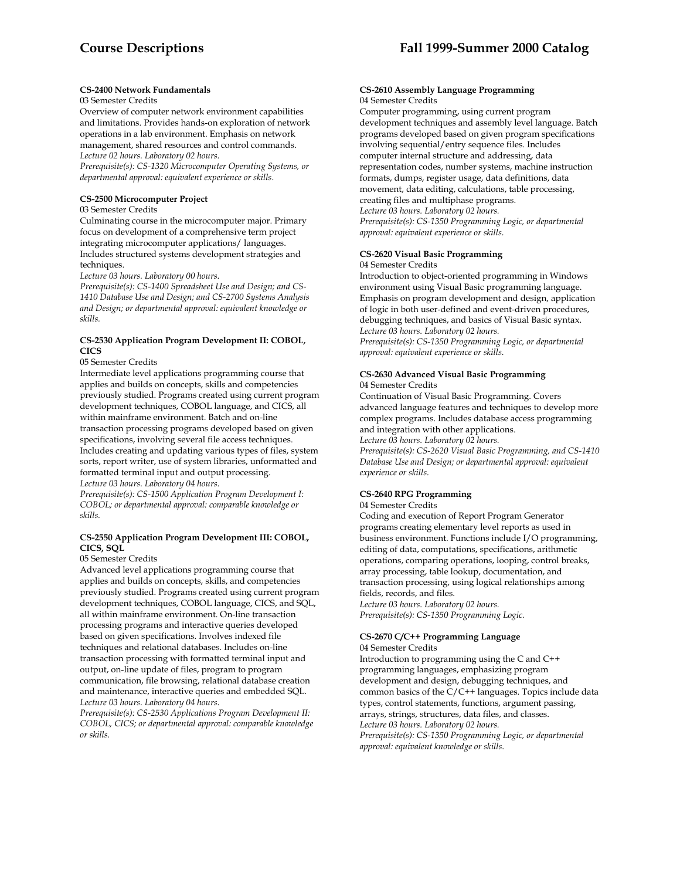#### **CS-2400 Network Fundamentals**

#### 03 Semester Credits

Overview of computer network environment capabilities and limitations. Provides hands-on exploration of network operations in a lab environment. Emphasis on network management, shared resources and control commands. *Lecture 02 hours. Laboratory 02 hours.* 

*Prerequisite(s): CS-1320 Microcomputer Operating Systems, or departmental approval: equivalent experience or skills*.

#### **CS-2500 Microcomputer Project**

#### 03 Semester Credits

Culminating course in the microcomputer major. Primary focus on development of a comprehensive term project integrating microcomputer applications/ languages. Includes structured systems development strategies and techniques.

*Lecture 03 hours. Laboratory 00 hours.* 

*Prerequisite(s): CS-1400 Spreadsheet Use and Design; and CS-1410 Database Use and Design; and CS-2700 Systems Analysis and Design; or departmental approval: equivalent knowledge or skills.* 

### **CS-2530 Application Program Development II: COBOL, CICS**

### 05 Semester Credits

Intermediate level applications programming course that applies and builds on concepts, skills and competencies previously studied. Programs created using current program development techniques, COBOL language, and CICS, all within mainframe environment. Batch and on-line transaction processing programs developed based on given specifications, involving several file access techniques. Includes creating and updating various types of files, system sorts, report writer, use of system libraries, unformatted and formatted terminal input and output processing. *Lecture 03 hours. Laboratory 04 hours.* 

*Prerequisite(s): CS-1500 Application Program Development I: COBOL; or departmental approval: comparable knowledge or skills.* 

### **CS-2550 Application Program Development III: COBOL, CICS, SQL**

#### 05 Semester Credits

Advanced level applications programming course that applies and builds on concepts, skills, and competencies previously studied. Programs created using current program development techniques, COBOL language, CICS, and SQL, all within mainframe environment. On-line transaction processing programs and interactive queries developed based on given specifications. Involves indexed file techniques and relational databases. Includes on-line transaction processing with formatted terminal input and output, on-line update of files, program to program communication, file browsing, relational database creation and maintenance, interactive queries and embedded SQL. *Lecture 03 hours. Laboratory 04 hours.* 

*Prerequisite(s): CS-2530 Applications Program Development II: COBOL, CICS; or departmental approval: comparable knowledge or skills.* 

#### **CS-2610 Assembly Language Programming**  04 Semester Credits

Computer programming, using current program development techniques and assembly level language. Batch programs developed based on given program specifications involving sequential/entry sequence files. Includes computer internal structure and addressing, data representation codes, number systems, machine instruction formats, dumps, register usage, data definitions, data movement, data editing, calculations, table processing, creating files and multiphase programs. *Lecture 03 hours. Laboratory 02 hours. Prerequisite(s): CS-1350 Programming Logic, or departmental approval: equivalent experience or skills.* 

#### **CS-2620 Visual Basic Programming**  04 Semester Credits

Introduction to object-oriented programming in Windows environment using Visual Basic programming language. Emphasis on program development and design, application of logic in both user-defined and event-driven procedures, debugging techniques, and basics of Visual Basic syntax. *Lecture 03 hours. Laboratory 02 hours.* 

*Prerequisite(s): CS-1350 Programming Logic, or departmental approval: equivalent experience or skills.* 

# **CS-2630 Advanced Visual Basic Programming**

### 04 Semester Credits

Continuation of Visual Basic Programming. Covers advanced language features and techniques to develop more complex programs. Includes database access programming and integration with other applications.

*Lecture 03 hours. Laboratory 02 hours.* 

*Prerequisite(s): CS-2620 Visual Basic Programming, and CS-1410 Database Use and Design; or departmental approval: equivalent experience or skills.* 

### **CS-2640 RPG Programming**

#### 04 Semester Credits

Coding and execution of Report Program Generator programs creating elementary level reports as used in business environment. Functions include I/O programming, editing of data, computations, specifications, arithmetic operations, comparing operations, looping, control breaks, array processing, table lookup, documentation, and transaction processing, using logical relationships among fields, records, and files. *Lecture 03 hours. Laboratory 02 hours.* 

*Prerequisite(s): CS-1350 Programming Logic.* 

### **CS-2670 C/C++ Programming Language**

04 Semester Credits

Introduction to programming using the C and C++ programming languages, emphasizing program development and design, debugging techniques, and common basics of the C/C++ languages. Topics include data types, control statements, functions, argument passing, arrays, strings, structures, data files, and classes. *Lecture 03 hours. Laboratory 02 hours. Prerequisite(s): CS-1350 Programming Logic, or departmental approval: equivalent knowledge or skills.*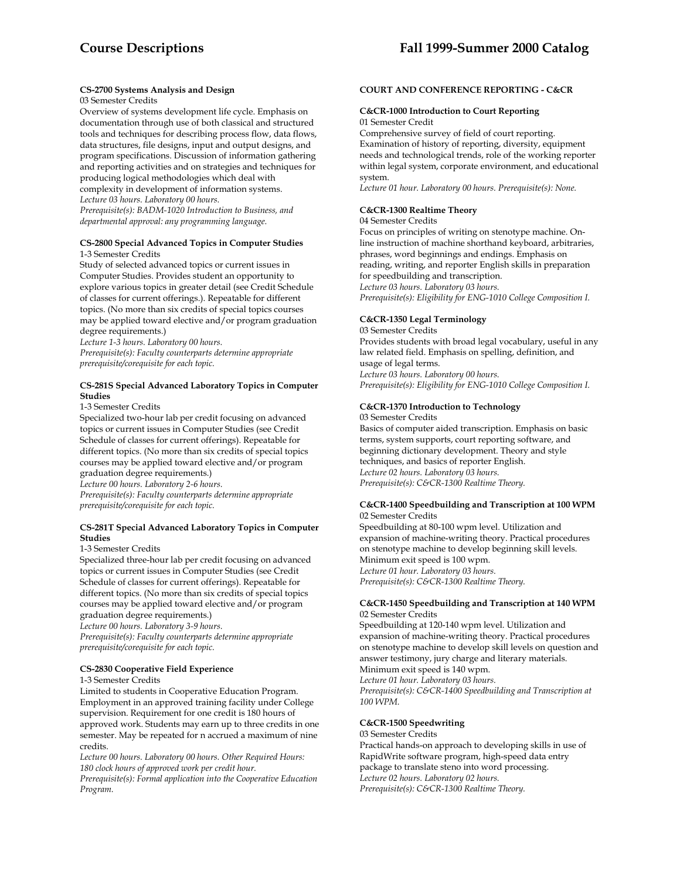### **CS-2700 Systems Analysis and Design**

### 03 Semester Credits

Overview of systems development life cycle. Emphasis on documentation through use of both classical and structured tools and techniques for describing process flow, data flows, data structures, file designs, input and output designs, and program specifications. Discussion of information gathering and reporting activities and on strategies and techniques for producing logical methodologies which deal with complexity in development of information systems. *Lecture 03 hours. Laboratory 00 hours. Prerequisite(s): BADM-1020 Introduction to Business, and departmental approval: any programming language.* 

### **CS-2800 Special Advanced Topics in Computer Studies**  1-3 Semester Credits

Study of selected advanced topics or current issues in Computer Studies. Provides student an opportunity to explore various topics in greater detail (see Credit Schedule of classes for current offerings.). Repeatable for different topics. (No more than six credits of special topics courses may be applied toward elective and/or program graduation degree requirements.)

*Lecture 1-3 hours. Laboratory 00 hours. Prerequisite(s): Faculty counterparts determine appropriate prerequisite/corequisite for each topic.* 

### **CS-281S Special Advanced Laboratory Topics in Computer Studies**

#### 1-3 Semester Credits

Specialized two-hour lab per credit focusing on advanced topics or current issues in Computer Studies (see Credit Schedule of classes for current offerings). Repeatable for different topics. (No more than six credits of special topics courses may be applied toward elective and/or program graduation degree requirements.) *Lecture 00 hours. Laboratory 2-6 hours.* 

*Prerequisite(s): Faculty counterparts determine appropriate prerequisite/corequisite for each topic.* 

### **CS-281T Special Advanced Laboratory Topics in Computer Studies**

### 1-3 Semester Credits

Specialized three-hour lab per credit focusing on advanced topics or current issues in Computer Studies (see Credit Schedule of classes for current offerings). Repeatable for different topics. (No more than six credits of special topics courses may be applied toward elective and/or program graduation degree requirements.)

*Lecture 00 hours. Laboratory 3-9 hours.* 

*Prerequisite(s): Faculty counterparts determine appropriate prerequisite/corequisite for each topic.* 

### **CS-2830 Cooperative Field Experience**

1-3 Semester Credits

Limited to students in Cooperative Education Program. Employment in an approved training facility under College supervision. Requirement for one credit is 180 hours of approved work. Students may earn up to three credits in one semester. May be repeated for n accrued a maximum of nine credits.

*Lecture 00 hours. Laboratory 00 hours. Other Required Hours: 180 clock hours of approved work per credit hour.* 

*Prerequisite(s): Formal application into the Cooperative Education Program.* 

### **COURT AND CONFERENCE REPORTING - C&CR**

### **C&CR-1000 Introduction to Court Reporting**  01 Semester Credit

Comprehensive survey of field of court reporting. Examination of history of reporting, diversity, equipment needs and technological trends, role of the working reporter within legal system, corporate environment, and educational system.

*Lecture 01 hour. Laboratory 00 hours. Prerequisite(s): None.* 

### **C&CR-1300 Realtime Theory**

04 Semester Credits

Focus on principles of writing on stenotype machine. Online instruction of machine shorthand keyboard, arbitraries, phrases, word beginnings and endings. Emphasis on reading, writing, and reporter English skills in preparation for speedbuilding and transcription. *Lecture 03 hours. Laboratory 03 hours. Prerequisite(s): Eligibility for ENG-1010 College Composition I.* 

### **C&CR-1350 Legal Terminology**

03 Semester Credits Provides students with broad legal vocabulary, useful in any law related field. Emphasis on spelling, definition, and usage of legal terms. *Lecture 03 hours. Laboratory 00 hours. Prerequisite(s): Eligibility for ENG-1010 College Composition I.* 

# **C&CR-1370 Introduction to Technology**

03 Semester Credits

Basics of computer aided transcription. Emphasis on basic terms, system supports, court reporting software, and beginning dictionary development. Theory and style techniques, and basics of reporter English. *Lecture 02 hours. Laboratory 03 hours. Prerequisite(s): C&CR-1300 Realtime Theory.* 

#### **C&CR-1400 Speedbuilding and Transcription at 100 WPM**  02 Semester Credits

Speedbuilding at 80-100 wpm level. Utilization and expansion of machine-writing theory. Practical procedures on stenotype machine to develop beginning skill levels. Minimum exit speed is 100 wpm. *Lecture 01 hour. Laboratory 03 hours. Prerequisite(s): C&CR-1300 Realtime Theory.* 

#### **C&CR-1450 Speedbuilding and Transcription at 140 WPM**  02 Semester Credits

Speedbuilding at 120-140 wpm level. Utilization and expansion of machine-writing theory. Practical procedures on stenotype machine to develop skill levels on question and answer testimony, jury charge and literary materials. Minimum exit speed is 140 wpm. *Lecture 01 hour. Laboratory 03 hours. Prerequisite(s): C&CR-1400 Speedbuilding and Transcription at 100 WPM.* 

### **C&CR-1500 Speedwriting**

03 Semester Credits Practical hands-on approach to developing skills in use of RapidWrite software program, high-speed data entry package to translate steno into word processing. *Lecture 02 hours. Laboratory 02 hours. Prerequisite(s): C&CR-1300 Realtime Theory.*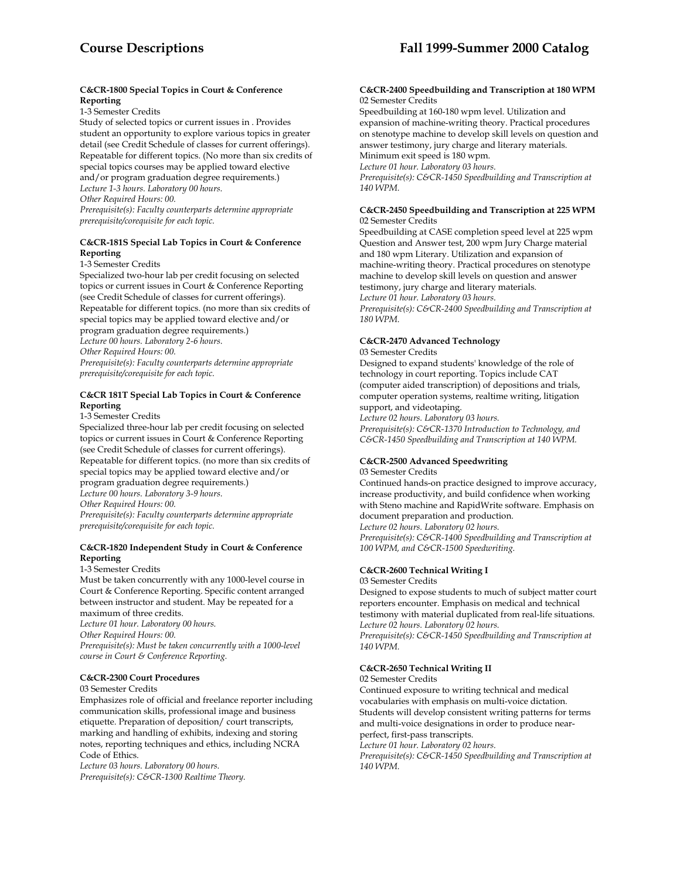### **C&CR-1800 Special Topics in Court & Conference Reporting**

1-3 Semester Credits

Study of selected topics or current issues in . Provides student an opportunity to explore various topics in greater detail (see Credit Schedule of classes for current offerings). Repeatable for different topics. (No more than six credits of special topics courses may be applied toward elective and/or program graduation degree requirements.) *Lecture 1-3 hours. Laboratory 00 hours. Other Required Hours: 00. Prerequisite(s): Faculty counterparts determine appropriate prerequisite/corequisite for each topic.* 

### **C&CR-181S Special Lab Topics in Court & Conference Reporting**

1-3 Semester Credits

Specialized two-hour lab per credit focusing on selected topics or current issues in Court & Conference Reporting (see Credit Schedule of classes for current offerings). Repeatable for different topics. (no more than six credits of special topics may be applied toward elective and/or program graduation degree requirements.) *Lecture 00 hours. Laboratory 2-6 hours. Other Required Hours: 00. Prerequisite(s): Faculty counterparts determine appropriate prerequisite/corequisite for each topic.* 

### **C&CR 181T Special Lab Topics in Court & Conference Reporting**

#### 1-3 Semester Credits

Specialized three-hour lab per credit focusing on selected topics or current issues in Court & Conference Reporting (see Credit Schedule of classes for current offerings). Repeatable for different topics. (no more than six credits of special topics may be applied toward elective and/or program graduation degree requirements.) *Lecture 00 hours. Laboratory 3-9 hours. Other Required Hours: 00. Prerequisite(s): Faculty counterparts determine appropriate prerequisite/corequisite for each topic.* 

### **C&CR-1820 Independent Study in Court & Conference Reporting**

#### 1-3 Semester Credits

Must be taken concurrently with any 1000-level course in Court & Conference Reporting. Specific content arranged between instructor and student. May be repeated for a maximum of three credits.

*Lecture 01 hour. Laboratory 00 hours.* 

*Other Required Hours: 00.* 

*Prerequisite(s): Must be taken concurrently with a 1000-level course in Court & Conference Reporting.* 

### **C&CR-2300 Court Procedures**

03 Semester Credits

Emphasizes role of official and freelance reporter including communication skills, professional image and business etiquette. Preparation of deposition/ court transcripts, marking and handling of exhibits, indexing and storing notes, reporting techniques and ethics, including NCRA Code of Ethics.

*Lecture 03 hours. Laboratory 00 hours. Prerequisite(s): C&CR-1300 Realtime Theory.* 

#### **C&CR-2400 Speedbuilding and Transcription at 180 WPM**  02 Semester Credits

Speedbuilding at 160-180 wpm level. Utilization and expansion of machine-writing theory. Practical procedures on stenotype machine to develop skill levels on question and answer testimony, jury charge and literary materials. Minimum exit speed is 180 wpm. *Lecture 01 hour. Laboratory 03 hours.* 

*Prerequisite(s): C&CR-1450 Speedbuilding and Transcription at 140 WPM.* 

#### **C&CR-2450 Speedbuilding and Transcription at 225 WPM**  02 Semester Credits

Speedbuilding at CASE completion speed level at 225 wpm Question and Answer test, 200 wpm Jury Charge material and 180 wpm Literary. Utilization and expansion of machine-writing theory. Practical procedures on stenotype machine to develop skill levels on question and answer testimony, jury charge and literary materials. *Lecture 01 hour. Laboratory 03 hours. Prerequisite(s): C&CR-2400 Speedbuilding and Transcription at 180 WPM.* 

### **C&CR-2470 Advanced Technology**

#### 03 Semester Credits

Designed to expand students' knowledge of the role of technology in court reporting. Topics include CAT (computer aided transcription) of depositions and trials, computer operation systems, realtime writing, litigation support, and videotaping.

*Lecture 02 hours. Laboratory 03 hours.* 

*Prerequisite(s): C&CR-1370 Introduction to Technology, and C&CR-1450 Speedbuilding and Transcription at 140 WPM.* 

# **C&CR-2500 Advanced Speedwriting**

03 Semester Credits

Continued hands-on practice designed to improve accuracy, increase productivity, and build confidence when working with Steno machine and RapidWrite software. Emphasis on document preparation and production.

*Lecture 02 hours. Laboratory 02 hours. Prerequisite(s): C&CR-1400 Speedbuilding and Transcription at 100 WPM, and C&CR-1500 Speedwriting.* 

### **C&CR-2600 Technical Writing I**

03 Semester Credits

Designed to expose students to much of subject matter court reporters encounter. Emphasis on medical and technical testimony with material duplicated from real-life situations. *Lecture 02 hours. Laboratory 02 hours. Prerequisite(s): C&CR-1450 Speedbuilding and Transcription at 140 WPM.* 

### **C&CR-2650 Technical Writing II**

02 Semester Credits

Continued exposure to writing technical and medical vocabularies with emphasis on multi-voice dictation. Students will develop consistent writing patterns for terms and multi-voice designations in order to produce nearperfect, first-pass transcripts. *Lecture 01 hour. Laboratory 02 hours.* 

*Prerequisite(s): C&CR-1450 Speedbuilding and Transcription at 140 WPM.*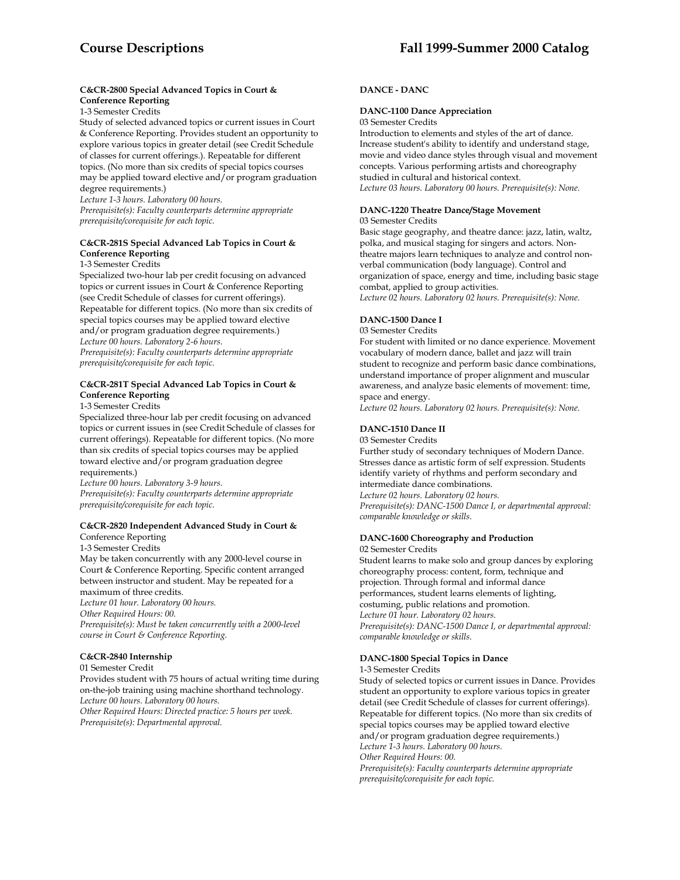### **C&CR-2800 Special Advanced Topics in Court & Conference Reporting**

1-3 Semester Credits

Study of selected advanced topics or current issues in Court & Conference Reporting. Provides student an opportunity to explore various topics in greater detail (see Credit Schedule of classes for current offerings.). Repeatable for different topics. (No more than six credits of special topics courses may be applied toward elective and/or program graduation degree requirements.)

*Lecture 1-3 hours. Laboratory 00 hours. Prerequisite(s): Faculty counterparts determine appropriate prerequisite/corequisite for each topic.* 

### **C&CR-281S Special Advanced Lab Topics in Court & Conference Reporting**

1-3 Semester Credits

Specialized two-hour lab per credit focusing on advanced topics or current issues in Court & Conference Reporting (see Credit Schedule of classes for current offerings). Repeatable for different topics. (No more than six credits of special topics courses may be applied toward elective and/or program graduation degree requirements.) *Lecture 00 hours. Laboratory 2-6 hours. Prerequisite(s): Faculty counterparts determine appropriate prerequisite/corequisite for each topic.* 

### **C&CR-281T Special Advanced Lab Topics in Court & Conference Reporting**

1-3 Semester Credits

Specialized three-hour lab per credit focusing on advanced topics or current issues in (see Credit Schedule of classes for current offerings). Repeatable for different topics. (No more than six credits of special topics courses may be applied toward elective and/or program graduation degree requirements.)

*Lecture 00 hours. Laboratory 3-9 hours. Prerequisite(s): Faculty counterparts determine appropriate prerequisite/corequisite for each topic.* 

### **C&CR-2820 Independent Advanced Study in Court &**

Conference Reporting

1-3 Semester Credits

May be taken concurrently with any 2000-level course in Court & Conference Reporting. Specific content arranged between instructor and student. May be repeated for a maximum of three credits. *Lecture 01 hour. Laboratory 00 hours.* 

*Other Required Hours: 00.* 

*Prerequisite(s): Must be taken concurrently with a 2000-level course in Court & Conference Reporting.* 

### **C&CR-2840 Internship**

01 Semester Credit Provides student with 75 hours of actual writing time during on-the-job training using machine shorthand technology. *Lecture 00 hours. Laboratory 00 hours. Other Required Hours: Directed practice: 5 hours per week.* 

*Prerequisite(s): Departmental approval.* 

### **DANCE - DANC**

### **DANC-1100 Dance Appreciation**

03 Semester Credits

Introduction to elements and styles of the art of dance. Increase student's ability to identify and understand stage, movie and video dance styles through visual and movement concepts. Various performing artists and choreography studied in cultural and historical context. *Lecture 03 hours. Laboratory 00 hours. Prerequisite(s): None.* 

### **DANC-1220 Theatre Dance/Stage Movement**

03 Semester Credits

Basic stage geography, and theatre dance: jazz, latin, waltz, polka, and musical staging for singers and actors. Nontheatre majors learn techniques to analyze and control nonverbal communication (body language). Control and organization of space, energy and time, including basic stage combat, applied to group activities. *Lecture 02 hours. Laboratory 02 hours. Prerequisite(s): None.* 

### **DANC-1500 Dance I**

03 Semester Credits

For student with limited or no dance experience. Movement vocabulary of modern dance, ballet and jazz will train student to recognize and perform basic dance combinations, understand importance of proper alignment and muscular awareness, and analyze basic elements of movement: time, space and energy.

*Lecture 02 hours. Laboratory 02 hours. Prerequisite(s): None.* 

### **DANC-1510 Dance II**

03 Semester Credits

Further study of secondary techniques of Modern Dance. Stresses dance as artistic form of self expression. Students identify variety of rhythms and perform secondary and intermediate dance combinations. *Lecture 02 hours. Laboratory 02 hours. Prerequisite(s): DANC-1500 Dance I, or departmental approval: comparable knowledge or skills.* 

### **DANC-1600 Choreography and Production**

02 Semester Credits Student learns to make solo and group dances by exploring choreography process: content, form, technique and projection. Through formal and informal dance performances, student learns elements of lighting, costuming, public relations and promotion. *Lecture 01 hour. Laboratory 02 hours. Prerequisite(s): DANC-1500 Dance I, or departmental approval: comparable knowledge or skills.* 

# **DANC-1800 Special Topics in Dance**

1-3 Semester Credits

Study of selected topics or current issues in Dance. Provides student an opportunity to explore various topics in greater detail (see Credit Schedule of classes for current offerings). Repeatable for different topics. (No more than six credits of special topics courses may be applied toward elective and/or program graduation degree requirements.) *Lecture 1-3 hours. Laboratory 00 hours. Other Required Hours: 00. Prerequisite(s): Faculty counterparts determine appropriate prerequisite/corequisite for each topic.*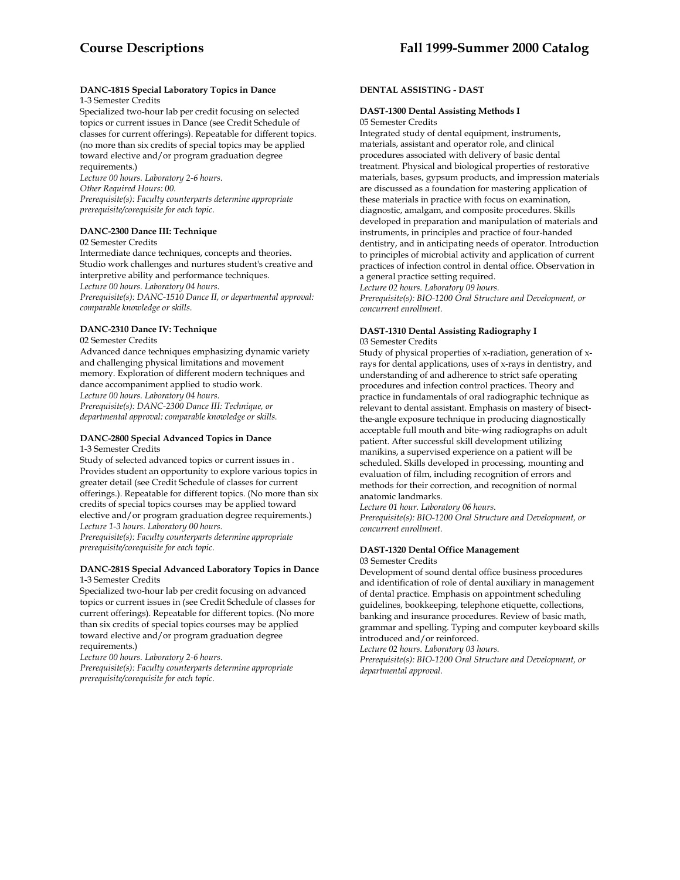#### **DANC-181S Special Laboratory Topics in Dance**  1-3 Semester Credits

Specialized two-hour lab per credit focusing on selected topics or current issues in Dance (see Credit Schedule of classes for current offerings). Repeatable for different topics. (no more than six credits of special topics may be applied toward elective and/or program graduation degree requirements.)

*Lecture 00 hours. Laboratory 2-6 hours. Other Required Hours: 00. Prerequisite(s): Faculty counterparts determine appropriate prerequisite/corequisite for each topic.* 

### **DANC-2300 Dance III: Technique**

02 Semester Credits

Intermediate dance techniques, concepts and theories. Studio work challenges and nurtures student's creative and interpretive ability and performance techniques. *Lecture 00 hours. Laboratory 04 hours. Prerequisite(s): DANC-1510 Dance II, or departmental approval: comparable knowledge or skills.* 

# **DANC-2310 Dance IV: Technique**

02 Semester Credits

Advanced dance techniques emphasizing dynamic variety and challenging physical limitations and movement memory. Exploration of different modern techniques and dance accompaniment applied to studio work. *Lecture 00 hours. Laboratory 04 hours. Prerequisite(s): DANC-2300 Dance III: Technique, or departmental approval: comparable knowledge or skills.* 

#### **DANC-2800 Special Advanced Topics in Dance**  1-3 Semester Credits

Study of selected advanced topics or current issues in . Provides student an opportunity to explore various topics in greater detail (see Credit Schedule of classes for current offerings.). Repeatable for different topics. (No more than six credits of special topics courses may be applied toward elective and/or program graduation degree requirements.) *Lecture 1-3 hours. Laboratory 00 hours. Prerequisite(s): Faculty counterparts determine appropriate prerequisite/corequisite for each topic.* 

### **DANC-281S Special Advanced Laboratory Topics in Dance**  1-3 Semester Credits

Specialized two-hour lab per credit focusing on advanced topics or current issues in (see Credit Schedule of classes for current offerings). Repeatable for different topics. (No more than six credits of special topics courses may be applied toward elective and/or program graduation degree requirements.)

*Lecture 00 hours. Laboratory 2-6 hours. Prerequisite(s): Faculty counterparts determine appropriate prerequisite/corequisite for each topic.* 

### **DENTAL ASSISTING - DAST**

### **DAST-1300 Dental Assisting Methods I**  05 Semester Credits

Integrated study of dental equipment, instruments, materials, assistant and operator role, and clinical procedures associated with delivery of basic dental treatment. Physical and biological properties of restorative materials, bases, gypsum products, and impression materials are discussed as a foundation for mastering application of these materials in practice with focus on examination, diagnostic, amalgam, and composite procedures. Skills developed in preparation and manipulation of materials and instruments, in principles and practice of four-handed dentistry, and in anticipating needs of operator. Introduction to principles of microbial activity and application of current practices of infection control in dental office. Observation in a general practice setting required.

*Lecture 02 hours. Laboratory 09 hours.* 

*Prerequisite(s): BIO-1200 Oral Structure and Development, or concurrent enrollment.* 

#### **DAST-1310 Dental Assisting Radiography I**  03 Semester Credits

Study of physical properties of x-radiation, generation of xrays for dental applications, uses of x-rays in dentistry, and understanding of and adherence to strict safe operating procedures and infection control practices. Theory and practice in fundamentals of oral radiographic technique as relevant to dental assistant. Emphasis on mastery of bisectthe-angle exposure technique in producing diagnostically acceptable full mouth and bite-wing radiographs on adult patient. After successful skill development utilizing manikins, a supervised experience on a patient will be scheduled. Skills developed in processing, mounting and evaluation of film, including recognition of errors and methods for their correction, and recognition of normal anatomic landmarks.

*Lecture 01 hour. Laboratory 06 hours.* 

*Prerequisite(s): BIO-1200 Oral Structure and Development, or concurrent enrollment.* 

#### **DAST-1320 Dental Office Management** 03 Semester Credits

Development of sound dental office business procedures and identification of role of dental auxiliary in management of dental practice. Emphasis on appointment scheduling guidelines, bookkeeping, telephone etiquette, collections, banking and insurance procedures. Review of basic math, grammar and spelling. Typing and computer keyboard skills introduced and/or reinforced.

*Lecture 02 hours. Laboratory 03 hours.* 

*Prerequisite(s): BIO-1200 Oral Structure and Development, or departmental approval.*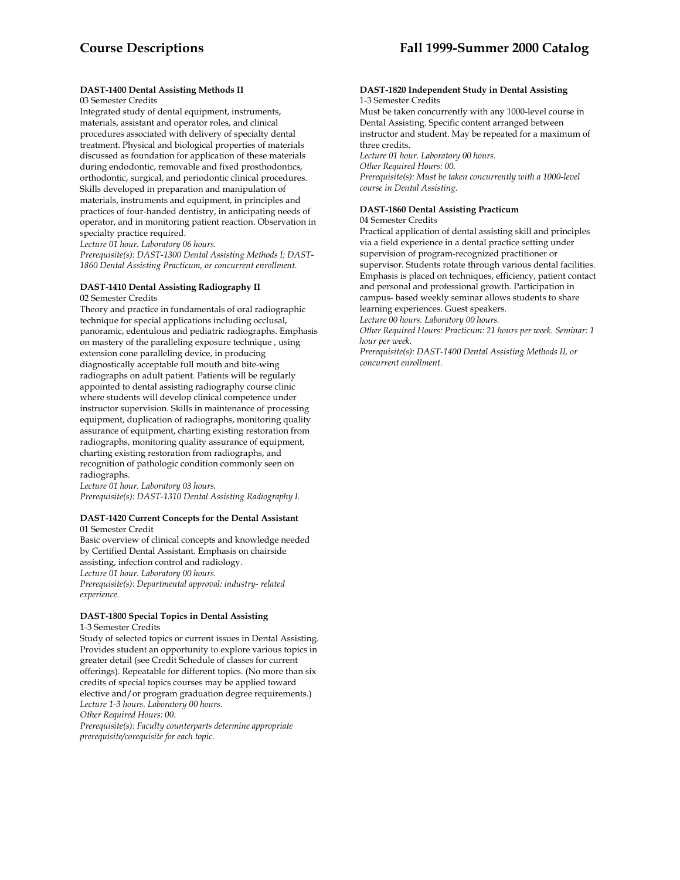## **DAST-1400 Dental Assisting Methods II**

### 03 Semester Credits

Integrated study of dental equipment, instruments, materials, assistant and operator roles, and clinical procedures associated with delivery of specialty dental treatment. Physical and biological properties of materials discussed as foundation for application of these materials during endodontic, removable and fixed prosthodontics, orthodontic, surgical, and periodontic clinical procedures. Skills developed in preparation and manipulation of materials, instruments and equipment, in principles and practices of four-handed dentistry, in anticipating needs of operator, and in monitoring patient reaction. Observation in specialty practice required.

*Lecture 01 hour. Laboratory 06 hours.* 

*Prerequisite(s): DAST-1300 Dental Assisting Methods I; DAST-1860 Dental Assisting Practicum, or concurrent enrollment.* 

### **DAST-1410 Dental Assisting Radiography II**

02 Semester Credits

Theory and practice in fundamentals of oral radiographic technique for special applications including occlusal, panoramic, edentulous and pediatric radiographs. Emphasis on mastery of the paralleling exposure technique , using extension cone paralleling device, in producing diagnostically acceptable full mouth and bite-wing radiographs on adult patient. Patients will be regularly appointed to dental assisting radiography course clinic where students will develop clinical competence under instructor supervision. Skills in maintenance of processing equipment, duplication of radiographs, monitoring quality assurance of equipment, charting existing restoration from radiographs, monitoring quality assurance of equipment, charting existing restoration from radiographs, and recognition of pathologic condition commonly seen on radiographs.

*Lecture 01 hour. Laboratory 03 hours. Prerequisite(s): DAST-1310 Dental Assisting Radiography I.*

#### **DAST-1420 Current Concepts for the Dental Assistant** 01 Semester Credit

Basic overview of clinical concepts and knowledge needed by Certified Dental Assistant. Emphasis on chairside assisting, infection control and radiology. *Lecture 01 hour. Laboratory 00 hours. Prerequisite(s): Departmental approval: industry- related experience.* 

### **DAST-1800 Special Topics in Dental Assisting**

1-3 Semester Credits

Study of selected topics or current issues in Dental Assisting. Provides student an opportunity to explore various topics in greater detail (see Credit Schedule of classes for current offerings). Repeatable for different topics. (No more than six credits of special topics courses may be applied toward elective and/or program graduation degree requirements.) *Lecture 1-3 hours. Laboratory 00 hours. Other Required Hours: 00. Prerequisite(s): Faculty counterparts determine appropriate prerequisite/corequisite for each topic.* 

#### **DAST-1820 Independent Study in Dental Assisting**  1-3 Semester Credits

Must be taken concurrently with any 1000-level course in Dental Assisting. Specific content arranged between instructor and student. May be repeated for a maximum of three credits. *Lecture 01 hour. Laboratory 00 hours. Other Required Hours: 00.* 

*Prerequisite(s): Must be taken concurrently with a 1000-level course in Dental Assisting.* 

## **DAST-1860 Dental Assisting Practicum**

04 Semester Credits

Practical application of dental assisting skill and principles via a field experience in a dental practice setting under supervision of program-recognized practitioner or supervisor. Students rotate through various dental facilities. Emphasis is placed on techniques, efficiency, patient contact and personal and professional growth. Participation in campus- based weekly seminar allows students to share learning experiences. Guest speakers.

*Lecture 00 hours. Laboratory 00 hours.* 

*Other Required Hours: Practicum: 21 hours per week. Seminar: 1 hour per week.* 

*Prerequisite(s): DAST-1400 Dental Assisting Methods II, or concurrent enrollment.*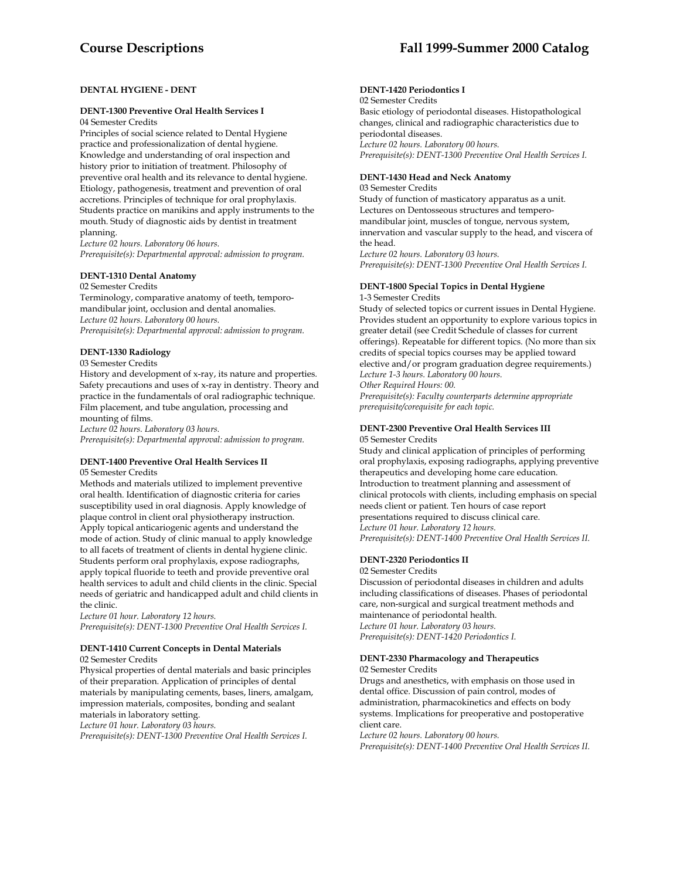### **DENTAL HYGIENE - DENT**

# **DENT-1300 Preventive Oral Health Services I**

04 Semester Credits

Principles of social science related to Dental Hygiene practice and professionalization of dental hygiene. Knowledge and understanding of oral inspection and history prior to initiation of treatment. Philosophy of preventive oral health and its relevance to dental hygiene. Etiology, pathogenesis, treatment and prevention of oral accretions. Principles of technique for oral prophylaxis. Students practice on manikins and apply instruments to the mouth. Study of diagnostic aids by dentist in treatment planning.

*Lecture 02 hours. Laboratory 06 hours. Prerequisite(s): Departmental approval: admission to program.* 

### **DENT-1310 Dental Anatomy**

#### 02 Semester Credits

Terminology, comparative anatomy of teeth, temporomandibular joint, occlusion and dental anomalies. *Lecture 02 hours. Laboratory 00 hours. Prerequisite(s): Departmental approval: admission to program.* 

### **DENT-1330 Radiology**

03 Semester Credits

History and development of x-ray, its nature and properties. Safety precautions and uses of x-ray in dentistry. Theory and practice in the fundamentals of oral radiographic technique. Film placement, and tube angulation, processing and mounting of films.

*Lecture 02 hours. Laboratory 03 hours.* 

*Prerequisite(s): Departmental approval: admission to program.* 

#### **DENT-1400 Preventive Oral Health Services II** 05 Semester Credits

Methods and materials utilized to implement preventive oral health. Identification of diagnostic criteria for caries susceptibility used in oral diagnosis. Apply knowledge of plaque control in client oral physiotherapy instruction. Apply topical anticariogenic agents and understand the mode of action. Study of clinic manual to apply knowledge to all facets of treatment of clients in dental hygiene clinic. Students perform oral prophylaxis, expose radiographs, apply topical fluoride to teeth and provide preventive oral health services to adult and child clients in the clinic. Special needs of geriatric and handicapped adult and child clients in the clinic.

*Lecture 01 hour. Laboratory 12 hours. Prerequisite(s): DENT-1300 Preventive Oral Health Services I.* 

#### **DENT-1410 Current Concepts in Dental Materials**  02 Semester Credits

Physical properties of dental materials and basic principles of their preparation. Application of principles of dental materials by manipulating cements, bases, liners, amalgam, impression materials, composites, bonding and sealant materials in laboratory setting.

*Lecture 01 hour. Laboratory 03 hours.* 

*Prerequisite(s): DENT-1300 Preventive Oral Health Services I.* 

### **DENT-1420 Periodontics I**

02 Semester Credits Basic etiology of periodontal diseases. Histopathological changes, clinical and radiographic characteristics due to periodontal diseases. *Lecture 02 hours. Laboratory 00 hours. Prerequisite(s): DENT-1300 Preventive Oral Health Services I.* 

### **DENT-1430 Head and Neck Anatomy**

03 Semester Credits Study of function of masticatory apparatus as a unit. Lectures on Dentosseous structures and temperomandibular joint, muscles of tongue, nervous system, innervation and vascular supply to the head, and viscera of the head. *Lecture 02 hours. Laboratory 03 hours.* 

*Prerequisite(s): DENT-1300 Preventive Oral Health Services I.* 

### **DENT-1800 Special Topics in Dental Hygiene**

1-3 Semester Credits

Study of selected topics or current issues in Dental Hygiene. Provides student an opportunity to explore various topics in greater detail (see Credit Schedule of classes for current offerings). Repeatable for different topics. (No more than six credits of special topics courses may be applied toward elective and/or program graduation degree requirements.) *Lecture 1-3 hours. Laboratory 00 hours. Other Required Hours: 00.* 

*Prerequisite(s): Faculty counterparts determine appropriate prerequisite/corequisite for each topic.* 

### **DENT-2300 Preventive Oral Health Services III**

05 Semester Credits

Study and clinical application of principles of performing oral prophylaxis, exposing radiographs, applying preventive therapeutics and developing home care education. Introduction to treatment planning and assessment of clinical protocols with clients, including emphasis on special needs client or patient. Ten hours of case report presentations required to discuss clinical care. *Lecture 01 hour. Laboratory 12 hours. Prerequisite(s): DENT-1400 Preventive Oral Health Services II.* 

### **DENT-2320 Periodontics II**

02 Semester Credits

Discussion of periodontal diseases in children and adults including classifications of diseases. Phases of periodontal care, non-surgical and surgical treatment methods and maintenance of periodontal health. *Lecture 01 hour. Laboratory 03 hours. Prerequisite(s): DENT-1420 Periodontics I.* 

### **DENT-2330 Pharmacology and Therapeutics**

02 Semester Credits

Drugs and anesthetics, with emphasis on those used in dental office. Discussion of pain control, modes of administration, pharmacokinetics and effects on body systems. Implications for preoperative and postoperative client care.

*Lecture 02 hours. Laboratory 00 hours.* 

*Prerequisite(s): DENT-1400 Preventive Oral Health Services II.*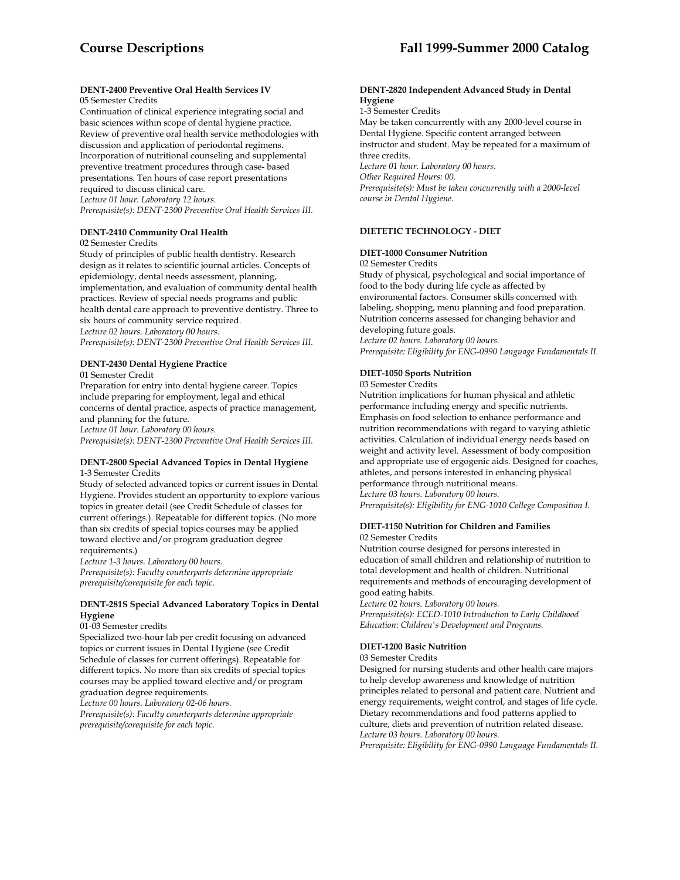#### **DENT-2400 Preventive Oral Health Services IV** 05 Semester Credits

Continuation of clinical experience integrating social and basic sciences within scope of dental hygiene practice. Review of preventive oral health service methodologies with discussion and application of periodontal regimens. Incorporation of nutritional counseling and supplemental preventive treatment procedures through case- based presentations. Ten hours of case report presentations required to discuss clinical care. *Lecture 01 hour. Laboratory 12 hours. Prerequisite(s): DENT-2300 Preventive Oral Health Services III.* 

### **DENT-2410 Community Oral Health**

02 Semester Credits

Study of principles of public health dentistry. Research design as it relates to scientific journal articles. Concepts of epidemiology, dental needs assessment, planning, implementation, and evaluation of community dental health practices. Review of special needs programs and public health dental care approach to preventive dentistry. Three to six hours of community service required. *Lecture 02 hours. Laboratory 00 hours.* 

*Prerequisite(s): DENT-2300 Preventive Oral Health Services III.* 

## **DENT-2430 Dental Hygiene Practice**

01 Semester Credit

Preparation for entry into dental hygiene career. Topics include preparing for employment, legal and ethical concerns of dental practice, aspects of practice management, and planning for the future.

*Lecture 01 hour. Laboratory 00 hours.* 

*Prerequisite(s): DENT-2300 Preventive Oral Health Services III.* 

### **DENT-2800 Special Advanced Topics in Dental Hygiene**  1-3 Semester Credits

Study of selected advanced topics or current issues in Dental Hygiene. Provides student an opportunity to explore various topics in greater detail (see Credit Schedule of classes for current offerings.). Repeatable for different topics. (No more than six credits of special topics courses may be applied toward elective and/or program graduation degree requirements.)

*Lecture 1-3 hours. Laboratory 00 hours. Prerequisite(s): Faculty counterparts determine appropriate prerequisite/corequisite for each topic.* 

### **DENT-281S Special Advanced Laboratory Topics in Dental Hygiene**

#### 01-03 Semester credits

Specialized two-hour lab per credit focusing on advanced topics or current issues in Dental Hygiene (see Credit Schedule of classes for current offerings). Repeatable for different topics. No more than six credits of special topics courses may be applied toward elective and/or program graduation degree requirements.

*Lecture 00 hours. Laboratory 02-06 hours.* 

*Prerequisite(s): Faculty counterparts determine appropriate prerequisite/corequisite for each topic.* 

#### **DENT-2820 Independent Advanced Study in Dental Hygiene**

1-3 Semester Credits

May be taken concurrently with any 2000-level course in Dental Hygiene. Specific content arranged between instructor and student. May be repeated for a maximum of three credits. *Lecture 01 hour. Laboratory 00 hours. Other Required Hours: 00.* 

*Prerequisite(s): Must be taken concurrently with a 2000-level course in Dental Hygiene.* 

### **DIETETIC TECHNOLOGY - DIET**

### **DIET-1000 Consumer Nutrition**

02 Semester Credits

Study of physical, psychological and social importance of food to the body during life cycle as affected by environmental factors. Consumer skills concerned with labeling, shopping, menu planning and food preparation. Nutrition concerns assessed for changing behavior and developing future goals.

*Lecture 02 hours. Laboratory 00 hours. Prerequisite: Eligibility for ENG-0990 Language Fundamentals II.* 

### **DIET-1050 Sports Nutrition**

03 Semester Credits

Nutrition implications for human physical and athletic performance including energy and specific nutrients. Emphasis on food selection to enhance performance and nutrition recommendations with regard to varying athletic activities. Calculation of individual energy needs based on weight and activity level. Assessment of body composition and appropriate use of ergogenic aids. Designed for coaches, athletes, and persons interested in enhancing physical performance through nutritional means. *Lecture 03 hours. Laboratory 00 hours. Prerequisite(s): Eligibility for ENG-1010 College Composition I.* 

### **DIET-1150 Nutrition for Children and Families** 02 Semester Credits

Nutrition course designed for persons interested in education of small children and relationship of nutrition to total development and health of children. Nutritional requirements and methods of encouraging development of good eating habits.

*Lecture 02 hours. Laboratory 00 hours. Prerequisite(s): ECED-1010 Introduction to Early Childhood Education: Children's Development and Programs.* 

### **DIET-1200 Basic Nutrition**

#### 03 Semester Credits

Designed for nursing students and other health care majors to help develop awareness and knowledge of nutrition principles related to personal and patient care. Nutrient and energy requirements, weight control, and stages of life cycle. Dietary recommendations and food patterns applied to culture, diets and prevention of nutrition related disease. *Lecture 03 hours. Laboratory 00 hours.* 

*Prerequisite: Eligibility for ENG-0990 Language Fundamentals II.*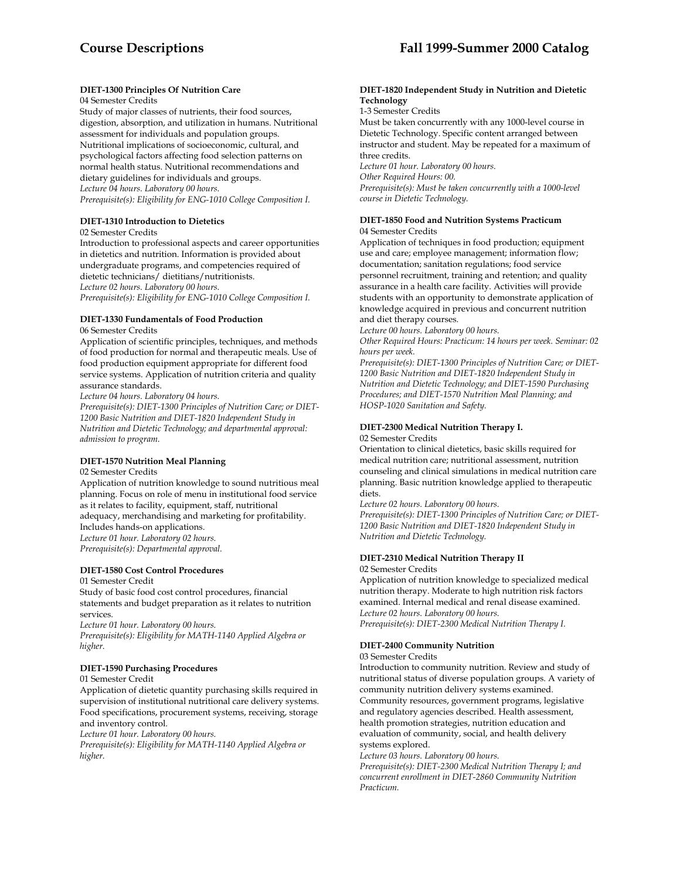### **DIET-1300 Principles Of Nutrition Care**

#### 04 Semester Credits

Study of major classes of nutrients, their food sources, digestion, absorption, and utilization in humans. Nutritional assessment for individuals and population groups. Nutritional implications of socioeconomic, cultural, and psychological factors affecting food selection patterns on normal health status. Nutritional recommendations and dietary guidelines for individuals and groups. *Lecture 04 hours. Laboratory 00 hours. Prerequisite(s): Eligibility for ENG-1010 College Composition I.* 

### **DIET-1310 Introduction to Dietetics**

02 Semester Credits

Introduction to professional aspects and career opportunities in dietetics and nutrition. Information is provided about undergraduate programs, and competencies required of dietetic technicians/ dietitians/nutritionists. *Lecture 02 hours. Laboratory 00 hours.* 

*Prerequisite(s): Eligibility for ENG-1010 College Composition I.* 

## **DIET-1330 Fundamentals of Food Production**

#### 06 Semester Credits

Application of scientific principles, techniques, and methods of food production for normal and therapeutic meals. Use of food production equipment appropriate for different food service systems. Application of nutrition criteria and quality assurance standards.

*Lecture 04 hours. Laboratory 04 hours.* 

*Prerequisite(s): DIET-1300 Principles of Nutrition Care; or DIET-1200 Basic Nutrition and DIET-1820 Independent Study in Nutrition and Dietetic Technology; and departmental approval: admission to program.* 

### **DIET-1570 Nutrition Meal Planning**

### 02 Semester Credits

Application of nutrition knowledge to sound nutritious meal planning. Focus on role of menu in institutional food service as it relates to facility, equipment, staff, nutritional adequacy, merchandising and marketing for profitability. Includes hands-on applications. *Lecture 01 hour. Laboratory 02 hours. Prerequisite(s): Departmental approval.* 

### **DIET-1580 Cost Control Procedures**

01 Semester Credit

Study of basic food cost control procedures, financial statements and budget preparation as it relates to nutrition services.

*Lecture 01 hour. Laboratory 00 hours. Prerequisite(s): Eligibility for MATH-1140 Applied Algebra or higher.* 

#### **DIET-1590 Purchasing Procedures**

01 Semester Credit

Application of dietetic quantity purchasing skills required in supervision of institutional nutritional care delivery systems. Food specifications, procurement systems, receiving, storage and inventory control.

*Lecture 01 hour. Laboratory 00 hours.* 

*Prerequisite(s): Eligibility for MATH-1140 Applied Algebra or higher.* 

#### **DIET-1820 Independent Study in Nutrition and Dietetic Technology**

1-3 Semester Credits

Must be taken concurrently with any 1000-level course in Dietetic Technology. Specific content arranged between instructor and student. May be repeated for a maximum of three credits.

*Lecture 01 hour. Laboratory 00 hours.* 

*Other Required Hours: 00.* 

*Prerequisite(s): Must be taken concurrently with a 1000-level course in Dietetic Technology.* 

### **DIET-1850 Food and Nutrition Systems Practicum**  04 Semester Credits

Application of techniques in food production; equipment use and care; employee management; information flow; documentation; sanitation regulations; food service personnel recruitment, training and retention; and quality assurance in a health care facility. Activities will provide students with an opportunity to demonstrate application of knowledge acquired in previous and concurrent nutrition and diet therapy courses.

*Lecture 00 hours. Laboratory 00 hours.* 

*Other Required Hours: Practicum: 14 hours per week. Seminar: 02 hours per week.* 

*Prerequisite(s): DIET-1300 Principles of Nutrition Care; or DIET-1200 Basic Nutrition and DIET-1820 Independent Study in Nutrition and Dietetic Technology; and DIET-1590 Purchasing Procedures; and DIET-1570 Nutrition Meal Planning; and HOSP-1020 Sanitation and Safety.* 

# **DIET-2300 Medical Nutrition Therapy I.**

#### 02 Semester Credits

Orientation to clinical dietetics, basic skills required for medical nutrition care; nutritional assessment, nutrition counseling and clinical simulations in medical nutrition care planning. Basic nutrition knowledge applied to therapeutic diets.

*Lecture 02 hours. Laboratory 00 hours.* 

*Prerequisite(s): DIET-1300 Principles of Nutrition Care; or DIET-1200 Basic Nutrition and DIET-1820 Independent Study in Nutrition and Dietetic Technology.* 

### **DIET-2310 Medical Nutrition Therapy II**

02 Semester Credits

Application of nutrition knowledge to specialized medical nutrition therapy. Moderate to high nutrition risk factors examined. Internal medical and renal disease examined. *Lecture 02 hours. Laboratory 00 hours. Prerequisite(s): DIET-2300 Medical Nutrition Therapy I.* 

# **DIET-2400 Community Nutrition**

03 Semester Credits

Introduction to community nutrition. Review and study of nutritional status of diverse population groups. A variety of community nutrition delivery systems examined. Community resources, government programs, legislative and regulatory agencies described. Health assessment, health promotion strategies, nutrition education and evaluation of community, social, and health delivery systems explored.

*Lecture 03 hours. Laboratory 00 hours.* 

*Prerequisite(s): DIET-2300 Medical Nutrition Therapy I; and concurrent enrollment in DIET-2860 Community Nutrition Practicum.*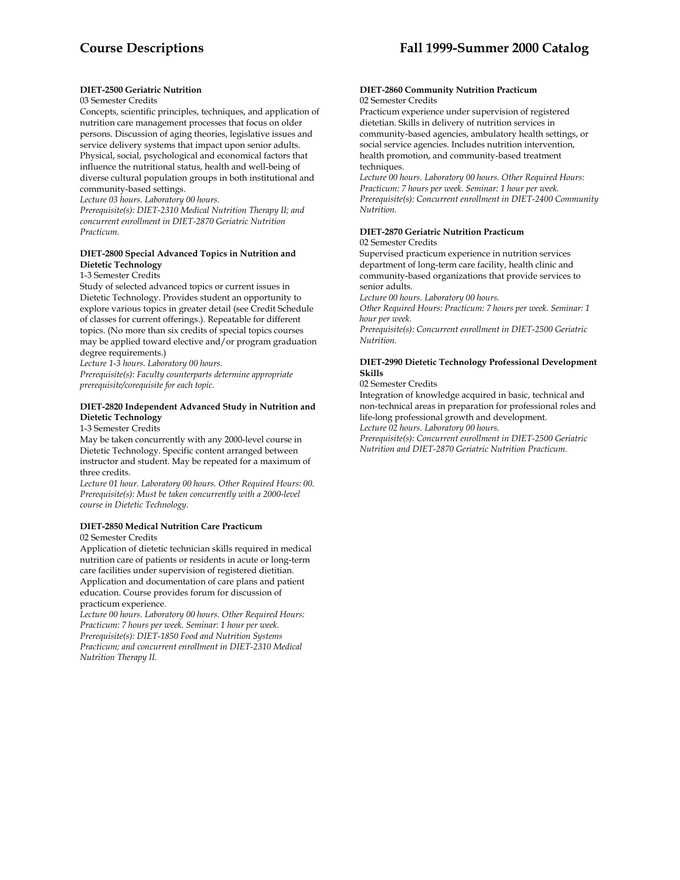### **DIET-2500 Geriatric Nutrition**

### 03 Semester Credits

Concepts, scientific principles, techniques, and application of nutrition care management processes that focus on older persons. Discussion of aging theories, legislative issues and service delivery systems that impact upon senior adults. Physical, social, psychological and economical factors that influence the nutritional status, health and well-being of diverse cultural population groups in both institutional and community-based settings.

*Lecture 03 hours. Laboratory 00 hours.* 

*Prerequisite(s): DIET-2310 Medical Nutrition Therapy II; and concurrent enrollment in DIET-2870 Geriatric Nutrition Practicum.* 

### **DIET-2800 Special Advanced Topics in Nutrition and Dietetic Technology**

#### 1-3 Semester Credits

Study of selected advanced topics or current issues in Dietetic Technology. Provides student an opportunity to explore various topics in greater detail (see Credit Schedule of classes for current offerings.). Repeatable for different topics. (No more than six credits of special topics courses may be applied toward elective and/or program graduation degree requirements.)

*Lecture 1-3 hours. Laboratory 00 hours.* 

*Prerequisite(s): Faculty counterparts determine appropriate prerequisite/corequisite for each topic.* 

#### **DIET-2820 Independent Advanced Study in Nutrition and Dietetic Technology**

1-3 Semester Credits

May be taken concurrently with any 2000-level course in Dietetic Technology. Specific content arranged between instructor and student. May be repeated for a maximum of three credits.

*Lecture 01 hour. Laboratory 00 hours. Other Required Hours: 00. Prerequisite(s): Must be taken concurrently with a 2000-level course in Dietetic Technology.* 

### **DIET-2850 Medical Nutrition Care Practicum**

02 Semester Credits

Application of dietetic technician skills required in medical nutrition care of patients or residents in acute or long-term care facilities under supervision of registered dietitian. Application and documentation of care plans and patient education. Course provides forum for discussion of practicum experience.

*Lecture 00 hours. Laboratory 00 hours. Other Required Hours: Practicum: 7 hours per week. Seminar: 1 hour per week. Prerequisite(s): DIET-1850 Food and Nutrition Systems Practicum; and concurrent enrollment in DIET-2310 Medical Nutrition Therapy II.* 

#### **DIET-2860 Community Nutrition Practicum** 02 Semester Credits

Practicum experience under supervision of registered dietetian. Skills in delivery of nutrition services in community-based agencies, ambulatory health settings, or social service agencies. Includes nutrition intervention, health promotion, and community-based treatment techniques.

*Lecture 00 hours. Laboratory 00 hours. Other Required Hours: Practicum: 7 hours per week. Seminar: 1 hour per week. Prerequisite(s): Concurrent enrollment in DIET-2400 Community Nutrition.* 

### **DIET-2870 Geriatric Nutrition Practicum**

#### 02 Semester Credits

Supervised practicum experience in nutrition services department of long-term care facility, health clinic and community-based organizations that provide services to senior adults.

*Lecture 00 hours. Laboratory 00 hours.* 

*Other Required Hours: Practicum: 7 hours per week. Seminar: 1 hour per week.* 

*Prerequisite(s): Concurrent enrollment in DIET-2500 Geriatric Nutrition.* 

### **DIET-2990 Dietetic Technology Professional Development Skills**

#### 02 Semester Credits

Integration of knowledge acquired in basic, technical and non-technical areas in preparation for professional roles and life-long professional growth and development. *Lecture 02 hours. Laboratory 00 hours.* 

*Prerequisite(s): Concurrent enrollment in DIET-2500 Geriatric Nutrition and DIET-2870 Geriatric Nutrition Practicum.*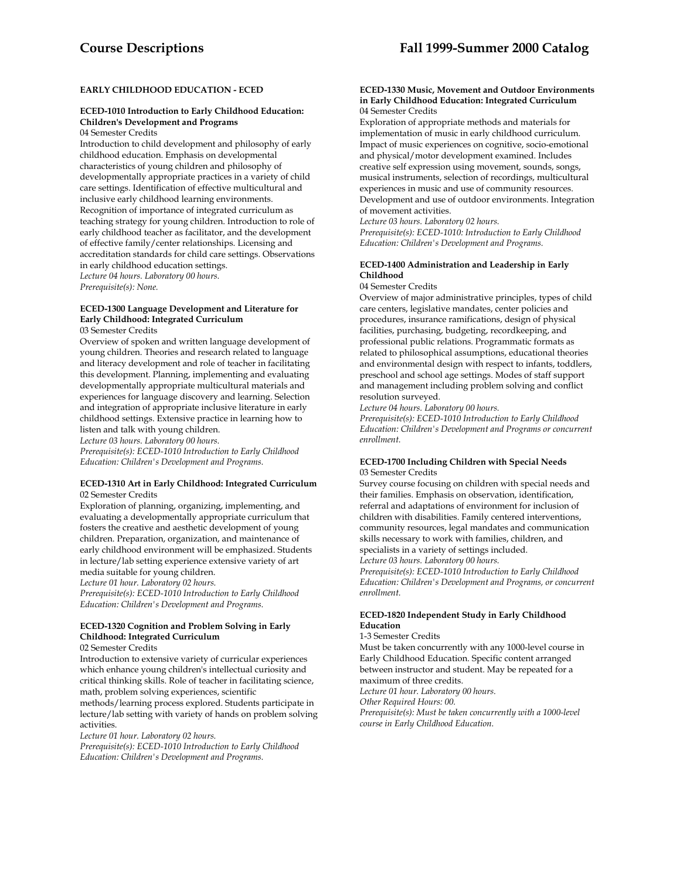### **EARLY CHILDHOOD EDUCATION - ECED**

### **ECED-1010 Introduction to Early Childhood Education: Children's Development and Programs**

04 Semester Credits

Introduction to child development and philosophy of early childhood education. Emphasis on developmental characteristics of young children and philosophy of developmentally appropriate practices in a variety of child care settings. Identification of effective multicultural and inclusive early childhood learning environments. Recognition of importance of integrated curriculum as teaching strategy for young children. Introduction to role of early childhood teacher as facilitator, and the development of effective family/center relationships. Licensing and accreditation standards for child care settings. Observations in early childhood education settings. *Lecture 04 hours. Laboratory 00 hours. Prerequisite(s): None.* 

### **ECED-1300 Language Development and Literature for Early Childhood: Integrated Curriculum**

03 Semester Credits

Overview of spoken and written language development of young children. Theories and research related to language and literacy development and role of teacher in facilitating this development. Planning, implementing and evaluating developmentally appropriate multicultural materials and experiences for language discovery and learning. Selection and integration of appropriate inclusive literature in early childhood settings. Extensive practice in learning how to listen and talk with young children.

*Lecture 03 hours. Laboratory 00 hours.* 

*Prerequisite(s): ECED-1010 Introduction to Early Childhood Education: Children's Development and Programs.* 

#### **ECED-1310 Art in Early Childhood: Integrated Curriculum**  02 Semester Credits

Exploration of planning, organizing, implementing, and evaluating a developmentally appropriate curriculum that fosters the creative and aesthetic development of young children. Preparation, organization, and maintenance of early childhood environment will be emphasized. Students in lecture/lab setting experience extensive variety of art media suitable for young children.

*Lecture 01 hour. Laboratory 02 hours. Prerequisite(s): ECED-1010 Introduction to Early Childhood* 

*Education: Children's Development and Programs.* 

### **ECED-1320 Cognition and Problem Solving in Early Childhood: Integrated Curriculum**

02 Semester Credits

Introduction to extensive variety of curricular experiences which enhance young children's intellectual curiosity and critical thinking skills. Role of teacher in facilitating science, math, problem solving experiences, scientific

methods/learning process explored. Students participate in lecture/lab setting with variety of hands on problem solving activities.

*Lecture 01 hour. Laboratory 02 hours.* 

*Prerequisite(s): ECED-1010 Introduction to Early Childhood Education: Children's Development and Programs.* 

#### **ECED-1330 Music, Movement and Outdoor Environments in Early Childhood Education: Integrated Curriculum** 04 Semester Credits

Exploration of appropriate methods and materials for implementation of music in early childhood curriculum. Impact of music experiences on cognitive, socio-emotional and physical/motor development examined. Includes creative self expression using movement, sounds, songs, musical instruments, selection of recordings, multicultural experiences in music and use of community resources. Development and use of outdoor environments. Integration of movement activities.

*Lecture 03 hours. Laboratory 02 hours.* 

*Prerequisite(s): ECED-1010: Introduction to Early Childhood Education: Children's Development and Programs.* 

### **ECED-1400 Administration and Leadership in Early Childhood**

04 Semester Credits

Overview of major administrative principles, types of child care centers, legislative mandates, center policies and procedures, insurance ramifications, design of physical facilities, purchasing, budgeting, recordkeeping, and professional public relations. Programmatic formats as related to philosophical assumptions, educational theories and environmental design with respect to infants, toddlers, preschool and school age settings. Modes of staff support and management including problem solving and conflict resolution surveyed.

*Lecture 04 hours. Laboratory 00 hours.* 

*Prerequisite(s): ECED-1010 Introduction to Early Childhood Education: Children's Development and Programs or concurrent enrollment.* 

### **ECED-1700 Including Children with Special Needs**  03 Semester Credits

Survey course focusing on children with special needs and their families. Emphasis on observation, identification, referral and adaptations of environment for inclusion of children with disabilities. Family centered interventions, community resources, legal mandates and communication skills necessary to work with families, children, and specialists in a variety of settings included. *Lecture 03 hours. Laboratory 00 hours.* 

*Prerequisite(s): ECED-1010 Introduction to Early Childhood Education: Children's Development and Programs, or concurrent enrollment.* 

### **ECED-1820 Independent Study in Early Childhood Education**

#### 1-3 Semester Credits

Must be taken concurrently with any 1000-level course in Early Childhood Education. Specific content arranged between instructor and student. May be repeated for a maximum of three credits. *Lecture 01 hour. Laboratory 00 hours. Other Required Hours: 00.* 

*Prerequisite(s): Must be taken concurrently with a 1000-level course in Early Childhood Education.*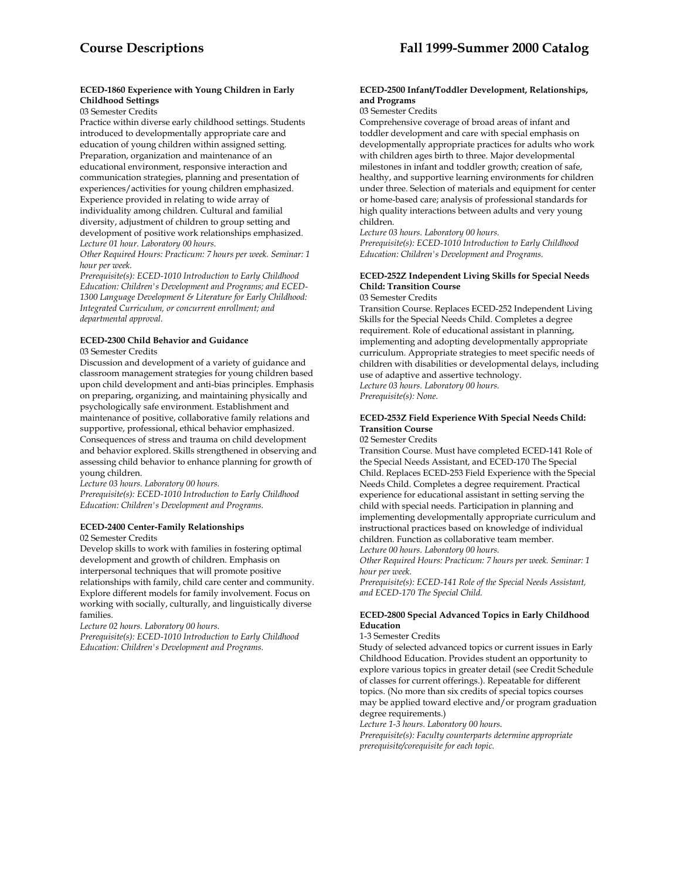### **ECED-1860 Experience with Young Children in Early Childhood Settings**

03 Semester Credits

Practice within diverse early childhood settings. Students introduced to developmentally appropriate care and education of young children within assigned setting. Preparation, organization and maintenance of an educational environment, responsive interaction and communication strategies, planning and presentation of experiences/activities for young children emphasized. Experience provided in relating to wide array of individuality among children. Cultural and familial diversity, adjustment of children to group setting and development of positive work relationships emphasized. *Lecture 01 hour. Laboratory 00 hours.* 

*Other Required Hours: Practicum: 7 hours per week. Seminar: 1 hour per week.* 

*Prerequisite(s): ECED-1010 Introduction to Early Childhood Education: Children's Development and Programs; and ECED-1300 Language Development & Literature for Early Childhood: Integrated Curriculum, or concurrent enrollment; and departmental approval.* 

### **ECED-2300 Child Behavior and Guidance**

03 Semester Credits

Discussion and development of a variety of guidance and classroom management strategies for young children based upon child development and anti-bias principles. Emphasis on preparing, organizing, and maintaining physically and psychologically safe environment. Establishment and maintenance of positive, collaborative family relations and supportive, professional, ethical behavior emphasized. Consequences of stress and trauma on child development and behavior explored. Skills strengthened in observing and assessing child behavior to enhance planning for growth of young children.

*Lecture 03 hours. Laboratory 00 hours.* 

*Prerequisite(s): ECED-1010 Introduction to Early Childhood Education: Children's Development and Programs.* 

### **ECED-2400 Center-Family Relationships**

02 Semester Credits

Develop skills to work with families in fostering optimal development and growth of children. Emphasis on interpersonal techniques that will promote positive relationships with family, child care center and community. Explore different models for family involvement. Focus on working with socially, culturally, and linguistically diverse families.

*Lecture 02 hours. Laboratory 00 hours.* 

*Prerequisite(s): ECED-1010 Introduction to Early Childhood Education: Children's Development and Programs.* 

#### **ECED-2500 Infant/Toddler Development, Relationships, and Programs**

#### 03 Semester Credits

Comprehensive coverage of broad areas of infant and toddler development and care with special emphasis on developmentally appropriate practices for adults who work with children ages birth to three. Major developmental milestones in infant and toddler growth; creation of safe, healthy, and supportive learning environments for children under three. Selection of materials and equipment for center or home-based care; analysis of professional standards for high quality interactions between adults and very young children.

*Lecture 03 hours. Laboratory 00 hours.* 

*Prerequisite(s): ECED-1010 Introduction to Early Childhood Education: Children's Development and Programs.* 

### **ECED-252Z Independent Living Skills for Special Needs Child: Transition Course**

03 Semester Credits

Transition Course. Replaces ECED-252 Independent Living Skills for the Special Needs Child. Completes a degree requirement. Role of educational assistant in planning, implementing and adopting developmentally appropriate curriculum. Appropriate strategies to meet specific needs of children with disabilities or developmental delays, including use of adaptive and assertive technology. *Lecture 03 hours. Laboratory 00 hours. Prerequisite(s): None.* 

### **ECED-253Z Field Experience With Special Needs Child: Transition Course**

02 Semester Credits

Transition Course. Must have completed ECED-141 Role of the Special Needs Assistant, and ECED-170 The Special Child. Replaces ECED-253 Field Experience with the Special Needs Child. Completes a degree requirement. Practical experience for educational assistant in setting serving the child with special needs. Participation in planning and implementing developmentally appropriate curriculum and instructional practices based on knowledge of individual children. Function as collaborative team member.

*Lecture 00 hours. Laboratory 00 hours.* 

*Other Required Hours: Practicum: 7 hours per week. Seminar: 1 hour per week.* 

*Prerequisite(s): ECED-141 Role of the Special Needs Assistant, and ECED-170 The Special Child.* 

### **ECED-2800 Special Advanced Topics in Early Childhood Education**

#### 1-3 Semester Credits

Study of selected advanced topics or current issues in Early Childhood Education. Provides student an opportunity to explore various topics in greater detail (see Credit Schedule of classes for current offerings.). Repeatable for different topics. (No more than six credits of special topics courses may be applied toward elective and/or program graduation degree requirements.)

*Lecture 1-3 hours. Laboratory 00 hours.* 

*Prerequisite(s): Faculty counterparts determine appropriate prerequisite/corequisite for each topic.*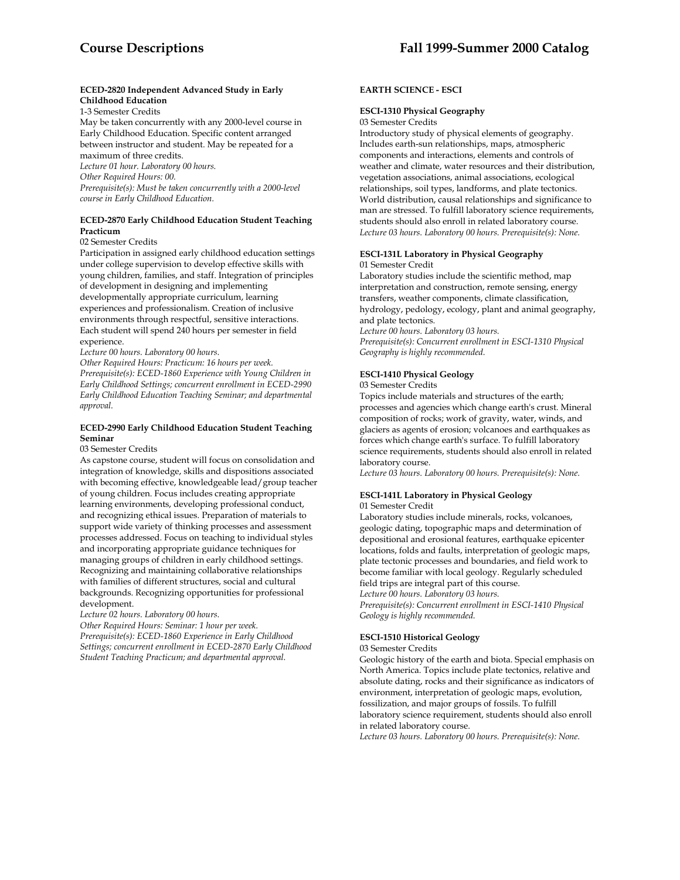### **ECED-2820 Independent Advanced Study in Early Childhood Education**

1-3 Semester Credits

May be taken concurrently with any 2000-level course in Early Childhood Education. Specific content arranged between instructor and student. May be repeated for a maximum of three credits.

*Lecture 01 hour. Laboratory 00 hours.* 

*Other Required Hours: 00.* 

*Prerequisite(s): Must be taken concurrently with a 2000-level course in Early Childhood Education.* 

### **ECED-2870 Early Childhood Education Student Teaching Practicum**

02 Semester Credits

Participation in assigned early childhood education settings under college supervision to develop effective skills with young children, families, and staff. Integration of principles of development in designing and implementing developmentally appropriate curriculum, learning experiences and professionalism. Creation of inclusive environments through respectful, sensitive interactions. Each student will spend 240 hours per semester in field experience.

*Lecture 00 hours. Laboratory 00 hours.* 

*Other Required Hours: Practicum: 16 hours per week. Prerequisite(s): ECED-1860 Experience with Young Children in Early Childhood Settings; concurrent enrollment in ECED-2990 Early Childhood Education Teaching Seminar; and departmental approval.* 

#### **ECED-2990 Early Childhood Education Student Teaching Seminar**

#### 03 Semester Credits

As capstone course, student will focus on consolidation and integration of knowledge, skills and dispositions associated with becoming effective, knowledgeable lead/group teacher of young children. Focus includes creating appropriate learning environments, developing professional conduct, and recognizing ethical issues. Preparation of materials to support wide variety of thinking processes and assessment processes addressed. Focus on teaching to individual styles and incorporating appropriate guidance techniques for managing groups of children in early childhood settings. Recognizing and maintaining collaborative relationships with families of different structures, social and cultural backgrounds. Recognizing opportunities for professional development.

*Lecture 02 hours. Laboratory 00 hours.* 

*Other Required Hours: Seminar: 1 hour per week. Prerequisite(s): ECED-1860 Experience in Early Childhood Settings; concurrent enrollment in ECED-2870 Early Childhood Student Teaching Practicum; and departmental approval.* 

### **EARTH SCIENCE - ESCI**

#### **ESCI-1310 Physical Geography**

03 Semester Credits

Introductory study of physical elements of geography. Includes earth-sun relationships, maps, atmospheric components and interactions, elements and controls of weather and climate, water resources and their distribution, vegetation associations, animal associations, ecological relationships, soil types, landforms, and plate tectonics. World distribution, causal relationships and significance to man are stressed. To fulfill laboratory science requirements, students should also enroll in related laboratory course. *Lecture 03 hours. Laboratory 00 hours. Prerequisite(s): None.* 

#### **ESCI-131L Laboratory in Physical Geography**  01 Semester Credit

Laboratory studies include the scientific method, map interpretation and construction, remote sensing, energy transfers, weather components, climate classification, hydrology, pedology, ecology, plant and animal geography, and plate tectonics.

*Lecture 00 hours. Laboratory 03 hours. Prerequisite(s): Concurrent enrollment in ESCI-1310 Physical Geography is highly recommended.* 

### **ESCI-1410 Physical Geology**

03 Semester Credits

Topics include materials and structures of the earth; processes and agencies which change earth's crust. Mineral composition of rocks; work of gravity, water, winds, and glaciers as agents of erosion; volcanoes and earthquakes as forces which change earth's surface. To fulfill laboratory science requirements, students should also enroll in related laboratory course.

*Lecture 03 hours. Laboratory 00 hours. Prerequisite(s): None.* 

# **ESCI-141L Laboratory in Physical Geology**

#### 01 Semester Credit

Laboratory studies include minerals, rocks, volcanoes, geologic dating, topographic maps and determination of depositional and erosional features, earthquake epicenter locations, folds and faults, interpretation of geologic maps, plate tectonic processes and boundaries, and field work to become familiar with local geology. Regularly scheduled field trips are integral part of this course. *Lecture 00 hours. Laboratory 03 hours. Prerequisite(s): Concurrent enrollment in ESCI-1410 Physical* 

*Geology is highly recommended.* 

### **ESCI-1510 Historical Geology**

03 Semester Credits

Geologic history of the earth and biota. Special emphasis on North America. Topics include plate tectonics, relative and absolute dating, rocks and their significance as indicators of environment, interpretation of geologic maps, evolution, fossilization, and major groups of fossils. To fulfill laboratory science requirement, students should also enroll in related laboratory course.

*Lecture 03 hours. Laboratory 00 hours. Prerequisite(s): None.*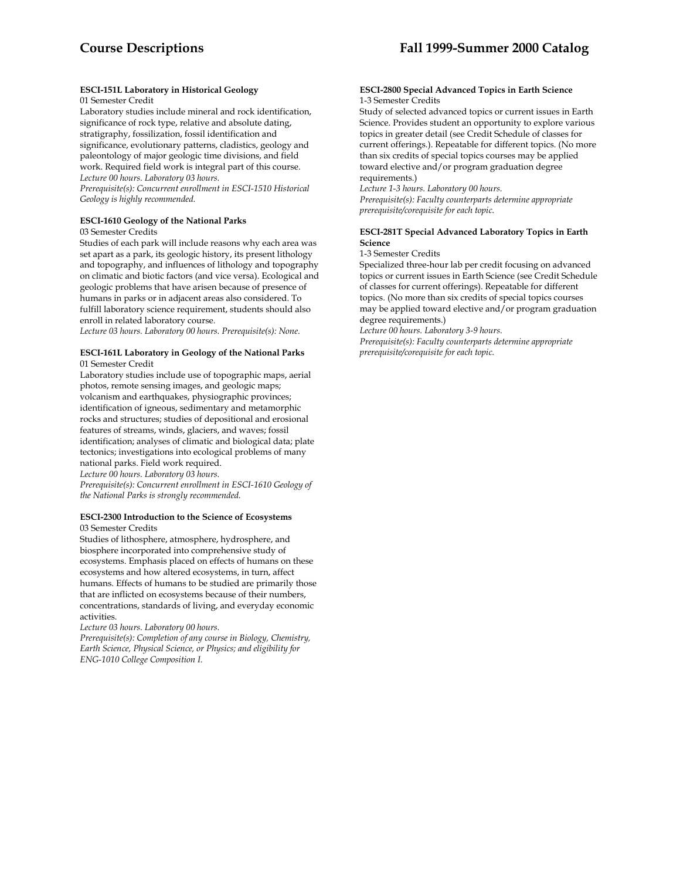## **ESCI-151L Laboratory in Historical Geology**

### 01 Semester Credit

Laboratory studies include mineral and rock identification, significance of rock type, relative and absolute dating, stratigraphy, fossilization, fossil identification and significance, evolutionary patterns, cladistics, geology and paleontology of major geologic time divisions, and field work. Required field work is integral part of this course. *Lecture 00 hours. Laboratory 03 hours.* 

*Prerequisite(s): Concurrent enrollment in ESCI-1510 Historical Geology is highly recommended.* 

### **ESCI-1610 Geology of the National Parks**

03 Semester Credits

Studies of each park will include reasons why each area was set apart as a park, its geologic history, its present lithology and topography, and influences of lithology and topography on climatic and biotic factors (and vice versa). Ecological and geologic problems that have arisen because of presence of humans in parks or in adjacent areas also considered. To fulfill laboratory science requirement, students should also enroll in related laboratory course.

*Lecture 03 hours. Laboratory 00 hours. Prerequisite(s): None.* 

### **ESCI-161L Laboratory in Geology of the National Parks**  01 Semester Credit

Laboratory studies include use of topographic maps, aerial photos, remote sensing images, and geologic maps; volcanism and earthquakes, physiographic provinces; identification of igneous, sedimentary and metamorphic rocks and structures; studies of depositional and erosional features of streams, winds, glaciers, and waves; fossil identification; analyses of climatic and biological data; plate tectonics; investigations into ecological problems of many national parks. Field work required.

*Lecture 00 hours. Laboratory 03 hours.* 

*Prerequisite(s): Concurrent enrollment in ESCI-1610 Geology of the National Parks is strongly recommended.* 

### **ESCI-2300 Introduction to the Science of Ecosystems** 03 Semester Credits

Studies of lithosphere, atmosphere, hydrosphere, and biosphere incorporated into comprehensive study of ecosystems. Emphasis placed on effects of humans on these ecosystems and how altered ecosystems, in turn, affect humans. Effects of humans to be studied are primarily those that are inflicted on ecosystems because of their numbers, concentrations, standards of living, and everyday economic activities.

*Lecture 03 hours. Laboratory 00 hours.* 

*Prerequisite(s): Completion of any course in Biology, Chemistry, Earth Science, Physical Science, or Physics; and eligibility for ENG-1010 College Composition I.* 

#### **ESCI-2800 Special Advanced Topics in Earth Science**  1-3 Semester Credits

Study of selected advanced topics or current issues in Earth Science. Provides student an opportunity to explore various topics in greater detail (see Credit Schedule of classes for current offerings.). Repeatable for different topics. (No more than six credits of special topics courses may be applied toward elective and/or program graduation degree requirements.)

*Lecture 1-3 hours. Laboratory 00 hours. Prerequisite(s): Faculty counterparts determine appropriate prerequisite/corequisite for each topic.* 

### **ESCI-281T Special Advanced Laboratory Topics in Earth Science**

### 1-3 Semester Credits

Specialized three-hour lab per credit focusing on advanced topics or current issues in Earth Science (see Credit Schedule of classes for current offerings). Repeatable for different topics. (No more than six credits of special topics courses may be applied toward elective and/or program graduation degree requirements.)

*Lecture 00 hours. Laboratory 3-9 hours. Prerequisite(s): Faculty counterparts determine appropriate prerequisite/corequisite for each topic.*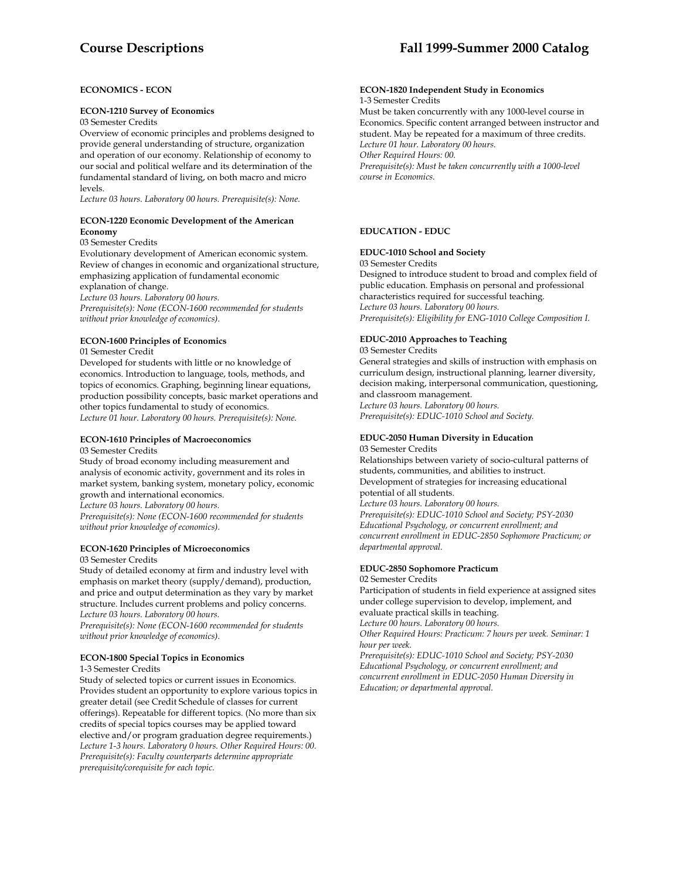### **ECONOMICS - ECON**

#### **ECON-1210 Survey of Economics**

03 Semester Credits

Overview of economic principles and problems designed to provide general understanding of structure, organization and operation of our economy. Relationship of economy to our social and political welfare and its determination of the fundamental standard of living, on both macro and micro levels.

*Lecture 03 hours. Laboratory 00 hours. Prerequisite(s): None.* 

#### **ECON-1220 Economic Development of the American Economy**

03 Semester Credits

Evolutionary development of American economic system. Review of changes in economic and organizational structure, emphasizing application of fundamental economic explanation of change.

*Lecture 03 hours. Laboratory 00 hours.* 

*Prerequisite(s): None (ECON-1600 recommended for students without prior knowledge of economics).* 

### **ECON-1600 Principles of Economics**

01 Semester Credit

Developed for students with little or no knowledge of economics. Introduction to language, tools, methods, and topics of economics. Graphing, beginning linear equations, production possibility concepts, basic market operations and other topics fundamental to study of economics. *Lecture 01 hour. Laboratory 00 hours. Prerequisite(s): None.* 

#### **ECON-1610 Principles of Macroeconomics**  03 Semester Credits

Study of broad economy including measurement and analysis of economic activity, government and its roles in market system, banking system, monetary policy, economic growth and international economics. *Lecture 03 hours. Laboratory 00 hours. Prerequisite(s): None (ECON-1600 recommended for students without prior knowledge of economics).* 

#### **ECON-1620 Principles of Microeconomics**  03 Semester Credits

Study of detailed economy at firm and industry level with emphasis on market theory (supply/demand), production, and price and output determination as they vary by market structure. Includes current problems and policy concerns. *Lecture 03 hours. Laboratory 00 hours.* 

*Prerequisite(s): None (ECON-1600 recommended for students without prior knowledge of economics).* 

### **ECON-1800 Special Topics in Economics**

1-3 Semester Credits

Study of selected topics or current issues in Economics. Provides student an opportunity to explore various topics in greater detail (see Credit Schedule of classes for current offerings). Repeatable for different topics. (No more than six credits of special topics courses may be applied toward elective and/or program graduation degree requirements.) *Lecture 1-3 hours. Laboratory 0 hours. Other Required Hours: 00. Prerequisite(s): Faculty counterparts determine appropriate prerequisite/corequisite for each topic.* 

# **Course Descriptions Fall 1999-Summer 2000 Catalog**

#### **ECON-1820 Independent Study in Economics**  1-3 Semester Credits

Must be taken concurrently with any 1000-level course in Economics. Specific content arranged between instructor and student. May be repeated for a maximum of three credits. *Lecture 01 hour. Laboratory 00 hours. Other Required Hours: 00. Prerequisite(s): Must be taken concurrently with a 1000-level course in Economics.* 

### **EDUCATION - EDUC**

#### **EDUC-1010 School and Society**

03 Semester Credits

Designed to introduce student to broad and complex field of public education. Emphasis on personal and professional characteristics required for successful teaching. *Lecture 03 hours. Laboratory 00 hours. Prerequisite(s): Eligibility for ENG-1010 College Composition I.* 

### **EDUC-2010 Approaches to Teaching**

03 Semester Credits

General strategies and skills of instruction with emphasis on curriculum design, instructional planning, learner diversity, decision making, interpersonal communication, questioning, and classroom management. *Lecture 03 hours. Laboratory 00 hours.* 

*Prerequisite(s): EDUC-1010 School and Society.* 

#### **EDUC-2050 Human Diversity in Education**  03 Semester Credits

Relationships between variety of socio-cultural patterns of students, communities, and abilities to instruct. Development of strategies for increasing educational potential of all students. *Lecture 03 hours. Laboratory 00 hours. Prerequisite(s): EDUC-1010 School and Society; PSY-2030 Educational Psychology, or concurrent enrollment; and concurrent enrollment in EDUC-2850 Sophomore Practicum; or departmental approval.* 

### **EDUC-2850 Sophomore Practicum**

02 Semester Credits

Participation of students in field experience at assigned sites under college supervision to develop, implement, and evaluate practical skills in teaching.

*Lecture 00 hours. Laboratory 00 hours.* 

*Other Required Hours: Practicum: 7 hours per week. Seminar: 1 hour per week.* 

*Prerequisite(s): EDUC-1010 School and Society; PSY-2030 Educational Psychology, or concurrent enrollment; and concurrent enrollment in EDUC-2050 Human Diversity in Education; or departmental approval.*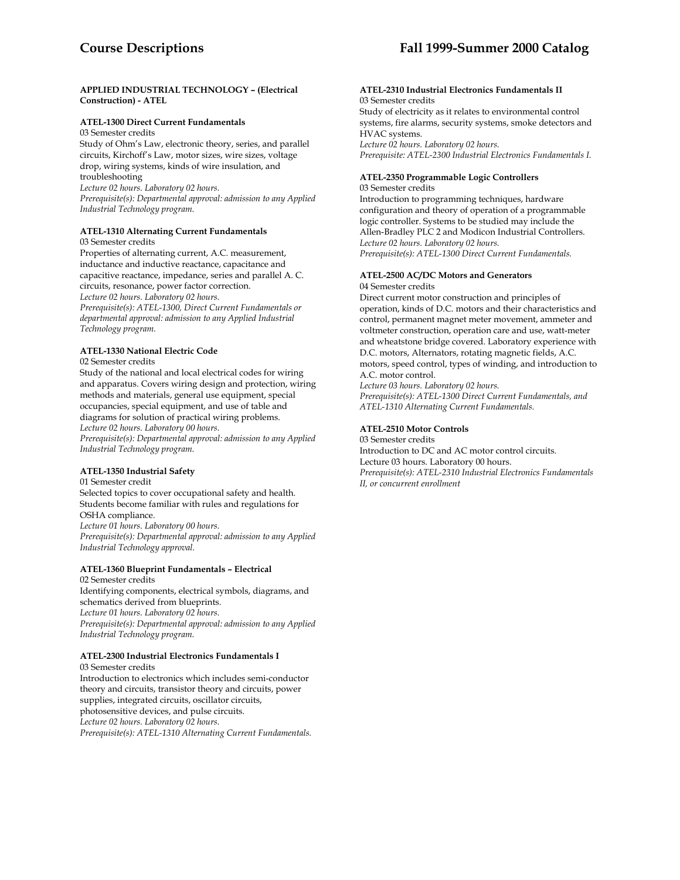### **APPLIED INDUSTRIAL TECHNOLOGY – (Electrical Construction) - ATEL**

### **ATEL-1300 Direct Current Fundamentals**

03 Semester credits Study of Ohm's Law, electronic theory, series, and parallel circuits, Kirchoff's Law, motor sizes, wire sizes, voltage drop, wiring systems, kinds of wire insulation, and troubleshooting *Lecture 02 hours. Laboratory 02 hours. Prerequisite(s): Departmental approval: admission to any Applied Industrial Technology program.* 

### **ATEL-1310 Alternating Current Fundamentals**

03 Semester credits

Properties of alternating current, A.C. measurement, inductance and inductive reactance, capacitance and capacitive reactance, impedance, series and parallel A. C. circuits, resonance, power factor correction. *Lecture 02 hours. Laboratory 02 hours. Prerequisite(s): ATEL-1300, Direct Current Fundamentals or departmental approval: admission to any Applied Industrial Technology program.* 

## **ATEL-1330 National Electric Code**

02 Semester credits

Study of the national and local electrical codes for wiring and apparatus. Covers wiring design and protection, wiring methods and materials, general use equipment, special occupancies, special equipment, and use of table and diagrams for solution of practical wiring problems. *Lecture 02 hours. Laboratory 00 hours. Prerequisite(s): Departmental approval: admission to any Applied Industrial Technology program.* 

### **ATEL-1350 Industrial Safety**

01 Semester credit Selected topics to cover occupational safety and health. Students become familiar with rules and regulations for OSHA compliance. *Lecture 01 hours. Laboratory 00 hours. Prerequisite(s): Departmental approval: admission to any Applied Industrial Technology approval.* 

## **ATEL-1360 Blueprint Fundamentals – Electrical**

02 Semester credits Identifying components, electrical symbols, diagrams, and schematics derived from blueprints. *Lecture 01 hours. Laboratory 02 hours. Prerequisite(s): Departmental approval: admission to any Applied Industrial Technology program.* 

### **ATEL-2300 Industrial Electronics Fundamentals I**

03 Semester credits Introduction to electronics which includes semi-conductor theory and circuits, transistor theory and circuits, power supplies, integrated circuits, oscillator circuits, photosensitive devices, and pulse circuits. *Lecture 02 hours. Laboratory 02 hours. Prerequisite(s): ATEL-1310 Alternating Current Fundamentals.* 

#### **ATEL-2310 Industrial Electronics Fundamentals II** 03 Semester credits

Study of electricity as it relates to environmental control systems, fire alarms, security systems, smoke detectors and HVAC systems. *Lecture 02 hours. Laboratory 02 hours. Prerequisite: ATEL-2300 Industrial Electronics Fundamentals I.* 

## **ATEL-2350 Programmable Logic Controllers**

03 Semester credits

Introduction to programming techniques, hardware configuration and theory of operation of a programmable logic controller. Systems to be studied may include the Allen-Bradley PLC 2 and Modicon Industrial Controllers. *Lecture 02 hours. Laboratory 02 hours. Prerequisite(s): ATEL-1300 Direct Current Fundamentals.* 

# **ATEL-2500 AC/DC Motors and Generators**

04 Semester credits

Direct current motor construction and principles of operation, kinds of D.C. motors and their characteristics and control, permanent magnet meter movement, ammeter and voltmeter construction, operation care and use, watt-meter and wheatstone bridge covered. Laboratory experience with D.C. motors, Alternators, rotating magnetic fields, A.C. motors, speed control, types of winding, and introduction to A.C. motor control.

*Lecture 03 hours. Laboratory 02 hours. Prerequisite(s): ATEL-1300 Direct Current Fundamentals, and ATEL-1310 Alternating Current Fundamentals.* 

### **ATEL-2510 Motor Controls**

03 Semester credits Introduction to DC and AC motor control circuits. Lecture 03 hours. Laboratory 00 hours. *Prerequisite(s): ATEL-2310 Industrial Electronics Fundamentals II, or concurrent enrollment*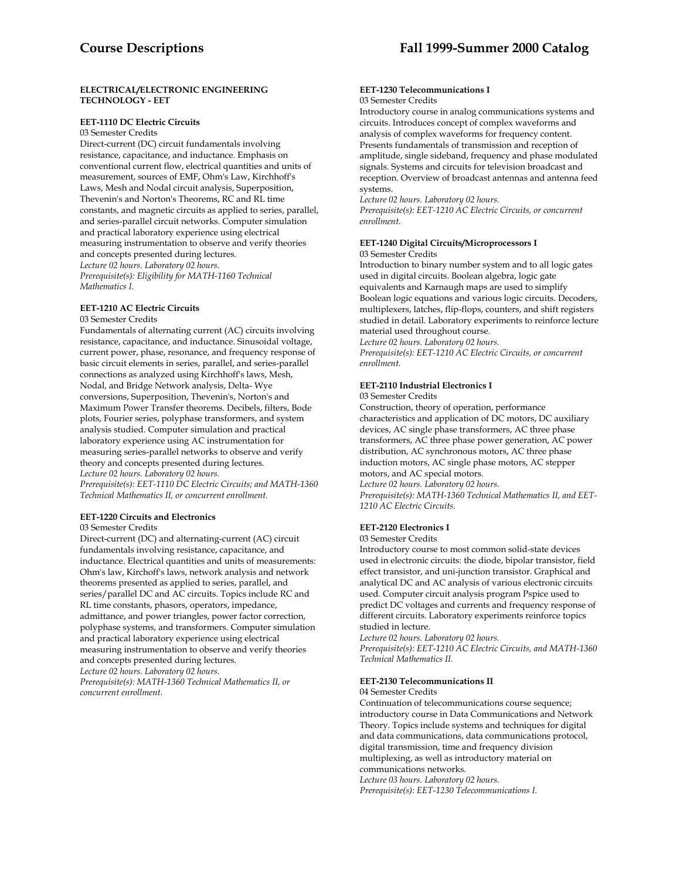### **ELECTRICAL/ELECTRONIC ENGINEERING TECHNOLOGY - EET**

### **EET-1110 DC Electric Circuits**

03 Semester Credits

Direct-current (DC) circuit fundamentals involving resistance, capacitance, and inductance. Emphasis on conventional current flow, electrical quantities and units of measurement, sources of EMF, Ohm's Law, Kirchhoff's Laws, Mesh and Nodal circuit analysis, Superposition, Thevenin's and Norton's Theorems, RC and RL time constants, and magnetic circuits as applied to series, parallel, and series-parallel circuit networks. Computer simulation and practical laboratory experience using electrical measuring instrumentation to observe and verify theories and concepts presented during lectures. *Lecture 02 hours. Laboratory 02 hours. Prerequisite(s): Eligibility for MATH-1160 Technical Mathematics I.* 

### **EET-1210 AC Electric Circuits**

#### 03 Semester Credits

Fundamentals of alternating current (AC) circuits involving resistance, capacitance, and inductance. Sinusoidal voltage, current power, phase, resonance, and frequency response of basic circuit elements in series, parallel, and series-parallel connections as analyzed using Kirchhoff's laws, Mesh, Nodal, and Bridge Network analysis, Delta- Wye conversions, Superposition, Thevenin's, Norton's and Maximum Power Transfer theorems. Decibels, filters, Bode plots, Fourier series, polyphase transformers, and system analysis studied. Computer simulation and practical laboratory experience using AC instrumentation for measuring series-parallel networks to observe and verify theory and concepts presented during lectures. *Lecture 02 hours. Laboratory 02 hours.* 

*Prerequisite(s): EET-1110 DC Electric Circuits; and MATH-1360 Technical Mathematics II, or concurrent enrollment.* 

### **EET-1220 Circuits and Electronics**

03 Semester Credits

Direct-current (DC) and alternating-current (AC) circuit fundamentals involving resistance, capacitance, and inductance. Electrical quantities and units of measurements: Ohm's law, Kirchoff's laws, network analysis and network theorems presented as applied to series, parallel, and series/parallel DC and AC circuits. Topics include RC and RL time constants, phasors, operators, impedance, admittance, and power triangles, power factor correction, polyphase systems, and transformers. Computer simulation and practical laboratory experience using electrical measuring instrumentation to observe and verify theories and concepts presented during lectures. *Lecture 02 hours. Laboratory 02 hours.* 

*Prerequisite(s): MATH-1360 Technical Mathematics II, or concurrent enrollment.* 

### **EET-1230 Telecommunications I** 03 Semester Credits

Introductory course in analog communications systems and circuits. Introduces concept of complex waveforms and analysis of complex waveforms for frequency content. Presents fundamentals of transmission and reception of amplitude, single sideband, frequency and phase modulated signals. Systems and circuits for television broadcast and reception. Overview of broadcast antennas and antenna feed systems.

*Lecture 02 hours. Laboratory 02 hours. Prerequisite(s): EET-1210 AC Electric Circuits, or concurrent enrollment.* 

#### **EET-1240 Digital Circuits/Microprocessors I**  03 Semester Credits

Introduction to binary number system and to all logic gates used in digital circuits. Boolean algebra, logic gate equivalents and Karnaugh maps are used to simplify Boolean logic equations and various logic circuits. Decoders, multiplexers, latches, flip-flops, counters, and shift registers studied in detail. Laboratory experiments to reinforce lecture material used throughout course.

*Lecture 02 hours. Laboratory 02 hours. Prerequisite(s): EET-1210 AC Electric Circuits, or concurrent enrollment.* 

### **EET-2110 Industrial Electronics I**

03 Semester Credits

Construction, theory of operation, performance characteristics and application of DC motors, DC auxiliary devices, AC single phase transformers, AC three phase transformers, AC three phase power generation, AC power distribution, AC synchronous motors, AC three phase induction motors, AC single phase motors, AC stepper motors, and AC special motors. *Lecture 02 hours. Laboratory 02 hours. Prerequisite(s): MATH-1360 Technical Mathematics II, and EET-1210 AC Electric Circuits.* 

#### **EET-2120 Electronics I**

#### 03 Semester Credits

Introductory course to most common solid-state devices used in electronic circuits: the diode, bipolar transistor, field effect transistor, and uni-junction transistor. Graphical and analytical DC and AC analysis of various electronic circuits used. Computer circuit analysis program Pspice used to predict DC voltages and currents and frequency response of different circuits. Laboratory experiments reinforce topics studied in lecture.

*Lecture 02 hours. Laboratory 02 hours.* 

*Prerequisite(s): EET-1210 AC Electric Circuits, and MATH-1360 Technical Mathematics II.* 

### **EET-2130 Telecommunications II**

#### 04 Semester Credits

Continuation of telecommunications course sequence; introductory course in Data Communications and Network Theory. Topics include systems and techniques for digital and data communications, data communications protocol, digital transmission, time and frequency division multiplexing, as well as introductory material on communications networks.

*Lecture 03 hours. Laboratory 02 hours. Prerequisite(s): EET-1230 Telecommunications I.*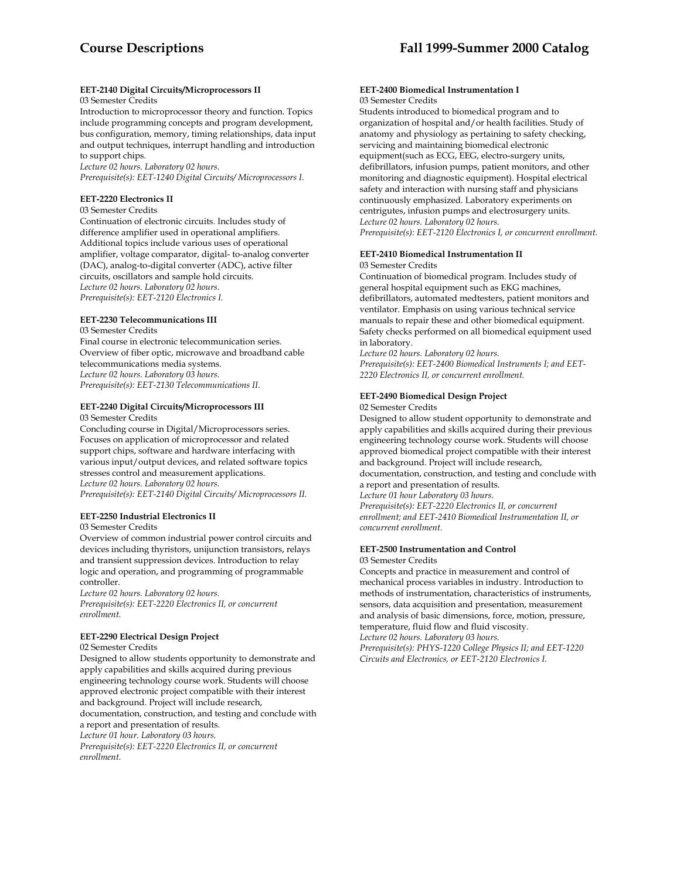### **EET-2140 Digital Circuits/Microprocessors II**

### 03 Semester Credits

Introduction to microprocessor theory and function. Topics include programming concepts and program development, bus configuration, memory, timing relationships, data input and output techniques, interrupt handling and introduction to support chips.

*Lecture 02 hours. Laboratory 02 hours. Prerequisite(s): EET-1240 Digital Circuits/ Microprocessors I.* 

#### **EET-2220 Electronics II**

03 Semester Credits

Continuation of electronic circuits. Includes study of difference amplifier used in operational amplifiers. Additional topics include various uses of operational amplifier, voltage comparator, digital- to-analog converter (DAC), analog-to-digital converter (ADC), active filter circuits, oscillators and sample hold circuits. *Lecture 02 hours. Laboratory 02 hours. Prerequisite(s): EET-2120 Electronics I.* 

### **EET-2230 Telecommunications III**

03 Semester Credits

Final course in electronic telecommunication series. Overview of fiber optic, microwave and broadband cable telecommunications media systems. *Lecture 02 hours. Laboratory 03 hours. Prerequisite(s): EET-2130 Telecommunications II.* 

#### **EET-2240 Digital Circuits/Microprocessors III**  03 Semester Credits

Concluding course in Digital/Microprocessors series. Focuses on application of microprocessor and related support chips, software and hardware interfacing with various input/output devices, and related software topics stresses control and measurement applications. *Lecture 02 hours. Laboratory 02 hours. Prerequisite(s): EET-2140 Digital Circuits/ Microprocessors II.* 

### **EET-2250 Industrial Electronics II**

03 Semester Credits

Overview of common industrial power control circuits and devices including thyristors, unijunction transistors, relays and transient suppression devices. Introduction to relay logic and operation, and programming of programmable controller.

*Lecture 02 hours. Laboratory 02 hours. Prerequisite(s): EET-2220 Electronics II, or concurrent enrollment.* 

### **EET-2290 Electrical Design Project**

02 Semester Credits

Designed to allow students opportunity to demonstrate and apply capabilities and skills acquired during previous engineering technology course work. Students will choose approved electronic project compatible with their interest and background. Project will include research, documentation, construction, and testing and conclude with a report and presentation of results. *Lecture 01 hour. Laboratory 03 hours. Prerequisite(s): EET-2220 Electronics II, or concurrent enrollment.* 

#### **EET-2400 Biomedical Instrumentation I**  03 Semester Credits

Students introduced to biomedical program and to organization of hospital and/or health facilities. Study of anatomy and physiology as pertaining to safety checking, servicing and maintaining biomedical electronic equipment(such as ECG, EEG, electro-surgery units, defibrillators, infusion pumps, patient monitors, and other monitoring and diagnostic equipment). Hospital electrical safety and interaction with nursing staff and physicians continuously emphasized. Laboratory experiments on centrigutes, infusion pumps and electrosurgery units. *Lecture 02 hours. Laboratory 02 hours.* 

*Prerequisite(s): EET-2120 Electronics I, or concurrent enrollment.* 

# **EET-2410 Biomedical Instrumentation II**

### 03 Semester Credits

Continuation of biomedical program. Includes study of general hospital equipment such as EKG machines, defibrillators, automated medtesters, patient monitors and ventilator. Emphasis on using various technical service manuals to repair these and other biomedical equipment. Safety checks performed on all biomedical equipment used in laboratory.

*Lecture 02 hours. Laboratory 02 hours. Prerequisite(s): EET-2400 Biomedical Instruments I; and EET-2220 Electronics II, or concurrent enrollment.* 

## **EET-2490 Biomedical Design Project**

#### 02 Semester Credits

Designed to allow student opportunity to demonstrate and apply capabilities and skills acquired during their previous engineering technology course work. Students will choose approved biomedical project compatible with their interest and background. Project will include research,

documentation, construction, and testing and conclude with a report and presentation of results.

*Lecture 01 hour Laboratory 03 hours.* 

*Prerequisite(s): EET-2220 Electronics II, or concurrent enrollment; and EET-2410 Biomedical Instrumentation II, or concurrent enrollment.* 

#### **EET-2500 Instrumentation and Control**  03 Semester Credits

Concepts and practice in measurement and control of mechanical process variables in industry. Introduction to methods of instrumentation, characteristics of instruments, sensors, data acquisition and presentation, measurement and analysis of basic dimensions, force, motion, pressure, temperature, fluid flow and fluid viscosity. *Lecture 02 hours. Laboratory 03 hours.* 

*Prerequisite(s): PHYS-1220 College Physics II; and EET-1220 Circuits and Electronics, or EET-2120 Electronics I.*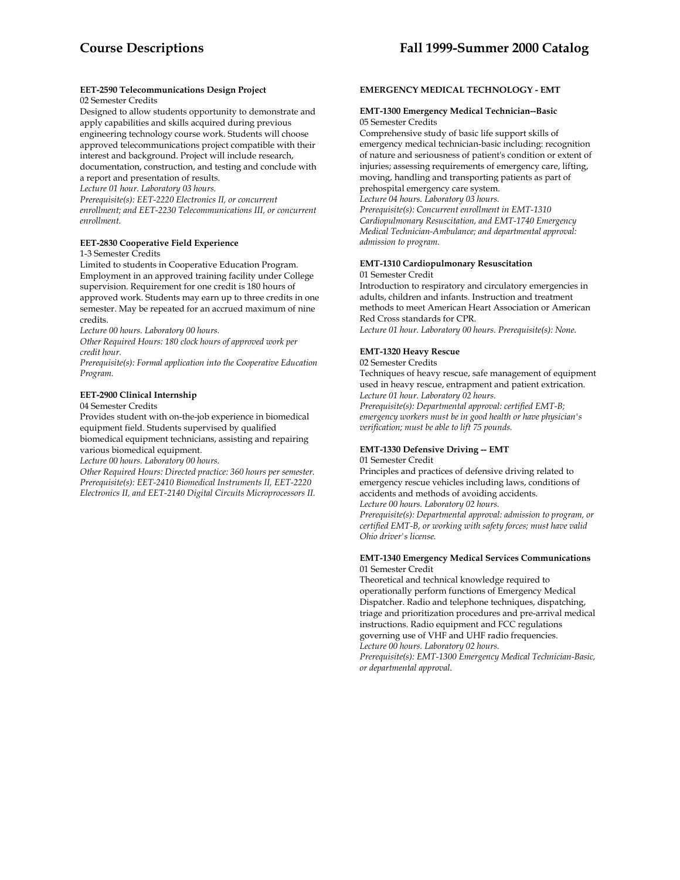# **EET-2590 Telecommunications Design Project**

### 02 Semester Credits

Designed to allow students opportunity to demonstrate and apply capabilities and skills acquired during previous engineering technology course work. Students will choose approved telecommunications project compatible with their interest and background. Project will include research, documentation, construction, and testing and conclude with a report and presentation of results.

*Lecture 01 hour. Laboratory 03 hours.* 

*Prerequisite(s): EET-2220 Electronics II, or concurrent enrollment; and EET-2230 Telecommunications III, or concurrent enrollment.* 

### **EET-2830 Cooperative Field Experience**

1-3 Semester Credits

Limited to students in Cooperative Education Program. Employment in an approved training facility under College supervision. Requirement for one credit is 180 hours of approved work. Students may earn up to three credits in one semester. May be repeated for an accrued maximum of nine credits.

*Lecture 00 hours. Laboratory 00 hours.* 

*Other Required Hours: 180 clock hours of approved work per credit hour.* 

*Prerequisite(s): Formal application into the Cooperative Education Program.* 

### **EET-2900 Clinical Internship**

04 Semester Credits

Provides student with on-the-job experience in biomedical equipment field. Students supervised by qualified biomedical equipment technicians, assisting and repairing various biomedical equipment.

*Lecture 00 hours. Laboratory 00 hours.* 

*Other Required Hours: Directed practice: 360 hours per semester. Prerequisite(s): EET-2410 Biomedical Instruments II, EET-2220 Electronics II, and EET-2140 Digital Circuits Microprocessors II.* 

### **EMERGENCY MEDICAL TECHNOLOGY - EMT**

### **EMT-1300 Emergency Medical Technician--Basic**  05 Semester Credits

Comprehensive study of basic life support skills of emergency medical technician-basic including: recognition of nature and seriousness of patient's condition or extent of injuries; assessing requirements of emergency care, lifting, moving, handling and transporting patients as part of prehospital emergency care system. *Lecture 04 hours. Laboratory 03 hours. Prerequisite(s): Concurrent enrollment in EMT-1310 Cardiopulmonary Resuscitation, and EMT-1740 Emergency Medical Technician-Ambulance; and departmental approval: admission to program.* 

### **EMT-1310 Cardiopulmonary Resuscitation**

01 Semester Credit

Introduction to respiratory and circulatory emergencies in adults, children and infants. Instruction and treatment methods to meet American Heart Association or American Red Cross standards for CPR.

*Lecture 01 hour. Laboratory 00 hours. Prerequisite(s): None.* 

### **EMT-1320 Heavy Rescue**

#### 02 Semester Credits

Techniques of heavy rescue, safe management of equipment used in heavy rescue, entrapment and patient extrication. *Lecture 01 hour. Laboratory 02 hours. Prerequisite(s): Departmental approval: certified EMT-B; emergency workers must be in good health or have physician's verification; must be able to lift 75 pounds.* 

### **EMT-1330 Defensive Driving -- EMT**

01 Semester Credit

Principles and practices of defensive driving related to emergency rescue vehicles including laws, conditions of accidents and methods of avoiding accidents.

*Lecture 00 hours. Laboratory 02 hours.* 

*Prerequisite(s): Departmental approval: admission to program, or certified EMT-B, or working with safety forces; must have valid Ohio driver's license.* 

### **EMT-1340 Emergency Medical Services Communications** 01 Semester Credit

Theoretical and technical knowledge required to operationally perform functions of Emergency Medical Dispatcher. Radio and telephone techniques, dispatching, triage and prioritization procedures and pre-arrival medical instructions. Radio equipment and FCC regulations governing use of VHF and UHF radio frequencies. *Lecture 00 hours. Laboratory 02 hours.* 

*Prerequisite(s): EMT-1300 Emergency Medical Technician-Basic, or departmental approval.*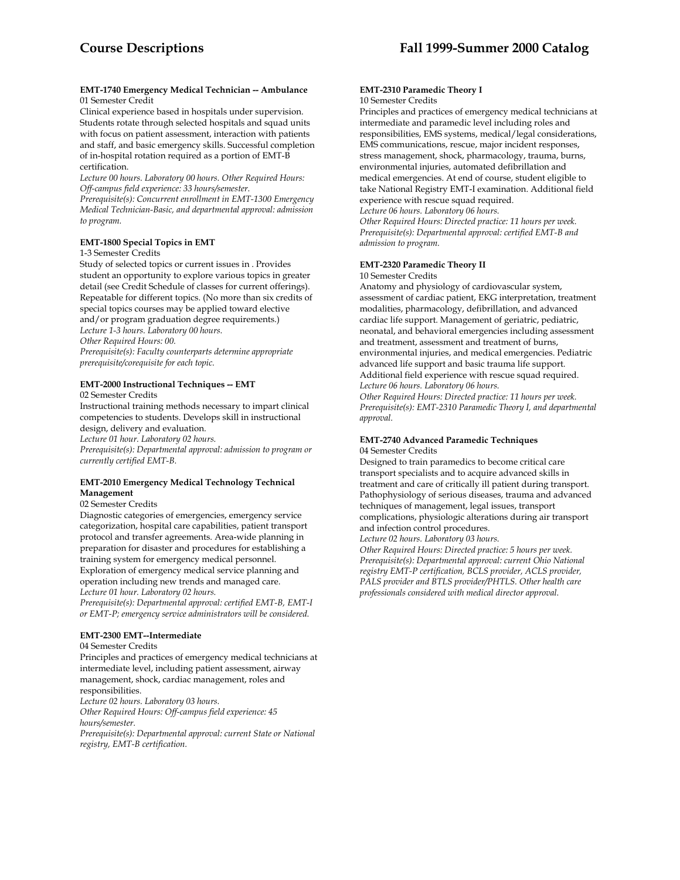#### **EMT-1740 Emergency Medical Technician -- Ambulance** 01 Semester Credit

Clinical experience based in hospitals under supervision. Students rotate through selected hospitals and squad units with focus on patient assessment, interaction with patients and staff, and basic emergency skills. Successful completion of in-hospital rotation required as a portion of EMT-B certification.

*Lecture 00 hours. Laboratory 00 hours. Other Required Hours: Off-campus field experience: 33 hours/semester.* 

*Prerequisite(s): Concurrent enrollment in EMT-1300 Emergency Medical Technician-Basic, and departmental approval: admission to program.* 

### **EMT-1800 Special Topics in EMT**

1-3 Semester Credits

Study of selected topics or current issues in . Provides student an opportunity to explore various topics in greater detail (see Credit Schedule of classes for current offerings). Repeatable for different topics. (No more than six credits of special topics courses may be applied toward elective and/or program graduation degree requirements.) *Lecture 1-3 hours. Laboratory 00 hours. Other Required Hours: 00.* 

*Prerequisite(s): Faculty counterparts determine appropriate prerequisite/corequisite for each topic.* 

# **EMT-2000 Instructional Techniques -- EMT**

02 Semester Credits

Instructional training methods necessary to impart clinical competencies to students. Develops skill in instructional design, delivery and evaluation.

*Lecture 01 hour. Laboratory 02 hours.* 

*Prerequisite(s): Departmental approval: admission to program or currently certified EMT-B.* 

### **EMT-2010 Emergency Medical Technology Technical Management**

### 02 Semester Credits

Diagnostic categories of emergencies, emergency service categorization, hospital care capabilities, patient transport protocol and transfer agreements. Area-wide planning in preparation for disaster and procedures for establishing a training system for emergency medical personnel. Exploration of emergency medical service planning and operation including new trends and managed care. *Lecture 01 hour. Laboratory 02 hours.* 

*Prerequisite(s): Departmental approval: certified EMT-B, EMT-I or EMT-P; emergency service administrators will be considered.* 

### **EMT-2300 EMT--Intermediate**

04 Semester Credits

Principles and practices of emergency medical technicians at intermediate level, including patient assessment, airway management, shock, cardiac management, roles and responsibilities. *Lecture 02 hours. Laboratory 03 hours. Other Required Hours: Off-campus field experience: 45 hours/semester.* 

*Prerequisite(s): Departmental approval: current State or National registry, EMT-B certification.* 

#### **EMT-2310 Paramedic Theory I**  10 Semester Credits

Principles and practices of emergency medical technicians at intermediate and paramedic level including roles and responsibilities, EMS systems, medical/legal considerations, EMS communications, rescue, major incident responses, stress management, shock, pharmacology, trauma, burns, environmental injuries, automated defibrillation and medical emergencies. At end of course, student eligible to take National Registry EMT-I examination. Additional field experience with rescue squad required.

*Lecture 06 hours. Laboratory 06 hours.* 

*Other Required Hours: Directed practice: 11 hours per week. Prerequisite(s): Departmental approval: certified EMT-B and admission to program.* 

### **EMT-2320 Paramedic Theory II**

10 Semester Credits

Anatomy and physiology of cardiovascular system, assessment of cardiac patient, EKG interpretation, treatment modalities, pharmacology, defibrillation, and advanced cardiac life support. Management of geriatric, pediatric, neonatal, and behavioral emergencies including assessment and treatment, assessment and treatment of burns, environmental injuries, and medical emergencies. Pediatric advanced life support and basic trauma life support. Additional field experience with rescue squad required. *Lecture 06 hours. Laboratory 06 hours.* 

*Other Required Hours: Directed practice: 11 hours per week. Prerequisite(s): EMT-2310 Paramedic Theory I, and departmental approval.* 

#### **EMT-2740 Advanced Paramedic Techniques**  04 Semester Credits

Designed to train paramedics to become critical care transport specialists and to acquire advanced skills in treatment and care of critically ill patient during transport. Pathophysiology of serious diseases, trauma and advanced techniques of management, legal issues, transport complications, physiologic alterations during air transport and infection control procedures.

*Lecture 02 hours. Laboratory 03 hours.* 

*Other Required Hours: Directed practice: 5 hours per week. Prerequisite(s): Departmental approval: current Ohio National registry EMT-P certification, BCLS provider, ACLS provider, PALS provider and BTLS provider/PHTLS. Other health care professionals considered with medical director approval.*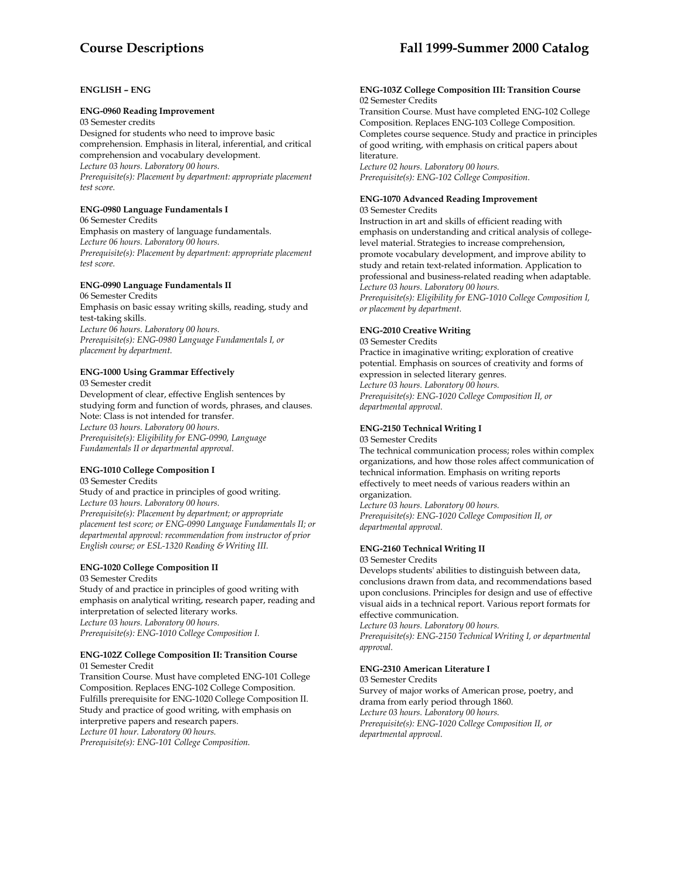### **ENGLISH – ENG**

#### **ENG-0960 Reading Improvement**

03 Semester credits

Designed for students who need to improve basic comprehension. Emphasis in literal, inferential, and critical comprehension and vocabulary development. *Lecture 03 hours. Laboratory 00 hours. Prerequisite(s): Placement by department: appropriate placement test score.* 

### **ENG-0980 Language Fundamentals I**

06 Semester Credits Emphasis on mastery of language fundamentals. *Lecture 06 hours. Laboratory 00 hours. Prerequisite(s): Placement by department: appropriate placement test score.* 

### **ENG-0990 Language Fundamentals II**

06 Semester Credits Emphasis on basic essay writing skills, reading, study and test-taking skills. *Lecture 06 hours. Laboratory 00 hours. Prerequisite(s): ENG-0980 Language Fundamentals I, or placement by department.* 

### **ENG-1000 Using Grammar Effectively**

03 Semester credit Development of clear, effective English sentences by studying form and function of words, phrases, and clauses. Note: Class is not intended for transfer. *Lecture 03 hours. Laboratory 00 hours. Prerequisite(s): Eligibility for ENG-0990, Language Fundamentals II or departmental approval.* 

### **ENG-1010 College Composition I**

03 Semester Credits Study of and practice in principles of good writing. *Lecture 03 hours. Laboratory 00 hours. Prerequisite(s): Placement by department; or appropriate placement test score; or ENG-0990 Language Fundamentals II; or departmental approval: recommendation from instructor of prior English course; or ESL-1320 Reading & Writing III.* 

## **ENG-1020 College Composition II**

03 Semester Credits

Study of and practice in principles of good writing with emphasis on analytical writing, research paper, reading and interpretation of selected literary works. *Lecture 03 hours. Laboratory 00 hours. Prerequisite(s): ENG-1010 College Composition I.* 

#### **ENG-102Z College Composition II: Transition Course**  01 Semester Credit

Transition Course. Must have completed ENG-101 College Composition. Replaces ENG-102 College Composition. Fulfills prerequisite for ENG-1020 College Composition II. Study and practice of good writing, with emphasis on interpretive papers and research papers. *Lecture 01 hour. Laboratory 00 hours. Prerequisite(s): ENG-101 College Composition.* 

#### **ENG-103Z College Composition III: Transition Course**  02 Semester Credits

Transition Course. Must have completed ENG-102 College Composition. Replaces ENG-103 College Composition. Completes course sequence. Study and practice in principles of good writing, with emphasis on critical papers about literature.

*Lecture 02 hours. Laboratory 00 hours. Prerequisite(s): ENG-102 College Composition.* 

#### **ENG-1070 Advanced Reading Improvement**  03 Semester Credits

Instruction in art and skills of efficient reading with emphasis on understanding and critical analysis of collegelevel material. Strategies to increase comprehension, promote vocabulary development, and improve ability to study and retain text-related information. Application to professional and business-related reading when adaptable. *Lecture 03 hours. Laboratory 00 hours. Prerequisite(s): Eligibility for ENG-1010 College Composition I, or placement by department.* 

### **ENG-2010 Creative Writing**

03 Semester Credits Practice in imaginative writing; exploration of creative potential. Emphasis on sources of creativity and forms of expression in selected literary genres. *Lecture 03 hours. Laboratory 00 hours. Prerequisite(s): ENG-1020 College Composition II, or departmental approval.* 

### **ENG-2150 Technical Writing I**

03 Semester Credits The technical communication process; roles within complex organizations, and how those roles affect communication of technical information. Emphasis on writing reports effectively to meet needs of various readers within an

organization. *Lecture 03 hours. Laboratory 00 hours. Prerequisite(s): ENG-1020 College Composition II, or departmental approval.* 

## **ENG-2160 Technical Writing II**

03 Semester Credits

Develops students' abilities to distinguish between data, conclusions drawn from data, and recommendations based upon conclusions. Principles for design and use of effective visual aids in a technical report. Various report formats for effective communication.

*Lecture 03 hours. Laboratory 00 hours. Prerequisite(s): ENG-2150 Technical Writing I, or departmental approval.* 

### **ENG-2310 American Literature I**

03 Semester Credits Survey of major works of American prose, poetry, and drama from early period through 1860. *Lecture 03 hours. Laboratory 00 hours. Prerequisite(s): ENG-1020 College Composition II, or departmental approval.*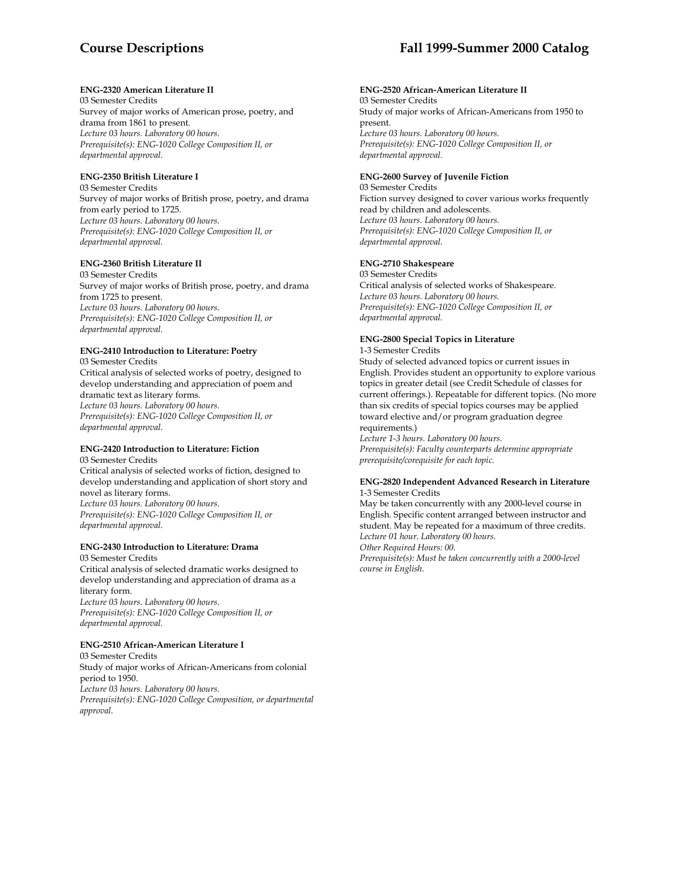### **ENG-2320 American Literature II**

03 Semester Credits Survey of major works of American prose, poetry, and drama from 1861 to present. *Lecture 03 hours. Laboratory 00 hours. Prerequisite(s): ENG-1020 College Composition II, or departmental approval.* 

### **ENG-2350 British Literature I**

03 Semester Credits Survey of major works of British prose, poetry, and drama from early period to 1725. *Lecture 03 hours. Laboratory 00 hours. Prerequisite(s): ENG-1020 College Composition II, or departmental approval.* 

### **ENG-2360 British Literature II**

03 Semester Credits Survey of major works of British prose, poetry, and drama from 1725 to present. *Lecture 03 hours. Laboratory 00 hours. Prerequisite(s): ENG-1020 College Composition II, or departmental approval.* 

### **ENG-2410 Introduction to Literature: Poetry**

03 Semester Credits Critical analysis of selected works of poetry, designed to develop understanding and appreciation of poem and dramatic text as literary forms. *Lecture 03 hours. Laboratory 00 hours. Prerequisite(s): ENG-1020 College Composition II, or departmental approval.* 

### **ENG-2420 Introduction to Literature: Fiction**

03 Semester Credits Critical analysis of selected works of fiction, designed to develop understanding and application of short story and novel as literary forms. *Lecture 03 hours. Laboratory 00 hours. Prerequisite(s): ENG-1020 College Composition II, or departmental approval.* 

### **ENG-2430 Introduction to Literature: Drama**

03 Semester Credits Critical analysis of selected dramatic works designed to develop understanding and appreciation of drama as a literary form. *Lecture 03 hours. Laboratory 00 hours. Prerequisite(s): ENG-1020 College Composition II, or departmental approval.* 

### **ENG-2510 African-American Literature I**

03 Semester Credits Study of major works of African-Americans from colonial period to 1950. *Lecture 03 hours. Laboratory 00 hours. Prerequisite(s): ENG-1020 College Composition, or departmental approval.* 

### **ENG-2520 African-American Literature II**

03 Semester Credits Study of major works of African-Americans from 1950 to present. *Lecture 03 hours. Laboratory 00 hours. Prerequisite(s): ENG-1020 College Composition II, or departmental approval.* 

### **ENG-2600 Survey of Juvenile Fiction**

03 Semester Credits Fiction survey designed to cover various works frequently read by children and adolescents. *Lecture 03 hours. Laboratory 00 hours. Prerequisite(s): ENG-1020 College Composition II, or departmental approval.* 

### **ENG-2710 Shakespeare**

03 Semester Credits Critical analysis of selected works of Shakespeare. *Lecture 03 hours. Laboratory 00 hours. Prerequisite(s): ENG-1020 College Composition II, or departmental approval.* 

### **ENG-2800 Special Topics in Literature**

1-3 Semester Credits

Study of selected advanced topics or current issues in English. Provides student an opportunity to explore various topics in greater detail (see Credit Schedule of classes for current offerings.). Repeatable for different topics. (No more than six credits of special topics courses may be applied toward elective and/or program graduation degree requirements.)

*Lecture 1-3 hours. Laboratory 00 hours. Prerequisite(s): Faculty counterparts determine appropriate prerequisite/corequisite for each topic.* 

#### **ENG-2820 Independent Advanced Research in Literature**  1-3 Semester Credits

May be taken concurrently with any 2000-level course in English. Specific content arranged between instructor and student. May be repeated for a maximum of three credits. *Lecture 01 hour. Laboratory 00 hours. Other Required Hours: 00. Prerequisite(s): Must be taken concurrently with a 2000-level course in English.*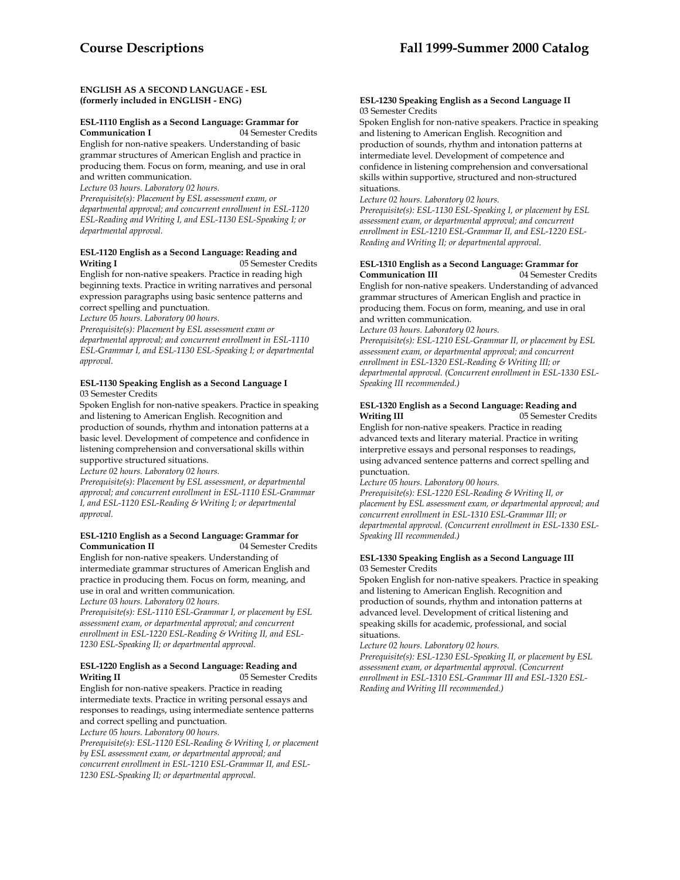### **ENGLISH AS A SECOND LANGUAGE - ESL (formerly included in ENGLISH - ENG)**

### **ESL-1110 English as a Second Language: Grammar for**

**Communication I** 04 Semester Credits English for non-native speakers. Understanding of basic grammar structures of American English and practice in producing them. Focus on form, meaning, and use in oral and written communication.

*Lecture 03 hours. Laboratory 02 hours.* 

*Prerequisite(s): Placement by ESL assessment exam, or departmental approval; and concurrent enrollment in ESL-1120 ESL-Reading and Writing I, and ESL-1130 ESL-Speaking I; or departmental approval.* 

### **ESL-1120 English as a Second Language: Reading and Writing I** 05 Semester Credits

English for non-native speakers. Practice in reading high beginning texts. Practice in writing narratives and personal expression paragraphs using basic sentence patterns and correct spelling and punctuation.

*Lecture 05 hours. Laboratory 00 hours.* 

*approval.* 

*Prerequisite(s): Placement by ESL assessment exam or departmental approval; and concurrent enrollment in ESL-1110 ESL-Grammar I, and ESL-1130 ESL-Speaking I; or departmental approval.* 

#### **ESL-1130 Speaking English as a Second Language I**  03 Semester Credits

Spoken English for non-native speakers. Practice in speaking and listening to American English. Recognition and production of sounds, rhythm and intonation patterns at a basic level. Development of competence and confidence in listening comprehension and conversational skills within supportive structured situations.

*Lecture 02 hours. Laboratory 02 hours. Prerequisite(s): Placement by ESL assessment, or departmental approval; and concurrent enrollment in ESL-1110 ESL-Grammar I, and ESL-1120 ESL-Reading & Writing I; or departmental* 

### **ESL-1210 English as a Second Language: Grammar for Communication II**

English for non-native speakers. Understanding of intermediate grammar structures of American English and practice in producing them. Focus on form, meaning, and use in oral and written communication. *Lecture 03 hours. Laboratory 02 hours.* 

*Prerequisite(s): ESL-1110 ESL-Grammar I, or placement by ESL assessment exam, or departmental approval; and concurrent enrollment in ESL-1220 ESL-Reading & Writing II, and ESL-1230 ESL-Speaking II; or departmental approval.* 

### **ESL-1220 English as a Second Language: Reading and Writing II** 05 Semester Credits

English for non-native speakers. Practice in reading intermediate texts. Practice in writing personal essays and responses to readings, using intermediate sentence patterns and correct spelling and punctuation.

*Lecture 05 hours. Laboratory 00 hours.* 

*Prerequisite(s): ESL-1120 ESL-Reading & Writing I, or placement by ESL assessment exam, or departmental approval; and concurrent enrollment in ESL-1210 ESL-Grammar II, and ESL-1230 ESL-Speaking II; or departmental approval.* 

#### **ESL-1230 Speaking English as a Second Language II**  03 Semester Credits

Spoken English for non-native speakers. Practice in speaking and listening to American English. Recognition and production of sounds, rhythm and intonation patterns at intermediate level. Development of competence and confidence in listening comprehension and conversational skills within supportive, structured and non-structured situations.

*Lecture 02 hours. Laboratory 02 hours.* 

*Prerequisite(s): ESL-1130 ESL-Speaking I, or placement by ESL assessment exam, or departmental approval; and concurrent enrollment in ESL-1210 ESL-Grammar II, and ESL-1220 ESL-Reading and Writing II; or departmental approval.* 

### **ESL-1310 English as a Second Language: Grammar for Communication III** 04 Semester Credits

English for non-native speakers. Understanding of advanced grammar structures of American English and practice in producing them. Focus on form, meaning, and use in oral and written communication.

*Lecture 03 hours. Laboratory 02 hours.* 

*Prerequisite(s): ESL-1210 ESL-Grammar II, or placement by ESL assessment exam, or departmental approval; and concurrent enrollment in ESL-1320 ESL-Reading & Writing III; or departmental approval. (Concurrent enrollment in ESL-1330 ESL-Speaking III recommended.)* 

### **ESL-1320 English as a Second Language: Reading and Writing III** 05 Semester Credits

English for non-native speakers. Practice in reading advanced texts and literary material. Practice in writing interpretive essays and personal responses to readings, using advanced sentence patterns and correct spelling and punctuation.

*Lecture 05 hours. Laboratory 00 hours.* 

*Prerequisite(s): ESL-1220 ESL-Reading & Writing II, or placement by ESL assessment exam, or departmental approval; and concurrent enrollment in ESL-1310 ESL-Grammar III; or departmental approval. (Concurrent enrollment in ESL-1330 ESL-Speaking III recommended.)* 

### **ESL-1330 Speaking English as a Second Language III**  03 Semester Credits

Spoken English for non-native speakers. Practice in speaking and listening to American English. Recognition and production of sounds, rhythm and intonation patterns at advanced level. Development of critical listening and speaking skills for academic, professional, and social situations.

*Lecture 02 hours. Laboratory 02 hours.* 

*Prerequisite(s): ESL-1230 ESL-Speaking II, or placement by ESL assessment exam, or departmental approval. (Concurrent enrollment in ESL-1310 ESL-Grammar III and ESL-1320 ESL-Reading and Writing III recommended.)*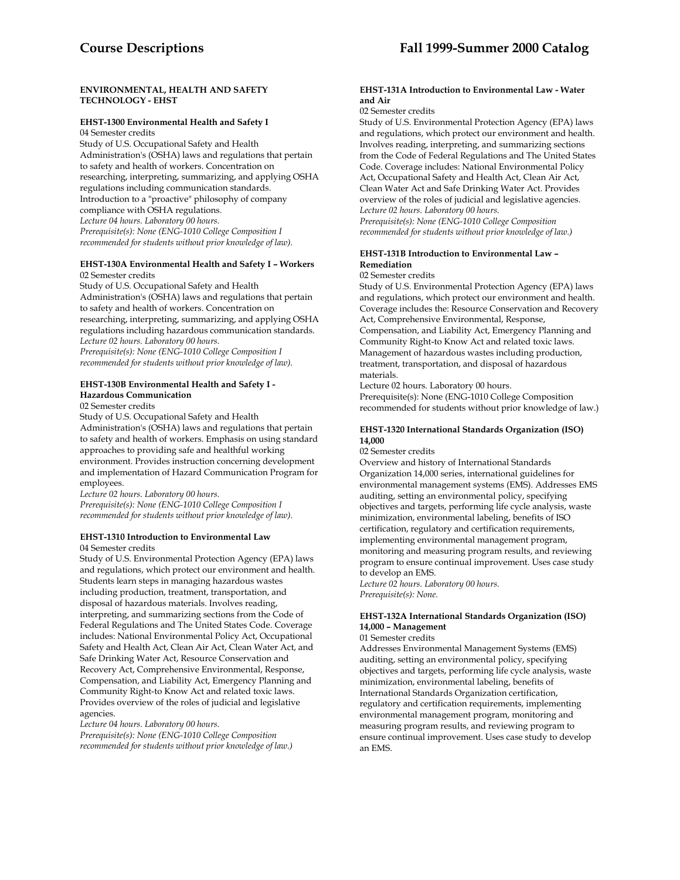### **ENVIRONMENTAL, HEALTH AND SAFETY TECHNOLOGY - EHST**

### **EHST-1300 Environmental Health and Safety I**

04 Semester credits Study of U.S. Occupational Safety and Health Administration's (OSHA) laws and regulations that pertain to safety and health of workers. Concentration on researching, interpreting, summarizing, and applying OSHA regulations including communication standards. Introduction to a "proactive" philosophy of company compliance with OSHA regulations. *Lecture 04 hours. Laboratory 00 hours. Prerequisite(s): None (ENG-1010 College Composition I recommended for students without prior knowledge of law).* 

### **EHST-130A Environmental Health and Safety I – Workers** 02 Semester credits

Study of U.S. Occupational Safety and Health Administration's (OSHA) laws and regulations that pertain to safety and health of workers. Concentration on researching, interpreting, summarizing, and applying OSHA regulations including hazardous communication standards. *Lecture 02 hours. Laboratory 00 hours. Prerequisite(s): None (ENG-1010 College Composition I recommended for students without prior knowledge of law).* 

### **EHST-130B Environmental Health and Safety I - Hazardous Communication**

02 Semester credits

Study of U.S. Occupational Safety and Health Administration's (OSHA) laws and regulations that pertain to safety and health of workers. Emphasis on using standard approaches to providing safe and healthful working environment. Provides instruction concerning development and implementation of Hazard Communication Program for employees.

*Lecture 02 hours. Laboratory 00 hours. Prerequisite(s): None (ENG-1010 College Composition I recommended for students without prior knowledge of law).* 

#### **EHST-1310 Introduction to Environmental Law** 04 Semester credits

Study of U.S. Environmental Protection Agency (EPA) laws and regulations, which protect our environment and health. Students learn steps in managing hazardous wastes including production, treatment, transportation, and disposal of hazardous materials. Involves reading, interpreting, and summarizing sections from the Code of Federal Regulations and The United States Code. Coverage includes: National Environmental Policy Act, Occupational Safety and Health Act, Clean Air Act, Clean Water Act, and Safe Drinking Water Act, Resource Conservation and Recovery Act, Comprehensive Environmental, Response, Compensation, and Liability Act, Emergency Planning and Community Right-to Know Act and related toxic laws. Provides overview of the roles of judicial and legislative agencies.

*Lecture 04 hours. Laboratory 00 hours.* 

*Prerequisite(s): None (ENG-1010 College Composition recommended for students without prior knowledge of law.)* 

#### **EHST-131A Introduction to Environmental Law - Water and Air**

### 02 Semester credits

Study of U.S. Environmental Protection Agency (EPA) laws and regulations, which protect our environment and health. Involves reading, interpreting, and summarizing sections from the Code of Federal Regulations and The United States Code. Coverage includes: National Environmental Policy Act, Occupational Safety and Health Act, Clean Air Act, Clean Water Act and Safe Drinking Water Act. Provides overview of the roles of judicial and legislative agencies. *Lecture 02 hours. Laboratory 00 hours. Prerequisite(s): None (ENG-1010 College Composition* 

*recommended for students without prior knowledge of law.)* 

### **EHST-131B Introduction to Environmental Law – Remediation**

02 Semester credits

Study of U.S. Environmental Protection Agency (EPA) laws and regulations, which protect our environment and health. Coverage includes the: Resource Conservation and Recovery Act, Comprehensive Environmental, Response, Compensation, and Liability Act, Emergency Planning and Community Right-to Know Act and related toxic laws. Management of hazardous wastes including production, treatment, transportation, and disposal of hazardous materials.

Lecture 02 hours. Laboratory 00 hours. Prerequisite(s): None (ENG-1010 College Composition recommended for students without prior knowledge of law.)

### **EHST-1320 International Standards Organization (ISO) 14,000**

02 Semester credits

Overview and history of International Standards Organization 14,000 series, international guidelines for environmental management systems (EMS). Addresses EMS auditing, setting an environmental policy, specifying objectives and targets, performing life cycle analysis, waste minimization, environmental labeling, benefits of ISO certification, regulatory and certification requirements, implementing environmental management program, monitoring and measuring program results, and reviewing program to ensure continual improvement. Uses case study to develop an EMS.

*Lecture 02 hours. Laboratory 00 hours. Prerequisite(s): None.* 

### **EHST-132A International Standards Organization (ISO) 14,000 – Management**

01 Semester credits

Addresses Environmental Management Systems (EMS) auditing, setting an environmental policy, specifying objectives and targets, performing life cycle analysis, waste minimization, environmental labeling, benefits of International Standards Organization certification, regulatory and certification requirements, implementing environmental management program, monitoring and measuring program results, and reviewing program to ensure continual improvement. Uses case study to develop an EMS.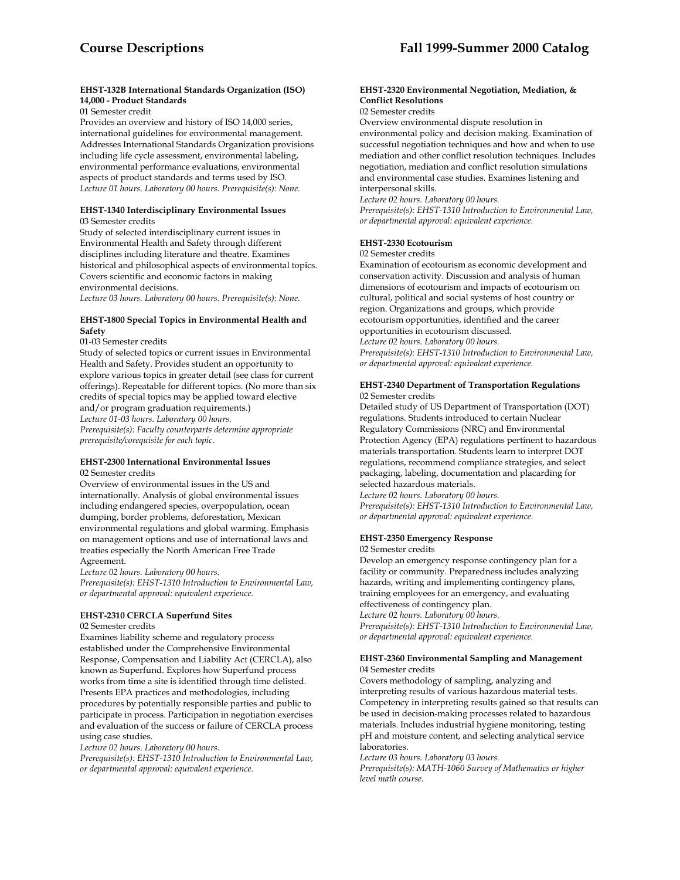### **EHST-132B International Standards Organization (ISO) 14,000 - Product Standards**

01 Semester credit

Provides an overview and history of ISO 14,000 series, international guidelines for environmental management. Addresses International Standards Organization provisions including life cycle assessment, environmental labeling, environmental performance evaluations, environmental aspects of product standards and terms used by ISO. *Lecture 01 hours. Laboratory 00 hours. Prerequisite(s): None.* 

#### **EHST-1340 Interdisciplinary Environmental Issues** 03 Semester credits

Study of selected interdisciplinary current issues in Environmental Health and Safety through different disciplines including literature and theatre. Examines historical and philosophical aspects of environmental topics. Covers scientific and economic factors in making environmental decisions.

*Lecture 03 hours. Laboratory 00 hours. Prerequisite(s): None.* 

### **EHST-1800 Special Topics in Environmental Health and Safety**

01-03 Semester credits

Study of selected topics or current issues in Environmental Health and Safety. Provides student an opportunity to explore various topics in greater detail (see class for current offerings). Repeatable for different topics. (No more than six credits of special topics may be applied toward elective and/or program graduation requirements.) *Lecture 01-03 hours. Laboratory 00 hours. Prerequisite(s): Faculty counterparts determine appropriate prerequisite/corequisite for each topic.* 

#### **EHST-2300 International Environmental Issues** 02 Semester credits

Overview of environmental issues in the US and internationally. Analysis of global environmental issues including endangered species, overpopulation, ocean dumping, border problems, deforestation, Mexican environmental regulations and global warming. Emphasis on management options and use of international laws and treaties especially the North American Free Trade Agreement.

*Lecture 02 hours. Laboratory 00 hours.* 

*Prerequisite(s): EHST-1310 Introduction to Environmental Law, or departmental approval: equivalent experience.* 

### **EHST-2310 CERCLA Superfund Sites**

02 Semester credits

Examines liability scheme and regulatory process established under the Comprehensive Environmental Response, Compensation and Liability Act (CERCLA), also known as Superfund. Explores how Superfund process works from time a site is identified through time delisted. Presents EPA practices and methodologies, including procedures by potentially responsible parties and public to participate in process. Participation in negotiation exercises and evaluation of the success or failure of CERCLA process using case studies.

*Lecture 02 hours. Laboratory 00 hours.* 

*Prerequisite(s): EHST-1310 Introduction to Environmental Law, or departmental approval: equivalent experience.* 

### **EHST-2320 Environmental Negotiation, Mediation, & Conflict Resolutions**

02 Semester credits

Overview environmental dispute resolution in environmental policy and decision making. Examination of successful negotiation techniques and how and when to use mediation and other conflict resolution techniques. Includes negotiation, mediation and conflict resolution simulations and environmental case studies. Examines listening and interpersonal skills.

*Lecture 02 hours. Laboratory 00 hours.* 

*Prerequisite(s): EHST-1310 Introduction to Environmental Law, or departmental approval: equivalent experience.* 

### **EHST-2330 Ecotourism**

### 02 Semester credits

Examination of ecotourism as economic development and conservation activity. Discussion and analysis of human dimensions of ecotourism and impacts of ecotourism on cultural, political and social systems of host country or region. Organizations and groups, which provide ecotourism opportunities, identified and the career opportunities in ecotourism discussed. *Lecture 02 hours. Laboratory 00 hours. Prerequisite(s): EHST-1310 Introduction to Environmental Law, or departmental approval: equivalent experience.* 

#### **EHST-2340 Department of Transportation Regulations** 02 Semester credits

Detailed study of US Department of Transportation (DOT) regulations. Students introduced to certain Nuclear Regulatory Commissions (NRC) and Environmental Protection Agency (EPA) regulations pertinent to hazardous materials transportation. Students learn to interpret DOT regulations, recommend compliance strategies, and select packaging, labeling, documentation and placarding for selected hazardous materials.

*Lecture 02 hours. Laboratory 00 hours. Prerequisite(s): EHST-1310 Introduction to Environmental Law, or departmental approval: equivalent experience.* 

### **EHST-2350 Emergency Response**

#### 02 Semester credits

Develop an emergency response contingency plan for a facility or community. Preparedness includes analyzing hazards, writing and implementing contingency plans, training employees for an emergency, and evaluating effectiveness of contingency plan.

*Lecture 02 hours. Laboratory 00 hours.* 

*Prerequisite(s): EHST-1310 Introduction to Environmental Law, or departmental approval: equivalent experience.* 

#### **EHST-2360 Environmental Sampling and Management** 04 Semester credits

Covers methodology of sampling, analyzing and interpreting results of various hazardous material tests. Competency in interpreting results gained so that results can be used in decision-making processes related to hazardous materials. Includes industrial hygiene monitoring, testing pH and moisture content, and selecting analytical service laboratories.

*Lecture 03 hours. Laboratory 03 hours.* 

*Prerequisite(s): MATH-1060 Survey of Mathematics or higher level math course.*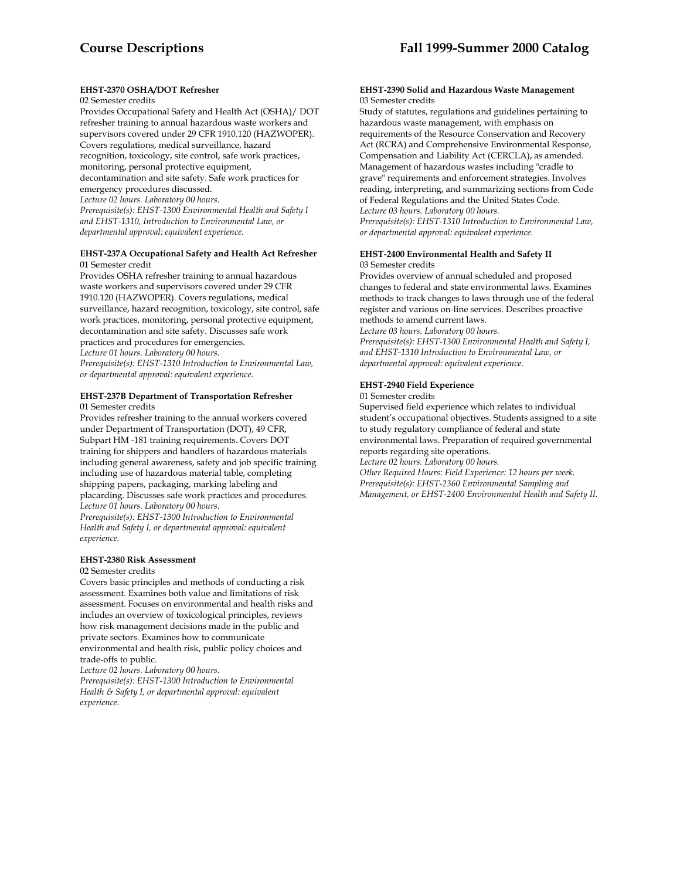### **EHST-2370 OSHA/DOT Refresher**

#### 02 Semester credits

Provides Occupational Safety and Health Act (OSHA)/ DOT refresher training to annual hazardous waste workers and supervisors covered under 29 CFR 1910.120 (HAZWOPER). Covers regulations, medical surveillance, hazard recognition, toxicology, site control, safe work practices, monitoring, personal protective equipment, decontamination and site safety. Safe work practices for emergency procedures discussed. *Lecture 02 hours. Laboratory 00 hours. Prerequisite(s): EHST-1300 Environmental Health and Safety I and EHST-1310, Introduction to Environmental Law, or* 

*departmental approval: equivalent experience.* 

#### **EHST-237A Occupational Safety and Health Act Refresher** 01 Semester credit

Provides OSHA refresher training to annual hazardous waste workers and supervisors covered under 29 CFR 1910.120 (HAZWOPER). Covers regulations, medical surveillance, hazard recognition, toxicology, site control, safe work practices, monitoring, personal protective equipment, decontamination and site safety. Discusses safe work practices and procedures for emergencies. *Lecture 01 hours. Laboratory 00 hours. Prerequisite(s): EHST-1310 Introduction to Environmental Law, or departmental approval: equivalent experience.* 

#### **EHST-237B Department of Transportation Refresher** 01 Semester credits

Provides refresher training to the annual workers covered under Department of Transportation (DOT), 49 CFR, Subpart HM -181 training requirements. Covers DOT training for shippers and handlers of hazardous materials including general awareness, safety and job specific training including use of hazardous material table, completing shipping papers, packaging, marking labeling and placarding. Discusses safe work practices and procedures. *Lecture 01 hours. Laboratory 00 hours.* 

*Prerequisite(s): EHST-1300 Introduction to Environmental Health and Safety I, or departmental approval: equivalent experience.* 

#### **EHST-2380 Risk Assessment**

#### 02 Semester credits

Covers basic principles and methods of conducting a risk assessment. Examines both value and limitations of risk assessment. Focuses on environmental and health risks and includes an overview of toxicological principles, reviews how risk management decisions made in the public and private sectors. Examines how to communicate environmental and health risk, public policy choices and trade-offs to public.

*Lecture 02 hours. Laboratory 00 hours.* 

*Prerequisite(s): EHST-1300 Introduction to Environmental Health & Safety I, or departmental approval: equivalent experience.* 

#### **EHST-2390 Solid and Hazardous Waste Management** 03 Semester credits

Study of statutes, regulations and guidelines pertaining to hazardous waste management, with emphasis on requirements of the Resource Conservation and Recovery Act (RCRA) and Comprehensive Environmental Response, Compensation and Liability Act (CERCLA), as amended. Management of hazardous wastes including "cradle to grave" requirements and enforcement strategies. Involves reading, interpreting, and summarizing sections from Code of Federal Regulations and the United States Code. *Lecture 03 hours. Laboratory 00 hours. Prerequisite(s): EHST-1310 Introduction to Environmental Law,* 

*or departmental approval: equivalent experience.* 

#### **EHST-2400 Environmental Health and Safety II** 03 Semester credits

Provides overview of annual scheduled and proposed changes to federal and state environmental laws. Examines methods to track changes to laws through use of the federal register and various on-line services. Describes proactive methods to amend current laws.

*Lecture 03 hours. Laboratory 00 hours.* 

*Prerequisite(s): EHST-1300 Environmental Health and Safety I, and EHST-1310 Introduction to Environmental Law, or departmental approval: equivalent experience.* 

### **EHST-2940 Field Experience**

01 Semester credits

Supervised field experience which relates to individual student's occupational objectives. Students assigned to a site to study regulatory compliance of federal and state environmental laws. Preparation of required governmental reports regarding site operations.

*Lecture 02 hours. Laboratory 00 hours.* 

*Other Required Hours: Field Experience: 12 hours per week. Prerequisite(s): EHST-2360 Environmental Sampling and Management, or EHST-2400 Environmental Health and Safety II.*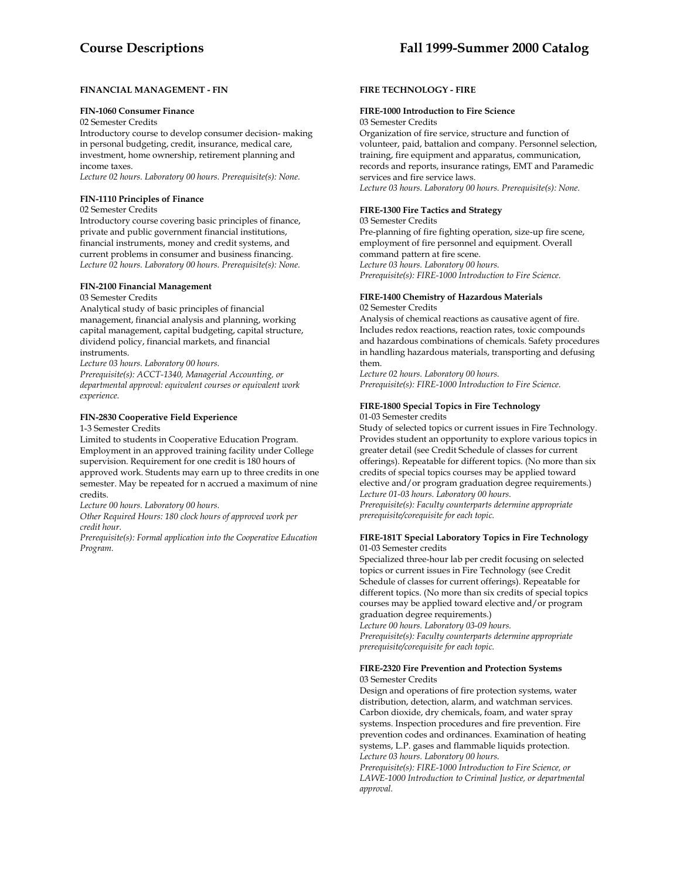### **FINANCIAL MANAGEMENT - FIN**

#### **FIN-1060 Consumer Finance**

02 Semester Credits

Introductory course to develop consumer decision- making in personal budgeting, credit, insurance, medical care, investment, home ownership, retirement planning and income taxes.

*Lecture 02 hours. Laboratory 00 hours. Prerequisite(s): None.* 

#### **FIN-1110 Principles of Finance**

#### 02 Semester Credits

Introductory course covering basic principles of finance, private and public government financial institutions, financial instruments, money and credit systems, and current problems in consumer and business financing. *Lecture 02 hours. Laboratory 00 hours. Prerequisite(s): None.* 

### **FIN-2100 Financial Management**

#### 03 Semester Credits

Analytical study of basic principles of financial management, financial analysis and planning, working capital management, capital budgeting, capital structure, dividend policy, financial markets, and financial instruments.

*Lecture 03 hours. Laboratory 00 hours.* 

*Prerequisite(s): ACCT-1340, Managerial Accounting, or departmental approval: equivalent courses or equivalent work experience.* 

### **FIN-2830 Cooperative Field Experience**

### 1-3 Semester Credits

Limited to students in Cooperative Education Program. Employment in an approved training facility under College supervision. Requirement for one credit is 180 hours of approved work. Students may earn up to three credits in one semester. May be repeated for n accrued a maximum of nine credits.

*Lecture 00 hours. Laboratory 00 hours.* 

*Other Required Hours: 180 clock hours of approved work per credit hour.* 

*Prerequisite(s): Formal application into the Cooperative Education Program.* 

### **FIRE TECHNOLOGY - FIRE**

### **FIRE-1000 Introduction to Fire Science**

03 Semester Credits

Organization of fire service, structure and function of volunteer, paid, battalion and company. Personnel selection, training, fire equipment and apparatus, communication, records and reports, insurance ratings, EMT and Paramedic services and fire service laws. *Lecture 03 hours. Laboratory 00 hours. Prerequisite(s): None.* 

#### **FIRE-1300 Fire Tactics and Strategy**

03 Semester Credits Pre-planning of fire fighting operation, size-up fire scene, employment of fire personnel and equipment. Overall command pattern at fire scene. *Lecture 03 hours. Laboratory 00 hours. Prerequisite(s): FIRE-1000 Introduction to Fire Science.* 

# **FIRE-1400 Chemistry of Hazardous Materials**

02 Semester Credits

Analysis of chemical reactions as causative agent of fire. Includes redox reactions, reaction rates, toxic compounds and hazardous combinations of chemicals. Safety procedures in handling hazardous materials, transporting and defusing them.

*Lecture 02 hours. Laboratory 00 hours. Prerequisite(s): FIRE-1000 Introduction to Fire Science.* 

#### **FIRE-1800 Special Topics in Fire Technology** 01-03 Semester credits

Study of selected topics or current issues in Fire Technology. Provides student an opportunity to explore various topics in greater detail (see Credit Schedule of classes for current offerings). Repeatable for different topics. (No more than six credits of special topics courses may be applied toward elective and/or program graduation degree requirements.) *Lecture 01-03 hours. Laboratory 00 hours. Prerequisite(s): Faculty counterparts determine appropriate prerequisite/corequisite for each topic.* 

#### **FIRE-181T Special Laboratory Topics in Fire Technology** 01-03 Semester credits

Specialized three-hour lab per credit focusing on selected topics or current issues in Fire Technology (see Credit Schedule of classes for current offerings). Repeatable for different topics. (No more than six credits of special topics courses may be applied toward elective and/or program graduation degree requirements.)

*Lecture 00 hours. Laboratory 03-09 hours. Prerequisite(s): Faculty counterparts determine appropriate prerequisite/corequisite for each topic.* 

#### **FIRE-2320 Fire Prevention and Protection Systems**  03 Semester Credits

Design and operations of fire protection systems, water distribution, detection, alarm, and watchman services. Carbon dioxide, dry chemicals, foam, and water spray systems. Inspection procedures and fire prevention. Fire prevention codes and ordinances. Examination of heating systems, L.P. gases and flammable liquids protection. *Lecture 03 hours. Laboratory 00 hours.* 

*Prerequisite(s): FIRE-1000 Introduction to Fire Science, or LAWE-1000 Introduction to Criminal Justice, or departmental approval.*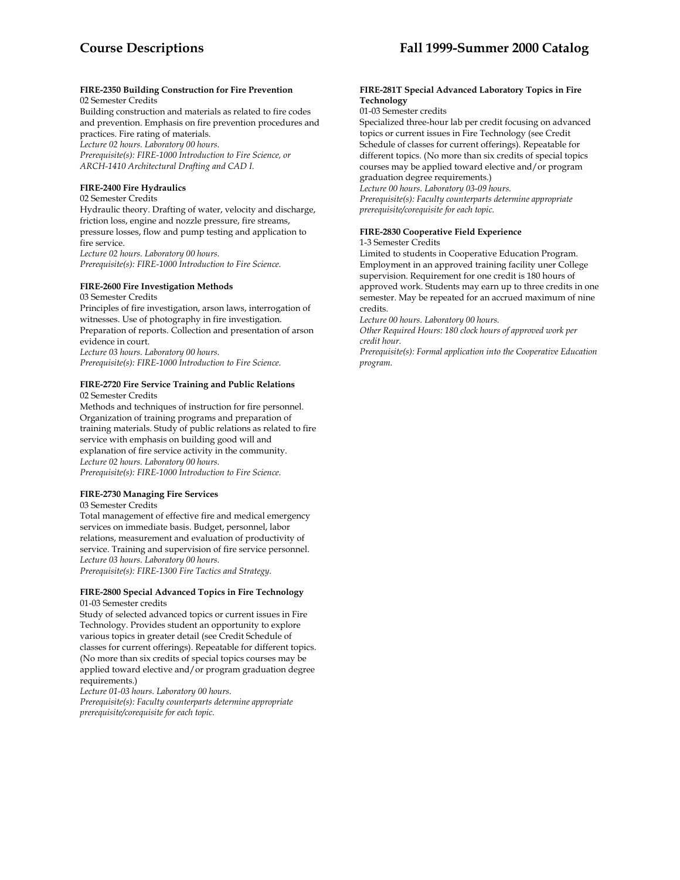# **FIRE-2350 Building Construction for Fire Prevention**

02 Semester Credits

Building construction and materials as related to fire codes and prevention. Emphasis on fire prevention procedures and practices. Fire rating of materials. *Lecture 02 hours. Laboratory 00 hours.* 

*Prerequisite(s): FIRE-1000 Introduction to Fire Science, or ARCH-1410 Architectural Drafting and CAD I.* 

### **FIRE-2400 Fire Hydraulics**

### 02 Semester Credits

Hydraulic theory. Drafting of water, velocity and discharge, friction loss, engine and nozzle pressure, fire streams, pressure losses, flow and pump testing and application to fire service.

*Lecture 02 hours. Laboratory 00 hours. Prerequisite(s): FIRE-1000 Introduction to Fire Science.* 

### **FIRE-2600 Fire Investigation Methods**

03 Semester Credits Principles of fire investigation, arson laws, interrogation of witnesses. Use of photography in fire investigation. Preparation of reports. Collection and presentation of arson evidence in court. *Lecture 03 hours. Laboratory 00 hours. Prerequisite(s): FIRE-1000 Introduction to Fire Science.* 

#### **FIRE-2720 Fire Service Training and Public Relations** 02 Semester Credits

Methods and techniques of instruction for fire personnel. Organization of training programs and preparation of training materials. Study of public relations as related to fire service with emphasis on building good will and explanation of fire service activity in the community. *Lecture 02 hours. Laboratory 00 hours. Prerequisite(s): FIRE-1000 Introduction to Fire Science.* 

# **FIRE-2730 Managing Fire Services**

#### 03 Semester Credits

Total management of effective fire and medical emergency services on immediate basis. Budget, personnel, labor relations, measurement and evaluation of productivity of service. Training and supervision of fire service personnel. *Lecture 03 hours. Laboratory 00 hours. Prerequisite(s): FIRE-1300 Fire Tactics and Strategy.* 

### **FIRE-2800 Special Advanced Topics in Fire Technology** 01-03 Semester credits

Study of selected advanced topics or current issues in Fire Technology. Provides student an opportunity to explore various topics in greater detail (see Credit Schedule of classes for current offerings). Repeatable for different topics. (No more than six credits of special topics courses may be applied toward elective and/or program graduation degree requirements.)

*Lecture 01-03 hours. Laboratory 00 hours. Prerequisite(s): Faculty counterparts determine appropriate prerequisite/corequisite for each topic.* 

#### **FIRE-281T Special Advanced Laboratory Topics in Fire Technology**

### 01-03 Semester credits

Specialized three-hour lab per credit focusing on advanced topics or current issues in Fire Technology (see Credit Schedule of classes for current offerings). Repeatable for different topics. (No more than six credits of special topics courses may be applied toward elective and/or program graduation degree requirements.)

*Lecture 00 hours. Laboratory 03-09 hours.* 

*Prerequisite(s): Faculty counterparts determine appropriate prerequisite/corequisite for each topic.* 

### **FIRE-2830 Cooperative Field Experience**

### 1-3 Semester Credits

Limited to students in Cooperative Education Program. Employment in an approved training facility uner College supervision. Requirement for one credit is 180 hours of approved work. Students may earn up to three credits in one semester. May be repeated for an accrued maximum of nine credits.

*Lecture 00 hours. Laboratory 00 hours.* 

*Other Required Hours: 180 clock hours of approved work per credit hour.* 

*Prerequisite(s): Formal application into the Cooperative Education program.*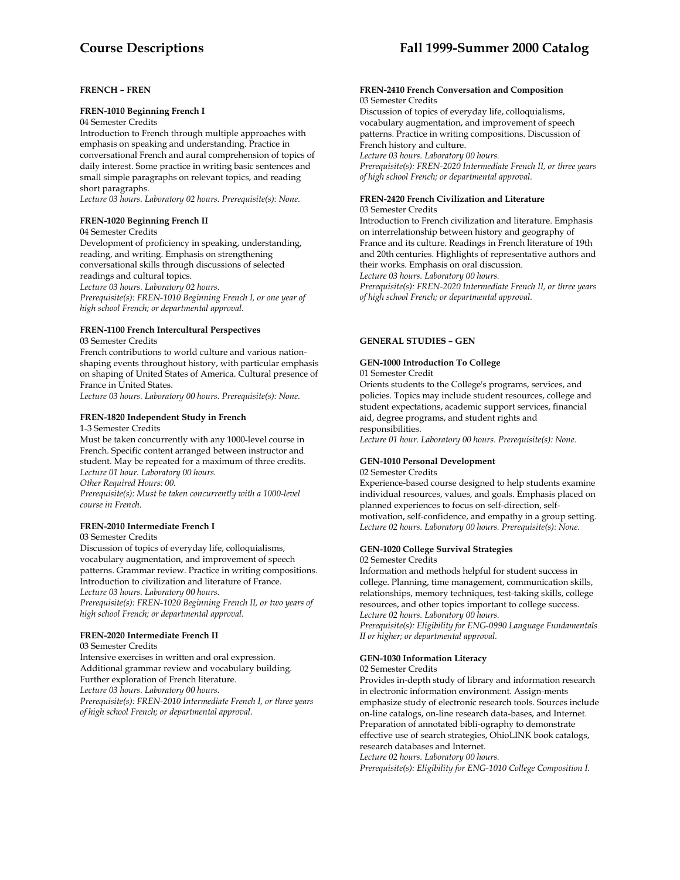# **Course Descriptions Fall 1999-Summer 2000 Catalog**

### **FRENCH – FREN**

#### **FREN-1010 Beginning French I**

### 04 Semester Credits

Introduction to French through multiple approaches with emphasis on speaking and understanding. Practice in conversational French and aural comprehension of topics of daily interest. Some practice in writing basic sentences and small simple paragraphs on relevant topics, and reading short paragraphs.

*Lecture 03 hours. Laboratory 02 hours. Prerequisite(s): None.* 

### **FREN-1020 Beginning French II**

#### 04 Semester Credits

Development of proficiency in speaking, understanding, reading, and writing. Emphasis on strengthening conversational skills through discussions of selected readings and cultural topics.

*Lecture 03 hours. Laboratory 02 hours. Prerequisite(s): FREN-1010 Beginning French I, or one year of high school French; or departmental approval.* 

# **FREN-1100 French Intercultural Perspectives**

03 Semester Credits

French contributions to world culture and various nationshaping events throughout history, with particular emphasis on shaping of United States of America. Cultural presence of France in United States.

*Lecture 03 hours. Laboratory 00 hours. Prerequisite(s): None.* 

### **FREN-1820 Independent Study in French**

1-3 Semester Credits

Must be taken concurrently with any 1000-level course in French. Specific content arranged between instructor and student. May be repeated for a maximum of three credits. *Lecture 01 hour. Laboratory 00 hours. Other Required Hours: 00.* 

*Prerequisite(s): Must be taken concurrently with a 1000-level course in French.* 

### **FREN-2010 Intermediate French I**

03 Semester Credits

Discussion of topics of everyday life, colloquialisms, vocabulary augmentation, and improvement of speech patterns. Grammar review. Practice in writing compositions. Introduction to civilization and literature of France. *Lecture 03 hours. Laboratory 00 hours. Prerequisite(s): FREN-1020 Beginning French II, or two years of high school French; or departmental approval.* 

### **FREN-2020 Intermediate French II**

03 Semester Credits Intensive exercises in written and oral expression. Additional grammar review and vocabulary building. Further exploration of French literature. *Lecture 03 hours. Laboratory 00 hours. Prerequisite(s): FREN-2010 Intermediate French I, or three years of high school French; or departmental approval.* 

#### **FREN-2410 French Conversation and Composition**  03 Semester Credits

Discussion of topics of everyday life, colloquialisms, vocabulary augmentation, and improvement of speech patterns. Practice in writing compositions. Discussion of French history and culture. *Lecture 03 hours. Laboratory 00 hours. Prerequisite(s): FREN-2020 Intermediate French II, or three years of high school French; or departmental approval.* 

### **FREN-2420 French Civilization and Literature**

03 Semester Credits

Introduction to French civilization and literature. Emphasis on interrelationship between history and geography of France and its culture. Readings in French literature of 19th and 20th centuries. Highlights of representative authors and their works. Emphasis on oral discussion.

*Lecture 03 hours. Laboratory 00 hours.* 

*Prerequisite(s): FREN-2020 Intermediate French II, or three years of high school French; or departmental approval.* 

### **GENERAL STUDIES – GEN**

### **GEN-1000 Introduction To College**

01 Semester Credit

Orients students to the College's programs, services, and policies. Topics may include student resources, college and student expectations, academic support services, financial aid, degree programs, and student rights and responsibilities.

*Lecture 01 hour. Laboratory 00 hours. Prerequisite(s): None.* 

#### **GEN-1010 Personal Development** 02 Semester Credits

Experience-based course designed to help students examine

individual resources, values, and goals. Emphasis placed on planned experiences to focus on self-direction, selfmotivation, self-confidence, and empathy in a group setting. *Lecture 02 hours. Laboratory 00 hours. Prerequisite(s): None.* 

#### **GEN-1020 College Survival Strategies**  02 Semester Credits

Information and methods helpful for student success in college. Planning, time management, communication skills, relationships, memory techniques, test-taking skills, college resources, and other topics important to college success. *Lecture 02 hours. Laboratory 00 hours. Prerequisite(s): Eligibility for ENG-0990 Language Fundamentals II or higher; or departmental approval.* 

### **GEN-1030 Information Literacy**

02 Semester Credits

Provides in-depth study of library and information research in electronic information environment. Assign-ments emphasize study of electronic research tools. Sources include on-line catalogs, on-line research data-bases, and Internet. Preparation of annotated bibli-ography to demonstrate effective use of search strategies, OhioLINK book catalogs, research databases and Internet.

*Lecture 02 hours. Laboratory 00 hours.* 

*Prerequisite(s): Eligibility for ENG-1010 College Composition I.*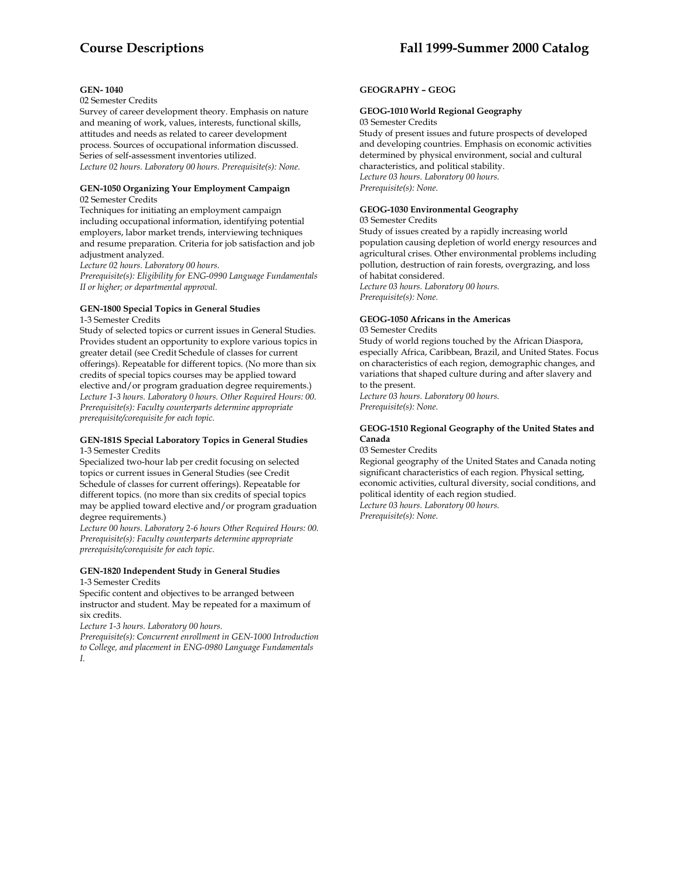#### **GEN- 1040**

#### 02 Semester Credits

Survey of career development theory. Emphasis on nature and meaning of work, values, interests, functional skills, attitudes and needs as related to career development process. Sources of occupational information discussed. Series of self-assessment inventories utilized. *Lecture 02 hours. Laboratory 00 hours. Prerequisite(s): None.* 

#### **GEN-1050 Organizing Your Employment Campaign** 02 Semester Credits

Techniques for initiating an employment campaign including occupational information, identifying potential employers, labor market trends, interviewing techniques and resume preparation. Criteria for job satisfaction and job adjustment analyzed.

*Lecture 02 hours. Laboratory 00 hours.* 

*Prerequisite(s): Eligibility for ENG-0990 Language Fundamentals II or higher; or departmental approval.* 

### **GEN-1800 Special Topics in General Studies**

1-3 Semester Credits

Study of selected topics or current issues in General Studies. Provides student an opportunity to explore various topics in greater detail (see Credit Schedule of classes for current offerings). Repeatable for different topics. (No more than six credits of special topics courses may be applied toward elective and/or program graduation degree requirements.) *Lecture 1-3 hours. Laboratory 0 hours. Other Required Hours: 00. Prerequisite(s): Faculty counterparts determine appropriate prerequisite/corequisite for each topic.* 

#### **GEN-181S Special Laboratory Topics in General Studies**  1-3 Semester Credits

Specialized two-hour lab per credit focusing on selected topics or current issues in General Studies (see Credit Schedule of classes for current offerings). Repeatable for different topics. (no more than six credits of special topics may be applied toward elective and/or program graduation degree requirements.)

*Lecture 00 hours. Laboratory 2-6 hours Other Required Hours: 00. Prerequisite(s): Faculty counterparts determine appropriate prerequisite/corequisite for each topic.* 

### **GEN-1820 Independent Study in General Studies**  1-3 Semester Credits

Specific content and objectives to be arranged between instructor and student. May be repeated for a maximum of six credits.

*Lecture 1-3 hours. Laboratory 00 hours.* 

*Prerequisite(s): Concurrent enrollment in GEN-1000 Introduction to College, and placement in ENG-0980 Language Fundamentals I.* 

### **GEOGRAPHY – GEOG**

# **GEOG-1010 World Regional Geography**

03 Semester Credits

Study of present issues and future prospects of developed and developing countries. Emphasis on economic activities determined by physical environment, social and cultural characteristics, and political stability. *Lecture 03 hours. Laboratory 00 hours. Prerequisite(s): None.* 

### **GEOG-1030 Environmental Geography**

03 Semester Credits Study of issues created by a rapidly increasing world population causing depletion of world energy resources and agricultural crises. Other environmental problems including pollution, destruction of rain forests, overgrazing, and loss of habitat considered. *Lecture 03 hours. Laboratory 00 hours. Prerequisite(s): None.* 

### **GEOG-1050 Africans in the Americas**

03 Semester Credits

Study of world regions touched by the African Diaspora, especially Africa, Caribbean, Brazil, and United States. Focus on characteristics of each region, demographic changes, and variations that shaped culture during and after slavery and to the present.

*Lecture 03 hours. Laboratory 00 hours. Prerequisite(s): None.* 

### **GEOG-1510 Regional Geography of the United States and Canada**

03 Semester Credits

Regional geography of the United States and Canada noting significant characteristics of each region. Physical setting, economic activities, cultural diversity, social conditions, and political identity of each region studied. *Lecture 03 hours. Laboratory 00 hours.* 

*Prerequisite(s): None.*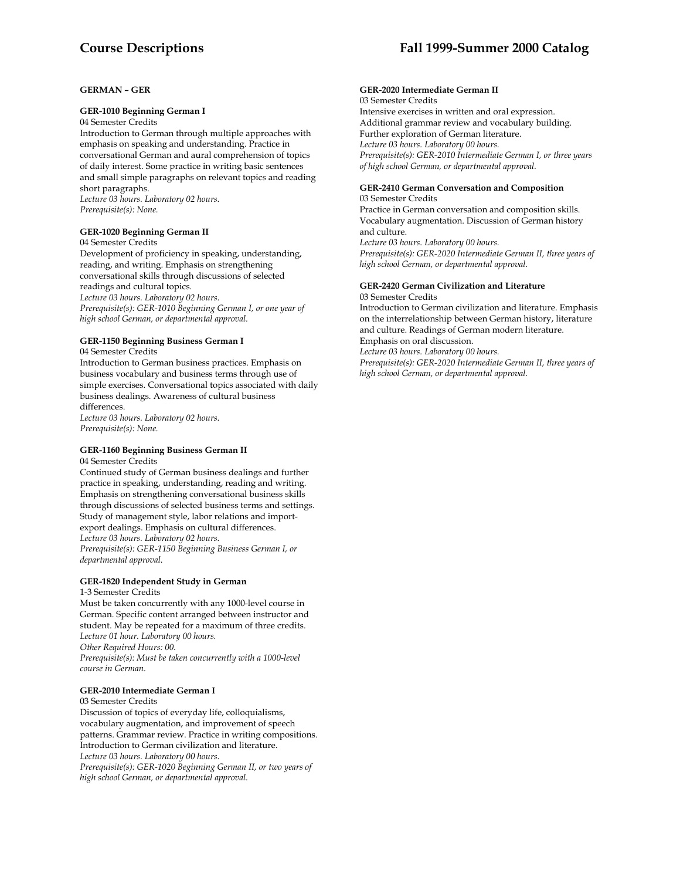# **Course Descriptions Fall 1999-Summer 2000 Catalog**

# **GERMAN – GER**

#### **GER-1010 Beginning German I**

04 Semester Credits

Introduction to German through multiple approaches with emphasis on speaking and understanding. Practice in conversational German and aural comprehension of topics of daily interest. Some practice in writing basic sentences and small simple paragraphs on relevant topics and reading short paragraphs. *Lecture 03 hours. Laboratory 02 hours.* 

**GER-1020 Beginning German II** 

# 04 Semester Credits

*Prerequisite(s): None.* 

Development of proficiency in speaking, understanding, reading, and writing. Emphasis on strengthening conversational skills through discussions of selected readings and cultural topics. *Lecture 03 hours. Laboratory 02 hours. Prerequisite(s): GER-1010 Beginning German I, or one year of high school German, or departmental approval.* 

# **GER-1150 Beginning Business German I**

04 Semester Credits

Introduction to German business practices. Emphasis on business vocabulary and business terms through use of simple exercises. Conversational topics associated with daily business dealings. Awareness of cultural business differences.

*Lecture 03 hours. Laboratory 02 hours. Prerequisite(s): None.* 

# **GER-1160 Beginning Business German II**

04 Semester Credits

Continued study of German business dealings and further practice in speaking, understanding, reading and writing. Emphasis on strengthening conversational business skills through discussions of selected business terms and settings. Study of management style, labor relations and importexport dealings. Emphasis on cultural differences. *Lecture 03 hours. Laboratory 02 hours. Prerequisite(s): GER-1150 Beginning Business German I, or departmental approval.* 

# **GER-1820 Independent Study in German**

# 1-3 Semester Credits

Must be taken concurrently with any 1000-level course in German. Specific content arranged between instructor and student. May be repeated for a maximum of three credits. *Lecture 01 hour. Laboratory 00 hours. Other Required Hours: 00. Prerequisite(s): Must be taken concurrently with a 1000-level course in German.* 

#### **GER-2010 Intermediate German I**

03 Semester Credits Discussion of topics of everyday life, colloquialisms, vocabulary augmentation, and improvement of speech patterns. Grammar review. Practice in writing compositions. Introduction to German civilization and literature. *Lecture 03 hours. Laboratory 00 hours. Prerequisite(s): GER-1020 Beginning German II, or two years of* 

*high school German, or departmental approval.* 

#### **GER-2020 Intermediate German II**  03 Semester Credits

Intensive exercises in written and oral expression. Additional grammar review and vocabulary building. Further exploration of German literature. *Lecture 03 hours. Laboratory 00 hours. Prerequisite(s): GER-2010 Intermediate German I, or three years of high school German, or departmental approval.* 

#### **GER-2410 German Conversation and Composition** 03 Semester Credits

Practice in German conversation and composition skills. Vocabulary augmentation. Discussion of German history and culture.

*Lecture 03 hours. Laboratory 00 hours.* 

*Prerequisite(s): GER-2020 Intermediate German II, three years of high school German, or departmental approval.* 

# **GER-2420 German Civilization and Literature**

03 Semester Credits

Introduction to German civilization and literature. Emphasis on the interrelationship between German history, literature and culture. Readings of German modern literature. Emphasis on oral discussion. *Lecture 03 hours. Laboratory 00 hours. Prerequisite(s): GER-2020 Intermediate German II, three years of high school German, or departmental approval.*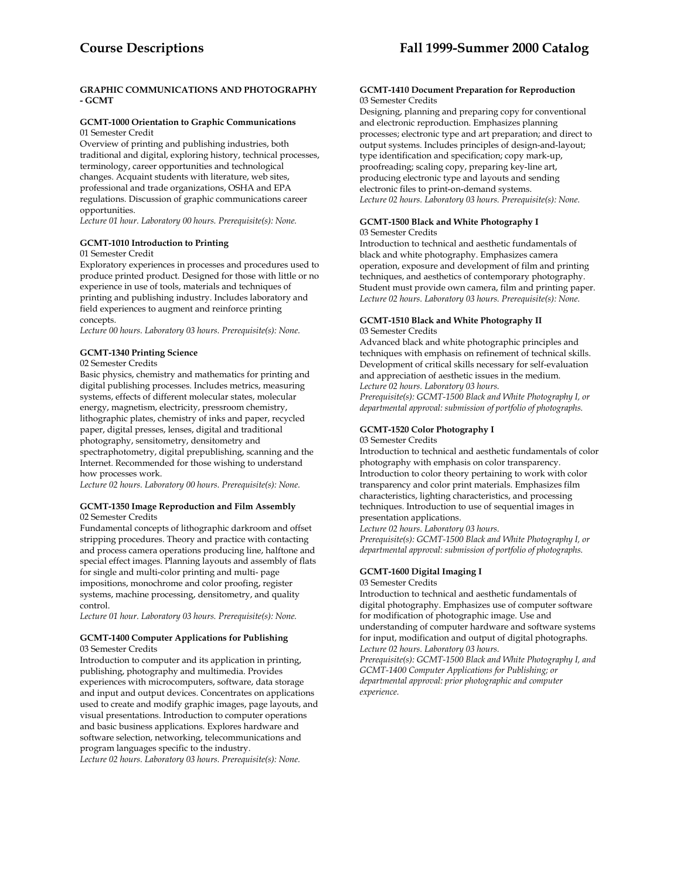# **GRAPHIC COMMUNICATIONS AND PHOTOGRAPHY - GCMT**

# **GCMT-1000 Orientation to Graphic Communications**

01 Semester Credit

Overview of printing and publishing industries, both traditional and digital, exploring history, technical processes, terminology, career opportunities and technological changes. Acquaint students with literature, web sites, professional and trade organizations, OSHA and EPA regulations. Discussion of graphic communications career opportunities.

*Lecture 01 hour. Laboratory 00 hours. Prerequisite(s): None.* 

# **GCMT-1010 Introduction to Printing**

### 01 Semester Credit

Exploratory experiences in processes and procedures used to produce printed product. Designed for those with little or no experience in use of tools, materials and techniques of printing and publishing industry. Includes laboratory and field experiences to augment and reinforce printing concepts.

*Lecture 00 hours. Laboratory 03 hours. Prerequisite(s): None.* 

# **GCMT-1340 Printing Science**

02 Semester Credits

Basic physics, chemistry and mathematics for printing and digital publishing processes. Includes metrics, measuring systems, effects of different molecular states, molecular energy, magnetism, electricity, pressroom chemistry, lithographic plates, chemistry of inks and paper, recycled paper, digital presses, lenses, digital and traditional photography, sensitometry, densitometry and spectraphotometry, digital prepublishing, scanning and the Internet. Recommended for those wishing to understand how processes work.

*Lecture 02 hours. Laboratory 00 hours. Prerequisite(s): None.* 

#### **GCMT-1350 Image Reproduction and Film Assembly**  02 Semester Credits

Fundamental concepts of lithographic darkroom and offset stripping procedures. Theory and practice with contacting and process camera operations producing line, halftone and special effect images. Planning layouts and assembly of flats for single and multi-color printing and multi- page impositions, monochrome and color proofing, register systems, machine processing, densitometry, and quality control.

*Lecture 01 hour. Laboratory 03 hours. Prerequisite(s): None.* 

#### **GCMT-1400 Computer Applications for Publishing** 03 Semester Credits

Introduction to computer and its application in printing, publishing, photography and multimedia. Provides experiences with microcomputers, software, data storage and input and output devices. Concentrates on applications used to create and modify graphic images, page layouts, and visual presentations. Introduction to computer operations and basic business applications. Explores hardware and software selection, networking, telecommunications and program languages specific to the industry.

*Lecture 02 hours. Laboratory 03 hours. Prerequisite(s): None.* 

#### **GCMT-1410 Document Preparation for Reproduction**  03 Semester Credits

Designing, planning and preparing copy for conventional and electronic reproduction. Emphasizes planning processes; electronic type and art preparation; and direct to output systems. Includes principles of design-and-layout; type identification and specification; copy mark-up, proofreading; scaling copy, preparing key-line art, producing electronic type and layouts and sending electronic files to print-on-demand systems. *Lecture 02 hours. Laboratory 03 hours. Prerequisite(s): None.* 

#### **GCMT-1500 Black and White Photography I** 03 Semester Credits

Introduction to technical and aesthetic fundamentals of black and white photography. Emphasizes camera operation, exposure and development of film and printing techniques, and aesthetics of contemporary photography. Student must provide own camera, film and printing paper. *Lecture 02 hours. Laboratory 03 hours. Prerequisite(s): None.* 

# **GCMT-1510 Black and White Photography II**

03 Semester Credits

Advanced black and white photographic principles and techniques with emphasis on refinement of technical skills. Development of critical skills necessary for self-evaluation and appreciation of aesthetic issues in the medium. *Lecture 02 hours. Laboratory 03 hours.* 

*Prerequisite(s): GCMT-1500 Black and White Photography I, or departmental approval: submission of portfolio of photographs.* 

# **GCMT-1520 Color Photography I**

03 Semester Credits

Introduction to technical and aesthetic fundamentals of color photography with emphasis on color transparency. Introduction to color theory pertaining to work with color transparency and color print materials. Emphasizes film characteristics, lighting characteristics, and processing techniques. Introduction to use of sequential images in presentation applications.

*Lecture 02 hours. Laboratory 03 hours. Prerequisite(s): GCMT-1500 Black and White Photography I, or departmental approval: submission of portfolio of photographs.* 

# **GCMT-1600 Digital Imaging I**

03 Semester Credits

Introduction to technical and aesthetic fundamentals of digital photography. Emphasizes use of computer software for modification of photographic image. Use and understanding of computer hardware and software systems for input, modification and output of digital photographs. *Lecture 02 hours. Laboratory 03 hours.* 

*Prerequisite(s): GCMT-1500 Black and White Photography I, and GCMT-1400 Computer Applications for Publishing; or departmental approval: prior photographic and computer experience.*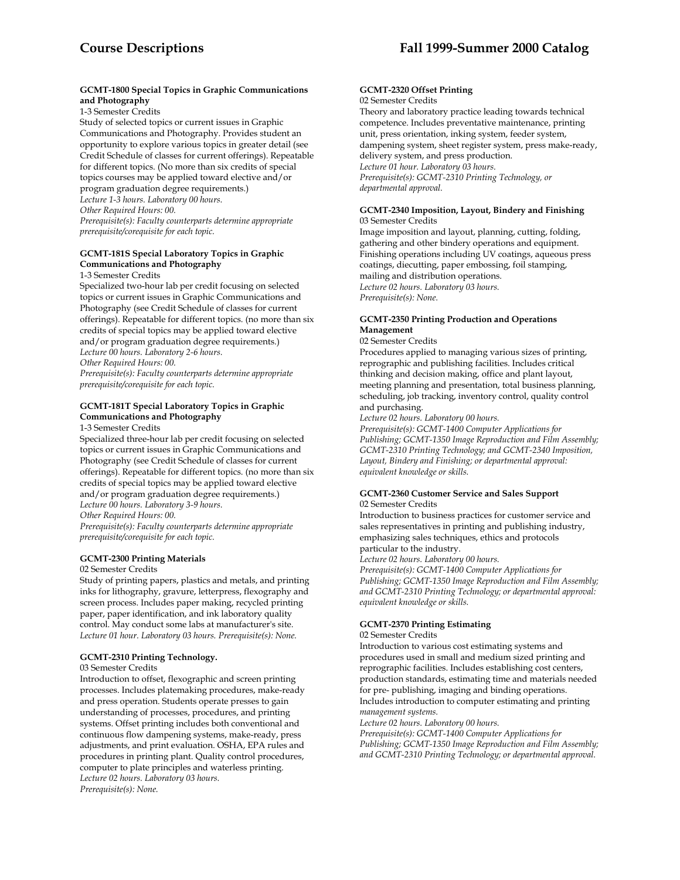# **GCMT-1800 Special Topics in Graphic Communications and Photography**

1-3 Semester Credits

Study of selected topics or current issues in Graphic Communications and Photography. Provides student an opportunity to explore various topics in greater detail (see Credit Schedule of classes for current offerings). Repeatable for different topics. (No more than six credits of special topics courses may be applied toward elective and/or program graduation degree requirements.) *Lecture 1-3 hours. Laboratory 00 hours. Other Required Hours: 00. Prerequisite(s): Faculty counterparts determine appropriate prerequisite/corequisite for each topic.* 

# **GCMT-181S Special Laboratory Topics in Graphic Communications and Photography**

1-3 Semester Credits

Specialized two-hour lab per credit focusing on selected topics or current issues in Graphic Communications and Photography (see Credit Schedule of classes for current offerings). Repeatable for different topics. (no more than six credits of special topics may be applied toward elective and/or program graduation degree requirements.) *Lecture 00 hours. Laboratory 2-6 hours.* 

*Other Required Hours: 00.* 

*Prerequisite(s): Faculty counterparts determine appropriate prerequisite/corequisite for each topic.* 

# **GCMT-181T Special Laboratory Topics in Graphic Communications and Photography**

1-3 Semester Credits

Specialized three-hour lab per credit focusing on selected topics or current issues in Graphic Communications and Photography (see Credit Schedule of classes for current offerings). Repeatable for different topics. (no more than six credits of special topics may be applied toward elective and/or program graduation degree requirements.) *Lecture 00 hours. Laboratory 3-9 hours.* 

*Other Required Hours: 00.* 

*Prerequisite(s): Faculty counterparts determine appropriate prerequisite/corequisite for each topic.* 

### **GCMT-2300 Printing Materials**

02 Semester Credits

Study of printing papers, plastics and metals, and printing inks for lithography, gravure, letterpress, flexography and screen process. Includes paper making, recycled printing paper, paper identification, and ink laboratory quality control. May conduct some labs at manufacturer's site. *Lecture 01 hour. Laboratory 03 hours. Prerequisite(s): None.* 

### **GCMT-2310 Printing Technology.**

03 Semester Credits

Introduction to offset, flexographic and screen printing processes. Includes platemaking procedures, make-ready and press operation. Students operate presses to gain understanding of processes, procedures, and printing systems. Offset printing includes both conventional and continuous flow dampening systems, make-ready, press adjustments, and print evaluation. OSHA, EPA rules and procedures in printing plant. Quality control procedures, computer to plate principles and waterless printing. *Lecture 02 hours. Laboratory 03 hours. Prerequisite(s): None.* 

#### **GCMT-2320 Offset Printing**  02 Semester Credits

Theory and laboratory practice leading towards technical competence. Includes preventative maintenance, printing unit, press orientation, inking system, feeder system, dampening system, sheet register system, press make-ready, delivery system, and press production. *Lecture 01 hour. Laboratory 03 hours. Prerequisite(s): GCMT-2310 Printing Technology, or departmental approval.* 

#### **GCMT-2340 Imposition, Layout, Bindery and Finishing** 03 Semester Credits

Image imposition and layout, planning, cutting, folding, gathering and other bindery operations and equipment. Finishing operations including UV coatings, aqueous press coatings, diecutting, paper embossing, foil stamping, mailing and distribution operations. *Lecture 02 hours. Laboratory 03 hours. Prerequisite(s): None.* 

# **GCMT-2350 Printing Production and Operations Management**

#### 02 Semester Credits

Procedures applied to managing various sizes of printing, reprographic and publishing facilities. Includes critical thinking and decision making, office and plant layout, meeting planning and presentation, total business planning, scheduling, job tracking, inventory control, quality control and purchasing.

*Lecture 02 hours. Laboratory 00 hours.* 

*Prerequisite(s): GCMT-1400 Computer Applications for Publishing; GCMT-1350 Image Reproduction and Film Assembly; GCMT-2310 Printing Technology; and GCMT-2340 Imposition, Layout, Bindery and Finishing; or departmental approval: equivalent knowledge or skills.* 

## **GCMT-2360 Customer Service and Sales Support** 02 Semester Credits

Introduction to business practices for customer service and sales representatives in printing and publishing industry, emphasizing sales techniques, ethics and protocols particular to the industry.

*Lecture 02 hours. Laboratory 00 hours.* 

*Prerequisite(s): GCMT-1400 Computer Applications for Publishing; GCMT-1350 Image Reproduction and Film Assembly; and GCMT-2310 Printing Technology; or departmental approval: equivalent knowledge or skills.* 

# **GCMT-2370 Printing Estimating**

02 Semester Credits

Introduction to various cost estimating systems and procedures used in small and medium sized printing and reprographic facilities. Includes establishing cost centers, production standards, estimating time and materials needed for pre- publishing, imaging and binding operations. Includes introduction to computer estimating and printing *management systems.* 

*Lecture 02 hours. Laboratory 00 hours.* 

*Prerequisite(s): GCMT-1400 Computer Applications for Publishing; GCMT-1350 Image Reproduction and Film Assembly; and GCMT-2310 Printing Technology; or departmental approval.*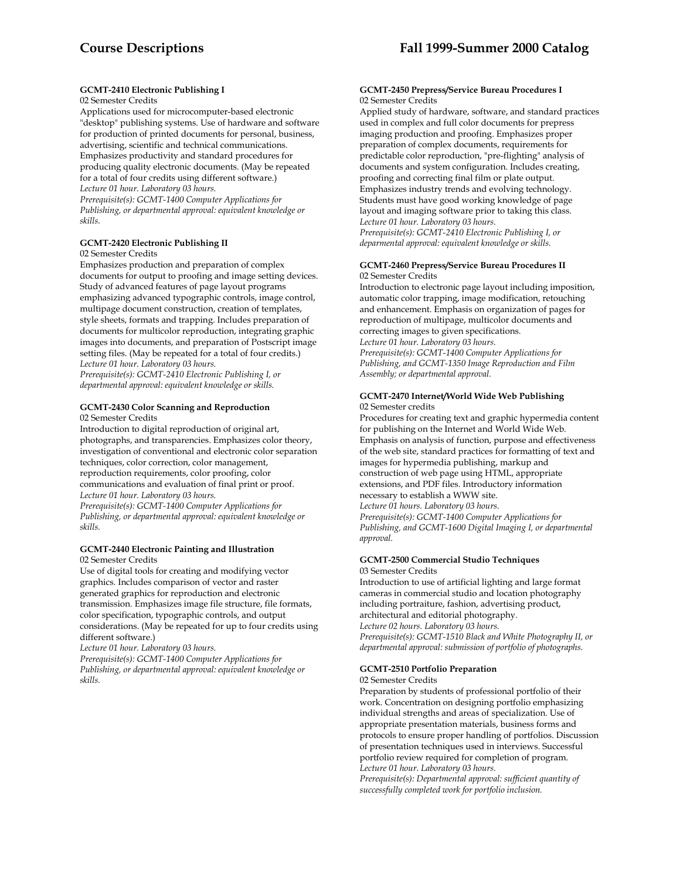# **GCMT-2410 Electronic Publishing I**

# 02 Semester Credits

Applications used for microcomputer-based electronic "desktop" publishing systems. Use of hardware and software for production of printed documents for personal, business, advertising, scientific and technical communications. Emphasizes productivity and standard procedures for producing quality electronic documents. (May be repeated for a total of four credits using different software.) *Lecture 01 hour. Laboratory 03 hours.* 

*Prerequisite(s): GCMT-1400 Computer Applications for Publishing, or departmental approval: equivalent knowledge or skills.* 

# **GCMT-2420 Electronic Publishing II**

02 Semester Credits

Emphasizes production and preparation of complex documents for output to proofing and image setting devices. Study of advanced features of page layout programs emphasizing advanced typographic controls, image control, multipage document construction, creation of templates, style sheets, formats and trapping. Includes preparation of documents for multicolor reproduction, integrating graphic images into documents, and preparation of Postscript image setting files. (May be repeated for a total of four credits.) *Lecture 01 hour. Laboratory 03 hours.* 

*Prerequisite(s): GCMT-2410 Electronic Publishing I, or departmental approval: equivalent knowledge or skills.* 

#### **GCMT-2430 Color Scanning and Reproduction**  02 Semester Credits

Introduction to digital reproduction of original art, photographs, and transparencies. Emphasizes color theory, investigation of conventional and electronic color separation techniques, color correction, color management, reproduction requirements, color proofing, color communications and evaluation of final print or proof.

*Lecture 01 hour. Laboratory 03 hours. Prerequisite(s): GCMT-1400 Computer Applications for* 

*Publishing, or departmental approval: equivalent knowledge or skills.* 

#### **GCMT-2440 Electronic Painting and Illustration**  02 Semester Credits

Use of digital tools for creating and modifying vector graphics. Includes comparison of vector and raster generated graphics for reproduction and electronic transmission. Emphasizes image file structure, file formats, color specification, typographic controls, and output considerations. (May be repeated for up to four credits using different software.)

*Lecture 01 hour. Laboratory 03 hours.* 

*Prerequisite(s): GCMT-1400 Computer Applications for Publishing, or departmental approval: equivalent knowledge or skills.* 

#### **GCMT-2450 Prepress/Service Bureau Procedures I**  02 Semester Credits

Applied study of hardware, software, and standard practices used in complex and full color documents for prepress imaging production and proofing. Emphasizes proper preparation of complex documents, requirements for predictable color reproduction, "pre-flighting" analysis of documents and system configuration. Includes creating, proofing and correcting final film or plate output. Emphasizes industry trends and evolving technology. Students must have good working knowledge of page layout and imaging software prior to taking this class. *Lecture 01 hour. Laboratory 03 hours. Prerequisite(s): GCMT-2410 Electronic Publishing I, or deparmental approval: equivalent knowledge or skills.* 

#### **GCMT-2460 Prepress/Service Bureau Procedures II**  02 Semester Credits

Introduction to electronic page layout including imposition, automatic color trapping, image modification, retouching and enhancement. Emphasis on organization of pages for reproduction of multipage, multicolor documents and correcting images to given specifications. *Lecture 01 hour. Laboratory 03 hours. Prerequisite(s): GCMT-1400 Computer Applications for Publishing, and GCMT-1350 Image Reproduction and Film Assembly; or departmental approval.* 

# **GCMT-2470 Internet/World Wide Web Publishing** 02 Semester credits

Procedures for creating text and graphic hypermedia content for publishing on the Internet and World Wide Web. Emphasis on analysis of function, purpose and effectiveness of the web site, standard practices for formatting of text and images for hypermedia publishing, markup and construction of web page using HTML, appropriate extensions, and PDF files. Introductory information necessary to establish a WWW site. *Lecture 01 hours. Laboratory 03 hours.* 

*Prerequisite(s): GCMT-1400 Computer Applications for Publishing, and GCMT-1600 Digital Imaging I, or departmental approval.* 

#### **GCMT-2500 Commercial Studio Techniques**  03 Semester Credits

Introduction to use of artificial lighting and large format cameras in commercial studio and location photography including portraiture, fashion, advertising product, architectural and editorial photography. *Lecture 02 hours. Laboratory 03 hours. Prerequisite(s): GCMT-1510 Black and White Photography II, or departmental approval: submission of portfolio of photographs.* 

# **GCMT-2510 Portfolio Preparation**

02 Semester Credits

Preparation by students of professional portfolio of their work. Concentration on designing portfolio emphasizing individual strengths and areas of specialization. Use of appropriate presentation materials, business forms and protocols to ensure proper handling of portfolios. Discussion of presentation techniques used in interviews. Successful portfolio review required for completion of program. *Lecture 01 hour. Laboratory 03 hours.* 

*Prerequisite(s): Departmental approval: sufficient quantity of successfully completed work for portfolio inclusion.*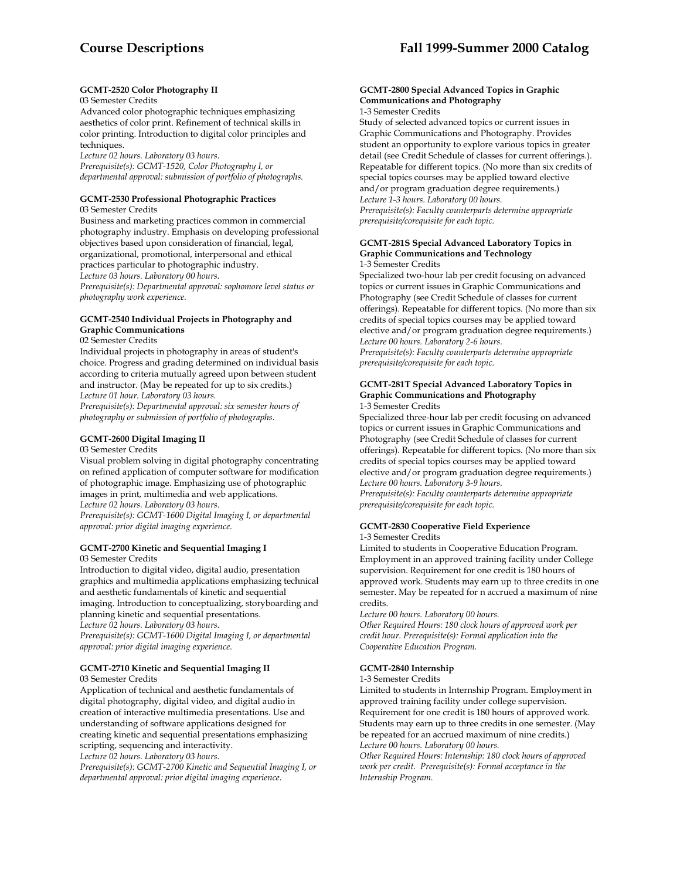# **GCMT-2520 Color Photography II**

# 03 Semester Credits

Advanced color photographic techniques emphasizing aesthetics of color print. Refinement of technical skills in color printing. Introduction to digital color principles and techniques.

*Lecture 02 hours. Laboratory 03 hours.* 

*Prerequisite(s): GCMT-1520, Color Photography I, or departmental approval: submission of portfolio of photographs.* 

#### **GCMT-2530 Professional Photographic Practices**

03 Semester Credits

Business and marketing practices common in commercial photography industry. Emphasis on developing professional objectives based upon consideration of financial, legal, organizational, promotional, interpersonal and ethical practices particular to photographic industry.

*Lecture 03 hours. Laboratory 00 hours.* 

*Prerequisite(s): Departmental approval: sophomore level status or photography work experience.* 

# **GCMT-2540 Individual Projects in Photography and Graphic Communications**

02 Semester Credits

Individual projects in photography in areas of student's choice. Progress and grading determined on individual basis according to criteria mutually agreed upon between student and instructor. (May be repeated for up to six credits.) *Lecture 01 hour. Laboratory 03 hours.* 

*Prerequisite(s): Departmental approval: six semester hours of photography or submission of portfolio of photographs.* 

#### **GCMT-2600 Digital Imaging II**  03 Semester Credits

Visual problem solving in digital photography concentrating on refined application of computer software for modification of photographic image. Emphasizing use of photographic images in print, multimedia and web applications. *Lecture 02 hours. Laboratory 03 hours. Prerequisite(s): GCMT-1600 Digital Imaging I, or departmental approval: prior digital imaging experience.* 

# **GCMT-2700 Kinetic and Sequential Imaging I**

03 Semester Credits

Introduction to digital video, digital audio, presentation graphics and multimedia applications emphasizing technical and aesthetic fundamentals of kinetic and sequential imaging. Introduction to conceptualizing, storyboarding and planning kinetic and sequential presentations.

*Lecture 02 hours. Laboratory 03 hours.* 

*Prerequisite(s): GCMT-1600 Digital Imaging I, or departmental approval: prior digital imaging experience.* 

# **GCMT-2710 Kinetic and Sequential Imaging II**

03 Semester Credits

Application of technical and aesthetic fundamentals of digital photography, digital video, and digital audio in creation of interactive multimedia presentations. Use and understanding of software applications designed for creating kinetic and sequential presentations emphasizing scripting, sequencing and interactivity.

*Lecture 02 hours. Laboratory 03 hours.* 

*Prerequisite(s): GCMT-2700 Kinetic and Sequential Imaging I, or departmental approval: prior digital imaging experience.* 

# **GCMT-2800 Special Advanced Topics in Graphic Communications and Photography**

1-3 Semester Credits

Study of selected advanced topics or current issues in Graphic Communications and Photography. Provides student an opportunity to explore various topics in greater detail (see Credit Schedule of classes for current offerings.). Repeatable for different topics. (No more than six credits of special topics courses may be applied toward elective and/or program graduation degree requirements.) *Lecture 1-3 hours. Laboratory 00 hours. Prerequisite(s): Faculty counterparts determine appropriate prerequisite/corequisite for each topic.* 

#### **GCMT-281S Special Advanced Laboratory Topics in Graphic Communications and Technology**  1-3 Semester Credits

Specialized two-hour lab per credit focusing on advanced topics or current issues in Graphic Communications and Photography (see Credit Schedule of classes for current offerings). Repeatable for different topics. (No more than six credits of special topics courses may be applied toward elective and/or program graduation degree requirements.) *Lecture 00 hours. Laboratory 2-6 hours. Prerequisite(s): Faculty counterparts determine appropriate prerequisite/corequisite for each topic.* 

#### **GCMT-281T Special Advanced Laboratory Topics in Graphic Communications and Photography**  1-3 Semester Credits

Specialized three-hour lab per credit focusing on advanced topics or current issues in Graphic Communications and Photography (see Credit Schedule of classes for current offerings). Repeatable for different topics. (No more than six credits of special topics courses may be applied toward elective and/or program graduation degree requirements.) *Lecture 00 hours. Laboratory 3-9 hours. Prerequisite(s): Faculty counterparts determine appropriate prerequisite/corequisite for each topic.* 

# **GCMT-2830 Cooperative Field Experience**

# 1-3 Semester Credits

Limited to students in Cooperative Education Program. Employment in an approved training facility under College supervision. Requirement for one credit is 180 hours of approved work. Students may earn up to three credits in one semester. May be repeated for n accrued a maximum of nine credits.

*Lecture 00 hours. Laboratory 00 hours.* 

*Other Required Hours: 180 clock hours of approved work per credit hour. Prerequisite(s): Formal application into the Cooperative Education Program.* 

# **GCMT-2840 Internship**

1-3 Semester Credits

Limited to students in Internship Program. Employment in approved training facility under college supervision. Requirement for one credit is 180 hours of approved work. Students may earn up to three credits in one semester. (May be repeated for an accrued maximum of nine credits.) *Lecture 00 hours. Laboratory 00 hours.* 

*Other Required Hours: Internship: 180 clock hours of approved work per credit. Prerequisite(s): Formal acceptance in the Internship Program.*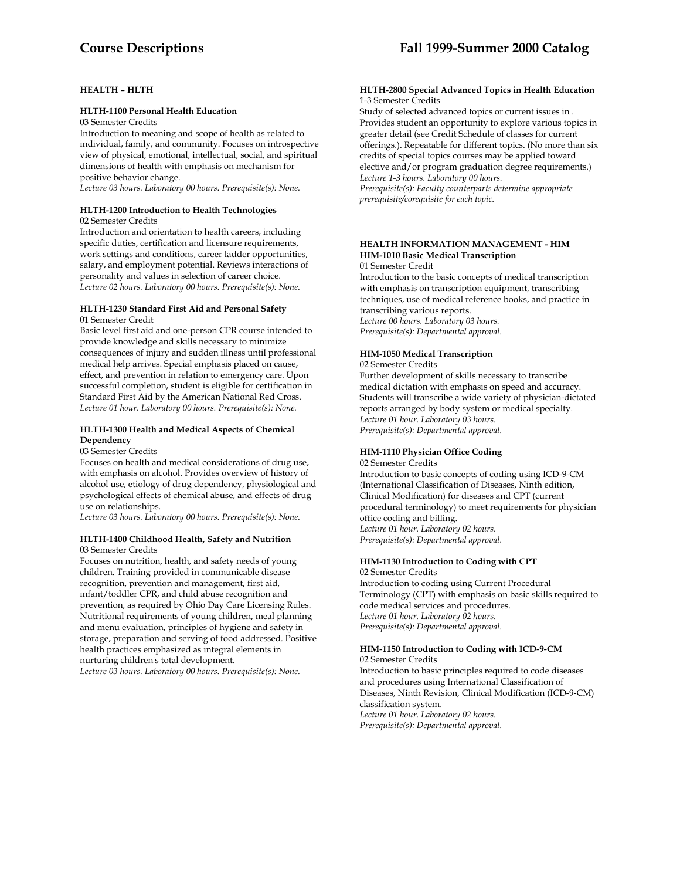# **HEALTH – HLTH**

#### **HLTH-1100 Personal Health Education**

03 Semester Credits

Introduction to meaning and scope of health as related to individual, family, and community. Focuses on introspective view of physical, emotional, intellectual, social, and spiritual dimensions of health with emphasis on mechanism for positive behavior change.

*Lecture 03 hours. Laboratory 00 hours. Prerequisite(s): None.* 

#### **HLTH-1200 Introduction to Health Technologies** 02 Semester Credits

Introduction and orientation to health careers, including specific duties, certification and licensure requirements, work settings and conditions, career ladder opportunities, salary, and employment potential. Reviews interactions of personality and values in selection of career choice. *Lecture 02 hours. Laboratory 00 hours. Prerequisite(s): None.* 

#### **HLTH-1230 Standard First Aid and Personal Safety**  01 Semester Credit

Basic level first aid and one-person CPR course intended to provide knowledge and skills necessary to minimize consequences of injury and sudden illness until professional medical help arrives. Special emphasis placed on cause, effect, and prevention in relation to emergency care. Upon successful completion, student is eligible for certification in Standard First Aid by the American National Red Cross. *Lecture 01 hour. Laboratory 00 hours. Prerequisite(s): None.* 

# **HLTH-1300 Health and Medical Aspects of Chemical Dependency**

03 Semester Credits

Focuses on health and medical considerations of drug use, with emphasis on alcohol. Provides overview of history of alcohol use, etiology of drug dependency, physiological and psychological effects of chemical abuse, and effects of drug use on relationships.

*Lecture 03 hours. Laboratory 00 hours. Prerequisite(s): None.* 

#### **HLTH-1400 Childhood Health, Safety and Nutrition**  03 Semester Credits

Focuses on nutrition, health, and safety needs of young children. Training provided in communicable disease recognition, prevention and management, first aid, infant/toddler CPR, and child abuse recognition and prevention, as required by Ohio Day Care Licensing Rules. Nutritional requirements of young children, meal planning and menu evaluation, principles of hygiene and safety in storage, preparation and serving of food addressed. Positive health practices emphasized as integral elements in nurturing children's total development.

*Lecture 03 hours. Laboratory 00 hours. Prerequisite(s): None.* 

#### **HLTH-2800 Special Advanced Topics in Health Education**  1-3 Semester Credits

Study of selected advanced topics or current issues in . Provides student an opportunity to explore various topics in greater detail (see Credit Schedule of classes for current offerings.). Repeatable for different topics. (No more than six credits of special topics courses may be applied toward elective and/or program graduation degree requirements.) *Lecture 1-3 hours. Laboratory 00 hours. Prerequisite(s): Faculty counterparts determine appropriate prerequisite/corequisite for each topic.* 

#### **HEALTH INFORMATION MANAGEMENT - HIM HIM-1010 Basic Medical Transcription**  01 Semester Credit

Introduction to the basic concepts of medical transcription with emphasis on transcription equipment, transcribing techniques, use of medical reference books, and practice in transcribing various reports.

*Lecture 00 hours. Laboratory 03 hours. Prerequisite(s): Departmental approval.* 

#### **HIM-1050 Medical Transcription** 02 Semester Credits

Further development of skills necessary to transcribe medical dictation with emphasis on speed and accuracy. Students will transcribe a wide variety of physician-dictated reports arranged by body system or medical specialty. *Lecture 01 hour. Laboratory 03 hours. Prerequisite(s): Departmental approval.* 

# **HIM-1110 Physician Office Coding**

02 Semester Credits

Introduction to basic concepts of coding using ICD-9-CM (International Classification of Diseases, Ninth edition, Clinical Modification) for diseases and CPT (current procedural terminology) to meet requirements for physician office coding and billing. *Lecture 01 hour. Laboratory 02 hours. Prerequisite(s): Departmental approval.* 

# **HIM-1130 Introduction to Coding with CPT**

02 Semester Credits Introduction to coding using Current Procedural Terminology (CPT) with emphasis on basic skills required to code medical services and procedures. *Lecture 01 hour. Laboratory 02 hours. Prerequisite(s): Departmental approval.* 

#### **HIM-1150 Introduction to Coding with ICD-9-CM** 02 Semester Credits

Introduction to basic principles required to code diseases and procedures using International Classification of Diseases, Ninth Revision, Clinical Modification (ICD-9-CM) classification system. *Lecture 01 hour. Laboratory 02 hours. Prerequisite(s): Departmental approval.*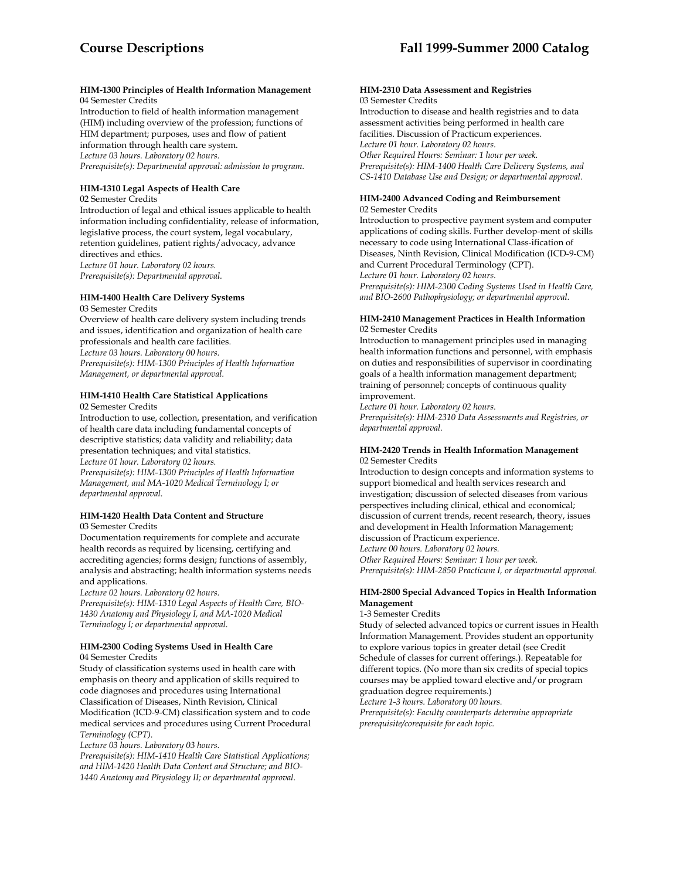#### **HIM-1300 Principles of Health Information Management**  04 Semester Credits

Introduction to field of health information management (HIM) including overview of the profession; functions of HIM department; purposes, uses and flow of patient information through health care system. *Lecture 03 hours. Laboratory 02 hours. Prerequisite(s): Departmental approval: admission to program.* 

# **HIM-1310 Legal Aspects of Health Care**

02 Semester Credits

Introduction of legal and ethical issues applicable to health information including confidentiality, release of information, legislative process, the court system, legal vocabulary, retention guidelines, patient rights/advocacy, advance directives and ethics. *Lecture 01 hour. Laboratory 02 hours. Prerequisite(s): Departmental approval.* 

# **HIM-1400 Health Care Delivery Systems**

03 Semester Credits Overview of health care delivery system including trends and issues, identification and organization of health care professionals and health care facilities. *Lecture 03 hours. Laboratory 00 hours. Prerequisite(s): HIM-1300 Principles of Health Information Management, or departmental approval.* 

# **HIM-1410 Health Care Statistical Applications**

02 Semester Credits

Introduction to use, collection, presentation, and verification of health care data including fundamental concepts of descriptive statistics; data validity and reliability; data presentation techniques; and vital statistics. *Lecture 01 hour. Laboratory 02 hours.* 

*Prerequisite(s): HIM-1300 Principles of Health Information Management, and MA-1020 Medical Terminology I; or departmental approval.* 

# **HIM-1420 Health Data Content and Structure**  03 Semester Credits

Documentation requirements for complete and accurate health records as required by licensing, certifying and accrediting agencies; forms design; functions of assembly, analysis and abstracting; health information systems needs and applications.

*Lecture 02 hours. Laboratory 02 hours.* 

*Prerequisite(s): HIM-1310 Legal Aspects of Health Care, BIO-1430 Anatomy and Physiology I, and MA-1020 Medical Terminology I; or departmental approval.* 

#### **HIM-2300 Coding Systems Used in Health Care**  04 Semester Credits

Study of classification systems used in health care with emphasis on theory and application of skills required to code diagnoses and procedures using International Classification of Diseases, Ninth Revision, Clinical Modification (ICD-9-CM) classification system and to code medical services and procedures using Current Procedural *Terminology (CPT).* 

*Lecture 03 hours. Laboratory 03 hours.* 

*Prerequisite(s): HIM-1410 Health Care Statistical Applications; and HIM-1420 Health Data Content and Structure; and BIO-1440 Anatomy and Physiology II; or departmental approval.* 

#### **HIM-2310 Data Assessment and Registries** 03 Semester Credits

Introduction to disease and health registries and to data assessment activities being performed in health care facilities. Discussion of Practicum experiences. *Lecture 01 hour. Laboratory 02 hours. Other Required Hours: Seminar: 1 hour per week. Prerequisite(s): HIM-1400 Health Care Delivery Systems, and CS-1410 Database Use and Design; or departmental approval.* 

#### **HIM-2400 Advanced Coding and Reimbursement**  02 Semester Credits

Introduction to prospective payment system and computer applications of coding skills. Further develop-ment of skills necessary to code using International Class-ification of Diseases, Ninth Revision, Clinical Modification (ICD-9-CM) and Current Procedural Terminology (CPT). *Lecture 01 hour. Laboratory 02 hours. Prerequisite(s): HIM-2300 Coding Systems Used in Health Care, and BIO-2600 Pathophysiology; or departmental approval.* 

### **HIM-2410 Management Practices in Health Information**  02 Semester Credits

Introduction to management principles used in managing health information functions and personnel, with emphasis on duties and responsibilities of supervisor in coordinating goals of a health information management department; training of personnel; concepts of continuous quality improvement.

*Lecture 01 hour. Laboratory 02 hours. Prerequisite(s): HIM-2310 Data Assessments and Registries, or departmental approval.* 

# **HIM-2420 Trends in Health Information Management**  02 Semester Credits

Introduction to design concepts and information systems to support biomedical and health services research and investigation; discussion of selected diseases from various perspectives including clinical, ethical and economical; discussion of current trends, recent research, theory, issues and development in Health Information Management; discussion of Practicum experience.

*Lecture 00 hours. Laboratory 02 hours.* 

*Other Required Hours: Seminar: 1 hour per week.* 

*Prerequisite(s): HIM-2850 Practicum I, or departmental approval.* 

# **HIM-2800 Special Advanced Topics in Health Information Management**

1-3 Semester Credits

Study of selected advanced topics or current issues in Health Information Management. Provides student an opportunity to explore various topics in greater detail (see Credit Schedule of classes for current offerings.). Repeatable for different topics. (No more than six credits of special topics courses may be applied toward elective and/or program graduation degree requirements.)

*Lecture 1-3 hours. Laboratory 00 hours.* 

*Prerequisite(s): Faculty counterparts determine appropriate prerequisite/corequisite for each topic.*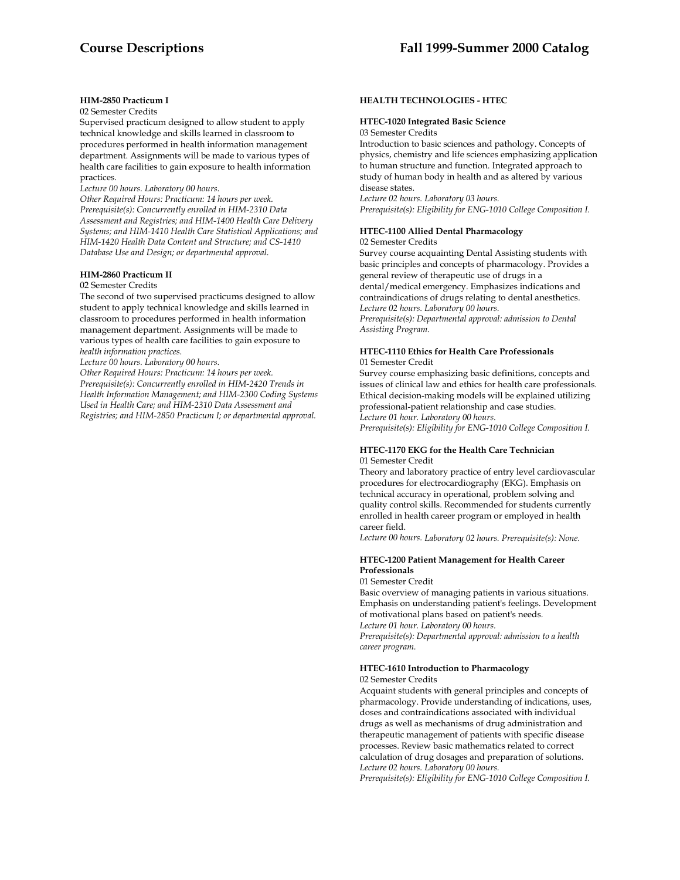# **HIM-2850 Practicum I**

02 Semester Credits

Supervised practicum designed to allow student to apply technical knowledge and skills learned in classroom to procedures performed in health information management department. Assignments will be made to various types of health care facilities to gain exposure to health information practices.

*Lecture 00 hours. Laboratory 00 hours.* 

*Other Required Hours: Practicum: 14 hours per week. Prerequisite(s): Concurrently enrolled in HIM-2310 Data Assessment and Registries; and HIM-1400 Health Care Delivery Systems; and HIM-1410 Health Care Statistical Applications; and HIM-1420 Health Data Content and Structure; and CS-1410 Database Use and Design; or departmental approval.* 

#### **HIM-2860 Practicum II**

#### 02 Semester Credits

The second of two supervised practicums designed to allow student to apply technical knowledge and skills learned in classroom to procedures performed in health information management department. Assignments will be made to various types of health care facilities to gain exposure to *health information practices.* 

*Lecture 00 hours. Laboratory 00 hours.* 

*Other Required Hours: Practicum: 14 hours per week. Prerequisite(s): Concurrently enrolled in HIM-2420 Trends in Health Information Management; and HIM-2300 Coding Systems Used in Health Care; and HIM-2310 Data Assessment and Registries; and HIM-2850 Practicum I; or departmental approval.* 

#### **HEALTH TECHNOLOGIES - HTEC**

#### **HTEC-1020 Integrated Basic Science**

03 Semester Credits

Introduction to basic sciences and pathology. Concepts of physics, chemistry and life sciences emphasizing application to human structure and function. Integrated approach to study of human body in health and as altered by various disease states.

*Lecture 02 hours. Laboratory 03 hours. Prerequisite(s): Eligibility for ENG-1010 College Composition I.* 

#### **HTEC-1100 Allied Dental Pharmacology**  02 Semester Credits

Survey course acquainting Dental Assisting students with basic principles and concepts of pharmacology. Provides a general review of therapeutic use of drugs in a dental/medical emergency. Emphasizes indications and contraindications of drugs relating to dental anesthetics. *Lecture 02 hours. Laboratory 00 hours. Prerequisite(s): Departmental approval: admission to Dental Assisting Program.* 

#### **HTEC-1110 Ethics for Health Care Professionals**  01 Semester Credit

Survey course emphasizing basic definitions, concepts and issues of clinical law and ethics for health care professionals. Ethical decision-making models will be explained utilizing professional-patient relationship and case studies. *Lecture 01 hour. Laboratory 00 hours. Prerequisite(s): Eligibility for ENG-1010 College Composition I.* 

### **HTEC-1170 EKG for the Health Care Technician** 01 Semester Credit

Theory and laboratory practice of entry level cardiovascular procedures for electrocardiography (EKG). Emphasis on technical accuracy in operational, problem solving and quality control skills. Recommended for students currently enrolled in health career program or employed in health career field.

*Lecture 00 hours. Laboratory 02 hours. Prerequisite(s): None.* 

# **HTEC-1200 Patient Management for Health Career Professionals**

01 Semester Credit

Basic overview of managing patients in various situations. Emphasis on understanding patient's feelings. Development of motivational plans based on patient's needs.

*Lecture 01 hour. Laboratory 00 hours.* 

*Prerequisite(s): Departmental approval: admission to a health career program.* 

## **HTEC-1610 Introduction to Pharmacology**

02 Semester Credits

Acquaint students with general principles and concepts of pharmacology. Provide understanding of indications, uses, doses and contraindications associated with individual drugs as well as mechanisms of drug administration and therapeutic management of patients with specific disease processes. Review basic mathematics related to correct calculation of drug dosages and preparation of solutions. *Lecture 02 hours. Laboratory 00 hours.* 

*Prerequisite(s): Eligibility for ENG-1010 College Composition I.*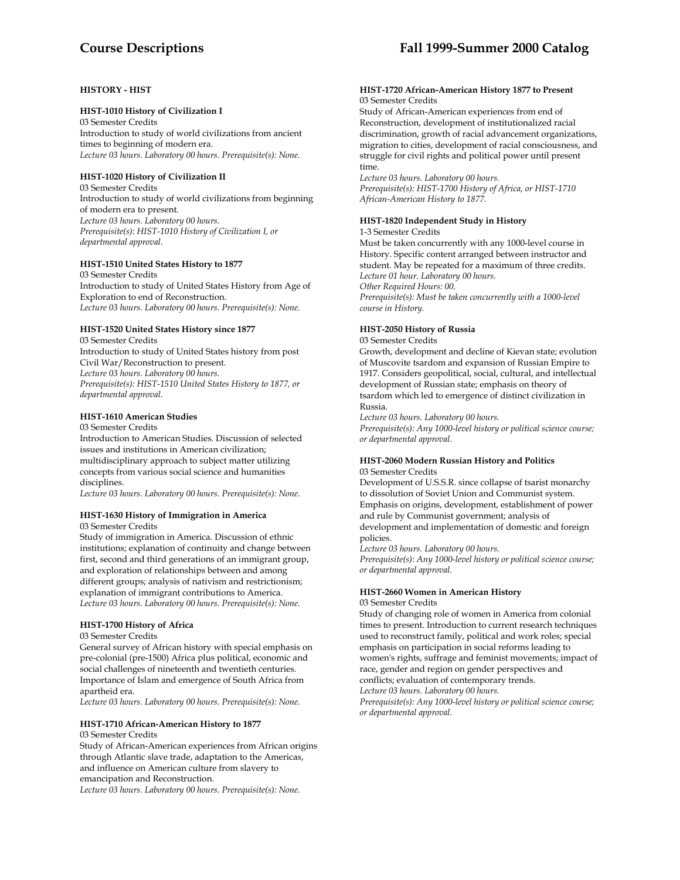# **Course Descriptions Fall 1999-Summer 2000 Catalog**

# **HISTORY - HIST**

# **HIST-1010 History of Civilization I**

03 Semester Credits Introduction to study of world civilizations from ancient times to beginning of modern era. *Lecture 03 hours. Laboratory 00 hours. Prerequisite(s): None.* 

# **HIST-1020 History of Civilization II**

03 Semester Credits Introduction to study of world civilizations from beginning of modern era to present. *Lecture 03 hours. Laboratory 00 hours. Prerequisite(s): HIST-1010 History of Civilization I, or departmental approval.* 

# **HIST-1510 United States History to 1877**

03 Semester Credits Introduction to study of United States History from Age of Exploration to end of Reconstruction. *Lecture 03 hours. Laboratory 00 hours. Prerequisite(s): None.* 

# **HIST-1520 United States History since 1877**

03 Semester Credits Introduction to study of United States history from post Civil War/Reconstruction to present. *Lecture 03 hours. Laboratory 00 hours. Prerequisite(s): HIST-1510 United States History to 1877, or departmental approval.* 

# **HIST-1610 American Studies**

03 Semester Credits Introduction to American Studies. Discussion of selected issues and institutions in American civilization; multidisciplinary approach to subject matter utilizing

concepts from various social science and humanities disciplines. *Lecture 03 hours. Laboratory 00 hours. Prerequisite(s): None.* 

# **HIST-1630 History of Immigration in America**

03 Semester Credits

Study of immigration in America. Discussion of ethnic institutions; explanation of continuity and change between first, second and third generations of an immigrant group, and exploration of relationships between and among different groups; analysis of nativism and restrictionism; explanation of immigrant contributions to America. *Lecture 03 hours. Laboratory 00 hours. Prerequisite(s): None.* 

# **HIST-1700 History of Africa**

### 03 Semester Credits

General survey of African history with special emphasis on pre-colonial (pre-1500) Africa plus political, economic and social challenges of nineteenth and twentieth centuries. Importance of Islam and emergence of South Africa from apartheid era.

*Lecture 03 hours. Laboratory 00 hours. Prerequisite(s): None.* 

# **HIST-1710 African-American History to 1877**

# 03 Semester Credits

Study of African-American experiences from African origins through Atlantic slave trade, adaptation to the Americas, and influence on American culture from slavery to emancipation and Reconstruction. *Lecture 03 hours. Laboratory 00 hours. Prerequisite(s): None.* 

#### **HIST-1720 African-American History 1877 to Present**  03 Semester Credits

Study of African-American experiences from end of Reconstruction, development of institutionalized racial discrimination, growth of racial advancement organizations, migration to cities, development of racial consciousness, and struggle for civil rights and political power until present time.

*Lecture 03 hours. Laboratory 00 hours.* 

*Prerequisite(s): HIST-1700 History of Africa, or HIST-1710 African-American History to 1877.* 

# **HIST-1820 Independent Study in History**

1-3 Semester Credits

Must be taken concurrently with any 1000-level course in History. Specific content arranged between instructor and student. May be repeated for a maximum of three credits. *Lecture 01 hour. Laboratory 00 hours. Other Required Hours: 00.* 

*Prerequisite(s): Must be taken concurrently with a 1000-level course in History.* 

# **HIST-2050 History of Russia**

03 Semester Credits

Growth, development and decline of Kievan state; evolution of Muscovite tsardom and expansion of Russian Empire to 1917. Considers geopolitical, social, cultural, and intellectual development of Russian state; emphasis on theory of tsardom which led to emergence of distinct civilization in Russia.

*Lecture 03 hours. Laboratory 00 hours.* 

*Prerequisite(s): Any 1000-level history or political science course; or departmental approval.* 

### **HIST-2060 Modern Russian History and Politics**  03 Semester Credits

Development of U.S.S.R. since collapse of tsarist monarchy to dissolution of Soviet Union and Communist system. Emphasis on origins, development, establishment of power and rule by Communist government; analysis of development and implementation of domestic and foreign policies.

*Lecture 03 hours. Laboratory 00 hours. Prerequisite(s): Any 1000-level history or political science course; or departmental approval.* 

# **HIST-2660 Women in American History**

#### 03 Semester Credits

Study of changing role of women in America from colonial times to present. Introduction to current research techniques used to reconstruct family, political and work roles; special emphasis on participation in social reforms leading to women's rights, suffrage and feminist movements; impact of race, gender and region on gender perspectives and conflicts; evaluation of contemporary trends. *Lecture 03 hours. Laboratory 00 hours.* 

*Prerequisite(s): Any 1000-level history or political science course; or departmental approval.*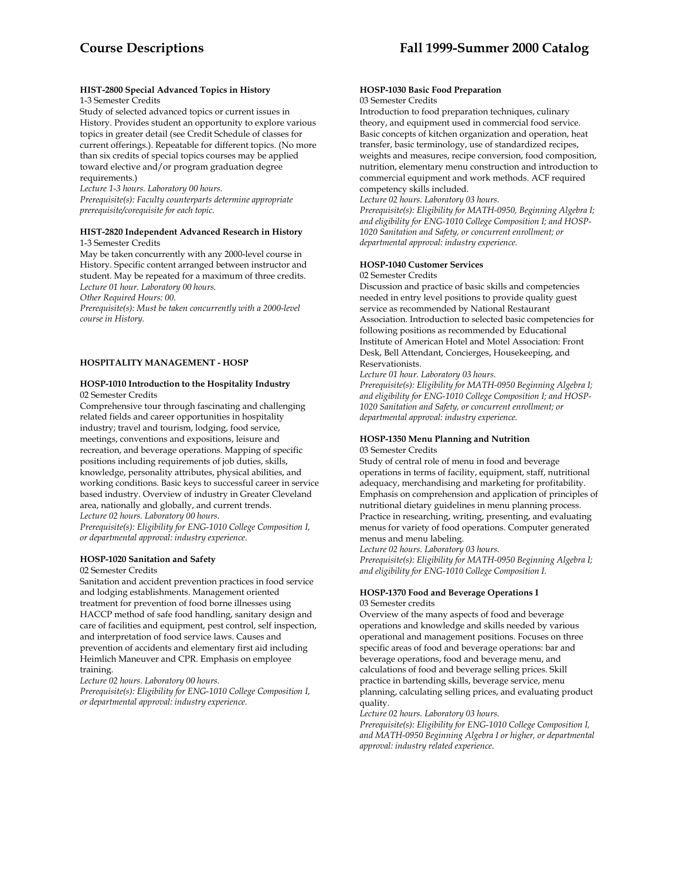#### **HIST-2800 Special Advanced Topics in History** 1-3 Semester Credits

Study of selected advanced topics or current issues in History. Provides student an opportunity to explore various topics in greater detail (see Credit Schedule of classes for current offerings.). Repeatable for different topics. (No more than six credits of special topics courses may be applied toward elective and/or program graduation degree requirements.)

*Lecture 1-3 hours. Laboratory 00 hours. Prerequisite(s): Faculty counterparts determine appropriate prerequisite/corequisite for each topic.* 

#### **HIST-2820 Independent Advanced Research in History**  1-3 Semester Credits

May be taken concurrently with any 2000-level course in History. Specific content arranged between instructor and student. May be repeated for a maximum of three credits. *Lecture 01 hour. Laboratory 00 hours.* 

*Other Required Hours: 00.* 

*Prerequisite(s): Must be taken concurrently with a 2000-level course in History.* 

# **HOSPITALITY MANAGEMENT - HOSP**

#### **HOSP-1010 Introduction to the Hospitality Industry** 02 Semester Credits

Comprehensive tour through fascinating and challenging related fields and career opportunities in hospitality industry; travel and tourism, lodging, food service, meetings, conventions and expositions, leisure and recreation, and beverage operations. Mapping of specific positions including requirements of job duties, skills, knowledge, personality attributes, physical abilities, and working conditions. Basic keys to successful career in service based industry. Overview of industry in Greater Cleveland area, nationally and globally, and current trends. *Lecture 02 hours. Laboratory 00 hours.* 

*Prerequisite(s): Eligibility for ENG-1010 College Composition I, or departmental approval: industry experience.* 

### **HOSP-1020 Sanitation and Safety**

02 Semester Credits

Sanitation and accident prevention practices in food service and lodging establishments. Management oriented treatment for prevention of food borne illnesses using HACCP method of safe food handling, sanitary design and care of facilities and equipment, pest control, self inspection, and interpretation of food service laws. Causes and prevention of accidents and elementary first aid including Heimlich Maneuver and CPR. Emphasis on employee training.

*Lecture 02 hours. Laboratory 00 hours.* 

*Prerequisite(s): Eligibility for ENG-1010 College Composition I, or departmental approval: industry experience.* 

#### **HOSP-1030 Basic Food Preparation**  03 Semester Credits

Introduction to food preparation techniques, culinary theory, and equipment used in commercial food service. Basic concepts of kitchen organization and operation, heat transfer, basic terminology, use of standardized recipes, weights and measures, recipe conversion, food composition, nutrition, elementary menu construction and introduction to commercial equipment and work methods. ACF required competency skills included.

*Lecture 02 hours. Laboratory 03 hours.* 

*Prerequisite(s): Eligibility for MATH-0950, Beginning Algebra I; and eligibility for ENG-1010 College Composition I; and HOSP-1020 Sanitation and Safety, or concurrent enrollment; or departmental approval: industry experience.* 

### **HOSP-1040 Customer Services**

02 Semester Credits

Discussion and practice of basic skills and competencies needed in entry level positions to provide quality guest service as recommended by National Restaurant Association. Introduction to selected basic competencies for following positions as recommended by Educational Institute of American Hotel and Motel Association: Front Desk, Bell Attendant, Concierges, Housekeeping, and Reservationists.

*Lecture 01 hour. Laboratory 03 hours.* 

*Prerequisite(s): Eligibility for MATH-0950 Beginning Algebra I; and eligibility for ENG-1010 College Composition I; and HOSP-1020 Sanitation and Safety, or concurrent enrollment; or departmental approval: industry experience.* 

#### **HOSP-1350 Menu Planning and Nutrition**  03 Semester Credits

Study of central role of menu in food and beverage operations in terms of facility, equipment, staff, nutritional adequacy, merchandising and marketing for profitability. Emphasis on comprehension and application of principles of nutritional dietary guidelines in menu planning process. Practice in researching, writing, presenting, and evaluating menus for variety of food operations. Computer generated menus and menu labeling.

*Lecture 02 hours. Laboratory 03 hours. Prerequisite(s): Eligibility for MATH-0950 Beginning Algebra I; and eligibility for ENG-1010 College Composition I.* 

# **HOSP-1370 Food and Beverage Operations I**

03 Semester credits

Overview of the many aspects of food and beverage operations and knowledge and skills needed by various operational and management positions. Focuses on three specific areas of food and beverage operations: bar and beverage operations, food and beverage menu, and calculations of food and beverage selling prices. Skill practice in bartending skills, beverage service, menu planning, calculating selling prices, and evaluating product quality.

*Lecture 02 hours. Laboratory 03 hours. Prerequisite(s): Eligibility for ENG-1010 College Composition I, and MATH-0950 Beginning Algebra I or higher, or departmental approval: industry related experience.*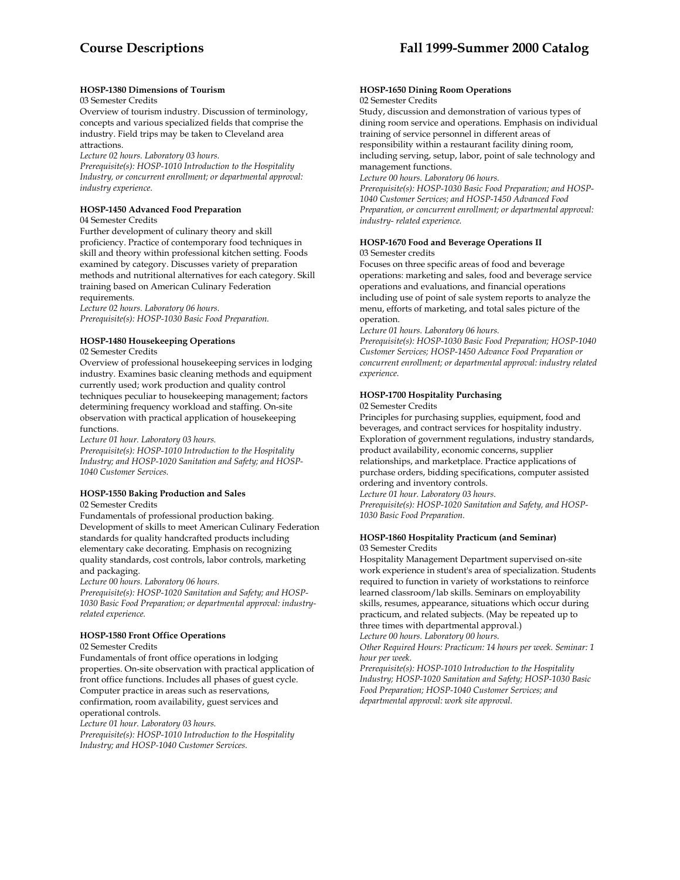# **HOSP-1380 Dimensions of Tourism**

# 03 Semester Credits

Overview of tourism industry. Discussion of terminology, concepts and various specialized fields that comprise the industry. Field trips may be taken to Cleveland area attractions.

*Lecture 02 hours. Laboratory 03 hours.* 

*Prerequisite(s): HOSP-1010 Introduction to the Hospitality Industry, or concurrent enrollment; or departmental approval: industry experience.* 

# **HOSP-1450 Advanced Food Preparation**

04 Semester Credits

Further development of culinary theory and skill proficiency. Practice of contemporary food techniques in skill and theory within professional kitchen setting. Foods examined by category. Discusses variety of preparation methods and nutritional alternatives for each category. Skill training based on American Culinary Federation requirements.

*Lecture 02 hours. Laboratory 06 hours. Prerequisite(s): HOSP-1030 Basic Food Preparation.* 

# **HOSP-1480 Housekeeping Operations**

02 Semester Credits

Overview of professional housekeeping services in lodging industry. Examines basic cleaning methods and equipment currently used; work production and quality control techniques peculiar to housekeeping management; factors determining frequency workload and staffing. On-site observation with practical application of housekeeping functions.

*Lecture 01 hour. Laboratory 03 hours.* 

*Prerequisite(s): HOSP-1010 Introduction to the Hospitality Industry; and HOSP-1020 Sanitation and Safety; and HOSP-1040 Customer Services.* 

### **HOSP-1550 Baking Production and Sales**

02 Semester Credits

Fundamentals of professional production baking. Development of skills to meet American Culinary Federation standards for quality handcrafted products including elementary cake decorating. Emphasis on recognizing quality standards, cost controls, labor controls, marketing and packaging.

*Lecture 00 hours. Laboratory 06 hours.* 

*Prerequisite(s): HOSP-1020 Sanitation and Safety; and HOSP-1030 Basic Food Preparation; or departmental approval: industryrelated experience.* 

### **HOSP-1580 Front Office Operations**

02 Semester Credits

Fundamentals of front office operations in lodging properties. On-site observation with practical application of front office functions. Includes all phases of guest cycle. Computer practice in areas such as reservations, confirmation, room availability, guest services and operational controls.

*Lecture 01 hour. Laboratory 03 hours.* 

*Prerequisite(s): HOSP-1010 Introduction to the Hospitality Industry; and HOSP-1040 Customer Services.* 

#### **HOSP-1650 Dining Room Operations**  02 Semester Credits

Study, discussion and demonstration of various types of dining room service and operations. Emphasis on individual training of service personnel in different areas of responsibility within a restaurant facility dining room, including serving, setup, labor, point of sale technology and management functions.

*Lecture 00 hours. Laboratory 06 hours.* 

*Prerequisite(s): HOSP-1030 Basic Food Preparation; and HOSP-1040 Customer Services; and HOSP-1450 Advanced Food Preparation, or concurrent enrollment; or departmental approval: industry- related experience.* 

### **HOSP-1670 Food and Beverage Operations II** 03 Semester credits

Focuses on three specific areas of food and beverage operations: marketing and sales, food and beverage service operations and evaluations, and financial operations including use of point of sale system reports to analyze the menu, efforts of marketing, and total sales picture of the operation.

*Lecture 01 hours. Laboratory 06 hours.* 

*Prerequisite(s): HOSP-1030 Basic Food Preparation; HOSP-1040 Customer Services; HOSP-1450 Advance Food Preparation or concurrent enrollment; or departmental approval: industry related experience.* 

# **HOSP-1700 Hospitality Purchasing**

02 Semester Credits

Principles for purchasing supplies, equipment, food and beverages, and contract services for hospitality industry. Exploration of government regulations, industry standards, product availability, economic concerns, supplier relationships, and marketplace. Practice applications of purchase orders, bidding specifications, computer assisted ordering and inventory controls.

*Lecture 01 hour. Laboratory 03 hours. Prerequisite(s): HOSP-1020 Sanitation and Safety, and HOSP-1030 Basic Food Preparation.* 

#### **HOSP-1860 Hospitality Practicum (and Seminar)** 03 Semester Credits

Hospitality Management Department supervised on-site work experience in student's area of specialization. Students required to function in variety of workstations to reinforce learned classroom/lab skills. Seminars on employability skills, resumes, appearance, situations which occur during practicum, and related subjects. (May be repeated up to three times with departmental approval.) *Lecture 00 hours. Laboratory 00 hours.* 

*Other Required Hours: Practicum: 14 hours per week. Seminar: 1 hour per week.* 

*Prerequisite(s): HOSP-1010 Introduction to the Hospitality Industry; HOSP-1020 Sanitation and Safety; HOSP-1030 Basic Food Preparation; HOSP-1040 Customer Services; and departmental approval: work site approval.*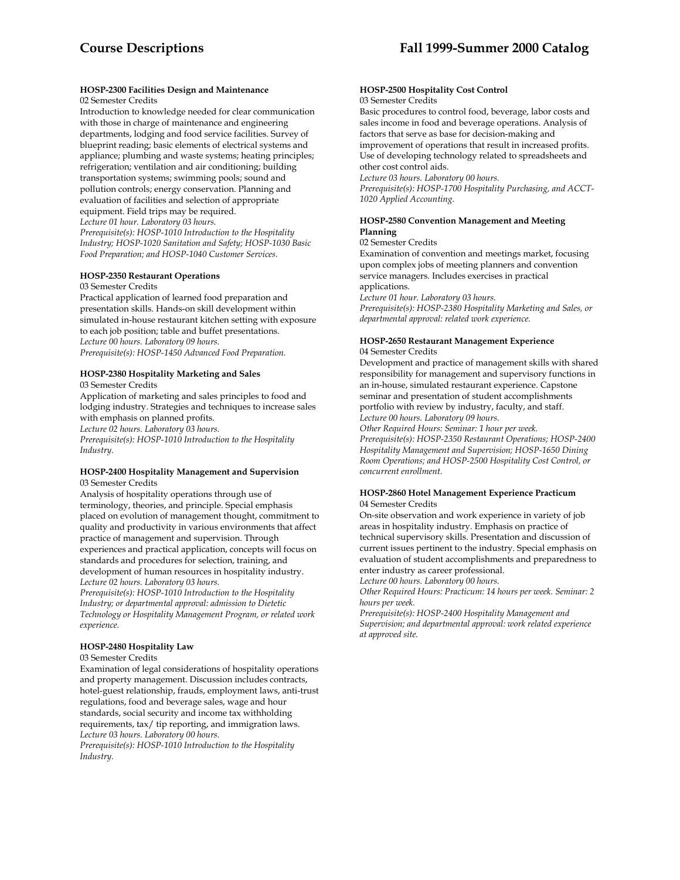# **HOSP-2300 Facilities Design and Maintenance**

02 Semester Credits

Introduction to knowledge needed for clear communication with those in charge of maintenance and engineering departments, lodging and food service facilities. Survey of blueprint reading; basic elements of electrical systems and appliance; plumbing and waste systems; heating principles; refrigeration; ventilation and air conditioning; building transportation systems; swimming pools; sound and pollution controls; energy conservation. Planning and evaluation of facilities and selection of appropriate equipment. Field trips may be required. *Lecture 01 hour. Laboratory 03 hours.* 

*Prerequisite(s): HOSP-1010 Introduction to the Hospitality Industry; HOSP-1020 Sanitation and Safety; HOSP-1030 Basic Food Preparation; and HOSP-1040 Customer Services.* 

# **HOSP-2350 Restaurant Operations**

#### 03 Semester Credits

Practical application of learned food preparation and presentation skills. Hands-on skill development within simulated in-house restaurant kitchen setting with exposure to each job position; table and buffet presentations. *Lecture 00 hours. Laboratory 09 hours. Prerequisite(s): HOSP-1450 Advanced Food Preparation.* 

# **HOSP-2380 Hospitality Marketing and Sales**

03 Semester Credits

Application of marketing and sales principles to food and lodging industry. Strategies and techniques to increase sales with emphasis on planned profits. *Lecture 02 hours. Laboratory 03 hours. Prerequisite(s): HOSP-1010 Introduction to the Hospitality Industry.* 

#### **HOSP-2400 Hospitality Management and Supervision**  03 Semester Credits

Analysis of hospitality operations through use of terminology, theories, and principle. Special emphasis placed on evolution of management thought, commitment to quality and productivity in various environments that affect practice of management and supervision. Through experiences and practical application, concepts will focus on standards and procedures for selection, training, and development of human resources in hospitality industry. *Lecture 02 hours. Laboratory 03 hours.* 

*Prerequisite(s): HOSP-1010 Introduction to the Hospitality Industry; or departmental approval: admission to Dietetic Technology or Hospitality Management Program, or related work experience.* 

# **HOSP-2480 Hospitality Law**

### 03 Semester Credits

Examination of legal considerations of hospitality operations and property management. Discussion includes contracts, hotel-guest relationship, frauds, employment laws, anti-trust regulations, food and beverage sales, wage and hour standards, social security and income tax withholding requirements, tax/ tip reporting, and immigration laws. *Lecture 03 hours. Laboratory 00 hours.* 

*Prerequisite(s): HOSP-1010 Introduction to the Hospitality Industry.* 

#### **HOSP-2500 Hospitality Cost Control** 03 Semester Credits

Basic procedures to control food, beverage, labor costs and sales income in food and beverage operations. Analysis of factors that serve as base for decision-making and improvement of operations that result in increased profits. Use of developing technology related to spreadsheets and other cost control aids.

*Lecture 03 hours. Laboratory 00 hours.* 

*Prerequisite(s): HOSP-1700 Hospitality Purchasing, and ACCT-1020 Applied Accounting.* 

# **HOSP-2580 Convention Management and Meeting Planning**

02 Semester Credits

Examination of convention and meetings market, focusing upon complex jobs of meeting planners and convention service managers. Includes exercises in practical applications.

*Lecture 01 hour. Laboratory 03 hours.* 

*Prerequisite(s): HOSP-2380 Hospitality Marketing and Sales, or departmental approval: related work experience.* 

### **HOSP-2650 Restaurant Management Experience**  04 Semester Credits

Development and practice of management skills with shared responsibility for management and supervisory functions in an in-house, simulated restaurant experience. Capstone seminar and presentation of student accomplishments portfolio with review by industry, faculty, and staff. *Lecture 00 hours. Laboratory 09 hours.* 

*Other Required Hours: Seminar: 1 hour per week.* 

*Prerequisite(s): HOSP-2350 Restaurant Operations; HOSP-2400 Hospitality Management and Supervision; HOSP-1650 Dining Room Operations; and HOSP-2500 Hospitality Cost Control, or concurrent enrollment.* 

### **HOSP-2860 Hotel Management Experience Practicum**  04 Semester Credits

On-site observation and work experience in variety of job areas in hospitality industry. Emphasis on practice of technical supervisory skills. Presentation and discussion of current issues pertinent to the industry. Special emphasis on evaluation of student accomplishments and preparedness to enter industry as career professional. *Lecture 00 hours. Laboratory 00 hours.* 

*Other Required Hours: Practicum: 14 hours per week. Seminar: 2 hours per week.* 

*Prerequisite(s): HOSP-2400 Hospitality Management and Supervision; and departmental approval: work related experience at approved site.*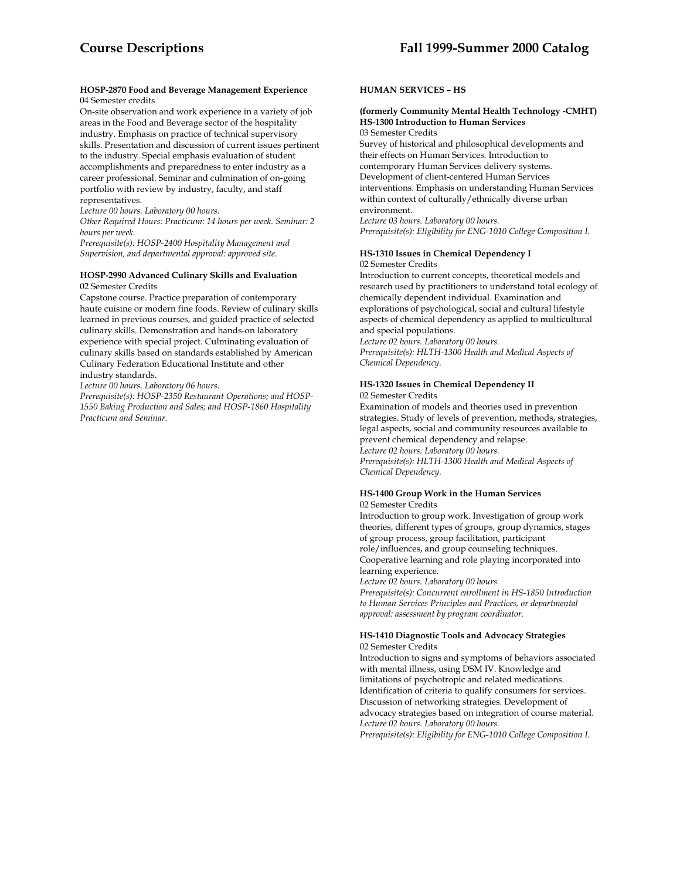#### **HOSP-2870 Food and Beverage Management Experience** 04 Semester credits

On-site observation and work experience in a variety of job areas in the Food and Beverage sector of the hospitality industry. Emphasis on practice of technical supervisory skills. Presentation and discussion of current issues pertinent to the industry. Special emphasis evaluation of student accomplishments and preparedness to enter industry as a career professional. Seminar and culmination of on-going portfolio with review by industry, faculty, and staff representatives.

*Lecture 00 hours. Laboratory 00 hours.* 

*Other Required Hours: Practicum: 14 hours per week. Seminar: 2 hours per week.* 

*Prerequisite(s): HOSP-2400 Hospitality Management and Supervision, and departmental approval: approved site.* 

#### **HOSP-2990 Advanced Culinary Skills and Evaluation**  02 Semester Credits

Capstone course. Practice preparation of contemporary haute cuisine or modern fine foods. Review of culinary skills learned in previous courses, and guided practice of selected culinary skills. Demonstration and hands-on laboratory experience with special project. Culminating evaluation of culinary skills based on standards established by American Culinary Federation Educational Institute and other industry standards.

*Lecture 00 hours. Laboratory 06 hours.* 

*Prerequisite(s): HOSP-2350 Restaurant Operations; and HOSP-1550 Baking Production and Sales; and HOSP-1860 Hospitality Practicum and Seminar.* 

# **HUMAN SERVICES – HS**

#### **(formerly Community Mental Health Technology -CMHT) HS-1300 Introduction to Human Services**  03 Semester Credits

Survey of historical and philosophical developments and their effects on Human Services. Introduction to contemporary Human Services delivery systems. Development of client-centered Human Services interventions. Emphasis on understanding Human Services within context of culturally/ethnically diverse urban environment.

*Lecture 03 hours. Laboratory 00 hours. Prerequisite(s): Eligibility for ENG-1010 College Composition I.* 

# **HS-1310 Issues in Chemical Dependency I**

02 Semester Credits

Introduction to current concepts, theoretical models and research used by practitioners to understand total ecology of chemically dependent individual. Examination and explorations of psychological, social and cultural lifestyle aspects of chemical dependency as applied to multicultural and special populations.

*Lecture 02 hours. Laboratory 00 hours. Prerequisite(s): HLTH-1300 Health and Medical Aspects of Chemical Dependency.* 

#### **HS-1320 Issues in Chemical Dependency II**  02 Semester Credits

Examination of models and theories used in prevention strategies. Study of levels of prevention, methods, strategies, legal aspects, social and community resources available to prevent chemical dependency and relapse. *Lecture 02 hours. Laboratory 00 hours. Prerequisite(s): HLTH-1300 Health and Medical Aspects of Chemical Dependency.* 

#### **HS-1400 Group Work in the Human Services**  02 Semester Credits

Introduction to group work. Investigation of group work theories, different types of groups, group dynamics, stages of group process, group facilitation, participant role/influences, and group counseling techniques. Cooperative learning and role playing incorporated into learning experience.

*Lecture 02 hours. Laboratory 00 hours.* 

*Prerequisite(s): Concurrent enrollment in HS-1850 Introduction to Human Services Principles and Practices, or departmental approval: assessment by program coordinator.* 

#### **HS-1410 Diagnostic Tools and Advocacy Strategies**  02 Semester Credits

Introduction to signs and symptoms of behaviors associated with mental illness, using DSM IV. Knowledge and limitations of psychotropic and related medications. Identification of criteria to qualify consumers for services. Discussion of networking strategies. Development of advocacy strategies based on integration of course material. *Lecture 02 hours. Laboratory 00 hours. Prerequisite(s): Eligibility for ENG-1010 College Composition I.*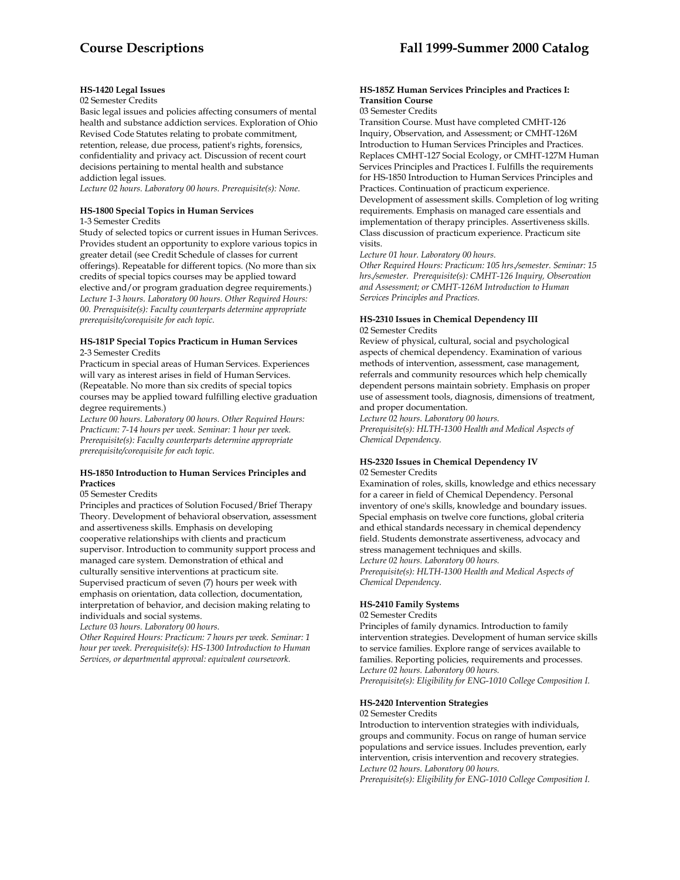# **HS-1420 Legal Issues**

# 02 Semester Credits

Basic legal issues and policies affecting consumers of mental health and substance addiction services. Exploration of Ohio Revised Code Statutes relating to probate commitment, retention, release, due process, patient's rights, forensics, confidentiality and privacy act. Discussion of recent court decisions pertaining to mental health and substance addiction legal issues.

*Lecture 02 hours. Laboratory 00 hours. Prerequisite(s): None.* 

# **HS-1800 Special Topics in Human Services**

1-3 Semester Credits

Study of selected topics or current issues in Human Serivces. Provides student an opportunity to explore various topics in greater detail (see Credit Schedule of classes for current offerings). Repeatable for different topics. (No more than six credits of special topics courses may be applied toward elective and/or program graduation degree requirements.) *Lecture 1-3 hours. Laboratory 00 hours. Other Required Hours: 00. Prerequisite(s): Faculty counterparts determine appropriate prerequisite/corequisite for each topic.* 

#### **HS-181P Special Topics Practicum in Human Services** 2-3 Semester Credits

Practicum in special areas of Human Services. Experiences will vary as interest arises in field of Human Services. (Repeatable. No more than six credits of special topics courses may be applied toward fulfilling elective graduation degree requirements.)

*Lecture 00 hours. Laboratory 00 hours. Other Required Hours: Practicum: 7-14 hours per week. Seminar: 1 hour per week. Prerequisite(s): Faculty counterparts determine appropriate prerequisite/corequisite for each topic.* 

#### **HS-1850 Introduction to Human Services Principles and Practices**

#### 05 Semester Credits

Principles and practices of Solution Focused/Brief Therapy Theory. Development of behavioral observation, assessment and assertiveness skills. Emphasis on developing cooperative relationships with clients and practicum supervisor. Introduction to community support process and managed care system. Demonstration of ethical and culturally sensitive interventions at practicum site. Supervised practicum of seven (7) hours per week with emphasis on orientation, data collection, documentation, interpretation of behavior, and decision making relating to individuals and social systems.

*Lecture 03 hours. Laboratory 00 hours.* 

*Other Required Hours: Practicum: 7 hours per week. Seminar: 1 hour per week. Prerequisite(s): HS-1300 Introduction to Human Services, or departmental approval: equivalent coursework.* 

# **HS-185Z Human Services Principles and Practices I: Transition Course**

#### 03 Semester Credits

Transition Course. Must have completed CMHT-126 Inquiry, Observation, and Assessment; or CMHT-126M Introduction to Human Services Principles and Practices. Replaces CMHT-127 Social Ecology, or CMHT-127M Human Services Principles and Practices I. Fulfills the requirements for HS-1850 Introduction to Human Services Principles and Practices. Continuation of practicum experience.

Development of assessment skills. Completion of log writing requirements. Emphasis on managed care essentials and implementation of therapy principles. Assertiveness skills. Class discussion of practicum experience. Practicum site visits.

#### *Lecture 01 hour. Laboratory 00 hours.*

*Other Required Hours: Practicum: 105 hrs./semester. Seminar: 15 hrs./semester. Prerequisite(s): CMHT-126 Inquiry, Observation and Assessment; or CMHT-126M Introduction to Human Services Principles and Practices.* 

#### **HS-2310 Issues in Chemical Dependency III**  02 Semester Credits

Review of physical, cultural, social and psychological aspects of chemical dependency. Examination of various methods of intervention, assessment, case management, referrals and community resources which help chemically dependent persons maintain sobriety. Emphasis on proper use of assessment tools, diagnosis, dimensions of treatment, and proper documentation.

*Lecture 02 hours. Laboratory 00 hours. Prerequisite(s): HLTH-1300 Health and Medical Aspects of Chemical Dependency.* 

#### **HS-2320 Issues in Chemical Dependency IV**  02 Semester Credits

Examination of roles, skills, knowledge and ethics necessary for a career in field of Chemical Dependency. Personal inventory of one's skills, knowledge and boundary issues. Special emphasis on twelve core functions, global criteria and ethical standards necessary in chemical dependency field. Students demonstrate assertiveness, advocacy and stress management techniques and skills. *Lecture 02 hours. Laboratory 00 hours.* 

*Prerequisite(s): HLTH-1300 Health and Medical Aspects of Chemical Dependency*.

# **HS-2410 Family Systems**

02 Semester Credits

Principles of family dynamics. Introduction to family intervention strategies. Development of human service skills to service families. Explore range of services available to families. Reporting policies, requirements and processes. *Lecture 02 hours. Laboratory 00 hours. Prerequisite(s): Eligibility for ENG-1010 College Composition I.* 

# **HS-2420 Intervention Strategies**

#### 02 Semester Credits

Introduction to intervention strategies with individuals, groups and community. Focus on range of human service populations and service issues. Includes prevention, early intervention, crisis intervention and recovery strategies. *Lecture 02 hours. Laboratory 00 hours.* 

*Prerequisite(s): Eligibility for ENG-1010 College Composition I.*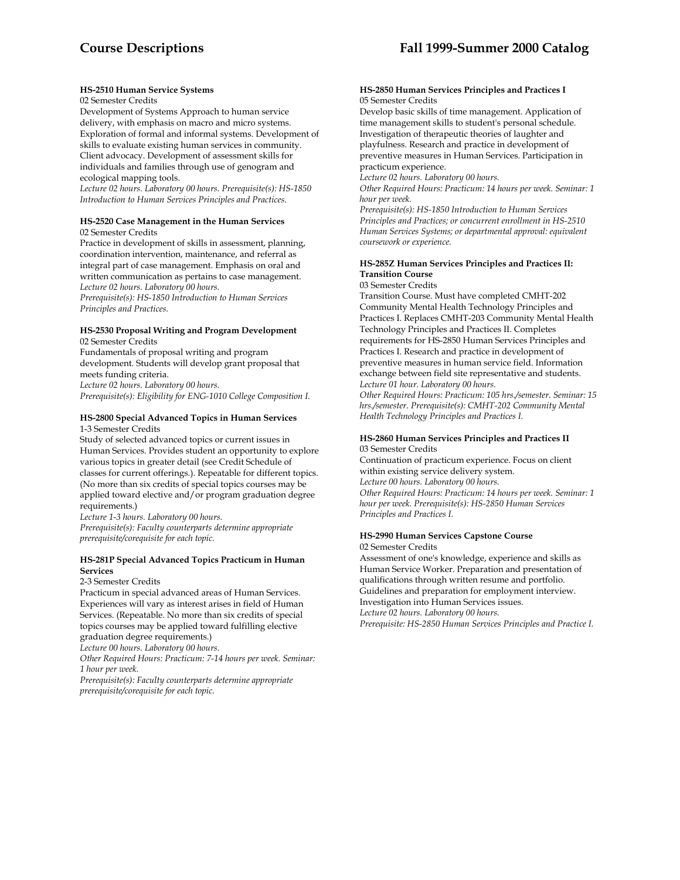# **HS-2510 Human Service Systems**

#### 02 Semester Credits

Development of Systems Approach to human service delivery, with emphasis on macro and micro systems. Exploration of formal and informal systems. Development of skills to evaluate existing human services in community. Client advocacy. Development of assessment skills for individuals and families through use of genogram and ecological mapping tools.

*Lecture 02 hours. Laboratory 00 hours. Prerequisite(s): HS-1850 Introduction to Human Services Principles and Practices*.

#### **HS-2520 Case Management in the Human Services** 02 Semester Credits

Practice in development of skills in assessment, planning, coordination intervention, maintenance, and referral as integral part of case management. Emphasis on oral and written communication as pertains to case management. *Lecture 02 hours. Laboratory 00 hours.* 

*Prerequisite(s): HS-1850 Introduction to Human Services Principles and Practices.* 

#### **HS-2530 Proposal Writing and Program Development**  02 Semester Credits

Fundamentals of proposal writing and program development. Students will develop grant proposal that meets funding criteria.

*Lecture 02 hours. Laboratory 00 hours. Prerequisite(s): Eligibility for ENG-1010 College Composition I.* 

# **HS-2800 Special Advanced Topics in Human Services**

1-3 Semester Credits

Study of selected advanced topics or current issues in Human Services. Provides student an opportunity to explore various topics in greater detail (see Credit Schedule of classes for current offerings.). Repeatable for different topics. (No more than six credits of special topics courses may be applied toward elective and/or program graduation degree requirements.)

*Lecture 1-3 hours. Laboratory 00 hours. Prerequisite(s): Faculty counterparts determine appropriate prerequisite/corequisite for each topic.* 

# **HS-281P Special Advanced Topics Practicum in Human Services**

#### 2-3 Semester Credits

Practicum in special advanced areas of Human Services. Experiences will vary as interest arises in field of Human Services. (Repeatable. No more than six credits of special topics courses may be applied toward fulfilling elective graduation degree requirements.)

*Lecture 00 hours. Laboratory 00 hours.* 

*Other Required Hours: Practicum: 7-14 hours per week. Seminar: 1 hour per week.* 

*Prerequisite(s): Faculty counterparts determine appropriate prerequisite/corequisite for each topic.* 

#### **HS-2850 Human Services Principles and Practices I**  05 Semester Credits

Develop basic skills of time management. Application of time management skills to student's personal schedule. Investigation of therapeutic theories of laughter and playfulness. Research and practice in development of preventive measures in Human Services. Participation in practicum experience.

*Lecture 02 hours. Laboratory 00 hours.* 

*Other Required Hours: Practicum: 14 hours per week. Seminar: 1 hour per week.* 

*Prerequisite(s): HS-1850 Introduction to Human Services Principles and Practices; or concurrent enrollment in HS-2510 Human Services Systems; or departmental approval: equivalent coursework or experience.* 

# **HS-285Z Human Services Principles and Practices II: Transition Course**

03 Semester Credits

Transition Course. Must have completed CMHT-202 Community Mental Health Technology Principles and Practices I. Replaces CMHT-203 Community Mental Health Technology Principles and Practices II. Completes requirements for HS-2850 Human Services Principles and Practices I. Research and practice in development of preventive measures in human service field. Information exchange between field site representative and students. *Lecture 01 hour. Laboratory 00 hours.* 

*Other Required Hours: Practicum: 105 hrs./semester. Seminar: 15 hrs./semester. Prerequisite(s): CMHT-202 Community Mental Health Technology Principles and Practices I.* 

## **HS-2860 Human Services Principles and Practices II**  03 Semester Credits

Continuation of practicum experience. Focus on client within existing service delivery system. *Lecture 00 hours. Laboratory 00 hours. Other Required Hours: Practicum: 14 hours per week. Seminar: 1 hour per week. Prerequisite(s): HS-2850 Human Services Principles and Practices I.* 

#### **HS-2990 Human Services Capstone Course**  02 Semester Credits

Assessment of one's knowledge, experience and skills as Human Service Worker. Preparation and presentation of qualifications through written resume and portfolio. Guidelines and preparation for employment interview. Investigation into Human Services issues. *Lecture 02 hours. Laboratory 00 hours. Prerequisite: HS-2850 Human Services Principles and Practice I.*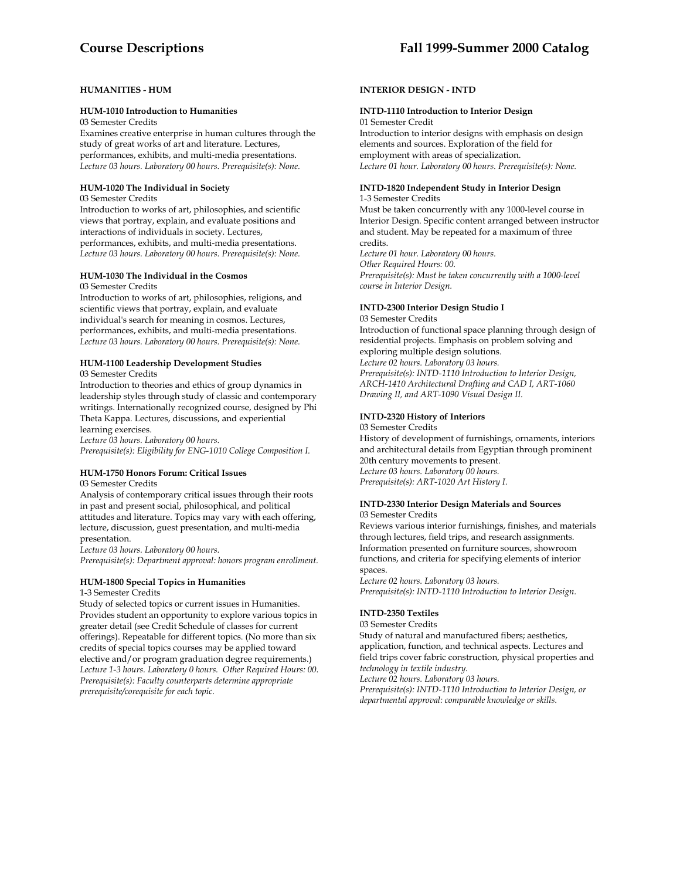# **HUMANITIES - HUM**

#### **HUM-1010 Introduction to Humanities**

03 Semester Credits

Examines creative enterprise in human cultures through the study of great works of art and literature. Lectures, performances, exhibits, and multi-media presentations. *Lecture 03 hours. Laboratory 00 hours. Prerequisite(s): None.* 

# **HUM-1020 The Individual in Society**

03 Semester Credits

Introduction to works of art, philosophies, and scientific views that portray, explain, and evaluate positions and interactions of individuals in society. Lectures, performances, exhibits, and multi-media presentations. *Lecture 03 hours. Laboratory 00 hours. Prerequisite(s): None.* 

# **HUM-1030 The Individual in the Cosmos**

03 Semester Credits

Introduction to works of art, philosophies, religions, and scientific views that portray, explain, and evaluate individual's search for meaning in cosmos. Lectures, performances, exhibits, and multi-media presentations. *Lecture 03 hours. Laboratory 00 hours. Prerequisite(s): None.* 

# **HUM-1100 Leadership Development Studies**

03 Semester Credits

Introduction to theories and ethics of group dynamics in leadership styles through study of classic and contemporary writings. Internationally recognized course, designed by Phi Theta Kappa. Lectures, discussions, and experiential learning exercises.

*Lecture 03 hours. Laboratory 00 hours. Prerequisite(s): Eligibility for ENG-1010 College Composition I.* 

### **HUM-1750 Honors Forum: Critical Issues**

03 Semester Credits

Analysis of contemporary critical issues through their roots in past and present social, philosophical, and political attitudes and literature. Topics may vary with each offering, lecture, discussion, guest presentation, and multi-media presentation.

*Lecture 03 hours. Laboratory 00 hours. Prerequisite(s): Department approval: honors program enrollment.* 

# **HUM-1800 Special Topics in Humanities**

1-3 Semester Credits

Study of selected topics or current issues in Humanities. Provides student an opportunity to explore various topics in greater detail (see Credit Schedule of classes for current offerings). Repeatable for different topics. (No more than six credits of special topics courses may be applied toward elective and/or program graduation degree requirements.) *Lecture 1-3 hours. Laboratory 0 hours. Other Required Hours: 00. Prerequisite(s): Faculty counterparts determine appropriate prerequisite/corequisite for each topic.* 

# **INTERIOR DESIGN - INTD**

#### **INTD-1110 Introduction to Interior Design**  01 Semester Credit

Introduction to interior designs with emphasis on design elements and sources. Exploration of the field for employment with areas of specialization. *Lecture 01 hour. Laboratory 00 hours. Prerequisite(s): None.* 

#### **INTD-1820 Independent Study in Interior Design**  1-3 Semester Credits

Must be taken concurrently with any 1000-level course in Interior Design. Specific content arranged between instructor and student. May be repeated for a maximum of three credits.

*Lecture 01 hour. Laboratory 00 hours. Other Required Hours: 00. Prerequisite(s): Must be taken concurrently with a 1000-level course in Interior Design.* 

# **INTD-2300 Interior Design Studio I**

03 Semester Credits

Introduction of functional space planning through design of residential projects. Emphasis on problem solving and exploring multiple design solutions.

### *Lecture 02 hours. Laboratory 03 hours.*

*Prerequisite(s): INTD-1110 Introduction to Interior Design, ARCH-1410 Architectural Drafting and CAD I, ART-1060 Drawing II, and ART-1090 Visual Design II.* 

### **INTD-2320 History of Interiors**

03 Semester Credits

History of development of furnishings, ornaments, interiors and architectural details from Egyptian through prominent 20th century movements to present. *Lecture 03 hours. Laboratory 00 hours. Prerequisite(s): ART-1020 Art History I.* 

#### **INTD-2330 Interior Design Materials and Sources**  03 Semester Credits

Reviews various interior furnishings, finishes, and materials through lectures, field trips, and research assignments. Information presented on furniture sources, showroom functions, and criteria for specifying elements of interior spaces.

*Lecture 02 hours. Laboratory 03 hours. Prerequisite(s): INTD-1110 Introduction to Interior Design.* 

# **INTD-2350 Textiles**

#### 03 Semester Credits

Study of natural and manufactured fibers; aesthetics, application, function, and technical aspects. Lectures and field trips cover fabric construction, physical properties and *technology in textile industry.* 

*Lecture 02 hours. Laboratory 03 hours.* 

*Prerequisite(s): INTD-1110 Introduction to Interior Design, or departmental approval: comparable knowledge or skills.*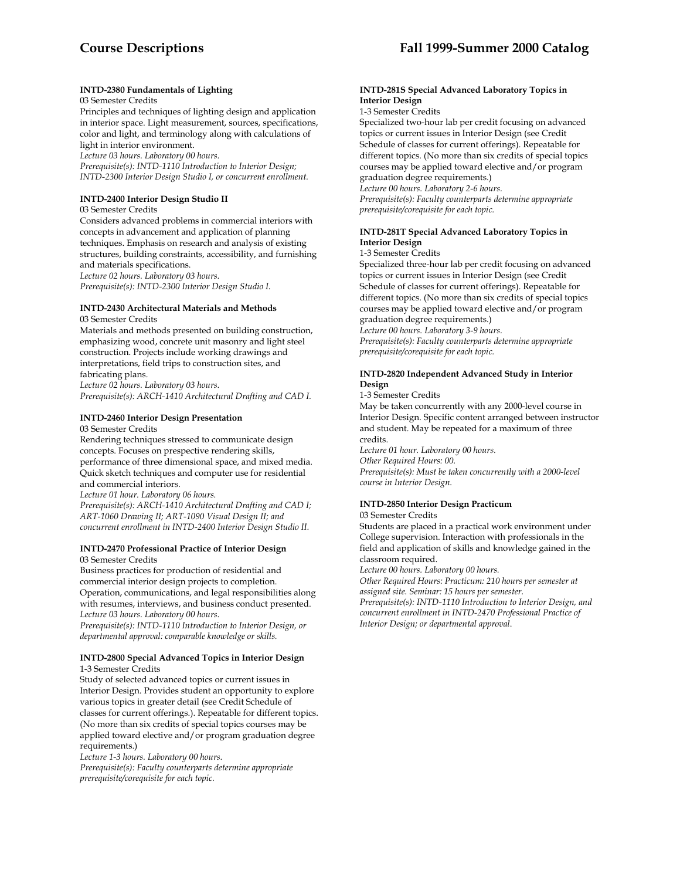# **INTD-2380 Fundamentals of Lighting**

#### 03 Semester Credits

Principles and techniques of lighting design and application in interior space. Light measurement, sources, specifications, color and light, and terminology along with calculations of light in interior environment.

*Lecture 03 hours. Laboratory 00 hours.* 

*Prerequisite(s): INTD-1110 Introduction to Interior Design; INTD-2300 Interior Design Studio I, or concurrent enrollment.* 

### **INTD-2400 Interior Design Studio II**

03 Semester Credits

Considers advanced problems in commercial interiors with concepts in advancement and application of planning techniques. Emphasis on research and analysis of existing structures, building constraints, accessibility, and furnishing and materials specifications. *Lecture 02 hours. Laboratory 03 hours.* 

*Prerequisite(s): INTD-2300 Interior Design Studio I.* 

# **INTD-2430 Architectural Materials and Methods**

03 Semester Credits

Materials and methods presented on building construction, emphasizing wood, concrete unit masonry and light steel construction. Projects include working drawings and interpretations, field trips to construction sites, and fabricating plans. *Lecture 02 hours. Laboratory 03 hours.* 

*Prerequisite(s): ARCH-1410 Architectural Drafting and CAD I.* 

# **INTD-2460 Interior Design Presentation**

03 Semester Credits

Rendering techniques stressed to communicate design concepts. Focuses on prespective rendering skills, performance of three dimensional space, and mixed media. Quick sketch techniques and computer use for residential and commercial interiors.

*Lecture 01 hour. Laboratory 06 hours.* 

*Prerequisite(s): ARCH-1410 Architectural Drafting and CAD I; ART-1060 Drawing II; ART-1090 Visual Design II; and concurrent enrollment in INTD-2400 Interior Design Studio II.* 

# **INTD-2470 Professional Practice of Interior Design**  03 Semester Credits

Business practices for production of residential and commercial interior design projects to completion. Operation, communications, and legal responsibilities along with resumes, interviews, and business conduct presented. *Lecture 03 hours. Laboratory 00 hours.* 

*Prerequisite(s): INTD-1110 Introduction to Interior Design, or departmental approval: comparable knowledge or skills.* 

# **INTD-2800 Special Advanced Topics in Interior Design**  1-3 Semester Credits

Study of selected advanced topics or current issues in Interior Design. Provides student an opportunity to explore various topics in greater detail (see Credit Schedule of classes for current offerings.). Repeatable for different topics. (No more than six credits of special topics courses may be applied toward elective and/or program graduation degree requirements.)

*Lecture 1-3 hours. Laboratory 00 hours.* 

*Prerequisite(s): Faculty counterparts determine appropriate prerequisite/corequisite for each topic.* 

## **INTD-281S Special Advanced Laboratory Topics in Interior Design**

1-3 Semester Credits

Specialized two-hour lab per credit focusing on advanced topics or current issues in Interior Design (see Credit Schedule of classes for current offerings). Repeatable for different topics. (No more than six credits of special topics courses may be applied toward elective and/or program graduation degree requirements.)

*Lecture 00 hours. Laboratory 2-6 hours.* 

*Prerequisite(s): Faculty counterparts determine appropriate prerequisite/corequisite for each topic.* 

# **INTD-281T Special Advanced Laboratory Topics in Interior Design**

#### 1-3 Semester Credits

Specialized three-hour lab per credit focusing on advanced topics or current issues in Interior Design (see Credit Schedule of classes for current offerings). Repeatable for different topics. (No more than six credits of special topics courses may be applied toward elective and/or program graduation degree requirements.) *Lecture 00 hours. Laboratory 3-9 hours. Prerequisite(s): Faculty counterparts determine appropriate prerequisite/corequisite for each topic.* 

# **INTD-2820 Independent Advanced Study in Interior Design**

1-3 Semester Credits

May be taken concurrently with any 2000-level course in Interior Design. Specific content arranged between instructor and student. May be repeated for a maximum of three credits.

*Lecture 01 hour. Laboratory 00 hours. Other Required Hours: 00. Prerequisite(s): Must be taken concurrently with a 2000-level course in Interior Design.* 

# **INTD-2850 Interior Design Practicum**

03 Semester Credits

Students are placed in a practical work environment under College supervision. Interaction with professionals in the field and application of skills and knowledge gained in the classroom required.

*Lecture 00 hours. Laboratory 00 hours.* 

*Other Required Hours: Practicum: 210 hours per semester at assigned site. Seminar: 15 hours per semester.* 

*Prerequisite(s): INTD-1110 Introduction to Interior Design, and concurrent enrollment in INTD-2470 Professional Practice of Interior Design; or departmental approval*.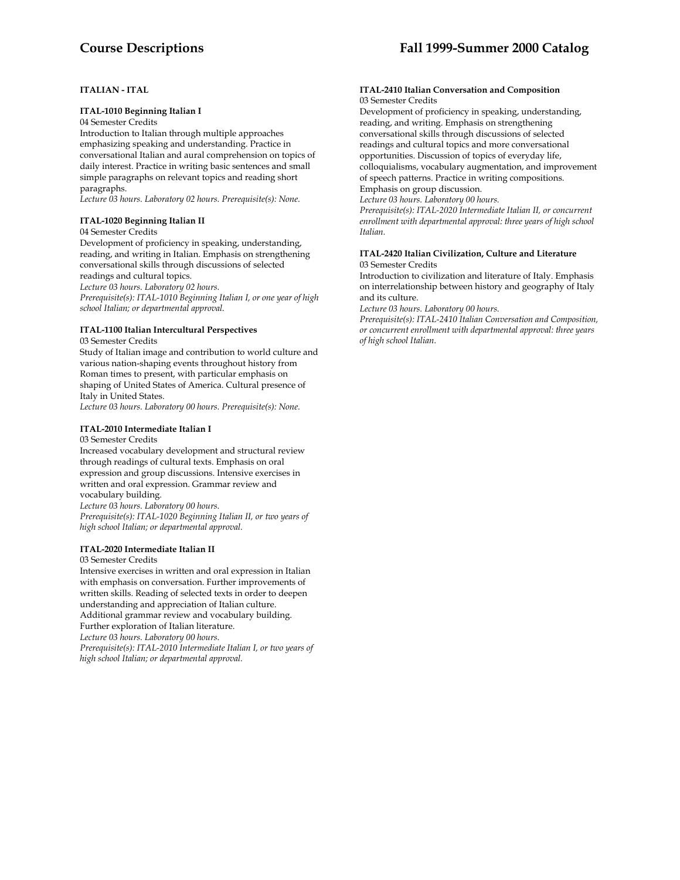# **ITALIAN - ITAL**

# **ITAL-1010 Beginning Italian I**

#### 04 Semester Credits

Introduction to Italian through multiple approaches emphasizing speaking and understanding. Practice in conversational Italian and aural comprehension on topics of daily interest. Practice in writing basic sentences and small simple paragraphs on relevant topics and reading short paragraphs.

*Lecture 03 hours. Laboratory 02 hours. Prerequisite(s): None.* 

# **ITAL-1020 Beginning Italian II**

#### 04 Semester Credits

Development of proficiency in speaking, understanding, reading, and writing in Italian. Emphasis on strengthening conversational skills through discussions of selected readings and cultural topics.

*Lecture 03 hours. Laboratory 02 hours.* 

*Prerequisite(s): ITAL-1010 Beginning Italian I, or one year of high school Italian; or departmental approval.* 

#### **ITAL-1100 Italian Intercultural Perspectives** 03 Semester Credits

Study of Italian image and contribution to world culture and various nation-shaping events throughout history from Roman times to present, with particular emphasis on shaping of United States of America. Cultural presence of Italy in United States.

*Lecture 03 hours. Laboratory 00 hours. Prerequisite(s): None.* 

# **ITAL-2010 Intermediate Italian I**

#### 03 Semester Credits

Increased vocabulary development and structural review through readings of cultural texts. Emphasis on oral expression and group discussions. Intensive exercises in written and oral expression. Grammar review and vocabulary building.

*Lecture 03 hours. Laboratory 00 hours. Prerequisite(s): ITAL-1020 Beginning Italian II, or two years of high school Italian; or departmental approval.* 

### **ITAL-2020 Intermediate Italian II**

### 03 Semester Credits

Intensive exercises in written and oral expression in Italian with emphasis on conversation. Further improvements of written skills. Reading of selected texts in order to deepen understanding and appreciation of Italian culture. Additional grammar review and vocabulary building. Further exploration of Italian literature.

*Lecture 03 hours. Laboratory 00 hours. Prerequisite(s): ITAL-2010 Intermediate Italian I, or two years of* 

*high school Italian; or departmental approval.* 

#### **ITAL-2410 Italian Conversation and Composition** 03 Semester Credits

Development of proficiency in speaking, understanding, reading, and writing. Emphasis on strengthening conversational skills through discussions of selected readings and cultural topics and more conversational opportunities. Discussion of topics of everyday life, colloquialisms, vocabulary augmentation, and improvement of speech patterns. Practice in writing compositions. Emphasis on group discussion.

*Lecture 03 hours. Laboratory 00 hours.* 

*Prerequisite(s): ITAL-2020 Intermediate Italian II, or concurrent enrollment with departmental approval: three years of high school Italian.* 

# **ITAL-2420 Italian Civilization, Culture and Literature**  03 Semester Credits

Introduction to civilization and literature of Italy. Emphasis on interrelationship between history and geography of Italy and its culture.

*Lecture 03 hours. Laboratory 00 hours.* 

*Prerequisite(s): ITAL-2410 Italian Conversation and Composition, or concurrent enrollment with departmental approval: three years of high school Italian.*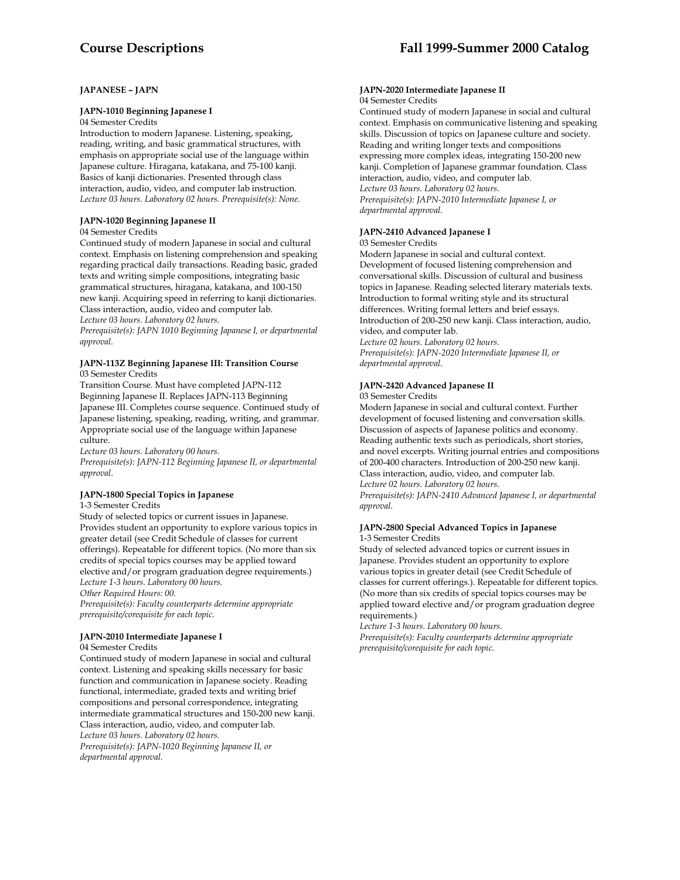# **JAPANESE – JAPN**

#### **JAPN-1010 Beginning Japanese I**

04 Semester Credits

Introduction to modern Japanese. Listening, speaking, reading, writing, and basic grammatical structures, with emphasis on appropriate social use of the language within Japanese culture. Hiragana, katakana, and 75-100 kanji. Basics of kanji dictionaries. Presented through class interaction, audio, video, and computer lab instruction. *Lecture 03 hours. Laboratory 02 hours. Prerequisite(s): None.* 

# **JAPN-1020 Beginning Japanese II**

04 Semester Credits

Continued study of modern Japanese in social and cultural context. Emphasis on listening comprehension and speaking regarding practical daily transactions. Reading basic, graded texts and writing simple compositions, integrating basic grammatical structures, hiragana, katakana, and 100-150 new kanji. Acquiring speed in referring to kanji dictionaries. Class interaction, audio, video and computer lab. *Lecture 03 hours. Laboratory 02 hours.* 

*Prerequisite(s): JAPN 1010 Beginning Japanese I, or departmental approval.* 

# **JAPN-113Z Beginning Japanese III: Transition Course**

03 Semester Credits

Transition Course. Must have completed JAPN-112 Beginning Japanese II. Replaces JAPN-113 Beginning Japanese III. Completes course sequence. Continued study of Japanese listening, speaking, reading, writing, and grammar. Appropriate social use of the language within Japanese culture.

*Lecture 03 hours. Laboratory 00 hours.* 

*Prerequisite(s): JAPN-112 Beginning Japanese II, or departmental approval*.

# **JAPN-1800 Special Topics in Japanese**

1-3 Semester Credits

Study of selected topics or current issues in Japanese. Provides student an opportunity to explore various topics in greater detail (see Credit Schedule of classes for current offerings). Repeatable for different topics. (No more than six credits of special topics courses may be applied toward elective and/or program graduation degree requirements.) *Lecture 1-3 hours. Laboratory 00 hours.* 

*Other Required Hours: 00.* 

*Prerequisite(s): Faculty counterparts determine appropriate prerequisite/corequisite for each topic.* 

### **JAPN-2010 Intermediate Japanese I**

04 Semester Credits

Continued study of modern Japanese in social and cultural context. Listening and speaking skills necessary for basic function and communication in Japanese society. Reading functional, intermediate, graded texts and writing brief compositions and personal correspondence, integrating intermediate grammatical structures and 150-200 new kanji. Class interaction, audio, video, and computer lab. *Lecture 03 hours. Laboratory 02 hours. Prerequisite(s): JAPN-1020 Beginning Japanese II, or departmental approval.* 

#### **JAPN-2020 Intermediate Japanese II** 04 Semester Credits

Continued study of modern Japanese in social and cultural context. Emphasis on communicative listening and speaking skills. Discussion of topics on Japanese culture and society. Reading and writing longer texts and compositions expressing more complex ideas, integrating 150-200 new kanji. Completion of Japanese grammar foundation. Class interaction, audio, video, and computer lab. *Lecture 03 hours. Laboratory 02 hours. Prerequisite(s): JAPN-2010 Intermediate Japanese I, or departmental approval.* 

# **JAPN-2410 Advanced Japanese I**

03 Semester Credits

Modern Japanese in social and cultural context. Development of focused listening comprehension and conversational skills. Discussion of cultural and business topics in Japanese. Reading selected literary materials texts. Introduction to formal writing style and its structural differences. Writing formal letters and brief essays. Introduction of 200-250 new kanji. Class interaction, audio, video, and computer lab.

*Lecture 02 hours. Laboratory 02 hours. Prerequisite(s): JAPN-2020 Intermediate Japanese II, or departmental approval.* 

# **JAPN-2420 Advanced Japanese II**

03 Semester Credits

Modern Japanese in social and cultural context. Further development of focused listening and conversation skills. Discussion of aspects of Japanese politics and economy. Reading authentic texts such as periodicals, short stories, and novel excerpts. Writing journal entries and compositions of 200-400 characters. Introduction of 200-250 new kanji. Class interaction, audio, video, and computer lab. *Lecture 02 hours. Laboratory 02 hours. Prerequisite(s): JAPN-2410 Advanced Japanese I, or departmental approval.* 

#### **JAPN-2800 Special Advanced Topics in Japanese**  1-3 Semester Credits

Study of selected advanced topics or current issues in Japanese. Provides student an opportunity to explore various topics in greater detail (see Credit Schedule of classes for current offerings.). Repeatable for different topics. (No more than six credits of special topics courses may be applied toward elective and/or program graduation degree requirements.)

*Lecture 1-3 hours. Laboratory 00 hours. Prerequisite(s): Faculty counterparts determine appropriate prerequisite/corequisite for each topic.*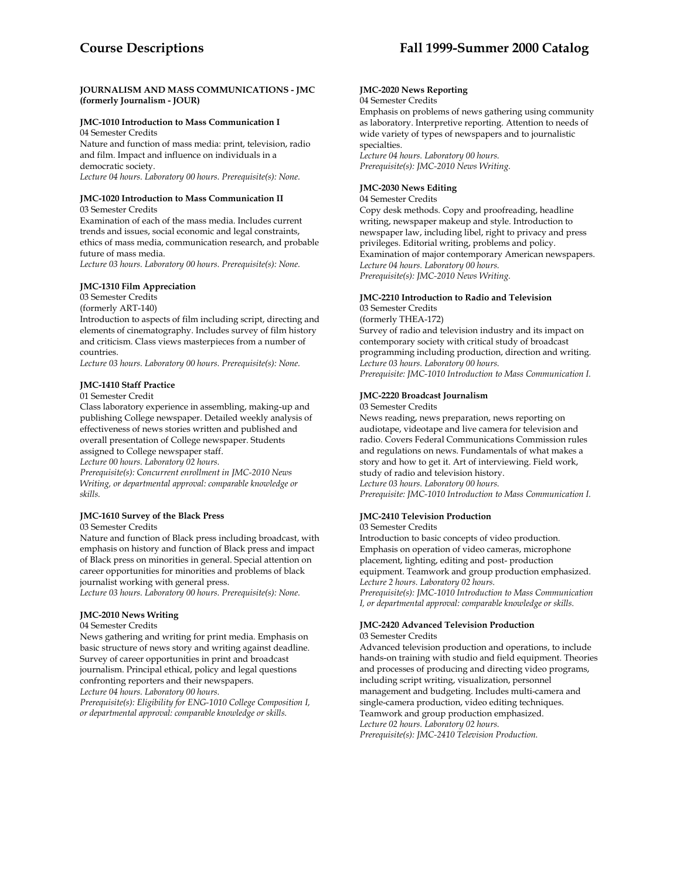## **JOURNALISM AND MASS COMMUNICATIONS - JMC (formerly Journalism - JOUR)**

# **JMC-1010 Introduction to Mass Communication I**

04 Semester Credits

Nature and function of mass media: print, television, radio and film. Impact and influence on individuals in a democratic society.

*Lecture 04 hours. Laboratory 00 hours. Prerequisite(s): None.* 

# **JMC-1020 Introduction to Mass Communication II**

03 Semester Credits

Examination of each of the mass media. Includes current trends and issues, social economic and legal constraints, ethics of mass media, communication research, and probable future of mass media.

*Lecture 03 hours. Laboratory 00 hours. Prerequisite(s): None.* 

# **JMC-1310 Film Appreciation**

03 Semester Credits

(formerly ART-140)

Introduction to aspects of film including script, directing and elements of cinematography. Includes survey of film history and criticism. Class views masterpieces from a number of countries.

*Lecture 03 hours. Laboratory 00 hours. Prerequisite(s): None.* 

# **JMC-1410 Staff Practice**

### 01 Semester Credit

Class laboratory experience in assembling, making-up and publishing College newspaper. Detailed weekly analysis of effectiveness of news stories written and published and overall presentation of College newspaper. Students assigned to College newspaper staff.

*Lecture 00 hours. Laboratory 02 hours.* 

*Prerequisite(s): Concurrent enrollment in JMC-2010 News Writing, or departmental approval: comparable knowledge or skills.* 

### **JMC-1610 Survey of the Black Press**

03 Semester Credits

Nature and function of Black press including broadcast, with emphasis on history and function of Black press and impact of Black press on minorities in general. Special attention on career opportunities for minorities and problems of black journalist working with general press.

*Lecture 03 hours. Laboratory 00 hours. Prerequisite(s): None.* 

# **JMC-2010 News Writing**

### 04 Semester Credits

News gathering and writing for print media. Emphasis on basic structure of news story and writing against deadline. Survey of career opportunities in print and broadcast journalism. Principal ethical, policy and legal questions confronting reporters and their newspapers. *Lecture 04 hours. Laboratory 00 hours.* 

*Prerequisite(s): Eligibility for ENG-1010 College Composition I, or departmental approval: comparable knowledge or skills.* 

# **JMC-2020 News Reporting**

# 04 Semester Credits

Emphasis on problems of news gathering using community as laboratory. Interpretive reporting. Attention to needs of wide variety of types of newspapers and to journalistic specialties. *Lecture 04 hours. Laboratory 00 hours. Prerequisite(s): JMC-2010 News Writing.* 

# **JMC-2030 News Editing**

#### 04 Semester Credits

Copy desk methods. Copy and proofreading, headline writing, newspaper makeup and style. Introduction to newspaper law, including libel, right to privacy and press privileges. Editorial writing, problems and policy. Examination of major contemporary American newspapers. *Lecture 04 hours. Laboratory 00 hours. Prerequisite(s): JMC-2010 News Writing.* 

# **JMC-2210 Introduction to Radio and Television**

03 Semester Credits

(formerly THEA-172) Survey of radio and television industry and its impact on contemporary society with critical study of broadcast programming including production, direction and writing. *Lecture 03 hours. Laboratory 00 hours. Prerequisite: JMC-1010 Introduction to Mass Communication I.* 

### **JMC-2220 Broadcast Journalism**

03 Semester Credits

News reading, news preparation, news reporting on audiotape, videotape and live camera for television and radio. Covers Federal Communications Commission rules and regulations on news. Fundamentals of what makes a story and how to get it. Art of interviewing. Field work, study of radio and television history. *Lecture 03 hours. Laboratory 00 hours. Prerequisite: JMC-1010 Introduction to Mass Communication I.* 

# **JMC-2410 Television Production**

03 Semester Credits

Introduction to basic concepts of video production. Emphasis on operation of video cameras, microphone placement, lighting, editing and post- production equipment. Teamwork and group production emphasized. *Lecture 2 hours. Laboratory 02 hours. Prerequisite(s): JMC-1010 Introduction to Mass Communication I, or departmental approval: comparable knowledge or skills.* 

#### **JMC-2420 Advanced Television Production** 03 Semester Credits

Advanced television production and operations, to include hands-on training with studio and field equipment. Theories and processes of producing and directing video programs, including script writing, visualization, personnel management and budgeting. Includes multi-camera and single-camera production, video editing techniques. Teamwork and group production emphasized. *Lecture 02 hours. Laboratory 02 hours. Prerequisite(s): JMC-2410 Television Production.*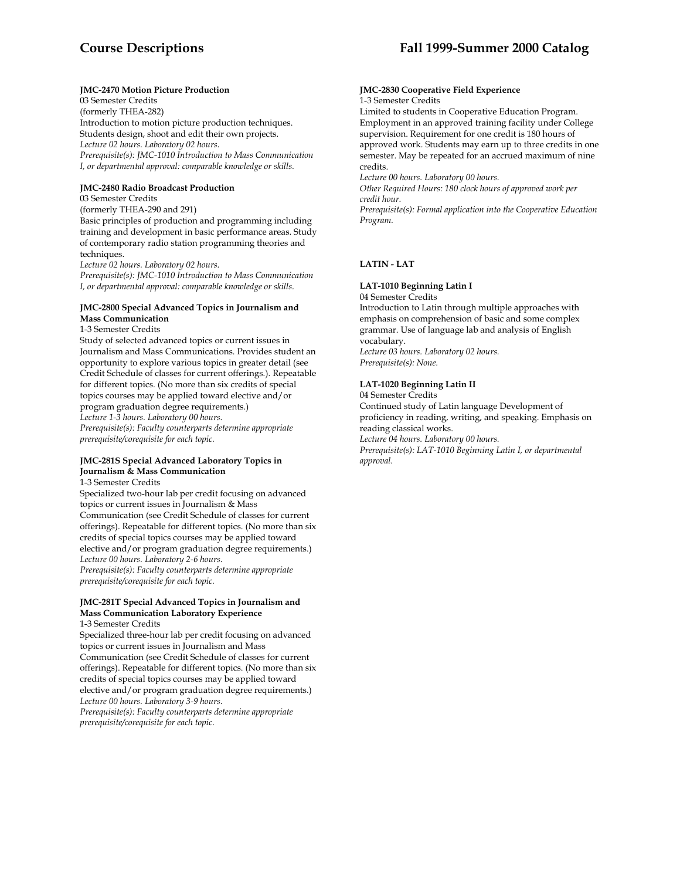# **JMC-2470 Motion Picture Production**

03 Semester Credits (formerly THEA-282) Introduction to motion picture production techniques. Students design, shoot and edit their own projects. *Lecture 02 hours. Laboratory 02 hours. Prerequisite(s): JMC-1010 Introduction to Mass Communication I, or departmental approval: comparable knowledge or skills.* 

### **JMC-2480 Radio Broadcast Production**

03 Semester Credits

(formerly THEA-290 and 291)

Basic principles of production and programming including training and development in basic performance areas. Study of contemporary radio station programming theories and techniques.

*Lecture 02 hours. Laboratory 02 hours.* 

*Prerequisite(s): JMC-1010 Introduction to Mass Communication I, or departmental approval: comparable knowledge or skills.* 

#### **JMC-2800 Special Advanced Topics in Journalism and Mass Communication**

1-3 Semester Credits

Study of selected advanced topics or current issues in Journalism and Mass Communications. Provides student an opportunity to explore various topics in greater detail (see Credit Schedule of classes for current offerings.). Repeatable for different topics. (No more than six credits of special topics courses may be applied toward elective and/or program graduation degree requirements.) *Lecture 1-3 hours. Laboratory 00 hours. Prerequisite(s): Faculty counterparts determine appropriate prerequisite/corequisite for each topic.* 

### **JMC-281S Special Advanced Laboratory Topics in Journalism & Mass Communication**

1-3 Semester Credits

Specialized two-hour lab per credit focusing on advanced topics or current issues in Journalism & Mass Communication (see Credit Schedule of classes for current offerings). Repeatable for different topics. (No more than six credits of special topics courses may be applied toward elective and/or program graduation degree requirements.) *Lecture 00 hours. Laboratory 2-6 hours. Prerequisite(s): Faculty counterparts determine appropriate prerequisite/corequisite for each topic.* 

# **JMC-281T Special Advanced Topics in Journalism and Mass Communication Laboratory Experience**

1-3 Semester Credits

Specialized three-hour lab per credit focusing on advanced topics or current issues in Journalism and Mass Communication (see Credit Schedule of classes for current offerings). Repeatable for different topics. (No more than six credits of special topics courses may be applied toward elective and/or program graduation degree requirements.) *Lecture 00 hours. Laboratory 3-9 hours. Prerequisite(s): Faculty counterparts determine appropriate* 

*prerequisite/corequisite for each topic.* 

#### **JMC-2830 Cooperative Field Experience**  1-3 Semester Credits

Limited to students in Cooperative Education Program. Employment in an approved training facility under College supervision. Requirement for one credit is 180 hours of approved work. Students may earn up to three credits in one semester. May be repeated for an accrued maximum of nine credits.

*Lecture 00 hours. Laboratory 00 hours.* 

*Other Required Hours: 180 clock hours of approved work per credit hour.* 

*Prerequisite(s): Formal application into the Cooperative Education Program.* 

# **LATIN - LAT**

# **LAT-1010 Beginning Latin I**

04 Semester Credits

Introduction to Latin through multiple approaches with emphasis on comprehension of basic and some complex grammar. Use of language lab and analysis of English vocabulary. *Lecture 03 hours. Laboratory 02 hours.* 

*Prerequisite(s): None.* 

# **LAT-1020 Beginning Latin II**

04 Semester Credits

Continued study of Latin language Development of proficiency in reading, writing, and speaking. Emphasis on reading classical works. *Lecture 04 hours. Laboratory 00 hours.* 

*Prerequisite(s): LAT-1010 Beginning Latin I, or departmental approval.*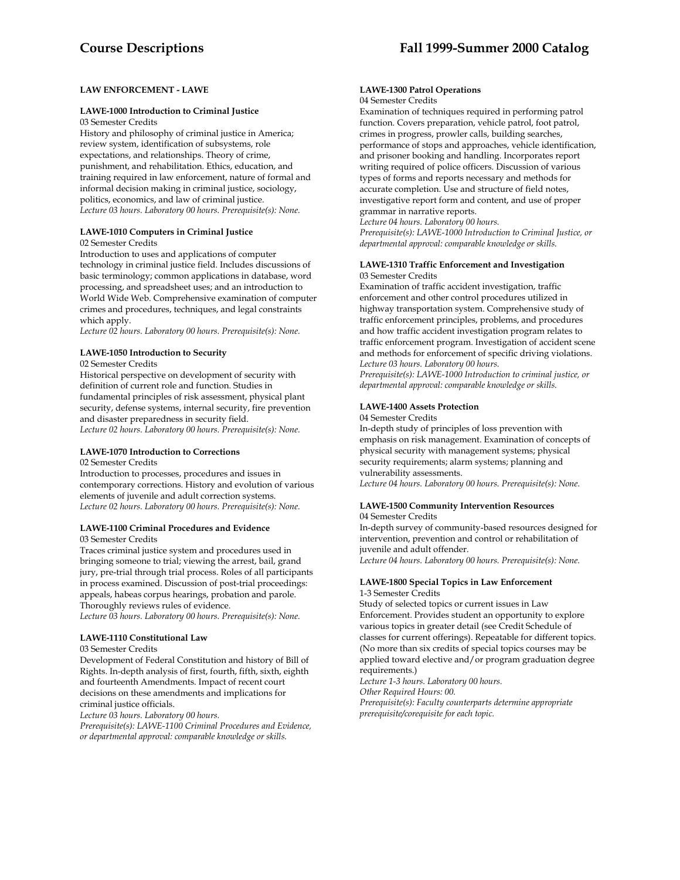# **LAW ENFORCEMENT - LAWE**

# **LAWE-1000 Introduction to Criminal Justice**

03 Semester Credits

History and philosophy of criminal justice in America; review system, identification of subsystems, role expectations, and relationships. Theory of crime, punishment, and rehabilitation. Ethics, education, and training required in law enforcement, nature of formal and informal decision making in criminal justice, sociology, politics, economics, and law of criminal justice. *Lecture 03 hours. Laboratory 00 hours. Prerequisite(s): None.* 

# **LAWE-1010 Computers in Criminal Justice**

02 Semester Credits

Introduction to uses and applications of computer technology in criminal justice field. Includes discussions of basic terminology; common applications in database, word processing, and spreadsheet uses; and an introduction to World Wide Web. Comprehensive examination of computer crimes and procedures, techniques, and legal constraints which apply.

*Lecture 02 hours. Laboratory 00 hours. Prerequisite(s): None.* 

#### **LAWE-1050 Introduction to Security** 02 Semester Credits

Historical perspective on development of security with definition of current role and function. Studies in fundamental principles of risk assessment, physical plant security, defense systems, internal security, fire prevention and disaster preparedness in security field. *Lecture 02 hours. Laboratory 00 hours. Prerequisite(s): None.* 

# **LAWE-1070 Introduction to Corrections**

02 Semester Credits

Introduction to processes, procedures and issues in contemporary corrections. History and evolution of various elements of juvenile and adult correction systems. *Lecture 02 hours. Laboratory 00 hours. Prerequisite(s): None.* 

### **LAWE-1100 Criminal Procedures and Evidence**

03 Semester Credits

Traces criminal justice system and procedures used in bringing someone to trial; viewing the arrest, bail, grand jury, pre-trial through trial process. Roles of all participants in process examined. Discussion of post-trial proceedings: appeals, habeas corpus hearings, probation and parole. Thoroughly reviews rules of evidence. *Lecture 03 hours. Laboratory 00 hours. Prerequisite(s): None.* 

**LAWE-1110 Constitutional Law** 

# 03 Semester Credits

Development of Federal Constitution and history of Bill of Rights. In-depth analysis of first, fourth, fifth, sixth, eighth and fourteenth Amendments. Impact of recent court decisions on these amendments and implications for criminal justice officials.

*Lecture 03 hours. Laboratory 00 hours.* 

*Prerequisite(s): LAWE-1100 Criminal Procedures and Evidence, or departmental approval: comparable knowledge or skills.* 

# **LAWE-1300 Patrol Operations**

# 04 Semester Credits

Examination of techniques required in performing patrol function. Covers preparation, vehicle patrol, foot patrol, crimes in progress, prowler calls, building searches, performance of stops and approaches, vehicle identification, and prisoner booking and handling. Incorporates report writing required of police officers. Discussion of various types of forms and reports necessary and methods for accurate completion. Use and structure of field notes, investigative report form and content, and use of proper grammar in narrative reports.

*Lecture 04 hours. Laboratory 00 hours.* 

*Prerequisite(s): LAWE-1000 Introduction to Criminal Justice, or departmental approval: comparable knowledge or skills.* 

# **LAWE-1310 Traffic Enforcement and Investigation**  03 Semester Credits

Examination of traffic accident investigation, traffic enforcement and other control procedures utilized in highway transportation system. Comprehensive study of traffic enforcement principles, problems, and procedures and how traffic accident investigation program relates to traffic enforcement program. Investigation of accident scene and methods for enforcement of specific driving violations. *Lecture 03 hours. Laboratory 00 hours.* 

*Prerequisite(s): LAWE-1000 Introduction to criminal justice, or departmental approval: comparable knowledge or skills.* 

# **LAWE-1400 Assets Protection**

04 Semester Credits

In-depth study of principles of loss prevention with emphasis on risk management. Examination of concepts of physical security with management systems; physical security requirements; alarm systems; planning and vulnerability assessments. *Lecture 04 hours. Laboratory 00 hours. Prerequisite(s): None.* 

## **LAWE-1500 Community Intervention Resources**  04 Semester Credits

In-depth survey of community-based resources designed for intervention, prevention and control or rehabilitation of juvenile and adult offender. *Lecture 04 hours. Laboratory 00 hours. Prerequisite(s): None.* 

#### **LAWE-1800 Special Topics in Law Enforcement**  1-3 Semester Credits

Study of selected topics or current issues in Law Enforcement. Provides student an opportunity to explore various topics in greater detail (see Credit Schedule of classes for current offerings). Repeatable for different topics. (No more than six credits of special topics courses may be applied toward elective and/or program graduation degree requirements.)

*Lecture 1-3 hours. Laboratory 00 hours.* 

*Other Required Hours: 00.* 

*Prerequisite(s): Faculty counterparts determine appropriate prerequisite/corequisite for each topic.*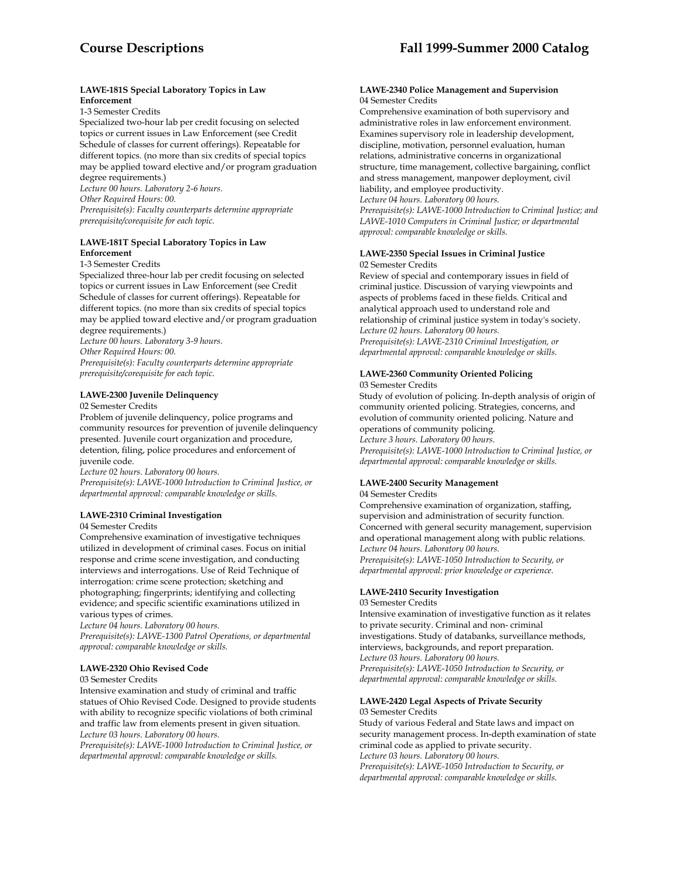# **LAWE-181S Special Laboratory Topics in Law Enforcement**

1-3 Semester Credits

Specialized two-hour lab per credit focusing on selected topics or current issues in Law Enforcement (see Credit Schedule of classes for current offerings). Repeatable for different topics. (no more than six credits of special topics may be applied toward elective and/or program graduation degree requirements.)

*Lecture 00 hours. Laboratory 2-6 hours. Other Required Hours: 00. Prerequisite(s): Faculty counterparts determine appropriate* 

*prerequisite/corequisite for each topic.* 

# **LAWE-181T Special Laboratory Topics in Law Enforcement**

1-3 Semester Credits

Specialized three-hour lab per credit focusing on selected topics or current issues in Law Enforcement (see Credit Schedule of classes for current offerings). Repeatable for different topics. (no more than six credits of special topics may be applied toward elective and/or program graduation degree requirements.)

*Lecture 00 hours. Laboratory 3-9 hours.* 

*Other Required Hours: 00.* 

*Prerequisite(s): Faculty counterparts determine appropriate prerequisite/corequisite for each topic.* 

# **LAWE-2300 Juvenile Delinquency**

02 Semester Credits

Problem of juvenile delinquency, police programs and community resources for prevention of juvenile delinquency presented. Juvenile court organization and procedure, detention, filing, police procedures and enforcement of juvenile code.

*Lecture 02 hours. Laboratory 00 hours.* 

*Prerequisite(s): LAWE-1000 Introduction to Criminal Justice, or departmental approval: comparable knowledge or skills.* 

# **LAWE-2310 Criminal Investigation**

04 Semester Credits

Comprehensive examination of investigative techniques utilized in development of criminal cases. Focus on initial response and crime scene investigation, and conducting interviews and interrogations. Use of Reid Technique of interrogation: crime scene protection; sketching and photographing; fingerprints; identifying and collecting evidence; and specific scientific examinations utilized in various types of crimes.

*Lecture 04 hours. Laboratory 00 hours.* 

*Prerequisite(s): LAWE-1300 Patrol Operations, or departmental approval: comparable knowledge or skills.* 

### **LAWE-2320 Ohio Revised Code**

03 Semester Credits

Intensive examination and study of criminal and traffic statues of Ohio Revised Code. Designed to provide students with ability to recognize specific violations of both criminal and traffic law from elements present in given situation. *Lecture 03 hours. Laboratory 00 hours.* 

*Prerequisite(s): LAWE-1000 Introduction to Criminal Justice, or departmental approval: comparable knowledge or skills.* 

#### **LAWE-2340 Police Management and Supervision**  04 Semester Credits

Comprehensive examination of both supervisory and administrative roles in law enforcement environment. Examines supervisory role in leadership development, discipline, motivation, personnel evaluation, human relations, administrative concerns in organizational structure, time management, collective bargaining, conflict and stress management, manpower deployment, civil liability, and employee productivity. *Lecture 04 hours. Laboratory 00 hours. Prerequisite(s): LAWE-1000 Introduction to Criminal Justice; and LAWE-1010 Computers in Criminal Justice; or departmental* 

*approval: comparable knowledge or skills.* 

**LAWE-2350 Special Issues in Criminal Justice** 02 Semester Credits

Review of special and contemporary issues in field of criminal justice. Discussion of varying viewpoints and aspects of problems faced in these fields. Critical and analytical approach used to understand role and relationship of criminal justice system in today's society. *Lecture 02 hours. Laboratory 00 hours. Prerequisite(s): LAWE-2310 Criminal Investigation, or departmental approval: comparable knowledge or skills.* 

# **LAWE-2360 Community Oriented Policing**

03 Semester Credits

Study of evolution of policing. In-depth analysis of origin of community oriented policing. Strategies, concerns, and evolution of community oriented policing. Nature and operations of community policing.

*Lecture 3 hours. Laboratory 00 hours. Prerequisite(s): LAWE-1000 Introduction to Criminal Justice, or departmental approval: comparable knowledge or skills.* 

# **LAWE-2400 Security Management**

04 Semester Credits

Comprehensive examination of organization, staffing, supervision and administration of security function. Concerned with general security management, supervision and operational management along with public relations. *Lecture 04 hours. Laboratory 00 hours. Prerequisite(s): LAWE-1050 Introduction to Security, or departmental approval: prior knowledge or experience.* 

# **LAWE-2410 Security Investigation**

03 Semester Credits

Intensive examination of investigative function as it relates to private security. Criminal and non- criminal investigations. Study of databanks, surveillance methods, interviews, backgrounds, and report preparation. *Lecture 03 hours. Laboratory 00 hours. Prerequisite(s): LAWE-1050 Introduction to Security, or departmental approval: comparable knowledge or skills.* 

### **LAWE-2420 Legal Aspects of Private Security**  03 Semester Credits

Study of various Federal and State laws and impact on security management process. In-depth examination of state criminal code as applied to private security. *Lecture 03 hours. Laboratory 00 hours. Prerequisite(s): LAWE-1050 Introduction to Security, or departmental approval: comparable knowledge or skills.*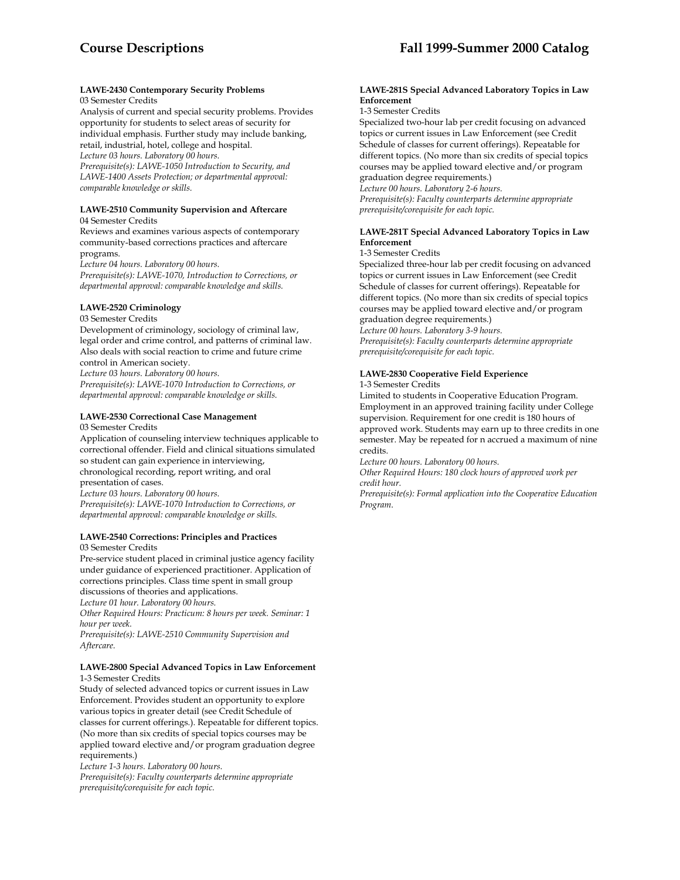#### **LAWE-2430 Contemporary Security Problems**  03 Semester Credits

Analysis of current and special security problems. Provides opportunity for students to select areas of security for individual emphasis. Further study may include banking, retail, industrial, hotel, college and hospital. *Lecture 03 hours. Laboratory 00 hours.* 

*Prerequisite(s): LAWE-1050 Introduction to Security, and LAWE-1400 Assets Protection; or departmental approval: comparable knowledge or skills.* 

#### **LAWE-2510 Community Supervision and Aftercare**  04 Semester Credits

Reviews and examines various aspects of contemporary community-based corrections practices and aftercare programs.

*Lecture 04 hours. Laboratory 00 hours.* 

*Prerequisite(s): LAWE-1070, Introduction to Corrections, or departmental approval: comparable knowledge and skills.* 

# **LAWE-2520 Criminology**

03 Semester Credits

Development of criminology, sociology of criminal law, legal order and crime control, and patterns of criminal law. Also deals with social reaction to crime and future crime control in American society.

*Lecture 03 hours. Laboratory 00 hours.* 

*Prerequisite(s): LAWE-1070 Introduction to Corrections, or departmental approval: comparable knowledge or skills.* 

# **LAWE-2530 Correctional Case Management**

03 Semester Credits

Application of counseling interview techniques applicable to correctional offender. Field and clinical situations simulated so student can gain experience in interviewing, chronological recording, report writing, and oral presentation of cases. *Lecture 03 hours. Laboratory 00 hours. Prerequisite(s): LAWE-1070 Introduction to Corrections, or departmental approval: comparable knowledge or skills.* 

#### **LAWE-2540 Corrections: Principles and Practices**  03 Semester Credits

Pre-service student placed in criminal justice agency facility under guidance of experienced practitioner. Application of corrections principles. Class time spent in small group discussions of theories and applications. *Lecture 01 hour. Laboratory 00 hours.* 

*Other Required Hours: Practicum: 8 hours per week. Seminar: 1 hour per week.* 

*Prerequisite(s): LAWE-2510 Community Supervision and Aftercare.* 

# **LAWE-2800 Special Advanced Topics in Law Enforcement**  1-3 Semester Credits

Study of selected advanced topics or current issues in Law Enforcement. Provides student an opportunity to explore various topics in greater detail (see Credit Schedule of classes for current offerings.). Repeatable for different topics. (No more than six credits of special topics courses may be applied toward elective and/or program graduation degree requirements.)

*Lecture 1-3 hours. Laboratory 00 hours.* 

*Prerequisite(s): Faculty counterparts determine appropriate prerequisite/corequisite for each topic.* 

# **LAWE-281S Special Advanced Laboratory Topics in Law Enforcement**

# 1-3 Semester Credits

Specialized two-hour lab per credit focusing on advanced topics or current issues in Law Enforcement (see Credit Schedule of classes for current offerings). Repeatable for different topics. (No more than six credits of special topics courses may be applied toward elective and/or program graduation degree requirements.)

*Lecture 00 hours. Laboratory 2-6 hours.* 

*Prerequisite(s): Faculty counterparts determine appropriate prerequisite/corequisite for each topic.* 

# **LAWE-281T Special Advanced Laboratory Topics in Law Enforcement**

### 1-3 Semester Credits

Specialized three-hour lab per credit focusing on advanced topics or current issues in Law Enforcement (see Credit Schedule of classes for current offerings). Repeatable for different topics. (No more than six credits of special topics courses may be applied toward elective and/or program graduation degree requirements.)

*Lecture 00 hours. Laboratory 3-9 hours. Prerequisite(s): Faculty counterparts determine appropriate prerequisite/corequisite for each topic.* 

# **LAWE-2830 Cooperative Field Experience**

### 1-3 Semester Credits

Limited to students in Cooperative Education Program. Employment in an approved training facility under College supervision. Requirement for one credit is 180 hours of approved work. Students may earn up to three credits in one semester. May be repeated for n accrued a maximum of nine credits.

*Lecture 00 hours. Laboratory 00 hours.* 

*Other Required Hours: 180 clock hours of approved work per credit hour.* 

*Prerequisite(s): Formal application into the Cooperative Education Program*.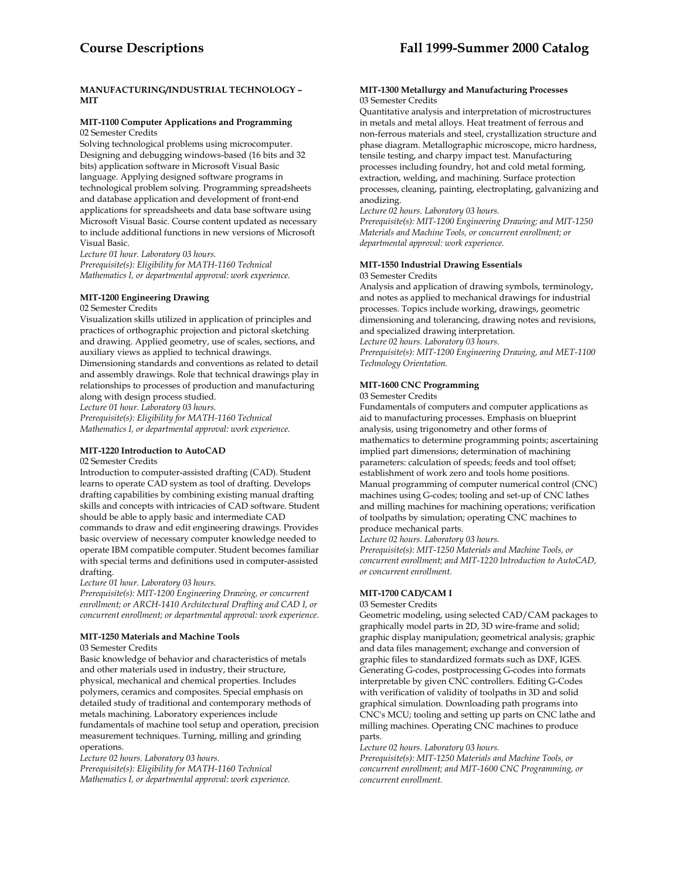# **MANUFACTURING/INDUSTRIAL TECHNOLOGY – MIT**

#### **MIT-1100 Computer Applications and Programming**  02 Semester Credits

Solving technological problems using microcomputer. Designing and debugging windows-based (16 bits and 32 bits) application software in Microsoft Visual Basic language. Applying designed software programs in technological problem solving. Programming spreadsheets and database application and development of front-end applications for spreadsheets and data base software using Microsoft Visual Basic. Course content updated as necessary to include additional functions in new versions of Microsoft Visual Basic.

*Lecture 01 hour. Laboratory 03 hours. Prerequisite(s): Eligibility for MATH-1160 Technical Mathematics I, or departmental approval: work experience.* 

### **MIT-1200 Engineering Drawing**

#### 02 Semester Credits

Visualization skills utilized in application of principles and practices of orthographic projection and pictoral sketching and drawing. Applied geometry, use of scales, sections, and auxiliary views as applied to technical drawings.

Dimensioning standards and conventions as related to detail and assembly drawings. Role that technical drawings play in relationships to processes of production and manufacturing along with design process studied.

*Lecture 01 hour. Laboratory 03 hours.* 

*Prerequisite(s): Eligibility for MATH-1160 Technical Mathematics I, or departmental approval: work experience.* 

# **MIT-1220 Introduction to AutoCAD**

#### 02 Semester Credits

Introduction to computer-assisted drafting (CAD). Student learns to operate CAD system as tool of drafting. Develops drafting capabilities by combining existing manual drafting skills and concepts with intricacies of CAD software. Student should be able to apply basic and intermediate CAD commands to draw and edit engineering drawings. Provides basic overview of necessary computer knowledge needed to operate IBM compatible computer. Student becomes familiar with special terms and definitions used in computer-assisted drafting.

*Lecture 01 hour. Laboratory 03 hours.* 

*Prerequisite(s): MIT-1200 Engineering Drawing, or concurrent enrollment; or ARCH-1410 Architectural Drafting and CAD I, or concurrent enrollment; or departmental approval: work experience.* 

# **MIT-1250 Materials and Machine Tools**

03 Semester Credits

Basic knowledge of behavior and characteristics of metals and other materials used in industry, their structure, physical, mechanical and chemical properties. Includes polymers, ceramics and composites. Special emphasis on detailed study of traditional and contemporary methods of metals machining. Laboratory experiences include fundamentals of machine tool setup and operation, precision measurement techniques. Turning, milling and grinding operations.

*Lecture 02 hours. Laboratory 03 hours. Prerequisite(s): Eligibility for MATH-1160 Technical Mathematics I, or departmental approval: work experience.* 

#### **MIT-1300 Metallurgy and Manufacturing Processes**  03 Semester Credits

Quantitative analysis and interpretation of microstructures in metals and metal alloys. Heat treatment of ferrous and non-ferrous materials and steel, crystallization structure and phase diagram. Metallographic microscope, micro hardness, tensile testing, and charpy impact test. Manufacturing processes including foundry, hot and cold metal forming, extraction, welding, and machining. Surface protection processes, cleaning, painting, electroplating, galvanizing and anodizing.

*Lecture 02 hours. Laboratory 03 hours.* 

*Prerequisite(s): MIT-1200 Engineering Drawing; and MIT-1250 Materials and Machine Tools, or concurrent enrollment; or departmental approval: work experience.* 

#### **MIT-1550 Industrial Drawing Essentials**

03 Semester Credits

Analysis and application of drawing symbols, terminology, and notes as applied to mechanical drawings for industrial processes. Topics include working, drawings, geometric dimensioning and tolerancing, drawing notes and revisions, and specialized drawing interpretation. *Lecture 02 hours. Laboratory 03 hours. Prerequisite(s): MIT-1200 Engineering Drawing, and MET-1100 Technology Orientation.* 

### **MIT-1600 CNC Programming**

#### 03 Semester Credits

Fundamentals of computers and computer applications as aid to manufacturing processes. Emphasis on blueprint analysis, using trigonometry and other forms of mathematics to determine programming points; ascertaining implied part dimensions; determination of machining parameters: calculation of speeds; feeds and tool offset; establishment of work zero and tools home positions. Manual programming of computer numerical control (CNC) machines using G-codes; tooling and set-up of CNC lathes and milling machines for machining operations; verification of toolpaths by simulation; operating CNC machines to produce mechanical parts.

*Lecture 02 hours. Laboratory 03 hours.* 

*Prerequisite(s): MIT-1250 Materials and Machine Tools, or concurrent enrollment; and MIT-1220 Introduction to AutoCAD, or concurrent enrollment.* 

#### **MIT-1700 CAD/CAM I**

#### 03 Semester Credits

Geometric modeling, using selected CAD/CAM packages to graphically model parts in 2D, 3D wire-frame and solid; graphic display manipulation; geometrical analysis; graphic and data files management; exchange and conversion of graphic files to standardized formats such as DXF, IGES. Generating G-codes, postprocessing G-codes into formats interpretable by given CNC controllers. Editing G-Codes with verification of validity of toolpaths in 3D and solid graphical simulation. Downloading path programs into CNC's MCU; tooling and setting up parts on CNC lathe and milling machines. Operating CNC machines to produce parts.

*Lecture 02 hours. Laboratory 03 hours.* 

*Prerequisite(s): MIT-1250 Materials and Machine Tools, or concurrent enrollment; and MIT-1600 CNC Programming, or concurrent enrollment.*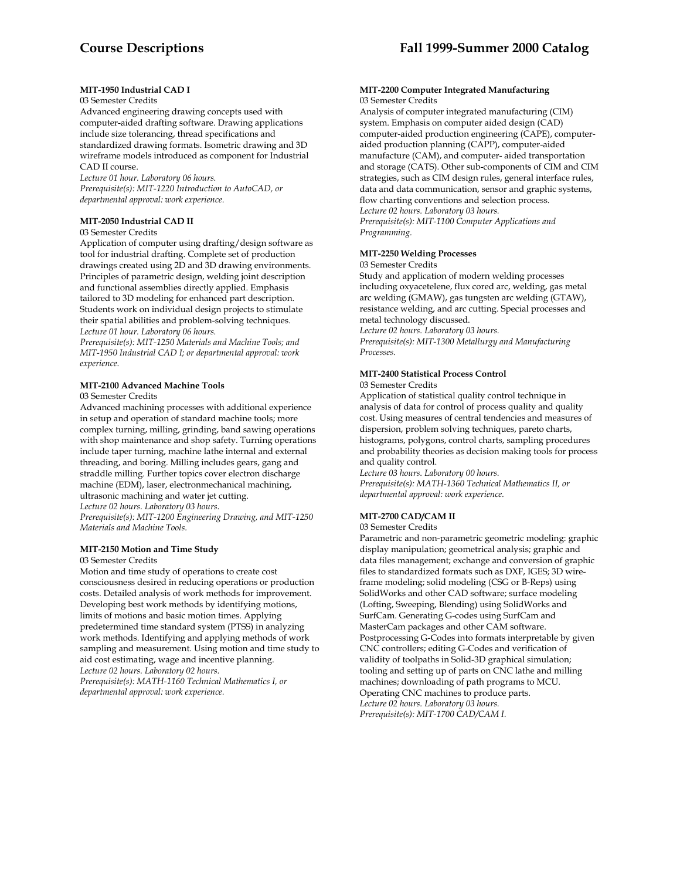# **MIT-1950 Industrial CAD I**

#### 03 Semester Credits

Advanced engineering drawing concepts used with computer-aided drafting software. Drawing applications include size tolerancing, thread specifications and standardized drawing formats. Isometric drawing and 3D wireframe models introduced as component for Industrial CAD II course.

*Lecture 01 hour. Laboratory 06 hours. Prerequisite(s): MIT-1220 Introduction to AutoCAD, or departmental approval: work experience*.

# **MIT-2050 Industrial CAD II**

# 03 Semester Credits

Application of computer using drafting/design software as tool for industrial drafting. Complete set of production drawings created using 2D and 3D drawing environments. Principles of parametric design, welding joint description and functional assemblies directly applied. Emphasis tailored to 3D modeling for enhanced part description. Students work on individual design projects to stimulate their spatial abilities and problem-solving techniques. *Lecture 01 hour. Laboratory 06 hours.* 

*Prerequisite(s): MIT-1250 Materials and Machine Tools; and MIT-1950 Industrial CAD I; or departmental approval: work experience.* 

# **MIT-2100 Advanced Machine Tools**

03 Semester Credits

Advanced machining processes with additional experience in setup and operation of standard machine tools; more complex turning, milling, grinding, band sawing operations with shop maintenance and shop safety. Turning operations include taper turning, machine lathe internal and external threading, and boring. Milling includes gears, gang and straddle milling. Further topics cover electron discharge machine (EDM), laser, electronmechanical machining, ultrasonic machining and water jet cutting. *Lecture 02 hours. Laboratory 03 hours. Prerequisite(s): MIT-1200 Engineering Drawing, and MIT-1250 Materials and Machine Tools.* 

### **MIT-2150 Motion and Time Study**

#### 03 Semester Credits

Motion and time study of operations to create cost consciousness desired in reducing operations or production costs. Detailed analysis of work methods for improvement. Developing best work methods by identifying motions, limits of motions and basic motion times. Applying predetermined time standard system (PTSS) in analyzing work methods. Identifying and applying methods of work sampling and measurement. Using motion and time study to aid cost estimating, wage and incentive planning. *Lecture 02 hours. Laboratory 02 hours.* 

*Prerequisite(s): MATH-1160 Technical Mathematics I, or departmental approval: work experience.* 

#### **MIT-2200 Computer Integrated Manufacturing**  03 Semester Credits

Analysis of computer integrated manufacturing (CIM) system. Emphasis on computer aided design (CAD) computer-aided production engineering (CAPE), computeraided production planning (CAPP), computer-aided manufacture (CAM), and computer- aided transportation and storage (CATS). Other sub-components of CIM and CIM strategies, such as CIM design rules, general interface rules, data and data communication, sensor and graphic systems, flow charting conventions and selection process. *Lecture 02 hours. Laboratory 03 hours. Prerequisite(s): MIT-1100 Computer Applications and Programming.* 

#### **MIT-2250 Welding Processes**

#### 03 Semester Credits

Study and application of modern welding processes including oxyacetelene, flux cored arc, welding, gas metal arc welding (GMAW), gas tungsten arc welding (GTAW), resistance welding, and arc cutting. Special processes and metal technology discussed.

*Lecture 02 hours. Laboratory 03 hours.* 

*Prerequisite(s): MIT-1300 Metallurgy and Manufacturing Processes.* 

# **MIT-2400 Statistical Process Control**

#### 03 Semester Credits

Application of statistical quality control technique in analysis of data for control of process quality and quality cost. Using measures of central tendencies and measures of dispersion, problem solving techniques, pareto charts, histograms, polygons, control charts, sampling procedures and probability theories as decision making tools for process and quality control.

*Lecture 03 hours. Laboratory 00 hours. Prerequisite(s): MATH-1360 Technical Mathematics II, or departmental approval: work experience.* 

# **MIT-2700 CAD/CAM II**

#### 03 Semester Credits

Parametric and non-parametric geometric modeling: graphic display manipulation; geometrical analysis; graphic and data files management; exchange and conversion of graphic files to standardized formats such as DXF, IGES; 3D wireframe modeling; solid modeling (CSG or B-Reps) using SolidWorks and other CAD software; surface modeling (Lofting, Sweeping, Blending) using SolidWorks and SurfCam. Generating G-codes using SurfCam and MasterCam packages and other CAM software. Postprocessing G-Codes into formats interpretable by given CNC controllers; editing G-Codes and verification of validity of toolpaths in Solid-3D graphical simulation; tooling and setting up of parts on CNC lathe and milling machines; downloading of path programs to MCU. Operating CNC machines to produce parts. *Lecture 02 hours. Laboratory 03 hours. Prerequisite(s): MIT-1700 CAD/CAM I.*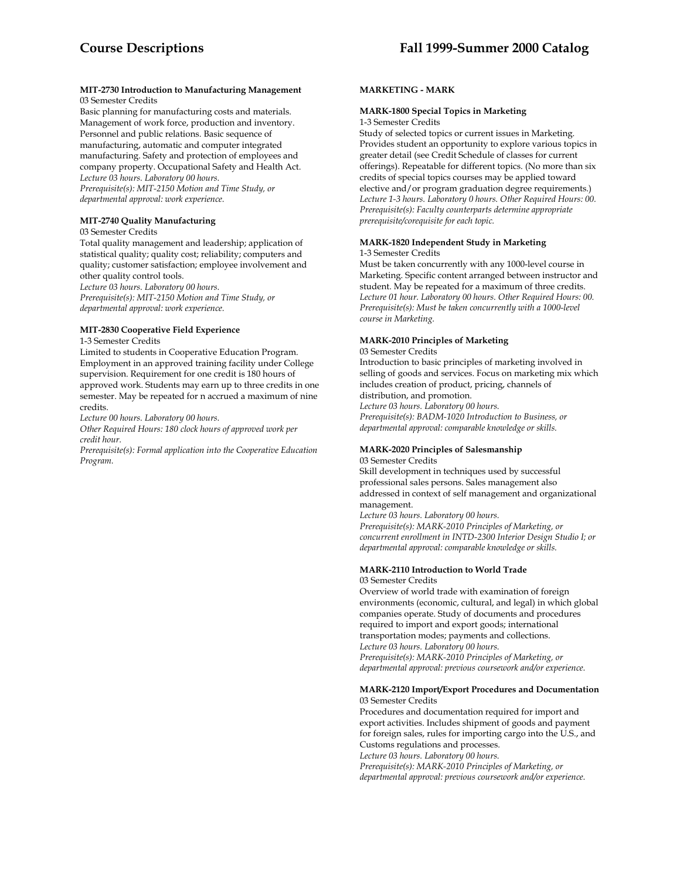#### **MIT-2730 Introduction to Manufacturing Management**  03 Semester Credits

Basic planning for manufacturing costs and materials. Management of work force, production and inventory. Personnel and public relations. Basic sequence of manufacturing, automatic and computer integrated manufacturing. Safety and protection of employees and company property. Occupational Safety and Health Act. *Lecture 03 hours. Laboratory 00 hours. Prerequisite(s): MIT-2150 Motion and Time Study, or* 

*departmental approval: work experience.* 

# **MIT-2740 Quality Manufacturing**

# 03 Semester Credits

Total quality management and leadership; application of statistical quality; quality cost; reliability; computers and quality; customer satisfaction; employee involvement and other quality control tools.

*Lecture 03 hours. Laboratory 00 hours. Prerequisite(s): MIT-2150 Motion and Time Study, or departmental approval: work experience.* 

# **MIT-2830 Cooperative Field Experience**

#### 1-3 Semester Credits

Limited to students in Cooperative Education Program. Employment in an approved training facility under College supervision. Requirement for one credit is 180 hours of approved work. Students may earn up to three credits in one semester. May be repeated for n accrued a maximum of nine credits.

*Lecture 00 hours. Laboratory 00 hours.* 

*Other Required Hours: 180 clock hours of approved work per credit hour.* 

*Prerequisite(s): Formal application into the Cooperative Education Program.* 

# **MARKETING - MARK**

# **MARK-1800 Special Topics in Marketing**

1-3 Semester Credits

Study of selected topics or current issues in Marketing. Provides student an opportunity to explore various topics in greater detail (see Credit Schedule of classes for current offerings). Repeatable for different topics. (No more than six credits of special topics courses may be applied toward elective and/or program graduation degree requirements.) *Lecture 1-3 hours. Laboratory 0 hours. Other Required Hours: 00. Prerequisite(s): Faculty counterparts determine appropriate prerequisite/corequisite for each topic.* 

#### **MARK-1820 Independent Study in Marketing**  1-3 Semester Credits

Must be taken concurrently with any 1000-level course in Marketing. Specific content arranged between instructor and student. May be repeated for a maximum of three credits. *Lecture 01 hour. Laboratory 00 hours. Other Required Hours: 00. Prerequisite(s): Must be taken concurrently with a 1000-level course in Marketing.* 

# **MARK-2010 Principles of Marketing**

#### 03 Semester Credits

Introduction to basic principles of marketing involved in selling of goods and services. Focus on marketing mix which includes creation of product, pricing, channels of distribution, and promotion.

*Lecture 03 hours. Laboratory 00 hours. Prerequisite(s): BADM-1020 Introduction to Business, or departmental approval: comparable knowledge or skills.* 

### **MARK-2020 Principles of Salesmanship**

03 Semester Credits

Skill development in techniques used by successful professional sales persons. Sales management also addressed in context of self management and organizational management.

*Lecture 03 hours. Laboratory 00 hours. Prerequisite(s): MARK-2010 Principles of Marketing, or concurrent enrollment in INTD-2300 Interior Design Studio I; or departmental approval: comparable knowledge or skills.* 

#### **MARK-2110 Introduction to World Trade**  03 Semester Credits

Overview of world trade with examination of foreign environments (economic, cultural, and legal) in which global companies operate. Study of documents and procedures required to import and export goods; international transportation modes; payments and collections. *Lecture 03 hours. Laboratory 00 hours. Prerequisite(s): MARK-2010 Principles of Marketing, or* 

*departmental approval: previous coursework and/or experience.* 

# **MARK-2120 Import/Export Procedures and Documentation**  03 Semester Credits

Procedures and documentation required for import and export activities. Includes shipment of goods and payment for foreign sales, rules for importing cargo into the U.S., and Customs regulations and processes.

*Lecture 03 hours. Laboratory 00 hours.* 

*Prerequisite(s): MARK-2010 Principles of Marketing, or departmental approval: previous coursework and/or experience.*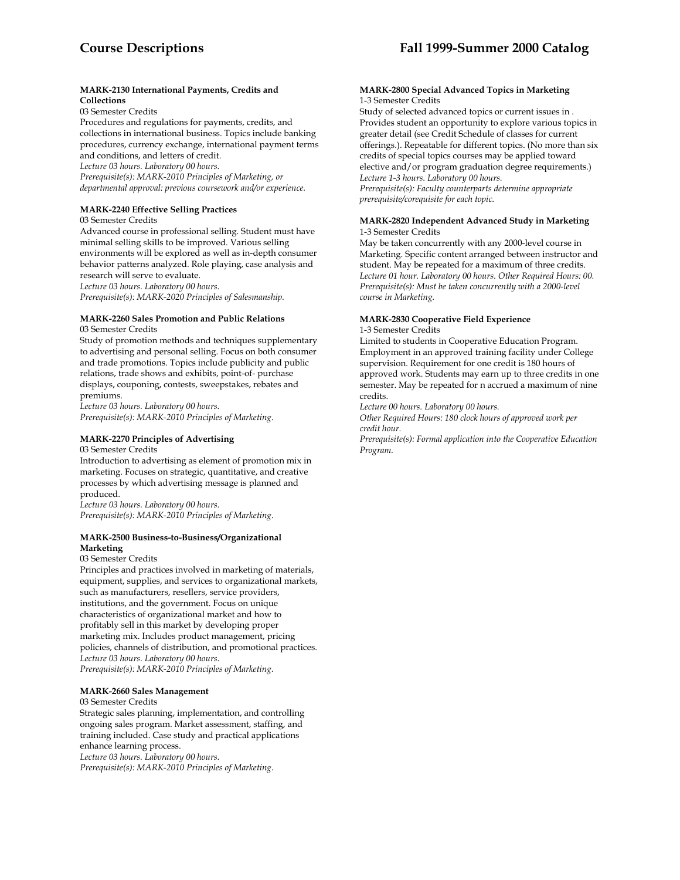# **MARK-2130 International Payments, Credits and Collections**

03 Semester Credits

Procedures and regulations for payments, credits, and collections in international business. Topics include banking procedures, currency exchange, international payment terms and conditions, and letters of credit.

*Lecture 03 hours. Laboratory 00 hours.* 

*Prerequisite(s): MARK-2010 Principles of Marketing, or departmental approval: previous coursework and/or experience.* 

# **MARK-2240 Effective Selling Practices**

03 Semester Credits

Advanced course in professional selling. Student must have minimal selling skills to be improved. Various selling environments will be explored as well as in-depth consumer behavior patterns analyzed. Role playing, case analysis and research will serve to evaluate.

*Lecture 03 hours. Laboratory 00 hours. Prerequisite(s): MARK-2020 Principles of Salesmanship.* 

# **MARK-2260 Sales Promotion and Public Relations**

03 Semester Credits

Study of promotion methods and techniques supplementary to advertising and personal selling. Focus on both consumer and trade promotions. Topics include publicity and public relations, trade shows and exhibits, point-of- purchase displays, couponing, contests, sweepstakes, rebates and premiums.

*Lecture 03 hours. Laboratory 00 hours. Prerequisite(s): MARK-2010 Principles of Marketing.* 

# **MARK-2270 Principles of Advertising**  03 Semester Credits

Introduction to advertising as element of promotion mix in marketing. Focuses on strategic, quantitative, and creative processes by which advertising message is planned and produced.

*Lecture 03 hours. Laboratory 00 hours. Prerequisite(s): MARK-2010 Principles of Marketing.* 

### **MARK-2500 Business-to-Business/Organizational Marketing**

03 Semester Credits

Principles and practices involved in marketing of materials, equipment, supplies, and services to organizational markets, such as manufacturers, resellers, service providers, institutions, and the government. Focus on unique characteristics of organizational market and how to profitably sell in this market by developing proper marketing mix. Includes product management, pricing policies, channels of distribution, and promotional practices. *Lecture 03 hours. Laboratory 00 hours. Prerequisite(s): MARK-2010 Principles of Marketing*.

# **MARK-2660 Sales Management**

# 03 Semester Credits

Strategic sales planning, implementation, and controlling ongoing sales program. Market assessment, staffing, and training included. Case study and practical applications enhance learning process. *Lecture 03 hours. Laboratory 00 hours.* 

*Prerequisite(s): MARK-2010 Principles of Marketing.* 

#### **MARK-2800 Special Advanced Topics in Marketing**  1-3 Semester Credits

Study of selected advanced topics or current issues in . Provides student an opportunity to explore various topics in greater detail (see Credit Schedule of classes for current offerings.). Repeatable for different topics. (No more than six credits of special topics courses may be applied toward elective and/or program graduation degree requirements.) *Lecture 1-3 hours. Laboratory 00 hours. Prerequisite(s): Faculty counterparts determine appropriate prerequisite/corequisite for each topic.* 

#### **MARK-2820 Independent Advanced Study in Marketing** 1-3 Semester Credits

May be taken concurrently with any 2000-level course in Marketing. Specific content arranged between instructor and student. May be repeated for a maximum of three credits. *Lecture 01 hour. Laboratory 00 hours. Other Required Hours: 00. Prerequisite(s): Must be taken concurrently with a 2000-level course in Marketing.* 

# **MARK-2830 Cooperative Field Experience**

1-3 Semester Credits

Limited to students in Cooperative Education Program. Employment in an approved training facility under College supervision. Requirement for one credit is 180 hours of approved work. Students may earn up to three credits in one semester. May be repeated for n accrued a maximum of nine credits.

*Lecture 00 hours. Laboratory 00 hours.* 

*Other Required Hours: 180 clock hours of approved work per credit hour.* 

*Prerequisite(s): Formal application into the Cooperative Education Program.*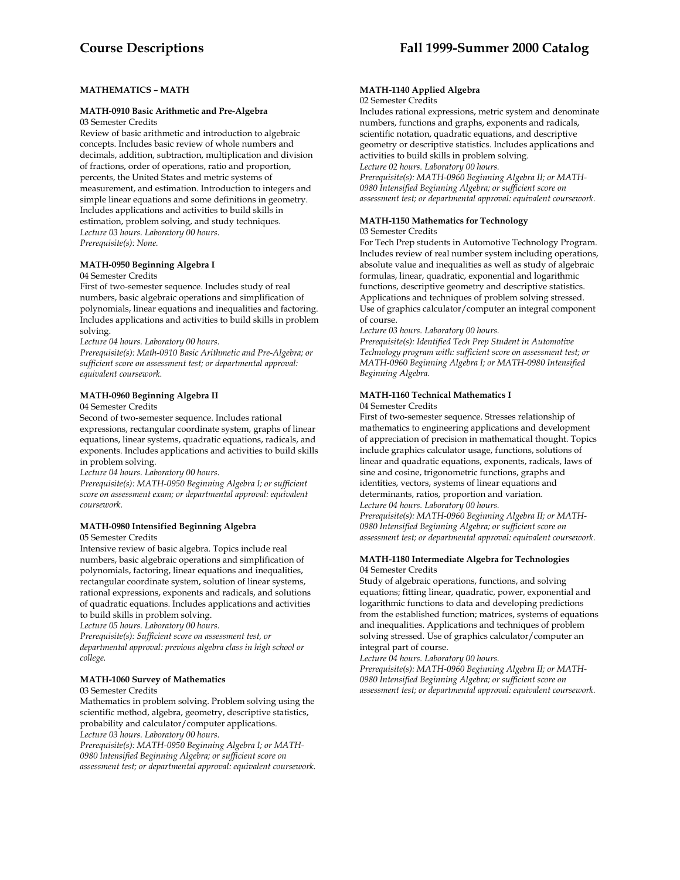# **MATHEMATICS – MATH**

# **MATH-0910 Basic Arithmetic and Pre-Algebra**

03 Semester Credits

Review of basic arithmetic and introduction to algebraic concepts. Includes basic review of whole numbers and decimals, addition, subtraction, multiplication and division of fractions, order of operations, ratio and proportion, percents, the United States and metric systems of measurement, and estimation. Introduction to integers and simple linear equations and some definitions in geometry. Includes applications and activities to build skills in estimation, problem solving, and study techniques. *Lecture 03 hours. Laboratory 00 hours. Prerequisite(s): None.* 

# **MATH-0950 Beginning Algebra I**

#### 04 Semester Credits

First of two-semester sequence. Includes study of real numbers, basic algebraic operations and simplification of polynomials, linear equations and inequalities and factoring. Includes applications and activities to build skills in problem solving.

*Lecture 04 hours. Laboratory 00 hours.* 

*Prerequisite(s): Math-0910 Basic Arithmetic and Pre-Algebra; or sufficient score on assessment test; or departmental approval: equivalent coursework.* 

# **MATH-0960 Beginning Algebra II**

04 Semester Credits

Second of two-semester sequence. Includes rational expressions, rectangular coordinate system, graphs of linear equations, linear systems, quadratic equations, radicals, and exponents. Includes applications and activities to build skills in problem solving.

*Lecture 04 hours. Laboratory 00 hours.* 

*Prerequisite(s): MATH-0950 Beginning Algebra I; or sufficient score on assessment exam; or departmental approval: equivalent coursework.* 

# **MATH-0980 Intensified Beginning Algebra**

#### 05 Semester Credits

Intensive review of basic algebra. Topics include real numbers, basic algebraic operations and simplification of polynomials, factoring, linear equations and inequalities, rectangular coordinate system, solution of linear systems, rational expressions, exponents and radicals, and solutions of quadratic equations. Includes applications and activities to build skills in problem solving.

*Lecture 05 hours. Laboratory 00 hours.* 

*Prerequisite(s): Sufficient score on assessment test, or departmental approval: previous algebra class in high school or college.* 

# **MATH-1060 Survey of Mathematics**

# 03 Semester Credits

Mathematics in problem solving. Problem solving using the scientific method, algebra, geometry, descriptive statistics, probability and calculator/computer applications. *Lecture 03 hours. Laboratory 00 hours.* 

*Prerequisite(s): MATH-0950 Beginning Algebra I; or MATH-0980 Intensified Beginning Algebra; or sufficient score on assessment test; or departmental approval: equivalent coursework.* 

# **MATH-1140 Applied Algebra**

# 02 Semester Credits

Includes rational expressions, metric system and denominate numbers, functions and graphs, exponents and radicals, scientific notation, quadratic equations, and descriptive geometry or descriptive statistics. Includes applications and activities to build skills in problem solving.

*Lecture 02 hours. Laboratory 00 hours.* 

*Prerequisite(s): MATH-0960 Beginning Algebra II; or MATH-0980 Intensified Beginning Algebra; or sufficient score on assessment test; or departmental approval: equivalent coursework.* 

#### **MATH-1150 Mathematics for Technology**  03 Semester Credits

For Tech Prep students in Automotive Technology Program. Includes review of real number system including operations, absolute value and inequalities as well as study of algebraic formulas, linear, quadratic, exponential and logarithmic functions, descriptive geometry and descriptive statistics. Applications and techniques of problem solving stressed. Use of graphics calculator/computer an integral component of course.

*Lecture 03 hours. Laboratory 00 hours.* 

*Prerequisite(s): Identified Tech Prep Student in Automotive Technology program with: sufficient score on assessment test; or MATH-0960 Beginning Algebra I; or MATH-0980 Intensified Beginning Algebra.* 

# **MATH-1160 Technical Mathematics I**

#### 04 Semester Credits

First of two-semester sequence. Stresses relationship of mathematics to engineering applications and development of appreciation of precision in mathematical thought. Topics include graphics calculator usage, functions, solutions of linear and quadratic equations, exponents, radicals, laws of sine and cosine, trigonometric functions, graphs and identities, vectors, systems of linear equations and determinants, ratios, proportion and variation. *Lecture 04 hours. Laboratory 00 hours.* 

*Prerequisite(s): MATH-0960 Beginning Algebra II; or MATH-0980 Intensified Beginning Algebra; or sufficient score on assessment test; or departmental approval: equivalent coursework.* 

## **MATH-1180 Intermediate Algebra for Technologies** 04 Semester Credits

Study of algebraic operations, functions, and solving equations; fitting linear, quadratic, power, exponential and logarithmic functions to data and developing predictions from the established function; matrices, systems of equations and inequalities. Applications and techniques of problem solving stressed. Use of graphics calculator/computer an integral part of course.

*Lecture 04 hours. Laboratory 00 hours. Prerequisite(s): MATH-0960 Beginning Algebra II; or MATH-0980 Intensified Beginning Algebra; or sufficient score on assessment test; or departmental approval: equivalent coursework.*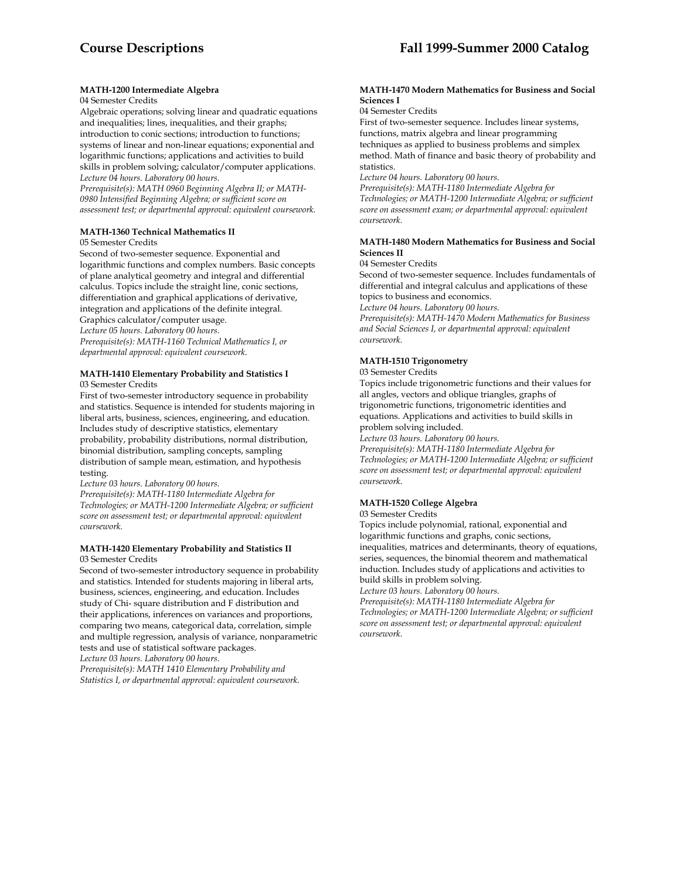# **MATH-1200 Intermediate Algebra**

#### 04 Semester Credits

Algebraic operations; solving linear and quadratic equations and inequalities; lines, inequalities, and their graphs; introduction to conic sections; introduction to functions; systems of linear and non-linear equations; exponential and logarithmic functions; applications and activities to build skills in problem solving; calculator/computer applications. *Lecture 04 hours. Laboratory 00 hours.* 

*Prerequisite(s): MATH 0960 Beginning Algebra II; or MATH-0980 Intensified Beginning Algebra; or sufficient score on assessment test; or departmental approval: equivalent coursework.* 

### **MATH-1360 Technical Mathematics II**

#### 05 Semester Credits

Second of two-semester sequence. Exponential and logarithmic functions and complex numbers. Basic concepts of plane analytical geometry and integral and differential calculus. Topics include the straight line, conic sections, differentiation and graphical applications of derivative, integration and applications of the definite integral. Graphics calculator/computer usage.

*Lecture 05 hours. Laboratory 00 hours.* 

*Prerequisite(s): MATH-1160 Technical Mathematics I, or departmental approval: equivalent coursework.* 

#### **MATH-1410 Elementary Probability and Statistics I**  03 Semester Credits

First of two-semester introductory sequence in probability and statistics. Sequence is intended for students majoring in liberal arts, business, sciences, engineering, and education. Includes study of descriptive statistics, elementary probability, probability distributions, normal distribution, binomial distribution, sampling concepts, sampling distribution of sample mean, estimation, and hypothesis testing.

*Lecture 03 hours. Laboratory 00 hours.* 

*Prerequisite(s): MATH-1180 Intermediate Algebra for Technologies; or MATH-1200 Intermediate Algebra; or sufficient score on assessment test; or departmental approval: equivalent coursework.* 

#### **MATH-1420 Elementary Probability and Statistics II**  03 Semester Credits

Second of two-semester introductory sequence in probability and statistics. Intended for students majoring in liberal arts, business, sciences, engineering, and education. Includes study of Chi- square distribution and F distribution and their applications, inferences on variances and proportions, comparing two means, categorical data, correlation, simple and multiple regression, analysis of variance, nonparametric tests and use of statistical software packages.

*Lecture 03 hours. Laboratory 00 hours.* 

*Prerequisite(s): MATH 1410 Elementary Probability and Statistics I, or departmental approval: equivalent coursework.* 

#### **MATH-1470 Modern Mathematics for Business and Social Sciences I**

#### 04 Semester Credits

First of two-semester sequence. Includes linear systems, functions, matrix algebra and linear programming techniques as applied to business problems and simplex method. Math of finance and basic theory of probability and statistics.

*Lecture 04 hours. Laboratory 00 hours.* 

*Prerequisite(s): MATH-1180 Intermediate Algebra for Technologies; or MATH-1200 Intermediate Algebra; or sufficient score on assessment exam; or departmental approval: equivalent coursework.* 

# **MATH-1480 Modern Mathematics for Business and Social Sciences II**

04 Semester Credits

Second of two-semester sequence. Includes fundamentals of differential and integral calculus and applications of these topics to business and economics.

*Lecture 04 hours. Laboratory 00 hours.* 

*Prerequisite(s): MATH-1470 Modern Mathematics for Business and Social Sciences I, or departmental approval: equivalent coursework.* 

# **MATH-1510 Trigonometry**

#### 03 Semester Credits

Topics include trigonometric functions and their values for all angles, vectors and oblique triangles, graphs of trigonometric functions, trigonometric identities and equations. Applications and activities to build skills in problem solving included.

*Lecture 03 hours. Laboratory 00 hours.* 

*Prerequisite(s): MATH-1180 Intermediate Algebra for Technologies; or MATH-1200 Intermediate Algebra; or sufficient score on assessment test; or departmental approval: equivalent coursework.* 

# **MATH-1520 College Algebra**

03 Semester Credits

Topics include polynomial, rational, exponential and logarithmic functions and graphs, conic sections, inequalities, matrices and determinants, theory of equations, series, sequences, the binomial theorem and mathematical induction. Includes study of applications and activities to build skills in problem solving.

*Lecture 03 hours. Laboratory 00 hours.* 

*Prerequisite(s): MATH-1180 Intermediate Algebra for Technologies; or MATH-1200 Intermediate Algebra; or sufficient score on assessment test; or departmental approval: equivalent coursework.*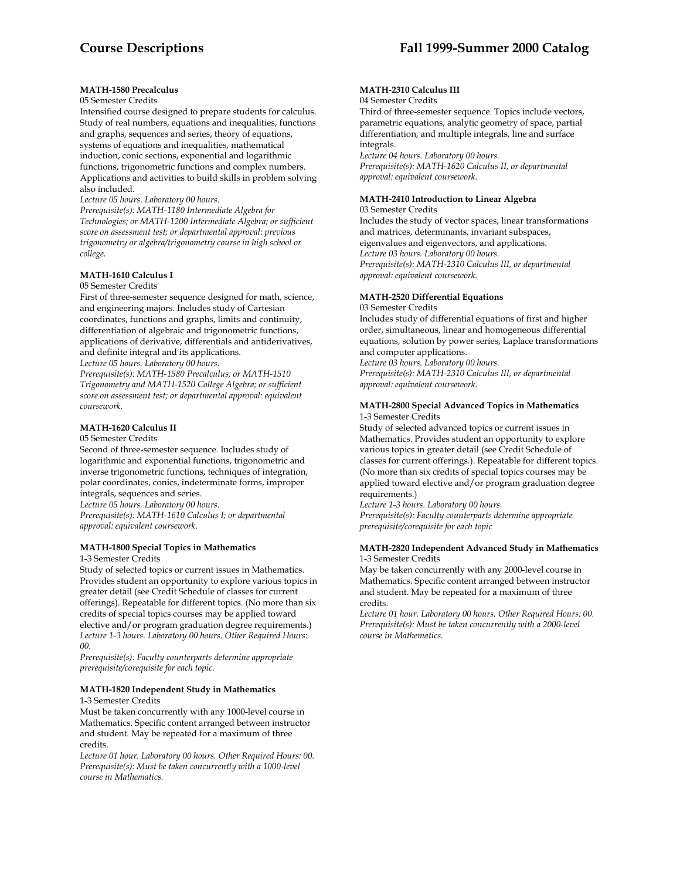# **MATH-1580 Precalculus**

#### 05 Semester Credits

Intensified course designed to prepare students for calculus. Study of real numbers, equations and inequalities, functions and graphs, sequences and series, theory of equations, systems of equations and inequalities, mathematical induction, conic sections, exponential and logarithmic functions, trigonometric functions and complex numbers. Applications and activities to build skills in problem solving also included.

*Lecture 05 hours. Laboratory 00 hours.* 

*Prerequisite(s): MATH-1180 Intermediate Algebra for Technologies; or MATH-1200 Intermediate Algebra; or sufficient score on assessment test; or departmental approval: previous trigonometry or algebra/trigonometry course in high school or college.* 

# **MATH-1610 Calculus I**

# 05 Semester Credits

First of three-semester sequence designed for math, science, and engineering majors. Includes study of Cartesian coordinates, functions and graphs, limits and continuity, differentiation of algebraic and trigonometric functions, applications of derivative, differentials and antiderivatives, and definite integral and its applications.

*Lecture 05 hours. Laboratory 00 hours.* 

*Prerequisite(s): MATH-1580 Precalculus; or MATH-1510 Trigonometry and MATH-1520 College Algebra; or sufficient score on assessment test; or departmental approval: equivalent coursework.* 

# **MATH-1620 Calculus II**

#### 05 Semester Credits

Second of three-semester sequence. Includes study of logarithmic and exponential functions, trigonometric and inverse trigonometric functions, techniques of integration, polar coordinates, conics, indeterminate forms, improper integrals, sequences and series.

*Lecture 05 hours. Laboratory 00 hours.* 

*Prerequisite(s): MATH-1610 Calculus I; or departmental approval: equivalent coursework.* 

# **MATH-1800 Special Topics in Mathematics**

1-3 Semester Credits

Study of selected topics or current issues in Mathematics. Provides student an opportunity to explore various topics in greater detail (see Credit Schedule of classes for current offerings). Repeatable for different topics. (No more than six credits of special topics courses may be applied toward elective and/or program graduation degree requirements.) *Lecture 1-3 hours. Laboratory 00 hours. Other Required Hours: 00.* 

*Prerequisite(s): Faculty counterparts determine appropriate prerequisite/corequisite for each topic.* 

# **MATH-1820 Independent Study in Mathematics**

#### 1-3 Semester Credits

Must be taken concurrently with any 1000-level course in Mathematics. Specific content arranged between instructor and student. May be repeated for a maximum of three credits.

*Lecture 01 hour. Laboratory 00 hours. Other Required Hours: 00. Prerequisite(s): Must be taken concurrently with a 1000-level course in Mathematics.* 

# **MATH-2310 Calculus III**

#### 04 Semester Credits

Third of three-semester sequence. Topics include vectors, parametric equations, analytic geometry of space, partial differentiation, and multiple integrals, line and surface integrals

*Lecture 04 hours. Laboratory 00 hours. Prerequisite(s): MATH-1620 Calculus II, or departmental approval: equivalent coursework.* 

### **MATH-2410 Introduction to Linear Algebra**

03 Semester Credits Includes the study of vector spaces, linear transformations and matrices, determinants, invariant subspaces, eigenvalues and eigenvectors, and applications. *Lecture 03 hours. Laboratory 00 hours. Prerequisite(s): MATH-2310 Calculus III, or departmental approval: equivalent coursework.* 

# **MATH-2520 Differential Equations**

03 Semester Credits

Includes study of differential equations of first and higher order, simultaneous, linear and homogeneous differential equations, solution by power series, Laplace transformations and computer applications.

*Lecture 03 hours. Laboratory 00 hours. Prerequisite(s): MATH-2310 Calculus III, or departmental approval: equivalent coursework.* 

#### **MATH-2800 Special Advanced Topics in Mathematics**  1-3 Semester Credits

Study of selected advanced topics or current issues in Mathematics. Provides student an opportunity to explore various topics in greater detail (see Credit Schedule of classes for current offerings.). Repeatable for different topics. (No more than six credits of special topics courses may be applied toward elective and/or program graduation degree requirements.)

*Lecture 1-3 hours. Laboratory 00 hours. Prerequisite(s): Faculty counterparts determine appropriate prerequisite/corequisite for each topic* 

#### **MATH-2820 Independent Advanced Study in Mathematics**  1-3 Semester Credits

May be taken concurrently with any 2000-level course in Mathematics. Specific content arranged between instructor and student. May be repeated for a maximum of three credits.

*Lecture 01 hour. Laboratory 00 hours. Other Required Hours: 00. Prerequisite(s): Must be taken concurrently with a 2000-level course in Mathematics.*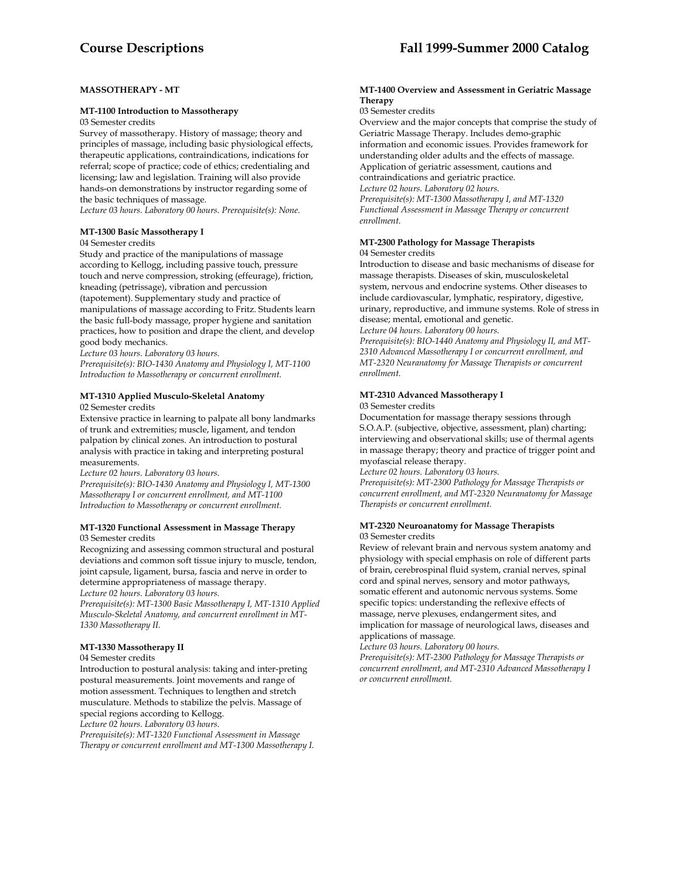# **MASSOTHERAPY - MT**

#### **MT-1100 Introduction to Massotherapy**

03 Semester credits

Survey of massotherapy. History of massage; theory and principles of massage, including basic physiological effects, therapeutic applications, contraindications, indications for referral; scope of practice; code of ethics; credentialing and licensing; law and legislation. Training will also provide hands-on demonstrations by instructor regarding some of the basic techniques of massage.

*Lecture 03 hours. Laboratory 00 hours. Prerequisite(s): None.* 

# **MT-1300 Basic Massotherapy I**

04 Semester credits

Study and practice of the manipulations of massage according to Kellogg, including passive touch, pressure touch and nerve compression, stroking (effeurage), friction, kneading (petrissage), vibration and percussion (tapotement). Supplementary study and practice of manipulations of massage according to Fritz. Students learn the basic full-body massage, proper hygiene and sanitation practices, how to position and drape the client, and develop good body mechanics.

*Lecture 03 hours. Laboratory 03 hours.* 

*Prerequisite(s): BIO-1430 Anatomy and Physiology I, MT-1100 Introduction to Massotherapy or concurrent enrollment.* 

# **MT-1310 Applied Musculo-Skeletal Anatomy**

02 Semester credits

Extensive practice in learning to palpate all bony landmarks of trunk and extremities; muscle, ligament, and tendon palpation by clinical zones. An introduction to postural analysis with practice in taking and interpreting postural measurements.

*Lecture 02 hours. Laboratory 03 hours.* 

*Prerequisite(s): BIO-1430 Anatomy and Physiology I, MT-1300 Massotherapy I or concurrent enrollment, and MT-1100 Introduction to Massotherapy or concurrent enrollment.* 

# **MT-1320 Functional Assessment in Massage Therapy**

#### 03 Semester credits

Recognizing and assessing common structural and postural deviations and common soft tissue injury to muscle, tendon, joint capsule, ligament, bursa, fascia and nerve in order to determine appropriateness of massage therapy. *Lecture 02 hours. Laboratory 03 hours.* 

*Prerequisite(s): MT-1300 Basic Massotherapy I, MT-1310 Applied Musculo-Skeletal Anatomy, and concurrent enrollment in MT-1330 Massotherapy II.* 

# **MT-1330 Massotherapy II**

#### 04 Semester credits

Introduction to postural analysis: taking and inter-preting postural measurements. Joint movements and range of motion assessment. Techniques to lengthen and stretch musculature. Methods to stabilize the pelvis. Massage of special regions according to Kellogg.

*Lecture 02 hours. Laboratory 03 hours.* 

*Prerequisite(s): MT-1320 Functional Assessment in Massage Therapy or concurrent enrollment and MT-1300 Massotherapy I.* 

# **Course Descriptions Fall 1999-Summer 2000 Catalog**

#### **MT-1400 Overview and Assessment in Geriatric Massage Therapy**

03 Semester credits

Overview and the major concepts that comprise the study of Geriatric Massage Therapy. Includes demo-graphic information and economic issues. Provides framework for understanding older adults and the effects of massage. Application of geriatric assessment, cautions and contraindications and geriatric practice. *Lecture 02 hours. Laboratory 02 hours. Prerequisite(s): MT-1300 Massotherapy I, and MT-1320 Functional Assessment in Massage Therapy or concurrent enrollment.* 

### **MT-2300 Pathology for Massage Therapists** 04 Semester credits

Introduction to disease and basic mechanisms of disease for massage therapists. Diseases of skin, musculoskeletal system, nervous and endocrine systems. Other diseases to include cardiovascular, lymphatic, respiratory, digestive, urinary, reproductive, and immune systems. Role of stress in disease; mental, emotional and genetic.

*Lecture 04 hours. Laboratory 00 hours. Prerequisite(s): BIO-1440 Anatomy and Physiology II, and MT-2310 Advanced Massotherapy I or concurrent enrollment, and MT-2320 Neuranatomy for Massage Therapists or concurrent* 

# **MT-2310 Advanced Massotherapy I**

#### 03 Semester credits

*enrollment.* 

Documentation for massage therapy sessions through S.O.A.P. (subjective, objective, assessment, plan) charting; interviewing and observational skills; use of thermal agents in massage therapy; theory and practice of trigger point and myofascial release therapy.

*Lecture 02 hours. Laboratory 03 hours.* 

*Prerequisite(s): MT-2300 Pathology for Massage Therapists or concurrent enrollment, and MT-2320 Neuranatomy for Massage Therapists or concurrent enrollment.* 

# **MT-2320 Neuroanatomy for Massage Therapists** 03 Semester credits

Review of relevant brain and nervous system anatomy and physiology with special emphasis on role of different parts of brain, cerebrospinal fluid system, cranial nerves, spinal cord and spinal nerves, sensory and motor pathways, somatic efferent and autonomic nervous systems. Some specific topics: understanding the reflexive effects of massage, nerve plexuses, endangerment sites, and implication for massage of neurological laws, diseases and applications of massage.

*Lecture 03 hours. Laboratory 00 hours.* 

*Prerequisite(s): MT-2300 Pathology for Massage Therapists or concurrent enrollment, and MT-2310 Advanced Massotherapy I or concurrent enrollment.*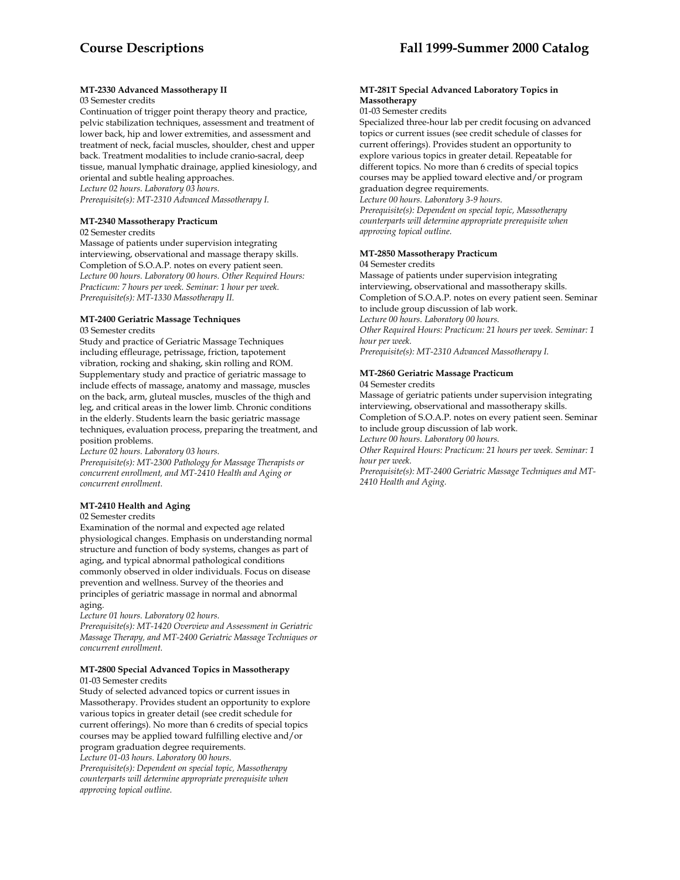# **MT-2330 Advanced Massotherapy II**

# 03 Semester credits

Continuation of trigger point therapy theory and practice, pelvic stabilization techniques, assessment and treatment of lower back, hip and lower extremities, and assessment and treatment of neck, facial muscles, shoulder, chest and upper back. Treatment modalities to include cranio-sacral, deep tissue, manual lymphatic drainage, applied kinesiology, and oriental and subtle healing approaches. *Lecture 02 hours. Laboratory 03 hours.* 

*Prerequisite(s): MT-2310 Advanced Massotherapy I.* 

# **MT-2340 Massotherapy Practicum**

02 Semester credits

Massage of patients under supervision integrating interviewing, observational and massage therapy skills. Completion of S.O.A.P. notes on every patient seen. *Lecture 00 hours. Laboratory 00 hours. Other Required Hours: Practicum: 7 hours per week. Seminar: 1 hour per week. Prerequisite(s): MT-1330 Massotherapy II.* 

# **MT-2400 Geriatric Massage Techniques**

#### 03 Semester credits

Study and practice of Geriatric Massage Techniques including effleurage, petrissage, friction, tapotement vibration, rocking and shaking, skin rolling and ROM. Supplementary study and practice of geriatric massage to include effects of massage, anatomy and massage, muscles on the back, arm, gluteal muscles, muscles of the thigh and leg, and critical areas in the lower limb. Chronic conditions in the elderly. Students learn the basic geriatric massage techniques, evaluation process, preparing the treatment, and position problems.

*Lecture 02 hours. Laboratory 03 hours.* 

*Prerequisite(s): MT-2300 Pathology for Massage Therapists or concurrent enrollment, and MT-2410 Health and Aging or concurrent enrollment.* 

# **MT-2410 Health and Aging**

02 Semester credits

Examination of the normal and expected age related physiological changes. Emphasis on understanding normal structure and function of body systems, changes as part of aging, and typical abnormal pathological conditions commonly observed in older individuals. Focus on disease prevention and wellness. Survey of the theories and principles of geriatric massage in normal and abnormal aging.

*Lecture 01 hours. Laboratory 02 hours.* 

*Prerequisite(s): MT-1420 Overview and Assessment in Geriatric Massage Therapy, and MT-2400 Geriatric Massage Techniques or concurrent enrollment.* 

#### **MT-2800 Special Advanced Topics in Massotherapy** 01-03 Semester credits

Study of selected advanced topics or current issues in Massotherapy. Provides student an opportunity to explore various topics in greater detail (see credit schedule for current offerings). No more than 6 credits of special topics courses may be applied toward fulfilling elective and/or program graduation degree requirements.

*Lecture 01-03 hours. Laboratory 00 hours.* 

*Prerequisite(s): Dependent on special topic, Massotherapy counterparts will determine appropriate prerequisite when approving topical outline.* 

## **MT-281T Special Advanced Laboratory Topics in Massotherapy**

01-03 Semester credits

Specialized three-hour lab per credit focusing on advanced topics or current issues (see credit schedule of classes for current offerings). Provides student an opportunity to explore various topics in greater detail. Repeatable for different topics. No more than 6 credits of special topics courses may be applied toward elective and/or program graduation degree requirements.

*Lecture 00 hours. Laboratory 3-9 hours. Prerequisite(s): Dependent on special topic, Massotherapy counterparts will determine appropriate prerequisite when approving topical outline.* 

# **MT-2850 Massotherapy Practicum**

04 Semester credits

Massage of patients under supervision integrating interviewing, observational and massotherapy skills. Completion of S.O.A.P. notes on every patient seen. Seminar to include group discussion of lab work. *Lecture 00 hours. Laboratory 00 hours. Other Required Hours: Practicum: 21 hours per week. Seminar: 1 hour per week. Prerequisite(s): MT-2310 Advanced Massotherapy I.* 

# **MT-2860 Geriatric Massage Practicum**

04 Semester credits Massage of geriatric patients under supervision integrating

interviewing, observational and massotherapy skills. Completion of S.O.A.P. notes on every patient seen. Seminar to include group discussion of lab work. *Lecture 00 hours. Laboratory 00 hours.* 

*Other Required Hours: Practicum: 21 hours per week. Seminar: 1 hour per week.* 

*Prerequisite(s): MT-2400 Geriatric Massage Techniques and MT-2410 Health and Aging.*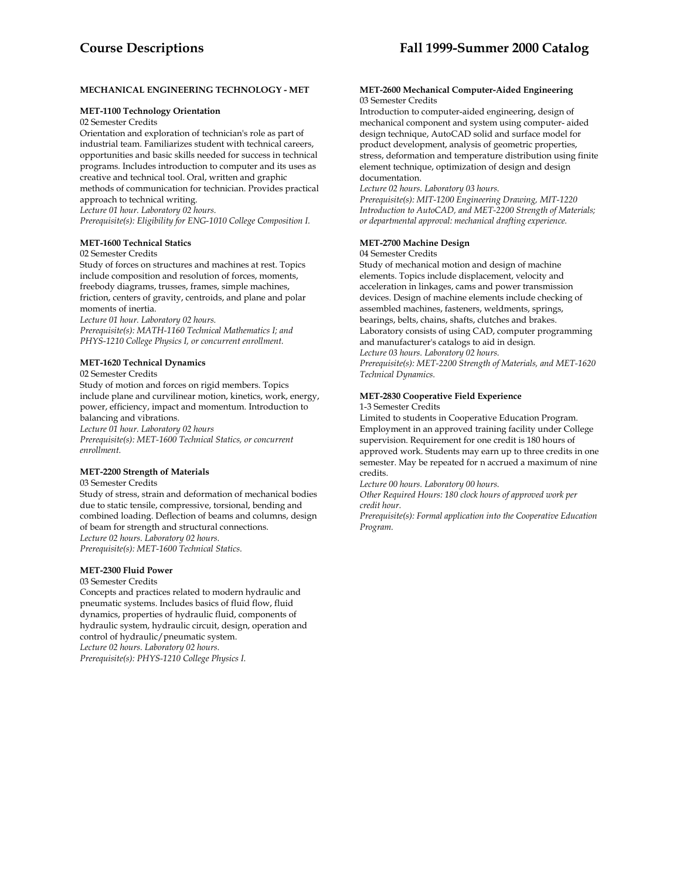# **MECHANICAL ENGINEERING TECHNOLOGY - MET**

#### **MET-1100 Technology Orientation**

02 Semester Credits

Orientation and exploration of technician's role as part of industrial team. Familiarizes student with technical careers, opportunities and basic skills needed for success in technical programs. Includes introduction to computer and its uses as creative and technical tool. Oral, written and graphic methods of communication for technician. Provides practical approach to technical writing.

*Lecture 01 hour. Laboratory 02 hours.* 

*Prerequisite(s): Eligibility for ENG-1010 College Composition I.* 

### **MET-1600 Technical Statics**

#### 02 Semester Credits

Study of forces on structures and machines at rest. Topics include composition and resolution of forces, moments, freebody diagrams, trusses, frames, simple machines, friction, centers of gravity, centroids, and plane and polar moments of inertia.

*Lecture 01 hour. Laboratory 02 hours.* 

*Prerequisite(s): MATH-1160 Technical Mathematics I; and PHYS-1210 College Physics I, or concurrent enrollment.* 

### **MET-1620 Technical Dynamics**

02 Semester Credits

Study of motion and forces on rigid members. Topics include plane and curvilinear motion, kinetics, work, energy, power, efficiency, impact and momentum. Introduction to balancing and vibrations.

*Lecture 01 hour. Laboratory 02 hours* 

*Prerequisite(s): MET-1600 Technical Statics, or concurrent enrollment.* 

### **MET-2200 Strength of Materials**

03 Semester Credits

Study of stress, strain and deformation of mechanical bodies due to static tensile, compressive, torsional, bending and combined loading. Deflection of beams and columns, design of beam for strength and structural connections. *Lecture 02 hours. Laboratory 02 hours. Prerequisite(s): MET-1600 Technical Statics.* 

# **MET-2300 Fluid Power**

### 03 Semester Credits

Concepts and practices related to modern hydraulic and pneumatic systems. Includes basics of fluid flow, fluid dynamics, properties of hydraulic fluid, components of hydraulic system, hydraulic circuit, design, operation and control of hydraulic/pneumatic system. *Lecture 02 hours. Laboratory 02 hours. Prerequisite(s): PHYS-1210 College Physics I.* 

#### **MET-2600 Mechanical Computer-Aided Engineering** 03 Semester Credits

Introduction to computer-aided engineering, design of mechanical component and system using computer- aided design technique, AutoCAD solid and surface model for product development, analysis of geometric properties, stress, deformation and temperature distribution using finite element technique, optimization of design and design documentation.

*Lecture 02 hours. Laboratory 03 hours.* 

*Prerequisite(s): MIT-1200 Engineering Drawing, MIT-1220 Introduction to AutoCAD, and MET-2200 Strength of Materials; or departmental approval: mechanical drafting experience.* 

# **MET-2700 Machine Design**

#### 04 Semester Credits

Study of mechanical motion and design of machine elements. Topics include displacement, velocity and acceleration in linkages, cams and power transmission devices. Design of machine elements include checking of assembled machines, fasteners, weldments, springs, bearings, belts, chains, shafts, clutches and brakes. Laboratory consists of using CAD, computer programming and manufacturer's catalogs to aid in design. *Lecture 03 hours. Laboratory 02 hours. Prerequisite(s): MET-2200 Strength of Materials, and MET-1620* 

*Technical Dynamics.* 

# **MET-2830 Cooperative Field Experience**

#### 1-3 Semester Credits

Limited to students in Cooperative Education Program. Employment in an approved training facility under College supervision. Requirement for one credit is 180 hours of approved work. Students may earn up to three credits in one semester. May be repeated for n accrued a maximum of nine credits.

*Lecture 00 hours. Laboratory 00 hours.* 

*Other Required Hours: 180 clock hours of approved work per credit hour.* 

*Prerequisite(s): Formal application into the Cooperative Education Program.*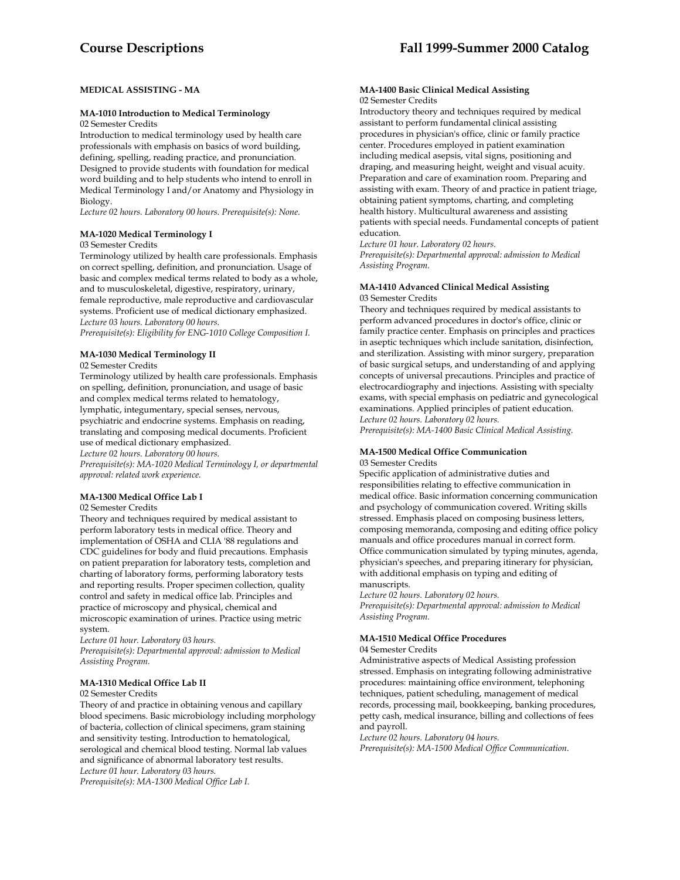# **MEDICAL ASSISTING - MA**

#### **MA-1010 Introduction to Medical Terminology**  02 Semester Credits

Introduction to medical terminology used by health care professionals with emphasis on basics of word building, defining, spelling, reading practice, and pronunciation. Designed to provide students with foundation for medical word building and to help students who intend to enroll in Medical Terminology I and/or Anatomy and Physiology in Biology.

*Lecture 02 hours. Laboratory 00 hours. Prerequisite(s): None.* 

# **MA-1020 Medical Terminology I**

# 03 Semester Credits

Terminology utilized by health care professionals. Emphasis on correct spelling, definition, and pronunciation. Usage of basic and complex medical terms related to body as a whole, and to musculoskeletal, digestive, respiratory, urinary, female reproductive, male reproductive and cardiovascular systems. Proficient use of medical dictionary emphasized. *Lecture 03 hours. Laboratory 00 hours.* 

*Prerequisite(s): Eligibility for ENG-1010 College Composition I.* 

# **MA-1030 Medical Terminology II**

02 Semester Credits

Terminology utilized by health care professionals. Emphasis on spelling, definition, pronunciation, and usage of basic and complex medical terms related to hematology, lymphatic, integumentary, special senses, nervous, psychiatric and endocrine systems. Emphasis on reading, translating and composing medical documents. Proficient use of medical dictionary emphasized. *Lecture 02 hours. Laboratory 00 hours.* 

*Prerequisite(s): MA-1020 Medical Terminology I, or departmental approval: related work experience.* 

### **MA-1300 Medical Office Lab I**

### 02 Semester Credits

Theory and techniques required by medical assistant to perform laboratory tests in medical office. Theory and implementation of OSHA and CLIA '88 regulations and CDC guidelines for body and fluid precautions. Emphasis on patient preparation for laboratory tests, completion and charting of laboratory forms, performing laboratory tests and reporting results. Proper specimen collection, quality control and safety in medical office lab. Principles and practice of microscopy and physical, chemical and microscopic examination of urines. Practice using metric system.

*Lecture 01 hour. Laboratory 03 hours.* 

*Prerequisite(s): Departmental approval: admission to Medical Assisting Program.* 

# **MA-1310 Medical Office Lab II**

#### 02 Semester Credits

Theory of and practice in obtaining venous and capillary blood specimens. Basic microbiology including morphology of bacteria, collection of clinical specimens, gram staining and sensitivity testing. Introduction to hematological, serological and chemical blood testing. Normal lab values and significance of abnormal laboratory test results. *Lecture 01 hour. Laboratory 03 hours.* 

*Prerequisite(s): MA-1300 Medical Office Lab I.* 

#### **MA-1400 Basic Clinical Medical Assisting**  02 Semester Credits

Introductory theory and techniques required by medical assistant to perform fundamental clinical assisting procedures in physician's office, clinic or family practice center. Procedures employed in patient examination including medical asepsis, vital signs, positioning and draping, and measuring height, weight and visual acuity. Preparation and care of examination room. Preparing and assisting with exam. Theory of and practice in patient triage, obtaining patient symptoms, charting, and completing health history. Multicultural awareness and assisting patients with special needs. Fundamental concepts of patient education.

*Lecture 01 hour. Laboratory 02 hours.* 

*Prerequisite(s): Departmental approval: admission to Medical Assisting Program.* 

#### **MA-1410 Advanced Clinical Medical Assisting**  03 Semester Credits

Theory and techniques required by medical assistants to perform advanced procedures in doctor's office, clinic or family practice center. Emphasis on principles and practices in aseptic techniques which include sanitation, disinfection, and sterilization. Assisting with minor surgery, preparation of basic surgical setups, and understanding of and applying concepts of universal precautions. Principles and practice of electrocardiography and injections. Assisting with specialty exams, with special emphasis on pediatric and gynecological examinations. Applied principles of patient education. *Lecture 02 hours. Laboratory 02 hours.* 

*Prerequisite(s): MA-1400 Basic Clinical Medical Assisting.* 

#### **MA-1500 Medical Office Communication**  03 Semester Credits

Specific application of administrative duties and responsibilities relating to effective communication in medical office. Basic information concerning communication and psychology of communication covered. Writing skills stressed. Emphasis placed on composing business letters, composing memoranda, composing and editing office policy manuals and office procedures manual in correct form. Office communication simulated by typing minutes, agenda, physician's speeches, and preparing itinerary for physician, with additional emphasis on typing and editing of manuscripts.

*Lecture 02 hours. Laboratory 02 hours. Prerequisite(s): Departmental approval: admission to Medical Assisting Program.* 

### **MA-1510 Medical Office Procedures**

### 04 Semester Credits

Administrative aspects of Medical Assisting profession stressed. Emphasis on integrating following administrative procedures: maintaining office environment, telephoning techniques, patient scheduling, management of medical records, processing mail, bookkeeping, banking procedures, petty cash, medical insurance, billing and collections of fees and payroll.

*Lecture 02 hours. Laboratory 04 hours.* 

*Prerequisite(s): MA-1500 Medical Office Communication.*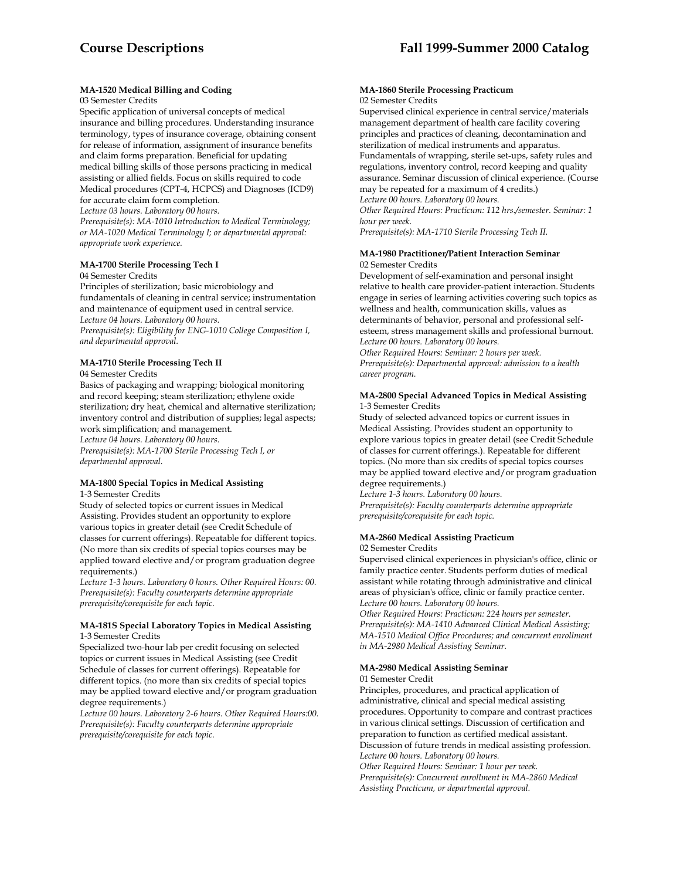# **MA-1520 Medical Billing and Coding**

#### 03 Semester Credits

Specific application of universal concepts of medical insurance and billing procedures. Understanding insurance terminology, types of insurance coverage, obtaining consent for release of information, assignment of insurance benefits and claim forms preparation. Beneficial for updating medical billing skills of those persons practicing in medical assisting or allied fields. Focus on skills required to code Medical procedures (CPT-4, HCPCS) and Diagnoses (ICD9)

for accurate claim form completion.

*Lecture 03 hours. Laboratory 00 hours.* 

*Prerequisite(s): MA-1010 Introduction to Medical Terminology; or MA-1020 Medical Terminology I; or departmental approval: appropriate work experience.* 

#### **MA-1700 Sterile Processing Tech I**

#### 04 Semester Credits

Principles of sterilization; basic microbiology and fundamentals of cleaning in central service; instrumentation and maintenance of equipment used in central service. *Lecture 04 hours. Laboratory 00 hours. Prerequisite(s): Eligibility for ENG-1010 College Composition I, and departmental approval.* 

### **MA-1710 Sterile Processing Tech II**

04 Semester Credits

Basics of packaging and wrapping; biological monitoring and record keeping; steam sterilization; ethylene oxide sterilization; dry heat, chemical and alternative sterilization; inventory control and distribution of supplies; legal aspects; work simplification; and management.

*Lecture 04 hours. Laboratory 00 hours.* 

*Prerequisite(s): MA-1700 Sterile Processing Tech I, or departmental approval.* 

# **MA-1800 Special Topics in Medical Assisting**

1-3 Semester Credits

Study of selected topics or current issues in Medical Assisting. Provides student an opportunity to explore various topics in greater detail (see Credit Schedule of classes for current offerings). Repeatable for different topics. (No more than six credits of special topics courses may be applied toward elective and/or program graduation degree requirements.)

*Lecture 1-3 hours. Laboratory 0 hours. Other Required Hours: 00. Prerequisite(s): Faculty counterparts determine appropriate prerequisite/corequisite for each topic.* 

### **MA-181S Special Laboratory Topics in Medical Assisting** 1-3 Semester Credits

Specialized two-hour lab per credit focusing on selected topics or current issues in Medical Assisting (see Credit Schedule of classes for current offerings). Repeatable for different topics. (no more than six credits of special topics may be applied toward elective and/or program graduation degree requirements.)

*Lecture 00 hours. Laboratory 2-6 hours. Other Required Hours:00. Prerequisite(s): Faculty counterparts determine appropriate prerequisite/corequisite for each topic.* 

#### **MA-1860 Sterile Processing Practicum**  02 Semester Credits

Supervised clinical experience in central service/materials management department of health care facility covering principles and practices of cleaning, decontamination and sterilization of medical instruments and apparatus. Fundamentals of wrapping, sterile set-ups, safety rules and regulations, inventory control, record keeping and quality assurance. Seminar discussion of clinical experience. (Course may be repeated for a maximum of 4 credits.) *Lecture 00 hours. Laboratory 00 hours.* 

*Other Required Hours: Practicum: 112 hrs./semester. Seminar: 1 hour per week.* 

*Prerequisite(s): MA-1710 Sterile Processing Tech II.* 

#### **MA-1980 Practitioner/Patient Interaction Seminar**  02 Semester Credits

Development of self-examination and personal insight relative to health care provider-patient interaction. Students engage in series of learning activities covering such topics as wellness and health, communication skills, values as determinants of behavior, personal and professional selfesteem, stress management skills and professional burnout. *Lecture 00 hours. Laboratory 00 hours.* 

*Other Required Hours: Seminar: 2 hours per week. Prerequisite(s): Departmental approval: admission to a health career program.* 

### **MA-2800 Special Advanced Topics in Medical Assisting**  1-3 Semester Credits

Study of selected advanced topics or current issues in Medical Assisting. Provides student an opportunity to explore various topics in greater detail (see Credit Schedule of classes for current offerings.). Repeatable for different topics. (No more than six credits of special topics courses may be applied toward elective and/or program graduation degree requirements.)

*Lecture 1-3 hours. Laboratory 00 hours. Prerequisite(s): Faculty counterparts determine appropriate prerequisite/corequisite for each topic.* 

# **MA-2860 Medical Assisting Practicum**

#### 02 Semester Credits

Supervised clinical experiences in physician's office, clinic or family practice center. Students perform duties of medical assistant while rotating through administrative and clinical areas of physician's office, clinic or family practice center. *Lecture 00 hours. Laboratory 00 hours.* 

*Other Required Hours: Practicum: 224 hours per semester. Prerequisite(s): MA-1410 Advanced Clinical Medical Assisting; MA-1510 Medical Office Procedures; and concurrent enrollment in MA-2980 Medical Assisting Seminar.* 

### **MA-2980 Medical Assisting Seminar**

#### 01 Semester Credit

Principles, procedures, and practical application of administrative, clinical and special medical assisting procedures. Opportunity to compare and contrast practices in various clinical settings. Discussion of certification and preparation to function as certified medical assistant. Discussion of future trends in medical assisting profession. *Lecture 00 hours. Laboratory 00 hours.* 

*Other Required Hours: Seminar: 1 hour per week. Prerequisite(s): Concurrent enrollment in MA-2860 Medical Assisting Practicum, or departmental approval.*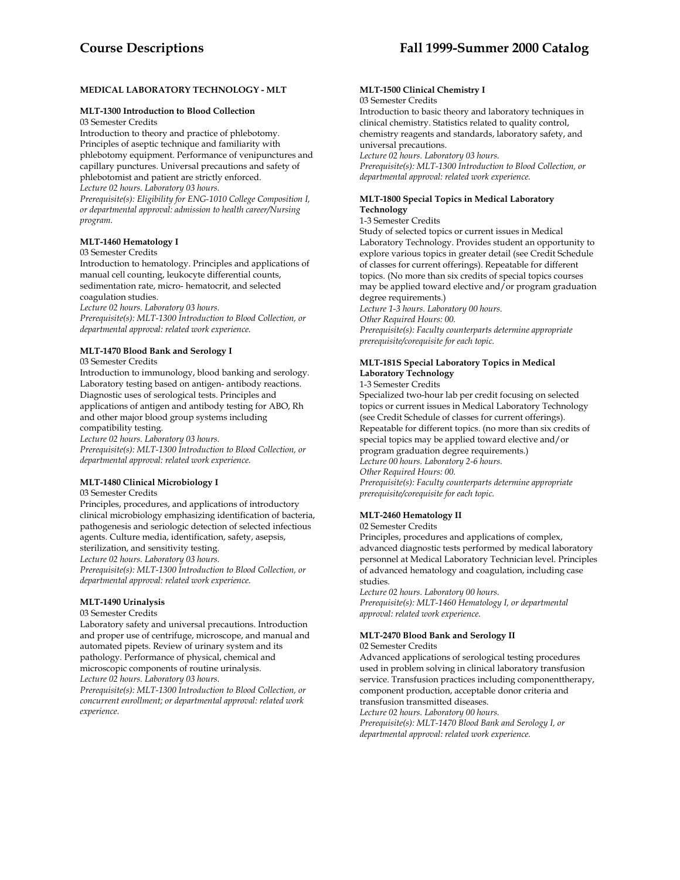# **MEDICAL LABORATORY TECHNOLOGY - MLT**

#### **MLT-1300 Introduction to Blood Collection**

03 Semester Credits

Introduction to theory and practice of phlebotomy. Principles of aseptic technique and familiarity with phlebotomy equipment. Performance of venipunctures and capillary punctures. Universal precautions and safety of phlebotomist and patient are strictly enforced. *Lecture 02 hours. Laboratory 03 hours.* 

*Prerequisite(s): Eligibility for ENG-1010 College Composition I, or departmental approval: admission to health career/Nursing program.* 

# **MLT-1460 Hematology I**

# 03 Semester Credits

Introduction to hematology. Principles and applications of manual cell counting, leukocyte differential counts, sedimentation rate, micro- hematocrit, and selected coagulation studies.

*Lecture 02 hours. Laboratory 03 hours.* 

*Prerequisite(s): MLT-1300 Introduction to Blood Collection, or departmental approval: related work experience.* 

# **MLT-1470 Blood Bank and Serology I**

03 Semester Credits

Introduction to immunology, blood banking and serology. Laboratory testing based on antigen- antibody reactions. Diagnostic uses of serological tests. Principles and applications of antigen and antibody testing for ABO, Rh and other major blood group systems including compatibility testing.

*Lecture 02 hours. Laboratory 03 hours. Prerequisite(s): MLT-1300 Introduction to Blood Collection, or departmental approval: related work experience.* 

# **MLT-1480 Clinical Microbiology I**

#### 03 Semester Credits

Principles, procedures, and applications of introductory clinical microbiology emphasizing identification of bacteria, pathogenesis and seriologic detection of selected infectious agents. Culture media, identification, safety, asepsis, sterilization, and sensitivity testing.

*Lecture 02 hours. Laboratory 03 hours.* 

*Prerequisite(s): MLT-1300 Introduction to Blood Collection, or departmental approval: related work experience.* 

# **MLT-1490 Urinalysis**

03 Semester Credits

Laboratory safety and universal precautions. Introduction and proper use of centrifuge, microscope, and manual and automated pipets. Review of urinary system and its pathology. Performance of physical, chemical and microscopic components of routine urinalysis.

*Lecture 02 hours. Laboratory 03 hours.* 

*Prerequisite(s): MLT-1300 Introduction to Blood Collection, or concurrent enrollment; or departmental approval: related work experience.* 

# **MLT-1500 Clinical Chemistry I**

#### 03 Semester Credits

Introduction to basic theory and laboratory techniques in clinical chemistry. Statistics related to quality control, chemistry reagents and standards, laboratory safety, and universal precautions.

*Lecture 02 hours. Laboratory 03 hours.* 

*Prerequisite(s): MLT-1300 Introduction to Blood Collection, or departmental approval: related work experience.* 

# **MLT-1800 Special Topics in Medical Laboratory Technology**

# 1-3 Semester Credits

Study of selected topics or current issues in Medical Laboratory Technology. Provides student an opportunity to explore various topics in greater detail (see Credit Schedule of classes for current offerings). Repeatable for different topics. (No more than six credits of special topics courses may be applied toward elective and/or program graduation degree requirements.) *Lecture 1-3 hours. Laboratory 00 hours.* 

*Other Required Hours: 00.* 

*Prerequisite(s): Faculty counterparts determine appropriate prerequisite/corequisite for each topic.* 

# **MLT-181S Special Laboratory Topics in Medical Laboratory Technology**

1-3 Semester Credits

Specialized two-hour lab per credit focusing on selected topics or current issues in Medical Laboratory Technology (see Credit Schedule of classes for current offerings). Repeatable for different topics. (no more than six credits of special topics may be applied toward elective and/or program graduation degree requirements.) *Lecture 00 hours. Laboratory 2-6 hours. Other Required Hours: 00. Prerequisite(s): Faculty counterparts determine appropriate prerequisite/corequisite for each topic.* 

# **MLT-2460 Hematology II**

# 02 Semester Credits

Principles, procedures and applications of complex, advanced diagnostic tests performed by medical laboratory personnel at Medical Laboratory Technician level. Principles of advanced hematology and coagulation, including case studies.

*Lecture 02 hours. Laboratory 00 hours. Prerequisite(s): MLT-1460 Hematology I, or departmental approval: related work experience.* 

# **MLT-2470 Blood Bank and Serology II**

# 02 Semester Credits

Advanced applications of serological testing procedures used in problem solving in clinical laboratory transfusion service. Transfusion practices including componenttherapy, component production, acceptable donor criteria and transfusion transmitted diseases.

*Lecture 02 hours. Laboratory 00 hours.* 

*Prerequisite(s): MLT-1470 Blood Bank and Serology I, or departmental approval: related work experience.*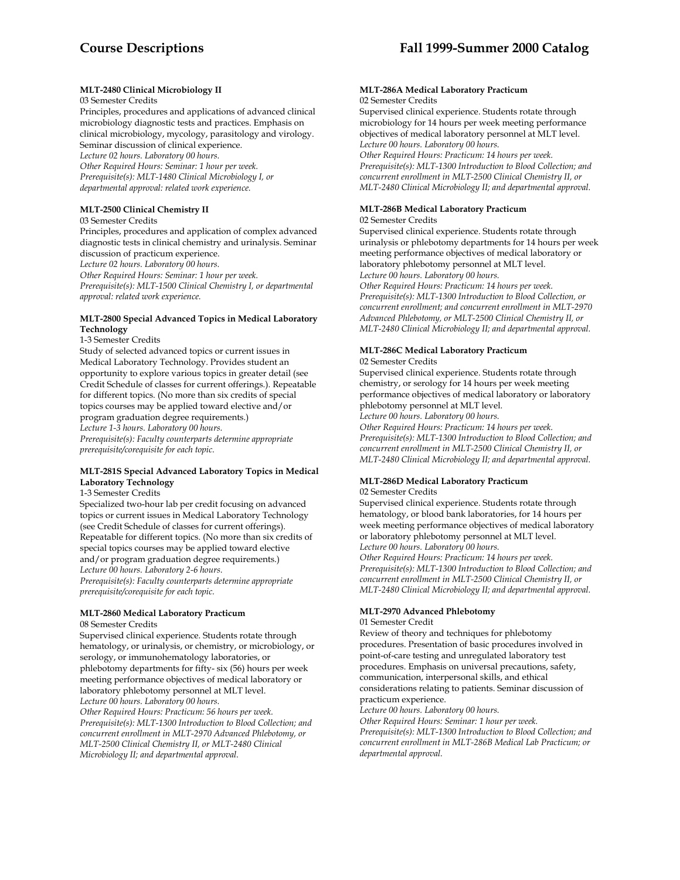# **MLT-2480 Clinical Microbiology II**

# 03 Semester Credits

Principles, procedures and applications of advanced clinical microbiology diagnostic tests and practices. Emphasis on clinical microbiology, mycology, parasitology and virology. Seminar discussion of clinical experience. *Lecture 02 hours. Laboratory 00 hours.* 

*Other Required Hours: Seminar: 1 hour per week. Prerequisite(s): MLT-1480 Clinical Microbiology I, or departmental approval: related work experience.* 

# **MLT-2500 Clinical Chemistry II**

03 Semester Credits

Principles, procedures and application of complex advanced diagnostic tests in clinical chemistry and urinalysis. Seminar discussion of practicum experience. *Lecture 02 hours. Laboratory 00 hours.* 

*Other Required Hours: Seminar: 1 hour per week. Prerequisite(s): MLT-1500 Clinical Chemistry I, or departmental approval: related work experience.* 

# **MLT-2800 Special Advanced Topics in Medical Laboratory Technology**

1-3 Semester Credits

Study of selected advanced topics or current issues in Medical Laboratory Technology. Provides student an opportunity to explore various topics in greater detail (see Credit Schedule of classes for current offerings.). Repeatable for different topics. (No more than six credits of special topics courses may be applied toward elective and/or program graduation degree requirements.) *Lecture 1-3 hours. Laboratory 00 hours. Prerequisite(s): Faculty counterparts determine appropriate* 

*prerequisite/corequisite for each topic.* 

# **MLT-281S Special Advanced Laboratory Topics in Medical Laboratory Technology**

1-3 Semester Credits

Specialized two-hour lab per credit focusing on advanced topics or current issues in Medical Laboratory Technology (see Credit Schedule of classes for current offerings). Repeatable for different topics. (No more than six credits of special topics courses may be applied toward elective and/or program graduation degree requirements.) *Lecture 00 hours. Laboratory 2-6 hours. Prerequisite(s): Faculty counterparts determine appropriate prerequisite/corequisite for each topic.* 

# **MLT-2860 Medical Laboratory Practicum**

08 Semester Credits

Supervised clinical experience. Students rotate through hematology, or urinalysis, or chemistry, or microbiology, or serology, or immunohematology laboratories, or phlebotomy departments for fifty- six (56) hours per week meeting performance objectives of medical laboratory or laboratory phlebotomy personnel at MLT level. *Lecture 00 hours. Laboratory 00 hours.* 

*Other Required Hours: Practicum: 56 hours per week. Prerequisite(s): MLT-1300 Introduction to Blood Collection; and concurrent enrollment in MLT-2970 Advanced Phlebotomy, or MLT-2500 Clinical Chemistry II, or MLT-2480 Clinical Microbiology II; and departmental approval.* 

#### **MLT-286A Medical Laboratory Practicum**  02 Semester Credits

Supervised clinical experience. Students rotate through microbiology for 14 hours per week meeting performance objectives of medical laboratory personnel at MLT level. *Lecture 00 hours. Laboratory 00 hours.* 

*Other Required Hours: Practicum: 14 hours per week. Prerequisite(s): MLT-1300 Introduction to Blood Collection; and concurrent enrollment in MLT-2500 Clinical Chemistry II, or MLT-2480 Clinical Microbiology II; and departmental approval.* 

# **MLT-286B Medical Laboratory Practicum**

#### 02 Semester Credits

Supervised clinical experience. Students rotate through urinalysis or phlebotomy departments for 14 hours per week meeting performance objectives of medical laboratory or laboratory phlebotomy personnel at MLT level. *Lecture 00 hours. Laboratory 00 hours. Other Required Hours: Practicum: 14 hours per week. Prerequisite(s): MLT-1300 Introduction to Blood Collection, or* 

*concurrent enrollment; and concurrent enrollment in MLT-2970 Advanced Phlebotomy, or MLT-2500 Clinical Chemistry II, or MLT-2480 Clinical Microbiology II; and departmental approval.* 

#### **MLT-286C Medical Laboratory Practicum**  02 Semester Credits

Supervised clinical experience. Students rotate through chemistry, or serology for 14 hours per week meeting performance objectives of medical laboratory or laboratory phlebotomy personnel at MLT level. *Lecture 00 hours. Laboratory 00 hours.* 

*Other Required Hours: Practicum: 14 hours per week. Prerequisite(s): MLT-1300 Introduction to Blood Collection; and concurrent enrollment in MLT-2500 Clinical Chemistry II, or MLT-2480 Clinical Microbiology II; and departmental approval.* 

# **MLT-286D Medical Laboratory Practicum**  02 Semester Credits

Supervised clinical experience. Students rotate through hematology, or blood bank laboratories, for 14 hours per week meeting performance objectives of medical laboratory or laboratory phlebotomy personnel at MLT level. *Lecture 00 hours. Laboratory 00 hours.* 

*Other Required Hours: Practicum: 14 hours per week. Prerequisite(s): MLT-1300 Introduction to Blood Collection; and concurrent enrollment in MLT-2500 Clinical Chemistry II, or MLT-2480 Clinical Microbiology II; and departmental approval.* 

# **MLT-2970 Advanced Phlebotomy**

# 01 Semester Credit

Review of theory and techniques for phlebotomy procedures. Presentation of basic procedures involved in point-of-care testing and unregulated laboratory test procedures. Emphasis on universal precautions, safety, communication, interpersonal skills, and ethical considerations relating to patients. Seminar discussion of practicum experience.

*Lecture 00 hours. Laboratory 00 hours.* 

*Other Required Hours: Seminar: 1 hour per week. Prerequisite(s): MLT-1300 Introduction to Blood Collection; and concurrent enrollment in MLT-286B Medical Lab Practicum; or departmental approval.*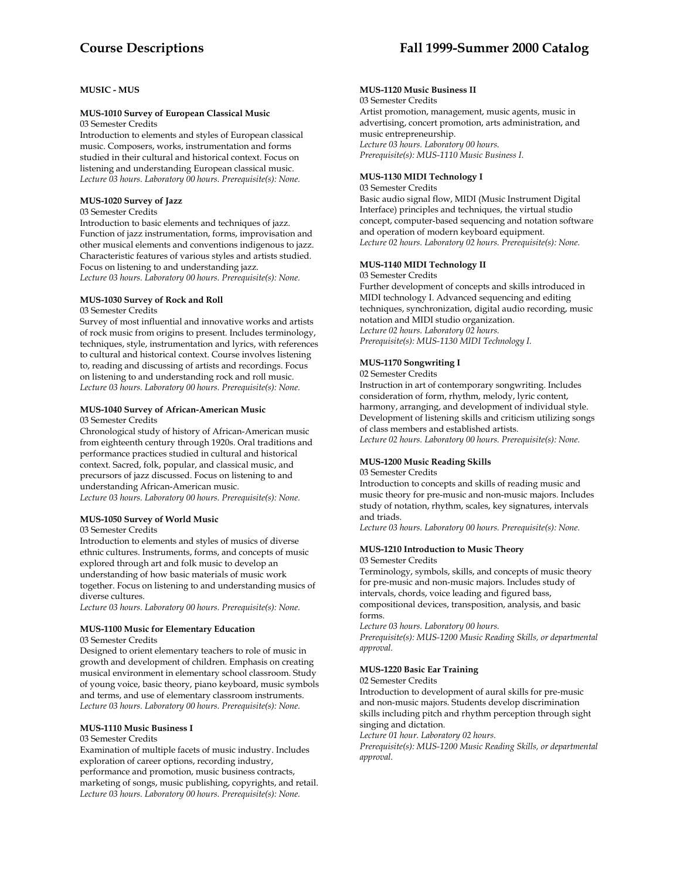# **MUSIC - MUS**

#### **MUS-1010 Survey of European Classical Music**  03 Semester Credits

Introduction to elements and styles of European classical music. Composers, works, instrumentation and forms studied in their cultural and historical context. Focus on listening and understanding European classical music. *Lecture 03 hours. Laboratory 00 hours. Prerequisite(s): None.* 

# **MUS-1020 Survey of Jazz**

03 Semester Credits

Introduction to basic elements and techniques of jazz. Function of jazz instrumentation, forms, improvisation and other musical elements and conventions indigenous to jazz. Characteristic features of various styles and artists studied. Focus on listening to and understanding jazz. *Lecture 03 hours. Laboratory 00 hours. Prerequisite(s): None.* 

## **MUS-1030 Survey of Rock and Roll**

#### 03 Semester Credits

Survey of most influential and innovative works and artists of rock music from origins to present. Includes terminology, techniques, style, instrumentation and lyrics, with references to cultural and historical context. Course involves listening to, reading and discussing of artists and recordings. Focus on listening to and understanding rock and roll music. *Lecture 03 hours. Laboratory 00 hours. Prerequisite(s): None.* 

# **MUS-1040 Survey of African-American Music**

03 Semester Credits

Chronological study of history of African-American music from eighteenth century through 1920s. Oral traditions and performance practices studied in cultural and historical context. Sacred, folk, popular, and classical music, and precursors of jazz discussed. Focus on listening to and understanding African-American music. *Lecture 03 hours. Laboratory 00 hours. Prerequisite(s): None.* 

#### **MUS-1050 Survey of World Music**

03 Semester Credits

Introduction to elements and styles of musics of diverse ethnic cultures. Instruments, forms, and concepts of music explored through art and folk music to develop an understanding of how basic materials of music work together. Focus on listening to and understanding musics of diverse cultures.

*Lecture 03 hours. Laboratory 00 hours. Prerequisite(s): None.* 

# **MUS-1100 Music for Elementary Education**

03 Semester Credits

Designed to orient elementary teachers to role of music in growth and development of children. Emphasis on creating musical environment in elementary school classroom. Study of young voice, basic theory, piano keyboard, music symbols and terms, and use of elementary classroom instruments. *Lecture 03 hours. Laboratory 00 hours. Prerequisite(s): None.* 

# **MUS-1110 Music Business I**

#### 03 Semester Credits

Examination of multiple facets of music industry. Includes exploration of career options, recording industry, performance and promotion, music business contracts, marketing of songs, music publishing, copyrights, and retail. *Lecture 03 hours. Laboratory 00 hours. Prerequisite(s): None.* 

# **MUS-1120 Music Business II**

03 Semester Credits

Artist promotion, management, music agents, music in advertising, concert promotion, arts administration, and music entrepreneurship. *Lecture 03 hours. Laboratory 00 hours. Prerequisite(s): MUS-1110 Music Business I.* 

# **MUS-1130 MIDI Technology I**

03 Semester Credits

Basic audio signal flow, MIDI (Music Instrument Digital Interface) principles and techniques, the virtual studio concept, computer-based sequencing and notation software and operation of modern keyboard equipment. *Lecture 02 hours. Laboratory 02 hours. Prerequisite(s): None.* 

# **MUS-1140 MIDI Technology II**

03 Semester Credits

Further development of concepts and skills introduced in MIDI technology I. Advanced sequencing and editing techniques, synchronization, digital audio recording, music notation and MIDI studio organization. *Lecture 02 hours. Laboratory 02 hours. Prerequisite(s): MUS-1130 MIDI Technology I.* 

#### **MUS-1170 Songwriting I**

02 Semester Credits

Instruction in art of contemporary songwriting. Includes consideration of form, rhythm, melody, lyric content, harmony, arranging, and development of individual style. Development of listening skills and criticism utilizing songs of class members and established artists. *Lecture 02 hours. Laboratory 00 hours. Prerequisite(s): None.* 

# **MUS-1200 Music Reading Skills**

03 Semester Credits

Introduction to concepts and skills of reading music and music theory for pre-music and non-music majors. Includes study of notation, rhythm, scales, key signatures, intervals and triads.

*Lecture 03 hours. Laboratory 00 hours. Prerequisite(s): None.* 

#### **MUS-1210 Introduction to Music Theory**  03 Semester Credits

Terminology, symbols, skills, and concepts of music theory for pre-music and non-music majors. Includes study of intervals, chords, voice leading and figured bass, compositional devices, transposition, analysis, and basic forms.

*Lecture 03 hours. Laboratory 00 hours.* 

*Prerequisite(s): MUS-1200 Music Reading Skills, or departmental approval.* 

#### **MUS-1220 Basic Ear Training**

#### 02 Semester Credits

Introduction to development of aural skills for pre-music and non-music majors. Students develop discrimination skills including pitch and rhythm perception through sight singing and dictation.

*Lecture 01 hour. Laboratory 02 hours.* 

*Prerequisite(s): MUS-1200 Music Reading Skills, or departmental approval.*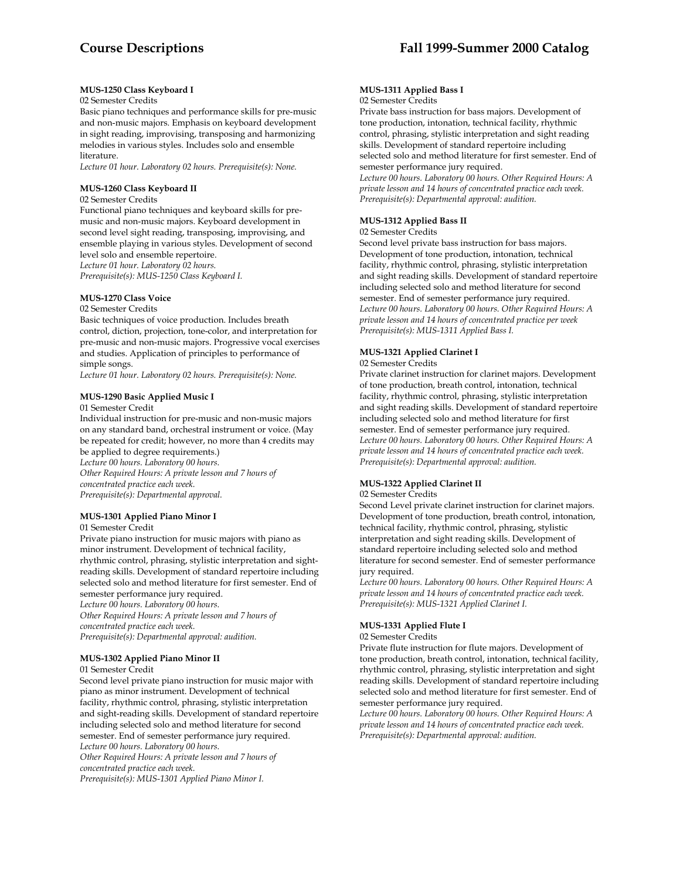# **MUS-1250 Class Keyboard I**

# 02 Semester Credits

Basic piano techniques and performance skills for pre-music and non-music majors. Emphasis on keyboard development in sight reading, improvising, transposing and harmonizing melodies in various styles. Includes solo and ensemble literature.

*Lecture 01 hour. Laboratory 02 hours. Prerequisite(s): None.* 

# **MUS-1260 Class Keyboard II**

#### 02 Semester Credits

Functional piano techniques and keyboard skills for premusic and non-music majors. Keyboard development in second level sight reading, transposing, improvising, and ensemble playing in various styles. Development of second level solo and ensemble repertoire. *Lecture 01 hour. Laboratory 02 hours. Prerequisite(s): MUS-1250 Class Keyboard I.* 

# **MUS-1270 Class Voice**

# 02 Semester Credits

Basic techniques of voice production. Includes breath control, diction, projection, tone-color, and interpretation for pre-music and non-music majors. Progressive vocal exercises and studies. Application of principles to performance of simple songs.

*Lecture 01 hour. Laboratory 02 hours. Prerequisite(s): None.* 

# **MUS-1290 Basic Applied Music I**

01 Semester Credit

Individual instruction for pre-music and non-music majors on any standard band, orchestral instrument or voice. (May be repeated for credit; however, no more than 4 credits may be applied to degree requirements.) *Lecture 00 hours. Laboratory 00 hours.* 

*Other Required Hours: A private lesson and 7 hours of concentrated practice each week. Prerequisite(s): Departmental approval.* 

# **MUS-1301 Applied Piano Minor I**

01 Semester Credit

Private piano instruction for music majors with piano as minor instrument. Development of technical facility, rhythmic control, phrasing, stylistic interpretation and sightreading skills. Development of standard repertoire including selected solo and method literature for first semester. End of semester performance jury required. *Lecture 00 hours. Laboratory 00 hours. Other Required Hours: A private lesson and 7 hours of* 

#### *concentrated practice each week. Prerequisite(s): Departmental approval: audition.*

# **MUS-1302 Applied Piano Minor II**

01 Semester Credit

Second level private piano instruction for music major with piano as minor instrument. Development of technical facility, rhythmic control, phrasing, stylistic interpretation and sight-reading skills. Development of standard repertoire including selected solo and method literature for second semester. End of semester performance jury required. *Lecture 00 hours. Laboratory 00 hours. Other Required Hours: A private lesson and 7 hours of concentrated practice each week. Prerequisite(s): MUS-1301 Applied Piano Minor I.* 

#### **MUS-1311 Applied Bass I**  02 Semester Credits

Private bass instruction for bass majors. Development of tone production, intonation, technical facility, rhythmic control, phrasing, stylistic interpretation and sight reading skills. Development of standard repertoire including selected solo and method literature for first semester. End of semester performance jury required. *Lecture 00 hours. Laboratory 00 hours. Other Required Hours: A private lesson and 14 hours of concentrated practice each week. Prerequisite(s): Departmental approval: audition.* 

# **MUS-1312 Applied Bass II**

# 02 Semester Credits

Second level private bass instruction for bass majors. Development of tone production, intonation, technical facility, rhythmic control, phrasing, stylistic interpretation and sight reading skills. Development of standard repertoire including selected solo and method literature for second semester. End of semester performance jury required. *Lecture 00 hours. Laboratory 00 hours. Other Required Hours: A private lesson and 14 hours of concentrated practice per week Prerequisite(s): MUS-1311 Applied Bass I.* 

# **MUS-1321 Applied Clarinet I**

# 02 Semester Credits

Private clarinet instruction for clarinet majors. Development of tone production, breath control, intonation, technical facility, rhythmic control, phrasing, stylistic interpretation and sight reading skills. Development of standard repertoire including selected solo and method literature for first semester. End of semester performance jury required. *Lecture 00 hours. Laboratory 00 hours. Other Required Hours: A private lesson and 14 hours of concentrated practice each week. Prerequisite(s): Departmental approval: audition.* 

# **MUS-1322 Applied Clarinet II**

#### 02 Semester Credits

Second Level private clarinet instruction for clarinet majors. Development of tone production, breath control, intonation, technical facility, rhythmic control, phrasing, stylistic interpretation and sight reading skills. Development of standard repertoire including selected solo and method literature for second semester. End of semester performance jury required.

*Lecture 00 hours. Laboratory 00 hours. Other Required Hours: A private lesson and 14 hours of concentrated practice each week. Prerequisite(s): MUS-1321 Applied Clarinet I.* 

# **MUS-1331 Applied Flute I**

## 02 Semester Credits

Private flute instruction for flute majors. Development of tone production, breath control, intonation, technical facility, rhythmic control, phrasing, stylistic interpretation and sight reading skills. Development of standard repertoire including selected solo and method literature for first semester. End of semester performance jury required.

*Lecture 00 hours. Laboratory 00 hours. Other Required Hours: A private lesson and 14 hours of concentrated practice each week. Prerequisite(s): Departmental approval: audition.*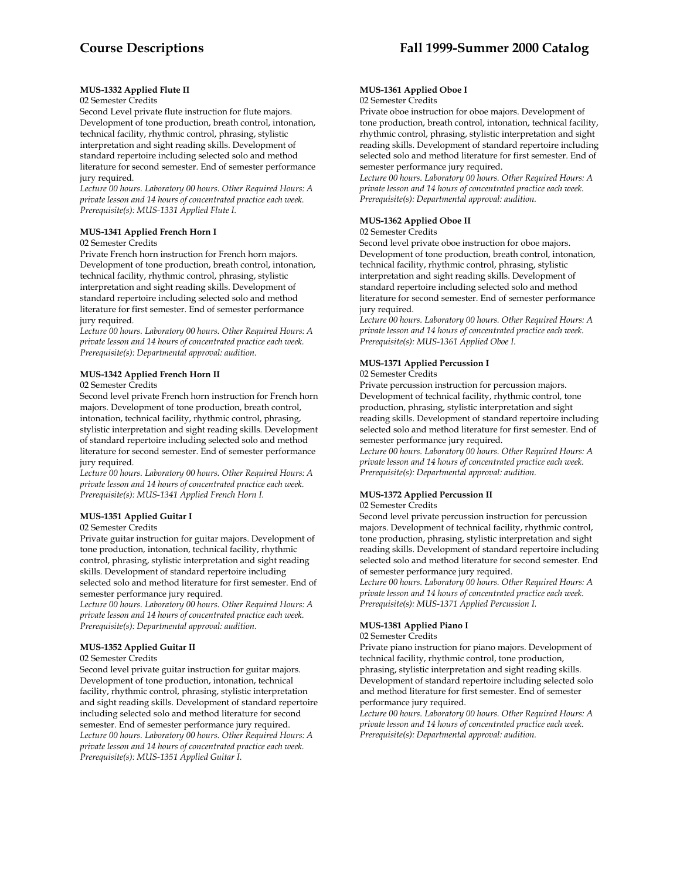# **MUS-1332 Applied Flute II**

## 02 Semester Credits

Second Level private flute instruction for flute majors. Development of tone production, breath control, intonation, technical facility, rhythmic control, phrasing, stylistic interpretation and sight reading skills. Development of standard repertoire including selected solo and method literature for second semester. End of semester performance jury required.

*Lecture 00 hours. Laboratory 00 hours. Other Required Hours: A private lesson and 14 hours of concentrated practice each week. Prerequisite(s): MUS-1331 Applied Flute I.* 

# **MUS-1341 Applied French Horn I**

### 02 Semester Credits

Private French horn instruction for French horn majors. Development of tone production, breath control, intonation, technical facility, rhythmic control, phrasing, stylistic interpretation and sight reading skills. Development of standard repertoire including selected solo and method literature for first semester. End of semester performance jury required.

*Lecture 00 hours. Laboratory 00 hours. Other Required Hours: A private lesson and 14 hours of concentrated practice each week. Prerequisite(s): Departmental approval: audition.* 

# **MUS-1342 Applied French Horn II**

02 Semester Credits

Second level private French horn instruction for French horn majors. Development of tone production, breath control, intonation, technical facility, rhythmic control, phrasing, stylistic interpretation and sight reading skills. Development of standard repertoire including selected solo and method literature for second semester. End of semester performance jury required.

*Lecture 00 hours. Laboratory 00 hours. Other Required Hours: A private lesson and 14 hours of concentrated practice each week. Prerequisite(s): MUS-1341 Applied French Horn I.* 

# **MUS-1351 Applied Guitar I**

#### 02 Semester Credits

Private guitar instruction for guitar majors. Development of tone production, intonation, technical facility, rhythmic control, phrasing, stylistic interpretation and sight reading skills. Development of standard repertoire including selected solo and method literature for first semester. End of semester performance jury required.

*Lecture 00 hours. Laboratory 00 hours. Other Required Hours: A private lesson and 14 hours of concentrated practice each week. Prerequisite(s): Departmental approval: audition.* 

# **MUS-1352 Applied Guitar II**

#### 02 Semester Credits

Second level private guitar instruction for guitar majors. Development of tone production, intonation, technical facility, rhythmic control, phrasing, stylistic interpretation and sight reading skills. Development of standard repertoire including selected solo and method literature for second semester. End of semester performance jury required. *Lecture 00 hours. Laboratory 00 hours. Other Required Hours: A private lesson and 14 hours of concentrated practice each week. Prerequisite(s): MUS-1351 Applied Guitar I.* 

#### **MUS-1361 Applied Oboe I**  02 Semester Credits

Private oboe instruction for oboe majors. Development of tone production, breath control, intonation, technical facility, rhythmic control, phrasing, stylistic interpretation and sight reading skills. Development of standard repertoire including selected solo and method literature for first semester. End of semester performance jury required.

*Lecture 00 hours. Laboratory 00 hours. Other Required Hours: A private lesson and 14 hours of concentrated practice each week. Prerequisite(s): Departmental approval: audition.* 

# **MUS-1362 Applied Oboe II**

# 02 Semester Credits

Second level private oboe instruction for oboe majors. Development of tone production, breath control, intonation, technical facility, rhythmic control, phrasing, stylistic interpretation and sight reading skills. Development of standard repertoire including selected solo and method literature for second semester. End of semester performance jury required.

*Lecture 00 hours. Laboratory 00 hours. Other Required Hours: A private lesson and 14 hours of concentrated practice each week. Prerequisite(s): MUS-1361 Applied Oboe I.* 

# **MUS-1371 Applied Percussion I**

#### 02 Semester Credits

Private percussion instruction for percussion majors. Development of technical facility, rhythmic control, tone production, phrasing, stylistic interpretation and sight reading skills. Development of standard repertoire including selected solo and method literature for first semester. End of semester performance jury required.

*Lecture 00 hours. Laboratory 00 hours. Other Required Hours: A private lesson and 14 hours of concentrated practice each week. Prerequisite(s): Departmental approval: audition.* 

#### **MUS-1372 Applied Percussion II**  02 Semester Credits

Second level private percussion instruction for percussion majors. Development of technical facility, rhythmic control, tone production, phrasing, stylistic interpretation and sight reading skills. Development of standard repertoire including selected solo and method literature for second semester. End of semester performance jury required.

*Lecture 00 hours. Laboratory 00 hours. Other Required Hours: A private lesson and 14 hours of concentrated practice each week. Prerequisite(s): MUS-1371 Applied Percussion I.* 

# **MUS-1381 Applied Piano I**

## 02 Semester Credits

Private piano instruction for piano majors. Development of technical facility, rhythmic control, tone production, phrasing, stylistic interpretation and sight reading skills. Development of standard repertoire including selected solo and method literature for first semester. End of semester performance jury required.

*Lecture 00 hours. Laboratory 00 hours. Other Required Hours: A private lesson and 14 hours of concentrated practice each week. Prerequisite(s): Departmental approval: audition.*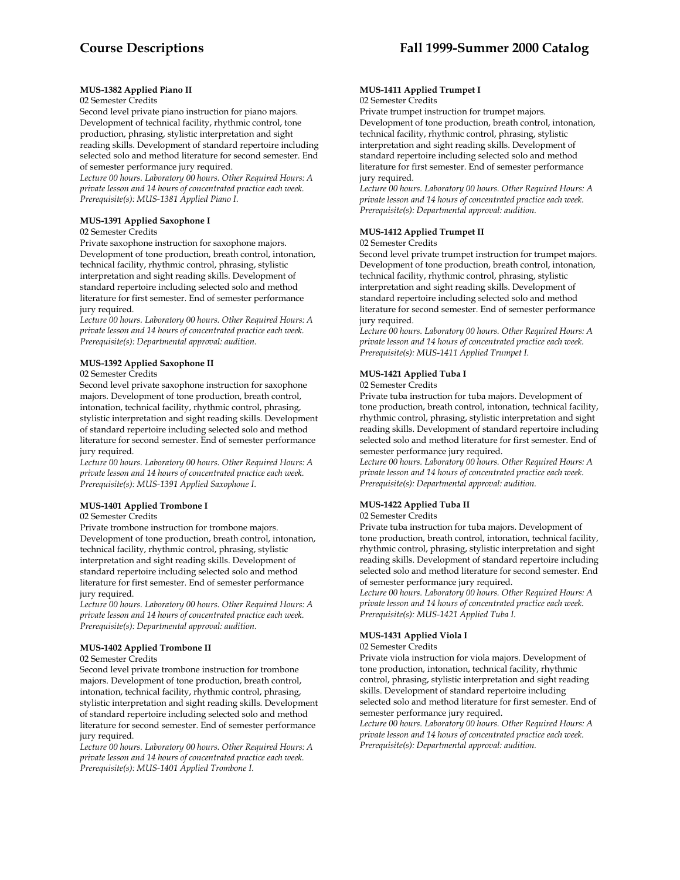# **MUS-1382 Applied Piano II**

# 02 Semester Credits

Second level private piano instruction for piano majors. Development of technical facility, rhythmic control, tone production, phrasing, stylistic interpretation and sight reading skills. Development of standard repertoire including selected solo and method literature for second semester. End of semester performance jury required.

*Lecture 00 hours. Laboratory 00 hours. Other Required Hours: A private lesson and 14 hours of concentrated practice each week. Prerequisite(s): MUS-1381 Applied Piano I.* 

# **MUS-1391 Applied Saxophone I**

# 02 Semester Credits

Private saxophone instruction for saxophone majors. Development of tone production, breath control, intonation, technical facility, rhythmic control, phrasing, stylistic interpretation and sight reading skills. Development of standard repertoire including selected solo and method literature for first semester. End of semester performance jury required.

*Lecture 00 hours. Laboratory 00 hours. Other Required Hours: A private lesson and 14 hours of concentrated practice each week. Prerequisite(s): Departmental approval: audition.* 

# **MUS-1392 Applied Saxophone II**

## 02 Semester Credits

Second level private saxophone instruction for saxophone majors. Development of tone production, breath control, intonation, technical facility, rhythmic control, phrasing, stylistic interpretation and sight reading skills. Development of standard repertoire including selected solo and method literature for second semester. End of semester performance jury required.

*Lecture 00 hours. Laboratory 00 hours. Other Required Hours: A private lesson and 14 hours of concentrated practice each week. Prerequisite(s): MUS-1391 Applied Saxophone I*.

# **MUS-1401 Applied Trombone I**

# 02 Semester Credits

Private trombone instruction for trombone majors. Development of tone production, breath control, intonation, technical facility, rhythmic control, phrasing, stylistic interpretation and sight reading skills. Development of standard repertoire including selected solo and method literature for first semester. End of semester performance jury required.

*Lecture 00 hours. Laboratory 00 hours. Other Required Hours: A private lesson and 14 hours of concentrated practice each week. Prerequisite(s): Departmental approval: audition.* 

# **MUS-1402 Applied Trombone II**

# 02 Semester Credits

Second level private trombone instruction for trombone majors. Development of tone production, breath control, intonation, technical facility, rhythmic control, phrasing, stylistic interpretation and sight reading skills. Development of standard repertoire including selected solo and method literature for second semester. End of semester performance jury required.

*Lecture 00 hours. Laboratory 00 hours. Other Required Hours: A private lesson and 14 hours of concentrated practice each week. Prerequisite(s): MUS-1401 Applied Trombone I.* 

#### **MUS-1411 Applied Trumpet I**  02 Semester Credits

Private trumpet instruction for trumpet majors. Development of tone production, breath control, intonation, technical facility, rhythmic control, phrasing, stylistic interpretation and sight reading skills. Development of standard repertoire including selected solo and method literature for first semester. End of semester performance jury required.

*Lecture 00 hours. Laboratory 00 hours. Other Required Hours: A private lesson and 14 hours of concentrated practice each week. Prerequisite(s): Departmental approval: audition.* 

# **MUS-1412 Applied Trumpet II**

#### 02 Semester Credits

Second level private trumpet instruction for trumpet majors. Development of tone production, breath control, intonation, technical facility, rhythmic control, phrasing, stylistic interpretation and sight reading skills. Development of standard repertoire including selected solo and method literature for second semester. End of semester performance jury required.

*Lecture 00 hours. Laboratory 00 hours. Other Required Hours: A private lesson and 14 hours of concentrated practice each week. Prerequisite(s): MUS-1411 Applied Trumpet I.* 

# **MUS-1421 Applied Tuba I**

#### 02 Semester Credits

Private tuba instruction for tuba majors. Development of tone production, breath control, intonation, technical facility, rhythmic control, phrasing, stylistic interpretation and sight reading skills. Development of standard repertoire including selected solo and method literature for first semester. End of semester performance jury required.

*Lecture 00 hours. Laboratory 00 hours. Other Required Hours: A private lesson and 14 hours of concentrated practice each week. Prerequisite(s): Departmental approval: audition.* 

# **MUS-1422 Applied Tuba II**

#### 02 Semester Credits

Private tuba instruction for tuba majors. Development of tone production, breath control, intonation, technical facility, rhythmic control, phrasing, stylistic interpretation and sight reading skills. Development of standard repertoire including selected solo and method literature for second semester. End of semester performance jury required.

*Lecture 00 hours. Laboratory 00 hours. Other Required Hours: A private lesson and 14 hours of concentrated practice each week. Prerequisite(s): MUS-1421 Applied Tuba I.* 

# **MUS-1431 Applied Viola I**

#### 02 Semester Credits

Private viola instruction for viola majors. Development of tone production, intonation, technical facility, rhythmic control, phrasing, stylistic interpretation and sight reading skills. Development of standard repertoire including selected solo and method literature for first semester. End of semester performance jury required.

*Lecture 00 hours. Laboratory 00 hours. Other Required Hours: A private lesson and 14 hours of concentrated practice each week. Prerequisite(s): Departmental approval: audition.*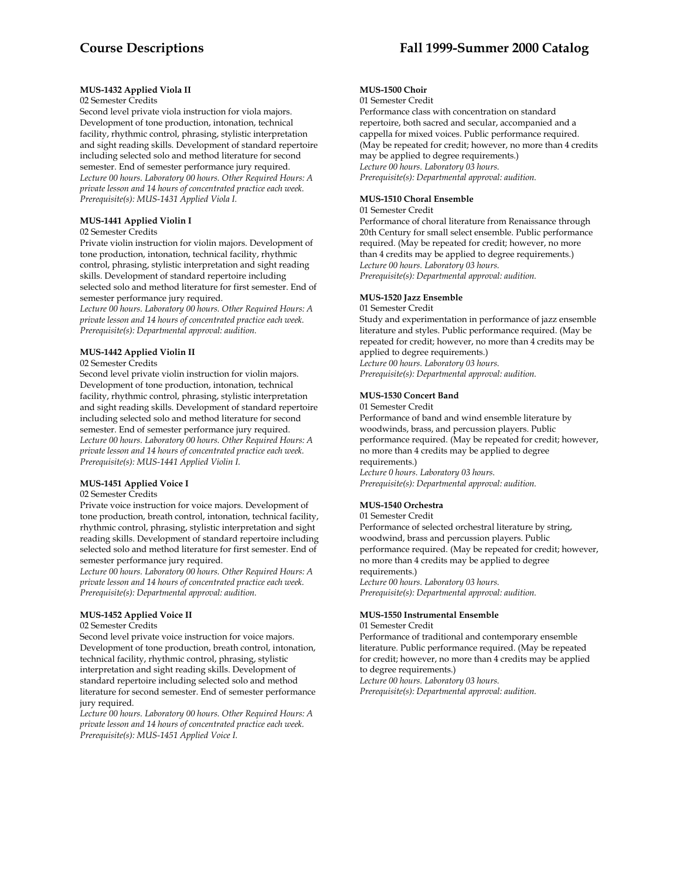# **Course Descriptions Fall 1999-Summer 2000 Catalog**

### **MUS-1432 Applied Viola II**

# 02 Semester Credits

Second level private viola instruction for viola majors. Development of tone production, intonation, technical facility, rhythmic control, phrasing, stylistic interpretation and sight reading skills. Development of standard repertoire including selected solo and method literature for second semester. End of semester performance jury required. *Lecture 00 hours. Laboratory 00 hours. Other Required Hours: A private lesson and 14 hours of concentrated practice each week. Prerequisite(s): MUS-1431 Applied Viola I.* 

# **MUS-1441 Applied Violin I**

# 02 Semester Credits

Private violin instruction for violin majors. Development of tone production, intonation, technical facility, rhythmic control, phrasing, stylistic interpretation and sight reading skills. Development of standard repertoire including selected solo and method literature for first semester. End of semester performance jury required.

*Lecture 00 hours. Laboratory 00 hours. Other Required Hours: A private lesson and 14 hours of concentrated practice each week. Prerequisite(s): Departmental approval: audition.* 

#### **MUS-1442 Applied Violin II**

02 Semester Credits

Second level private violin instruction for violin majors. Development of tone production, intonation, technical facility, rhythmic control, phrasing, stylistic interpretation and sight reading skills. Development of standard repertoire including selected solo and method literature for second semester. End of semester performance jury required. *Lecture 00 hours. Laboratory 00 hours. Other Required Hours: A private lesson and 14 hours of concentrated practice each week. Prerequisite(s): MUS-1441 Applied Violin I.* 

# **MUS-1451 Applied Voice I**

#### 02 Semester Credits

Private voice instruction for voice majors. Development of tone production, breath control, intonation, technical facility, rhythmic control, phrasing, stylistic interpretation and sight reading skills. Development of standard repertoire including selected solo and method literature for first semester. End of semester performance jury required.

*Lecture 00 hours. Laboratory 00 hours. Other Required Hours: A private lesson and 14 hours of concentrated practice each week. Prerequisite(s): Departmental approval: audition.* 

# **MUS-1452 Applied Voice II**

#### 02 Semester Credits

Second level private voice instruction for voice majors. Development of tone production, breath control, intonation, technical facility, rhythmic control, phrasing, stylistic interpretation and sight reading skills. Development of standard repertoire including selected solo and method literature for second semester. End of semester performance jury required.

*Lecture 00 hours. Laboratory 00 hours. Other Required Hours: A private lesson and 14 hours of concentrated practice each week. Prerequisite(s): MUS-1451 Applied Voice I.* 

# **MUS-1500 Choir**

01 Semester Credit

Performance class with concentration on standard repertoire, both sacred and secular, accompanied and a cappella for mixed voices. Public performance required. (May be repeated for credit; however, no more than 4 credits may be applied to degree requirements.) *Lecture 00 hours. Laboratory 03 hours. Prerequisite(s): Departmental approval: audition.* 

#### **MUS-1510 Choral Ensemble**

#### 01 Semester Credit

Performance of choral literature from Renaissance through 20th Century for small select ensemble. Public performance required. (May be repeated for credit; however, no more than 4 credits may be applied to degree requirements.) *Lecture 00 hours. Laboratory 03 hours. Prerequisite(s): Departmental approval: audition.* 

#### **MUS-1520 Jazz Ensemble**

#### 01 Semester Credit

Study and experimentation in performance of jazz ensemble literature and styles. Public performance required. (May be repeated for credit; however, no more than 4 credits may be applied to degree requirements.) *Lecture 00 hours. Laboratory 03 hours. Prerequisite(s): Departmental approval: audition.* 

#### **MUS-1530 Concert Band**

01 Semester Credit Performance of band and wind ensemble literature by woodwinds, brass, and percussion players. Public performance required. (May be repeated for credit; however, no more than 4 credits may be applied to degree requirements.) *Lecture 0 hours. Laboratory 03 hours. Prerequisite(s): Departmental approval: audition.* 

# **MUS-1540 Orchestra**

01 Semester Credit Performance of selected orchestral literature by string, woodwind, brass and percussion players. Public performance required. (May be repeated for credit; however, no more than 4 credits may be applied to degree requirements.) *Lecture 00 hours. Laboratory 03 hours. Prerequisite(s): Departmental approval: audition.* 

#### **MUS-1550 Instrumental Ensemble**

01 Semester Credit

Performance of traditional and contemporary ensemble literature. Public performance required. (May be repeated for credit; however, no more than 4 credits may be applied to degree requirements.) *Lecture 00 hours. Laboratory 03 hours.* 

*Prerequisite(s): Departmental approval: audition.*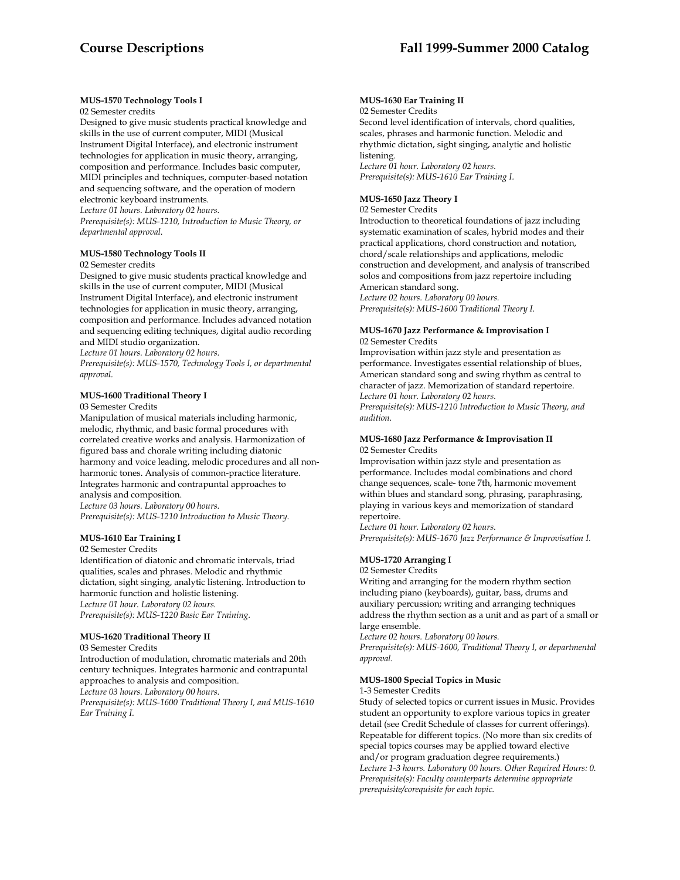# **MUS-1570 Technology Tools I**

02 Semester credits

Designed to give music students practical knowledge and skills in the use of current computer, MIDI (Musical Instrument Digital Interface), and electronic instrument technologies for application in music theory, arranging, composition and performance. Includes basic computer, MIDI principles and techniques, computer-based notation and sequencing software, and the operation of modern electronic keyboard instruments.

*Lecture 01 hours. Laboratory 02 hours.* 

*Prerequisite(s): MUS-1210, Introduction to Music Theory, or departmental approval.* 

# **MUS-1580 Technology Tools II**

02 Semester credits

Designed to give music students practical knowledge and skills in the use of current computer, MIDI (Musical Instrument Digital Interface), and electronic instrument technologies for application in music theory, arranging, composition and performance. Includes advanced notation and sequencing editing techniques, digital audio recording and MIDI studio organization.

*Lecture 01 hours. Laboratory 02 hours.* 

*Prerequisite(s): MUS-1570, Technology Tools I, or departmental approval.* 

# **MUS-1600 Traditional Theory I**

03 Semester Credits

Manipulation of musical materials including harmonic, melodic, rhythmic, and basic formal procedures with correlated creative works and analysis. Harmonization of figured bass and chorale writing including diatonic harmony and voice leading, melodic procedures and all nonharmonic tones. Analysis of common-practice literature. Integrates harmonic and contrapuntal approaches to analysis and composition.

*Lecture 03 hours. Laboratory 00 hours. Prerequisite(s): MUS-1210 Introduction to Music Theory.* 

# **MUS-1610 Ear Training I**

02 Semester Credits

Identification of diatonic and chromatic intervals, triad qualities, scales and phrases. Melodic and rhythmic dictation, sight singing, analytic listening. Introduction to harmonic function and holistic listening. *Lecture 01 hour. Laboratory 02 hours. Prerequisite(s): MUS-1220 Basic Ear Training.* 

# **MUS-1620 Traditional Theory II**

03 Semester Credits Introduction of modulation, chromatic materials and 20th century techniques. Integrates harmonic and contrapuntal approaches to analysis and composition.

*Lecture 03 hours. Laboratory 00 hours.* 

*Prerequisite(s): MUS-1600 Traditional Theory I, and MUS-1610 Ear Training I.* 

# **MUS-1630 Ear Training II**

02 Semester Credits Second level identification of intervals, chord qualities, scales, phrases and harmonic function. Melodic and rhythmic dictation, sight singing, analytic and holistic listening.

*Lecture 01 hour. Laboratory 02 hours. Prerequisite(s): MUS-1610 Ear Training I.* 

# **MUS-1650 Jazz Theory I**

02 Semester Credits

Introduction to theoretical foundations of jazz including systematic examination of scales, hybrid modes and their practical applications, chord construction and notation, chord/scale relationships and applications, melodic construction and development, and analysis of transcribed solos and compositions from jazz repertoire including American standard song. *Lecture 02 hours. Laboratory 00 hours.* 

*Prerequisite(s): MUS-1600 Traditional Theory I.* 

#### **MUS-1670 Jazz Performance & Improvisation I**  02 Semester Credits

Improvisation within jazz style and presentation as performance. Investigates essential relationship of blues, American standard song and swing rhythm as central to character of jazz. Memorization of standard repertoire. *Lecture 01 hour. Laboratory 02 hours. Prerequisite(s): MUS-1210 Introduction to Music Theory, and* 

*audition.* 

# **MUS-1680 Jazz Performance & Improvisation II** 02 Semester Credits

Improvisation within jazz style and presentation as performance. Includes modal combinations and chord change sequences, scale- tone 7th, harmonic movement within blues and standard song, phrasing, paraphrasing, playing in various keys and memorization of standard repertoire.

*Lecture 01 hour. Laboratory 02 hours. Prerequisite(s): MUS-1670 Jazz Performance & Improvisation I.* 

# **MUS-1720 Arranging I**

02 Semester Credits

Writing and arranging for the modern rhythm section including piano (keyboards), guitar, bass, drums and auxiliary percussion; writing and arranging techniques address the rhythm section as a unit and as part of a small or large ensemble.

*Lecture 02 hours. Laboratory 00 hours.* 

*Prerequisite(s): MUS-1600, Traditional Theory I, or departmental approval.* 

# **MUS-1800 Special Topics in Music**

1-3 Semester Credits

Study of selected topics or current issues in Music. Provides student an opportunity to explore various topics in greater detail (see Credit Schedule of classes for current offerings). Repeatable for different topics. (No more than six credits of special topics courses may be applied toward elective and/or program graduation degree requirements.) *Lecture 1-3 hours. Laboratory 00 hours. Other Required Hours: 0. Prerequisite(s): Faculty counterparts determine appropriate prerequisite/corequisite for each topic.*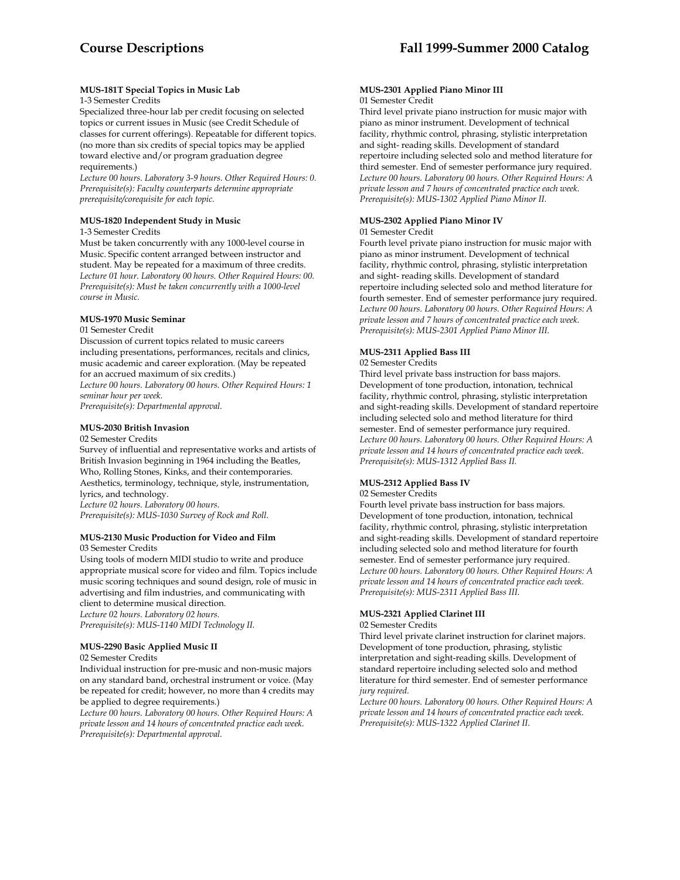# **MUS-181T Special Topics in Music Lab**

# 1-3 Semester Credits

Specialized three-hour lab per credit focusing on selected topics or current issues in Music (see Credit Schedule of classes for current offerings). Repeatable for different topics. (no more than six credits of special topics may be applied toward elective and/or program graduation degree requirements.)

*Lecture 00 hours. Laboratory 3-9 hours. Other Required Hours: 0. Prerequisite(s): Faculty counterparts determine appropriate prerequisite/corequisite for each topic.* 

# **MUS-1820 Independent Study in Music**

1-3 Semester Credits

Must be taken concurrently with any 1000-level course in Music. Specific content arranged between instructor and student. May be repeated for a maximum of three credits. *Lecture 01 hour. Laboratory 00 hours. Other Required Hours: 00. Prerequisite(s): Must be taken concurrently with a 1000-level course in Music.* 

# **MUS-1970 Music Seminar**

#### 01 Semester Credit

Discussion of current topics related to music careers including presentations, performances, recitals and clinics, music academic and career exploration. (May be repeated for an accrued maximum of six credits.)

*Lecture 00 hours. Laboratory 00 hours. Other Required Hours: 1 seminar hour per week.* 

*Prerequisite(s): Departmental approval.* 

# **MUS-2030 British Invasion**

02 Semester Credits

Survey of influential and representative works and artists of British Invasion beginning in 1964 including the Beatles, Who, Rolling Stones, Kinks, and their contemporaries. Aesthetics, terminology, technique, style, instrumentation, lyrics, and technology. *Lecture 02 hours. Laboratory 00 hours.* 

*Prerequisite(s): MUS-1030 Survey of Rock and Roll.* 

#### **MUS-2130 Music Production for Video and Film** 03 Semester Credits

Using tools of modern MIDI studio to write and produce appropriate musical score for video and film. Topics include music scoring techniques and sound design, role of music in advertising and film industries, and communicating with client to determine musical direction. *Lecture 02 hours. Laboratory 02 hours.* 

*Prerequisite(s): MUS-1140 MIDI Technology II.* 

# **MUS-2290 Basic Applied Music II**

# 02 Semester Credits

Individual instruction for pre-music and non-music majors on any standard band, orchestral instrument or voice. (May be repeated for credit; however, no more than 4 credits may be applied to degree requirements.)

*Lecture 00 hours. Laboratory 00 hours. Other Required Hours: A private lesson and 14 hours of concentrated practice each week. Prerequisite(s): Departmental approval.* 

#### **MUS-2301 Applied Piano Minor III**  01 Semester Credit

Third level private piano instruction for music major with piano as minor instrument. Development of technical facility, rhythmic control, phrasing, stylistic interpretation and sight- reading skills. Development of standard repertoire including selected solo and method literature for third semester. End of semester performance jury required. *Lecture 00 hours. Laboratory 00 hours. Other Required Hours: A private lesson and 7 hours of concentrated practice each week. Prerequisite(s): MUS-1302 Applied Piano Minor II.* 

#### **MUS-2302 Applied Piano Minor IV**  01 Semester Credit

Fourth level private piano instruction for music major with piano as minor instrument. Development of technical facility, rhythmic control, phrasing, stylistic interpretation and sight- reading skills. Development of standard repertoire including selected solo and method literature for fourth semester. End of semester performance jury required. *Lecture 00 hours. Laboratory 00 hours. Other Required Hours: A private lesson and 7 hours of concentrated practice each week. Prerequisite(s): MUS-2301 Applied Piano Minor III.* 

# **MUS-2311 Applied Bass III**

# 02 Semester Credits

Third level private bass instruction for bass majors. Development of tone production, intonation, technical facility, rhythmic control, phrasing, stylistic interpretation and sight-reading skills. Development of standard repertoire including selected solo and method literature for third semester. End of semester performance jury required. *Lecture 00 hours. Laboratory 00 hours. Other Required Hours: A private lesson and 14 hours of concentrated practice each week. Prerequisite(s): MUS-1312 Applied Bass II.* 

# **MUS-2312 Applied Bass IV**

#### 02 Semester Credits

Fourth level private bass instruction for bass majors. Development of tone production, intonation, technical facility, rhythmic control, phrasing, stylistic interpretation and sight-reading skills. Development of standard repertoire including selected solo and method literature for fourth semester. End of semester performance jury required. *Lecture 00 hours. Laboratory 00 hours. Other Required Hours: A private lesson and 14 hours of concentrated practice each week. Prerequisite(s): MUS-2311 Applied Bass III.* 

# **MUS-2321 Applied Clarinet III**

#### 02 Semester Credits

Third level private clarinet instruction for clarinet majors. Development of tone production, phrasing, stylistic interpretation and sight-reading skills. Development of standard repertoire including selected solo and method literature for third semester. End of semester performance *jury required.* 

*Lecture 00 hours. Laboratory 00 hours. Other Required Hours: A private lesson and 14 hours of concentrated practice each week. Prerequisite(s): MUS-1322 Applied Clarinet II.*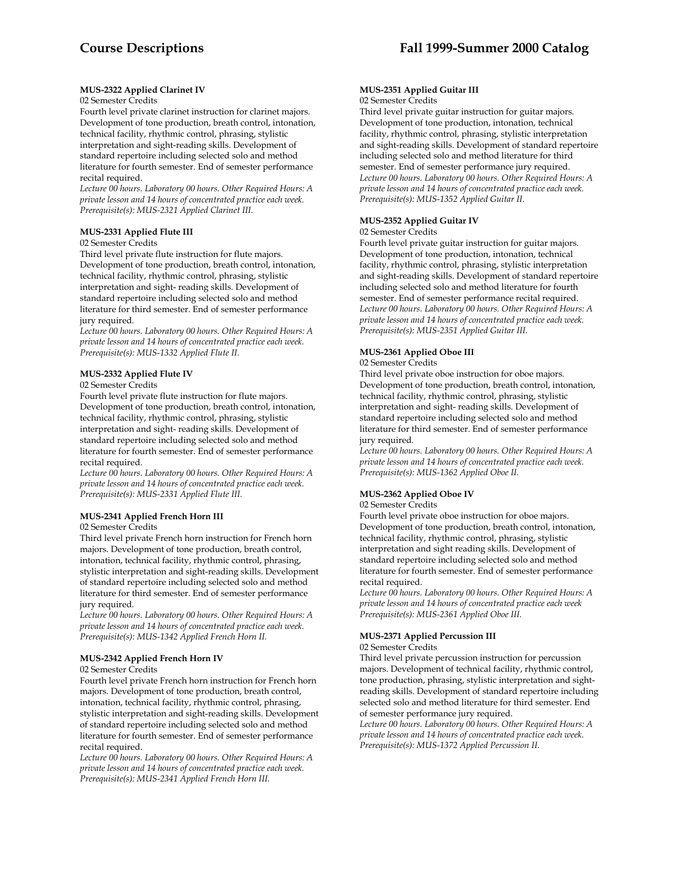# **MUS-2322 Applied Clarinet IV**

#### 02 Semester Credits

Fourth level private clarinet instruction for clarinet majors. Development of tone production, breath control, intonation, technical facility, rhythmic control, phrasing, stylistic interpretation and sight-reading skills. Development of standard repertoire including selected solo and method literature for fourth semester. End of semester performance recital required.

*Lecture 00 hours. Laboratory 00 hours. Other Required Hours: A private lesson and 14 hours of concentrated practice each week. Prerequisite(s): MUS-2321 Applied Clarinet III.* 

## **MUS-2331 Applied Flute III**

#### 02 Semester Credits

Third level private flute instruction for flute majors. Development of tone production, breath control, intonation, technical facility, rhythmic control, phrasing, stylistic interpretation and sight- reading skills. Development of standard repertoire including selected solo and method literature for third semester. End of semester performance jury required.

*Lecture 00 hours. Laboratory 00 hours. Other Required Hours: A private lesson and 14 hours of concentrated practice each week. Prerequisite(s): MUS-1332 Applied Flute II.* 

# **MUS-2332 Applied Flute IV**

#### 02 Semester Credits

Fourth level private flute instruction for flute majors. Development of tone production, breath control, intonation, technical facility, rhythmic control, phrasing, stylistic interpretation and sight- reading skills. Development of standard repertoire including selected solo and method literature for fourth semester. End of semester performance recital required.

*Lecture 00 hours. Laboratory 00 hours. Other Required Hours: A private lesson and 14 hours of concentrated practice each week. Prerequisite(s): MUS-2331 Applied Flute III.* 

# **MUS-2341 Applied French Horn III**

02 Semester Credits

Third level private French horn instruction for French horn majors. Development of tone production, breath control, intonation, technical facility, rhythmic control, phrasing, stylistic interpretation and sight-reading skills. Development of standard repertoire including selected solo and method literature for third semester. End of semester performance jury required.

*Lecture 00 hours. Laboratory 00 hours. Other Required Hours: A private lesson and 14 hours of concentrated practice each week. Prerequisite(s): MUS-1342 Applied French Horn II.* 

# **MUS-2342 Applied French Horn IV**

#### 02 Semester Credits

Fourth level private French horn instruction for French horn majors. Development of tone production, breath control, intonation, technical facility, rhythmic control, phrasing, stylistic interpretation and sight-reading skills. Development of standard repertoire including selected solo and method literature for fourth semester. End of semester performance recital required.

*Lecture 00 hours. Laboratory 00 hours. Other Required Hours: A private lesson and 14 hours of concentrated practice each week. Prerequisite(s): MUS-2341 Applied French Horn III.* 

#### **MUS-2351 Applied Guitar III**  02 Semester Credits

Third level private guitar instruction for guitar majors. Development of tone production, intonation, technical facility, rhythmic control, phrasing, stylistic interpretation and sight-reading skills. Development of standard repertoire including selected solo and method literature for third semester. End of semester performance jury required. *Lecture 00 hours. Laboratory 00 hours. Other Required Hours: A private lesson and 14 hours of concentrated practice each week. Prerequisite(s): MUS-1352 Applied Guitar II.* 

# **MUS-2352 Applied Guitar IV**

# 02 Semester Credits

Fourth level private guitar instruction for guitar majors. Development of tone production, intonation, technical facility, rhythmic control, phrasing, stylistic interpretation and sight-reading skills. Development of standard repertoire including selected solo and method literature for fourth semester. End of semester performance recital required. *Lecture 00 hours. Laboratory 00 hours. Other Required Hours: A private lesson and 14 hours of concentrated practice each week. Prerequisite(s): MUS-2351 Applied Guitar III.* 

# **MUS-2361 Applied Oboe III**

# 02 Semester Credits

Third level private oboe instruction for oboe majors. Development of tone production, breath control, intonation, technical facility, rhythmic control, phrasing, stylistic interpretation and sight- reading skills. Development of standard repertoire including selected solo and method literature for third semester. End of semester performance jury required.

*Lecture 00 hours. Laboratory 00 hours. Other Required Hours: A private lesson and 14 hours of concentrated practice each week. Prerequisite(s): MUS-1362 Applied Oboe II.* 

# **MUS-2362 Applied Oboe IV**

# 02 Semester Credits

Fourth level private oboe instruction for oboe majors. Development of tone production, breath control, intonation, technical facility, rhythmic control, phrasing, stylistic interpretation and sight reading skills. Development of standard repertoire including selected solo and method literature for fourth semester. End of semester performance recital required.

*Lecture 00 hours. Laboratory 00 hours. Other Required Hours: A private lesson and 14 hours of concentrated practice each week Prerequisite(s): MUS-2361 Applied Oboe III.* 

# **MUS-2371 Applied Percussion III**

#### 02 Semester Credits

Third level private percussion instruction for percussion majors. Development of technical facility, rhythmic control, tone production, phrasing, stylistic interpretation and sightreading skills. Development of standard repertoire including selected solo and method literature for third semester. End of semester performance jury required.

*Lecture 00 hours. Laboratory 00 hours. Other Required Hours: A private lesson and 14 hours of concentrated practice each week. Prerequisite(s): MUS-1372 Applied Percussion II.*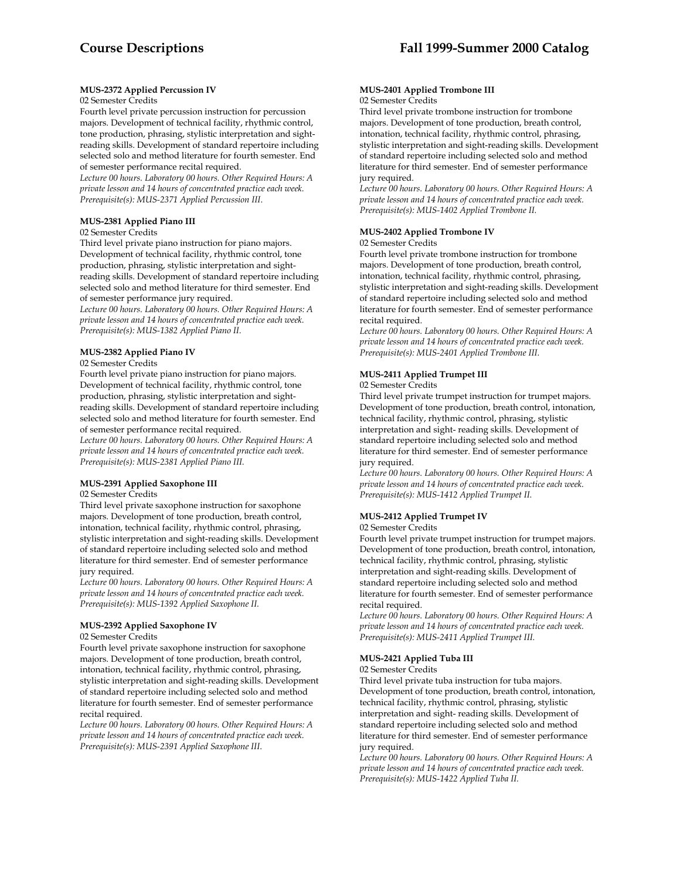# **MUS-2372 Applied Percussion IV**

# 02 Semester Credits

Fourth level private percussion instruction for percussion majors. Development of technical facility, rhythmic control, tone production, phrasing, stylistic interpretation and sightreading skills. Development of standard repertoire including selected solo and method literature for fourth semester. End of semester performance recital required.

*Lecture 00 hours. Laboratory 00 hours. Other Required Hours: A private lesson and 14 hours of concentrated practice each week. Prerequisite(s): MUS-2371 Applied Percussion III*.

# **MUS-2381 Applied Piano III**

# 02 Semester Credits

Third level private piano instruction for piano majors. Development of technical facility, rhythmic control, tone production, phrasing, stylistic interpretation and sightreading skills. Development of standard repertoire including selected solo and method literature for third semester. End of semester performance jury required.

*Lecture 00 hours. Laboratory 00 hours. Other Required Hours: A private lesson and 14 hours of concentrated practice each week. Prerequisite(s): MUS-1382 Applied Piano II.* 

# **MUS-2382 Applied Piano IV**

#### 02 Semester Credits

Fourth level private piano instruction for piano majors. Development of technical facility, rhythmic control, tone production, phrasing, stylistic interpretation and sightreading skills. Development of standard repertoire including selected solo and method literature for fourth semester. End of semester performance recital required.

*Lecture 00 hours. Laboratory 00 hours. Other Required Hours: A private lesson and 14 hours of concentrated practice each week. Prerequisite(s): MUS-2381 Applied Piano III.* 

# **MUS-2391 Applied Saxophone III**

#### 02 Semester Credits

Third level private saxophone instruction for saxophone majors. Development of tone production, breath control, intonation, technical facility, rhythmic control, phrasing, stylistic interpretation and sight-reading skills. Development of standard repertoire including selected solo and method literature for third semester. End of semester performance jury required.

*Lecture 00 hours. Laboratory 00 hours. Other Required Hours: A private lesson and 14 hours of concentrated practice each week. Prerequisite(s): MUS-1392 Applied Saxophone II.* 

# **MUS-2392 Applied Saxophone IV**

#### 02 Semester Credits

Fourth level private saxophone instruction for saxophone majors. Development of tone production, breath control, intonation, technical facility, rhythmic control, phrasing, stylistic interpretation and sight-reading skills. Development of standard repertoire including selected solo and method literature for fourth semester. End of semester performance recital required.

*Lecture 00 hours. Laboratory 00 hours. Other Required Hours: A private lesson and 14 hours of concentrated practice each week. Prerequisite(s): MUS-2391 Applied Saxophone III*.

#### **MUS-2401 Applied Trombone III** 02 Semester Credits

Third level private trombone instruction for trombone majors. Development of tone production, breath control, intonation, technical facility, rhythmic control, phrasing, stylistic interpretation and sight-reading skills. Development of standard repertoire including selected solo and method literature for third semester. End of semester performance jury required.

*Lecture 00 hours. Laboratory 00 hours. Other Required Hours: A private lesson and 14 hours of concentrated practice each week. Prerequisite(s): MUS-1402 Applied Trombone II.* 

# **MUS-2402 Applied Trombone IV**

#### 02 Semester Credits

Fourth level private trombone instruction for trombone majors. Development of tone production, breath control, intonation, technical facility, rhythmic control, phrasing, stylistic interpretation and sight-reading skills. Development of standard repertoire including selected solo and method literature for fourth semester. End of semester performance recital required.

*Lecture 00 hours. Laboratory 00 hours. Other Required Hours: A private lesson and 14 hours of concentrated practice each week. Prerequisite(s): MUS-2401 Applied Trombone III.* 

# **MUS-2411 Applied Trumpet III**

#### 02 Semester Credits

Third level private trumpet instruction for trumpet majors. Development of tone production, breath control, intonation, technical facility, rhythmic control, phrasing, stylistic interpretation and sight- reading skills. Development of standard repertoire including selected solo and method literature for third semester. End of semester performance jury required.

*Lecture 00 hours. Laboratory 00 hours. Other Required Hours: A private lesson and 14 hours of concentrated practice each week. Prerequisite(s): MUS-1412 Applied Trumpet II.* 

# **MUS-2412 Applied Trumpet IV**

#### 02 Semester Credits

Fourth level private trumpet instruction for trumpet majors. Development of tone production, breath control, intonation, technical facility, rhythmic control, phrasing, stylistic interpretation and sight-reading skills. Development of standard repertoire including selected solo and method literature for fourth semester. End of semester performance recital required.

*Lecture 00 hours. Laboratory 00 hours. Other Required Hours: A private lesson and 14 hours of concentrated practice each week. Prerequisite(s): MUS-2411 Applied Trumpet III.* 

# **MUS-2421 Applied Tuba III**

02 Semester Credits

Third level private tuba instruction for tuba majors. Development of tone production, breath control, intonation, technical facility, rhythmic control, phrasing, stylistic interpretation and sight- reading skills. Development of standard repertoire including selected solo and method literature for third semester. End of semester performance jury required.

*Lecture 00 hours. Laboratory 00 hours. Other Required Hours: A private lesson and 14 hours of concentrated practice each week. Prerequisite(s): MUS-1422 Applied Tuba II.*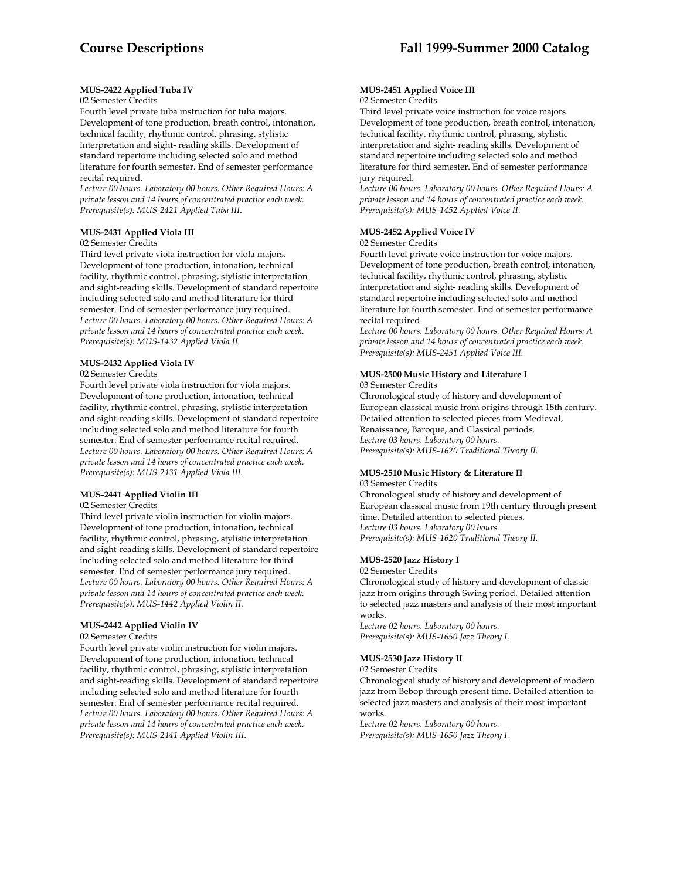# **MUS-2422 Applied Tuba IV**

# 02 Semester Credits

Fourth level private tuba instruction for tuba majors. Development of tone production, breath control, intonation, technical facility, rhythmic control, phrasing, stylistic interpretation and sight- reading skills. Development of standard repertoire including selected solo and method literature for fourth semester. End of semester performance recital required.

*Lecture 00 hours. Laboratory 00 hours. Other Required Hours: A private lesson and 14 hours of concentrated practice each week. Prerequisite(s): MUS-2421 Applied Tuba III*.

# **MUS-2431 Applied Viola III**

# 02 Semester Credits

Third level private viola instruction for viola majors. Development of tone production, intonation, technical facility, rhythmic control, phrasing, stylistic interpretation and sight-reading skills. Development of standard repertoire including selected solo and method literature for third semester. End of semester performance jury required. *Lecture 00 hours. Laboratory 00 hours. Other Required Hours: A private lesson and 14 hours of concentrated practice each week. Prerequisite(s): MUS-1432 Applied Viola II.* 

# **MUS-2432 Applied Viola IV**

## 02 Semester Credits

Fourth level private viola instruction for viola majors. Development of tone production, intonation, technical facility, rhythmic control, phrasing, stylistic interpretation and sight-reading skills. Development of standard repertoire including selected solo and method literature for fourth semester. End of semester performance recital required. *Lecture 00 hours. Laboratory 00 hours. Other Required Hours: A private lesson and 14 hours of concentrated practice each week. Prerequisite(s): MUS-2431 Applied Viola III.* 

# **MUS-2441 Applied Violin III**

#### 02 Semester Credits

Third level private violin instruction for violin majors. Development of tone production, intonation, technical facility, rhythmic control, phrasing, stylistic interpretation and sight-reading skills. Development of standard repertoire including selected solo and method literature for third semester. End of semester performance jury required. *Lecture 00 hours. Laboratory 00 hours. Other Required Hours: A private lesson and 14 hours of concentrated practice each week. Prerequisite(s): MUS-1442 Applied Violin II.* 

# **MUS-2442 Applied Violin IV**

#### 02 Semester Credits

Fourth level private violin instruction for violin majors. Development of tone production, intonation, technical facility, rhythmic control, phrasing, stylistic interpretation and sight-reading skills. Development of standard repertoire including selected solo and method literature for fourth semester. End of semester performance recital required. *Lecture 00 hours. Laboratory 00 hours. Other Required Hours: A private lesson and 14 hours of concentrated practice each week. Prerequisite(s): MUS-2441 Applied Violin III.* 

#### **MUS-2451 Applied Voice III**  02 Semester Credits

Third level private voice instruction for voice majors. Development of tone production, breath control, intonation, technical facility, rhythmic control, phrasing, stylistic interpretation and sight- reading skills. Development of standard repertoire including selected solo and method literature for third semester. End of semester performance jury required.

*Lecture 00 hours. Laboratory 00 hours. Other Required Hours: A private lesson and 14 hours of concentrated practice each week. Prerequisite(s): MUS-1452 Applied Voice II.* 

# **MUS-2452 Applied Voice IV**

#### 02 Semester Credits

Fourth level private voice instruction for voice majors. Development of tone production, breath control, intonation, technical facility, rhythmic control, phrasing, stylistic interpretation and sight- reading skills. Development of standard repertoire including selected solo and method literature for fourth semester. End of semester performance recital required.

*Lecture 00 hours. Laboratory 00 hours. Other Required Hours: A private lesson and 14 hours of concentrated practice each week. Prerequisite(s): MUS-2451 Applied Voice III.* 

# **MUS-2500 Music History and Literature I**

03 Semester Credits Chronological study of history and development of European classical music from origins through 18th century. Detailed attention to selected pieces from Medieval, Renaissance, Baroque, and Classical periods. *Lecture 03 hours. Laboratory 00 hours. Prerequisite(s): MUS-1620 Traditional Theory II.* 

# **MUS-2510 Music History & Literature II**

#### 03 Semester Credits Chronological study of history and development of European classical music from 19th century through present time. Detailed attention to selected pieces. *Lecture 03 hours. Laboratory 00 hours. Prerequisite(s): MUS-1620 Traditional Theory II.*

# **MUS-2520 Jazz History I**

02 Semester Credits Chronological study of history and development of classic

jazz from origins through Swing period. Detailed attention to selected jazz masters and analysis of their most important works.

*Lecture 02 hours. Laboratory 00 hours. Prerequisite(s): MUS-1650 Jazz Theory I.* 

# **MUS-2530 Jazz History II**

#### 02 Semester Credits

Chronological study of history and development of modern jazz from Bebop through present time. Detailed attention to selected jazz masters and analysis of their most important works*.* 

*Lecture 02 hours. Laboratory 00 hours. Prerequisite(s): MUS-1650 Jazz Theory I.*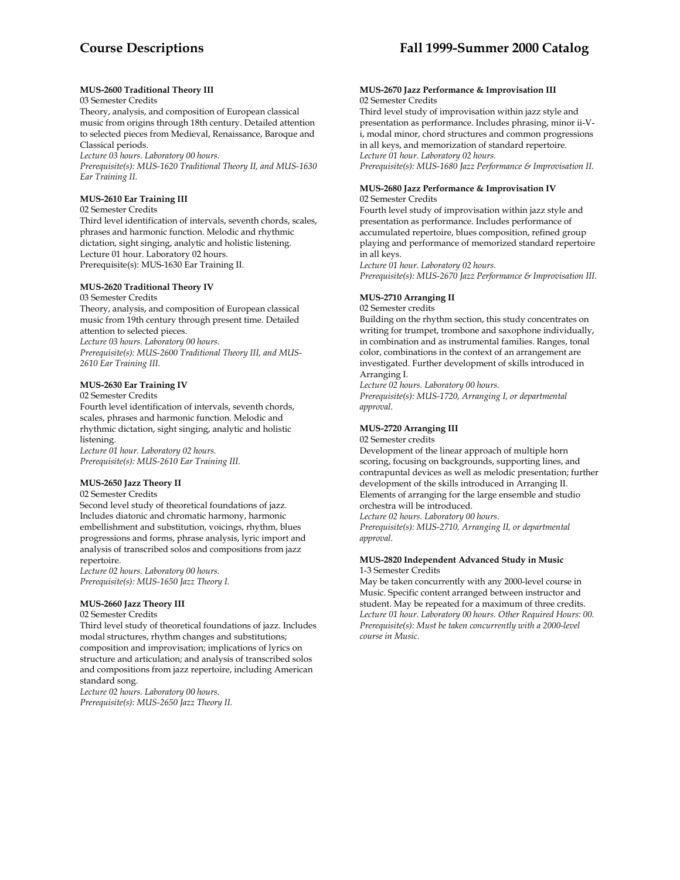# **MUS-2600 Traditional Theory III**

03 Semester Credits

Theory, analysis, and composition of European classical music from origins through 18th century. Detailed attention to selected pieces from Medieval, Renaissance, Baroque and Classical periods.

*Lecture 03 hours. Laboratory 00 hours.* 

*Prerequisite(s): MUS-1620 Traditional Theory II, and MUS-1630 Ear Training II.* 

# **MUS-2610 Ear Training III**

02 Semester Credits

Third level identification of intervals, seventh chords, scales, phrases and harmonic function. Melodic and rhythmic dictation, sight singing, analytic and holistic listening. Lecture 01 hour. Laboratory 02 hours. Prerequisite(s): MUS-1630 Ear Training II.

# **MUS-2620 Traditional Theory IV**

03 Semester Credits

Theory, analysis, and composition of European classical music from 19th century through present time. Detailed attention to selected pieces. *Lecture 03 hours. Laboratory 00 hours.* 

*Prerequisite(s): MUS-2600 Traditional Theory III, and MUS-2610 Ear Training III.* 

# **MUS-2630 Ear Training IV**

02 Semester Credits

Fourth level identification of intervals, seventh chords, scales, phrases and harmonic function. Melodic and rhythmic dictation, sight singing, analytic and holistic listening.

*Lecture 01 hour. Laboratory 02 hours. Prerequisite(s): MUS-2610 Ear Training III.* 

# **MUS-2650 Jazz Theory II**

02 Semester Credits

Second level study of theoretical foundations of jazz. Includes diatonic and chromatic harmony, harmonic embellishment and substitution, voicings, rhythm, blues progressions and forms, phrase analysis, lyric import and analysis of transcribed solos and compositions from jazz repertoire.

*Lecture 02 hours. Laboratory 00 hours. Prerequisite(s): MUS-1650 Jazz Theory I.* 

# **MUS-2660 Jazz Theory III**

02 Semester Credits

Third level study of theoretical foundations of jazz. Includes modal structures, rhythm changes and substitutions; composition and improvisation; implications of lyrics on structure and articulation; and analysis of transcribed solos and compositions from jazz repertoire, including American standard song.

*Lecture 02 hours. Laboratory 00 hours. Prerequisite(s): MUS-2650 Jazz Theory II.* 

#### **MUS-2670 Jazz Performance & Improvisation III** 02 Semester Credits

Third level study of improvisation within jazz style and presentation as performance. Includes phrasing, minor ii-Vi, modal minor, chord structures and common progressions in all keys, and memorization of standard repertoire. *Lecture 01 hour. Laboratory 02 hours.* 

*Prerequisite(s): MUS-1680 Jazz Performance & Improvisation II.* 

#### **MUS-2680 Jazz Performance & Improvisation IV** 02 Semester Credits

Fourth level study of improvisation within jazz style and presentation as performance. Includes performance of accumulated repertoire, blues composition, refined group playing and performance of memorized standard repertoire in all keys.

*Lecture 01 hour. Laboratory 02 hours. Prerequisite(s): MUS-2670 Jazz Performance & Improvisation III.* 

# **MUS-2710 Arranging II**

02 Semester credits

Building on the rhythm section, this study concentrates on writing for trumpet, trombone and saxophone individually, in combination and as instrumental families. Ranges, tonal color, combinations in the context of an arrangement are investigated. Further development of skills introduced in Arranging I.

*Lecture 02 hours. Laboratory 00 hours. Prerequisite(s): MUS-1720, Arranging I, or departmental approval.* 

# **MUS-2720 Arranging III**

02 Semester credits

Development of the linear approach of multiple horn scoring, focusing on backgrounds, supporting lines, and contrapuntal devices as well as melodic presentation; further development of the skills introduced in Arranging II. Elements of arranging for the large ensemble and studio orchestra will be introduced.

*Lecture 02 hours. Laboratory 00 hours.* 

*Prerequisite(s): MUS-2710, Arranging II, or departmental approval.* 

# **MUS-2820 Independent Advanced Study in Music** 1-3 Semester Credits

May be taken concurrently with any 2000-level course in Music. Specific content arranged between instructor and student. May be repeated for a maximum of three credits. *Lecture 01 hour. Laboratory 00 hours. Other Required Hours: 00. Prerequisite(s): Must be taken concurrently with a 2000-level course in Music.*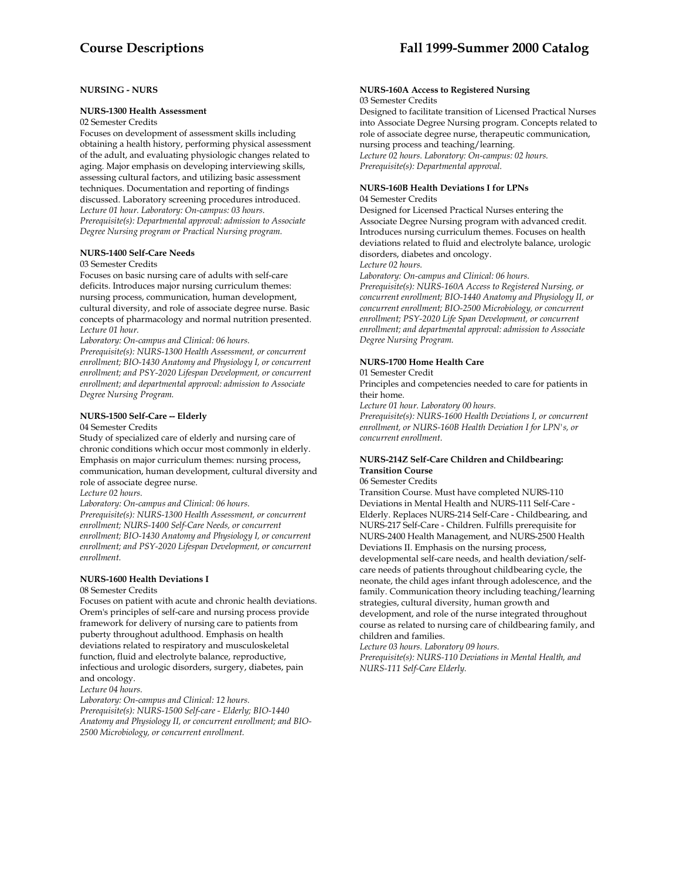# **NURSING - NURS**

#### **NURS-1300 Health Assessment**

02 Semester Credits

Focuses on development of assessment skills including obtaining a health history, performing physical assessment of the adult, and evaluating physiologic changes related to aging. Major emphasis on developing interviewing skills, assessing cultural factors, and utilizing basic assessment techniques. Documentation and reporting of findings discussed. Laboratory screening procedures introduced. *Lecture 01 hour. Laboratory: On-campus: 03 hours. Prerequisite(s): Departmental approval: admission to Associate Degree Nursing program or Practical Nursing program.* 

## **NURS-1400 Self-Care Needs**

#### 03 Semester Credits

Focuses on basic nursing care of adults with self-care deficits. Introduces major nursing curriculum themes: nursing process, communication, human development, cultural diversity, and role of associate degree nurse. Basic concepts of pharmacology and normal nutrition presented. *Lecture 01 hour.* 

*Laboratory: On-campus and Clinical: 06 hours.* 

*Prerequisite(s): NURS-1300 Health Assessment, or concurrent enrollment; BIO-1430 Anatomy and Physiology I, or concurrent enrollment; and PSY-2020 Lifespan Development, or concurrent enrollment; and departmental approval: admission to Associate Degree Nursing Program.* 

# **NURS-1500 Self-Care -- Elderly**

04 Semester Credits

Study of specialized care of elderly and nursing care of chronic conditions which occur most commonly in elderly. Emphasis on major curriculum themes: nursing process, communication, human development, cultural diversity and role of associate degree nurse.

*Lecture 02 hours.* 

*Laboratory: On-campus and Clinical: 06 hours.* 

*Prerequisite(s): NURS-1300 Health Assessment, or concurrent enrollment; NURS-1400 Self-Care Needs, or concurrent enrollment; BIO-1430 Anatomy and Physiology I, or concurrent enrollment; and PSY-2020 Lifespan Development, or concurrent enrollment.* 

#### **NURS-1600 Health Deviations I**

#### 08 Semester Credits

Focuses on patient with acute and chronic health deviations. Orem's principles of self-care and nursing process provide framework for delivery of nursing care to patients from puberty throughout adulthood. Emphasis on health deviations related to respiratory and musculoskeletal function, fluid and electrolyte balance, reproductive, infectious and urologic disorders, surgery, diabetes, pain and oncology.

*Lecture 04 hours.* 

*Laboratory: On-campus and Clinical: 12 hours. Prerequisite(s): NURS-1500 Self-care - Elderly; BIO-1440 Anatomy and Physiology II, or concurrent enrollment; and BIO-2500 Microbiology, or concurrent enrollment.* 

#### **NURS-160A Access to Registered Nursing**  03 Semester Credits

Designed to facilitate transition of Licensed Practical Nurses into Associate Degree Nursing program. Concepts related to role of associate degree nurse, therapeutic communication, nursing process and teaching/learning. *Lecture 02 hours. Laboratory: On-campus: 02 hours. Prerequisite(s): Departmental approval.* 

#### **NURS-160B Health Deviations I for LPNs**  04 Semester Credits

Designed for Licensed Practical Nurses entering the Associate Degree Nursing program with advanced credit. Introduces nursing curriculum themes. Focuses on health deviations related to fluid and electrolyte balance, urologic disorders, diabetes and oncology. *Lecture 02 hours.* 

*Laboratory: On-campus and Clinical: 06 hours. Prerequisite(s): NURS-160A Access to Registered Nursing, or concurrent enrollment; BIO-1440 Anatomy and Physiology II, or concurrent enrollment; BIO-2500 Microbiology, or concurrent enrollment; PSY-2020 Life Span Development, or concurrent enrollment; and departmental approval: admission to Associate Degree Nursing Program.* 

# **NURS-1700 Home Health Care**

#### 01 Semester Credit

Principles and competencies needed to care for patients in their home.

*Lecture 01 hour. Laboratory 00 hours.* 

*Prerequisite(s): NURS-1600 Health Deviations I, or concurrent enrollment, or NURS-160B Health Deviation I for LPN's, or concurrent enrollment.* 

# **NURS-214Z Self-Care Children and Childbearing: Transition Course**

06 Semester Credits

Transition Course. Must have completed NURS-110 Deviations in Mental Health and NURS-111 Self-Care - Elderly. Replaces NURS-214 Self-Care - Childbearing, and NURS-217 Self-Care - Children. Fulfills prerequisite for NURS-2400 Health Management, and NURS-2500 Health Deviations II. Emphasis on the nursing process, developmental self-care needs, and health deviation/selfcare needs of patients throughout childbearing cycle, the neonate, the child ages infant through adolescence, and the family. Communication theory including teaching/learning strategies, cultural diversity, human growth and development, and role of the nurse integrated throughout course as related to nursing care of childbearing family, and children and families.

*Lecture 03 hours. Laboratory 09 hours. Prerequisite(s): NURS-110 Deviations in Mental Health, and NURS-111 Self-Care Elderly.*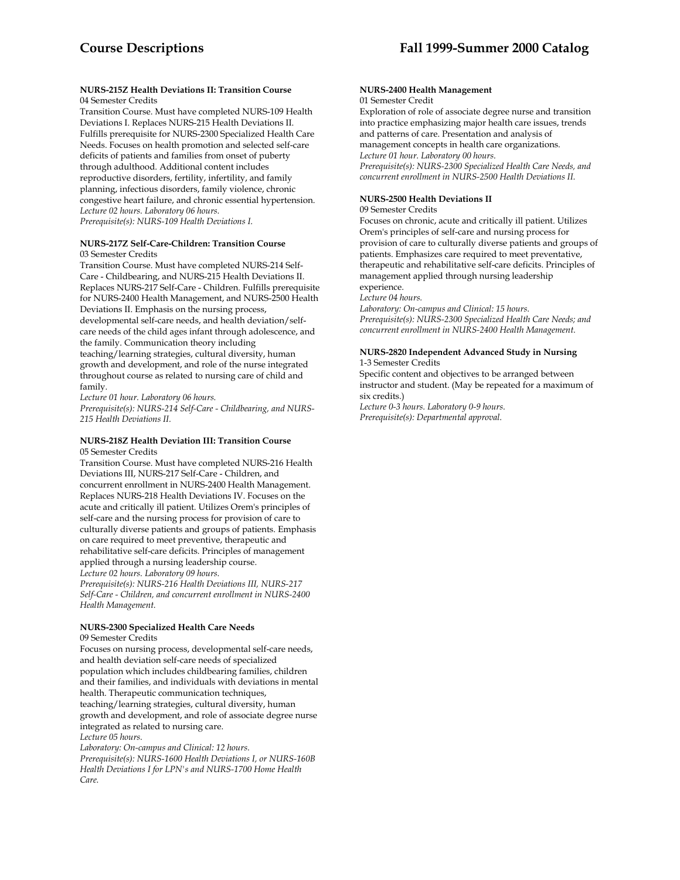### **NURS-215Z Health Deviations II: Transition Course**  04 Semester Credits

Transition Course. Must have completed NURS-109 Health Deviations I. Replaces NURS-215 Health Deviations II. Fulfills prerequisite for NURS-2300 Specialized Health Care Needs. Focuses on health promotion and selected self-care deficits of patients and families from onset of puberty through adulthood. Additional content includes reproductive disorders, fertility, infertility, and family planning, infectious disorders, family violence, chronic congestive heart failure, and chronic essential hypertension. *Lecture 02 hours. Laboratory 06 hours.* 

*Prerequisite(s): NURS-109 Health Deviations I.* 

# **NURS-217Z Self-Care-Children: Transition Course**  03 Semester Credits

Transition Course. Must have completed NURS-214 Self-Care - Childbearing, and NURS-215 Health Deviations II. Replaces NURS-217 Self-Care - Children. Fulfills prerequisite for NURS-2400 Health Management, and NURS-2500 Health Deviations II. Emphasis on the nursing process, developmental self-care needs, and health deviation/selfcare needs of the child ages infant through adolescence, and the family. Communication theory including teaching/learning strategies, cultural diversity, human growth and development, and role of the nurse integrated throughout course as related to nursing care of child and family.

*Lecture 01 hour. Laboratory 06 hours.* 

*Prerequisite(s): NURS-214 Self-Care - Childbearing, and NURS-215 Health Deviations II.* 

#### **NURS-218Z Health Deviation III: Transition Course**  05 Semester Credits

Transition Course. Must have completed NURS-216 Health Deviations III, NURS-217 Self-Care - Children, and concurrent enrollment in NURS-2400 Health Management. Replaces NURS-218 Health Deviations IV. Focuses on the acute and critically ill patient. Utilizes Orem's principles of self-care and the nursing process for provision of care to culturally diverse patients and groups of patients. Emphasis on care required to meet preventive, therapeutic and rehabilitative self-care deficits. Principles of management applied through a nursing leadership course.

*Lecture 02 hours. Laboratory 09 hours.* 

*Prerequisite(s): NURS-216 Health Deviations III, NURS-217 Self-Care - Children, and concurrent enrollment in NURS-2400 Health Management.* 

# **NURS-2300 Specialized Health Care Needs**

09 Semester Credits

Focuses on nursing process, developmental self-care needs, and health deviation self-care needs of specialized population which includes childbearing families, children and their families, and individuals with deviations in mental health. Therapeutic communication techniques, teaching/learning strategies, cultural diversity, human growth and development, and role of associate degree nurse integrated as related to nursing care. *Lecture 05 hours.* 

*Laboratory: On-campus and Clinical: 12 hours. Prerequisite(s): NURS-1600 Health Deviations I, or NURS-160B Health Deviations I for LPN's and NURS-1700 Home Health Care.* 

#### **NURS-2400 Health Management**  01 Semester Credit

Exploration of role of associate degree nurse and transition into practice emphasizing major health care issues, trends and patterns of care. Presentation and analysis of management concepts in health care organizations. *Lecture 01 hour. Laboratory 00 hours. Prerequisite(s): NURS-2300 Specialized Health Care Needs, and concurrent enrollment in NURS-2500 Health Deviations II.* 

# **NURS-2500 Health Deviations II**

#### 09 Semester Credits

Focuses on chronic, acute and critically ill patient. Utilizes Orem's principles of self-care and nursing process for provision of care to culturally diverse patients and groups of patients. Emphasizes care required to meet preventative, therapeutic and rehabilitative self-care deficits. Principles of management applied through nursing leadership experience.

*Lecture 04 hours.* 

*Laboratory: On-campus and Clinical: 15 hours. Prerequisite(s): NURS-2300 Specialized Health Care Needs; and concurrent enrollment in NURS-2400 Health Management.* 

#### **NURS-2820 Independent Advanced Study in Nursing**  1-3 Semester Credits

Specific content and objectives to be arranged between instructor and student. (May be repeated for a maximum of six credits.)

*Lecture 0-3 hours. Laboratory 0-9 hours. Prerequisite(s): Departmental approval.*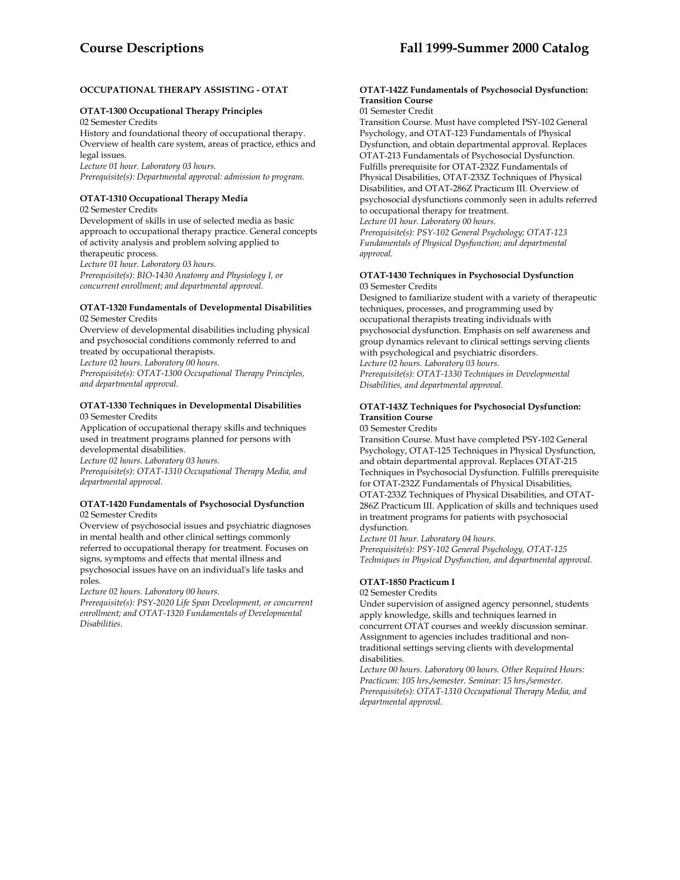# **OCCUPATIONAL THERAPY ASSISTING - OTAT**

# **OTAT-1300 Occupational Therapy Principles**

02 Semester Credits History and foundational theory of occupational therapy. Overview of health care system, areas of practice, ethics and legal issues.

*Lecture 01 hour. Laboratory 03 hours.* 

*Prerequisite(s): Departmental approval: admission to program.* 

# **OTAT-1310 Occupational Therapy Media**

02 Semester Credits

Development of skills in use of selected media as basic approach to occupational therapy practice. General concepts of activity analysis and problem solving applied to therapeutic process. *Lecture 01 hour. Laboratory 03 hours. Prerequisite(s): BIO-1430 Anatomy and Physiology I, or concurrent enrollment; and departmental approval.* 

#### **OTAT-1320 Fundamentals of Developmental Disabilities**  02 Semester Credits

Overview of developmental disabilities including physical and psychosocial conditions commonly referred to and treated by occupational therapists.

*Lecture 02 hours. Laboratory 00 hours.* 

*Prerequisite(s): OTAT-1300 Occupational Therapy Principles, and departmental approval.* 

#### **OTAT-1330 Techniques in Developmental Disabilities**  03 Semester Credits

Application of occupational therapy skills and techniques used in treatment programs planned for persons with developmental disabilities.

*Lecture 02 hours. Laboratory 03 hours.* 

*Prerequisite(s): OTAT-1310 Occupational Therapy Media, and departmental approval.* 

#### **OTAT-1420 Fundamentals of Psychosocial Dysfunction**  02 Semester Credits

Overview of psychosocial issues and psychiatric diagnoses in mental health and other clinical settings commonly referred to occupational therapy for treatment. Focuses on signs, symptoms and effects that mental illness and psychosocial issues have on an individual's life tasks and roles.

*Lecture 02 hours. Laboratory 00 hours.* 

*Prerequisite(s): PSY-2020 Life Span Development, or concurrent enrollment; and OTAT-1320 Fundamentals of Developmental Disabilities.* 

# **OTAT-142Z Fundamentals of Psychosocial Dysfunction: Transition Course**

01 Semester Credit

Transition Course. Must have completed PSY-102 General Psychology, and OTAT-123 Fundamentals of Physical Dysfunction, and obtain departmental approval. Replaces OTAT-213 Fundamentals of Psychosocial Dysfunction. Fulfills prerequisite for OTAT-232Z Fundamentals of Physical Disabilities, OTAT-233Z Techniques of Physical Disabilities, and OTAT-286Z Practicum III. Overview of psychosocial dysfunctions commonly seen in adults referred to occupational therapy for treatment.

*Lecture 01 hour. Laboratory 00 hours.* 

*Prerequisite(s): PSY-102 General Psychology; OTAT-123 Fundamentals of Physical Dysfunction; and departmental approval.* 

# **OTAT-1430 Techniques in Psychosocial Dysfunction**  03 Semester Credits

Designed to familiarize student with a variety of therapeutic techniques, processes, and programming used by occupational therapists treating individuals with psychosocial dysfunction. Emphasis on self awareness and group dynamics relevant to clinical settings serving clients with psychological and psychiatric disorders. *Lecture 02 hours. Laboratory 03 hours.* 

*Prerequisite(s): OTAT-1330 Techniques in Developmental Disabilities, and departmental approval.* 

# **OTAT-143Z Techniques for Psychosocial Dysfunction: Transition Course**

03 Semester Credits

Transition Course. Must have completed PSY-102 General Psychology, OTAT-125 Techniques in Physical Dysfunction, and obtain departmental approval. Replaces OTAT-215 Techniques in Psychosocial Dysfunction. Fulfills prerequisite for OTAT-232Z Fundamentals of Physical Disabilities, OTAT-233Z Techniques of Physical Disabilities, and OTAT-286Z Practicum III. Application of skills and techniques used in treatment programs for patients with psychosocial dysfunction.

*Lecture 01 hour. Laboratory 04 hours.* 

*Prerequisite(s): PSY-102 General Psychology, OTAT-125 Techniques in Physical Dysfunction, and departmental approval.* 

# **OTAT-1850 Practicum I**

02 Semester Credits

Under supervision of assigned agency personnel, students apply knowledge, skills and techniques learned in concurrent OTAT courses and weekly discussion seminar. Assignment to agencies includes traditional and nontraditional settings serving clients with developmental disabilities.

*Lecture 00 hours. Laboratory 00 hours. Other Required Hours: Practicum: 105 hrs./semester. Seminar: 15 hrs./semester. Prerequisite(s): OTAT-1310 Occupational Therapy Media, and departmental approval.*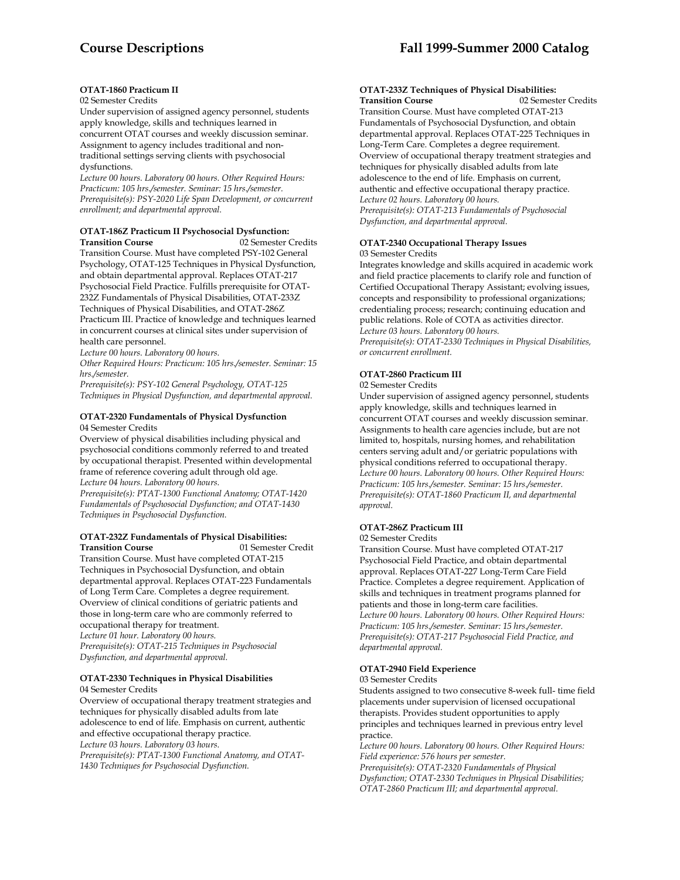# **OTAT-1860 Practicum II**

# 02 Semester Credits

Under supervision of assigned agency personnel, students apply knowledge, skills and techniques learned in concurrent OTAT courses and weekly discussion seminar. Assignment to agency includes traditional and nontraditional settings serving clients with psychosocial dysfunctions.

*Lecture 00 hours. Laboratory 00 hours. Other Required Hours: Practicum: 105 hrs./semester. Seminar: 15 hrs./semester. Prerequisite(s): PSY-2020 Life Span Development, or concurrent enrollment; and departmental approval.* 

# **OTAT-186Z Practicum II Psychosocial Dysfunction: Transition Course 1988** 12 Semester Credits

Transition Course. Must have completed PSY-102 General Psychology, OTAT-125 Techniques in Physical Dysfunction, and obtain departmental approval. Replaces OTAT-217 Psychosocial Field Practice. Fulfills prerequisite for OTAT-232Z Fundamentals of Physical Disabilities, OTAT-233Z Techniques of Physical Disabilities, and OTAT-286Z Practicum III. Practice of knowledge and techniques learned in concurrent courses at clinical sites under supervision of health care personnel.

*Lecture 00 hours. Laboratory 00 hours.* 

*Other Required Hours: Practicum: 105 hrs./semester. Seminar: 15 hrs./semester.* 

*Prerequisite(s): PSY-102 General Psychology, OTAT-125 Techniques in Physical Dysfunction, and departmental approval.* 

# **OTAT-2320 Fundamentals of Physical Dysfunction**

04 Semester Credits

Overview of physical disabilities including physical and psychosocial conditions commonly referred to and treated by occupational therapist. Presented within developmental frame of reference covering adult through old age. *Lecture 04 hours. Laboratory 00 hours.* 

*Prerequisite(s): PTAT-1300 Functional Anatomy; OTAT-1420 Fundamentals of Psychosocial Dysfunction; and OTAT-1430 Techniques in Psychosocial Dysfunction.* 

# **OTAT-232Z Fundamentals of Physical Disabilities: Transition Course** 01 Semester Credit

Transition Course. Must have completed OTAT-215 Techniques in Psychosocial Dysfunction, and obtain departmental approval. Replaces OTAT-223 Fundamentals of Long Term Care. Completes a degree requirement. Overview of clinical conditions of geriatric patients and those in long-term care who are commonly referred to occupational therapy for treatment. *Lecture 01 hour. Laboratory 00 hours. Prerequisite(s): OTAT-215 Techniques in Psychosocial Dysfunction, and departmental approval.* 

#### **OTAT-2330 Techniques in Physical Disabilities**  04 Semester Credits

Overview of occupational therapy treatment strategies and techniques for physically disabled adults from late adolescence to end of life. Emphasis on current, authentic and effective occupational therapy practice. *Lecture 03 hours. Laboratory 03 hours.* 

*Prerequisite(s): PTAT-1300 Functional Anatomy, and OTAT-1430 Techniques for Psychosocial Dysfunction.* 

# **OTAT-233Z Techniques of Physical Disabilities:**

**Transition Course** 02 Semester Credits Transition Course. Must have completed OTAT-213 Fundamentals of Psychosocial Dysfunction, and obtain departmental approval. Replaces OTAT-225 Techniques in Long-Term Care. Completes a degree requirement. Overview of occupational therapy treatment strategies and techniques for physically disabled adults from late adolescence to the end of life. Emphasis on current, authentic and effective occupational therapy practice. *Lecture 02 hours. Laboratory 00 hours. Prerequisite(s): OTAT-213 Fundamentals of Psychosocial Dysfunction, and departmental approval.* 

# **OTAT-2340 Occupational Therapy Issues**  03 Semester Credits

Integrates knowledge and skills acquired in academic work and field practice placements to clarify role and function of Certified Occupational Therapy Assistant; evolving issues, concepts and responsibility to professional organizations; credentialing process; research; continuing education and public relations. Role of COTA as activities director. *Lecture 03 hours. Laboratory 00 hours.* 

*Prerequisite(s): OTAT-2330 Techniques in Physical Disabilities, or concurrent enrollment.* 

# **OTAT-2860 Practicum III**

#### 02 Semester Credits

Under supervision of assigned agency personnel, students apply knowledge, skills and techniques learned in concurrent OTAT courses and weekly discussion seminar. Assignments to health care agencies include, but are not limited to, hospitals, nursing homes, and rehabilitation centers serving adult and/or geriatric populations with physical conditions referred to occupational therapy. *Lecture 00 hours. Laboratory 00 hours. Other Required Hours: Practicum: 105 hrs./semester. Seminar: 15 hrs./semester. Prerequisite(s): OTAT-1860 Practicum II, and departmental approval.* 

# **OTAT-286Z Practicum III**

#### 02 Semester Credits

Transition Course. Must have completed OTAT-217 Psychosocial Field Practice, and obtain departmental approval. Replaces OTAT-227 Long-Term Care Field Practice. Completes a degree requirement. Application of skills and techniques in treatment programs planned for patients and those in long-term care facilities. *Lecture 00 hours. Laboratory 00 hours. Other Required Hours: Practicum: 105 hrs./semester. Seminar: 15 hrs./semester. Prerequisite(s): OTAT-217 Psychosocial Field Practice, and departmental approval.* 

# **OTAT-2940 Field Experience**

03 Semester Credits

Students assigned to two consecutive 8-week full- time field placements under supervision of licensed occupational therapists. Provides student opportunities to apply principles and techniques learned in previous entry level practice.

*Lecture 00 hours. Laboratory 00 hours. Other Required Hours: Field experience: 576 hours per semester.* 

*Prerequisite(s): OTAT-2320 Fundamentals of Physical Dysfunction; OTAT-2330 Techniques in Physical Disabilities; OTAT-2860 Practicum III; and departmental approval.*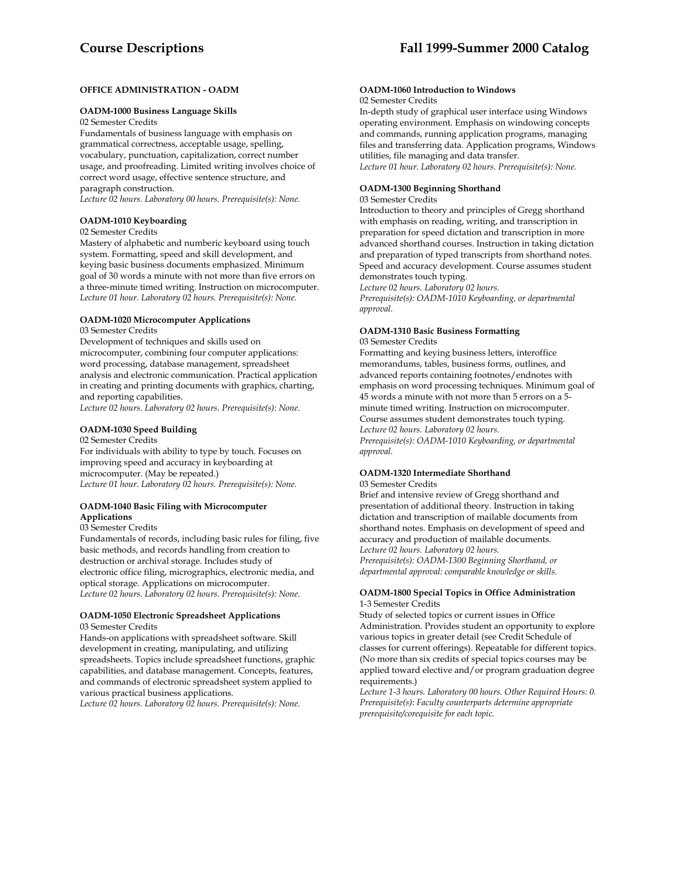# **OFFICE ADMINISTRATION - OADM**

#### **OADM-1000 Business Language Skills**

02 Semester Credits

Fundamentals of business language with emphasis on grammatical correctness, acceptable usage, spelling, vocabulary, punctuation, capitalization, correct number usage, and proofreading. Limited writing involves choice of correct word usage, effective sentence structure, and paragraph construction.

*Lecture 02 hours. Laboratory 00 hours. Prerequisite(s): None.* 

# **OADM-1010 Keyboarding**

#### 02 Semester Credits

Mastery of alphabetic and numberic keyboard using touch system. Formatting, speed and skill development, and keying basic business documents emphasized. Minimum goal of 30 words a minute with not more than five errors on a three-minute timed writing. Instruction on microcomputer. *Lecture 01 hour. Laboratory 02 hours. Prerequisite(s): None.* 

# **OADM-1020 Microcomputer Applications**

03 Semester Credits

Development of techniques and skills used on microcomputer, combining four computer applications: word processing, database management, spreadsheet analysis and electronic communication. Practical application in creating and printing documents with graphics, charting, and reporting capabilities.

*Lecture 02 hours. Laboratory 02 hours. Prerequisite(s): None.* 

# **OADM-1030 Speed Building**

02 Semester Credits

For individuals with ability to type by touch. Focuses on improving speed and accuracy in keyboarding at microcomputer. (May be repeated.) *Lecture 01 hour. Laboratory 02 hours. Prerequisite(s): None.* 

# **OADM-1040 Basic Filing with Microcomputer Applications**

#### 03 Semester Credits

Fundamentals of records, including basic rules for filing, five basic methods, and records handling from creation to destruction or archival storage. Includes study of electronic office filing, micrographics, electronic media, and optical storage. Applications on microcomputer. *Lecture 02 hours. Laboratory 02 hours. Prerequisite(s): None.* 

#### **OADM-1050 Electronic Spreadsheet Applications**  03 Semester Credits

Hands-on applications with spreadsheet software. Skill development in creating, manipulating, and utilizing spreadsheets. Topics include spreadsheet functions, graphic capabilities, and database management. Concepts, features, and commands of electronic spreadsheet system applied to various practical business applications.

*Lecture 02 hours. Laboratory 02 hours. Prerequisite(s): None.* 

# **OADM-1060 Introduction to Windows**

02 Semester Credits

In-depth study of graphical user interface using Windows operating environment. Emphasis on windowing concepts and commands, running application programs, managing files and transferring data. Application programs, Windows utilities, file managing and data transfer. *Lecture 01 hour. Laboratory 02 hours. Prerequisite(s): None.* 

# **OADM-1300 Beginning Shorthand**

#### 03 Semester Credits

Introduction to theory and principles of Gregg shorthand with emphasis on reading, writing, and transcription in preparation for speed dictation and transcription in more advanced shorthand courses. Instruction in taking dictation and preparation of typed transcripts from shorthand notes. Speed and accuracy development. Course assumes student demonstrates touch typing.

*Lecture 02 hours. Laboratory 02 hours.* 

*Prerequisite(s): OADM-1010 Keyboarding, or departmental approval.* 

#### **OADM-1310 Basic Business Formatting**  03 Semester Credits

Formatting and keying business letters, interoffice memorandums, tables, business forms, outlines, and advanced reports containing footnotes/endnotes with emphasis on word processing techniques. Minimum goal of 45 words a minute with not more than 5 errors on a 5 minute timed writing. Instruction on microcomputer. Course assumes student demonstrates touch typing. *Lecture 02 hours. Laboratory 02 hours. Prerequisite(s): OADM-1010 Keyboarding, or departmental approval.* 

# **OADM-1320 Intermediate Shorthand**

#### 03 Semester Credits

Brief and intensive review of Gregg shorthand and presentation of additional theory. Instruction in taking dictation and transcription of mailable documents from shorthand notes. Emphasis on development of speed and accuracy and production of mailable documents. *Lecture 02 hours. Laboratory 02 hours. Prerequisite(s): OADM-1300 Beginning Shorthand, or departmental approval: comparable knowledge or skills.* 

# **OADM-1800 Special Topics in Office Administration** 1-3 Semester Credits

Study of selected topics or current issues in Office Administration. Provides student an opportunity to explore various topics in greater detail (see Credit Schedule of classes for current offerings). Repeatable for different topics. (No more than six credits of special topics courses may be applied toward elective and/or program graduation degree requirements.)

*Lecture 1-3 hours. Laboratory 00 hours. Other Required Hours: 0. Prerequisite(s): Faculty counterparts determine appropriate prerequisite/corequisite for each topic.*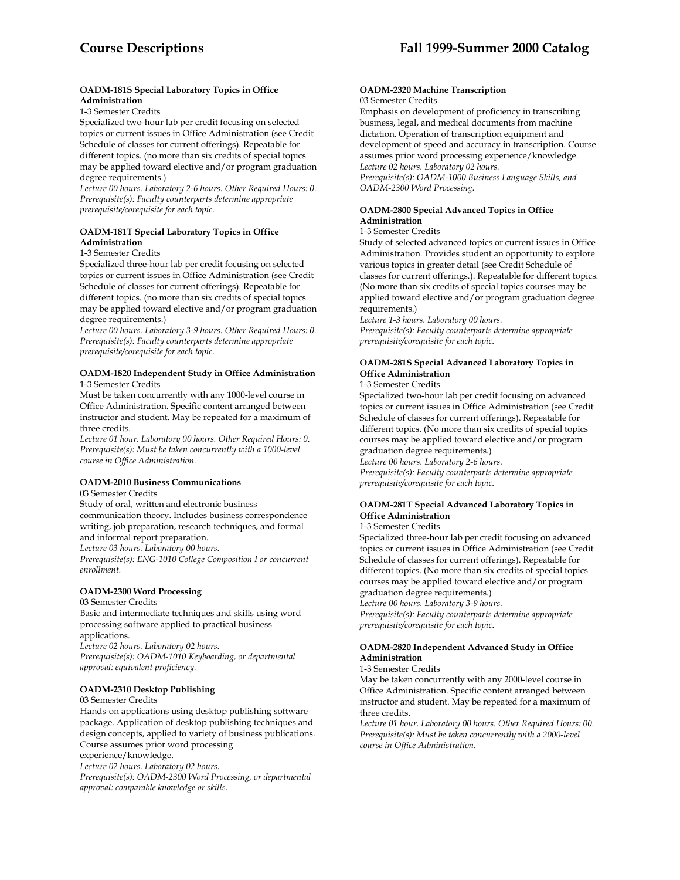# **OADM-181S Special Laboratory Topics in Office Administration**

1-3 Semester Credits

Specialized two-hour lab per credit focusing on selected topics or current issues in Office Administration (see Credit Schedule of classes for current offerings). Repeatable for different topics. (no more than six credits of special topics may be applied toward elective and/or program graduation degree requirements.)

*Lecture 00 hours. Laboratory 2-6 hours. Other Required Hours: 0. Prerequisite(s): Faculty counterparts determine appropriate prerequisite/corequisite for each topic.* 

# **OADM-181T Special Laboratory Topics in Office Administration**

1-3 Semester Credits

Specialized three-hour lab per credit focusing on selected topics or current issues in Office Administration (see Credit Schedule of classes for current offerings). Repeatable for different topics. (no more than six credits of special topics may be applied toward elective and/or program graduation degree requirements.)

*Lecture 00 hours. Laboratory 3-9 hours. Other Required Hours: 0. Prerequisite(s): Faculty counterparts determine appropriate prerequisite/corequisite for each topic.* 

#### **OADM-1820 Independent Study in Office Administration**  1-3 Semester Credits

Must be taken concurrently with any 1000-level course in Office Administration. Specific content arranged between instructor and student. May be repeated for a maximum of three credits.

*Lecture 01 hour. Laboratory 00 hours. Other Required Hours: 0. Prerequisite(s): Must be taken concurrently with a 1000-level course in Office Administration.* 

# **OADM-2010 Business Communications**

03 Semester Credits

Study of oral, written and electronic business communication theory. Includes business correspondence

writing, job preparation, research techniques, and formal and informal report preparation.

*Lecture 03 hours. Laboratory 00 hours.* 

*Prerequisite(s): ENG-1010 College Composition I or concurrent enrollment.* 

# **OADM-2300 Word Processing**

03 Semester Credits

Basic and intermediate techniques and skills using word processing software applied to practical business applications.

*Lecture 02 hours. Laboratory 02 hours.* 

*Prerequisite(s): OADM-1010 Keyboarding, or departmental approval: equivalent proficiency.* 

# **OADM-2310 Desktop Publishing**

03 Semester Credits

Hands-on applications using desktop publishing software package. Application of desktop publishing techniques and design concepts, applied to variety of business publications. Course assumes prior word processing

experience/knowledge.

*Lecture 02 hours. Laboratory 02 hours.* 

*Prerequisite(s): OADM-2300 Word Processing, or departmental approval: comparable knowledge or skills.* 

#### **OADM-2320 Machine Transcription**  03 Semester Credits

Emphasis on development of proficiency in transcribing business, legal, and medical documents from machine dictation. Operation of transcription equipment and development of speed and accuracy in transcription. Course assumes prior word processing experience/knowledge. *Lecture 02 hours. Laboratory 02 hours. Prerequisite(s): OADM-1000 Business Language Skills, and OADM-2300 Word Processing.* 

# **OADM-2800 Special Advanced Topics in Office Administration**

# 1-3 Semester Credits

Study of selected advanced topics or current issues in Office Administration. Provides student an opportunity to explore various topics in greater detail (see Credit Schedule of classes for current offerings.). Repeatable for different topics. (No more than six credits of special topics courses may be applied toward elective and/or program graduation degree requirements.)

*Lecture 1-3 hours. Laboratory 00 hours.* 

*Prerequisite(s): Faculty counterparts determine appropriate prerequisite/corequisite for each topic.* 

# **OADM-281S Special Advanced Laboratory Topics in Office Administration**

# 1-3 Semester Credits

Specialized two-hour lab per credit focusing on advanced topics or current issues in Office Administration (see Credit Schedule of classes for current offerings). Repeatable for different topics. (No more than six credits of special topics courses may be applied toward elective and/or program graduation degree requirements.)

*Lecture 00 hours. Laboratory 2-6 hours. Prerequisite(s): Faculty counterparts determine appropriate prerequisite/corequisite for each topic.* 

# **OADM-281T Special Advanced Laboratory Topics in Office Administration**

# 1-3 Semester Credits

Specialized three-hour lab per credit focusing on advanced topics or current issues in Office Administration (see Credit Schedule of classes for current offerings). Repeatable for different topics. (No more than six credits of special topics courses may be applied toward elective and/or program graduation degree requirements.)

*Lecture 00 hours. Laboratory 3-9 hours. Prerequisite(s): Faculty counterparts determine appropriate prerequisite/corequisite for each topic*.

# **OADM-2820 Independent Advanced Study in Office Administration**

# 1-3 Semester Credits

May be taken concurrently with any 2000-level course in Office Administration. Specific content arranged between instructor and student. May be repeated for a maximum of three credits.

*Lecture 01 hour. Laboratory 00 hours. Other Required Hours: 00. Prerequisite(s): Must be taken concurrently with a 2000-level course in Office Administration.*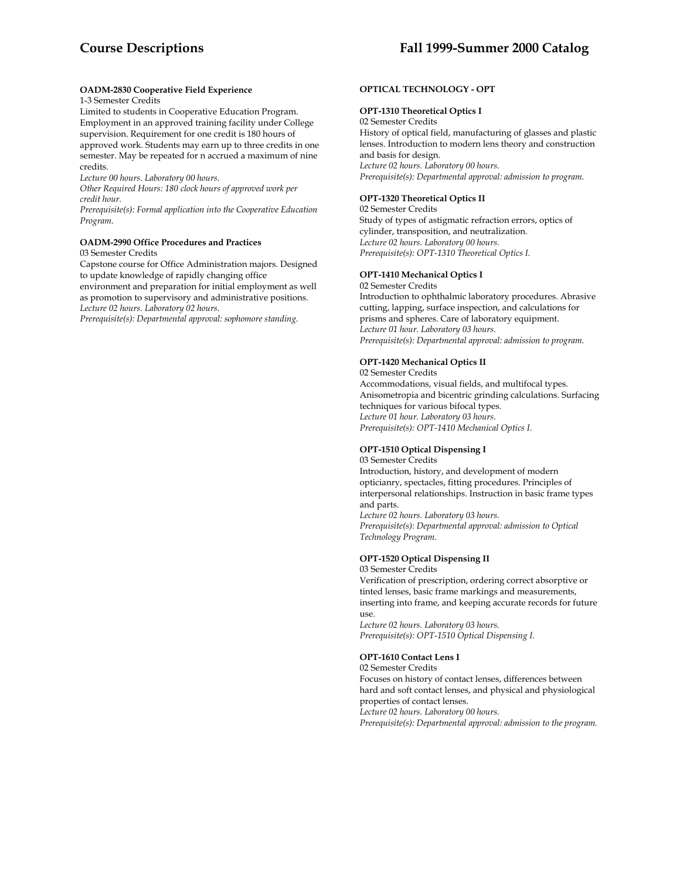# **OADM-2830 Cooperative Field Experience**

# 1-3 Semester Credits

Limited to students in Cooperative Education Program. Employment in an approved training facility under College supervision. Requirement for one credit is 180 hours of approved work. Students may earn up to three credits in one semester. May be repeated for n accrued a maximum of nine credits.

*Lecture 00 hours. Laboratory 00 hours.* 

*Other Required Hours: 180 clock hours of approved work per credit hour.* 

*Prerequisite(s): Formal application into the Cooperative Education Program.* 

#### **OADM-2990 Office Procedures and Practices**  03 Semester Credits

Capstone course for Office Administration majors. Designed to update knowledge of rapidly changing office

environment and preparation for initial employment as well as promotion to supervisory and administrative positions. *Lecture 02 hours. Laboratory 02 hours.* 

*Prerequisite(s): Departmental approval: sophomore standing.* 

# **OPTICAL TECHNOLOGY - OPT**

# **OPT-1310 Theoretical Optics I**

02 Semester Credits

History of optical field, manufacturing of glasses and plastic lenses. Introduction to modern lens theory and construction and basis for design. *Lecture 02 hours. Laboratory 00 hours.* 

*Prerequisite(s): Departmental approval: admission to program.* 

# **OPT-1320 Theoretical Optics II**

02 Semester Credits Study of types of astigmatic refraction errors, optics of cylinder, transposition, and neutralization. *Lecture 02 hours. Laboratory 00 hours. Prerequisite(s): OPT-1310 Theoretical Optics I.* 

# **OPT-1410 Mechanical Optics I**

02 Semester Credits

Introduction to ophthalmic laboratory procedures. Abrasive cutting, lapping, surface inspection, and calculations for prisms and spheres. Care of laboratory equipment. *Lecture 01 hour. Laboratory 03 hours. Prerequisite(s): Departmental approval: admission to program.* 

# **OPT-1420 Mechanical Optics II**

02 Semester Credits Accommodations, visual fields, and multifocal types.

Anisometropia and bicentric grinding calculations. Surfacing techniques for various bifocal types. *Lecture 01 hour. Laboratory 03 hours. Prerequisite(s): OPT-1410 Mechanical Optics I.* 

# **OPT-1510 Optical Dispensing I**

03 Semester Credits

Introduction, history, and development of modern opticianry, spectacles, fitting procedures. Principles of interpersonal relationships. Instruction in basic frame types and parts.

*Lecture 02 hours. Laboratory 03 hours. Prerequisite(s): Departmental approval: admission to Optical Technology Program.* 

# **OPT-1520 Optical Dispensing II**

03 Semester Credits

Verification of prescription, ordering correct absorptive or tinted lenses, basic frame markings and measurements, inserting into frame, and keeping accurate records for future use.

*Lecture 02 hours. Laboratory 03 hours. Prerequisite(s): OPT-1510 Optical Dispensing I.* 

#### **OPT-1610 Contact Lens I**

02 Semester Credits Focuses on history of contact lenses, differences between hard and soft contact lenses, and physical and physiological properties of contact lenses. *Lecture 02 hours. Laboratory 00 hours. Prerequisite(s): Departmental approval: admission to the program.*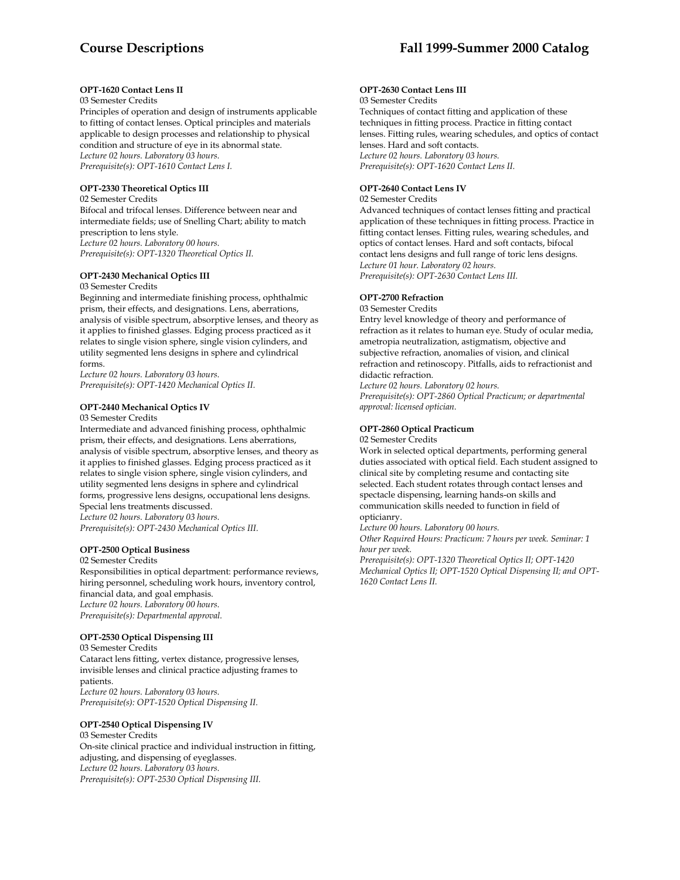# **OPT-1620 Contact Lens II**

# 03 Semester Credits

Principles of operation and design of instruments applicable to fitting of contact lenses. Optical principles and materials applicable to design processes and relationship to physical condition and structure of eye in its abnormal state. *Lecture 02 hours. Laboratory 03 hours. Prerequisite(s): OPT-1610 Contact Lens I.* 

# **OPT-2330 Theoretical Optics III**

02 Semester Credits Bifocal and trifocal lenses. Difference between near and intermediate fields; use of Snelling Chart; ability to match prescription to lens style. *Lecture 02 hours. Laboratory 00 hours. Prerequisite(s): OPT-1320 Theoretical Optics II.* 

# **OPT-2430 Mechanical Optics III**

#### 03 Semester Credits

Beginning and intermediate finishing process, ophthalmic prism, their effects, and designations. Lens, aberrations, analysis of visible spectrum, absorptive lenses, and theory as it applies to finished glasses. Edging process practiced as it relates to single vision sphere, single vision cylinders, and utility segmented lens designs in sphere and cylindrical forms.

*Lecture 02 hours. Laboratory 03 hours. Prerequisite(s): OPT-1420 Mechanical Optics II.* 

#### **OPT-2440 Mechanical Optics IV**

#### 03 Semester Credits

Intermediate and advanced finishing process, ophthalmic prism, their effects, and designations. Lens aberrations, analysis of visible spectrum, absorptive lenses, and theory as it applies to finished glasses. Edging process practiced as it relates to single vision sphere, single vision cylinders, and utility segmented lens designs in sphere and cylindrical forms, progressive lens designs, occupational lens designs. Special lens treatments discussed. *Lecture 02 hours. Laboratory 03 hours.* 

*Prerequisite(s): OPT-2430 Mechanical Optics III.* 

# **OPT-2500 Optical Business**

02 Semester Credits

Responsibilities in optical department: performance reviews, hiring personnel, scheduling work hours, inventory control, financial data, and goal emphasis. *Lecture 02 hours. Laboratory 00 hours. Prerequisite(s): Departmental approval.* 

# **OPT-2530 Optical Dispensing III**

03 Semester Credits Cataract lens fitting, vertex distance, progressive lenses, invisible lenses and clinical practice adjusting frames to patients. *Lecture 02 hours. Laboratory 03 hours. Prerequisite(s): OPT-1520 Optical Dispensing II.* 

#### **OPT-2540 Optical Dispensing IV**

03 Semester Credits On-site clinical practice and individual instruction in fitting, adjusting, and dispensing of eyeglasses. *Lecture 02 hours. Laboratory 03 hours. Prerequisite(s): OPT-2530 Optical Dispensing III.* 

# **OPT-2630 Contact Lens III**

#### 03 Semester Credits

Techniques of contact fitting and application of these techniques in fitting process. Practice in fitting contact lenses. Fitting rules, wearing schedules, and optics of contact lenses. Hard and soft contacts. *Lecture 02 hours. Laboratory 03 hours. Prerequisite(s): OPT-1620 Contact Lens II.* 

# **OPT-2640 Contact Lens IV**

#### 02 Semester Credits

Advanced techniques of contact lenses fitting and practical application of these techniques in fitting process. Practice in fitting contact lenses. Fitting rules, wearing schedules, and optics of contact lenses. Hard and soft contacts, bifocal contact lens designs and full range of toric lens designs. *Lecture 01 hour. Laboratory 02 hours. Prerequisite(s): OPT-2630 Contact Lens III.* 

#### **OPT-2700 Refraction**

03 Semester Credits

Entry level knowledge of theory and performance of refraction as it relates to human eye. Study of ocular media, ametropia neutralization, astigmatism, objective and subjective refraction, anomalies of vision, and clinical refraction and retinoscopy. Pitfalls, aids to refractionist and didactic refraction.

*Lecture 02 hours. Laboratory 02 hours. Prerequisite(s): OPT-2860 Optical Practicum; or departmental approval: licensed optician.* 

# **OPT-2860 Optical Practicum**

02 Semester Credits

Work in selected optical departments, performing general duties associated with optical field. Each student assigned to clinical site by completing resume and contacting site selected. Each student rotates through contact lenses and spectacle dispensing, learning hands-on skills and communication skills needed to function in field of opticianry.

*Lecture 00 hours. Laboratory 00 hours.* 

*Other Required Hours: Practicum: 7 hours per week. Seminar: 1 hour per week.* 

*Prerequisite(s): OPT-1320 Theoretical Optics II; OPT-1420 Mechanical Optics II; OPT-1520 Optical Dispensing II; and OPT-1620 Contact Lens II.*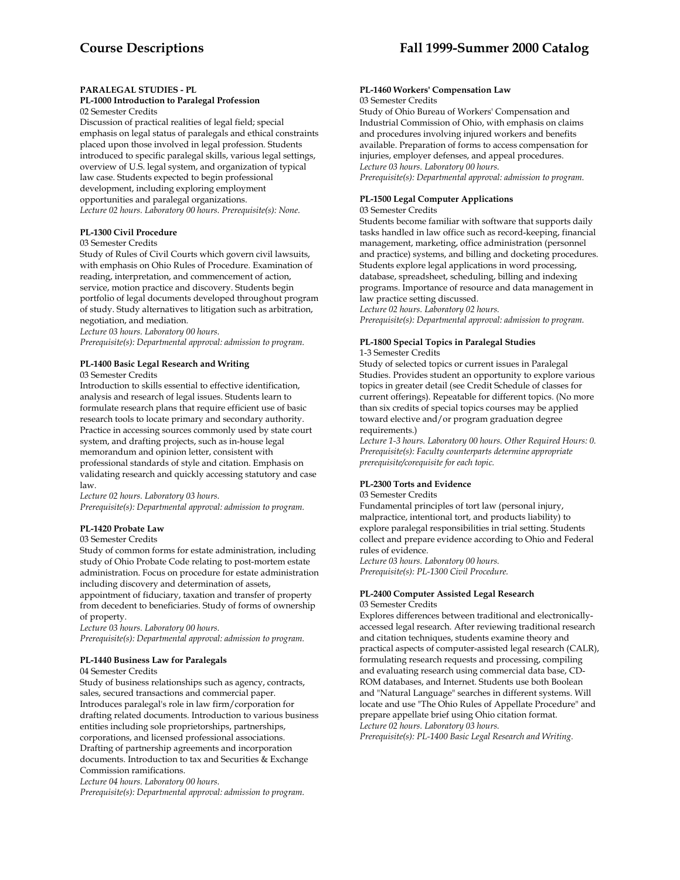# **PARALEGAL STUDIES - PL**

#### **PL-1000 Introduction to Paralegal Profession** 02 Semester Credits

Discussion of practical realities of legal field; special emphasis on legal status of paralegals and ethical constraints placed upon those involved in legal profession. Students introduced to specific paralegal skills, various legal settings, overview of U.S. legal system, and organization of typical law case. Students expected to begin professional development, including exploring employment opportunities and paralegal organizations. *Lecture 02 hours. Laboratory 00 hours. Prerequisite(s): None.* 

# **PL-1300 Civil Procedure**

# 03 Semester Credits

Study of Rules of Civil Courts which govern civil lawsuits, with emphasis on Ohio Rules of Procedure. Examination of reading, interpretation, and commencement of action, service, motion practice and discovery. Students begin portfolio of legal documents developed throughout program of study. Study alternatives to litigation such as arbitration, negotiation, and mediation.

*Lecture 03 hours. Laboratory 00 hours.* 

*Prerequisite(s): Departmental approval: admission to program.* 

# **PL-1400 Basic Legal Research and Writing**

03 Semester Credits

Introduction to skills essential to effective identification, analysis and research of legal issues. Students learn to formulate research plans that require efficient use of basic research tools to locate primary and secondary authority. Practice in accessing sources commonly used by state court system, and drafting projects, such as in-house legal memorandum and opinion letter, consistent with professional standards of style and citation. Emphasis on validating research and quickly accessing statutory and case law.

*Lecture 02 hours. Laboratory 03 hours. Prerequisite(s): Departmental approval: admission to program.* 

# **PL-1420 Probate Law**

# 03 Semester Credits

Study of common forms for estate administration, including study of Ohio Probate Code relating to post-mortem estate administration. Focus on procedure for estate administration including discovery and determination of assets, appointment of fiduciary, taxation and transfer of property from decedent to beneficiaries. Study of forms of ownership of property.

*Lecture 03 hours. Laboratory 00 hours.* 

*Prerequisite(s): Departmental approval: admission to program.* 

# **PL-1440 Business Law for Paralegals**

04 Semester Credits

Study of business relationships such as agency, contracts, sales, secured transactions and commercial paper. Introduces paralegal's role in law firm/corporation for drafting related documents. Introduction to various business entities including sole proprietorships, partnerships, corporations, and licensed professional associations. Drafting of partnership agreements and incorporation documents. Introduction to tax and Securities & Exchange Commission ramifications.

*Lecture 04 hours. Laboratory 00 hours.* 

*Prerequisite(s): Departmental approval: admission to program.* 

# **PL-1460 Workers' Compensation Law**

# 03 Semester Credits

Study of Ohio Bureau of Workers' Compensation and Industrial Commission of Ohio, with emphasis on claims and procedures involving injured workers and benefits available. Preparation of forms to access compensation for injuries, employer defenses, and appeal procedures. *Lecture 03 hours. Laboratory 00 hours. Prerequisite(s): Departmental approval: admission to program.* 

# **PL-1500 Legal Computer Applications**

# 03 Semester Credits

Students become familiar with software that supports daily tasks handled in law office such as record-keeping, financial management, marketing, office administration (personnel and practice) systems, and billing and docketing procedures. Students explore legal applications in word processing, database, spreadsheet, scheduling, billing and indexing programs. Importance of resource and data management in law practice setting discussed. *Lecture 02 hours. Laboratory 02 hours.* 

*Prerequisite(s): Departmental approval: admission to program.* 

# **PL-1800 Special Topics in Paralegal Studies**

# 1-3 Semester Credits

Study of selected topics or current issues in Paralegal Studies. Provides student an opportunity to explore various topics in greater detail (see Credit Schedule of classes for current offerings). Repeatable for different topics. (No more than six credits of special topics courses may be applied toward elective and/or program graduation degree requirements.)

*Lecture 1-3 hours. Laboratory 00 hours. Other Required Hours: 0. Prerequisite(s): Faculty counterparts determine appropriate prerequisite/corequisite for each topic.* 

# **PL-2300 Torts and Evidence**

03 Semester Credits

Fundamental principles of tort law (personal injury, malpractice, intentional tort, and products liability) to explore paralegal responsibilities in trial setting. Students collect and prepare evidence according to Ohio and Federal rules of evidence.

*Lecture 03 hours. Laboratory 00 hours. Prerequisite(s): PL-1300 Civil Procedure.* 

# **PL-2400 Computer Assisted Legal Research**

#### 03 Semester Credits

Explores differences between traditional and electronicallyaccessed legal research. After reviewing traditional research and citation techniques, students examine theory and practical aspects of computer-assisted legal research (CALR), formulating research requests and processing, compiling and evaluating research using commercial data base, CD-ROM databases, and Internet. Students use both Boolean and "Natural Language" searches in different systems. Will locate and use "The Ohio Rules of Appellate Procedure" and prepare appellate brief using Ohio citation format. *Lecture 02 hours. Laboratory 03 hours.* 

*Prerequisite(s): PL-1400 Basic Legal Research and Writing.*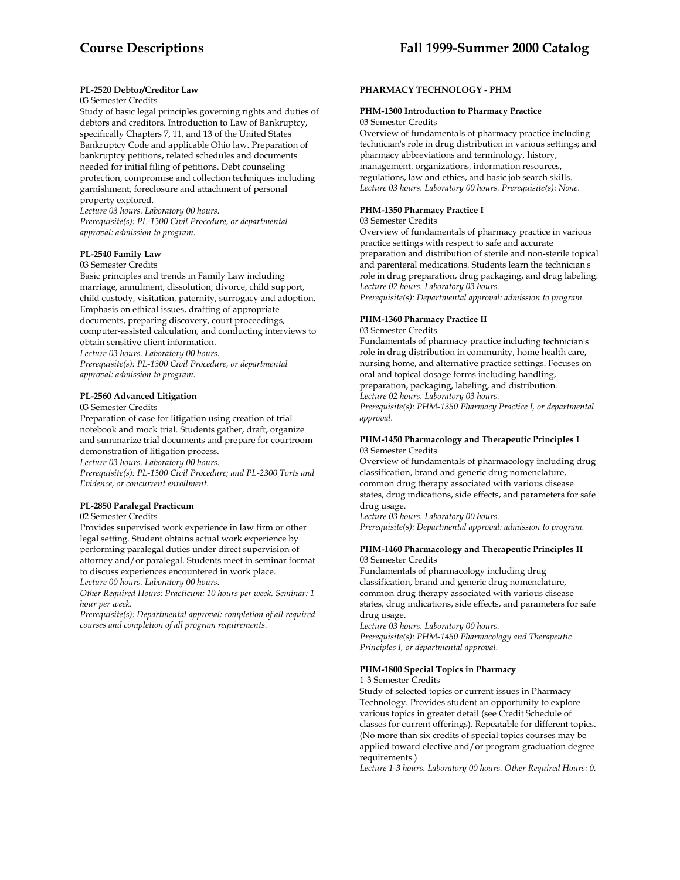# **PL-2520 Debtor/Creditor Law**

# 03 Semester Credits

Study of basic legal principles governing rights and duties of debtors and creditors. Introduction to Law of Bankruptcy, specifically Chapters 7, 11, and 13 of the United States Bankruptcy Code and applicable Ohio law. Preparation of bankruptcy petitions, related schedules and documents needed for initial filing of petitions. Debt counseling protection, compromise and collection techniques including garnishment, foreclosure and attachment of personal property explored.

*Lecture 03 hours. Laboratory 00 hours. Prerequisite(s): PL-1300 Civil Procedure, or departmental approval: admission to program.* 

# **PL-2540 Family Law**

#### 03 Semester Credits

Basic principles and trends in Family Law including marriage, annulment, dissolution, divorce, child support, child custody, visitation, paternity, surrogacy and adoption. Emphasis on ethical issues, drafting of appropriate documents, preparing discovery, court proceedings, computer-assisted calculation, and conducting interviews to obtain sensitive client information. *Lecture 03 hours. Laboratory 00 hours. Prerequisite(s): PL-1300 Civil Procedure, or departmental approval: admission to program.* 

# **PL-2560 Advanced Litigation**

03 Semester Credits

Preparation of case for litigation using creation of trial notebook and mock trial. Students gather, draft, organize and summarize trial documents and prepare for courtroom demonstration of litigation process. *Lecture 03 hours. Laboratory 00 hours.* 

*Prerequisite(s): PL-1300 Civil Procedure; and PL-2300 Torts and Evidence, or concurrent enrollment.* 

# **PL-2850 Paralegal Practicum**

02 Semester Credits

Provides supervised work experience in law firm or other legal setting. Student obtains actual work experience by performing paralegal duties under direct supervision of attorney and/or paralegal. Students meet in seminar format to discuss experiences encountered in work place. *Lecture 00 hours. Laboratory 00 hours.* 

*Other Required Hours: Practicum: 10 hours per week. Seminar: 1 hour per week.* 

*Prerequisite(s): Departmental approval: completion of all required courses and completion of all program requirements.* 

# **PHARMACY TECHNOLOGY - PHM**

#### **PHM-1300 Introduction to Pharmacy Practice**  03 Semester Credits

Overview of fundamentals of pharmacy practice including technician's role in drug distribution in various settings; and pharmacy abbreviations and terminology, history, management, organizations, information resources, regulations, law and ethics, and basic job search skills. *Lecture 03 hours. Laboratory 00 hours. Prerequisite(s): None.* 

# **PHM-1350 Pharmacy Practice I**

03 Semester Credits

Overview of fundamentals of pharmacy practice in various practice settings with respect to safe and accurate preparation and distribution of sterile and non-sterile topical and parenteral medications. Students learn the technician's role in drug preparation, drug packaging, and drug labeling. *Lecture 02 hours. Laboratory 03 hours.* 

*Prerequisite(s): Departmental approval: admission to program.* 

# **PHM-1360 Pharmacy Practice II**

03 Semester Credits

Fundamentals of pharmacy practice including technician's role in drug distribution in community, home health care, nursing home, and alternative practice settings. Focuses on oral and topical dosage forms including handling, preparation, packaging, labeling, and distribution. *Lecture 02 hours. Laboratory 03 hours. Prerequisite(s): PHM-1350 Pharmacy Practice I, or departmental approval.* 

#### **PHM-1450 Pharmacology and Therapeutic Principles I**  03 Semester Credits

Overview of fundamentals of pharmacology including drug classification, brand and generic drug nomenclature, common drug therapy associated with various disease states, drug indications, side effects, and parameters for safe drug usage.

*Lecture 03 hours. Laboratory 00 hours. Prerequisite(s): Departmental approval: admission to program.* 

# **PHM-1460 Pharmacology and Therapeutic Principles II** 03 Semester Credits

Fundamentals of pharmacology including drug classification, brand and generic drug nomenclature, common drug therapy associated with various disease states, drug indications, side effects, and parameters for safe drug usage.

*Lecture 03 hours. Laboratory 00 hours. Prerequisite(s): PHM-1450 Pharmacology and Therapeutic Principles I, or departmental approval.* 

# **PHM-1800 Special Topics in Pharmacy**

1-3 Semester Credits

Study of selected topics or current issues in Pharmacy Technology. Provides student an opportunity to explore various topics in greater detail (see Credit Schedule of classes for current offerings). Repeatable for different topics. (No more than six credits of special topics courses may be applied toward elective and/or program graduation degree requirements.)

*Lecture 1-3 hours. Laboratory 00 hours. Other Required Hours: 0.*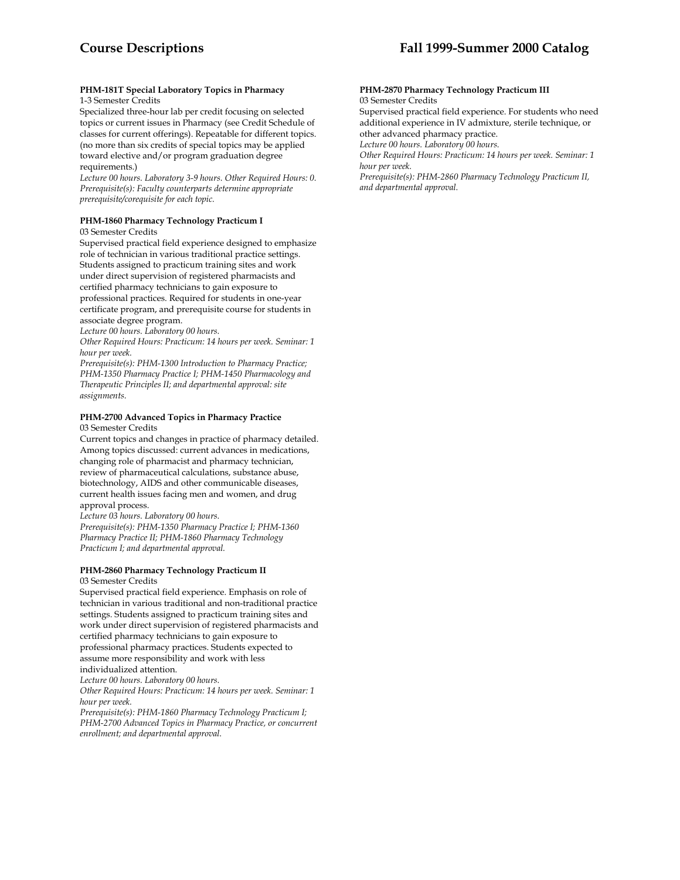#### **PHM-181T Special Laboratory Topics in Pharmacy**  1-3 Semester Credits

Specialized three-hour lab per credit focusing on selected topics or current issues in Pharmacy (see Credit Schedule of classes for current offerings). Repeatable for different topics. (no more than six credits of special topics may be applied toward elective and/or program graduation degree requirements.)

*Lecture 00 hours. Laboratory 3-9 hours. Other Required Hours: 0. Prerequisite(s): Faculty counterparts determine appropriate prerequisite/corequisite for each topic.* 

# **PHM-1860 Pharmacy Technology Practicum I**

03 Semester Credits

Supervised practical field experience designed to emphasize role of technician in various traditional practice settings. Students assigned to practicum training sites and work under direct supervision of registered pharmacists and certified pharmacy technicians to gain exposure to professional practices. Required for students in one-year certificate program, and prerequisite course for students in associate degree program.

*Lecture 00 hours. Laboratory 00 hours.* 

*Other Required Hours: Practicum: 14 hours per week. Seminar: 1 hour per week.* 

*Prerequisite(s): PHM-1300 Introduction to Pharmacy Practice; PHM-1350 Pharmacy Practice I; PHM-1450 Pharmacology and Therapeutic Principles II; and departmental approval: site assignments.* 

# **PHM-2700 Advanced Topics in Pharmacy Practice**

03 Semester Credits

Current topics and changes in practice of pharmacy detailed. Among topics discussed: current advances in medications, changing role of pharmacist and pharmacy technician, review of pharmaceutical calculations, substance abuse, biotechnology, AIDS and other communicable diseases, current health issues facing men and women, and drug approval process.

*Lecture 03 hours. Laboratory 00 hours. Prerequisite(s): PHM-1350 Pharmacy Practice I; PHM-1360 Pharmacy Practice II; PHM-1860 Pharmacy Technology* 

*Practicum I; and departmental approval.* 

# **PHM-2860 Pharmacy Technology Practicum II**

03 Semester Credits

Supervised practical field experience. Emphasis on role of technician in various traditional and non-traditional practice settings. Students assigned to practicum training sites and work under direct supervision of registered pharmacists and certified pharmacy technicians to gain exposure to professional pharmacy practices. Students expected to assume more responsibility and work with less individualized attention.

*Lecture 00 hours. Laboratory 00 hours.* 

*Other Required Hours: Practicum: 14 hours per week. Seminar: 1 hour per week.* 

*Prerequisite(s): PHM-1860 Pharmacy Technology Practicum I; PHM-2700 Advanced Topics in Pharmacy Practice, or concurrent enrollment; and departmental approval.* 

#### **PHM-2870 Pharmacy Technology Practicum III**  03 Semester Credits

Supervised practical field experience. For students who need additional experience in IV admixture, sterile technique, or other advanced pharmacy practice.

*Lecture 00 hours. Laboratory 00 hours.* 

*Other Required Hours: Practicum: 14 hours per week. Seminar: 1 hour per week.* 

*Prerequisite(s): PHM-2860 Pharmacy Technology Practicum II, and departmental approval.*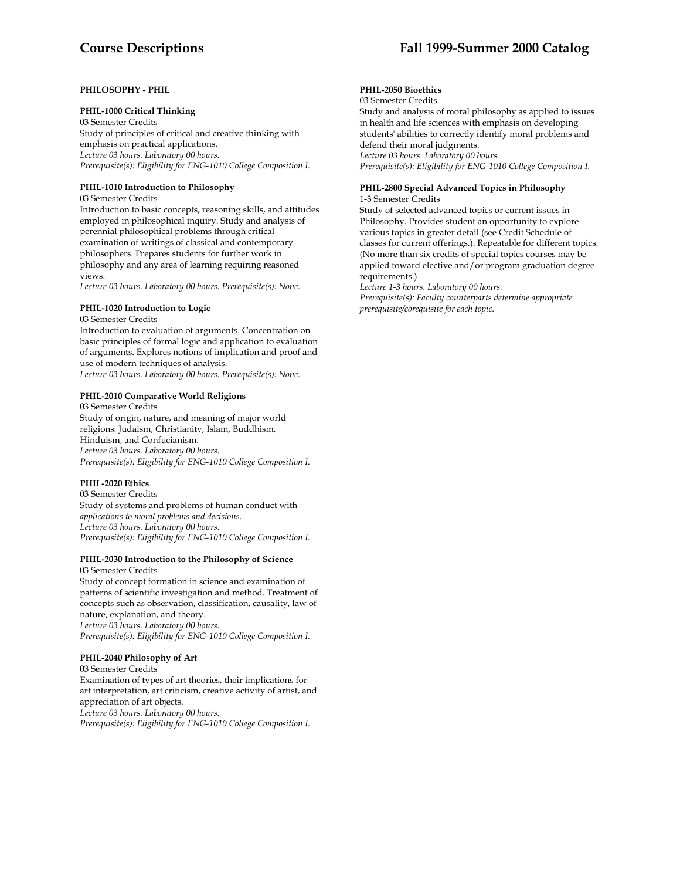# **Course Descriptions Fall 1999-Summer 2000 Catalog**

# **PHILOSOPHY - PHIL**

# **PHIL-1000 Critical Thinking**

03 Semester Credits Study of principles of critical and creative thinking with emphasis on practical applications. *Lecture 03 hours. Laboratory 00 hours. Prerequisite(s): Eligibility for ENG-1010 College Composition I.* 

#### **PHIL-1010 Introduction to Philosophy**

03 Semester Credits

Introduction to basic concepts, reasoning skills, and attitudes employed in philosophical inquiry. Study and analysis of perennial philosophical problems through critical examination of writings of classical and contemporary philosophers. Prepares students for further work in philosophy and any area of learning requiring reasoned views.

*Lecture 03 hours. Laboratory 00 hours. Prerequisite(s): None.* 

#### **PHIL-1020 Introduction to Logic**

03 Semester Credits

Introduction to evaluation of arguments. Concentration on basic principles of formal logic and application to evaluation of arguments. Explores notions of implication and proof and use of modern techniques of analysis. *Lecture 03 hours. Laboratory 00 hours. Prerequisite(s): None.* 

#### **PHIL-2010 Comparative World Religions**

03 Semester Credits Study of origin, nature, and meaning of major world religions: Judaism, Christianity, Islam, Buddhism, Hinduism, and Confucianism. *Lecture 03 hours. Laboratory 00 hours. Prerequisite(s): Eligibility for ENG-1010 College Composition I.* 

# **PHIL-2020 Ethics**

03 Semester Credits Study of systems and problems of human conduct with *applications to moral problems and decisions. Lecture 03 hours. Laboratory 00 hours. Prerequisite(s): Eligibility for ENG-1010 College Composition I.* 

#### **PHIL-2030 Introduction to the Philosophy of Science**

03 Semester Credits Study of concept formation in science and examination of patterns of scientific investigation and method. Treatment of concepts such as observation, classification, causality, law of nature, explanation, and theory. *Lecture 03 hours. Laboratory 00 hours. Prerequisite(s): Eligibility for ENG-1010 College Composition I.* 

#### **PHIL-2040 Philosophy of Art**

03 Semester Credits Examination of types of art theories, their implications for art interpretation, art criticism, creative activity of artist, and appreciation of art objects. *Lecture 03 hours. Laboratory 00 hours. Prerequisite(s): Eligibility for ENG-1010 College Composition I.* 

# **PHIL-2050 Bioethics**

03 Semester Credits

Study and analysis of moral philosophy as applied to issues in health and life sciences with emphasis on developing students' abilities to correctly identify moral problems and defend their moral judgments. *Lecture 03 hours. Laboratory 00 hours. Prerequisite(s): Eligibility for ENG-1010 College Composition I.* 

#### **PHIL-2800 Special Advanced Topics in Philosophy**  1-3 Semester Credits

Study of selected advanced topics or current issues in Philosophy. Provides student an opportunity to explore various topics in greater detail (see Credit Schedule of classes for current offerings.). Repeatable for different topics. (No more than six credits of special topics courses may be applied toward elective and/or program graduation degree requirements.)

*Lecture 1-3 hours. Laboratory 00 hours. Prerequisite(s): Faculty counterparts determine appropriate prerequisite/corequisite for each topic.*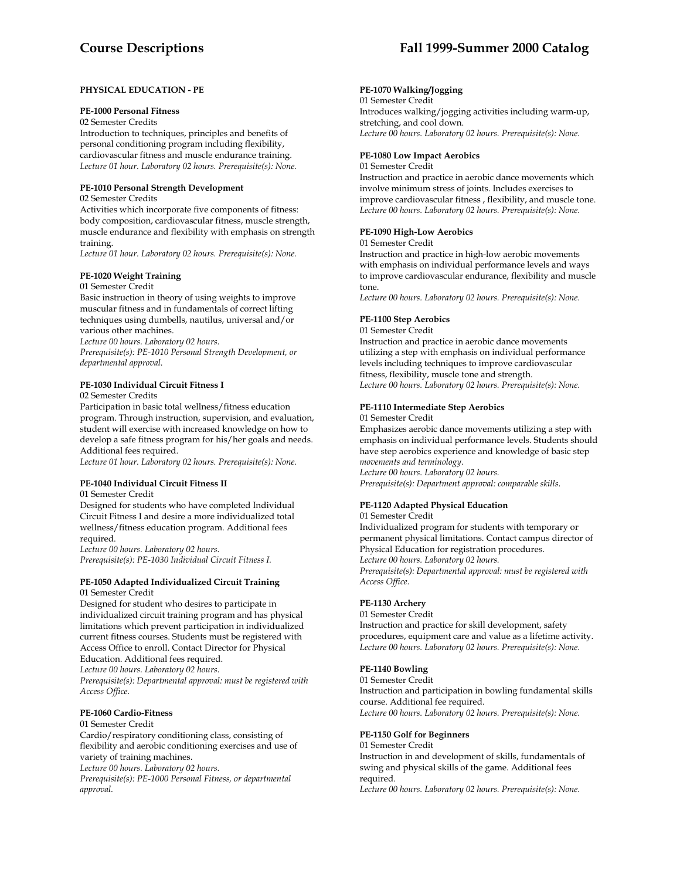# **PHYSICAL EDUCATION - PE**

# **PE-1000 Personal Fitness**

02 Semester Credits

Introduction to techniques, principles and benefits of personal conditioning program including flexibility, cardiovascular fitness and muscle endurance training. *Lecture 01 hour. Laboratory 02 hours. Prerequisite(s): None.* 

# **PE-1010 Personal Strength Development**

02 Semester Credits

Activities which incorporate five components of fitness: body composition, cardiovascular fitness, muscle strength, muscle endurance and flexibility with emphasis on strength training.

*Lecture 01 hour. Laboratory 02 hours. Prerequisite(s): None.* 

# **PE-1020 Weight Training**

01 Semester Credit

Basic instruction in theory of using weights to improve muscular fitness and in fundamentals of correct lifting techniques using dumbells, nautilus, universal and/or various other machines.

*Lecture 00 hours. Laboratory 02 hours.* 

*Prerequisite(s): PE-1010 Personal Strength Development, or departmental approval.* 

# **PE-1030 Individual Circuit Fitness I**

02 Semester Credits

Participation in basic total wellness/fitness education program. Through instruction, supervision, and evaluation, student will exercise with increased knowledge on how to develop a safe fitness program for his/her goals and needs. Additional fees required.

*Lecture 01 hour. Laboratory 02 hours. Prerequisite(s): None.* 

# **PE-1040 Individual Circuit Fitness II**

01 Semester Credit

Designed for students who have completed Individual Circuit Fitness I and desire a more individualized total wellness/fitness education program. Additional fees required.

*Lecture 00 hours. Laboratory 02 hours. Prerequisite(s): PE-1030 Individual Circuit Fitness I.* 

#### **PE-1050 Adapted Individualized Circuit Training** 01 Semester Credit

Designed for student who desires to participate in individualized circuit training program and has physical limitations which prevent participation in individualized current fitness courses. Students must be registered with Access Office to enroll. Contact Director for Physical

Education. Additional fees required.

*Lecture 00 hours. Laboratory 02 hours.* 

*Prerequisite(s): Departmental approval: must be registered with Access Office.* 

# **PE-1060 Cardio-Fitness**

# 01 Semester Credit

Cardio/respiratory conditioning class, consisting of flexibility and aerobic conditioning exercises and use of variety of training machines. *Lecture 00 hours. Laboratory 02 hours.* 

*Prerequisite(s): PE-1000 Personal Fitness, or departmental approval.* 

# **PE-1070 Walking/Jogging**

01 Semester Credit Introduces walking/jogging activities including warm-up, stretching, and cool down. *Lecture 00 hours. Laboratory 02 hours. Prerequisite(s): None.* 

# **PE-1080 Low Impact Aerobics**

01 Semester Credit

Instruction and practice in aerobic dance movements which involve minimum stress of joints. Includes exercises to improve cardiovascular fitness , flexibility, and muscle tone. *Lecture 00 hours. Laboratory 02 hours. Prerequisite(s): None.* 

# **PE-1090 High-Low Aerobics**

01 Semester Credit

Instruction and practice in high-low aerobic movements with emphasis on individual performance levels and ways to improve cardiovascular endurance, flexibility and muscle tone.

*Lecture 00 hours. Laboratory 02 hours. Prerequisite(s): None.* 

# **PE-1100 Step Aerobics**

01 Semester Credit

Instruction and practice in aerobic dance movements utilizing a step with emphasis on individual performance levels including techniques to improve cardiovascular fitness, flexibility, muscle tone and strength. *Lecture 00 hours. Laboratory 02 hours. Prerequisite(s): None.* 

# **PE-1110 Intermediate Step Aerobics**

01 Semester Credit

Emphasizes aerobic dance movements utilizing a step with emphasis on individual performance levels. Students should have step aerobics experience and knowledge of basic step *movements and terminology. Lecture 00 hours. Laboratory 02 hours. Prerequisite(s): Department approval: comparable skills.* 

# **PE-1120 Adapted Physical Education**

01 Semester Credit Individualized program for students with temporary or permanent physical limitations. Contact campus director of Physical Education for registration procedures. *Lecture 00 hours. Laboratory 02 hours. Prerequisite(s): Departmental approval: must be registered with Access Office.* 

# **PE-1130 Archery**

01 Semester Credit

Instruction and practice for skill development, safety procedures, equipment care and value as a lifetime activity. *Lecture 00 hours. Laboratory 02 hours. Prerequisite(s): None.* 

# **PE-1140 Bowling**

01 Semester Credit Instruction and participation in bowling fundamental skills course. Additional fee required. *Lecture 00 hours. Laboratory 02 hours. Prerequisite(s): None.* 

# **PE-1150 Golf for Beginners**

01 Semester Credit Instruction in and development of skills, fundamentals of swing and physical skills of the game. Additional fees required. *Lecture 00 hours. Laboratory 02 hours. Prerequisite(s): None.*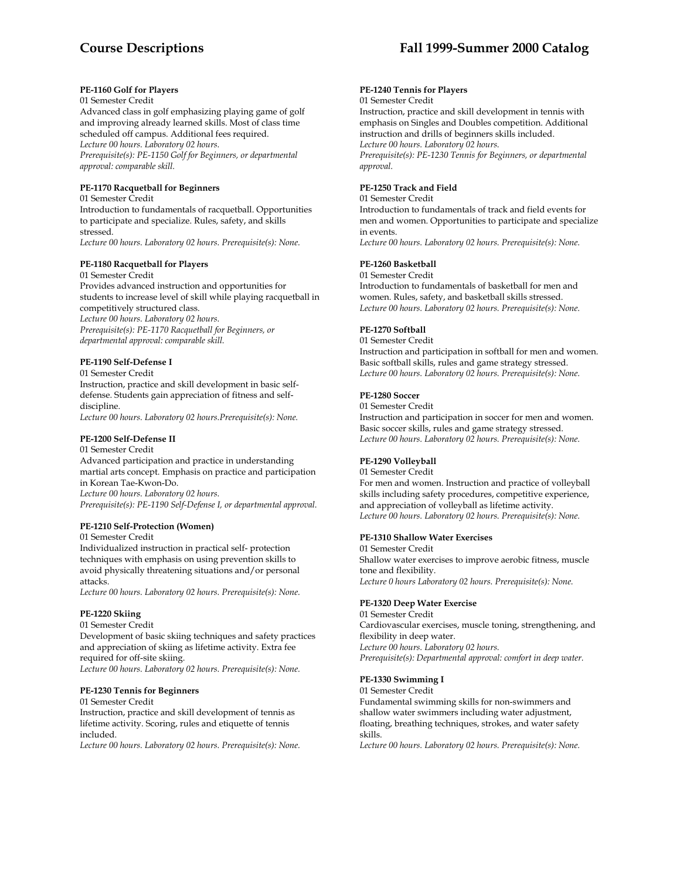# **PE-1160 Golf for Players**

01 Semester Credit

Advanced class in golf emphasizing playing game of golf and improving already learned skills. Most of class time scheduled off campus. Additional fees required. *Lecture 00 hours. Laboratory 02 hours. Prerequisite(s): PE-1150 Golf for Beginners, or departmental approval: comparable skill.* 

# **PE-1170 Racquetball for Beginners**

01 Semester Credit

Introduction to fundamentals of racquetball. Opportunities to participate and specialize. Rules, safety, and skills stressed.

*Lecture 00 hours. Laboratory 02 hours. Prerequisite(s): None.* 

# **PE-1180 Racquetball for Players**

01 Semester Credit Provides advanced instruction and opportunities for students to increase level of skill while playing racquetball in competitively structured class. *Lecture 00 hours. Laboratory 02 hours. Prerequisite(s): PE-1170 Racquetball for Beginners, or departmental approval: comparable skill.* 

# **PE-1190 Self-Defense I**

01 Semester Credit Instruction, practice and skill development in basic selfdefense. Students gain appreciation of fitness and selfdiscipline.

*Lecture 00 hours. Laboratory 02 hours.Prerequisite(s): None.* 

# **PE-1200 Self-Defense II**

01 Semester Credit

Advanced participation and practice in understanding martial arts concept. Emphasis on practice and participation in Korean Tae-Kwon-Do. *Lecture 00 hours. Laboratory 02 hours.* 

*Prerequisite(s): PE-1190 Self-Defense I, or departmental approval.* 

# **PE-1210 Self-Protection (Women)**

01 Semester Credit

Individualized instruction in practical self- protection techniques with emphasis on using prevention skills to avoid physically threatening situations and/or personal attacks.

*Lecture 00 hours. Laboratory 02 hours. Prerequisite(s): None.* 

# **PE-1220 Skiing**

01 Semester Credit Development of basic skiing techniques and safety practices and appreciation of skiing as lifetime activity. Extra fee required for off-site skiing. *Lecture 00 hours. Laboratory 02 hours. Prerequisite(s): None.* 

# **PE-1230 Tennis for Beginners**

01 Semester Credit Instruction, practice and skill development of tennis as lifetime activity. Scoring, rules and etiquette of tennis included.

*Lecture 00 hours. Laboratory 02 hours. Prerequisite(s): None.* 

# **PE-1240 Tennis for Players**

#### 01 Semester Credit

Instruction, practice and skill development in tennis with emphasis on Singles and Doubles competition. Additional instruction and drills of beginners skills included. *Lecture 00 hours. Laboratory 02 hours. Prerequisite(s): PE-1230 Tennis for Beginners, or departmental approval.* 

# **PE-1250 Track and Field**

01 Semester Credit

Introduction to fundamentals of track and field events for men and women. Opportunities to participate and specialize in events.

*Lecture 00 hours. Laboratory 02 hours. Prerequisite(s): None.* 

# **PE-1260 Basketball**

01 Semester Credit Introduction to fundamentals of basketball for men and women. Rules, safety, and basketball skills stressed. *Lecture 00 hours. Laboratory 02 hours. Prerequisite(s): None.* 

# **PE-1270 Softball**

01 Semester Credit Instruction and participation in softball for men and women. Basic softball skills, rules and game strategy stressed. *Lecture 00 hours. Laboratory 02 hours. Prerequisite(s): None.* 

# **PE-1280 Soccer**

01 Semester Credit Instruction and participation in soccer for men and women. Basic soccer skills, rules and game strategy stressed. *Lecture 00 hours. Laboratory 02 hours. Prerequisite(s): None.* 

# **PE-1290 Volleyball**

01 Semester Credit

For men and women. Instruction and practice of volleyball skills including safety procedures, competitive experience, and appreciation of volleyball as lifetime activity. *Lecture 00 hours. Laboratory 02 hours. Prerequisite(s): None.* 

# **PE-1310 Shallow Water Exercises**

01 Semester Credit Shallow water exercises to improve aerobic fitness, muscle tone and flexibility. *Lecture 0 hours Laboratory 02 hours. Prerequisite(s): None.* 

# **PE-1320 Deep Water Exercise**

01 Semester Credit Cardiovascular exercises, muscle toning, strengthening, and flexibility in deep water. *Lecture 00 hours. Laboratory 02 hours. Prerequisite(s): Departmental approval: comfort in deep water.* 

# **PE-1330 Swimming I**

01 Semester Credit

Fundamental swimming skills for non-swimmers and shallow water swimmers including water adjustment, floating, breathing techniques, strokes, and water safety skills.

*Lecture 00 hours. Laboratory 02 hours. Prerequisite(s): None.*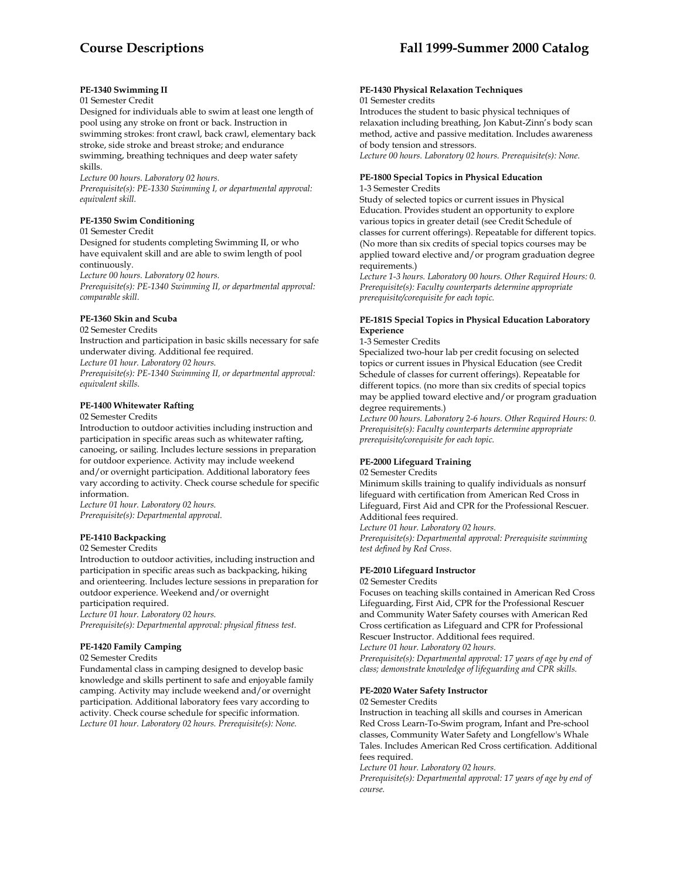# **PE-1340 Swimming II**

# 01 Semester Credit

Designed for individuals able to swim at least one length of pool using any stroke on front or back. Instruction in swimming strokes: front crawl, back crawl, elementary back stroke, side stroke and breast stroke; and endurance swimming, breathing techniques and deep water safety skills.

*Lecture 00 hours. Laboratory 02 hours.* 

*Prerequisite(s): PE-1330 Swimming I, or departmental approval: equivalent skill.* 

# **PE-1350 Swim Conditioning**

#### 01 Semester Credit

Designed for students completing Swimming II, or who have equivalent skill and are able to swim length of pool continuously.

*Lecture 00 hours. Laboratory 02 hours.* 

*Prerequisite(s): PE-1340 Swimming II, or departmental approval: comparable skill.* 

# **PE-1360 Skin and Scuba**

# 02 Semester Credits

Instruction and participation in basic skills necessary for safe underwater diving. Additional fee required.

*Lecture 01 hour. Laboratory 02 hours.* 

*Prerequisite(s): PE-1340 Swimming II, or departmental approval: equivalent skills.* 

# **PE-1400 Whitewater Rafting**

# 02 Semester Credits

Introduction to outdoor activities including instruction and participation in specific areas such as whitewater rafting, canoeing, or sailing. Includes lecture sessions in preparation for outdoor experience. Activity may include weekend and/or overnight participation. Additional laboratory fees vary according to activity. Check course schedule for specific information.

*Lecture 01 hour. Laboratory 02 hours. Prerequisite(s): Departmental approval.* 

# **PE-1410 Backpacking**

# 02 Semester Credits

Introduction to outdoor activities, including instruction and participation in specific areas such as backpacking, hiking and orienteering. Includes lecture sessions in preparation for outdoor experience. Weekend and/or overnight participation required.

*Lecture 01 hour. Laboratory 02 hours.* 

*Prerequisite(s): Departmental approval: physical fitness test.* 

# **PE-1420 Family Camping**

02 Semester Credits

Fundamental class in camping designed to develop basic knowledge and skills pertinent to safe and enjoyable family camping. Activity may include weekend and/or overnight participation. Additional laboratory fees vary according to activity. Check course schedule for specific information. *Lecture 01 hour. Laboratory 02 hours. Prerequisite(s): None.* 

#### **PE-1430 Physical Relaxation Techniques** 01 Semester credits

Introduces the student to basic physical techniques of relaxation including breathing, Jon Kabut-Zinn's body scan method, active and passive meditation. Includes awareness of body tension and stressors. *Lecture 00 hours. Laboratory 02 hours. Prerequisite(s): None.* 

# **PE-1800 Special Topics in Physical Education**

1-3 Semester Credits

Study of selected topics or current issues in Physical Education. Provides student an opportunity to explore various topics in greater detail (see Credit Schedule of classes for current offerings). Repeatable for different topics. (No more than six credits of special topics courses may be applied toward elective and/or program graduation degree requirements.)

*Lecture 1-3 hours. Laboratory 00 hours. Other Required Hours: 0. Prerequisite(s): Faculty counterparts determine appropriate prerequisite/corequisite for each topic.* 

# **PE-181S Special Topics in Physical Education Laboratory Experience**

## 1-3 Semester Credits

Specialized two-hour lab per credit focusing on selected topics or current issues in Physical Education (see Credit Schedule of classes for current offerings). Repeatable for different topics. (no more than six credits of special topics may be applied toward elective and/or program graduation degree requirements.)

*Lecture 00 hours. Laboratory 2-6 hours. Other Required Hours: 0. Prerequisite(s): Faculty counterparts determine appropriate prerequisite/corequisite for each topic.* 

#### **PE-2000 Lifeguard Training**

#### 02 Semester Credits

Minimum skills training to qualify individuals as nonsurf lifeguard with certification from American Red Cross in Lifeguard, First Aid and CPR for the Professional Rescuer. Additional fees required.

*Lecture 01 hour. Laboratory 02 hours.* 

*Prerequisite(s): Departmental approval: Prerequisite swimming test defined by Red Cross.* 

# **PE-2010 Lifeguard Instructor**

02 Semester Credits

Focuses on teaching skills contained in American Red Cross Lifeguarding, First Aid, CPR for the Professional Rescuer and Community Water Safety courses with American Red Cross certification as Lifeguard and CPR for Professional Rescuer Instructor. Additional fees required. *Lecture 01 hour. Laboratory 02 hours. Prerequisite(s): Departmental approval: 17 years of age by end of class; demonstrate knowledge of lifeguarding and CPR skills.* 

# **PE-2020 Water Safety Instructor**

02 Semester Credits

Instruction in teaching all skills and courses in American Red Cross Learn-To-Swim program, Infant and Pre-school classes, Community Water Safety and Longfellow's Whale Tales. Includes American Red Cross certification. Additional fees required.

*Lecture 01 hour. Laboratory 02 hours.* 

*Prerequisite(s): Departmental approval: 17 years of age by end of course.*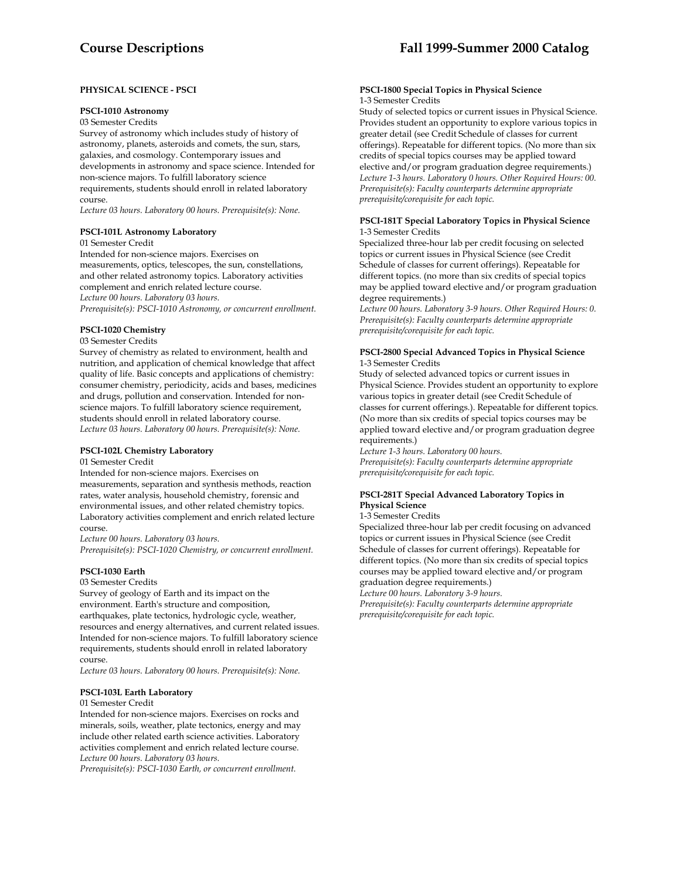# **PHYSICAL SCIENCE - PSCI**

## **PSCI-1010 Astronomy**

03 Semester Credits

Survey of astronomy which includes study of history of astronomy, planets, asteroids and comets, the sun, stars, galaxies, and cosmology. Contemporary issues and developments in astronomy and space science. Intended for non-science majors. To fulfill laboratory science requirements, students should enroll in related laboratory course.

*Lecture 03 hours. Laboratory 00 hours. Prerequisite(s): None.* 

# **PSCI-101L Astronomy Laboratory**

01 Semester Credit

Intended for non-science majors. Exercises on measurements, optics, telescopes, the sun, constellations, and other related astronomy topics. Laboratory activities complement and enrich related lecture course. *Lecture 00 hours. Laboratory 03 hours. Prerequisite(s): PSCI-1010 Astronomy, or concurrent enrollment.* 

**PSCI-1020 Chemistry**

# 03 Semester Credits

Survey of chemistry as related to environment, health and nutrition, and application of chemical knowledge that affect quality of life. Basic concepts and applications of chemistry: consumer chemistry, periodicity, acids and bases, medicines and drugs, pollution and conservation. Intended for nonscience majors. To fulfill laboratory science requirement, students should enroll in related laboratory course. *Lecture 03 hours. Laboratory 00 hours. Prerequisite(s): None.* 

# **PSCI-102L Chemistry Laboratory**

01 Semester Credit

Intended for non-science majors. Exercises on measurements, separation and synthesis methods, reaction rates, water analysis, household chemistry, forensic and environmental issues, and other related chemistry topics. Laboratory activities complement and enrich related lecture course.

*Lecture 00 hours. Laboratory 03 hours. Prerequisite(s): PSCI-1020 Chemistry, or concurrent enrollment.* 

#### **PSCI-1030 Earth**

#### 03 Semester Credits

Survey of geology of Earth and its impact on the environment. Earth's structure and composition, earthquakes, plate tectonics, hydrologic cycle, weather, resources and energy alternatives, and current related issues. Intended for non-science majors. To fulfill laboratory science requirements, students should enroll in related laboratory course.

*Lecture 03 hours. Laboratory 00 hours. Prerequisite(s): None.* 

#### **PSCI-103L Earth Laboratory**

#### 01 Semester Credit

Intended for non-science majors. Exercises on rocks and minerals, soils, weather, plate tectonics, energy and may include other related earth science activities. Laboratory activities complement and enrich related lecture course. *Lecture 00 hours. Laboratory 03 hours.* 

*Prerequisite(s): PSCI-1030 Earth, or concurrent enrollment.* 

#### **PSCI-1800 Special Topics in Physical Science** 1-3 Semester Credits

Study of selected topics or current issues in Physical Science. Provides student an opportunity to explore various topics in greater detail (see Credit Schedule of classes for current offerings). Repeatable for different topics. (No more than six credits of special topics courses may be applied toward elective and/or program graduation degree requirements.) *Lecture 1-3 hours. Laboratory 0 hours. Other Required Hours: 00. Prerequisite(s): Faculty counterparts determine appropriate prerequisite/corequisite for each topic.* 

#### **PSCI-181T Special Laboratory Topics in Physical Science**  1-3 Semester Credits

Specialized three-hour lab per credit focusing on selected topics or current issues in Physical Science (see Credit Schedule of classes for current offerings). Repeatable for different topics. (no more than six credits of special topics may be applied toward elective and/or program graduation degree requirements.)

*Lecture 00 hours. Laboratory 3-9 hours. Other Required Hours: 0. Prerequisite(s): Faculty counterparts determine appropriate prerequisite/corequisite for each topic.* 

#### **PSCI-2800 Special Advanced Topics in Physical Science**  1-3 Semester Credits

Study of selected advanced topics or current issues in Physical Science. Provides student an opportunity to explore various topics in greater detail (see Credit Schedule of classes for current offerings.). Repeatable for different topics. (No more than six credits of special topics courses may be applied toward elective and/or program graduation degree requirements.)

*Lecture 1-3 hours. Laboratory 00 hours. Prerequisite(s): Faculty counterparts determine appropriate prerequisite/corequisite for each topic.* 

# **PSCI-281T Special Advanced Laboratory Topics in Physical Science**

#### 1-3 Semester Credits

Specialized three-hour lab per credit focusing on advanced topics or current issues in Physical Science (see Credit Schedule of classes for current offerings). Repeatable for different topics. (No more than six credits of special topics courses may be applied toward elective and/or program graduation degree requirements.)

*Lecture 00 hours. Laboratory 3-9 hours.* 

*Prerequisite(s): Faculty counterparts determine appropriate prerequisite/corequisite for each topic.*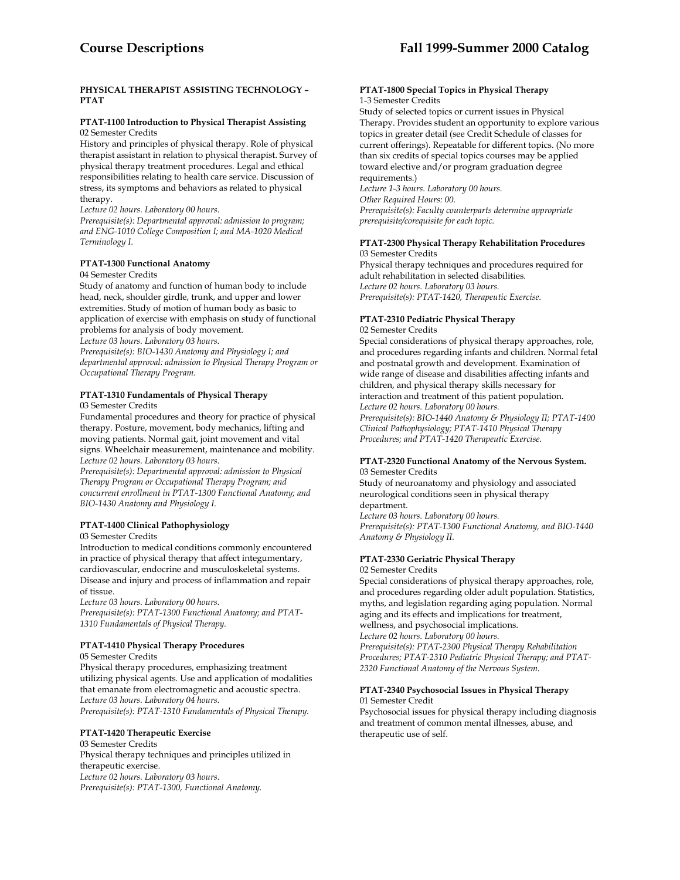# **PHYSICAL THERAPIST ASSISTING TECHNOLOGY – PTAT**

#### **PTAT-1100 Introduction to Physical Therapist Assisting** 02 Semester Credits

History and principles of physical therapy. Role of physical therapist assistant in relation to physical therapist. Survey of physical therapy treatment procedures. Legal and ethical responsibilities relating to health care service. Discussion of stress, its symptoms and behaviors as related to physical therapy.

*Lecture 02 hours. Laboratory 00 hours.* 

*Prerequisite(s): Departmental approval: admission to program; and ENG-1010 College Composition I; and MA-1020 Medical Terminology I.* 

# **PTAT-1300 Functional Anatomy**

#### 04 Semester Credits

Study of anatomy and function of human body to include head, neck, shoulder girdle, trunk, and upper and lower extremities. Study of motion of human body as basic to application of exercise with emphasis on study of functional problems for analysis of body movement.

*Lecture 03 hours. Laboratory 03 hours.* 

*Prerequisite(s): BIO-1430 Anatomy and Physiology I; and departmental approval: admission to Physical Therapy Program or Occupational Therapy Program.* 

# **PTAT-1310 Fundamentals of Physical Therapy**

03 Semester Credits

Fundamental procedures and theory for practice of physical therapy. Posture, movement, body mechanics, lifting and moving patients. Normal gait, joint movement and vital signs. Wheelchair measurement, maintenance and mobility. *Lecture 02 hours. Laboratory 03 hours.* 

*Prerequisite(s): Departmental approval: admission to Physical Therapy Program or Occupational Therapy Program; and concurrent enrollment in PTAT-1300 Functional Anatomy; and BIO-1430 Anatomy and Physiology I.* 

# **PTAT-1400 Clinical Pathophysiology**

# 03 Semester Credits

Introduction to medical conditions commonly encountered in practice of physical therapy that affect integumentary, cardiovascular, endocrine and musculoskeletal systems. Disease and injury and process of inflammation and repair of tissue.

*Lecture 03 hours. Laboratory 00 hours.* 

*Prerequisite(s): PTAT-1300 Functional Anatomy; and PTAT-1310 Fundamentals of Physical Therapy.* 

# **PTAT-1410 Physical Therapy Procedures**

05 Semester Credits

Physical therapy procedures, emphasizing treatment utilizing physical agents. Use and application of modalities that emanate from electromagnetic and acoustic spectra. *Lecture 03 hours. Laboratory 04 hours. Prerequisite(s): PTAT-1310 Fundamentals of Physical Therapy.* 

# **PTAT-1420 Therapeutic Exercise**

03 Semester Credits Physical therapy techniques and principles utilized in therapeutic exercise. *Lecture 02 hours. Laboratory 03 hours. Prerequisite(s): PTAT-1300, Functional Anatomy.* 

#### **PTAT-1800 Special Topics in Physical Therapy** 1-3 Semester Credits

Study of selected topics or current issues in Physical Therapy. Provides student an opportunity to explore various topics in greater detail (see Credit Schedule of classes for current offerings). Repeatable for different topics. (No more than six credits of special topics courses may be applied toward elective and/or program graduation degree requirements.)

*Lecture 1-3 hours. Laboratory 00 hours. Other Required Hours: 00.* 

*Prerequisite(s): Faculty counterparts determine appropriate prerequisite/corequisite for each topic.* 

# **PTAT-2300 Physical Therapy Rehabilitation Procedures**  03 Semester Credits

Physical therapy techniques and procedures required for adult rehabilitation in selected disabilities. *Lecture 02 hours. Laboratory 03 hours. Prerequisite(s): PTAT-1420, Therapeutic Exercise.* 

# **PTAT-2310 Pediatric Physical Therapy**

02 Semester Credits

Special considerations of physical therapy approaches, role, and procedures regarding infants and children. Normal fetal and postnatal growth and development. Examination of wide range of disease and disabilities affecting infants and children, and physical therapy skills necessary for interaction and treatment of this patient population. *Lecture 02 hours. Laboratory 00 hours. Prerequisite(s): BIO-1440 Anatomy & Physiology II; PTAT-1400 Clinical Pathophysiology; PTAT-1410 Physical Therapy* 

*Procedures; and PTAT-1420 Therapeutic Exercise.* 

#### **PTAT-2320 Functional Anatomy of the Nervous System.** 03 Semester Credits

Study of neuroanatomy and physiology and associated neurological conditions seen in physical therapy department.

*Lecture 03 hours. Laboratory 00 hours. Prerequisite(s): PTAT-1300 Functional Anatomy, and BIO-1440 Anatomy & Physiology II.* 

# **PTAT-2330 Geriatric Physical Therapy**

02 Semester Credits

Special considerations of physical therapy approaches, role, and procedures regarding older adult population. Statistics, myths, and legislation regarding aging population. Normal aging and its effects and implications for treatment, wellness, and psychosocial implications. *Lecture 02 hours. Laboratory 00 hours. Prerequisite(s): PTAT-2300 Physical Therapy Rehabilitation* 

*Procedures; PTAT-2310 Pediatric Physical Therapy; and PTAT-2320 Functional Anatomy of the Nervous System.* 

# **PTAT-2340 Psychosocial Issues in Physical Therapy**

01 Semester Credit

Psychosocial issues for physical therapy including diagnosis and treatment of common mental illnesses, abuse, and therapeutic use of self.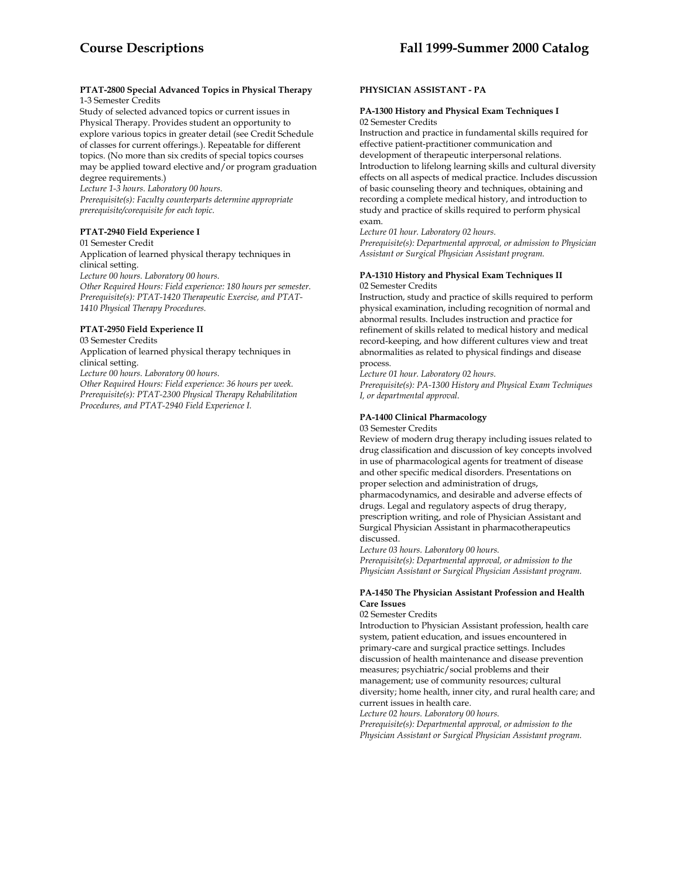## **PTAT-2800 Special Advanced Topics in Physical Therapy**  1-3 Semester Credits

Study of selected advanced topics or current issues in Physical Therapy. Provides student an opportunity to explore various topics in greater detail (see Credit Schedule of classes for current offerings.). Repeatable for different topics. (No more than six credits of special topics courses may be applied toward elective and/or program graduation degree requirements.)

*Lecture 1-3 hours. Laboratory 00 hours. Prerequisite(s): Faculty counterparts determine appropriate prerequisite/corequisite for each topic.* 

# **PTAT-2940 Field Experience I**

01 Semester Credit Application of learned physical therapy techniques in clinical setting. *Lecture 00 hours. Laboratory 00 hours.* 

*Other Required Hours: Field experience: 180 hours per semester. Prerequisite(s): PTAT-1420 Therapeutic Exercise, and PTAT-1410 Physical Therapy Procedures.* 

# **PTAT-2950 Field Experience II**

# 03 Semester Credits

Application of learned physical therapy techniques in clinical setting. *Lecture 00 hours. Laboratory 00 hours. Other Required Hours: Field experience: 36 hours per week. Prerequisite(s): PTAT-2300 Physical Therapy Rehabilitation Procedures, and PTAT-2940 Field Experience I.* 

# **PHYSICIAN ASSISTANT - PA**

#### **PA-1300 History and Physical Exam Techniques I**  02 Semester Credits

Instruction and practice in fundamental skills required for effective patient-practitioner communication and development of therapeutic interpersonal relations. Introduction to lifelong learning skills and cultural diversity effects on all aspects of medical practice. Includes discussion of basic counseling theory and techniques, obtaining and recording a complete medical history, and introduction to study and practice of skills required to perform physical exam.

*Lecture 01 hour. Laboratory 02 hours.* 

*Prerequisite(s): Departmental approval, or admission to Physician Assistant or Surgical Physician Assistant program.* 

# **PA-1310 History and Physical Exam Techniques II**  02 Semester Credits

Instruction, study and practice of skills required to perform physical examination, including recognition of normal and abnormal results. Includes instruction and practice for refinement of skills related to medical history and medical record-keeping, and how different cultures view and treat abnormalities as related to physical findings and disease process.

*Lecture 01 hour. Laboratory 02 hours.* 

*Prerequisite(s): PA-1300 History and Physical Exam Techniques I, or departmental approval.* 

# **PA-1400 Clinical Pharmacology**

#### 03 Semester Credits

Review of modern drug therapy including issues related to drug classification and discussion of key concepts involved in use of pharmacological agents for treatment of disease and other specific medical disorders. Presentations on proper selection and administration of drugs, pharmacodynamics, and desirable and adverse effects of drugs. Legal and regulatory aspects of drug therapy, prescription writing, and role of Physician Assistant and Surgical Physician Assistant in pharmacotherapeutics discussed.

*Lecture 03 hours. Laboratory 00 hours. Prerequisite(s): Departmental approval, or admission to the Physician Assistant or Surgical Physician Assistant program.* 

# **PA-1450 The Physician Assistant Profession and Health Care Issues**

#### 02 Semester Credits

Introduction to Physician Assistant profession, health care system, patient education, and issues encountered in primary-care and surgical practice settings. Includes discussion of health maintenance and disease prevention measures; psychiatric/social problems and their management; use of community resources; cultural diversity; home health, inner city, and rural health care; and current issues in health care.

*Lecture 02 hours. Laboratory 00 hours. Prerequisite(s): Departmental approval, or admission to the Physician Assistant or Surgical Physician Assistant program.*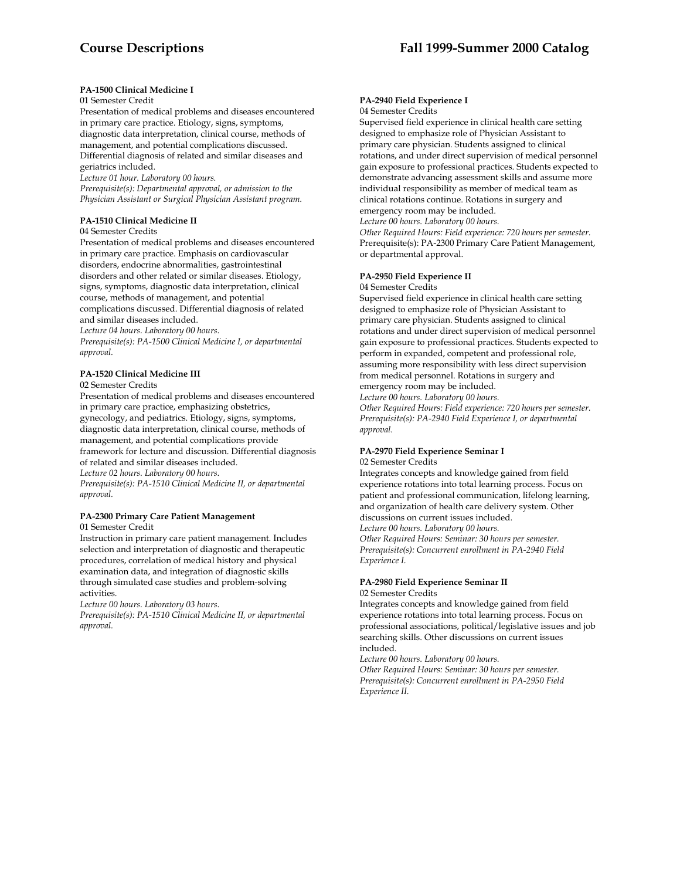# **PA-1500 Clinical Medicine I**

# 01 Semester Credit

Presentation of medical problems and diseases encountered in primary care practice. Etiology, signs, symptoms, diagnostic data interpretation, clinical course, methods of management, and potential complications discussed. Differential diagnosis of related and similar diseases and geriatrics included.

*Lecture 01 hour. Laboratory 00 hours.* 

*Prerequisite(s): Departmental approval, or admission to the Physician Assistant or Surgical Physician Assistant program.* 

# **PA-1510 Clinical Medicine II**

#### 04 Semester Credits

Presentation of medical problems and diseases encountered in primary care practice. Emphasis on cardiovascular disorders, endocrine abnormalities, gastrointestinal disorders and other related or similar diseases. Etiology, signs, symptoms, diagnostic data interpretation, clinical course, methods of management, and potential complications discussed. Differential diagnosis of related and similar diseases included.

*Lecture 04 hours. Laboratory 00 hours.* 

*Prerequisite(s): PA-1500 Clinical Medicine I, or departmental approval.* 

# **PA-1520 Clinical Medicine III**

02 Semester Credits

Presentation of medical problems and diseases encountered in primary care practice, emphasizing obstetrics, gynecology, and pediatrics. Etiology, signs, symptoms, diagnostic data interpretation, clinical course, methods of management, and potential complications provide framework for lecture and discussion. Differential diagnosis of related and similar diseases included.

*Lecture 02 hours. Laboratory 00 hours.* 

*Prerequisite(s): PA-1510 Clinical Medicine II, or departmental approval.* 

# **PA-2300 Primary Care Patient Management**

01 Semester Credit

Instruction in primary care patient management. Includes selection and interpretation of diagnostic and therapeutic procedures, correlation of medical history and physical examination data, and integration of diagnostic skills through simulated case studies and problem-solving activities.

*Lecture 00 hours. Laboratory 03 hours.* 

*Prerequisite(s): PA-1510 Clinical Medicine II, or departmental approval.* 

# **PA-2940 Field Experience I**

04 Semester Credits

Supervised field experience in clinical health care setting designed to emphasize role of Physician Assistant to primary care physician. Students assigned to clinical rotations, and under direct supervision of medical personnel gain exposure to professional practices. Students expected to demonstrate advancing assessment skills and assume more individual responsibility as member of medical team as clinical rotations continue. Rotations in surgery and emergency room may be included.

*Lecture 00 hours. Laboratory 00 hours.* 

*Other Required Hours: Field experience: 720 hours per semester.*  Prerequisite(s): PA-2300 Primary Care Patient Management, or departmental approval.

# **PA-2950 Field Experience II**

04 Semester Credits

Supervised field experience in clinical health care setting designed to emphasize role of Physician Assistant to primary care physician. Students assigned to clinical rotations and under direct supervision of medical personnel gain exposure to professional practices. Students expected to perform in expanded, competent and professional role, assuming more responsibility with less direct supervision from medical personnel. Rotations in surgery and emergency room may be included.

*Lecture 00 hours. Laboratory 00 hours.* 

*Other Required Hours: Field experience: 720 hours per semester. Prerequisite(s): PA-2940 Field Experience I, or departmental approval.* 

#### **PA-2970 Field Experience Seminar I** 02 Semester Credits

Integrates concepts and knowledge gained from field experience rotations into total learning process. Focus on patient and professional communication, lifelong learning, and organization of health care delivery system. Other discussions on current issues included.

*Lecture 00 hours. Laboratory 00 hours.* 

*Other Required Hours: Seminar: 30 hours per semester. Prerequisite(s): Concurrent enrollment in PA-2940 Field Experience I.* 

# **PA-2980 Field Experience Seminar II**  02 Semester Credits

Integrates concepts and knowledge gained from field experience rotations into total learning process. Focus on professional associations, political/legislative issues and job searching skills. Other discussions on current issues included.

*Lecture 00 hours. Laboratory 00 hours.* 

*Other Required Hours: Seminar: 30 hours per semester. Prerequisite(s): Concurrent enrollment in PA-2950 Field Experience II.*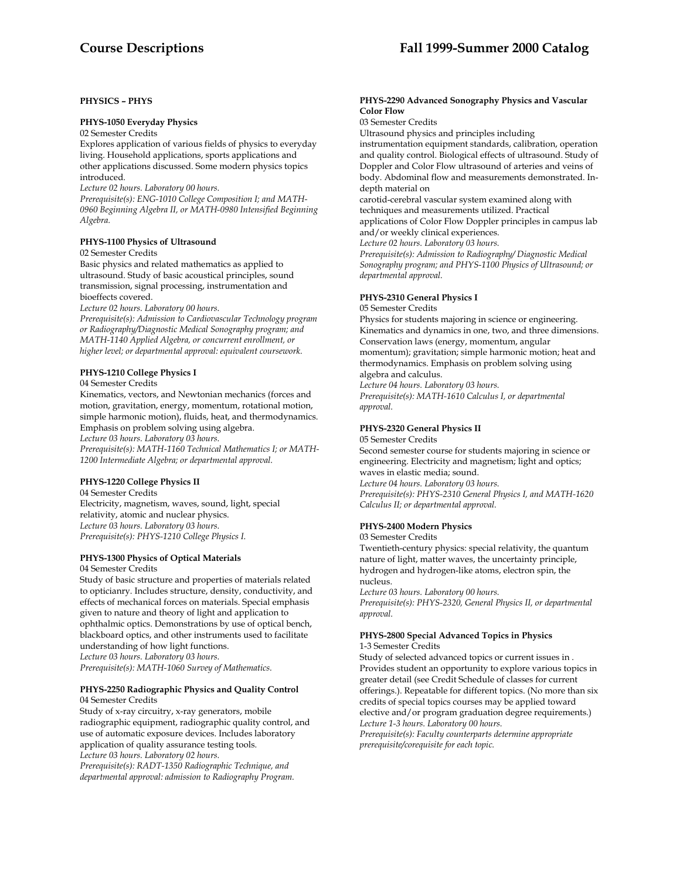# **PHYSICS – PHYS**

# **PHYS-1050 Everyday Physics**

02 Semester Credits

Explores application of various fields of physics to everyday living. Household applications, sports applications and other applications discussed. Some modern physics topics introduced.

*Lecture 02 hours. Laboratory 00 hours.* 

*Prerequisite(s): ENG-1010 College Composition I; and MATH-0960 Beginning Algebra II, or MATH-0980 Intensified Beginning Algebra.* 

# **PHYS-1100 Physics of Ultrasound**

02 Semester Credits

Basic physics and related mathematics as applied to ultrasound. Study of basic acoustical principles, sound transmission, signal processing, instrumentation and bioeffects covered.

*Lecture 02 hours. Laboratory 00 hours.* 

*Prerequisite(s): Admission to Cardiovascular Technology program or Radiography/Diagnostic Medical Sonography program; and MATH-1140 Applied Algebra, or concurrent enrollment, or higher level; or departmental approval: equivalent coursework.* 

# **PHYS-1210 College Physics I**

04 Semester Credits

Kinematics, vectors, and Newtonian mechanics (forces and motion, gravitation, energy, momentum, rotational motion, simple harmonic motion), fluids, heat, and thermodynamics. Emphasis on problem solving using algebra. *Lecture 03 hours. Laboratory 03 hours. Prerequisite(s): MATH-1160 Technical Mathematics I; or MATH-1200 Intermediate Algebra; or departmental approval.* 

# **PHYS-1220 College Physics II**

04 Semester Credits Electricity, magnetism, waves, sound, light, special relativity, atomic and nuclear physics. *Lecture 03 hours. Laboratory 03 hours. Prerequisite(s): PHYS-1210 College Physics I.* 

# **PHYS-1300 Physics of Optical Materials**

04 Semester Credits

Study of basic structure and properties of materials related to opticianry. Includes structure, density, conductivity, and effects of mechanical forces on materials. Special emphasis given to nature and theory of light and application to ophthalmic optics. Demonstrations by use of optical bench, blackboard optics, and other instruments used to facilitate understanding of how light functions. *Lecture 03 hours. Laboratory 03 hours. Prerequisite(s): MATH-1060 Survey of Mathematics.* 

#### **PHYS-2250 Radiographic Physics and Quality Control**  04 Semester Credits

Study of x-ray circuitry, x-ray generators, mobile radiographic equipment, radiographic quality control, and use of automatic exposure devices. Includes laboratory application of quality assurance testing tools. *Lecture 03 hours. Laboratory 02 hours.* 

*Prerequisite(s): RADT-1350 Radiographic Technique, and departmental approval: admission to Radiography Program.* 

## **PHYS-2290 Advanced Sonography Physics and Vascular Color Flow**

03 Semester Credits

Ultrasound physics and principles including

instrumentation equipment standards, calibration, operation and quality control. Biological effects of ultrasound. Study of Doppler and Color Flow ultrasound of arteries and veins of body. Abdominal flow and measurements demonstrated. Indepth material on

carotid-cerebral vascular system examined along with techniques and measurements utilized. Practical applications of Color Flow Doppler principles in campus lab

and/or weekly clinical experiences.

*Lecture 02 hours. Laboratory 03 hours.* 

*Prerequisite(s): Admission to Radiography/ Diagnostic Medical Sonography program; and PHYS-1100 Physics of Ultrasound; or departmental approval.* 

# **PHYS-2310 General Physics I**

05 Semester Credits

Physics for students majoring in science or engineering. Kinematics and dynamics in one, two, and three dimensions. Conservation laws (energy, momentum, angular momentum); gravitation; simple harmonic motion; heat and thermodynamics. Emphasis on problem solving using algebra and calculus.

*Lecture 04 hours. Laboratory 03 hours.* 

*Prerequisite(s): MATH-1610 Calculus I, or departmental approval.* 

# **PHYS-2320 General Physics II**

05 Semester Credits

Second semester course for students majoring in science or engineering. Electricity and magnetism; light and optics; waves in elastic media; sound. *Lecture 04 hours. Laboratory 03 hours. Prerequisite(s): PHYS-2310 General Physics I, and MATH-1620 Calculus II; or departmental approval.* 

# **PHYS-2400 Modern Physics**

#### 03 Semester Credits

Twentieth-century physics: special relativity, the quantum nature of light, matter waves, the uncertainty principle, hydrogen and hydrogen-like atoms, electron spin, the nucleus.

*Lecture 03 hours. Laboratory 00 hours. Prerequisite(s): PHYS-2320, General Physics II, or departmental approval.* 

# **PHYS-2800 Special Advanced Topics in Physics**

1-3 Semester Credits

Study of selected advanced topics or current issues in . Provides student an opportunity to explore various topics in greater detail (see Credit Schedule of classes for current offerings.). Repeatable for different topics. (No more than six credits of special topics courses may be applied toward elective and/or program graduation degree requirements.) *Lecture 1-3 hours. Laboratory 00 hours.* 

*Prerequisite(s): Faculty counterparts determine appropriate prerequisite/corequisite for each topic.*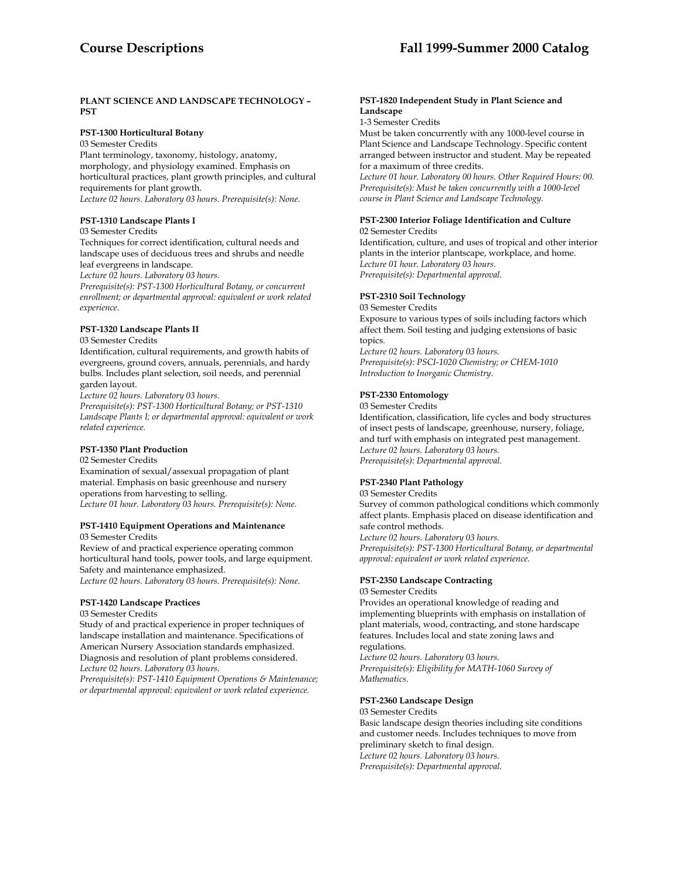# **PLANT SCIENCE AND LANDSCAPE TECHNOLOGY – PST**

# **PST-1300 Horticultural Botany**

03 Semester Credits

Plant terminology, taxonomy, histology, anatomy, morphology, and physiology examined. Emphasis on horticultural practices, plant growth principles, and cultural requirements for plant growth. *Lecture 02 hours. Laboratory 03 hours. Prerequisite(s): None.* 

# **PST-1310 Landscape Plants I**

#### 03 Semester Credits

Techniques for correct identification, cultural needs and landscape uses of deciduous trees and shrubs and needle leaf evergreens in landscape.

*Lecture 02 hours. Laboratory 03 hours.* 

*Prerequisite(s): PST-1300 Horticultural Botany, or concurrent enrollment; or departmental approval: equivalent or work related experience.* 

# **PST-1320 Landscape Plants II**

03 Semester Credits

Identification, cultural requirements, and growth habits of evergreens, ground covers, annuals, perennials, and hardy bulbs. Includes plant selection, soil needs, and perennial garden layout.

*Lecture 02 hours. Laboratory 03 hours.* 

*Prerequisite(s): PST-1300 Horticultural Botany; or PST-1310 Landscape Plants I; or departmental approval: equivalent or work related experience.* 

# **PST-1350 Plant Production**

02 Semester Credits Examination of sexual/assexual propagation of plant material. Emphasis on basic greenhouse and nursery operations from harvesting to selling. *Lecture 01 hour. Laboratory 03 hours. Prerequisite(s): None.* 

# **PST-1410 Equipment Operations and Maintenance**

03 Semester Credits

Review of and practical experience operating common horticultural hand tools, power tools, and large equipment. Safety and maintenance emphasized. *Lecture 02 hours. Laboratory 03 hours. Prerequisite(s): None.* 

# **PST-1420 Landscape Practices**

#### 03 Semester Credits

Study of and practical experience in proper techniques of landscape installation and maintenance. Specifications of American Nursery Association standards emphasized. Diagnosis and resolution of plant problems considered. *Lecture 02 hours. Laboratory 03 hours.* 

*Prerequisite(s): PST-1410 Equipment Operations & Maintenance; or departmental approval: equivalent or work related experience.* 

# **PST-1820 Independent Study in Plant Science and Landscape**

1-3 Semester Credits

Must be taken concurrently with any 1000-level course in Plant Science and Landscape Technology. Specific content arranged between instructor and student. May be repeated for a maximum of three credits.

*Lecture 01 hour. Laboratory 00 hours. Other Required Hours: 00. Prerequisite(s): Must be taken concurrently with a 1000-level course in Plant Science and Landscape Technology.* 

# **PST-2300 Interior Foliage Identification and Culture** 02 Semester Credits

Identification, culture, and uses of tropical and other interior plants in the interior plantscape, workplace, and home. *Lecture 01 hour. Laboratory 03 hours. Prerequisite(s): Departmental approval.* 

# **PST-2310 Soil Technology**

03 Semester Credits

Exposure to various types of soils including factors which affect them. Soil testing and judging extensions of basic topics.

*Lecture 02 hours. Laboratory 03 hours. Prerequisite(s): PSCI-1020 Chemistry; or CHEM-1010 Introduction to Inorganic Chemistry*.

# **PST-2330 Entomology**

03 Semester Credits Identification, classification, life cycles and body structures of insect pests of landscape, greenhouse, nursery, foliage, and turf with emphasis on integrated pest management. *Lecture 02 hours. Laboratory 03 hours. Prerequisite(s): Departmental approval.* 

# **PST-2340 Plant Pathology**

03 Semester Credits

Survey of common pathological conditions which commonly affect plants. Emphasis placed on disease identification and safe control methods.

*Lecture 02 hours. Laboratory 03 hours.* 

*Prerequisite(s): PST-1300 Horticultural Botany, or departmental approval: equivalent or work related experience.* 

# **PST-2350 Landscape Contracting**

03 Semester Credits

Provides an operational knowledge of reading and implementing blueprints with emphasis on installation of plant materials, wood, contracting, and stone hardscape features. Includes local and state zoning laws and regulations.

*Lecture 02 hours. Laboratory 03 hours. Prerequisite(s): Eligibility for MATH-1060 Survey of Mathematics.* 

# **PST-2360 Landscape Design**

03 Semester Credits

Basic landscape design theories including site conditions and customer needs. Includes techniques to move from preliminary sketch to final design.

*Lecture 02 hours. Laboratory 03 hours.* 

*Prerequisite(s): Departmental approval.*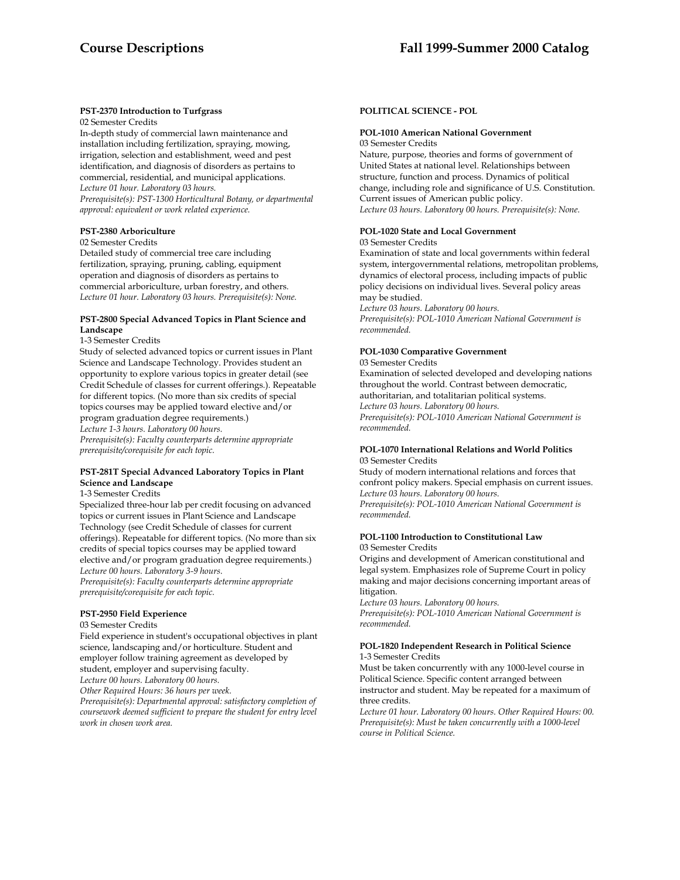# **PST-2370 Introduction to Turfgrass**

02 Semester Credits

In-depth study of commercial lawn maintenance and installation including fertilization, spraying, mowing, irrigation, selection and establishment, weed and pest identification, and diagnosis of disorders as pertains to commercial, residential, and municipal applications. *Lecture 01 hour. Laboratory 03 hours.* 

*Prerequisite(s): PST-1300 Horticultural Botany, or departmental approval: equivalent or work related experience.* 

# **PST-2380 Arboriculture**

02 Semester Credits

Detailed study of commercial tree care including fertilization, spraying, pruning, cabling, equipment operation and diagnosis of disorders as pertains to commercial arboriculture, urban forestry, and others. *Lecture 01 hour. Laboratory 03 hours. Prerequisite(s): None.* 

# **PST-2800 Special Advanced Topics in Plant Science and Landscape**

1-3 Semester Credits

Study of selected advanced topics or current issues in Plant Science and Landscape Technology. Provides student an opportunity to explore various topics in greater detail (see Credit Schedule of classes for current offerings.). Repeatable for different topics. (No more than six credits of special topics courses may be applied toward elective and/or program graduation degree requirements.) *Lecture 1-3 hours. Laboratory 00 hours. Prerequisite(s): Faculty counterparts determine appropriate prerequisite/corequisite for each topic.* 

# **PST-281T Special Advanced Laboratory Topics in Plant Science and Landscape**

1-3 Semester Credits

Specialized three-hour lab per credit focusing on advanced topics or current issues in Plant Science and Landscape Technology (see Credit Schedule of classes for current offerings). Repeatable for different topics. (No more than six credits of special topics courses may be applied toward elective and/or program graduation degree requirements.) *Lecture 00 hours. Laboratory 3-9 hours. Prerequisite(s): Faculty counterparts determine appropriate prerequisite/corequisite for each topic.* 

# **PST-2950 Field Experience**

#### 03 Semester Credits

Field experience in student's occupational objectives in plant science, landscaping and/or horticulture. Student and employer follow training agreement as developed by student, employer and supervising faculty.

*Lecture 00 hours. Laboratory 00 hours.* 

*Other Required Hours: 36 hours per week.* 

*Prerequisite(s): Departmental approval: satisfactory completion of coursework deemed sufficient to prepare the student for entry level work in chosen work area.* 

# **POLITICAL SCIENCE - POL**

#### **POL-1010 American National Government**  03 Semester Credits

Nature, purpose, theories and forms of government of United States at national level. Relationships between structure, function and process. Dynamics of political change, including role and significance of U.S. Constitution. Current issues of American public policy. *Lecture 03 hours. Laboratory 00 hours. Prerequisite(s): None.* 

# **POL-1020 State and Local Government**

#### 03 Semester Credits

Examination of state and local governments within federal system, intergovernmental relations, metropolitan problems, dynamics of electoral process, including impacts of public policy decisions on individual lives. Several policy areas may be studied.

*Lecture 03 hours. Laboratory 00 hours. Prerequisite(s): POL-1010 American National Government is recommended.* 

#### **POL-1030 Comparative Government**  03 Semester Credits

Examination of selected developed and developing nations throughout the world. Contrast between democratic, authoritarian, and totalitarian political systems. *Lecture 03 hours. Laboratory 00 hours. Prerequisite(s): POL-1010 American National Government is* 

*recommended.* 

# **POL-1070 International Relations and World Politics** 03 Semester Credits

Study of modern international relations and forces that confront policy makers. Special emphasis on current issues. *Lecture 03 hours. Laboratory 00 hours.* 

*Prerequisite(s): POL-1010 American National Government is recommended.* 

# **POL-1100 Introduction to Constitutional Law**  03 Semester Credits

Origins and development of American constitutional and legal system. Emphasizes role of Supreme Court in policy making and major decisions concerning important areas of litigation.

*Lecture 03 hours. Laboratory 00 hours. Prerequisite(s): POL-1010 American National Government is recommended.* 

# **POL-1820 Independent Research in Political Science**  1-3 Semester Credits

Must be taken concurrently with any 1000-level course in Political Science. Specific content arranged between instructor and student. May be repeated for a maximum of three credits.

*Lecture 01 hour. Laboratory 00 hours. Other Required Hours: 00. Prerequisite(s): Must be taken concurrently with a 1000-level course in Political Science.*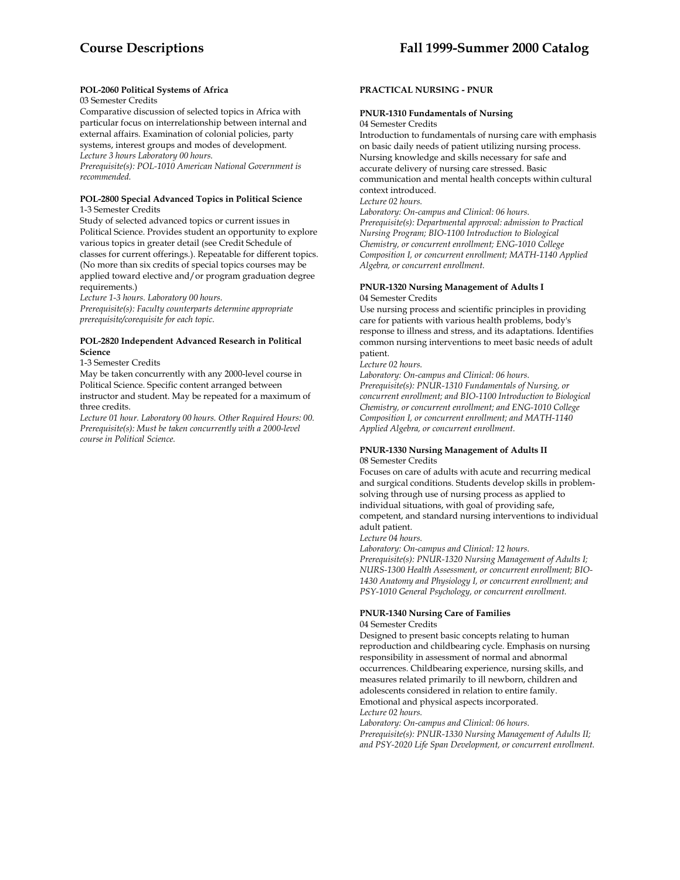# **POL-2060 Political Systems of Africa**

# 03 Semester Credits

Comparative discussion of selected topics in Africa with particular focus on interrelationship between internal and external affairs. Examination of colonial policies, party systems, interest groups and modes of development. *Lecture 3 hours Laboratory 00 hours. Prerequisite(s): POL-1010 American National Government is recommended.* 

# **POL-2800 Special Advanced Topics in Political Science**

1-3 Semester Credits

Study of selected advanced topics or current issues in Political Science. Provides student an opportunity to explore various topics in greater detail (see Credit Schedule of classes for current offerings.). Repeatable for different topics. (No more than six credits of special topics courses may be applied toward elective and/or program graduation degree requirements.)

*Lecture 1-3 hours. Laboratory 00 hours.* 

*Prerequisite(s): Faculty counterparts determine appropriate prerequisite/corequisite for each topic.* 

# **POL-2820 Independent Advanced Research in Political Science**

1-3 Semester Credits

May be taken concurrently with any 2000-level course in Political Science. Specific content arranged between instructor and student. May be repeated for a maximum of three credits.

*Lecture 01 hour. Laboratory 00 hours. Other Required Hours: 00. Prerequisite(s): Must be taken concurrently with a 2000-level course in Political Science.* 

# **PRACTICAL NURSING - PNUR**

# **PNUR-1310 Fundamentals of Nursing**

04 Semester Credits

Introduction to fundamentals of nursing care with emphasis on basic daily needs of patient utilizing nursing process. Nursing knowledge and skills necessary for safe and accurate delivery of nursing care stressed. Basic communication and mental health concepts within cultural context introduced.

*Lecture 02 hours.* 

*Laboratory: On-campus and Clinical: 06 hours. Prerequisite(s): Departmental approval: admission to Practical Nursing Program; BIO-1100 Introduction to Biological Chemistry, or concurrent enrollment; ENG-1010 College Composition I, or concurrent enrollment; MATH-1140 Applied Algebra, or concurrent enrollment.* 

# **PNUR-1320 Nursing Management of Adults I**  04 Semester Credits

Use nursing process and scientific principles in providing care for patients with various health problems, body's response to illness and stress, and its adaptations. Identifies common nursing interventions to meet basic needs of adult patient.

*Lecture 02 hours.* 

*Laboratory: On-campus and Clinical: 06 hours. Prerequisite(s): PNUR-1310 Fundamentals of Nursing, or concurrent enrollment; and BIO-1100 Introduction to Biological Chemistry, or concurrent enrollment; and ENG-1010 College Composition I, or concurrent enrollment; and MATH-1140 Applied Algebra, or concurrent enrollment.* 

# **PNUR-1330 Nursing Management of Adults II**  08 Semester Credits

Focuses on care of adults with acute and recurring medical and surgical conditions. Students develop skills in problemsolving through use of nursing process as applied to individual situations, with goal of providing safe, competent, and standard nursing interventions to individual adult patient.

*Lecture 04 hours.* 

*Laboratory: On-campus and Clinical: 12 hours. Prerequisite(s): PNUR-1320 Nursing Management of Adults I; NURS-1300 Health Assessment, or concurrent enrollment; BIO-1430 Anatomy and Physiology I, or concurrent enrollment; and PSY-1010 General Psychology, or concurrent enrollment.* 

# **PNUR-1340 Nursing Care of Families**

# 04 Semester Credits

Designed to present basic concepts relating to human reproduction and childbearing cycle. Emphasis on nursing responsibility in assessment of normal and abnormal occurrences. Childbearing experience, nursing skills, and measures related primarily to ill newborn, children and adolescents considered in relation to entire family. Emotional and physical aspects incorporated.

*Lecture 02 hours.* 

*Laboratory: On-campus and Clinical: 06 hours. Prerequisite(s): PNUR-1330 Nursing Management of Adults II; and PSY-2020 Life Span Development, or concurrent enrollment.*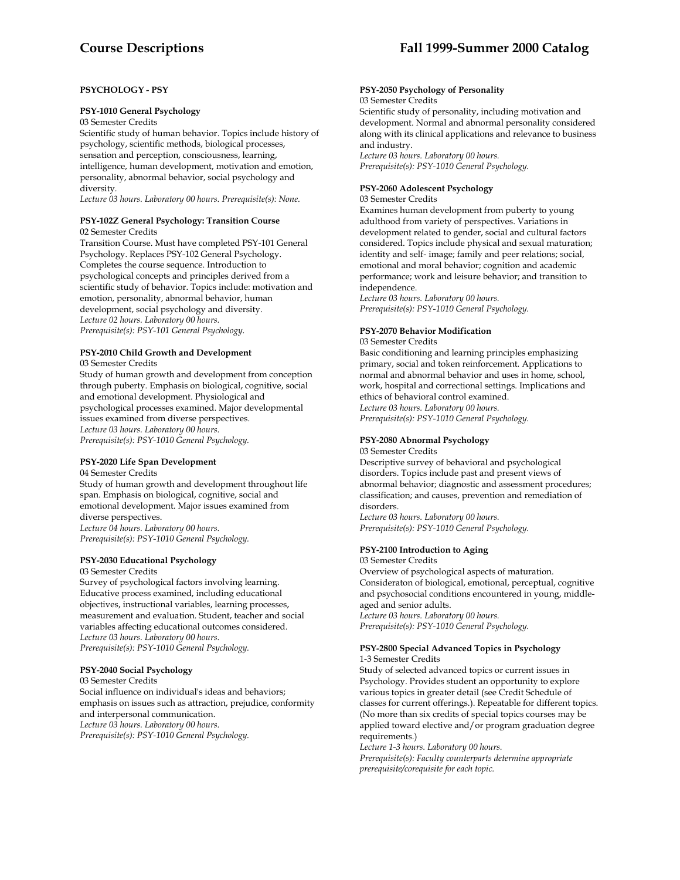# **PSYCHOLOGY - PSY**

#### **PSY-1010 General Psychology**

03 Semester Credits

Scientific study of human behavior. Topics include history of psychology, scientific methods, biological processes, sensation and perception, consciousness, learning, intelligence, human development, motivation and emotion, personality, abnormal behavior, social psychology and diversity.

*Lecture 03 hours. Laboratory 00 hours. Prerequisite(s): None.* 

#### **PSY-102Z General Psychology: Transition Course**  02 Semester Credits

Transition Course. Must have completed PSY-101 General Psychology. Replaces PSY-102 General Psychology. Completes the course sequence. Introduction to psychological concepts and principles derived from a scientific study of behavior. Topics include: motivation and emotion, personality, abnormal behavior, human development, social psychology and diversity. *Lecture 02 hours. Laboratory 00 hours. Prerequisite(s): PSY-101 General Psychology.* 

#### **PSY-2010 Child Growth and Development**  03 Semester Credits

Study of human growth and development from conception through puberty. Emphasis on biological, cognitive, social and emotional development. Physiological and psychological processes examined. Major developmental issues examined from diverse perspectives. *Lecture 03 hours. Laboratory 00 hours. Prerequisite(s): PSY-1010 General Psychology.* 

# **PSY-2020 Life Span Development**

04 Semester Credits

Study of human growth and development throughout life span. Emphasis on biological, cognitive, social and emotional development. Major issues examined from diverse perspectives. *Lecture 04 hours. Laboratory 00 hours.* 

*Prerequisite(s): PSY-1010 General Psychology.* 

#### **PSY-2030 Educational Psychology**

03 Semester Credits

Survey of psychological factors involving learning. Educative process examined, including educational objectives, instructional variables, learning processes, measurement and evaluation. Student, teacher and social variables affecting educational outcomes considered. *Lecture 03 hours. Laboratory 00 hours. Prerequisite(s): PSY-1010 General Psychology.* 

# **PSY-2040 Social Psychology**

03 Semester Credits Social influence on individual's ideas and behaviors; emphasis on issues such as attraction, prejudice, conformity and interpersonal communication. *Lecture 03 hours. Laboratory 00 hours. Prerequisite(s): PSY-1010 General Psychology.* 

# **PSY-2050 Psychology of Personality**

### 03 Semester Credits

Scientific study of personality, including motivation and development. Normal and abnormal personality considered along with its clinical applications and relevance to business and industry.

*Lecture 03 hours. Laboratory 00 hours. Prerequisite(s): PSY-1010 General Psychology.* 

### **PSY-2060 Adolescent Psychology**

03 Semester Credits

Examines human development from puberty to young adulthood from variety of perspectives. Variations in development related to gender, social and cultural factors considered. Topics include physical and sexual maturation; identity and self- image; family and peer relations; social, emotional and moral behavior; cognition and academic performance; work and leisure behavior; and transition to independence.

*Lecture 03 hours. Laboratory 00 hours. Prerequisite(s): PSY-1010 General Psychology.* 

# **PSY-2070 Behavior Modification**

03 Semester Credits

Basic conditioning and learning principles emphasizing primary, social and token reinforcement. Applications to normal and abnormal behavior and uses in home, school, work, hospital and correctional settings. Implications and ethics of behavioral control examined. *Lecture 03 hours. Laboratory 00 hours.* 

*Prerequisite(s): PSY-1010 General Psychology.* 

# **PSY-2080 Abnormal Psychology**

03 Semester Credits

Descriptive survey of behavioral and psychological disorders. Topics include past and present views of abnormal behavior; diagnostic and assessment procedures; classification; and causes, prevention and remediation of disorders.

*Lecture 03 hours. Laboratory 00 hours. Prerequisite(s): PSY-1010 General Psychology.* 

# **PSY-2100 Introduction to Aging**

03 Semester Credits

Overview of psychological aspects of maturation. Consideraton of biological, emotional, perceptual, cognitive and psychosocial conditions encountered in young, middleaged and senior adults. *Lecture 03 hours. Laboratory 00 hours.* 

*Prerequisite(s): PSY-1010 General Psychology.* 

#### **PSY-2800 Special Advanced Topics in Psychology**  1-3 Semester Credits

Study of selected advanced topics or current issues in Psychology. Provides student an opportunity to explore various topics in greater detail (see Credit Schedule of classes for current offerings.). Repeatable for different topics. (No more than six credits of special topics courses may be applied toward elective and/or program graduation degree requirements.)

*Lecture 1-3 hours. Laboratory 00 hours. Prerequisite(s): Faculty counterparts determine appropriate prerequisite/corequisite for each topic.*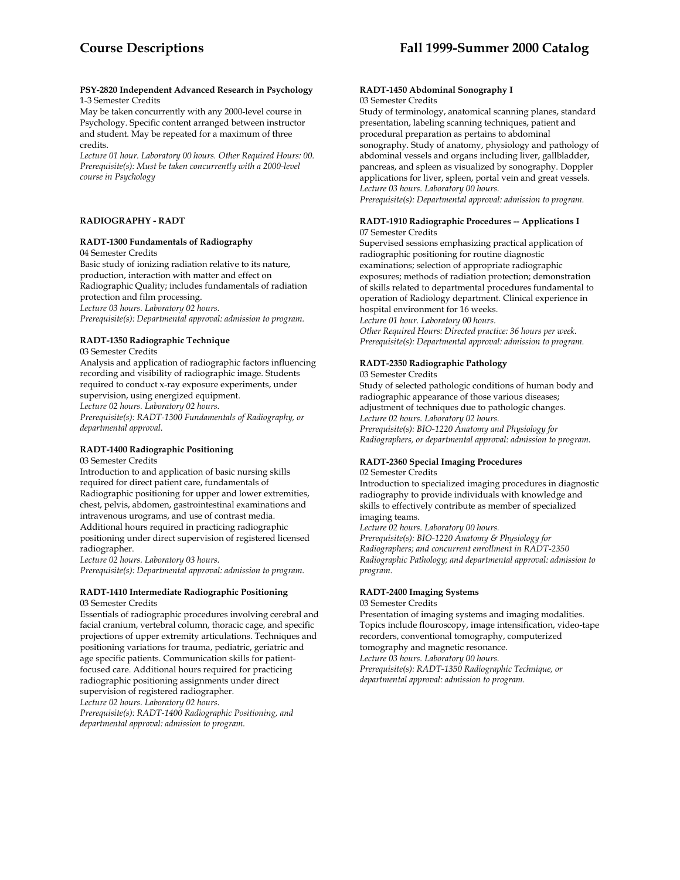#### **PSY-2820 Independent Advanced Research in Psychology**  1-3 Semester Credits

May be taken concurrently with any 2000-level course in Psychology. Specific content arranged between instructor and student. May be repeated for a maximum of three credits.

*Lecture 01 hour. Laboratory 00 hours. Other Required Hours: 00. Prerequisite(s): Must be taken concurrently with a 2000-level course in Psychology* 

## **RADIOGRAPHY - RADT**

# **RADT-1300 Fundamentals of Radiography**

04 Semester Credits

Basic study of ionizing radiation relative to its nature, production, interaction with matter and effect on Radiographic Quality; includes fundamentals of radiation protection and film processing. *Lecture 03 hours. Laboratory 02 hours. Prerequisite(s): Departmental approval: admission to program.* 

# **RADT-1350 Radiographic Technique**

03 Semester Credits

Analysis and application of radiographic factors influencing recording and visibility of radiographic image. Students required to conduct x-ray exposure experiments, under supervision, using energized equipment. *Lecture 02 hours. Laboratory 02 hours. Prerequisite(s): RADT-1300 Fundamentals of Radiography, or departmental approval.* 

# **RADT-1400 Radiographic Positioning**

03 Semester Credits

Introduction to and application of basic nursing skills required for direct patient care, fundamentals of Radiographic positioning for upper and lower extremities, chest, pelvis, abdomen, gastrointestinal examinations and intravenous urograms, and use of contrast media. Additional hours required in practicing radiographic positioning under direct supervision of registered licensed radiographer.

*Lecture 02 hours. Laboratory 03 hours. Prerequisite(s): Departmental approval: admission to program.* 

#### **RADT-1410 Intermediate Radiographic Positioning**  03 Semester Credits

Essentials of radiographic procedures involving cerebral and facial cranium, vertebral column, thoracic cage, and specific projections of upper extremity articulations. Techniques and positioning variations for trauma, pediatric, geriatric and age specific patients. Communication skills for patientfocused care. Additional hours required for practicing radiographic positioning assignments under direct supervision of registered radiographer. *Lecture 02 hours. Laboratory 02 hours. Prerequisite(s): RADT-1400 Radiographic Positioning, and departmental approval: admission to program.* 

#### **RADT-1450 Abdominal Sonography I**  03 Semester Credits

Study of terminology, anatomical scanning planes, standard presentation, labeling scanning techniques, patient and procedural preparation as pertains to abdominal sonography. Study of anatomy, physiology and pathology of abdominal vessels and organs including liver, gallbladder, pancreas, and spleen as visualized by sonography. Doppler applications for liver, spleen, portal vein and great vessels. *Lecture 03 hours. Laboratory 00 hours.* 

*Prerequisite(s): Departmental approval: admission to program.* 

### **RADT-1910 Radiographic Procedures -- Applications I** 07 Semester Credits

Supervised sessions emphasizing practical application of radiographic positioning for routine diagnostic examinations; selection of appropriate radiographic exposures; methods of radiation protection; demonstration of skills related to departmental procedures fundamental to operation of Radiology department. Clinical experience in hospital environment for 16 weeks. *Lecture 01 hour. Laboratory 00 hours. Other Required Hours: Directed practice: 36 hours per week. Prerequisite(s): Departmental approval: admission to program.* 

# **RADT-2350 Radiographic Pathology**

03 Semester Credits

Study of selected pathologic conditions of human body and radiographic appearance of those various diseases; adjustment of techniques due to pathologic changes. *Lecture 02 hours. Laboratory 02 hours. Prerequisite(s): BIO-1220 Anatomy and Physiology for Radiographers, or departmental approval: admission to program.* 

#### **RADT-2360 Special Imaging Procedures**  02 Semester Credits

Introduction to specialized imaging procedures in diagnostic radiography to provide individuals with knowledge and skills to effectively contribute as member of specialized imaging teams.

*Lecture 02 hours. Laboratory 00 hours.* 

*Prerequisite(s): BIO-1220 Anatomy & Physiology for Radiographers; and concurrent enrollment in RADT-2350 Radiographic Pathology; and departmental approval: admission to program.* 

# **RADT-2400 Imaging Systems**

03 Semester Credits

Presentation of imaging systems and imaging modalities. Topics include flouroscopy, image intensification, video-tape recorders, conventional tomography, computerized tomography and magnetic resonance.

*Lecture 03 hours. Laboratory 00 hours.* 

*Prerequisite(s): RADT-1350 Radiographic Technique, or departmental approval: admission to program.*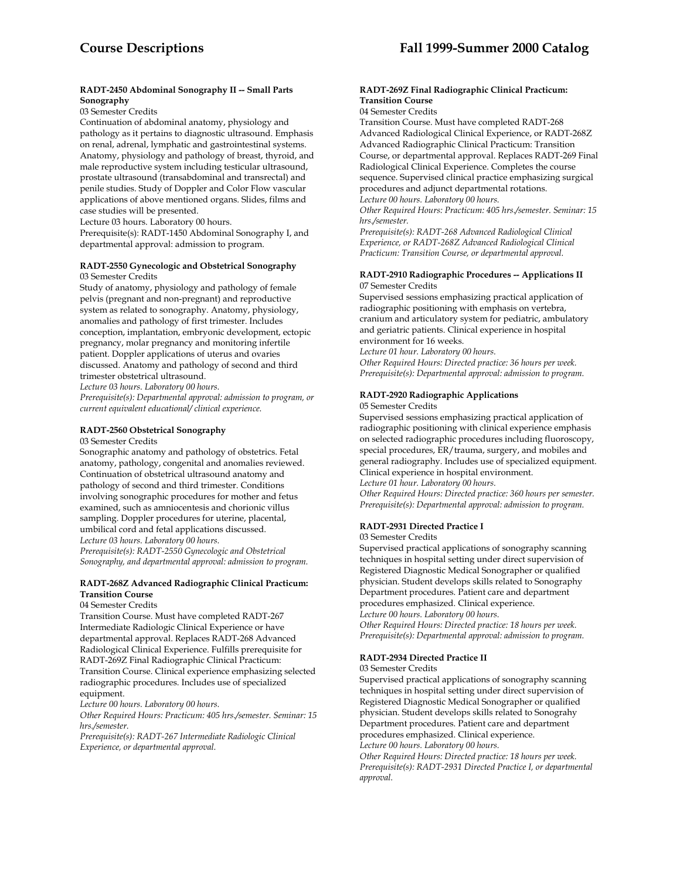# **RADT-2450 Abdominal Sonography II -- Small Parts Sonography**

03 Semester Credits

Continuation of abdominal anatomy, physiology and pathology as it pertains to diagnostic ultrasound. Emphasis on renal, adrenal, lymphatic and gastrointestinal systems. Anatomy, physiology and pathology of breast, thyroid, and male reproductive system including testicular ultrasound, prostate ultrasound (transabdominal and transrectal) and penile studies. Study of Doppler and Color Flow vascular applications of above mentioned organs. Slides, films and case studies will be presented.

Lecture 03 hours. Laboratory 00 hours.

Prerequisite(s): RADT-1450 Abdominal Sonography I, and departmental approval: admission to program.

#### **RADT-2550 Gynecologic and Obstetrical Sonography**  03 Semester Credits

Study of anatomy, physiology and pathology of female pelvis (pregnant and non-pregnant) and reproductive system as related to sonography. Anatomy, physiology, anomalies and pathology of first trimester. Includes conception, implantation, embryonic development, ectopic pregnancy, molar pregnancy and monitoring infertile patient. Doppler applications of uterus and ovaries discussed. Anatomy and pathology of second and third trimester obstetrical ultrasound.

*Lecture 03 hours. Laboratory 00 hours.* 

*Prerequisite(s): Departmental approval: admission to program, or current equivalent educational/ clinical experience.* 

## **RADT-2560 Obstetrical Sonography**

03 Semester Credits

Sonographic anatomy and pathology of obstetrics. Fetal anatomy, pathology, congenital and anomalies reviewed. Continuation of obstetrical ultrasound anatomy and pathology of second and third trimester. Conditions involving sonographic procedures for mother and fetus examined, such as amniocentesis and chorionic villus sampling. Doppler procedures for uterine, placental, umbilical cord and fetal applications discussed. *Lecture 03 hours. Laboratory 00 hours. Prerequisite(s): RADT-2550 Gynecologic and Obstetrical Sonography, and departmental approval: admission to program.* 

## **RADT-268Z Advanced Radiographic Clinical Practicum: Transition Course**

### 04 Semester Credits

Transition Course. Must have completed RADT-267 Intermediate Radiologic Clinical Experience or have departmental approval. Replaces RADT-268 Advanced Radiological Clinical Experience. Fulfills prerequisite for RADT-269Z Final Radiographic Clinical Practicum: Transition Course. Clinical experience emphasizing selected radiographic procedures. Includes use of specialized equipment.

*Lecture 00 hours. Laboratory 00 hours.* 

*Other Required Hours: Practicum: 405 hrs./semester. Seminar: 15 hrs./semester.* 

*Prerequisite(s): RADT-267 Intermediate Radiologic Clinical Experience, or departmental approval.* 

## **RADT-269Z Final Radiographic Clinical Practicum: Transition Course**

04 Semester Credits

Transition Course. Must have completed RADT-268 Advanced Radiological Clinical Experience, or RADT-268Z Advanced Radiographic Clinical Practicum: Transition Course, or departmental approval. Replaces RADT-269 Final Radiological Clinical Experience. Completes the course sequence. Supervised clinical practice emphasizing surgical procedures and adjunct departmental rotations. *Lecture 00 hours. Laboratory 00 hours.* 

*Other Required Hours: Practicum: 405 hrs./semester. Seminar: 15 hrs./semester.* 

*Prerequisite(s): RADT-268 Advanced Radiological Clinical Experience, or RADT-268Z Advanced Radiological Clinical Practicum: Transition Course, or departmental approval.* 

#### **RADT-2910 Radiographic Procedures -- Applications II** 07 Semester Credits

Supervised sessions emphasizing practical application of radiographic positioning with emphasis on vertebra, cranium and articulatory system for pediatric, ambulatory and geriatric patients. Clinical experience in hospital environment for 16 weeks.

*Lecture 01 hour. Laboratory 00 hours.* 

*Other Required Hours: Directed practice: 36 hours per week. Prerequisite(s): Departmental approval: admission to program.* 

# **RADT-2920 Radiographic Applications**

05 Semester Credits

Supervised sessions emphasizing practical application of radiographic positioning with clinical experience emphasis on selected radiographic procedures including fluoroscopy, special procedures, ER/trauma, surgery, and mobiles and general radiography. Includes use of specialized equipment. Clinical experience in hospital environment.

*Lecture 01 hour. Laboratory 00 hours.* 

*Other Required Hours: Directed practice: 360 hours per semester. Prerequisite(s): Departmental approval: admission to program.* 

# **RADT-2931 Directed Practice I**

03 Semester Credits

Supervised practical applications of sonography scanning techniques in hospital setting under direct supervision of Registered Diagnostic Medical Sonographer or qualified physician. Student develops skills related to Sonography Department procedures. Patient care and department procedures emphasized. Clinical experience. *Lecture 00 hours. Laboratory 00 hours. Other Required Hours: Directed practice: 18 hours per week.* 

*Prerequisite(s): Departmental approval: admission to program.* 

# **RADT-2934 Directed Practice II**

03 Semester Credits

Supervised practical applications of sonography scanning techniques in hospital setting under direct supervision of Registered Diagnostic Medical Sonographer or qualified physician. Student develops skills related to Sonograhy Department procedures. Patient care and department procedures emphasized. Clinical experience. *Lecture 00 hours. Laboratory 00 hours.* 

*Other Required Hours: Directed practice: 18 hours per week. Prerequisite(s): RADT-2931 Directed Practice I, or departmental approval.*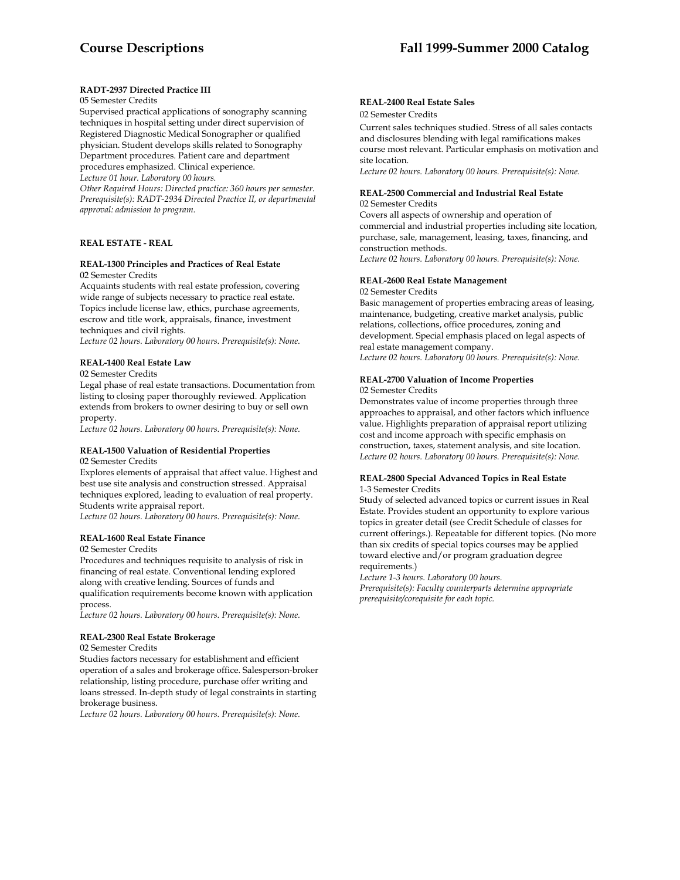## **RADT-2937 Directed Practice III**

#### 05 Semester Credits

Supervised practical applications of sonography scanning techniques in hospital setting under direct supervision of Registered Diagnostic Medical Sonographer or qualified physician. Student develops skills related to Sonography Department procedures. Patient care and department procedures emphasized. Clinical experience.

*Lecture 01 hour. Laboratory 00 hours.* 

*Other Required Hours: Directed practice: 360 hours per semester. Prerequisite(s): RADT-2934 Directed Practice II, or departmental approval: admission to program.* 

#### **REAL ESTATE - REAL**

#### **REAL-1300 Principles and Practices of Real Estate**  02 Semester Credits

Acquaints students with real estate profession, covering wide range of subjects necessary to practice real estate. Topics include license law, ethics, purchase agreements, escrow and title work, appraisals, finance, investment techniques and civil rights.

*Lecture 02 hours. Laboratory 00 hours. Prerequisite(s): None.* 

#### **REAL-1400 Real Estate Law**

02 Semester Credits

Legal phase of real estate transactions. Documentation from listing to closing paper thoroughly reviewed. Application extends from brokers to owner desiring to buy or sell own property.

*Lecture 02 hours. Laboratory 00 hours. Prerequisite(s): None.* 

#### **REAL-1500 Valuation of Residential Properties**

02 Semester Credits

Explores elements of appraisal that affect value. Highest and best use site analysis and construction stressed. Appraisal techniques explored, leading to evaluation of real property. Students write appraisal report.

*Lecture 02 hours. Laboratory 00 hours. Prerequisite(s): None.* 

# **REAL-1600 Real Estate Finance**

02 Semester Credits

Procedures and techniques requisite to analysis of risk in financing of real estate. Conventional lending explored along with creative lending. Sources of funds and qualification requirements become known with application process.

*Lecture 02 hours. Laboratory 00 hours. Prerequisite(s): None.* 

#### **REAL-2300 Real Estate Brokerage**

02 Semester Credits

Studies factors necessary for establishment and efficient operation of a sales and brokerage office. Salesperson-broker relationship, listing procedure, purchase offer writing and loans stressed. In-depth study of legal constraints in starting brokerage business.

*Lecture 02 hours. Laboratory 00 hours. Prerequisite(s): None.* 

## **REAL-2400 Real Estate Sales**

02 Semester Credits

Current sales techniques studied. Stress of all sales contacts and disclosures blending with legal ramifications makes course most relevant. Particular emphasis on motivation and site location.

*Lecture 02 hours. Laboratory 00 hours. Prerequisite(s): None.* 

#### **REAL-2500 Commercial and Industrial Real Estate**  02 Semester Credits

Covers all aspects of ownership and operation of commercial and industrial properties including site location, purchase, sale, management, leasing, taxes, financing, and construction methods.

*Lecture 02 hours. Laboratory 00 hours. Prerequisite(s): None.* 

#### **REAL-2600 Real Estate Management**

02 Semester Credits

Basic management of properties embracing areas of leasing, maintenance, budgeting, creative market analysis, public relations, collections, office procedures, zoning and development. Special emphasis placed on legal aspects of real estate management company. *Lecture 02 hours. Laboratory 00 hours. Prerequisite(s): None.* 

# **REAL-2700 Valuation of Income Properties**

02 Semester Credits

Demonstrates value of income properties through three approaches to appraisal, and other factors which influence value. Highlights preparation of appraisal report utilizing cost and income approach with specific emphasis on construction, taxes, statement analysis, and site location. *Lecture 02 hours. Laboratory 00 hours. Prerequisite(s): None.* 

#### **REAL-2800 Special Advanced Topics in Real Estate**  1-3 Semester Credits

Study of selected advanced topics or current issues in Real Estate. Provides student an opportunity to explore various topics in greater detail (see Credit Schedule of classes for current offerings.). Repeatable for different topics. (No more than six credits of special topics courses may be applied toward elective and/or program graduation degree requirements.)

*Lecture 1-3 hours. Laboratory 00 hours. Prerequisite(s): Faculty counterparts determine appropriate prerequisite/corequisite for each topic.*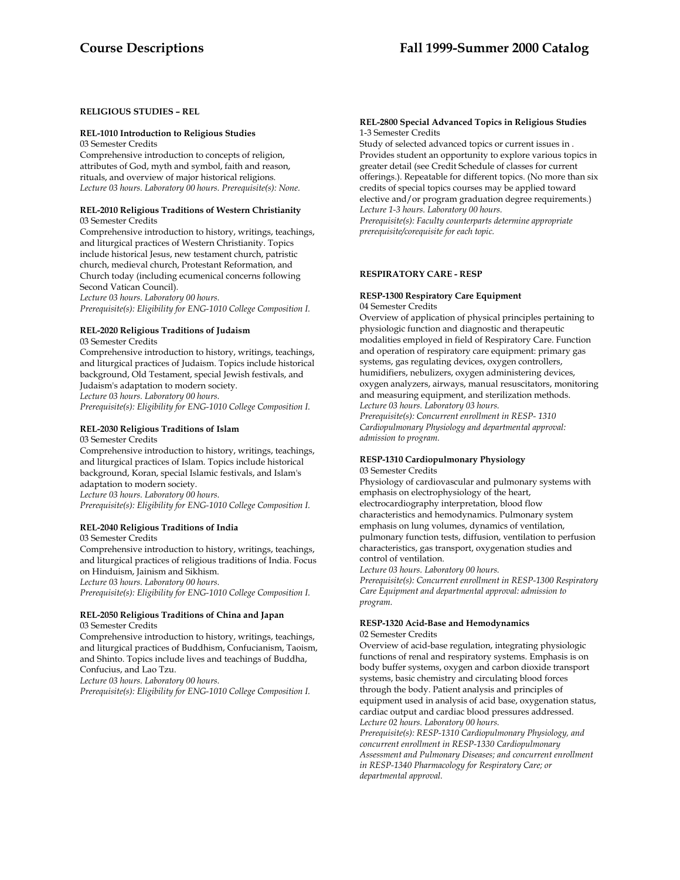# **RELIGIOUS STUDIES – REL**

#### **REL-1010 Introduction to Religious Studies**

03 Semester Credits

Comprehensive introduction to concepts of religion, attributes of God, myth and symbol, faith and reason, rituals, and overview of major historical religions. *Lecture 03 hours. Laboratory 00 hours. Prerequisite(s): None.* 

#### **REL-2010 Religious Traditions of Western Christianity**  03 Semester Credits

Comprehensive introduction to history, writings, teachings, and liturgical practices of Western Christianity. Topics include historical Jesus, new testament church, patristic church, medieval church, Protestant Reformation, and Church today (including ecumenical concerns following Second Vatican Council).

*Lecture 03 hours. Laboratory 00 hours.* 

*Prerequisite(s): Eligibility for ENG-1010 College Composition I.* 

# **REL-2020 Religious Traditions of Judaism**

03 Semester Credits

Comprehensive introduction to history, writings, teachings, and liturgical practices of Judaism. Topics include historical background, Old Testament, special Jewish festivals, and Judaism's adaptation to modern society. *Lecture 03 hours. Laboratory 00 hours. Prerequisite(s): Eligibility for ENG-1010 College Composition I.* 

# **REL-2030 Religious Traditions of Islam**

03 Semester Credits

Comprehensive introduction to history, writings, teachings, and liturgical practices of Islam. Topics include historical background, Koran, special Islamic festivals, and Islam's adaptation to modern society. *Lecture 03 hours. Laboratory 00 hours. Prerequisite(s): Eligibility for ENG-1010 College Composition I.* 

#### **REL-2040 Religious Traditions of India**

03 Semester Credits

Comprehensive introduction to history, writings, teachings, and liturgical practices of religious traditions of India. Focus on Hinduism, Jainism and Sikhism. *Lecture 03 hours. Laboratory 00 hours.* 

*Prerequisite(s): Eligibility for ENG-1010 College Composition I.* 

#### **REL-2050 Religious Traditions of China and Japan**  03 Semester Credits

Comprehensive introduction to history, writings, teachings, and liturgical practices of Buddhism, Confucianism, Taoism, and Shinto. Topics include lives and teachings of Buddha, Confucius, and Lao Tzu.

*Lecture 03 hours. Laboratory 00 hours.* 

*Prerequisite(s): Eligibility for ENG-1010 College Composition I.* 

#### **REL-2800 Special Advanced Topics in Religious Studies**  1-3 Semester Credits

Study of selected advanced topics or current issues in . Provides student an opportunity to explore various topics in greater detail (see Credit Schedule of classes for current offerings.). Repeatable for different topics. (No more than six credits of special topics courses may be applied toward elective and/or program graduation degree requirements.) *Lecture 1-3 hours. Laboratory 00 hours. Prerequisite(s): Faculty counterparts determine appropriate prerequisite/corequisite for each topic.* 

# **RESPIRATORY CARE - RESP**

#### **RESP-1300 Respiratory Care Equipment**  04 Semester Credits

Overview of application of physical principles pertaining to physiologic function and diagnostic and therapeutic modalities employed in field of Respiratory Care. Function and operation of respiratory care equipment: primary gas systems, gas regulating devices, oxygen controllers, humidifiers, nebulizers, oxygen administering devices, oxygen analyzers, airways, manual resuscitators, monitoring and measuring equipment, and sterilization methods. *Lecture 03 hours. Laboratory 03 hours. Prerequisite(s): Concurrent enrollment in RESP- 1310* 

*Cardiopulmonary Physiology and departmental approval: admission to program.* 

#### **RESP-1310 Cardiopulmonary Physiology**  03 Semester Credits

Physiology of cardiovascular and pulmonary systems with emphasis on electrophysiology of the heart, electrocardiography interpretation, blood flow characteristics and hemodynamics. Pulmonary system emphasis on lung volumes, dynamics of ventilation, pulmonary function tests, diffusion, ventilation to perfusion characteristics, gas transport, oxygenation studies and control of ventilation.

*Lecture 03 hours. Laboratory 00 hours.* 

*Prerequisite(s): Concurrent enrollment in RESP-1300 Respiratory Care Equipment and departmental approval: admission to program.* 

#### **RESP-1320 Acid-Base and Hemodynamics**  02 Semester Credits

Overview of acid-base regulation, integrating physiologic functions of renal and respiratory systems. Emphasis is on body buffer systems, oxygen and carbon dioxide transport systems, basic chemistry and circulating blood forces through the body. Patient analysis and principles of equipment used in analysis of acid base, oxygenation status, cardiac output and cardiac blood pressures addressed. *Lecture 02 hours. Laboratory 00 hours. Prerequisite(s): RESP-1310 Cardiopulmonary Physiology, and concurrent enrollment in RESP-1330 Cardiopulmonary Assessment and Pulmonary Diseases; and concurrent enrollment in RESP-1340 Pharmacology for Respiratory Care; or departmental approval.*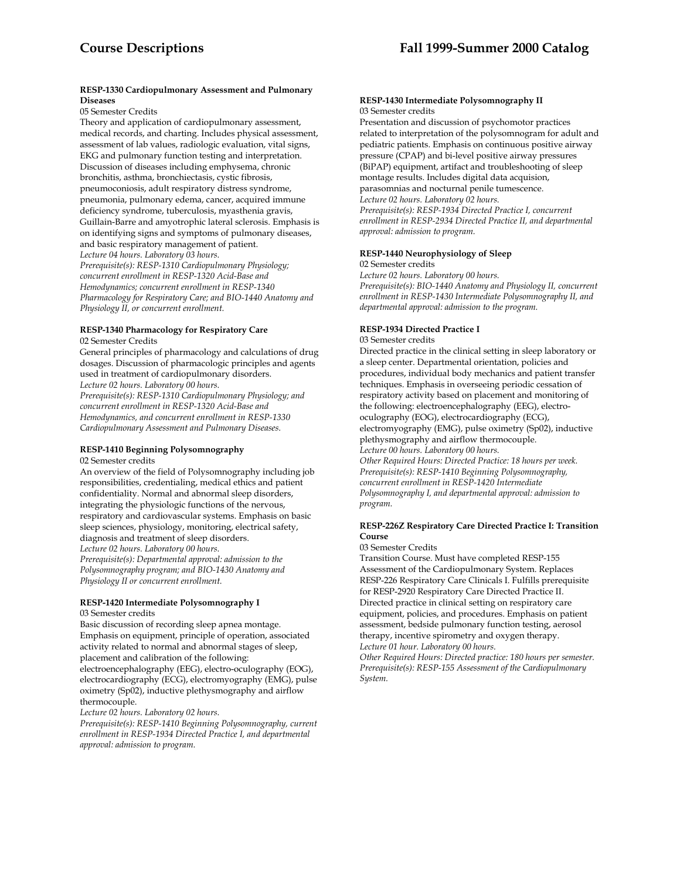## **RESP-1330 Cardiopulmonary Assessment and Pulmonary Diseases**

#### 05 Semester Credits

Theory and application of cardiopulmonary assessment, medical records, and charting. Includes physical assessment, assessment of lab values, radiologic evaluation, vital signs, EKG and pulmonary function testing and interpretation. Discussion of diseases including emphysema, chronic bronchitis, asthma, bronchiectasis, cystic fibrosis, pneumoconiosis, adult respiratory distress syndrome, pneumonia, pulmonary edema, cancer, acquired immune deficiency syndrome, tuberculosis, myasthenia gravis, Guillain-Barre and amyotrophic lateral sclerosis. Emphasis is on identifying signs and symptoms of pulmonary diseases, and basic respiratory management of patient. *Lecture 04 hours. Laboratory 03 hours. Prerequisite(s): RESP-1310 Cardiopulmonary Physiology;* 

*concurrent enrollment in RESP-1320 Acid-Base and Hemodynamics; concurrent enrollment in RESP-1340 Pharmacology for Respiratory Care; and BIO-1440 Anatomy and Physiology II, or concurrent enrollment.* 

# **RESP-1340 Pharmacology for Respiratory Care**  02 Semester Credits

General principles of pharmacology and calculations of drug dosages. Discussion of pharmacologic principles and agents used in treatment of cardiopulmonary disorders. *Lecture 02 hours. Laboratory 00 hours.* 

*Prerequisite(s): RESP-1310 Cardiopulmonary Physiology; and concurrent enrollment in RESP-1320 Acid-Base and Hemodynamics, and concurrent enrollment in RESP-1330 Cardiopulmonary Assessment and Pulmonary Diseases.* 

# **RESP-1410 Beginning Polysomnography**

#### 02 Semester credits

An overview of the field of Polysomnography including job responsibilities, credentialing, medical ethics and patient confidentiality. Normal and abnormal sleep disorders, integrating the physiologic functions of the nervous, respiratory and cardiovascular systems. Emphasis on basic sleep sciences, physiology, monitoring, electrical safety, diagnosis and treatment of sleep disorders. *Lecture 02 hours. Laboratory 00 hours.* 

*Prerequisite(s): Departmental approval: admission to the Polysomnography program; and BIO-1430 Anatomy and Physiology II or concurrent enrollment.* 

# **RESP-1420 Intermediate Polysomnography I**

# 03 Semester credits

Basic discussion of recording sleep apnea montage. Emphasis on equipment, principle of operation, associated activity related to normal and abnormal stages of sleep, placement and calibration of the following:

electroencephalography (EEG), electro-oculography (EOG), electrocardiography (ECG), electromyography (EMG), pulse oximetry (Sp02), inductive plethysmography and airflow thermocouple.

#### *Lecture 02 hours. Laboratory 02 hours.*

*Prerequisite(s): RESP-1410 Beginning Polysomnography, current enrollment in RESP-1934 Directed Practice I, and departmental approval: admission to program.* 

#### **RESP-1430 Intermediate Polysomnography II** 03 Semester credits

Presentation and discussion of psychomotor practices related to interpretation of the polysomnogram for adult and pediatric patients. Emphasis on continuous positive airway pressure (CPAP) and bi-level positive airway pressures (BiPAP) equipment, artifact and troubleshooting of sleep montage results. Includes digital data acquision, parasomnias and nocturnal penile tumescence. *Lecture 02 hours. Laboratory 02 hours. Prerequisite(s): RESP-1934 Directed Practice I, concurrent enrollment in RESP-2934 Directed Practice II, and departmental approval: admission to program.* 

# **RESP-1440 Neurophysiology of Sleep**

#### 02 Semester credits

*Lecture 02 hours. Laboratory 00 hours.* 

*Prerequisite(s): BIO-1440 Anatomy and Physiology II, concurrent enrollment in RESP-1430 Intermediate Polysomnography II, and departmental approval: admission to the program.* 

# **RESP-1934 Directed Practice I**

#### 03 Semester credits

Directed practice in the clinical setting in sleep laboratory or a sleep center. Departmental orientation, policies and procedures, individual body mechanics and patient transfer techniques. Emphasis in overseeing periodic cessation of respiratory activity based on placement and monitoring of the following: electroencephalography (EEG), electrooculography (EOG), electrocardiography (ECG), electromyography (EMG), pulse oximetry (Sp02), inductive plethysmography and airflow thermocouple. *Lecture 00 hours. Laboratory 00 hours.* 

*Other Required Hours: Directed Practice: 18 hours per week. Prerequisite(s): RESP-1410 Beginning Polysomnography, concurrent enrollment in RESP-1420 Intermediate Polysomnography I, and departmental approval: admission to program.* 

#### **RESP-226Z Respiratory Care Directed Practice I: Transition Course**

#### 03 Semester Credits

Transition Course. Must have completed RESP-155 Assessment of the Cardiopulmonary System. Replaces RESP-226 Respiratory Care Clinicals I. Fulfills prerequisite for RESP-2920 Respiratory Care Directed Practice II. Directed practice in clinical setting on respiratory care equipment, policies, and procedures. Emphasis on patient assessment, bedside pulmonary function testing, aerosol therapy, incentive spirometry and oxygen therapy. *Lecture 01 hour. Laboratory 00 hours.* 

*Other Required Hours: Directed practice: 180 hours per semester. Prerequisite(s): RESP-155 Assessment of the Cardiopulmonary System.*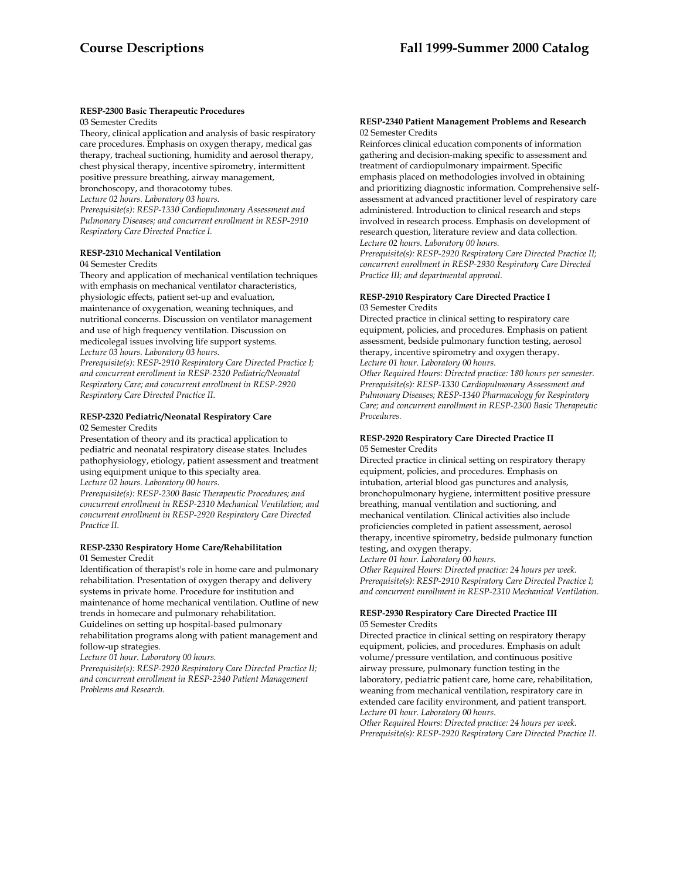# **RESP-2300 Basic Therapeutic Procedures**

03 Semester Credits

Theory, clinical application and analysis of basic respiratory care procedures. Emphasis on oxygen therapy, medical gas therapy, tracheal suctioning, humidity and aerosol therapy, chest physical therapy, incentive spirometry, intermittent positive pressure breathing, airway management, bronchoscopy, and thoracotomy tubes. *Lecture 02 hours. Laboratory 03 hours. Prerequisite(s): RESP-1330 Cardiopulmonary Assessment and Pulmonary Diseases; and concurrent enrollment in RESP-2910 Respiratory Care Directed Practice I.* 

#### **RESP-2310 Mechanical Ventilation**

#### 04 Semester Credits

Theory and application of mechanical ventilation techniques with emphasis on mechanical ventilator characteristics, physiologic effects, patient set-up and evaluation, maintenance of oxygenation, weaning techniques, and nutritional concerns. Discussion on ventilator management and use of high frequency ventilation. Discussion on medicolegal issues involving life support systems. *Lecture 03 hours. Laboratory 03 hours. Prerequisite(s): RESP-2910 Respiratory Care Directed Practice I;* 

*and concurrent enrollment in RESP-2320 Pediatric/Neonatal Respiratory Care; and concurrent enrollment in RESP-2920 Respiratory Care Directed Practice II.* 

# **RESP-2320 Pediatric/Neonatal Respiratory Care**

02 Semester Credits

Presentation of theory and its practical application to pediatric and neonatal respiratory disease states. Includes pathophysiology, etiology, patient assessment and treatment using equipment unique to this specialty area. *Lecture 02 hours. Laboratory 00 hours.* 

*Prerequisite(s): RESP-2300 Basic Therapeutic Procedures; and concurrent enrollment in RESP-2310 Mechanical Ventilation; and concurrent enrollment in RESP-2920 Respiratory Care Directed Practice II.* 

#### **RESP-2330 Respiratory Home Care/Rehabilitation**  01 Semester Credit

Identification of therapist's role in home care and pulmonary rehabilitation. Presentation of oxygen therapy and delivery systems in private home. Procedure for institution and maintenance of home mechanical ventilation. Outline of new trends in homecare and pulmonary rehabilitation. Guidelines on setting up hospital-based pulmonary rehabilitation programs along with patient management and follow-up strategies.

*Lecture 01 hour. Laboratory 00 hours.* 

*Prerequisite(s): RESP-2920 Respiratory Care Directed Practice II; and concurrent enrollment in RESP-2340 Patient Management Problems and Research.* 

#### **RESP-2340 Patient Management Problems and Research** 02 Semester Credits

Reinforces clinical education components of information gathering and decision-making specific to assessment and treatment of cardiopulmonary impairment. Specific emphasis placed on methodologies involved in obtaining and prioritizing diagnostic information. Comprehensive selfassessment at advanced practitioner level of respiratory care administered. Introduction to clinical research and steps involved in research process. Emphasis on development of research question, literature review and data collection. *Lecture 02 hours. Laboratory 00 hours.* 

*Prerequisite(s): RESP-2920 Respiratory Care Directed Practice II; concurrent enrollment in RESP-2930 Respiratory Care Directed Practice III; and departmental approval.* 

#### **RESP-2910 Respiratory Care Directed Practice I** 03 Semester Credits

Directed practice in clinical setting to respiratory care equipment, policies, and procedures. Emphasis on patient assessment, bedside pulmonary function testing, aerosol therapy, incentive spirometry and oxygen therapy. *Lecture 01 hour. Laboratory 00 hours.* 

*Other Required Hours: Directed practice: 180 hours per semester. Prerequisite(s): RESP-1330 Cardiopulmonary Assessment and Pulmonary Diseases; RESP-1340 Pharmacology for Respiratory Care; and concurrent enrollment in RESP-2300 Basic Therapeutic Procedures.* 

#### **RESP-2920 Respiratory Care Directed Practice II** 05 Semester Credits

Directed practice in clinical setting on respiratory therapy equipment, policies, and procedures. Emphasis on intubation, arterial blood gas punctures and analysis, bronchopulmonary hygiene, intermittent positive pressure breathing, manual ventilation and suctioning, and mechanical ventilation. Clinical activities also include proficiencies completed in patient assessment, aerosol therapy, incentive spirometry, bedside pulmonary function testing, and oxygen therapy.

*Lecture 01 hour. Laboratory 00 hours.* 

*Other Required Hours: Directed practice: 24 hours per week. Prerequisite(s): RESP-2910 Respiratory Care Directed Practice I; and concurrent enrollment in RESP-2310 Mechanical Ventilation.* 

#### **RESP-2930 Respiratory Care Directed Practice III**  05 Semester Credits

Directed practice in clinical setting on respiratory therapy equipment, policies, and procedures. Emphasis on adult volume/pressure ventilation, and continuous positive airway pressure, pulmonary function testing in the laboratory, pediatric patient care, home care, rehabilitation, weaning from mechanical ventilation, respiratory care in extended care facility environment, and patient transport. *Lecture 01 hour. Laboratory 00 hours.* 

*Other Required Hours: Directed practice: 24 hours per week. Prerequisite(s): RESP-2920 Respiratory Care Directed Practice II.*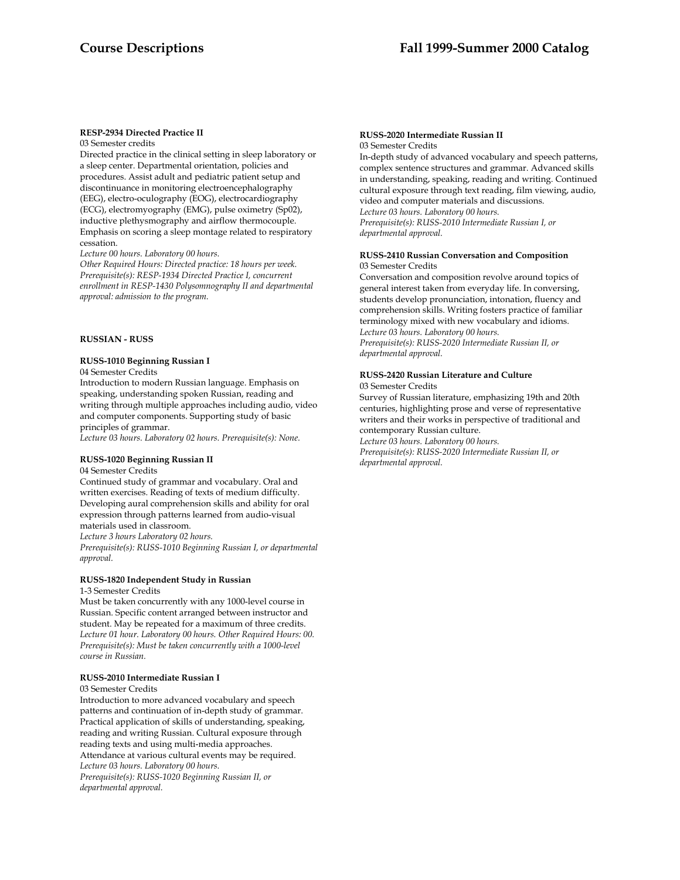#### **RESP-2934 Directed Practice II** 03 Semester credits

Directed practice in the clinical setting in sleep laboratory or a sleep center. Departmental orientation, policies and procedures. Assist adult and pediatric patient setup and discontinuance in monitoring electroencephalography

(EEG), electro-oculography (EOG), electrocardiography (ECG), electromyography (EMG), pulse oximetry (Sp02), inductive plethysmography and airflow thermocouple. Emphasis on scoring a sleep montage related to respiratory cessation.

*Lecture 00 hours. Laboratory 00 hours.* 

*Other Required Hours: Directed practice: 18 hours per week. Prerequisite(s): RESP-1934 Directed Practice I, concurrent enrollment in RESP-1430 Polysomnography II and departmental approval: admission to the program.* 

## **RUSSIAN - RUSS**

## **RUSS-1010 Beginning Russian I**

04 Semester Credits

Introduction to modern Russian language. Emphasis on speaking, understanding spoken Russian, reading and writing through multiple approaches including audio, video and computer components. Supporting study of basic principles of grammar.

*Lecture 03 hours. Laboratory 02 hours. Prerequisite(s): None.* 

# **RUSS-1020 Beginning Russian II**

04 Semester Credits

Continued study of grammar and vocabulary. Oral and written exercises. Reading of texts of medium difficulty. Developing aural comprehension skills and ability for oral expression through patterns learned from audio-visual materials used in classroom.

*Lecture 3 hours Laboratory 02 hours.* 

*Prerequisite(s): RUSS-1010 Beginning Russian I, or departmental approval.* 

# **RUSS-1820 Independent Study in Russian**

1-3 Semester Credits

Must be taken concurrently with any 1000-level course in Russian. Specific content arranged between instructor and student. May be repeated for a maximum of three credits. *Lecture 01 hour. Laboratory 00 hours. Other Required Hours: 00. Prerequisite(s): Must be taken concurrently with a 1000-level course in Russian.* 

## **RUSS-2010 Intermediate Russian I**

#### 03 Semester Credits

Introduction to more advanced vocabulary and speech patterns and continuation of in-depth study of grammar. Practical application of skills of understanding, speaking, reading and writing Russian. Cultural exposure through reading texts and using multi-media approaches. Attendance at various cultural events may be required. *Lecture 03 hours. Laboratory 00 hours. Prerequisite(s): RUSS-1020 Beginning Russian II, or departmental approval.* 

# **RUSS-2020 Intermediate Russian II**

03 Semester Credits

In-depth study of advanced vocabulary and speech patterns, complex sentence structures and grammar. Advanced skills in understanding, speaking, reading and writing. Continued cultural exposure through text reading, film viewing, audio, video and computer materials and discussions. *Lecture 03 hours. Laboratory 00 hours. Prerequisite(s): RUSS-2010 Intermediate Russian I, or departmental approval.* 

#### **RUSS-2410 Russian Conversation and Composition** 03 Semester Credits

Conversation and composition revolve around topics of general interest taken from everyday life. In conversing, students develop pronunciation, intonation, fluency and comprehension skills. Writing fosters practice of familiar terminology mixed with new vocabulary and idioms. *Lecture 03 hours. Laboratory 00 hours.* 

*Prerequisite(s): RUSS-2020 Intermediate Russian II, or departmental approval.* 

## **RUSS-2420 Russian Literature and Culture**

03 Semester Credits

Survey of Russian literature, emphasizing 19th and 20th centuries, highlighting prose and verse of representative writers and their works in perspective of traditional and contemporary Russian culture.

*Lecture 03 hours. Laboratory 00 hours. Prerequisite(s): RUSS-2020 Intermediate Russian II, or departmental approval.*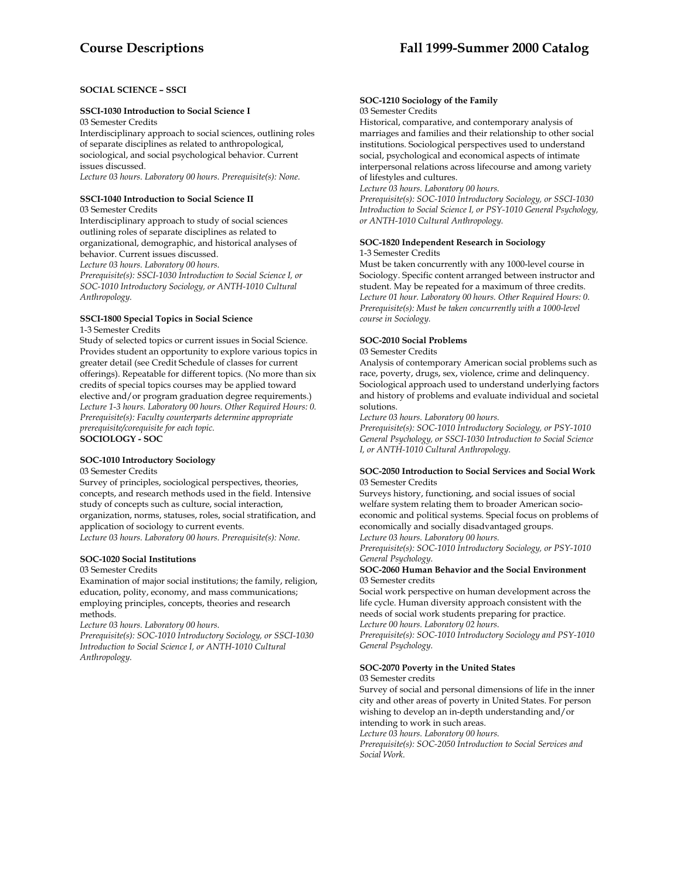# **SOCIAL SCIENCE – SSCI**

#### **SSCI-1030 Introduction to Social Science I**

03 Semester Credits

Interdisciplinary approach to social sciences, outlining roles of separate disciplines as related to anthropological, sociological, and social psychological behavior. Current issues discussed.

*Lecture 03 hours. Laboratory 00 hours. Prerequisite(s): None.* 

#### **SSCI-1040 Introduction to Social Science II**

03 Semester Credits

Interdisciplinary approach to study of social sciences outlining roles of separate disciplines as related to organizational, demographic, and historical analyses of behavior. Current issues discussed. *Lecture 03 hours. Laboratory 00 hours.* 

*Prerequisite(s): SSCI-1030 Introduction to Social Science I, or SOC-1010 Introductory Sociology, or ANTH-1010 Cultural Anthropology.* 

# **SSCI-1800 Special Topics in Social Science**

1-3 Semester Credits

Study of selected topics or current issues in Social Science. Provides student an opportunity to explore various topics in greater detail (see Credit Schedule of classes for current offerings). Repeatable for different topics. (No more than six credits of special topics courses may be applied toward elective and/or program graduation degree requirements.) *Lecture 1-3 hours. Laboratory 00 hours. Other Required Hours: 0. Prerequisite(s): Faculty counterparts determine appropriate prerequisite/corequisite for each topic.*  **SOCIOLOGY - SOC** 

# **SOC-1010 Introductory Sociology**

#### 03 Semester Credits

Survey of principles, sociological perspectives, theories, concepts, and research methods used in the field. Intensive study of concepts such as culture, social interaction, organization, norms, statuses, roles, social stratification, and application of sociology to current events. *Lecture 03 hours. Laboratory 00 hours. Prerequisite(s): None.* 

**SOC-1020 Social Institutions** 

#### 03 Semester Credits

Examination of major social institutions; the family, religion, education, polity, economy, and mass communications; employing principles, concepts, theories and research methods.

*Lecture 03 hours. Laboratory 00 hours.* 

*Prerequisite(s): SOC-1010 Introductory Sociology, or SSCI-1030 Introduction to Social Science I, or ANTH-1010 Cultural Anthropology.* 

#### **SOC-1210 Sociology of the Family**

03 Semester Credits

Historical, comparative, and contemporary analysis of marriages and families and their relationship to other social institutions. Sociological perspectives used to understand social, psychological and economical aspects of intimate interpersonal relations across lifecourse and among variety of lifestyles and cultures.

*Lecture 03 hours. Laboratory 00 hours.* 

*Prerequisite(s): SOC-1010 Introductory Sociology, or SSCI-1030 Introduction to Social Science I, or PSY-1010 General Psychology, or ANTH-1010 Cultural Anthropology.* 

#### **SOC-1820 Independent Research in Sociology**  1-3 Semester Credits

Must be taken concurrently with any 1000-level course in Sociology. Specific content arranged between instructor and student. May be repeated for a maximum of three credits. *Lecture 01 hour. Laboratory 00 hours. Other Required Hours: 0. Prerequisite(s): Must be taken concurrently with a 1000-level course in Sociology.* 

#### **SOC-2010 Social Problems**

#### 03 Semester Credits

Analysis of contemporary American social problems such as race, poverty, drugs, sex, violence, crime and delinquency. Sociological approach used to understand underlying factors and history of problems and evaluate individual and societal solutions.

*Lecture 03 hours. Laboratory 00 hours.* 

*Prerequisite(s): SOC-1010 Introductory Sociology, or PSY-1010 General Psychology, or SSCI-1030 Introduction to Social Science I, or ANTH-1010 Cultural Anthropology.* 

#### **SOC-2050 Introduction to Social Services and Social Work** 03 Semester Credits

Surveys history, functioning, and social issues of social welfare system relating them to broader American socioeconomic and political systems. Special focus on problems of economically and socially disadvantaged groups. *Lecture 03 hours. Laboratory 00 hours.* 

*Prerequisite(s): SOC-1010 Introductory Sociology, or PSY-1010 General Psychology.* 

#### **SOC-2060 Human Behavior and the Social Environment**  03 Semester credits

Social work perspective on human development across the life cycle. Human diversity approach consistent with the needs of social work students preparing for practice. *Lecture 00 hours. Laboratory 02 hours.* 

*Prerequisite(s): SOC-1010 Introductory Sociology and PSY-1010 General Psychology.* 

# **SOC-2070 Poverty in the United States**

03 Semester credits

Survey of social and personal dimensions of life in the inner city and other areas of poverty in United States. For person wishing to develop an in-depth understanding and/or intending to work in such areas.

*Lecture 03 hours. Laboratory 00 hours.* 

*Prerequisite(s): SOC-2050 Introduction to Social Services and Social Work.*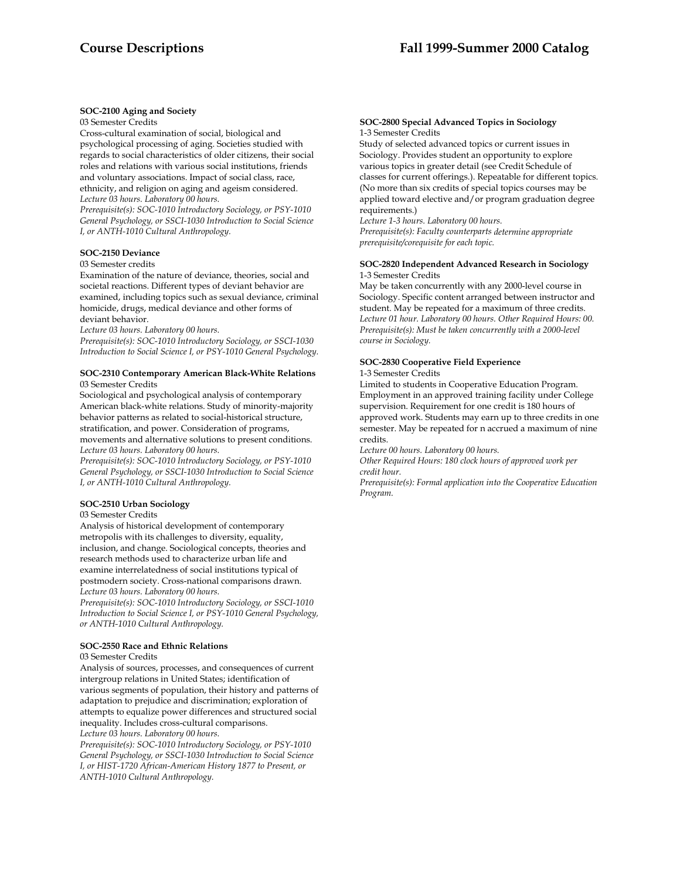## **SOC-2100 Aging and Society**

03 Semester Credits

Cross-cultural examination of social, biological and psychological processing of aging. Societies studied with regards to social characteristics of older citizens, their social roles and relations with various social institutions, friends and voluntary associations. Impact of social class, race, ethnicity, and religion on aging and ageism considered. *Lecture 03 hours. Laboratory 00 hours.* 

*Prerequisite(s): SOC-1010 Introductory Sociology, or PSY-1010 General Psychology, or SSCI-1030 Introduction to Social Science I, or ANTH-1010 Cultural Anthropology.* 

## **SOC-2150 Deviance**

#### 03 Semester credits

Examination of the nature of deviance, theories, social and societal reactions. Different types of deviant behavior are examined, including topics such as sexual deviance, criminal homicide, drugs, medical deviance and other forms of deviant behavior.

*Lecture 03 hours. Laboratory 00 hours.* 

*Prerequisite(s): SOC-1010 Introductory Sociology, or SSCI-1030 Introduction to Social Science I, or PSY-1010 General Psychology.* 

#### **SOC-2310 Contemporary American Black-White Relations** 03 Semester Credits

Sociological and psychological analysis of contemporary American black-white relations. Study of minority-majority behavior patterns as related to social-historical structure, stratification, and power. Consideration of programs, movements and alternative solutions to present conditions. *Lecture 03 hours. Laboratory 00 hours.* 

*Prerequisite(s): SOC-1010 Introductory Sociology, or PSY-1010 General Psychology, or SSCI-1030 Introduction to Social Science I, or ANTH-1010 Cultural Anthropology.* 

# **SOC-2510 Urban Sociology**

#### 03 Semester Credits

Analysis of historical development of contemporary metropolis with its challenges to diversity, equality, inclusion, and change. Sociological concepts, theories and research methods used to characterize urban life and examine interrelatedness of social institutions typical of postmodern society. Cross-national comparisons drawn. *Lecture 03 hours. Laboratory 00 hours.* 

*Prerequisite(s): SOC-1010 Introductory Sociology, or SSCI-1010 Introduction to Social Science I, or PSY-1010 General Psychology, or ANTH-1010 Cultural Anthropology.* 

#### **SOC-2550 Race and Ethnic Relations**

#### 03 Semester Credits

Analysis of sources, processes, and consequences of current intergroup relations in United States; identification of various segments of population, their history and patterns of adaptation to prejudice and discrimination; exploration of attempts to equalize power differences and structured social inequality. Includes cross-cultural comparisons.

*Lecture 03 hours. Laboratory 00 hours.* 

*Prerequisite(s): SOC-1010 Introductory Sociology, or PSY-1010 General Psychology, or SSCI-1030 Introduction to Social Science I, or HIST-1720 African-American History 1877 to Present, or ANTH-1010 Cultural Anthropology.* 

#### **SOC-2800 Special Advanced Topics in Sociology**  1-3 Semester Credits

Study of selected advanced topics or current issues in Sociology. Provides student an opportunity to explore various topics in greater detail (see Credit Schedule of classes for current offerings.). Repeatable for different topics. (No more than six credits of special topics courses may be applied toward elective and/or program graduation degree requirements.)

*Lecture 1-3 hours. Laboratory 00 hours. Prerequisite(s): Faculty counterparts determine appropriate prerequisite/corequisite for each topic.* 

#### **SOC-2820 Independent Advanced Research in Sociology**  1-3 Semester Credits

May be taken concurrently with any 2000-level course in Sociology. Specific content arranged between instructor and student. May be repeated for a maximum of three credits. *Lecture 01 hour. Laboratory 00 hours. Other Required Hours: 00. Prerequisite(s): Must be taken concurrently with a 2000-level course in Sociology.* 

# **SOC-2830 Cooperative Field Experience**

## 1-3 Semester Credits

Limited to students in Cooperative Education Program. Employment in an approved training facility under College supervision. Requirement for one credit is 180 hours of approved work. Students may earn up to three credits in one semester. May be repeated for n accrued a maximum of nine credits.

*Lecture 00 hours. Laboratory 00 hours.* 

*Other Required Hours: 180 clock hours of approved work per credit hour.* 

*Prerequisite(s): Formal application into the Cooperative Education Program.*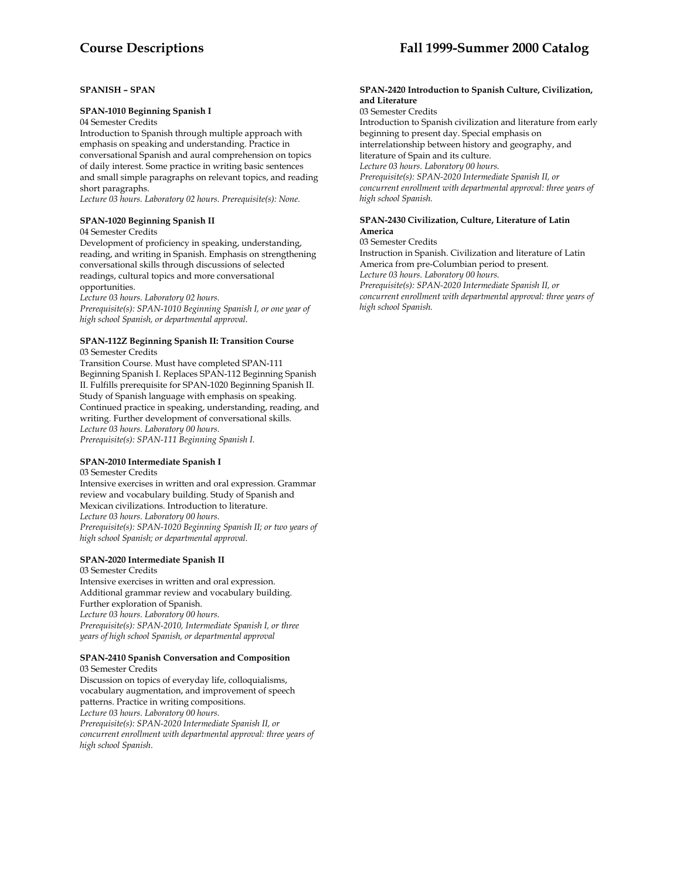# **Course Descriptions Fall 1999-Summer 2000 Catalog**

# **SPANISH – SPAN**

## **SPAN-1010 Beginning Spanish I**

04 Semester Credits

Introduction to Spanish through multiple approach with emphasis on speaking and understanding. Practice in conversational Spanish and aural comprehension on topics of daily interest. Some practice in writing basic sentences and small simple paragraphs on relevant topics, and reading short paragraphs.

*Lecture 03 hours. Laboratory 02 hours. Prerequisite(s): None.* 

# **SPAN-1020 Beginning Spanish II**

#### 04 Semester Credits

Development of proficiency in speaking, understanding, reading, and writing in Spanish. Emphasis on strengthening conversational skills through discussions of selected readings, cultural topics and more conversational opportunities.

*Lecture 03 hours. Laboratory 02 hours.* 

*Prerequisite(s): SPAN-1010 Beginning Spanish I, or one year of high school Spanish, or departmental approval.* 

#### **SPAN-112Z Beginning Spanish II: Transition Course**  03 Semester Credits

Transition Course. Must have completed SPAN-111 Beginning Spanish I. Replaces SPAN-112 Beginning Spanish II. Fulfills prerequisite for SPAN-1020 Beginning Spanish II. Study of Spanish language with emphasis on speaking. Continued practice in speaking, understanding, reading, and writing. Further development of conversational skills. *Lecture 03 hours. Laboratory 00 hours. Prerequisite(s): SPAN-111 Beginning Spanish I.* 

# **SPAN-2010 Intermediate Spanish I**

03 Semester Credits

Intensive exercises in written and oral expression. Grammar review and vocabulary building. Study of Spanish and Mexican civilizations. Introduction to literature. *Lecture 03 hours. Laboratory 00 hours. Prerequisite(s): SPAN-1020 Beginning Spanish II; or two years of high school Spanish; or departmental approval.* 

#### **SPAN-2020 Intermediate Spanish II**

03 Semester Credits Intensive exercises in written and oral expression. Additional grammar review and vocabulary building. Further exploration of Spanish. *Lecture 03 hours. Laboratory 00 hours. Prerequisite(s): SPAN-2010, Intermediate Spanish I, or three years of high school Spanish, or departmental approval* 

# **SPAN-2410 Spanish Conversation and Composition**

03 Semester Credits Discussion on topics of everyday life, colloquialisms, vocabulary augmentation, and improvement of speech patterns. Practice in writing compositions. *Lecture 03 hours. Laboratory 00 hours. Prerequisite(s): SPAN-2020 Intermediate Spanish II, or concurrent enrollment with departmental approval: three years of high school Spanish*.

#### **SPAN-2420 Introduction to Spanish Culture, Civilization, and Literature**

03 Semester Credits

Introduction to Spanish civilization and literature from early beginning to present day. Special emphasis on interrelationship between history and geography, and literature of Spain and its culture. *Lecture 03 hours. Laboratory 00 hours. Prerequisite(s): SPAN-2020 Intermediate Spanish II, or concurrent enrollment with departmental approval: three years of high school Spanish.* 

# **SPAN-2430 Civilization, Culture, Literature of Latin America**

03 Semester Credits

Instruction in Spanish. Civilization and literature of Latin America from pre-Columbian period to present. *Lecture 03 hours. Laboratory 00 hours. Prerequisite(s): SPAN-2020 Intermediate Spanish II, or concurrent enrollment with departmental approval: three years of high school Spanish.*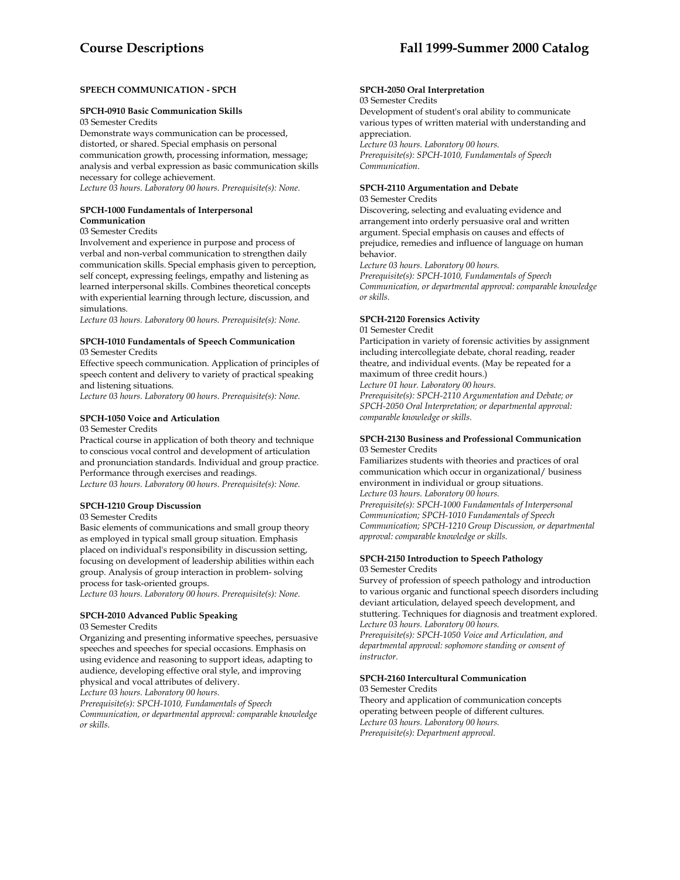# **SPEECH COMMUNICATION - SPCH**

#### **SPCH-0910 Basic Communication Skills**

03 Semester Credits

Demonstrate ways communication can be processed, distorted, or shared. Special emphasis on personal communication growth, processing information, message; analysis and verbal expression as basic communication skills necessary for college achievement.

*Lecture 03 hours. Laboratory 00 hours. Prerequisite(s): None.* 

#### **SPCH-1000 Fundamentals of Interpersonal Communication**

#### 03 Semester Credits

Involvement and experience in purpose and process of verbal and non-verbal communication to strengthen daily communication skills. Special emphasis given to perception, self concept, expressing feelings, empathy and listening as learned interpersonal skills. Combines theoretical concepts with experiential learning through lecture, discussion, and simulations.

*Lecture 03 hours. Laboratory 00 hours. Prerequisite(s): None.* 

# **SPCH-1010 Fundamentals of Speech Communication**

03 Semester Credits

Effective speech communication. Application of principles of speech content and delivery to variety of practical speaking and listening situations.

*Lecture 03 hours. Laboratory 00 hours. Prerequisite(s): None.* 

#### **SPCH-1050 Voice and Articulation**

03 Semester Credits

Practical course in application of both theory and technique to conscious vocal control and development of articulation and pronunciation standards. Individual and group practice. Performance through exercises and readings. *Lecture 03 hours. Laboratory 00 hours. Prerequisite(s): None.* 

# **SPCH-1210 Group Discussion**

03 Semester Credits

Basic elements of communications and small group theory as employed in typical small group situation. Emphasis placed on individual's responsibility in discussion setting, focusing on development of leadership abilities within each group. Analysis of group interaction in problem- solving process for task-oriented groups.

*Lecture 03 hours. Laboratory 00 hours. Prerequisite(s): None.* 

# **SPCH-2010 Advanced Public Speaking**

03 Semester Credits

Organizing and presenting informative speeches, persuasive speeches and speeches for special occasions. Emphasis on using evidence and reasoning to support ideas, adapting to audience, developing effective oral style, and improving physical and vocal attributes of delivery.

*Lecture 03 hours. Laboratory 00 hours.* 

*Prerequisite(s): SPCH-1010, Fundamentals of Speech Communication, or departmental approval: comparable knowledge or skills.* 

#### **SPCH-2050 Oral Interpretation**

03 Semester Credits

Development of student's oral ability to communicate various types of written material with understanding and appreciation. *Lecture 03 hours. Laboratory 00 hours. Prerequisite(s): SPCH-1010, Fundamentals of Speech Communication*.

# **SPCH-2110 Argumentation and Debate**

03 Semester Credits

Discovering, selecting and evaluating evidence and arrangement into orderly persuasive oral and written argument. Special emphasis on causes and effects of prejudice, remedies and influence of language on human behavior.

*Lecture 03 hours. Laboratory 00 hours.* 

*Prerequisite(s): SPCH-1010, Fundamentals of Speech Communication, or departmental approval: comparable knowledge or skills.* 

#### **SPCH-2120 Forensics Activity**

01 Semester Credit

Participation in variety of forensic activities by assignment including intercollegiate debate, choral reading, reader theatre, and individual events. (May be repeated for a maximum of three credit hours.)

*Lecture 01 hour. Laboratory 00 hours.* 

*Prerequisite(s): SPCH-2110 Argumentation and Debate; or SPCH-2050 Oral Interpretation; or departmental approval: comparable knowledge or skills.* 

#### **SPCH-2130 Business and Professional Communication**  03 Semester Credits

Familiarizes students with theories and practices of oral communication which occur in organizational/ business environment in individual or group situations. *Lecture 03 hours. Laboratory 00 hours. Prerequisite(s): SPCH-1000 Fundamentals of Interpersonal Communication; SPCH-1010 Fundamentals of Speech Communication; SPCH-1210 Group Discussion, or departmental approval: comparable knowledge or skills.* 

# **SPCH-2150 Introduction to Speech Pathology**

03 Semester Credits

Survey of profession of speech pathology and introduction to various organic and functional speech disorders including deviant articulation, delayed speech development, and stuttering. Techniques for diagnosis and treatment explored. *Lecture 03 hours. Laboratory 00 hours. Prerequisite(s): SPCH-1050 Voice and Articulation, and* 

*departmental approval: sophomore standing or consent of instructor.* 

# **SPCH-2160 Intercultural Communication**

03 Semester Credits

Theory and application of communication concepts operating between people of different cultures. *Lecture 03 hours. Laboratory 00 hours. Prerequisite(s): Department approval.*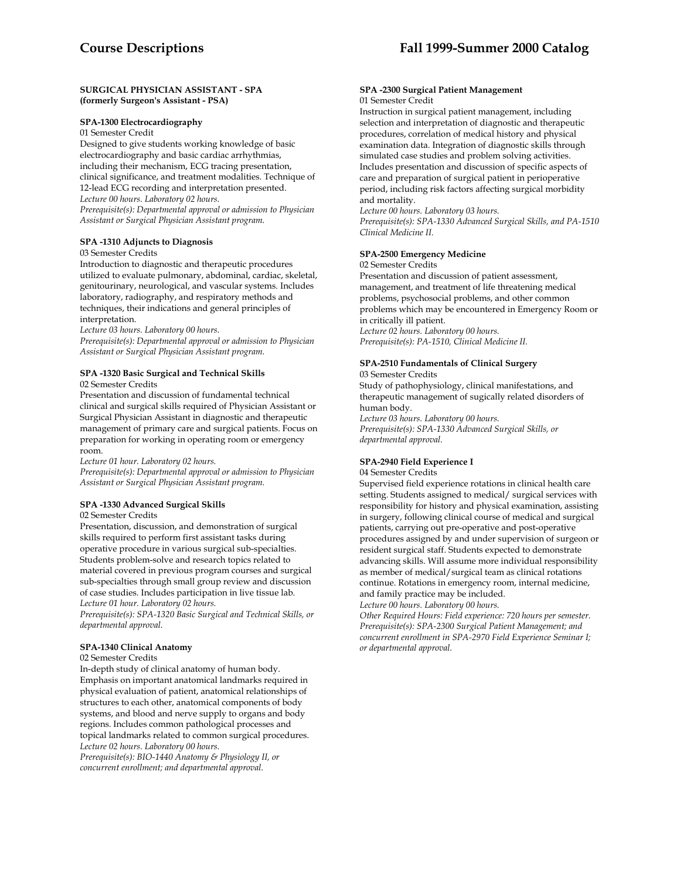#### **SURGICAL PHYSICIAN ASSISTANT - SPA (formerly Surgeon's Assistant - PSA)**

# **SPA-1300 Electrocardiography**

01 Semester Credit Designed to give students working knowledge of basic electrocardiography and basic cardiac arrhythmias, including their mechanism, ECG tracing presentation, clinical significance, and treatment modalities. Technique of 12-lead ECG recording and interpretation presented. *Lecture 00 hours. Laboratory 02 hours. Prerequisite(s): Departmental approval or admission to Physician Assistant or Surgical Physician Assistant program.* 

#### **SPA -1310 Adjuncts to Diagnosis**

#### 03 Semester Credits

Introduction to diagnostic and therapeutic procedures utilized to evaluate pulmonary, abdominal, cardiac, skeletal, genitourinary, neurological, and vascular systems. Includes laboratory, radiography, and respiratory methods and techniques, their indications and general principles of interpretation.

*Lecture 03 hours. Laboratory 00 hours.* 

*Prerequisite(s): Departmental approval or admission to Physician Assistant or Surgical Physician Assistant program.* 

# **SPA -1320 Basic Surgical and Technical Skills**

02 Semester Credits

Presentation and discussion of fundamental technical clinical and surgical skills required of Physician Assistant or Surgical Physician Assistant in diagnostic and therapeutic management of primary care and surgical patients. Focus on preparation for working in operating room or emergency room.

*Lecture 01 hour. Laboratory 02 hours.* 

*Prerequisite(s): Departmental approval or admission to Physician Assistant or Surgical Physician Assistant program.* 

#### **SPA -1330 Advanced Surgical Skills**

02 Semester Credits

Presentation, discussion, and demonstration of surgical skills required to perform first assistant tasks during operative procedure in various surgical sub-specialties. Students problem-solve and research topics related to material covered in previous program courses and surgical sub-specialties through small group review and discussion of case studies. Includes participation in live tissue lab. *Lecture 01 hour. Laboratory 02 hours.* 

*Prerequisite(s): SPA-1320 Basic Surgical and Technical Skills, or departmental approval*.

# **SPA-1340 Clinical Anatomy**

#### 02 Semester Credits

In-depth study of clinical anatomy of human body. Emphasis on important anatomical landmarks required in physical evaluation of patient, anatomical relationships of structures to each other, anatomical components of body systems, and blood and nerve supply to organs and body regions. Includes common pathological processes and topical landmarks related to common surgical procedures. *Lecture 02 hours. Laboratory 00 hours.* 

*Prerequisite(s): BIO-1440 Anatomy & Physiology II, or concurrent enrollment; and departmental approval.* 

#### **SPA -2300 Surgical Patient Management**  01 Semester Credit

Instruction in surgical patient management, including selection and interpretation of diagnostic and therapeutic procedures, correlation of medical history and physical examination data. Integration of diagnostic skills through simulated case studies and problem solving activities. Includes presentation and discussion of specific aspects of care and preparation of surgical patient in perioperative period, including risk factors affecting surgical morbidity and mortality.

*Lecture 00 hours. Laboratory 03 hours.* 

*Prerequisite(s): SPA-1330 Advanced Surgical Skills, and PA-1510 Clinical Medicine II.* 

# **SPA-2500 Emergency Medicine**

02 Semester Credits

Presentation and discussion of patient assessment, management, and treatment of life threatening medical problems, psychosocial problems, and other common problems which may be encountered in Emergency Room or in critically ill patient. *Lecture 02 hours. Laboratory 00 hours. Prerequisite(s): PA-1510, Clinical Medicine II.* 

## **SPA-2510 Fundamentals of Clinical Surgery**

03 Semester Credits

Study of pathophysiology, clinical manifestations, and therapeutic management of sugically related disorders of human body.

*Lecture 03 hours. Laboratory 00 hours. Prerequisite(s): SPA-1330 Advanced Surgical Skills, or departmental approval.* 

#### **SPA-2940 Field Experience I**

04 Semester Credits

Supervised field experience rotations in clinical health care setting. Students assigned to medical/ surgical services with responsibility for history and physical examination, assisting in surgery, following clinical course of medical and surgical patients, carrying out pre-operative and post-operative procedures assigned by and under supervision of surgeon or resident surgical staff. Students expected to demonstrate advancing skills. Will assume more individual responsibility as member of medical/surgical team as clinical rotations continue. Rotations in emergency room, internal medicine, and family practice may be included.

*Lecture 00 hours. Laboratory 00 hours.* 

*Other Required Hours: Field experience: 720 hours per semester. Prerequisite(s): SPA-2300 Surgical Patient Management; and concurrent enrollment in SPA-2970 Field Experience Seminar I; or departmental approval.*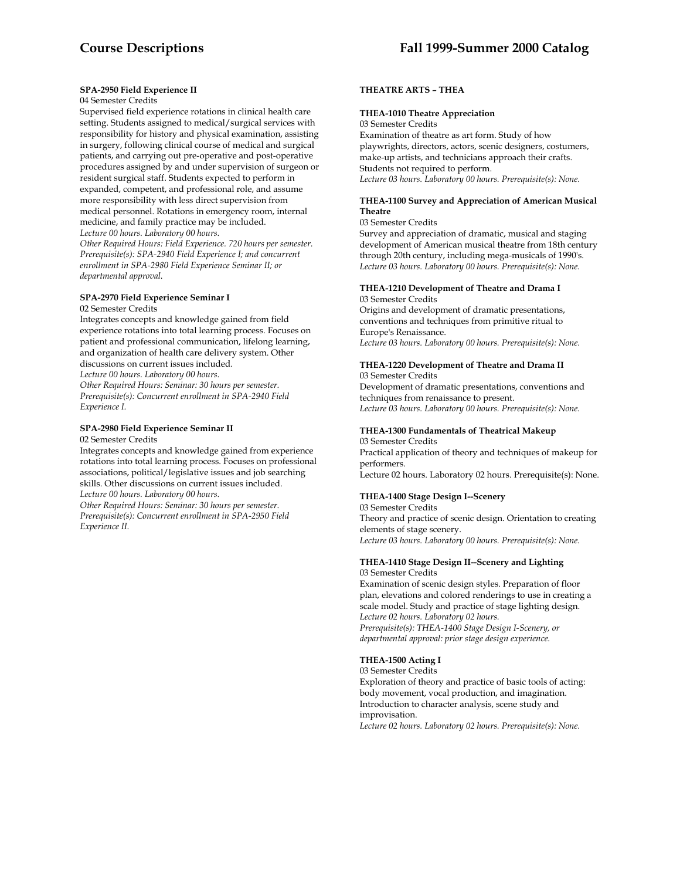#### **SPA-2950 Field Experience II**

# 04 Semester Credits

Supervised field experience rotations in clinical health care setting. Students assigned to medical/surgical services with responsibility for history and physical examination, assisting in surgery, following clinical course of medical and surgical patients, and carrying out pre-operative and post-operative procedures assigned by and under supervision of surgeon or resident surgical staff. Students expected to perform in expanded, competent, and professional role, and assume more responsibility with less direct supervision from medical personnel. Rotations in emergency room, internal medicine, and family practice may be included. *Lecture 00 hours. Laboratory 00 hours.* 

*Other Required Hours: Field Experience. 720 hours per semester. Prerequisite(s): SPA-2940 Field Experience I; and concurrent enrollment in SPA-2980 Field Experience Seminar II; or departmental approval.* 

#### **SPA-2970 Field Experience Seminar I**  02 Semester Credits

Integrates concepts and knowledge gained from field experience rotations into total learning process. Focuses on patient and professional communication, lifelong learning, and organization of health care delivery system. Other discussions on current issues included.

*Lecture 00 hours. Laboratory 00 hours.* 

*Other Required Hours: Seminar: 30 hours per semester. Prerequisite(s): Concurrent enrollment in SPA-2940 Field Experience I.* 

## **SPA-2980 Field Experience Seminar II**

02 Semester Credits

Integrates concepts and knowledge gained from experience rotations into total learning process. Focuses on professional associations, political/legislative issues and job searching skills. Other discussions on current issues included. *Lecture 00 hours. Laboratory 00 hours.* 

*Other Required Hours: Seminar: 30 hours per semester. Prerequisite(s): Concurrent enrollment in SPA-2950 Field Experience II.* 

## **THEATRE ARTS – THEA**

#### **THEA-1010 Theatre Appreciation**

03 Semester Credits

Examination of theatre as art form. Study of how playwrights, directors, actors, scenic designers, costumers, make-up artists, and technicians approach their crafts. Students not required to perform. *Lecture 03 hours. Laboratory 00 hours. Prerequisite(s): None.* 

#### **THEA-1100 Survey and Appreciation of American Musical Theatre**

03 Semester Credits

Survey and appreciation of dramatic, musical and staging development of American musical theatre from 18th century through 20th century, including mega-musicals of 1990's. *Lecture 03 hours. Laboratory 00 hours. Prerequisite(s): None.* 

#### **THEA-1210 Development of Theatre and Drama I** 03 Semester Credits

Origins and development of dramatic presentations, conventions and techniques from primitive ritual to Europe's Renaissance. *Lecture 03 hours. Laboratory 00 hours. Prerequisite(s): None.* 

#### **THEA-1220 Development of Theatre and Drama II**  03 Semester Credits

Development of dramatic presentations, conventions and techniques from renaissance to present. *Lecture 03 hours. Laboratory 00 hours. Prerequisite(s): None.* 

# **THEA-1300 Fundamentals of Theatrical Makeup**

03 Semester Credits Practical application of theory and techniques of makeup for performers. Lecture 02 hours. Laboratory 02 hours. Prerequisite(s): None.

# **THEA-1400 Stage Design I--Scenery**

03 Semester Credits Theory and practice of scenic design. Orientation to creating elements of stage scenery. *Lecture 03 hours. Laboratory 00 hours. Prerequisite(s): None.* 

#### **THEA-1410 Stage Design II--Scenery and Lighting**  03 Semester Credits

Examination of scenic design styles. Preparation of floor plan, elevations and colored renderings to use in creating a scale model. Study and practice of stage lighting design. *Lecture 02 hours. Laboratory 02 hours. Prerequisite(s): THEA-1400 Stage Design I-Scenery, or departmental approval: prior stage design experience.* 

**THEA-1500 Acting I** 

03 Semester Credits

Exploration of theory and practice of basic tools of acting: body movement, vocal production, and imagination. Introduction to character analysis, scene study and improvisation.

*Lecture 02 hours. Laboratory 02 hours. Prerequisite(s): None.*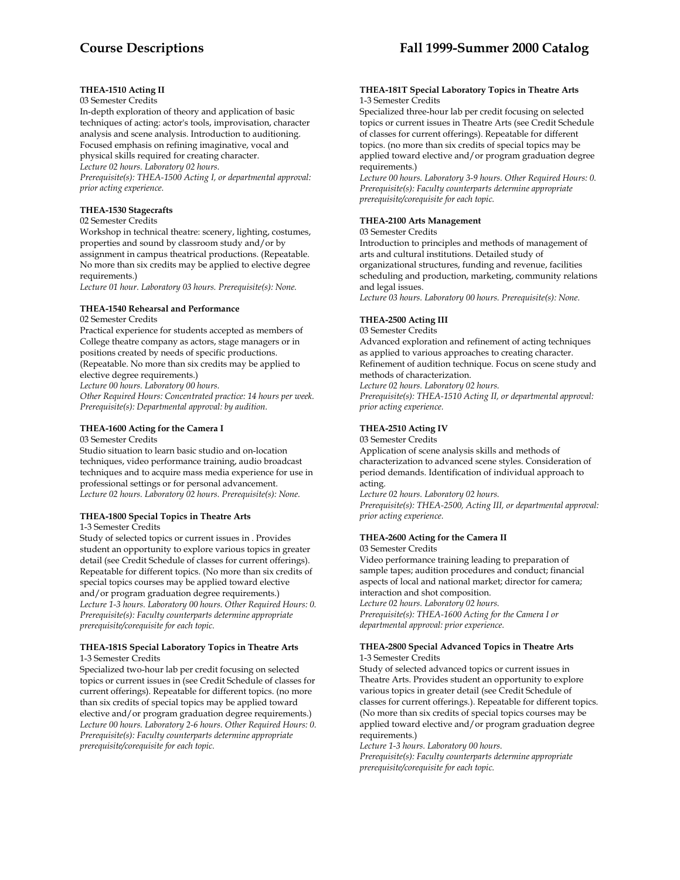# **THEA-1510 Acting II**

#### 03 Semester Credits

In-depth exploration of theory and application of basic techniques of acting: actor's tools, improvisation, character analysis and scene analysis. Introduction to auditioning. Focused emphasis on refining imaginative, vocal and physical skills required for creating character.

*Lecture 02 hours. Laboratory 02 hours.* 

*Prerequisite(s): THEA-1500 Acting I, or departmental approval: prior acting experience.* 

#### **THEA-1530 Stagecrafts**

02 Semester Credits

Workshop in technical theatre: scenery, lighting, costumes, properties and sound by classroom study and/or by assignment in campus theatrical productions. (Repeatable. No more than six credits may be applied to elective degree requirements.)

*Lecture 01 hour. Laboratory 03 hours. Prerequisite(s): None.* 

### **THEA-1540 Rehearsal and Performance**

02 Semester Credits

Practical experience for students accepted as members of College theatre company as actors, stage managers or in positions created by needs of specific productions. (Repeatable. No more than six credits may be applied to elective degree requirements.)

*Lecture 00 hours. Laboratory 00 hours.* 

*Other Required Hours: Concentrated practice: 14 hours per week. Prerequisite(s): Departmental approval: by audition.* 

# **THEA-1600 Acting for the Camera I**

03 Semester Credits

Studio situation to learn basic studio and on-location techniques, video performance training, audio broadcast techniques and to acquire mass media experience for use in professional settings or for personal advancement. *Lecture 02 hours. Laboratory 02 hours. Prerequisite(s): None.* 

# **THEA-1800 Special Topics in Theatre Arts**

1-3 Semester Credits

Study of selected topics or current issues in . Provides student an opportunity to explore various topics in greater detail (see Credit Schedule of classes for current offerings). Repeatable for different topics. (No more than six credits of special topics courses may be applied toward elective and/or program graduation degree requirements.) *Lecture 1-3 hours. Laboratory 00 hours. Other Required Hours: 0. Prerequisite(s): Faculty counterparts determine appropriate prerequisite/corequisite for each topic.* 

#### **THEA-181S Special Laboratory Topics in Theatre Arts**  1-3 Semester Credits

Specialized two-hour lab per credit focusing on selected topics or current issues in (see Credit Schedule of classes for current offerings). Repeatable for different topics. (no more than six credits of special topics may be applied toward elective and/or program graduation degree requirements.) *Lecture 00 hours. Laboratory 2-6 hours. Other Required Hours: 0. Prerequisite(s): Faculty counterparts determine appropriate prerequisite/corequisite for each topic.* 

#### **THEA-181T Special Laboratory Topics in Theatre Arts**  1-3 Semester Credits

Specialized three-hour lab per credit focusing on selected topics or current issues in Theatre Arts (see Credit Schedule of classes for current offerings). Repeatable for different topics. (no more than six credits of special topics may be applied toward elective and/or program graduation degree requirements.)

*Lecture 00 hours. Laboratory 3-9 hours. Other Required Hours: 0. Prerequisite(s): Faculty counterparts determine appropriate prerequisite/corequisite for each topic.* 

# **THEA-2100 Arts Management**

03 Semester Credits

Introduction to principles and methods of management of arts and cultural institutions. Detailed study of organizational structures, funding and revenue, facilities scheduling and production, marketing, community relations and legal issues.

*Lecture 03 hours. Laboratory 00 hours. Prerequisite(s): None.* 

# **THEA-2500 Acting III**

03 Semester Credits

Advanced exploration and refinement of acting techniques as applied to various approaches to creating character. Refinement of audition technique. Focus on scene study and methods of characterization.

*Lecture 02 hours. Laboratory 02 hours. Prerequisite(s): THEA-1510 Acting II, or departmental approval: prior acting experience.* 

## **THEA-2510 Acting IV**

03 Semester Credits

Application of scene analysis skills and methods of characterization to advanced scene styles. Consideration of period demands. Identification of individual approach to acting.

*Lecture 02 hours. Laboratory 02 hours. Prerequisite(s): THEA-2500, Acting III, or departmental approval: prior acting experience.* 

# **THEA-2600 Acting for the Camera II**

03 Semester Credits

Video performance training leading to preparation of sample tapes; audition procedures and conduct; financial aspects of local and national market; director for camera; interaction and shot composition.

*Lecture 02 hours. Laboratory 02 hours. Prerequisite(s): THEA-1600 Acting for the Camera I or departmental approval: prior experience.* 

#### **THEA-2800 Special Advanced Topics in Theatre Arts** 1-3 Semester Credits

Study of selected advanced topics or current issues in Theatre Arts. Provides student an opportunity to explore various topics in greater detail (see Credit Schedule of classes for current offerings.). Repeatable for different topics. (No more than six credits of special topics courses may be applied toward elective and/or program graduation degree requirements.)

*Lecture 1-3 hours. Laboratory 00 hours. Prerequisite(s): Faculty counterparts determine appropriate prerequisite/corequisite for each topic.*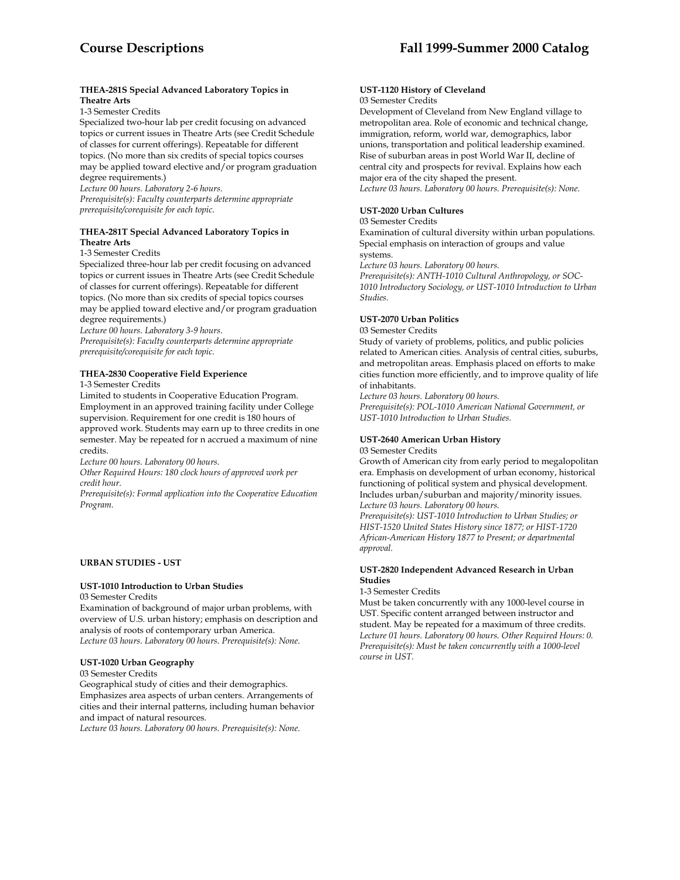## **THEA-281S Special Advanced Laboratory Topics in Theatre Arts**

1-3 Semester Credits

Specialized two-hour lab per credit focusing on advanced topics or current issues in Theatre Arts (see Credit Schedule of classes for current offerings). Repeatable for different topics. (No more than six credits of special topics courses may be applied toward elective and/or program graduation degree requirements.)

*Lecture 00 hours. Laboratory 2-6 hours.* 

*Prerequisite(s): Faculty counterparts determine appropriate prerequisite/corequisite for each topic.* 

### **THEA-281T Special Advanced Laboratory Topics in Theatre Arts**

1-3 Semester Credits

Specialized three-hour lab per credit focusing on advanced topics or current issues in Theatre Arts (see Credit Schedule of classes for current offerings). Repeatable for different topics. (No more than six credits of special topics courses may be applied toward elective and/or program graduation degree requirements.)

*Lecture 00 hours. Laboratory 3-9 hours.* 

*Prerequisite(s): Faculty counterparts determine appropriate prerequisite/corequisite for each topic.* 

## **THEA-2830 Cooperative Field Experience**

1-3 Semester Credits

Limited to students in Cooperative Education Program. Employment in an approved training facility under College supervision. Requirement for one credit is 180 hours of approved work. Students may earn up to three credits in one semester. May be repeated for n accrued a maximum of nine credits.

*Lecture 00 hours. Laboratory 00 hours.* 

*Other Required Hours: 180 clock hours of approved work per credit hour.* 

*Prerequisite(s): Formal application into the Cooperative Education Program.* 

#### **URBAN STUDIES - UST**

#### **UST-1010 Introduction to Urban Studies**  03 Semester Credits

Examination of background of major urban problems, with overview of U.S. urban history; emphasis on description and analysis of roots of contemporary urban America. *Lecture 03 hours. Laboratory 00 hours. Prerequisite(s): None.* 

**UST-1020 Urban Geography**

03 Semester Credits

Geographical study of cities and their demographics. Emphasizes area aspects of urban centers. Arrangements of cities and their internal patterns, including human behavior and impact of natural resources.

*Lecture 03 hours. Laboratory 00 hours. Prerequisite(s): None.* 

#### **UST-1120 History of Cleveland** 03 Semester Credits

Development of Cleveland from New England village to metropolitan area. Role of economic and technical change, immigration, reform, world war, demographics, labor unions, transportation and political leadership examined. Rise of suburban areas in post World War II, decline of central city and prospects for revival. Explains how each major era of the city shaped the present.

*Lecture 03 hours. Laboratory 00 hours. Prerequisite(s): None.* 

### **UST-2020 Urban Cultures**

## 03 Semester Credits

Examination of cultural diversity within urban populations. Special emphasis on interaction of groups and value systems.

*Lecture 03 hours. Laboratory 00 hours.* 

*Prerequisite(s): ANTH-1010 Cultural Anthropology, or SOC-1010 Introductory Sociology, or UST-1010 Introduction to Urban Studies.* 

## **UST-2070 Urban Politics**

03 Semester Credits

Study of variety of problems, politics, and public policies related to American cities. Analysis of central cities, suburbs, and metropolitan areas. Emphasis placed on efforts to make cities function more efficiently, and to improve quality of life of inhabitants.

*Lecture 03 hours. Laboratory 00 hours.* 

*Prerequisite(s): POL-1010 American National Government, or UST-1010 Introduction to Urban Studies.* 

# **UST-2640 American Urban History**

03 Semester Credits

Growth of American city from early period to megalopolitan era. Emphasis on development of urban economy, historical functioning of political system and physical development. Includes urban/suburban and majority/minority issues. *Lecture 03 hours. Laboratory 00 hours.* 

*Prerequisite(s): UST-1010 Introduction to Urban Studies; or HIST-1520 United States History since 1877; or HIST-1720 African-American History 1877 to Present; or departmental approval.* 

#### **UST-2820 Independent Advanced Research in Urban Studies**

1-3 Semester Credits

Must be taken concurrently with any 1000-level course in UST. Specific content arranged between instructor and student. May be repeated for a maximum of three credits. *Lecture 01 hours. Laboratory 00 hours. Other Required Hours: 0. Prerequisite(s): Must be taken concurrently with a 1000-level course in UST.*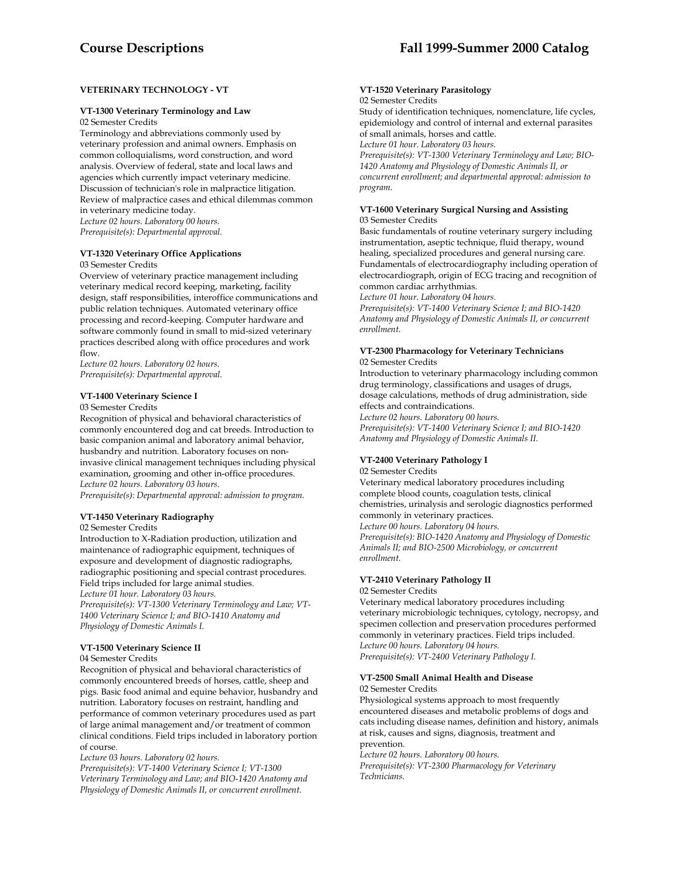# **VETERINARY TECHNOLOGY - VT**

# **VT-1300 Veterinary Terminology and Law**

02 Semester Credits

Terminology and abbreviations commonly used by veterinary profession and animal owners. Emphasis on common colloquialisms, word construction, and word analysis. Overview of federal, state and local laws and agencies which currently impact veterinary medicine. Discussion of technician's role in malpractice litigation. Review of malpractice cases and ethical dilemmas common in veterinary medicine today.

*Lecture 02 hours. Laboratory 00 hours. Prerequisite(s): Departmental approval.* 

## **VT-1320 Veterinary Office Applications**

03 Semester Credits

Overview of veterinary practice management including veterinary medical record keeping, marketing, facility design, staff responsibilities, interoffice communications and public relation techniques. Automated veterinary office processing and record-keeping. Computer hardware and software commonly found in small to mid-sized veterinary practices described along with office procedures and work flow.

*Lecture 02 hours. Laboratory 02 hours. Prerequisite(s): Departmental approval.* 

# **VT-1400 Veterinary Science I**

03 Semester Credits

Recognition of physical and behavioral characteristics of commonly encountered dog and cat breeds. Introduction to basic companion animal and laboratory animal behavior, husbandry and nutrition. Laboratory focuses on noninvasive clinical management techniques including physical examination, grooming and other in-office procedures. *Lecture 02 hours. Laboratory 03 hours.* 

*Prerequisite(s): Departmental approval: admission to program.* 

#### **VT-1450 Veterinary Radiography**

02 Semester Credits

Introduction to X-Radiation production, utilization and maintenance of radiographic equipment, techniques of exposure and development of diagnostic radiographs, radiographic positioning and special contrast procedures. Field trips included for large animal studies. *Lecture 01 hour. Laboratory 03 hours.* 

*Prerequisite(s): VT-1300 Veterinary Terminology and Law; VT-1400 Veterinary Science I; and BIO-1410 Anatomy and Physiology of Domestic Animals I.* 

# **VT-1500 Veterinary Science II**

#### 04 Semester Credits

Recognition of physical and behavioral characteristics of commonly encountered breeds of horses, cattle, sheep and pigs. Basic food animal and equine behavior, husbandry and nutrition. Laboratory focuses on restraint, handling and performance of common veterinary procedures used as part of large animal management and/or treatment of common clinical conditions. Field trips included in laboratory portion of course.

*Lecture 03 hours. Laboratory 02 hours.* 

*Prerequisite(s): VT-1400 Veterinary Science I; VT-1300 Veterinary Terminology and Law; and BIO-1420 Anatomy and Physiology of Domestic Animals II, or concurrent enrollment.* 

#### **VT-1520 Veterinary Parasitology**  02 Semester Credits

Study of identification techniques, nomenclature, life cycles, epidemiology and control of internal and external parasites of small animals, horses and cattle.

*Lecture 01 hour. Laboratory 03 hours.* 

*Prerequisite(s): VT-1300 Veterinary Terminology and Law; BIO-1420 Anatomy and Physiology of Domestic Animals II, or concurrent enrollment; and departmental approval: admission to program.* 

#### **VT-1600 Veterinary Surgical Nursing and Assisting** 03 Semester Credits

Basic fundamentals of routine veterinary surgery including instrumentation, aseptic technique, fluid therapy, wound healing, specialized procedures and general nursing care. Fundamentals of electrocardiography including operation of electrocardiograph, origin of ECG tracing and recognition of common cardiac arrhythmias.

*Lecture 01 hour. Laboratory 04 hours.* 

*Prerequisite(s): VT-1400 Veterinary Science I; and BIO-1420 Anatomy and Physiology of Domestic Animals II, or concurrent enrollment.* 

#### **VT-2300 Pharmacology for Veterinary Technicians**  02 Semester Credits

Introduction to veterinary pharmacology including common drug terminology, classifications and usages of drugs, dosage calculations, methods of drug administration, side effects and contraindications. *Lecture 02 hours. Laboratory 00 hours.* 

*Prerequisite(s): VT-1400 Veterinary Science I; and BIO-1420 Anatomy and Physiology of Domestic Animals II.* 

# **VT-2400 Veterinary Pathology I**

02 Semester Credits

Veterinary medical laboratory procedures including complete blood counts, coagulation tests, clinical chemistries, urinalysis and serologic diagnostics performed commonly in veterinary practices. *Lecture 00 hours. Laboratory 04 hours.* 

*Prerequisite(s): BIO-1420 Anatomy and Physiology of Domestic Animals II; and BIO-2500 Microbiology, or concurrent enrollment.* 

# **VT-2410 Veterinary Pathology II**

02 Semester Credits

Veterinary medical laboratory procedures including veterinary microbiologic techniques, cytology, necropsy, and specimen collection and preservation procedures performed commonly in veterinary practices. Field trips included. *Lecture 00 hours. Laboratory 04 hours. Prerequisite(s): VT-2400 Veterinary Pathology I.* 

#### **VT-2500 Small Animal Health and Disease** 02 Semester Credits

Physiological systems approach to most frequently encountered diseases and metabolic problems of dogs and cats including disease names, definition and history, animals at risk, causes and signs, diagnosis, treatment and prevention.

*Lecture 02 hours. Laboratory 00 hours.* 

*Prerequisite(s): VT-2300 Pharmacology for Veterinary Technicians.*